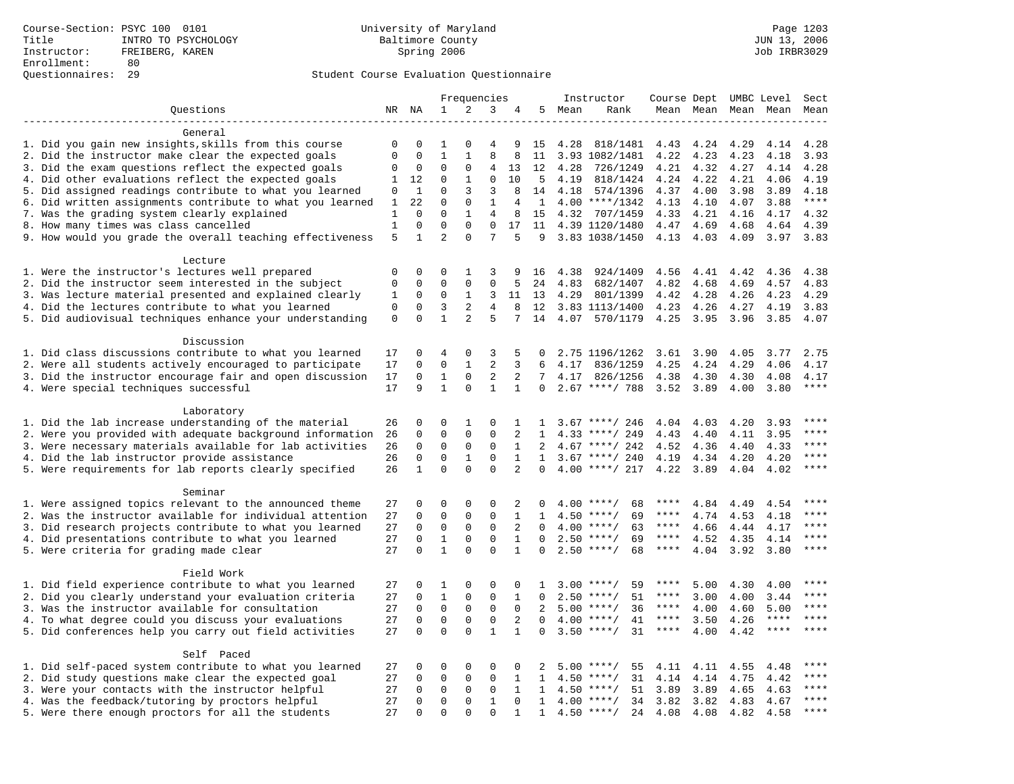| 1<br>2<br>3<br>Questions<br>NR NA<br>4<br>5 Mean<br>Rank<br>Mean Mean Mean Mean<br>Mean<br>-------------------<br>General<br>1. Did you gain new insights, skills from this course<br>4.28<br>818/1481<br>4.24<br>0<br>0<br>1<br>0<br>4<br>9<br>15<br>4.43<br>4.29<br>4.14<br>4.28<br>8<br>2. Did the instructor make clear the expected goals<br>$\mathbf{0}$<br>$\mathbf 0$<br>$\mathbf 1$<br>$\mathbf{1}$<br>8<br>4.23<br>11<br>3.93 1082/1481<br>4.22<br>4.23<br>4.18<br>3.93<br>3. Did the exam questions reflect the expected goals<br>$\mathbf 0$<br>$\mathbf 0$<br>$\Omega$<br>$\mathbf 0$<br>4<br>13<br>12<br>4.28<br>726/1249<br>4.21<br>4.32<br>4.27<br>4.14<br>4.28<br>4. Did other evaluations reflect the expected goals<br>$\Omega$<br>$\Omega$<br>10<br>.5<br>4.19<br>4.22<br>4.19<br>1<br>12<br>1<br>818/1424<br>4.24<br>4.21<br>4.06<br>5. Did assigned readings contribute to what you learned<br>3<br>$\mathsf 0$<br>$\mathbf{1}$<br>0<br>3<br>8<br>574/1396<br>4.00<br>3.89<br>4.18<br>14<br>4.18<br>4.37<br>3.98<br>6. Did written assignments contribute to what you learned<br>$***$<br>22<br>$\mathbf 0$<br>$\mathbf 0$<br>$\mathbf{1}$<br>$4.00$ ****/1342<br>4.13<br>3.88<br>1<br>4<br>1<br>4.10<br>4.07<br>7. Was the grading system clearly explained<br>$\Omega$<br>4.21<br>$\mathbf{1}$<br>$\Omega$<br>$\mathbf{1}$<br>$\overline{4}$<br>8<br>15<br>4.32 707/1459<br>4.33<br>4.16<br>4.17<br>4.32<br>8. How many times was class cancelled<br>$1\,$<br>$\mathbf 0$<br>$\mathbf 0$<br>$\mathbf 0$<br>$\mathbf 0$<br>17<br>4.39 1120/1480<br>4.69<br>4.68<br>4.39<br>11<br>4.47<br>4.64<br>$\overline{2}$<br>7<br>9. How would you grade the overall teaching effectiveness<br>5<br>$\Omega$<br>3.83 1038/1450<br>$\mathbf{1}$<br>5<br>9<br>4.13 4.03<br>4.09<br>3.97<br>3.83<br>Lecture<br>1. Were the instructor's lectures well prepared<br>$\Omega$<br>$\Omega$<br>$\Omega$<br>1<br>3<br>9<br>4.38<br>924/1409<br>4.56<br>4.41<br>4.42<br>4.36<br>4.38<br>16<br>2. Did the instructor seem interested in the subject<br>$\mathbf 0$<br>$\mathbf 0$<br>$\Omega$<br>$\mathsf 0$<br>$\mathsf 0$<br>4.83<br>682/1407<br>4.82<br>4.83<br>5<br>24<br>4.68<br>4.69<br>4.57<br>3. Was lecture material presented and explained clearly<br>0<br>3<br>4.29<br>1<br>0<br>1<br>11<br>13<br>4.29<br>801/1399<br>4.42<br>4.28<br>4.26<br>4.23<br>2<br>4. Did the lectures contribute to what you learned<br>$\mathbf{0}$<br>$\mathbf 0$<br>3<br>4<br>8<br>12<br>3.83 1113/1400<br>4.23<br>4.26<br>4.27<br>4.19<br>3.83<br>5. Did audiovisual techniques enhance your understanding<br>$\mathbf 0$<br>$\Omega$<br>$\mathbf{1}$<br>$\overline{2}$<br>5<br>570/1179<br>7<br>14<br>4.07<br>4.25<br>3.95<br>3.96<br>3.85<br>4.07<br>Discussion<br>1. Did class discussions contribute to what you learned<br>2.75<br>$\mathbf 0$<br>4<br>$\Omega$<br>3<br>5<br>2.75 1196/1262<br>3.90<br>4.05<br>17<br>$\Omega$<br>3.61<br>3.77<br>$\overline{2}$<br>2. Were all students actively encouraged to participate<br>$\Omega$<br>$\Omega$<br>$\mathbf{1}$<br>6<br>4.17<br>4.24<br>17<br>3<br>836/1259<br>4.25<br>4.29<br>4.06<br>4.17<br>$\overline{2}$<br>3. Did the instructor encourage fair and open discussion<br>$\mathbf 0$<br>$\mathbf{1}$<br>$\mathsf 0$<br>2<br>7<br>17<br>4.17<br>826/1256<br>4.38<br>4.30<br>4.30<br>4.08<br>4.17<br>$\mathbf{1}$<br>$\star\star\star\star$<br>4. Were special techniques successful<br>17<br>9<br>$\mathbf 0$<br>$\mathbf{1}$<br>$\mathbf{1}$<br>$2.67$ ****/ 788<br>3.52<br>$\mathbf 0$<br>3.89<br>4.00<br>3.80<br>Laboratory<br>1. Did the lab increase understanding of the material<br>$\mathbf 0$<br>0<br>1<br>$\mathbf 0$<br>26<br>1<br>1<br>$3.67$ ****/ 246<br>4.04<br>4.03<br>4.20<br>3.93<br>2. Were you provided with adequate background information<br>$\mathbf 0$<br>$\mathbf{0}$<br>$\mathbf{0}$<br>****<br>26<br>$\mathbf 0$<br>2<br>$\mathbf{1}$<br>$4.33$ ****/ 249<br>4.43<br>4.40<br>4.11<br>3.95<br>$***$<br>3. Were necessary materials available for lab activities<br>$\mathbf 0$<br>$\mathbf 0$<br>$\mathbf 0$<br>$\mathbf 0$<br>$\mathbf{1}$<br>$4.67$ ****/ 242<br>4.52<br>26<br>2<br>4.36<br>4.40<br>4.33<br>4. Did the lab instructor provide assistance<br>$***$<br>26<br>$\Omega$<br>$\Omega$<br>$\mathbf{1}$<br>$\Omega$<br>$\mathbf{1}$<br>$3.67$ ****/ 240<br>4.19<br>4.34<br>4.20<br>$\mathbf{1}$<br>4.20<br>$\mathbf{1}$<br>$\mathbf 0$<br>$\Omega$<br>$\Omega$<br>2<br>$***$<br>5. Were requirements for lab reports clearly specified<br>26<br>$\Omega$<br>$4.00$ ****/ 217<br>4.22<br>3.89<br>4.04<br>4.02<br>Seminar<br>1. Were assigned topics relevant to the announced theme<br>27<br>$\mathbf 0$<br>0<br>$\mathbf 0$<br>0<br>2<br>****<br>$4.00$ ****/<br>68<br>****<br>4.84<br>4.49<br>4.54<br><sup>0</sup><br>2. Was the instructor available for individual attention<br>$\mathbf 0$<br>$\mathbf 0$<br>$\mathbf 0$<br>$\mathbf 0$<br>27<br>$\mathbf{1}$<br>1<br>$4.50$ ****/<br>69<br>$***$ * * *<br>4.74<br>4.53<br>****<br>4.18<br>3. Did research projects contribute to what you learned<br>27<br>$\mathbf 0$<br>$\mathbf 0$<br>$\mathbf 0$<br>$\mathbf 0$<br>2<br>$4.00$ ****/<br>63<br>$***$ * *<br>****<br>$\Omega$<br>4.66<br>4.44<br>4.17<br>$***$ * * *<br>$***$<br>4. Did presentations contribute to what you learned<br>27<br>$\Omega$<br>$\mathbf{1}$<br>$\mathbf 0$<br>$\mathbf 0$<br>$\mathbf{1}$<br>$2.50$ ****/<br>69<br>4.52<br>$\Omega$<br>4.35<br>4.14<br>$\mathbf{1}$<br>$\Omega$<br>$\Omega$<br>5. Were criteria for grading made clear<br>27<br>$\Omega$<br>$\mathbf{1}$<br>$2.50$ ****/<br>68<br>****<br>4.04<br>3.92<br>3.80<br>****<br>$\Omega$<br>Field Work<br>1. Did field experience contribute to what you learned<br>27<br>$\mathbf 0$<br>$\mathbf 0$<br>59<br>****<br>0<br>0<br>$3.00$ ****/<br>****<br>5.00<br>4.30<br>4.00<br>1<br>1<br>2. Did you clearly understand your evaluation criteria<br>$\Omega$<br>$\mathbf{1}$<br>51<br>****<br>27<br>$\mathbf 0$<br>0<br>$\mathbf{1}$<br>$2.50$ ****/<br>****<br>3.00<br>4.00<br>3.44<br>$\Omega$<br>3. Was the instructor available for consultation<br>$\mathbf 0$<br>27<br>$\mathbf 0$<br>$\mathbf 0$<br>$\mathbf 0$<br>$\Omega$<br>4.00<br>****<br>2<br>$5.00$ ****/<br>36<br>****<br>4.60<br>5.00<br>$\mathbf 0$<br>$\mathbf 0$<br>4. To what degree could you discuss your evaluations<br>27<br>$\mathbf 0$<br>$\mathbf 0$<br>2<br>4.00<br>$***$ /<br>41<br>$***$ * * *<br>3.50<br>$***$ * * *<br>****<br>$\Omega$<br>4.26<br>$\Omega$<br>$\Omega$<br>$\Omega$<br>$\mathbf{1}$<br>$***$<br>5. Did conferences help you carry out field activities<br>27<br>$\mathbf{1}$<br>$3.50$ ****/<br>31<br>$***$ * *<br>4.00<br>$***$ * * *<br>$\Omega$<br>4.42<br>Self Paced<br>1. Did self-paced system contribute to what you learned<br>0<br>27<br>0<br>0<br>0<br>0<br>2<br>$5.00$ ****/<br>55<br>4.11<br>4.11<br>4.55<br>4.48<br>$***$<br>2. Did study questions make clear the expected goal<br>27<br>0<br>$\mathbf 0$<br>$\mathbf{0}$<br>$\mathbf 0$<br>1<br>$4.50$ ****/<br>31<br>4.14<br>4.14<br>4.75<br>4.42<br>1<br>3. Were your contacts with the instructor helpful<br>$\mathbf 0$<br>$***$<br>27<br>$\Omega$<br>$\Omega$<br>0<br>$\mathbf{1}$<br>$4.50$ ****/<br>51<br>3.89<br>3.89<br>4.65<br>4.63<br>$\mathbf{1}$<br>$***$<br>4. Was the feedback/tutoring by proctors helpful<br>27<br>$\Omega$<br>$\mathbf 0$<br>$\mathbf 0$<br>$\mathbf{1}$<br>$\Omega$<br>1<br>$4.00$ ****/<br>34<br>3.82<br>3.82<br>4.83<br>4.67<br>5. Were there enough proctors for all the students<br>27<br>$\Omega$<br>$\Omega$<br>$\Omega$<br>$4.50$ ****/<br>24<br>$***$<br>0<br>$\mathbf{1}$<br>$\mathbf{1}$<br>4.08<br>4.08<br>4.82<br>4.58 |  |  |  | Frequencies |  |  | Instructor | Course Dept UMBC Level |  | Sect |
|-----------------------------------------------------------------------------------------------------------------------------------------------------------------------------------------------------------------------------------------------------------------------------------------------------------------------------------------------------------------------------------------------------------------------------------------------------------------------------------------------------------------------------------------------------------------------------------------------------------------------------------------------------------------------------------------------------------------------------------------------------------------------------------------------------------------------------------------------------------------------------------------------------------------------------------------------------------------------------------------------------------------------------------------------------------------------------------------------------------------------------------------------------------------------------------------------------------------------------------------------------------------------------------------------------------------------------------------------------------------------------------------------------------------------------------------------------------------------------------------------------------------------------------------------------------------------------------------------------------------------------------------------------------------------------------------------------------------------------------------------------------------------------------------------------------------------------------------------------------------------------------------------------------------------------------------------------------------------------------------------------------------------------------------------------------------------------------------------------------------------------------------------------------------------------------------------------------------------------------------------------------------------------------------------------------------------------------------------------------------------------------------------------------------------------------------------------------------------------------------------------------------------------------------------------------------------------------------------------------------------------------------------------------------------------------------------------------------------------------------------------------------------------------------------------------------------------------------------------------------------------------------------------------------------------------------------------------------------------------------------------------------------------------------------------------------------------------------------------------------------------------------------------------------------------------------------------------------------------------------------------------------------------------------------------------------------------------------------------------------------------------------------------------------------------------------------------------------------------------------------------------------------------------------------------------------------------------------------------------------------------------------------------------------------------------------------------------------------------------------------------------------------------------------------------------------------------------------------------------------------------------------------------------------------------------------------------------------------------------------------------------------------------------------------------------------------------------------------------------------------------------------------------------------------------------------------------------------------------------------------------------------------------------------------------------------------------------------------------------------------------------------------------------------------------------------------------------------------------------------------------------------------------------------------------------------------------------------------------------------------------------------------------------------------------------------------------------------------------------------------------------------------------------------------------------------------------------------------------------------------------------------------------------------------------------------------------------------------------------------------------------------------------------------------------------------------------------------------------------------------------------------------------------------------------------------------------------------------------------------------------------------------------------------------------------------------------------------------------------------------------------------------------------------------------------------------------------------------------------------------------------------------------------------------------------------------------------------------------------------------------------------------------------------------------------------------------------------------------------------------------------------------------------------------------------------------------------------------------------------------------------------------------------------------------------------------------------------------------------------------------------------------------------------------------------------------------------------------------------------------------------------------------------------------------------------------------------------------------------------------------------------------------------------------------------------------------------------------------------------------------------------------------------------------------------------------------------------------------------------------------------------------------------------------------------------------------------------------------------------------------------------------------------------------------------------------------------------------------------------------------------------------------------------------------------------------------------------------------------------------------------------------------------------------------------------------------------------------------------------------------------------------------------------------------------------------------------------------------------------------------------------------------------------------------------------------------------------------------------------------------------------------------------------------------------------------------------------------------------------------------------------------------------------------------------------------------------------------------------------------------------------------------------------------------------------------------------------------------------------------------------------------------------------------------------------------------------------------------|--|--|--|-------------|--|--|------------|------------------------|--|------|
|                                                                                                                                                                                                                                                                                                                                                                                                                                                                                                                                                                                                                                                                                                                                                                                                                                                                                                                                                                                                                                                                                                                                                                                                                                                                                                                                                                                                                                                                                                                                                                                                                                                                                                                                                                                                                                                                                                                                                                                                                                                                                                                                                                                                                                                                                                                                                                                                                                                                                                                                                                                                                                                                                                                                                                                                                                                                                                                                                                                                                                                                                                                                                                                                                                                                                                                                                                                                                                                                                                                                                                                                                                                                                                                                                                                                                                                                                                                                                                                                                                                                                                                                                                                                                                                                                                                                                                                                                                                                                                                                                                                                                                                                                                                                                                                                                                                                                                                                                                                                                                                                                                                                                                                                                                                                                                                                                                                                                                                                                                                                                                                                                                                                                                                                                                                                                                                                                                                                                                                                                                                                                                                                                                                                                                                                                                                                                                                                                                                                                                                                                                                                                                                                                                                                                                                                                                                                                                                                                                                                                                                                                                                                                                                                                                                                                                                                                                                                                                                                                                                                                                                                                                                                                                                             |  |  |  |             |  |  |            |                        |  |      |
|                                                                                                                                                                                                                                                                                                                                                                                                                                                                                                                                                                                                                                                                                                                                                                                                                                                                                                                                                                                                                                                                                                                                                                                                                                                                                                                                                                                                                                                                                                                                                                                                                                                                                                                                                                                                                                                                                                                                                                                                                                                                                                                                                                                                                                                                                                                                                                                                                                                                                                                                                                                                                                                                                                                                                                                                                                                                                                                                                                                                                                                                                                                                                                                                                                                                                                                                                                                                                                                                                                                                                                                                                                                                                                                                                                                                                                                                                                                                                                                                                                                                                                                                                                                                                                                                                                                                                                                                                                                                                                                                                                                                                                                                                                                                                                                                                                                                                                                                                                                                                                                                                                                                                                                                                                                                                                                                                                                                                                                                                                                                                                                                                                                                                                                                                                                                                                                                                                                                                                                                                                                                                                                                                                                                                                                                                                                                                                                                                                                                                                                                                                                                                                                                                                                                                                                                                                                                                                                                                                                                                                                                                                                                                                                                                                                                                                                                                                                                                                                                                                                                                                                                                                                                                                                             |  |  |  |             |  |  |            |                        |  |      |
|                                                                                                                                                                                                                                                                                                                                                                                                                                                                                                                                                                                                                                                                                                                                                                                                                                                                                                                                                                                                                                                                                                                                                                                                                                                                                                                                                                                                                                                                                                                                                                                                                                                                                                                                                                                                                                                                                                                                                                                                                                                                                                                                                                                                                                                                                                                                                                                                                                                                                                                                                                                                                                                                                                                                                                                                                                                                                                                                                                                                                                                                                                                                                                                                                                                                                                                                                                                                                                                                                                                                                                                                                                                                                                                                                                                                                                                                                                                                                                                                                                                                                                                                                                                                                                                                                                                                                                                                                                                                                                                                                                                                                                                                                                                                                                                                                                                                                                                                                                                                                                                                                                                                                                                                                                                                                                                                                                                                                                                                                                                                                                                                                                                                                                                                                                                                                                                                                                                                                                                                                                                                                                                                                                                                                                                                                                                                                                                                                                                                                                                                                                                                                                                                                                                                                                                                                                                                                                                                                                                                                                                                                                                                                                                                                                                                                                                                                                                                                                                                                                                                                                                                                                                                                                                             |  |  |  |             |  |  |            |                        |  |      |
|                                                                                                                                                                                                                                                                                                                                                                                                                                                                                                                                                                                                                                                                                                                                                                                                                                                                                                                                                                                                                                                                                                                                                                                                                                                                                                                                                                                                                                                                                                                                                                                                                                                                                                                                                                                                                                                                                                                                                                                                                                                                                                                                                                                                                                                                                                                                                                                                                                                                                                                                                                                                                                                                                                                                                                                                                                                                                                                                                                                                                                                                                                                                                                                                                                                                                                                                                                                                                                                                                                                                                                                                                                                                                                                                                                                                                                                                                                                                                                                                                                                                                                                                                                                                                                                                                                                                                                                                                                                                                                                                                                                                                                                                                                                                                                                                                                                                                                                                                                                                                                                                                                                                                                                                                                                                                                                                                                                                                                                                                                                                                                                                                                                                                                                                                                                                                                                                                                                                                                                                                                                                                                                                                                                                                                                                                                                                                                                                                                                                                                                                                                                                                                                                                                                                                                                                                                                                                                                                                                                                                                                                                                                                                                                                                                                                                                                                                                                                                                                                                                                                                                                                                                                                                                                             |  |  |  |             |  |  |            |                        |  |      |
|                                                                                                                                                                                                                                                                                                                                                                                                                                                                                                                                                                                                                                                                                                                                                                                                                                                                                                                                                                                                                                                                                                                                                                                                                                                                                                                                                                                                                                                                                                                                                                                                                                                                                                                                                                                                                                                                                                                                                                                                                                                                                                                                                                                                                                                                                                                                                                                                                                                                                                                                                                                                                                                                                                                                                                                                                                                                                                                                                                                                                                                                                                                                                                                                                                                                                                                                                                                                                                                                                                                                                                                                                                                                                                                                                                                                                                                                                                                                                                                                                                                                                                                                                                                                                                                                                                                                                                                                                                                                                                                                                                                                                                                                                                                                                                                                                                                                                                                                                                                                                                                                                                                                                                                                                                                                                                                                                                                                                                                                                                                                                                                                                                                                                                                                                                                                                                                                                                                                                                                                                                                                                                                                                                                                                                                                                                                                                                                                                                                                                                                                                                                                                                                                                                                                                                                                                                                                                                                                                                                                                                                                                                                                                                                                                                                                                                                                                                                                                                                                                                                                                                                                                                                                                                                             |  |  |  |             |  |  |            |                        |  |      |
|                                                                                                                                                                                                                                                                                                                                                                                                                                                                                                                                                                                                                                                                                                                                                                                                                                                                                                                                                                                                                                                                                                                                                                                                                                                                                                                                                                                                                                                                                                                                                                                                                                                                                                                                                                                                                                                                                                                                                                                                                                                                                                                                                                                                                                                                                                                                                                                                                                                                                                                                                                                                                                                                                                                                                                                                                                                                                                                                                                                                                                                                                                                                                                                                                                                                                                                                                                                                                                                                                                                                                                                                                                                                                                                                                                                                                                                                                                                                                                                                                                                                                                                                                                                                                                                                                                                                                                                                                                                                                                                                                                                                                                                                                                                                                                                                                                                                                                                                                                                                                                                                                                                                                                                                                                                                                                                                                                                                                                                                                                                                                                                                                                                                                                                                                                                                                                                                                                                                                                                                                                                                                                                                                                                                                                                                                                                                                                                                                                                                                                                                                                                                                                                                                                                                                                                                                                                                                                                                                                                                                                                                                                                                                                                                                                                                                                                                                                                                                                                                                                                                                                                                                                                                                                                             |  |  |  |             |  |  |            |                        |  |      |
|                                                                                                                                                                                                                                                                                                                                                                                                                                                                                                                                                                                                                                                                                                                                                                                                                                                                                                                                                                                                                                                                                                                                                                                                                                                                                                                                                                                                                                                                                                                                                                                                                                                                                                                                                                                                                                                                                                                                                                                                                                                                                                                                                                                                                                                                                                                                                                                                                                                                                                                                                                                                                                                                                                                                                                                                                                                                                                                                                                                                                                                                                                                                                                                                                                                                                                                                                                                                                                                                                                                                                                                                                                                                                                                                                                                                                                                                                                                                                                                                                                                                                                                                                                                                                                                                                                                                                                                                                                                                                                                                                                                                                                                                                                                                                                                                                                                                                                                                                                                                                                                                                                                                                                                                                                                                                                                                                                                                                                                                                                                                                                                                                                                                                                                                                                                                                                                                                                                                                                                                                                                                                                                                                                                                                                                                                                                                                                                                                                                                                                                                                                                                                                                                                                                                                                                                                                                                                                                                                                                                                                                                                                                                                                                                                                                                                                                                                                                                                                                                                                                                                                                                                                                                                                                             |  |  |  |             |  |  |            |                        |  |      |
|                                                                                                                                                                                                                                                                                                                                                                                                                                                                                                                                                                                                                                                                                                                                                                                                                                                                                                                                                                                                                                                                                                                                                                                                                                                                                                                                                                                                                                                                                                                                                                                                                                                                                                                                                                                                                                                                                                                                                                                                                                                                                                                                                                                                                                                                                                                                                                                                                                                                                                                                                                                                                                                                                                                                                                                                                                                                                                                                                                                                                                                                                                                                                                                                                                                                                                                                                                                                                                                                                                                                                                                                                                                                                                                                                                                                                                                                                                                                                                                                                                                                                                                                                                                                                                                                                                                                                                                                                                                                                                                                                                                                                                                                                                                                                                                                                                                                                                                                                                                                                                                                                                                                                                                                                                                                                                                                                                                                                                                                                                                                                                                                                                                                                                                                                                                                                                                                                                                                                                                                                                                                                                                                                                                                                                                                                                                                                                                                                                                                                                                                                                                                                                                                                                                                                                                                                                                                                                                                                                                                                                                                                                                                                                                                                                                                                                                                                                                                                                                                                                                                                                                                                                                                                                                             |  |  |  |             |  |  |            |                        |  |      |
|                                                                                                                                                                                                                                                                                                                                                                                                                                                                                                                                                                                                                                                                                                                                                                                                                                                                                                                                                                                                                                                                                                                                                                                                                                                                                                                                                                                                                                                                                                                                                                                                                                                                                                                                                                                                                                                                                                                                                                                                                                                                                                                                                                                                                                                                                                                                                                                                                                                                                                                                                                                                                                                                                                                                                                                                                                                                                                                                                                                                                                                                                                                                                                                                                                                                                                                                                                                                                                                                                                                                                                                                                                                                                                                                                                                                                                                                                                                                                                                                                                                                                                                                                                                                                                                                                                                                                                                                                                                                                                                                                                                                                                                                                                                                                                                                                                                                                                                                                                                                                                                                                                                                                                                                                                                                                                                                                                                                                                                                                                                                                                                                                                                                                                                                                                                                                                                                                                                                                                                                                                                                                                                                                                                                                                                                                                                                                                                                                                                                                                                                                                                                                                                                                                                                                                                                                                                                                                                                                                                                                                                                                                                                                                                                                                                                                                                                                                                                                                                                                                                                                                                                                                                                                                                             |  |  |  |             |  |  |            |                        |  |      |
|                                                                                                                                                                                                                                                                                                                                                                                                                                                                                                                                                                                                                                                                                                                                                                                                                                                                                                                                                                                                                                                                                                                                                                                                                                                                                                                                                                                                                                                                                                                                                                                                                                                                                                                                                                                                                                                                                                                                                                                                                                                                                                                                                                                                                                                                                                                                                                                                                                                                                                                                                                                                                                                                                                                                                                                                                                                                                                                                                                                                                                                                                                                                                                                                                                                                                                                                                                                                                                                                                                                                                                                                                                                                                                                                                                                                                                                                                                                                                                                                                                                                                                                                                                                                                                                                                                                                                                                                                                                                                                                                                                                                                                                                                                                                                                                                                                                                                                                                                                                                                                                                                                                                                                                                                                                                                                                                                                                                                                                                                                                                                                                                                                                                                                                                                                                                                                                                                                                                                                                                                                                                                                                                                                                                                                                                                                                                                                                                                                                                                                                                                                                                                                                                                                                                                                                                                                                                                                                                                                                                                                                                                                                                                                                                                                                                                                                                                                                                                                                                                                                                                                                                                                                                                                                             |  |  |  |             |  |  |            |                        |  |      |
|                                                                                                                                                                                                                                                                                                                                                                                                                                                                                                                                                                                                                                                                                                                                                                                                                                                                                                                                                                                                                                                                                                                                                                                                                                                                                                                                                                                                                                                                                                                                                                                                                                                                                                                                                                                                                                                                                                                                                                                                                                                                                                                                                                                                                                                                                                                                                                                                                                                                                                                                                                                                                                                                                                                                                                                                                                                                                                                                                                                                                                                                                                                                                                                                                                                                                                                                                                                                                                                                                                                                                                                                                                                                                                                                                                                                                                                                                                                                                                                                                                                                                                                                                                                                                                                                                                                                                                                                                                                                                                                                                                                                                                                                                                                                                                                                                                                                                                                                                                                                                                                                                                                                                                                                                                                                                                                                                                                                                                                                                                                                                                                                                                                                                                                                                                                                                                                                                                                                                                                                                                                                                                                                                                                                                                                                                                                                                                                                                                                                                                                                                                                                                                                                                                                                                                                                                                                                                                                                                                                                                                                                                                                                                                                                                                                                                                                                                                                                                                                                                                                                                                                                                                                                                                                             |  |  |  |             |  |  |            |                        |  |      |
|                                                                                                                                                                                                                                                                                                                                                                                                                                                                                                                                                                                                                                                                                                                                                                                                                                                                                                                                                                                                                                                                                                                                                                                                                                                                                                                                                                                                                                                                                                                                                                                                                                                                                                                                                                                                                                                                                                                                                                                                                                                                                                                                                                                                                                                                                                                                                                                                                                                                                                                                                                                                                                                                                                                                                                                                                                                                                                                                                                                                                                                                                                                                                                                                                                                                                                                                                                                                                                                                                                                                                                                                                                                                                                                                                                                                                                                                                                                                                                                                                                                                                                                                                                                                                                                                                                                                                                                                                                                                                                                                                                                                                                                                                                                                                                                                                                                                                                                                                                                                                                                                                                                                                                                                                                                                                                                                                                                                                                                                                                                                                                                                                                                                                                                                                                                                                                                                                                                                                                                                                                                                                                                                                                                                                                                                                                                                                                                                                                                                                                                                                                                                                                                                                                                                                                                                                                                                                                                                                                                                                                                                                                                                                                                                                                                                                                                                                                                                                                                                                                                                                                                                                                                                                                                             |  |  |  |             |  |  |            |                        |  |      |
|                                                                                                                                                                                                                                                                                                                                                                                                                                                                                                                                                                                                                                                                                                                                                                                                                                                                                                                                                                                                                                                                                                                                                                                                                                                                                                                                                                                                                                                                                                                                                                                                                                                                                                                                                                                                                                                                                                                                                                                                                                                                                                                                                                                                                                                                                                                                                                                                                                                                                                                                                                                                                                                                                                                                                                                                                                                                                                                                                                                                                                                                                                                                                                                                                                                                                                                                                                                                                                                                                                                                                                                                                                                                                                                                                                                                                                                                                                                                                                                                                                                                                                                                                                                                                                                                                                                                                                                                                                                                                                                                                                                                                                                                                                                                                                                                                                                                                                                                                                                                                                                                                                                                                                                                                                                                                                                                                                                                                                                                                                                                                                                                                                                                                                                                                                                                                                                                                                                                                                                                                                                                                                                                                                                                                                                                                                                                                                                                                                                                                                                                                                                                                                                                                                                                                                                                                                                                                                                                                                                                                                                                                                                                                                                                                                                                                                                                                                                                                                                                                                                                                                                                                                                                                                                             |  |  |  |             |  |  |            |                        |  |      |
|                                                                                                                                                                                                                                                                                                                                                                                                                                                                                                                                                                                                                                                                                                                                                                                                                                                                                                                                                                                                                                                                                                                                                                                                                                                                                                                                                                                                                                                                                                                                                                                                                                                                                                                                                                                                                                                                                                                                                                                                                                                                                                                                                                                                                                                                                                                                                                                                                                                                                                                                                                                                                                                                                                                                                                                                                                                                                                                                                                                                                                                                                                                                                                                                                                                                                                                                                                                                                                                                                                                                                                                                                                                                                                                                                                                                                                                                                                                                                                                                                                                                                                                                                                                                                                                                                                                                                                                                                                                                                                                                                                                                                                                                                                                                                                                                                                                                                                                                                                                                                                                                                                                                                                                                                                                                                                                                                                                                                                                                                                                                                                                                                                                                                                                                                                                                                                                                                                                                                                                                                                                                                                                                                                                                                                                                                                                                                                                                                                                                                                                                                                                                                                                                                                                                                                                                                                                                                                                                                                                                                                                                                                                                                                                                                                                                                                                                                                                                                                                                                                                                                                                                                                                                                                                             |  |  |  |             |  |  |            |                        |  |      |
|                                                                                                                                                                                                                                                                                                                                                                                                                                                                                                                                                                                                                                                                                                                                                                                                                                                                                                                                                                                                                                                                                                                                                                                                                                                                                                                                                                                                                                                                                                                                                                                                                                                                                                                                                                                                                                                                                                                                                                                                                                                                                                                                                                                                                                                                                                                                                                                                                                                                                                                                                                                                                                                                                                                                                                                                                                                                                                                                                                                                                                                                                                                                                                                                                                                                                                                                                                                                                                                                                                                                                                                                                                                                                                                                                                                                                                                                                                                                                                                                                                                                                                                                                                                                                                                                                                                                                                                                                                                                                                                                                                                                                                                                                                                                                                                                                                                                                                                                                                                                                                                                                                                                                                                                                                                                                                                                                                                                                                                                                                                                                                                                                                                                                                                                                                                                                                                                                                                                                                                                                                                                                                                                                                                                                                                                                                                                                                                                                                                                                                                                                                                                                                                                                                                                                                                                                                                                                                                                                                                                                                                                                                                                                                                                                                                                                                                                                                                                                                                                                                                                                                                                                                                                                                                             |  |  |  |             |  |  |            |                        |  |      |
|                                                                                                                                                                                                                                                                                                                                                                                                                                                                                                                                                                                                                                                                                                                                                                                                                                                                                                                                                                                                                                                                                                                                                                                                                                                                                                                                                                                                                                                                                                                                                                                                                                                                                                                                                                                                                                                                                                                                                                                                                                                                                                                                                                                                                                                                                                                                                                                                                                                                                                                                                                                                                                                                                                                                                                                                                                                                                                                                                                                                                                                                                                                                                                                                                                                                                                                                                                                                                                                                                                                                                                                                                                                                                                                                                                                                                                                                                                                                                                                                                                                                                                                                                                                                                                                                                                                                                                                                                                                                                                                                                                                                                                                                                                                                                                                                                                                                                                                                                                                                                                                                                                                                                                                                                                                                                                                                                                                                                                                                                                                                                                                                                                                                                                                                                                                                                                                                                                                                                                                                                                                                                                                                                                                                                                                                                                                                                                                                                                                                                                                                                                                                                                                                                                                                                                                                                                                                                                                                                                                                                                                                                                                                                                                                                                                                                                                                                                                                                                                                                                                                                                                                                                                                                                                             |  |  |  |             |  |  |            |                        |  |      |
|                                                                                                                                                                                                                                                                                                                                                                                                                                                                                                                                                                                                                                                                                                                                                                                                                                                                                                                                                                                                                                                                                                                                                                                                                                                                                                                                                                                                                                                                                                                                                                                                                                                                                                                                                                                                                                                                                                                                                                                                                                                                                                                                                                                                                                                                                                                                                                                                                                                                                                                                                                                                                                                                                                                                                                                                                                                                                                                                                                                                                                                                                                                                                                                                                                                                                                                                                                                                                                                                                                                                                                                                                                                                                                                                                                                                                                                                                                                                                                                                                                                                                                                                                                                                                                                                                                                                                                                                                                                                                                                                                                                                                                                                                                                                                                                                                                                                                                                                                                                                                                                                                                                                                                                                                                                                                                                                                                                                                                                                                                                                                                                                                                                                                                                                                                                                                                                                                                                                                                                                                                                                                                                                                                                                                                                                                                                                                                                                                                                                                                                                                                                                                                                                                                                                                                                                                                                                                                                                                                                                                                                                                                                                                                                                                                                                                                                                                                                                                                                                                                                                                                                                                                                                                                                             |  |  |  |             |  |  |            |                        |  |      |
|                                                                                                                                                                                                                                                                                                                                                                                                                                                                                                                                                                                                                                                                                                                                                                                                                                                                                                                                                                                                                                                                                                                                                                                                                                                                                                                                                                                                                                                                                                                                                                                                                                                                                                                                                                                                                                                                                                                                                                                                                                                                                                                                                                                                                                                                                                                                                                                                                                                                                                                                                                                                                                                                                                                                                                                                                                                                                                                                                                                                                                                                                                                                                                                                                                                                                                                                                                                                                                                                                                                                                                                                                                                                                                                                                                                                                                                                                                                                                                                                                                                                                                                                                                                                                                                                                                                                                                                                                                                                                                                                                                                                                                                                                                                                                                                                                                                                                                                                                                                                                                                                                                                                                                                                                                                                                                                                                                                                                                                                                                                                                                                                                                                                                                                                                                                                                                                                                                                                                                                                                                                                                                                                                                                                                                                                                                                                                                                                                                                                                                                                                                                                                                                                                                                                                                                                                                                                                                                                                                                                                                                                                                                                                                                                                                                                                                                                                                                                                                                                                                                                                                                                                                                                                                                             |  |  |  |             |  |  |            |                        |  |      |
|                                                                                                                                                                                                                                                                                                                                                                                                                                                                                                                                                                                                                                                                                                                                                                                                                                                                                                                                                                                                                                                                                                                                                                                                                                                                                                                                                                                                                                                                                                                                                                                                                                                                                                                                                                                                                                                                                                                                                                                                                                                                                                                                                                                                                                                                                                                                                                                                                                                                                                                                                                                                                                                                                                                                                                                                                                                                                                                                                                                                                                                                                                                                                                                                                                                                                                                                                                                                                                                                                                                                                                                                                                                                                                                                                                                                                                                                                                                                                                                                                                                                                                                                                                                                                                                                                                                                                                                                                                                                                                                                                                                                                                                                                                                                                                                                                                                                                                                                                                                                                                                                                                                                                                                                                                                                                                                                                                                                                                                                                                                                                                                                                                                                                                                                                                                                                                                                                                                                                                                                                                                                                                                                                                                                                                                                                                                                                                                                                                                                                                                                                                                                                                                                                                                                                                                                                                                                                                                                                                                                                                                                                                                                                                                                                                                                                                                                                                                                                                                                                                                                                                                                                                                                                                                             |  |  |  |             |  |  |            |                        |  |      |
|                                                                                                                                                                                                                                                                                                                                                                                                                                                                                                                                                                                                                                                                                                                                                                                                                                                                                                                                                                                                                                                                                                                                                                                                                                                                                                                                                                                                                                                                                                                                                                                                                                                                                                                                                                                                                                                                                                                                                                                                                                                                                                                                                                                                                                                                                                                                                                                                                                                                                                                                                                                                                                                                                                                                                                                                                                                                                                                                                                                                                                                                                                                                                                                                                                                                                                                                                                                                                                                                                                                                                                                                                                                                                                                                                                                                                                                                                                                                                                                                                                                                                                                                                                                                                                                                                                                                                                                                                                                                                                                                                                                                                                                                                                                                                                                                                                                                                                                                                                                                                                                                                                                                                                                                                                                                                                                                                                                                                                                                                                                                                                                                                                                                                                                                                                                                                                                                                                                                                                                                                                                                                                                                                                                                                                                                                                                                                                                                                                                                                                                                                                                                                                                                                                                                                                                                                                                                                                                                                                                                                                                                                                                                                                                                                                                                                                                                                                                                                                                                                                                                                                                                                                                                                                                             |  |  |  |             |  |  |            |                        |  |      |
|                                                                                                                                                                                                                                                                                                                                                                                                                                                                                                                                                                                                                                                                                                                                                                                                                                                                                                                                                                                                                                                                                                                                                                                                                                                                                                                                                                                                                                                                                                                                                                                                                                                                                                                                                                                                                                                                                                                                                                                                                                                                                                                                                                                                                                                                                                                                                                                                                                                                                                                                                                                                                                                                                                                                                                                                                                                                                                                                                                                                                                                                                                                                                                                                                                                                                                                                                                                                                                                                                                                                                                                                                                                                                                                                                                                                                                                                                                                                                                                                                                                                                                                                                                                                                                                                                                                                                                                                                                                                                                                                                                                                                                                                                                                                                                                                                                                                                                                                                                                                                                                                                                                                                                                                                                                                                                                                                                                                                                                                                                                                                                                                                                                                                                                                                                                                                                                                                                                                                                                                                                                                                                                                                                                                                                                                                                                                                                                                                                                                                                                                                                                                                                                                                                                                                                                                                                                                                                                                                                                                                                                                                                                                                                                                                                                                                                                                                                                                                                                                                                                                                                                                                                                                                                                             |  |  |  |             |  |  |            |                        |  |      |
|                                                                                                                                                                                                                                                                                                                                                                                                                                                                                                                                                                                                                                                                                                                                                                                                                                                                                                                                                                                                                                                                                                                                                                                                                                                                                                                                                                                                                                                                                                                                                                                                                                                                                                                                                                                                                                                                                                                                                                                                                                                                                                                                                                                                                                                                                                                                                                                                                                                                                                                                                                                                                                                                                                                                                                                                                                                                                                                                                                                                                                                                                                                                                                                                                                                                                                                                                                                                                                                                                                                                                                                                                                                                                                                                                                                                                                                                                                                                                                                                                                                                                                                                                                                                                                                                                                                                                                                                                                                                                                                                                                                                                                                                                                                                                                                                                                                                                                                                                                                                                                                                                                                                                                                                                                                                                                                                                                                                                                                                                                                                                                                                                                                                                                                                                                                                                                                                                                                                                                                                                                                                                                                                                                                                                                                                                                                                                                                                                                                                                                                                                                                                                                                                                                                                                                                                                                                                                                                                                                                                                                                                                                                                                                                                                                                                                                                                                                                                                                                                                                                                                                                                                                                                                                                             |  |  |  |             |  |  |            |                        |  |      |
|                                                                                                                                                                                                                                                                                                                                                                                                                                                                                                                                                                                                                                                                                                                                                                                                                                                                                                                                                                                                                                                                                                                                                                                                                                                                                                                                                                                                                                                                                                                                                                                                                                                                                                                                                                                                                                                                                                                                                                                                                                                                                                                                                                                                                                                                                                                                                                                                                                                                                                                                                                                                                                                                                                                                                                                                                                                                                                                                                                                                                                                                                                                                                                                                                                                                                                                                                                                                                                                                                                                                                                                                                                                                                                                                                                                                                                                                                                                                                                                                                                                                                                                                                                                                                                                                                                                                                                                                                                                                                                                                                                                                                                                                                                                                                                                                                                                                                                                                                                                                                                                                                                                                                                                                                                                                                                                                                                                                                                                                                                                                                                                                                                                                                                                                                                                                                                                                                                                                                                                                                                                                                                                                                                                                                                                                                                                                                                                                                                                                                                                                                                                                                                                                                                                                                                                                                                                                                                                                                                                                                                                                                                                                                                                                                                                                                                                                                                                                                                                                                                                                                                                                                                                                                                                             |  |  |  |             |  |  |            |                        |  |      |
|                                                                                                                                                                                                                                                                                                                                                                                                                                                                                                                                                                                                                                                                                                                                                                                                                                                                                                                                                                                                                                                                                                                                                                                                                                                                                                                                                                                                                                                                                                                                                                                                                                                                                                                                                                                                                                                                                                                                                                                                                                                                                                                                                                                                                                                                                                                                                                                                                                                                                                                                                                                                                                                                                                                                                                                                                                                                                                                                                                                                                                                                                                                                                                                                                                                                                                                                                                                                                                                                                                                                                                                                                                                                                                                                                                                                                                                                                                                                                                                                                                                                                                                                                                                                                                                                                                                                                                                                                                                                                                                                                                                                                                                                                                                                                                                                                                                                                                                                                                                                                                                                                                                                                                                                                                                                                                                                                                                                                                                                                                                                                                                                                                                                                                                                                                                                                                                                                                                                                                                                                                                                                                                                                                                                                                                                                                                                                                                                                                                                                                                                                                                                                                                                                                                                                                                                                                                                                                                                                                                                                                                                                                                                                                                                                                                                                                                                                                                                                                                                                                                                                                                                                                                                                                                             |  |  |  |             |  |  |            |                        |  |      |
|                                                                                                                                                                                                                                                                                                                                                                                                                                                                                                                                                                                                                                                                                                                                                                                                                                                                                                                                                                                                                                                                                                                                                                                                                                                                                                                                                                                                                                                                                                                                                                                                                                                                                                                                                                                                                                                                                                                                                                                                                                                                                                                                                                                                                                                                                                                                                                                                                                                                                                                                                                                                                                                                                                                                                                                                                                                                                                                                                                                                                                                                                                                                                                                                                                                                                                                                                                                                                                                                                                                                                                                                                                                                                                                                                                                                                                                                                                                                                                                                                                                                                                                                                                                                                                                                                                                                                                                                                                                                                                                                                                                                                                                                                                                                                                                                                                                                                                                                                                                                                                                                                                                                                                                                                                                                                                                                                                                                                                                                                                                                                                                                                                                                                                                                                                                                                                                                                                                                                                                                                                                                                                                                                                                                                                                                                                                                                                                                                                                                                                                                                                                                                                                                                                                                                                                                                                                                                                                                                                                                                                                                                                                                                                                                                                                                                                                                                                                                                                                                                                                                                                                                                                                                                                                             |  |  |  |             |  |  |            |                        |  |      |
|                                                                                                                                                                                                                                                                                                                                                                                                                                                                                                                                                                                                                                                                                                                                                                                                                                                                                                                                                                                                                                                                                                                                                                                                                                                                                                                                                                                                                                                                                                                                                                                                                                                                                                                                                                                                                                                                                                                                                                                                                                                                                                                                                                                                                                                                                                                                                                                                                                                                                                                                                                                                                                                                                                                                                                                                                                                                                                                                                                                                                                                                                                                                                                                                                                                                                                                                                                                                                                                                                                                                                                                                                                                                                                                                                                                                                                                                                                                                                                                                                                                                                                                                                                                                                                                                                                                                                                                                                                                                                                                                                                                                                                                                                                                                                                                                                                                                                                                                                                                                                                                                                                                                                                                                                                                                                                                                                                                                                                                                                                                                                                                                                                                                                                                                                                                                                                                                                                                                                                                                                                                                                                                                                                                                                                                                                                                                                                                                                                                                                                                                                                                                                                                                                                                                                                                                                                                                                                                                                                                                                                                                                                                                                                                                                                                                                                                                                                                                                                                                                                                                                                                                                                                                                                                             |  |  |  |             |  |  |            |                        |  |      |
|                                                                                                                                                                                                                                                                                                                                                                                                                                                                                                                                                                                                                                                                                                                                                                                                                                                                                                                                                                                                                                                                                                                                                                                                                                                                                                                                                                                                                                                                                                                                                                                                                                                                                                                                                                                                                                                                                                                                                                                                                                                                                                                                                                                                                                                                                                                                                                                                                                                                                                                                                                                                                                                                                                                                                                                                                                                                                                                                                                                                                                                                                                                                                                                                                                                                                                                                                                                                                                                                                                                                                                                                                                                                                                                                                                                                                                                                                                                                                                                                                                                                                                                                                                                                                                                                                                                                                                                                                                                                                                                                                                                                                                                                                                                                                                                                                                                                                                                                                                                                                                                                                                                                                                                                                                                                                                                                                                                                                                                                                                                                                                                                                                                                                                                                                                                                                                                                                                                                                                                                                                                                                                                                                                                                                                                                                                                                                                                                                                                                                                                                                                                                                                                                                                                                                                                                                                                                                                                                                                                                                                                                                                                                                                                                                                                                                                                                                                                                                                                                                                                                                                                                                                                                                                                             |  |  |  |             |  |  |            |                        |  |      |
|                                                                                                                                                                                                                                                                                                                                                                                                                                                                                                                                                                                                                                                                                                                                                                                                                                                                                                                                                                                                                                                                                                                                                                                                                                                                                                                                                                                                                                                                                                                                                                                                                                                                                                                                                                                                                                                                                                                                                                                                                                                                                                                                                                                                                                                                                                                                                                                                                                                                                                                                                                                                                                                                                                                                                                                                                                                                                                                                                                                                                                                                                                                                                                                                                                                                                                                                                                                                                                                                                                                                                                                                                                                                                                                                                                                                                                                                                                                                                                                                                                                                                                                                                                                                                                                                                                                                                                                                                                                                                                                                                                                                                                                                                                                                                                                                                                                                                                                                                                                                                                                                                                                                                                                                                                                                                                                                                                                                                                                                                                                                                                                                                                                                                                                                                                                                                                                                                                                                                                                                                                                                                                                                                                                                                                                                                                                                                                                                                                                                                                                                                                                                                                                                                                                                                                                                                                                                                                                                                                                                                                                                                                                                                                                                                                                                                                                                                                                                                                                                                                                                                                                                                                                                                                                             |  |  |  |             |  |  |            |                        |  |      |
|                                                                                                                                                                                                                                                                                                                                                                                                                                                                                                                                                                                                                                                                                                                                                                                                                                                                                                                                                                                                                                                                                                                                                                                                                                                                                                                                                                                                                                                                                                                                                                                                                                                                                                                                                                                                                                                                                                                                                                                                                                                                                                                                                                                                                                                                                                                                                                                                                                                                                                                                                                                                                                                                                                                                                                                                                                                                                                                                                                                                                                                                                                                                                                                                                                                                                                                                                                                                                                                                                                                                                                                                                                                                                                                                                                                                                                                                                                                                                                                                                                                                                                                                                                                                                                                                                                                                                                                                                                                                                                                                                                                                                                                                                                                                                                                                                                                                                                                                                                                                                                                                                                                                                                                                                                                                                                                                                                                                                                                                                                                                                                                                                                                                                                                                                                                                                                                                                                                                                                                                                                                                                                                                                                                                                                                                                                                                                                                                                                                                                                                                                                                                                                                                                                                                                                                                                                                                                                                                                                                                                                                                                                                                                                                                                                                                                                                                                                                                                                                                                                                                                                                                                                                                                                                             |  |  |  |             |  |  |            |                        |  |      |
|                                                                                                                                                                                                                                                                                                                                                                                                                                                                                                                                                                                                                                                                                                                                                                                                                                                                                                                                                                                                                                                                                                                                                                                                                                                                                                                                                                                                                                                                                                                                                                                                                                                                                                                                                                                                                                                                                                                                                                                                                                                                                                                                                                                                                                                                                                                                                                                                                                                                                                                                                                                                                                                                                                                                                                                                                                                                                                                                                                                                                                                                                                                                                                                                                                                                                                                                                                                                                                                                                                                                                                                                                                                                                                                                                                                                                                                                                                                                                                                                                                                                                                                                                                                                                                                                                                                                                                                                                                                                                                                                                                                                                                                                                                                                                                                                                                                                                                                                                                                                                                                                                                                                                                                                                                                                                                                                                                                                                                                                                                                                                                                                                                                                                                                                                                                                                                                                                                                                                                                                                                                                                                                                                                                                                                                                                                                                                                                                                                                                                                                                                                                                                                                                                                                                                                                                                                                                                                                                                                                                                                                                                                                                                                                                                                                                                                                                                                                                                                                                                                                                                                                                                                                                                                                             |  |  |  |             |  |  |            |                        |  |      |
|                                                                                                                                                                                                                                                                                                                                                                                                                                                                                                                                                                                                                                                                                                                                                                                                                                                                                                                                                                                                                                                                                                                                                                                                                                                                                                                                                                                                                                                                                                                                                                                                                                                                                                                                                                                                                                                                                                                                                                                                                                                                                                                                                                                                                                                                                                                                                                                                                                                                                                                                                                                                                                                                                                                                                                                                                                                                                                                                                                                                                                                                                                                                                                                                                                                                                                                                                                                                                                                                                                                                                                                                                                                                                                                                                                                                                                                                                                                                                                                                                                                                                                                                                                                                                                                                                                                                                                                                                                                                                                                                                                                                                                                                                                                                                                                                                                                                                                                                                                                                                                                                                                                                                                                                                                                                                                                                                                                                                                                                                                                                                                                                                                                                                                                                                                                                                                                                                                                                                                                                                                                                                                                                                                                                                                                                                                                                                                                                                                                                                                                                                                                                                                                                                                                                                                                                                                                                                                                                                                                                                                                                                                                                                                                                                                                                                                                                                                                                                                                                                                                                                                                                                                                                                                                             |  |  |  |             |  |  |            |                        |  |      |
|                                                                                                                                                                                                                                                                                                                                                                                                                                                                                                                                                                                                                                                                                                                                                                                                                                                                                                                                                                                                                                                                                                                                                                                                                                                                                                                                                                                                                                                                                                                                                                                                                                                                                                                                                                                                                                                                                                                                                                                                                                                                                                                                                                                                                                                                                                                                                                                                                                                                                                                                                                                                                                                                                                                                                                                                                                                                                                                                                                                                                                                                                                                                                                                                                                                                                                                                                                                                                                                                                                                                                                                                                                                                                                                                                                                                                                                                                                                                                                                                                                                                                                                                                                                                                                                                                                                                                                                                                                                                                                                                                                                                                                                                                                                                                                                                                                                                                                                                                                                                                                                                                                                                                                                                                                                                                                                                                                                                                                                                                                                                                                                                                                                                                                                                                                                                                                                                                                                                                                                                                                                                                                                                                                                                                                                                                                                                                                                                                                                                                                                                                                                                                                                                                                                                                                                                                                                                                                                                                                                                                                                                                                                                                                                                                                                                                                                                                                                                                                                                                                                                                                                                                                                                                                                             |  |  |  |             |  |  |            |                        |  |      |
|                                                                                                                                                                                                                                                                                                                                                                                                                                                                                                                                                                                                                                                                                                                                                                                                                                                                                                                                                                                                                                                                                                                                                                                                                                                                                                                                                                                                                                                                                                                                                                                                                                                                                                                                                                                                                                                                                                                                                                                                                                                                                                                                                                                                                                                                                                                                                                                                                                                                                                                                                                                                                                                                                                                                                                                                                                                                                                                                                                                                                                                                                                                                                                                                                                                                                                                                                                                                                                                                                                                                                                                                                                                                                                                                                                                                                                                                                                                                                                                                                                                                                                                                                                                                                                                                                                                                                                                                                                                                                                                                                                                                                                                                                                                                                                                                                                                                                                                                                                                                                                                                                                                                                                                                                                                                                                                                                                                                                                                                                                                                                                                                                                                                                                                                                                                                                                                                                                                                                                                                                                                                                                                                                                                                                                                                                                                                                                                                                                                                                                                                                                                                                                                                                                                                                                                                                                                                                                                                                                                                                                                                                                                                                                                                                                                                                                                                                                                                                                                                                                                                                                                                                                                                                                                             |  |  |  |             |  |  |            |                        |  |      |
|                                                                                                                                                                                                                                                                                                                                                                                                                                                                                                                                                                                                                                                                                                                                                                                                                                                                                                                                                                                                                                                                                                                                                                                                                                                                                                                                                                                                                                                                                                                                                                                                                                                                                                                                                                                                                                                                                                                                                                                                                                                                                                                                                                                                                                                                                                                                                                                                                                                                                                                                                                                                                                                                                                                                                                                                                                                                                                                                                                                                                                                                                                                                                                                                                                                                                                                                                                                                                                                                                                                                                                                                                                                                                                                                                                                                                                                                                                                                                                                                                                                                                                                                                                                                                                                                                                                                                                                                                                                                                                                                                                                                                                                                                                                                                                                                                                                                                                                                                                                                                                                                                                                                                                                                                                                                                                                                                                                                                                                                                                                                                                                                                                                                                                                                                                                                                                                                                                                                                                                                                                                                                                                                                                                                                                                                                                                                                                                                                                                                                                                                                                                                                                                                                                                                                                                                                                                                                                                                                                                                                                                                                                                                                                                                                                                                                                                                                                                                                                                                                                                                                                                                                                                                                                                             |  |  |  |             |  |  |            |                        |  |      |
|                                                                                                                                                                                                                                                                                                                                                                                                                                                                                                                                                                                                                                                                                                                                                                                                                                                                                                                                                                                                                                                                                                                                                                                                                                                                                                                                                                                                                                                                                                                                                                                                                                                                                                                                                                                                                                                                                                                                                                                                                                                                                                                                                                                                                                                                                                                                                                                                                                                                                                                                                                                                                                                                                                                                                                                                                                                                                                                                                                                                                                                                                                                                                                                                                                                                                                                                                                                                                                                                                                                                                                                                                                                                                                                                                                                                                                                                                                                                                                                                                                                                                                                                                                                                                                                                                                                                                                                                                                                                                                                                                                                                                                                                                                                                                                                                                                                                                                                                                                                                                                                                                                                                                                                                                                                                                                                                                                                                                                                                                                                                                                                                                                                                                                                                                                                                                                                                                                                                                                                                                                                                                                                                                                                                                                                                                                                                                                                                                                                                                                                                                                                                                                                                                                                                                                                                                                                                                                                                                                                                                                                                                                                                                                                                                                                                                                                                                                                                                                                                                                                                                                                                                                                                                                                             |  |  |  |             |  |  |            |                        |  |      |
|                                                                                                                                                                                                                                                                                                                                                                                                                                                                                                                                                                                                                                                                                                                                                                                                                                                                                                                                                                                                                                                                                                                                                                                                                                                                                                                                                                                                                                                                                                                                                                                                                                                                                                                                                                                                                                                                                                                                                                                                                                                                                                                                                                                                                                                                                                                                                                                                                                                                                                                                                                                                                                                                                                                                                                                                                                                                                                                                                                                                                                                                                                                                                                                                                                                                                                                                                                                                                                                                                                                                                                                                                                                                                                                                                                                                                                                                                                                                                                                                                                                                                                                                                                                                                                                                                                                                                                                                                                                                                                                                                                                                                                                                                                                                                                                                                                                                                                                                                                                                                                                                                                                                                                                                                                                                                                                                                                                                                                                                                                                                                                                                                                                                                                                                                                                                                                                                                                                                                                                                                                                                                                                                                                                                                                                                                                                                                                                                                                                                                                                                                                                                                                                                                                                                                                                                                                                                                                                                                                                                                                                                                                                                                                                                                                                                                                                                                                                                                                                                                                                                                                                                                                                                                                                             |  |  |  |             |  |  |            |                        |  |      |
|                                                                                                                                                                                                                                                                                                                                                                                                                                                                                                                                                                                                                                                                                                                                                                                                                                                                                                                                                                                                                                                                                                                                                                                                                                                                                                                                                                                                                                                                                                                                                                                                                                                                                                                                                                                                                                                                                                                                                                                                                                                                                                                                                                                                                                                                                                                                                                                                                                                                                                                                                                                                                                                                                                                                                                                                                                                                                                                                                                                                                                                                                                                                                                                                                                                                                                                                                                                                                                                                                                                                                                                                                                                                                                                                                                                                                                                                                                                                                                                                                                                                                                                                                                                                                                                                                                                                                                                                                                                                                                                                                                                                                                                                                                                                                                                                                                                                                                                                                                                                                                                                                                                                                                                                                                                                                                                                                                                                                                                                                                                                                                                                                                                                                                                                                                                                                                                                                                                                                                                                                                                                                                                                                                                                                                                                                                                                                                                                                                                                                                                                                                                                                                                                                                                                                                                                                                                                                                                                                                                                                                                                                                                                                                                                                                                                                                                                                                                                                                                                                                                                                                                                                                                                                                                             |  |  |  |             |  |  |            |                        |  |      |
|                                                                                                                                                                                                                                                                                                                                                                                                                                                                                                                                                                                                                                                                                                                                                                                                                                                                                                                                                                                                                                                                                                                                                                                                                                                                                                                                                                                                                                                                                                                                                                                                                                                                                                                                                                                                                                                                                                                                                                                                                                                                                                                                                                                                                                                                                                                                                                                                                                                                                                                                                                                                                                                                                                                                                                                                                                                                                                                                                                                                                                                                                                                                                                                                                                                                                                                                                                                                                                                                                                                                                                                                                                                                                                                                                                                                                                                                                                                                                                                                                                                                                                                                                                                                                                                                                                                                                                                                                                                                                                                                                                                                                                                                                                                                                                                                                                                                                                                                                                                                                                                                                                                                                                                                                                                                                                                                                                                                                                                                                                                                                                                                                                                                                                                                                                                                                                                                                                                                                                                                                                                                                                                                                                                                                                                                                                                                                                                                                                                                                                                                                                                                                                                                                                                                                                                                                                                                                                                                                                                                                                                                                                                                                                                                                                                                                                                                                                                                                                                                                                                                                                                                                                                                                                                             |  |  |  |             |  |  |            |                        |  |      |
|                                                                                                                                                                                                                                                                                                                                                                                                                                                                                                                                                                                                                                                                                                                                                                                                                                                                                                                                                                                                                                                                                                                                                                                                                                                                                                                                                                                                                                                                                                                                                                                                                                                                                                                                                                                                                                                                                                                                                                                                                                                                                                                                                                                                                                                                                                                                                                                                                                                                                                                                                                                                                                                                                                                                                                                                                                                                                                                                                                                                                                                                                                                                                                                                                                                                                                                                                                                                                                                                                                                                                                                                                                                                                                                                                                                                                                                                                                                                                                                                                                                                                                                                                                                                                                                                                                                                                                                                                                                                                                                                                                                                                                                                                                                                                                                                                                                                                                                                                                                                                                                                                                                                                                                                                                                                                                                                                                                                                                                                                                                                                                                                                                                                                                                                                                                                                                                                                                                                                                                                                                                                                                                                                                                                                                                                                                                                                                                                                                                                                                                                                                                                                                                                                                                                                                                                                                                                                                                                                                                                                                                                                                                                                                                                                                                                                                                                                                                                                                                                                                                                                                                                                                                                                                                             |  |  |  |             |  |  |            |                        |  |      |
|                                                                                                                                                                                                                                                                                                                                                                                                                                                                                                                                                                                                                                                                                                                                                                                                                                                                                                                                                                                                                                                                                                                                                                                                                                                                                                                                                                                                                                                                                                                                                                                                                                                                                                                                                                                                                                                                                                                                                                                                                                                                                                                                                                                                                                                                                                                                                                                                                                                                                                                                                                                                                                                                                                                                                                                                                                                                                                                                                                                                                                                                                                                                                                                                                                                                                                                                                                                                                                                                                                                                                                                                                                                                                                                                                                                                                                                                                                                                                                                                                                                                                                                                                                                                                                                                                                                                                                                                                                                                                                                                                                                                                                                                                                                                                                                                                                                                                                                                                                                                                                                                                                                                                                                                                                                                                                                                                                                                                                                                                                                                                                                                                                                                                                                                                                                                                                                                                                                                                                                                                                                                                                                                                                                                                                                                                                                                                                                                                                                                                                                                                                                                                                                                                                                                                                                                                                                                                                                                                                                                                                                                                                                                                                                                                                                                                                                                                                                                                                                                                                                                                                                                                                                                                                                             |  |  |  |             |  |  |            |                        |  |      |
|                                                                                                                                                                                                                                                                                                                                                                                                                                                                                                                                                                                                                                                                                                                                                                                                                                                                                                                                                                                                                                                                                                                                                                                                                                                                                                                                                                                                                                                                                                                                                                                                                                                                                                                                                                                                                                                                                                                                                                                                                                                                                                                                                                                                                                                                                                                                                                                                                                                                                                                                                                                                                                                                                                                                                                                                                                                                                                                                                                                                                                                                                                                                                                                                                                                                                                                                                                                                                                                                                                                                                                                                                                                                                                                                                                                                                                                                                                                                                                                                                                                                                                                                                                                                                                                                                                                                                                                                                                                                                                                                                                                                                                                                                                                                                                                                                                                                                                                                                                                                                                                                                                                                                                                                                                                                                                                                                                                                                                                                                                                                                                                                                                                                                                                                                                                                                                                                                                                                                                                                                                                                                                                                                                                                                                                                                                                                                                                                                                                                                                                                                                                                                                                                                                                                                                                                                                                                                                                                                                                                                                                                                                                                                                                                                                                                                                                                                                                                                                                                                                                                                                                                                                                                                                                             |  |  |  |             |  |  |            |                        |  |      |
|                                                                                                                                                                                                                                                                                                                                                                                                                                                                                                                                                                                                                                                                                                                                                                                                                                                                                                                                                                                                                                                                                                                                                                                                                                                                                                                                                                                                                                                                                                                                                                                                                                                                                                                                                                                                                                                                                                                                                                                                                                                                                                                                                                                                                                                                                                                                                                                                                                                                                                                                                                                                                                                                                                                                                                                                                                                                                                                                                                                                                                                                                                                                                                                                                                                                                                                                                                                                                                                                                                                                                                                                                                                                                                                                                                                                                                                                                                                                                                                                                                                                                                                                                                                                                                                                                                                                                                                                                                                                                                                                                                                                                                                                                                                                                                                                                                                                                                                                                                                                                                                                                                                                                                                                                                                                                                                                                                                                                                                                                                                                                                                                                                                                                                                                                                                                                                                                                                                                                                                                                                                                                                                                                                                                                                                                                                                                                                                                                                                                                                                                                                                                                                                                                                                                                                                                                                                                                                                                                                                                                                                                                                                                                                                                                                                                                                                                                                                                                                                                                                                                                                                                                                                                                                                             |  |  |  |             |  |  |            |                        |  |      |
|                                                                                                                                                                                                                                                                                                                                                                                                                                                                                                                                                                                                                                                                                                                                                                                                                                                                                                                                                                                                                                                                                                                                                                                                                                                                                                                                                                                                                                                                                                                                                                                                                                                                                                                                                                                                                                                                                                                                                                                                                                                                                                                                                                                                                                                                                                                                                                                                                                                                                                                                                                                                                                                                                                                                                                                                                                                                                                                                                                                                                                                                                                                                                                                                                                                                                                                                                                                                                                                                                                                                                                                                                                                                                                                                                                                                                                                                                                                                                                                                                                                                                                                                                                                                                                                                                                                                                                                                                                                                                                                                                                                                                                                                                                                                                                                                                                                                                                                                                                                                                                                                                                                                                                                                                                                                                                                                                                                                                                                                                                                                                                                                                                                                                                                                                                                                                                                                                                                                                                                                                                                                                                                                                                                                                                                                                                                                                                                                                                                                                                                                                                                                                                                                                                                                                                                                                                                                                                                                                                                                                                                                                                                                                                                                                                                                                                                                                                                                                                                                                                                                                                                                                                                                                                                             |  |  |  |             |  |  |            |                        |  |      |
|                                                                                                                                                                                                                                                                                                                                                                                                                                                                                                                                                                                                                                                                                                                                                                                                                                                                                                                                                                                                                                                                                                                                                                                                                                                                                                                                                                                                                                                                                                                                                                                                                                                                                                                                                                                                                                                                                                                                                                                                                                                                                                                                                                                                                                                                                                                                                                                                                                                                                                                                                                                                                                                                                                                                                                                                                                                                                                                                                                                                                                                                                                                                                                                                                                                                                                                                                                                                                                                                                                                                                                                                                                                                                                                                                                                                                                                                                                                                                                                                                                                                                                                                                                                                                                                                                                                                                                                                                                                                                                                                                                                                                                                                                                                                                                                                                                                                                                                                                                                                                                                                                                                                                                                                                                                                                                                                                                                                                                                                                                                                                                                                                                                                                                                                                                                                                                                                                                                                                                                                                                                                                                                                                                                                                                                                                                                                                                                                                                                                                                                                                                                                                                                                                                                                                                                                                                                                                                                                                                                                                                                                                                                                                                                                                                                                                                                                                                                                                                                                                                                                                                                                                                                                                                                             |  |  |  |             |  |  |            |                        |  |      |
|                                                                                                                                                                                                                                                                                                                                                                                                                                                                                                                                                                                                                                                                                                                                                                                                                                                                                                                                                                                                                                                                                                                                                                                                                                                                                                                                                                                                                                                                                                                                                                                                                                                                                                                                                                                                                                                                                                                                                                                                                                                                                                                                                                                                                                                                                                                                                                                                                                                                                                                                                                                                                                                                                                                                                                                                                                                                                                                                                                                                                                                                                                                                                                                                                                                                                                                                                                                                                                                                                                                                                                                                                                                                                                                                                                                                                                                                                                                                                                                                                                                                                                                                                                                                                                                                                                                                                                                                                                                                                                                                                                                                                                                                                                                                                                                                                                                                                                                                                                                                                                                                                                                                                                                                                                                                                                                                                                                                                                                                                                                                                                                                                                                                                                                                                                                                                                                                                                                                                                                                                                                                                                                                                                                                                                                                                                                                                                                                                                                                                                                                                                                                                                                                                                                                                                                                                                                                                                                                                                                                                                                                                                                                                                                                                                                                                                                                                                                                                                                                                                                                                                                                                                                                                                                             |  |  |  |             |  |  |            |                        |  |      |
|                                                                                                                                                                                                                                                                                                                                                                                                                                                                                                                                                                                                                                                                                                                                                                                                                                                                                                                                                                                                                                                                                                                                                                                                                                                                                                                                                                                                                                                                                                                                                                                                                                                                                                                                                                                                                                                                                                                                                                                                                                                                                                                                                                                                                                                                                                                                                                                                                                                                                                                                                                                                                                                                                                                                                                                                                                                                                                                                                                                                                                                                                                                                                                                                                                                                                                                                                                                                                                                                                                                                                                                                                                                                                                                                                                                                                                                                                                                                                                                                                                                                                                                                                                                                                                                                                                                                                                                                                                                                                                                                                                                                                                                                                                                                                                                                                                                                                                                                                                                                                                                                                                                                                                                                                                                                                                                                                                                                                                                                                                                                                                                                                                                                                                                                                                                                                                                                                                                                                                                                                                                                                                                                                                                                                                                                                                                                                                                                                                                                                                                                                                                                                                                                                                                                                                                                                                                                                                                                                                                                                                                                                                                                                                                                                                                                                                                                                                                                                                                                                                                                                                                                                                                                                                                             |  |  |  |             |  |  |            |                        |  |      |
|                                                                                                                                                                                                                                                                                                                                                                                                                                                                                                                                                                                                                                                                                                                                                                                                                                                                                                                                                                                                                                                                                                                                                                                                                                                                                                                                                                                                                                                                                                                                                                                                                                                                                                                                                                                                                                                                                                                                                                                                                                                                                                                                                                                                                                                                                                                                                                                                                                                                                                                                                                                                                                                                                                                                                                                                                                                                                                                                                                                                                                                                                                                                                                                                                                                                                                                                                                                                                                                                                                                                                                                                                                                                                                                                                                                                                                                                                                                                                                                                                                                                                                                                                                                                                                                                                                                                                                                                                                                                                                                                                                                                                                                                                                                                                                                                                                                                                                                                                                                                                                                                                                                                                                                                                                                                                                                                                                                                                                                                                                                                                                                                                                                                                                                                                                                                                                                                                                                                                                                                                                                                                                                                                                                                                                                                                                                                                                                                                                                                                                                                                                                                                                                                                                                                                                                                                                                                                                                                                                                                                                                                                                                                                                                                                                                                                                                                                                                                                                                                                                                                                                                                                                                                                                                             |  |  |  |             |  |  |            |                        |  |      |
|                                                                                                                                                                                                                                                                                                                                                                                                                                                                                                                                                                                                                                                                                                                                                                                                                                                                                                                                                                                                                                                                                                                                                                                                                                                                                                                                                                                                                                                                                                                                                                                                                                                                                                                                                                                                                                                                                                                                                                                                                                                                                                                                                                                                                                                                                                                                                                                                                                                                                                                                                                                                                                                                                                                                                                                                                                                                                                                                                                                                                                                                                                                                                                                                                                                                                                                                                                                                                                                                                                                                                                                                                                                                                                                                                                                                                                                                                                                                                                                                                                                                                                                                                                                                                                                                                                                                                                                                                                                                                                                                                                                                                                                                                                                                                                                                                                                                                                                                                                                                                                                                                                                                                                                                                                                                                                                                                                                                                                                                                                                                                                                                                                                                                                                                                                                                                                                                                                                                                                                                                                                                                                                                                                                                                                                                                                                                                                                                                                                                                                                                                                                                                                                                                                                                                                                                                                                                                                                                                                                                                                                                                                                                                                                                                                                                                                                                                                                                                                                                                                                                                                                                                                                                                                                             |  |  |  |             |  |  |            |                        |  |      |
|                                                                                                                                                                                                                                                                                                                                                                                                                                                                                                                                                                                                                                                                                                                                                                                                                                                                                                                                                                                                                                                                                                                                                                                                                                                                                                                                                                                                                                                                                                                                                                                                                                                                                                                                                                                                                                                                                                                                                                                                                                                                                                                                                                                                                                                                                                                                                                                                                                                                                                                                                                                                                                                                                                                                                                                                                                                                                                                                                                                                                                                                                                                                                                                                                                                                                                                                                                                                                                                                                                                                                                                                                                                                                                                                                                                                                                                                                                                                                                                                                                                                                                                                                                                                                                                                                                                                                                                                                                                                                                                                                                                                                                                                                                                                                                                                                                                                                                                                                                                                                                                                                                                                                                                                                                                                                                                                                                                                                                                                                                                                                                                                                                                                                                                                                                                                                                                                                                                                                                                                                                                                                                                                                                                                                                                                                                                                                                                                                                                                                                                                                                                                                                                                                                                                                                                                                                                                                                                                                                                                                                                                                                                                                                                                                                                                                                                                                                                                                                                                                                                                                                                                                                                                                                                             |  |  |  |             |  |  |            |                        |  |      |
|                                                                                                                                                                                                                                                                                                                                                                                                                                                                                                                                                                                                                                                                                                                                                                                                                                                                                                                                                                                                                                                                                                                                                                                                                                                                                                                                                                                                                                                                                                                                                                                                                                                                                                                                                                                                                                                                                                                                                                                                                                                                                                                                                                                                                                                                                                                                                                                                                                                                                                                                                                                                                                                                                                                                                                                                                                                                                                                                                                                                                                                                                                                                                                                                                                                                                                                                                                                                                                                                                                                                                                                                                                                                                                                                                                                                                                                                                                                                                                                                                                                                                                                                                                                                                                                                                                                                                                                                                                                                                                                                                                                                                                                                                                                                                                                                                                                                                                                                                                                                                                                                                                                                                                                                                                                                                                                                                                                                                                                                                                                                                                                                                                                                                                                                                                                                                                                                                                                                                                                                                                                                                                                                                                                                                                                                                                                                                                                                                                                                                                                                                                                                                                                                                                                                                                                                                                                                                                                                                                                                                                                                                                                                                                                                                                                                                                                                                                                                                                                                                                                                                                                                                                                                                                                             |  |  |  |             |  |  |            |                        |  |      |
|                                                                                                                                                                                                                                                                                                                                                                                                                                                                                                                                                                                                                                                                                                                                                                                                                                                                                                                                                                                                                                                                                                                                                                                                                                                                                                                                                                                                                                                                                                                                                                                                                                                                                                                                                                                                                                                                                                                                                                                                                                                                                                                                                                                                                                                                                                                                                                                                                                                                                                                                                                                                                                                                                                                                                                                                                                                                                                                                                                                                                                                                                                                                                                                                                                                                                                                                                                                                                                                                                                                                                                                                                                                                                                                                                                                                                                                                                                                                                                                                                                                                                                                                                                                                                                                                                                                                                                                                                                                                                                                                                                                                                                                                                                                                                                                                                                                                                                                                                                                                                                                                                                                                                                                                                                                                                                                                                                                                                                                                                                                                                                                                                                                                                                                                                                                                                                                                                                                                                                                                                                                                                                                                                                                                                                                                                                                                                                                                                                                                                                                                                                                                                                                                                                                                                                                                                                                                                                                                                                                                                                                                                                                                                                                                                                                                                                                                                                                                                                                                                                                                                                                                                                                                                                                             |  |  |  |             |  |  |            |                        |  |      |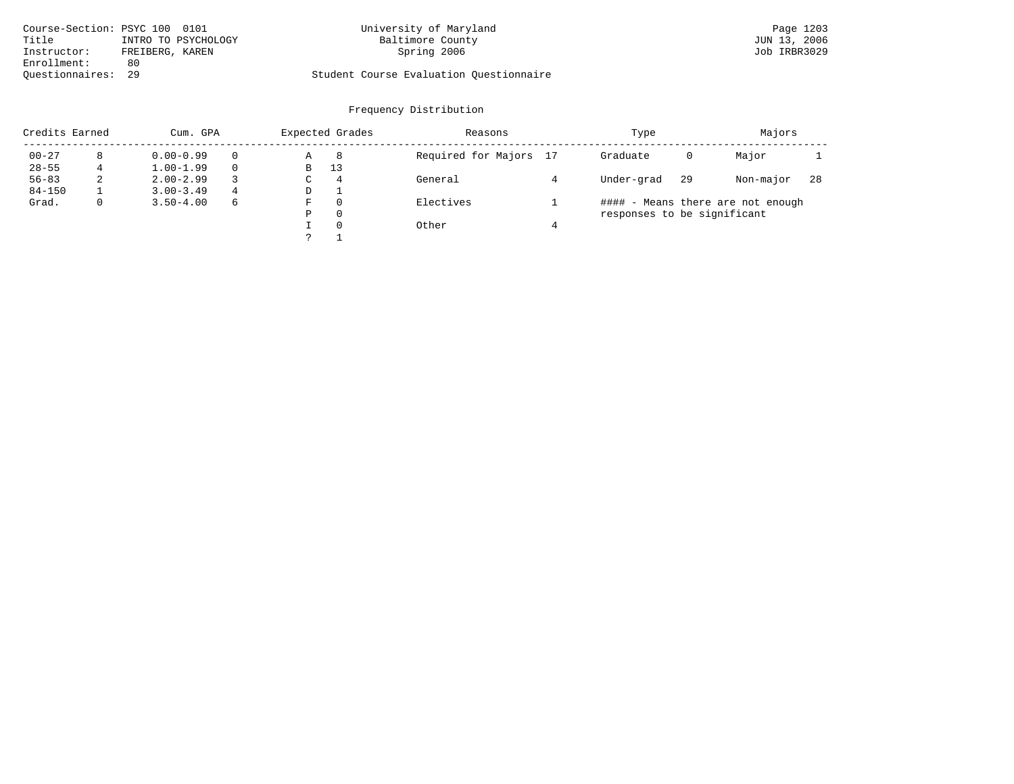| Course-Section: PSYC 100 0101  | University of Maryland                  | Page 1203    |
|--------------------------------|-----------------------------------------|--------------|
| Title<br>INTRO TO PSYCHOLOGY   | Baltimore County                        | JUN 13, 2006 |
| FREIBERG, KAREN<br>Instructor: | Spring 2006                             | Job IRBR3029 |
| Enrollment:<br>80              |                                         |              |
| Ouestionnaires: 29             | Student Course Evaluation Questionnaire |              |

| Credits Earned |              | Expected Grades<br>Cum. GPA |   |    | Reasons        | Type                   | Majors                      |    |                                   |     |
|----------------|--------------|-----------------------------|---|----|----------------|------------------------|-----------------------------|----|-----------------------------------|-----|
| $00 - 27$      | 8            | $0.00 - 0.99$               |   | Α  | 8              | Required for Majors 17 | Graduate                    | 0  | Major                             |     |
| $28 - 55$      |              | $1.00 - 1.99$               |   | В  | 13             |                        |                             |    |                                   |     |
| $56 - 83$      | 2            | $2.00 - 2.99$               |   | C. | $\overline{4}$ | General                | Under-grad                  | 29 | Non-major                         | -28 |
| $84 - 150$     |              | $3.00 - 3.49$               | 4 | D  |                |                        |                             |    |                                   |     |
| Grad.          | $\mathbf{0}$ | $3.50 - 4.00$               | 6 | F  | $\Omega$       | Electives              |                             |    | #### - Means there are not enough |     |
|                |              |                             |   | Ρ  | $\Omega$       |                        | responses to be significant |    |                                   |     |
|                |              |                             |   |    | $\Omega$       | Other                  |                             |    |                                   |     |
|                |              |                             |   |    |                |                        |                             |    |                                   |     |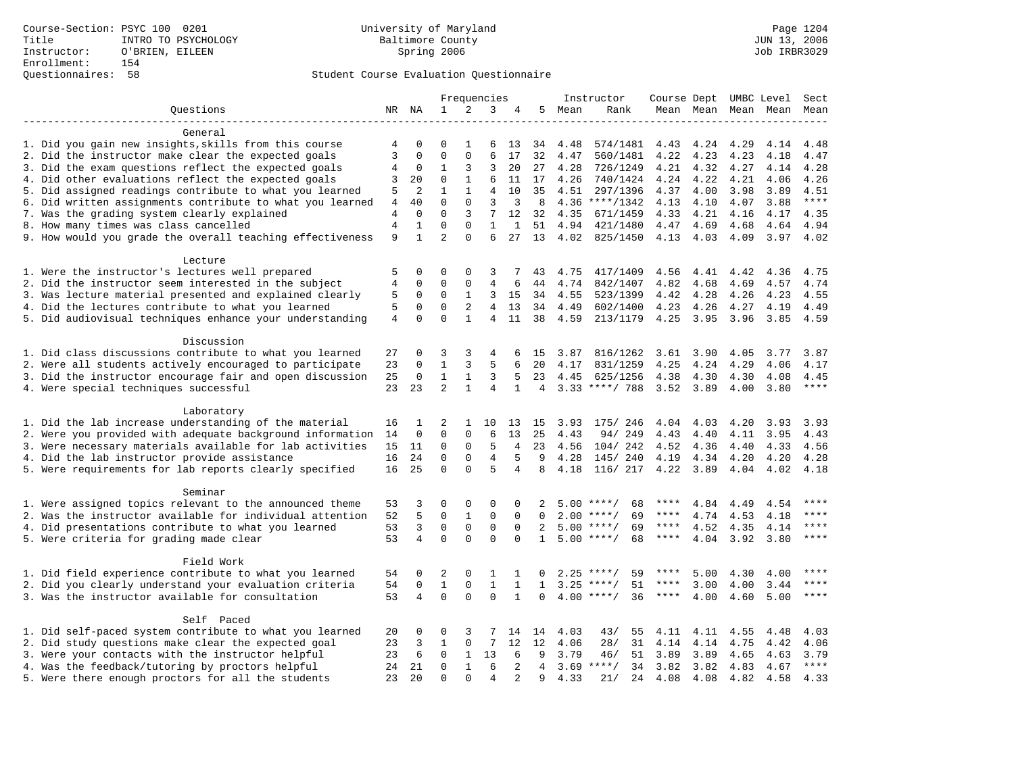# Questionnaires: 58 Student Course Evaluation Questionnaire

|                                                           |                |              |                |              | Frequencies     |                   |                |         | Instructor         | Course Dept UMBC Level |           |      |                     | Sect        |
|-----------------------------------------------------------|----------------|--------------|----------------|--------------|-----------------|-------------------|----------------|---------|--------------------|------------------------|-----------|------|---------------------|-------------|
| Questions                                                 |                | NR NA        | $\mathbf 1$    | 2            | 3               | 4                 | 5              | Mean    | Rank               |                        |           |      | Mean Mean Mean Mean | Mean        |
|                                                           |                |              |                |              |                 |                   |                |         |                    |                        |           |      |                     |             |
| General                                                   |                |              |                |              |                 |                   |                |         |                    |                        |           |      |                     |             |
| 1. Did you gain new insights, skills from this course     | 4              | 0            | $\Omega$       | 1            | 6               | 13                | 34             | 4.48    | 574/1481           | 4.43                   | 4.24      | 4.29 | 4.14                | 4.48        |
| 2. Did the instructor make clear the expected goals       | 3              | $\mathbf 0$  | $\mathbf{0}$   | 0            | 6               | 17                | 32             | 4.47    | 560/1481           | 4.22                   | 4.23      | 4.23 | 4.18                | 4.47        |
| 3. Did the exam questions reflect the expected goals      | 4              | 0            | 1              | 3            | 3               | 20                | 27             | 4.28    | 726/1249           |                        | 4.21 4.32 | 4.27 | 4.14                | 4.28        |
| 4. Did other evaluations reflect the expected goals       | 3              | 20           | $\mathbf 0$    | $\mathbf{1}$ | 6               | 11                | 17             | 4.26    | 740/1424           | 4.24                   | 4.22      | 4.21 | 4.06                | 4.26        |
| 5. Did assigned readings contribute to what you learned   | 5              | 2            | 1              | $\mathbf{1}$ | 4               | 10                | 35             | 4.51    | 297/1396           | 4.37                   | 4.00      | 3.98 | 3.89                | 4.51        |
| 6. Did written assignments contribute to what you learned | 4              | 40           | $\Omega$       | $\Omega$     | 3               | 3                 | 8              |         | $4.36$ ****/1342   | 4.13                   | 4.10      | 4.07 | 3.88                | $***$       |
| 7. Was the grading system clearly explained               | 4              | $\Omega$     | $\Omega$       | 3            | 7               | $12 \overline{ }$ | 32             | 4.35    | 671/1459           | 4.33                   | 4.21      | 4.16 | 4.17                | 4.35        |
| 8. How many times was class cancelled                     | $\overline{4}$ | $\mathbf{1}$ | $\mathbf 0$    | $\mathbf 0$  | $\mathbf{1}$    | $\mathbf{1}$      |                | 51 4.94 | 421/1480           | 4.47                   | 4.69      | 4.68 | 4.64                | 4.94        |
| 9. How would you grade the overall teaching effectiveness | 9              | $\mathbf{1}$ | $\overline{2}$ | $\Omega$     | 6               | 27                | 13             | 4.02    | 825/1450           | 4.13 4.03              |           | 4.09 |                     | $3.97$ 4.02 |
|                                                           |                |              |                |              |                 |                   |                |         |                    |                        |           |      |                     |             |
| Lecture                                                   |                |              |                |              |                 |                   |                |         |                    |                        |           |      |                     |             |
| 1. Were the instructor's lectures well prepared           | 5              | 0            | $\mathbf 0$    | $\mathbf 0$  | 3               |                   | 43             | 4.75    | 417/1409           | 4.56                   | 4.41      | 4.42 | 4.36                | 4.75        |
| 2. Did the instructor seem interested in the subject      | $\overline{4}$ | $\mathbf 0$  | $\mathbf{0}$   | $\mathbf 0$  | 4               | 6                 | 44             | 4.74    | 842/1407           | 4.82                   | 4.68      | 4.69 | 4.57                | 4.74        |
| 3. Was lecture material presented and explained clearly   | 5              | 0            | $\mathbf{0}$   | $\mathbf{1}$ | 3               | 15                | 34             | 4.55    | 523/1399           | 4.42                   | 4.28      | 4.26 | 4.23                | 4.55        |
| 4. Did the lectures contribute to what you learned        | 5              | $\mathbf 0$  | $\mathbf 0$    | 2            | 4               | 13                | 34             | 4.49    | 602/1400           | 4.23                   | 4.26      | 4.27 | 4.19                | 4.49        |
| 5. Did audiovisual techniques enhance your understanding  | $\overline{4}$ | $\mathbf 0$  | $\mathbf{0}$   | $\mathbf{1}$ | 4               | 11                | 38             | 4.59    | 213/1179           | 4.25                   | 3.95      | 3.96 | 3.85                | 4.59        |
|                                                           |                |              |                |              |                 |                   |                |         |                    |                        |           |      |                     |             |
| Discussion                                                |                |              |                |              |                 |                   |                |         |                    |                        |           |      |                     |             |
|                                                           |                |              | 3              |              |                 |                   |                |         |                    |                        |           |      |                     |             |
| 1. Did class discussions contribute to what you learned   | 27             | 0            |                | 3            | 4               | 6                 | 15             | 3.87    | 816/1262           | 3.61                   | 3.90      | 4.05 | 3.77                | 3.87        |
| 2. Were all students actively encouraged to participate   | 23             | 0            | $\mathbf{1}$   | 3            | 5               | 6                 | 20             | 4.17    | 831/1259           | 4.25                   | 4.24      | 4.29 | 4.06                | 4.17        |
| 3. Did the instructor encourage fair and open discussion  | 25             | $\mathbf 0$  | $\mathbf{1}$   | $\mathbf{1}$ | 3               | 5                 | 23             | 4.45    | 625/1256           | 4.38                   | 4.30      | 4.30 | 4.08                | 4.45        |
| 4. Were special techniques successful                     | 23             | 23           | $\overline{2}$ | $\mathbf{1}$ | 4               | $\mathbf 1$       | 4              |         | 3.33 ****/ 788     | 3.52 3.89              |           | 4.00 | 3.80                | $***$ * * * |
|                                                           |                |              |                |              |                 |                   |                |         |                    |                        |           |      |                     |             |
| Laboratory                                                |                |              |                |              |                 |                   |                |         |                    |                        |           |      |                     |             |
| 1. Did the lab increase understanding of the material     | 16             | 1            | 2              | 1            | 10              | 13                | 15             | 3.93    | 175/ 246           | 4.04                   | 4.03      | 4.20 | 3.93                | 3.93        |
| 2. Were you provided with adequate background information | 14             | $\mathbf 0$  | $\mathbf 0$    | $\mathbf 0$  | 6               | 13                | 25             | 4.43    | 94/249             | 4.43                   | 4.40      | 4.11 | 3.95                | 4.43        |
| 3. Were necessary materials available for lab activities  | 15             | 11           | 0              | $\mathbf 0$  | 5               | 4                 | 23             | 4.56    | 104/242            | 4.52                   | 4.36      | 4.40 | 4.33                | 4.56        |
| 4. Did the lab instructor provide assistance              | 16             | 24           | $\mathbf 0$    | $\mathbf 0$  | $\overline{4}$  | 5                 | 9              | 4.28    | 145/ 240           | 4.19                   | 4.34      | 4.20 | 4.20                | 4.28        |
| 5. Were requirements for lab reports clearly specified    | 16             | 25           | $\Omega$       | $\Omega$     | 5               | $\overline{4}$    | 8              | 4.18    | 116/ 217 4.22      |                        | 3.89      | 4.04 | 4.02                | 4.18        |
|                                                           |                |              |                |              |                 |                   |                |         |                    |                        |           |      |                     |             |
| Seminar                                                   |                |              |                |              |                 |                   |                |         |                    |                        |           |      |                     |             |
| 1. Were assigned topics relevant to the announced theme   | 53             | 3            | $\mathbf 0$    | $\mathbf 0$  | 0               | $\Omega$          | 2              | 5.00    | $***$ /<br>68      | ****                   | 4.84      | 4.49 | 4.54                | ****        |
| 2. Was the instructor available for individual attention  | 52             | 5            | $\mathbf 0$    | $\mathbf{1}$ | $\mathbf{0}$    | $\Omega$          | $\Omega$       | 2.00    | 69<br>$***$ /      | ****                   | 4.74      | 4.53 | 4.18                | $***$       |
| 4. Did presentations contribute to what you learned       | 53             | 3            | $\mathbf 0$    | $\mathsf 0$  | $\mathsf 0$     | $\mathbf 0$       | 2              | 5.00    | $***$ /<br>69      | $***$ * * *            | 4.52      | 4.35 | 4.14                | $***$       |
| 5. Were criteria for grading made clear                   | 53             | 4            | $\Omega$       | $\Omega$     | $\Omega$        | $\Omega$          | $\mathbf{1}$   |         | $5.00$ ****/<br>68 | $***$ * *              | 4.04      | 3.92 | 3.80                | $***$       |
|                                                           |                |              |                |              |                 |                   |                |         |                    |                        |           |      |                     |             |
| Field Work                                                |                |              |                |              |                 |                   |                |         |                    |                        |           |      |                     |             |
| 1. Did field experience contribute to what you learned    | 54             | 0            | 2              | 0            | 1               | 1                 | 0              | 2.25    | $***$ /<br>59      | ****                   | 5.00      | 4.30 | 4.00                | ****        |
| 2. Did you clearly understand your evaluation criteria    | 54             | $\mathbf 0$  | $\mathbf{1}$   | $\mathbf 0$  | $\mathbf{1}$    | $\mathbf{1}$      | $\mathbf{1}$   | 3.25    | $***/$<br>51       | $***$ * * *            | 3.00      | 4.00 | 3.44                | ****        |
| 3. Was the instructor available for consultation          | 53             | 4            | $\Omega$       | $\Omega$     | $\Omega$        | $\mathbf{1}$      | $\Omega$       | 4.00    | 36<br>$***$ /      | $***$ * *              | 4.00      | 4.60 | 5.00                | $***$ * * * |
|                                                           |                |              |                |              |                 |                   |                |         |                    |                        |           |      |                     |             |
| Self Paced                                                |                |              |                |              |                 |                   |                |         |                    |                        |           |      |                     |             |
| 1. Did self-paced system contribute to what you learned   | 20             | 0            | 0              | 3            |                 | 14                | 14             | 4.03    | 43/<br>55          | 4.11                   | 4.11      | 4.55 | 4.48                | 4.03        |
| 2. Did study questions make clear the expected goal       | 23             | 3            | $\mathbf{1}$   | $\mathbf 0$  | $7\phantom{.0}$ | 12                | 12             | 4.06    | 31<br>28/          | 4.14                   | 4.14      | 4.75 | 4.42                | 4.06        |
| 3. Were your contacts with the instructor helpful         | 23             | 6            | $\mathbf 0$    | $\mathbf{1}$ | 13              | 6                 | 9              | 3.79    | 51<br>46/          | 3.89                   | 3.89      | 4.65 | 4.63                | 3.79        |
| 4. Was the feedback/tutoring by proctors helpful          | 24             | 21           | $\mathbf 0$    | $\mathbf{1}$ | 6               | 2                 | $\overline{4}$ |         | $3.69$ ****/<br>34 | 3.82                   | 3.82      | 4.83 | 4.67                | $***$       |
| 5. Were there enough proctors for all the students        | 23             | 2.0          | $\Omega$       | $\Omega$     | $\overline{4}$  |                   | 9              | 4.33    | 21/<br>24          | 4.08                   | 4.08      | 4.82 | 4.58                | 4.33        |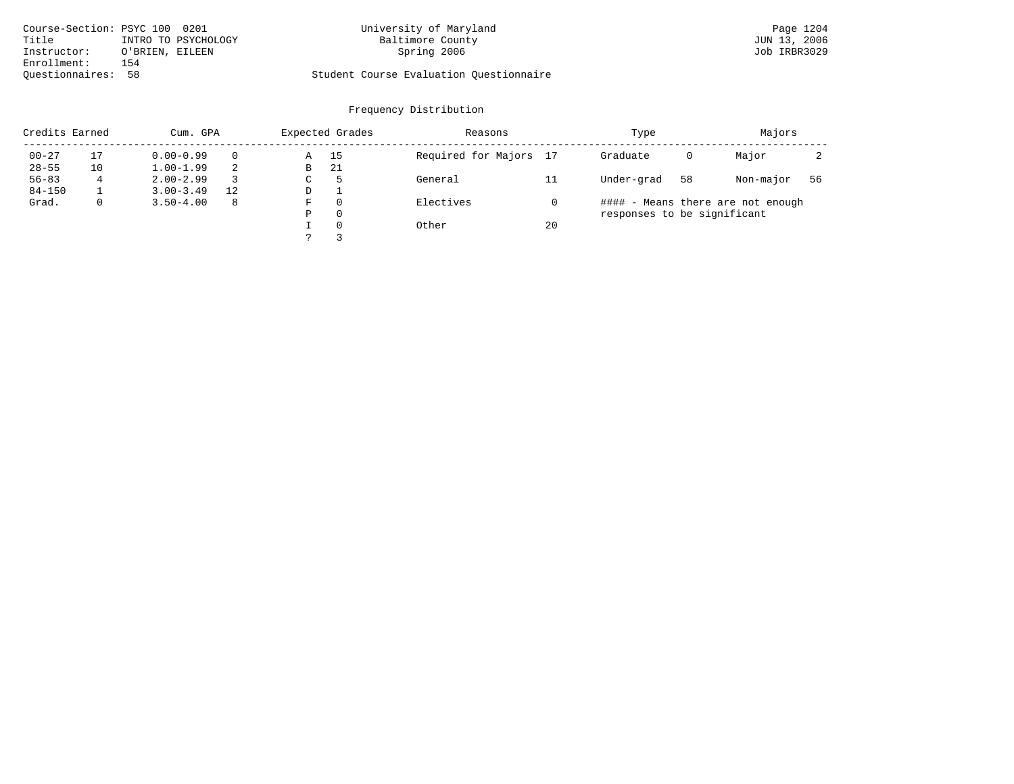| Course-Section: PSYC 100 0201 |                 |                     | University of Maryland                  | Page 1204    |
|-------------------------------|-----------------|---------------------|-----------------------------------------|--------------|
| Title                         |                 | INTRO TO PSYCHOLOGY | Baltimore County                        | JUN 13, 2006 |
| Instructor:                   | O'BRIEN, EILEEN |                     | Spring 2006                             | Job IRBR3029 |
| Enrollment:                   | 154             |                     |                                         |              |
| Ouestionnaires: 58            |                 |                     | Student Course Evaluation Ouestionnaire |              |

# University of Maryland Baltimore County (Base 1204 0201 13, 2006 1204 0201 13, 2006 1204 1205)

| Credits Earned |              | Cum. GPA      |    |    | Expected Grades | Reasons                |    | Type                        | Majors |                                   |    |
|----------------|--------------|---------------|----|----|-----------------|------------------------|----|-----------------------------|--------|-----------------------------------|----|
| $00 - 27$      | 17           | $0.00 - 0.99$ |    | Α  | 15              | Required for Majors 17 |    | Graduate                    | 0      | Major                             |    |
| $28 - 55$      | 10           | $1.00 - 1.99$ |    | В  | 21              |                        |    |                             |        |                                   |    |
| $56 - 83$      | 4            | $2.00 - 2.99$ |    | C. | $\mathcal{P}$   | General                |    | Under-grad                  | 58     | Non-major                         | 56 |
| $84 - 150$     |              | $3.00 - 3.49$ | 12 | D  |                 |                        |    |                             |        |                                   |    |
| Grad.          | $\mathbf{0}$ | $3.50 - 4.00$ | -8 | F  | $\Omega$        | Electives              |    |                             |        | #### - Means there are not enough |    |
|                |              |               |    | Ρ  | $\Omega$        |                        |    | responses to be significant |        |                                   |    |
|                |              |               |    |    | $\Omega$        | Other                  | 20 |                             |        |                                   |    |
|                |              |               |    |    |                 |                        |    |                             |        |                                   |    |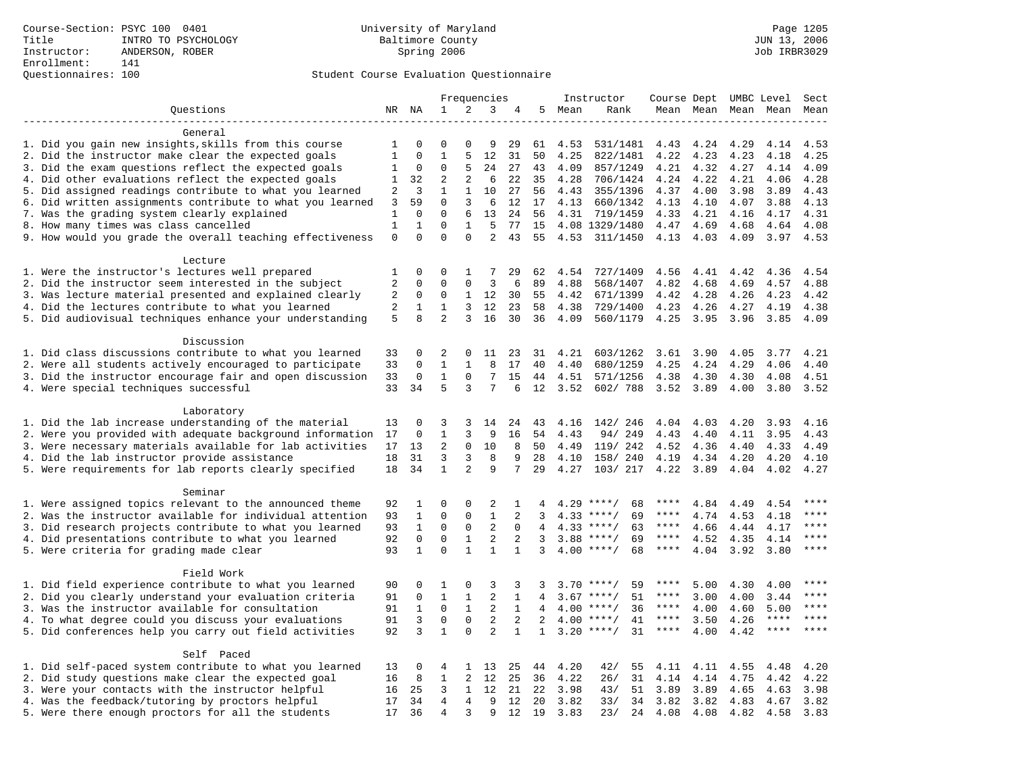# Questionnaires: 100 Student Course Evaluation Questionnaire

|                                                                                                         |              |              |                |                     | Frequencies       |                 |                |      | Instructor         | Course Dept UMBC Level |                     |      |             | Sect        |
|---------------------------------------------------------------------------------------------------------|--------------|--------------|----------------|---------------------|-------------------|-----------------|----------------|------|--------------------|------------------------|---------------------|------|-------------|-------------|
| Questions                                                                                               |              | NR NA        | $\mathbf 1$    | 2                   | 3                 | 4               | 5              | Mean | Rank               |                        | Mean Mean Mean Mean |      |             | Mean        |
| -------------------                                                                                     |              |              |                |                     |                   |                 |                |      |                    |                        |                     |      |             |             |
| General                                                                                                 |              |              |                |                     |                   |                 |                |      |                    |                        |                     |      |             |             |
| 1. Did you gain new insights, skills from this course                                                   | 1            | 0            | 0              | $\Omega$            | 9                 | 29              | 61             | 4.53 | 531/1481           | 4.43                   | 4.24                | 4.29 | 4.14        | 4.53        |
| 2. Did the instructor make clear the expected goals                                                     | $\mathbf{1}$ | $\mathbf 0$  | $\mathbf{1}$   | 5                   | 12                | 31              | 50             | 4.25 | 822/1481           | 4.22                   | 4.23                | 4.23 | 4.18        | 4.25        |
| 3. Did the exam questions reflect the expected goals                                                    | 1            | 0            | $\mathbf 0$    | 5                   | 24                | 27              | 43             | 4.09 | 857/1249           | 4.21                   | 4.32                | 4.27 | 4.14        | 4.09        |
| 4. Did other evaluations reflect the expected goals                                                     | 1            | 32           | 2              | 2                   | 6                 | 22              | 35             | 4.28 | 706/1424           | 4.24                   | 4.22                | 4.21 | 4.06        | 4.28        |
| 5. Did assigned readings contribute to what you learned                                                 | 2            | 3            | $\mathbf{1}$   | $\mathbf{1}$        | 10                | 27              | 56             | 4.43 | 355/1396           | 4.37                   | 4.00                | 3.98 | 3.89        | 4.43        |
| 6. Did written assignments contribute to what you learned                                               | 3            | 59           | $\Omega$       | 3                   | 6                 | 12              | 17             | 4.13 | 660/1342           | 4.13                   | 4.10                | 4.07 | 3.88        | 4.13        |
| 7. Was the grading system clearly explained                                                             | $\mathbf{1}$ | $\mathbf{0}$ | $\mathbf{0}$   | 6                   | 13                | 24              | 56             | 4.31 | 719/1459           | 4.33                   | 4.21                | 4.16 | 4.17        | 4.31        |
| 8. How many times was class cancelled                                                                   | $\mathbf{1}$ | $\mathbf 1$  | $\mathbf{0}$   | $\mathbf{1}$        | 5                 | 77              | 15             |      | 4.08 1329/1480     | 4.47                   | 4.69                | 4.68 | 4.64        | 4.08        |
| 9. How would you grade the overall teaching effectiveness                                               | $\mathsf 0$  | $\Omega$     | $\Omega$       | $\Omega$            | 2                 | 43              | 55             |      | 4.53 311/1450      |                        | 4.13 4.03           | 4.09 | 3.97        | 4.53        |
|                                                                                                         |              |              |                |                     |                   |                 |                |      |                    |                        |                     |      |             |             |
| Lecture                                                                                                 | 1            | 0            | 0              | 1                   | 7                 |                 |                | 4.54 | 727/1409           |                        |                     | 4.42 | 4.36        | 4.54        |
| 1. Were the instructor's lectures well prepared<br>2. Did the instructor seem interested in the subject | 2            | $\mathbf 0$  | $\mathbf{0}$   | $\mathbf 0$         | 3                 | 29<br>6         | 62<br>89       | 4.88 | 568/1407           | 4.56<br>4.82           | 4.41<br>4.68        | 4.69 | 4.57        | 4.88        |
| 3. Was lecture material presented and explained clearly                                                 | 2            | 0            | $\mathbf 0$    | 1                   | 12                | 30              | 55             | 4.42 | 671/1399           | 4.42                   | 4.28                | 4.26 | 4.23        | 4.42        |
|                                                                                                         | 2            | 1            | 1              | 3                   | 12                | 23              | 58             | 4.38 | 729/1400           | 4.23                   | 4.26                | 4.27 | 4.19        | 4.38        |
| 4. Did the lectures contribute to what you learned                                                      |              | $\mathsf{R}$ | $\overline{2}$ | 3                   | 16                | 30              |                |      |                    |                        |                     |      |             |             |
| 5. Did audiovisual techniques enhance your understanding                                                | 5            |              |                |                     |                   |                 | 36             | 4.09 | 560/1179           | 4.25                   | 3.95                | 3.96 | 3.85        | 4.09        |
| Discussion                                                                                              |              |              |                |                     |                   |                 |                |      |                    |                        |                     |      |             |             |
| 1. Did class discussions contribute to what you learned                                                 | 33           | 0            | 2              | 0                   | 11                | 23              | 31             | 4.21 | 603/1262           | 3.61                   | 3.90                | 4.05 | 3.77        | 4.21        |
| 2. Were all students actively encouraged to participate                                                 | 33           | $\Omega$     | 1              | $\mathbf{1}$        | 8                 | 17              | 40             | 4.40 | 680/1259           | 4.25                   | 4.24                | 4.29 | 4.06        | 4.40        |
| 3. Did the instructor encourage fair and open discussion                                                | 33           | 0            | $\mathbf{1}$   | $\mathbf 0$         | 7                 | 15              | 44             | 4.51 | 571/1256           | 4.38                   | 4.30                | 4.30 | 4.08        | 4.51        |
| 4. Were special techniques successful                                                                   | 33           | 34           | 5              | 3                   | 7                 | 6               | 12             | 3.52 | 602/788            | 3.52                   | 3.89                | 4.00 | 3.80        | 3.52        |
|                                                                                                         |              |              |                |                     |                   |                 |                |      |                    |                        |                     |      |             |             |
| Laboratory                                                                                              |              |              |                |                     |                   |                 |                |      |                    |                        |                     |      |             |             |
| 1. Did the lab increase understanding of the material                                                   | 13           | 0            | 3              | 3                   | 14                | 24              | 43             | 4.16 | 142/ 246           | 4.04                   | 4.03                | 4.20 | 3.93        | 4.16        |
| 2. Were you provided with adequate background information                                               | 17           | 0            | $\mathbf 1$    | 3                   | 9                 | 16              | 54             | 4.43 | 94/249             | 4.43                   | 4.40                | 4.11 | 3.95        | 4.43        |
| 3. Were necessary materials available for lab activities                                                | 17           | 13           | 2              | 0                   | 10                | 8               | 50             | 4.49 | 119/ 242           | 4.52                   | 4.36                | 4.40 | 4.33        | 4.49        |
| 4. Did the lab instructor provide assistance                                                            | 18           | 31           | 3              | 3                   | 8                 | 9               | 28             | 4.10 | 158/ 240           | 4.19                   | 4.34                | 4.20 | 4.20        | 4.10        |
| 5. Were requirements for lab reports clearly specified                                                  | 18           | 34           | 1              | 2                   | 9                 | 7               | 29             | 4.27 | 103/ 217           | 4.22                   | 3.89                | 4.04 | 4.02        | 4.27        |
|                                                                                                         |              |              |                |                     |                   |                 |                |      |                    |                        |                     |      |             |             |
| Seminar                                                                                                 |              |              |                |                     |                   |                 |                |      |                    |                        |                     |      |             |             |
| 1. Were assigned topics relevant to the announced theme                                                 | 92           | 1            | $\Omega$       | $\Omega$            | 2                 | 1               | 4              |      | $4.29$ ****/<br>68 | ****                   | 4.84                | 4.49 | 4.54        | ****        |
| 2. Was the instructor available for individual attention                                                | 93           | $\mathbf{1}$ | $\mathsf 0$    | $\mathbf 0$         | $\mathbf{1}$      | 2               | 3              |      | $4.33$ ****/<br>69 | $***$ * * *            | 4.74                | 4.53 | 4.18        | ****        |
| 3. Did research projects contribute to what you learned                                                 | 93           | $\mathbf{1}$ | $\mathsf 0$    | $\mathsf 0$         | $\overline{2}$    | 0               | $\overline{4}$ |      | $4.33$ ****/<br>63 | $***$ * * *            | 4.66                | 4.44 | 4.17        | ****        |
| 4. Did presentations contribute to what you learned                                                     | 92           | $\mathbf 0$  | $\mathsf 0$    | $\mathbf{1}$        | $\overline{2}$    | 2               | 3              | 3.88 | 69<br>$***$ /      | $***$ * * *            | 4.52                | 4.35 | 4.14        | $***$       |
| 5. Were criteria for grading made clear                                                                 | 93           | $\mathbf{1}$ | $\Omega$       | $\mathbf{1}$        | 1                 | $\mathbf 1$     | 3              |      | $4.00$ ****/<br>68 | $***$ * * *            | 4.04                | 3.92 | 3.80        | ****        |
|                                                                                                         |              |              |                |                     |                   |                 |                |      |                    |                        |                     |      |             |             |
| Field Work                                                                                              |              |              |                |                     |                   |                 |                |      |                    |                        |                     |      |             |             |
| 1. Did field experience contribute to what you learned                                                  | 90           | 0            | 1              | 0                   | 3                 | 3               | 3              |      | $3.70$ ****/<br>59 | ****                   | 5.00                | 4.30 | 4.00        | ****        |
| 2. Did you clearly understand your evaluation criteria                                                  | 91           | $\mathbf 0$  | $\mathbf{1}$   | $\mathbf{1}$        | 2                 | $\mathbf{1}$    | 4              |      | $3.67$ ****/<br>51 | $***$ * * *            | 3.00                | 4.00 | 3.44        | $***$       |
| 3. Was the instructor available for consultation                                                        | 91           | $\mathbf{1}$ | $\Omega$       | $\mathbf{1}$        | 2                 | $\mathbf{1}$    | $\overline{4}$ |      | $4.00$ ****/<br>36 | ****                   | 4.00                | 4.60 | 5.00        | $***$ * * * |
| 4. To what degree could you discuss your evaluations                                                    | 91           | $\mathbf{3}$ | $\mathbf 0$    | $\mathsf{O}\xspace$ | $\mathbf{2}$      | 2               | $\overline{2}$ | 4.00 | $***$ /<br>41      | $***$ * *              | 3.50                | 4.26 | $***$ * * * | $***$       |
| 5. Did conferences help you carry out field activities                                                  | 92           | 3            | $\mathbf{1}$   | $\mathbf 0$         | $\overline{2}$    | $\mathbf{1}$    | $\mathbf{1}$   | 3.20 | 31<br>$***$ /      | $***$ * * *            | 4.00                | 4.42 | $***$       | ****        |
|                                                                                                         |              |              |                |                     |                   |                 |                |      |                    |                        |                     |      |             |             |
| Self Paced                                                                                              |              |              |                |                     |                   |                 |                |      |                    |                        |                     |      |             |             |
| 1. Did self-paced system contribute to what you learned                                                 | 13           | 0            | $\overline{4}$ | 1                   | 13                | 25              | 44             | 4.20 | 42/<br>55          | 4.11                   | 4.11                | 4.55 | 4.48        | 4.20        |
| 2. Did study questions make clear the expected goal                                                     | 16           | 8            | $\mathbf{1}$   | 2                   | 12                | 25              | 36             | 4.22 | 26/<br>31          | 4.14                   | 4.14                | 4.75 | 4.42        | 4.22        |
| 3. Were your contacts with the instructor helpful                                                       | 16           | 25           | 3              | 1                   | $12 \overline{ }$ | 21              | 22             | 3.98 | 43/<br>51          | 3.89                   | 3.89                | 4.65 | 4.63        | 3.98        |
| 4. Was the feedback/tutoring by proctors helpful                                                        | 17           | 34           | $\overline{4}$ | $\overline{4}$      | 9                 | 12 <sup>°</sup> | 20             | 3.82 | 33/<br>34          | 3.82                   | 3.82                | 4.83 | 4.67        | 3.82        |
| 5. Were there enough proctors for all the students                                                      | 17           | 36           | $\overline{4}$ | 3                   | 9                 | 12              | 19             | 3.83 | 23/<br>24          | 4.08                   | 4.08                | 4.82 | 4.58        | 3.83        |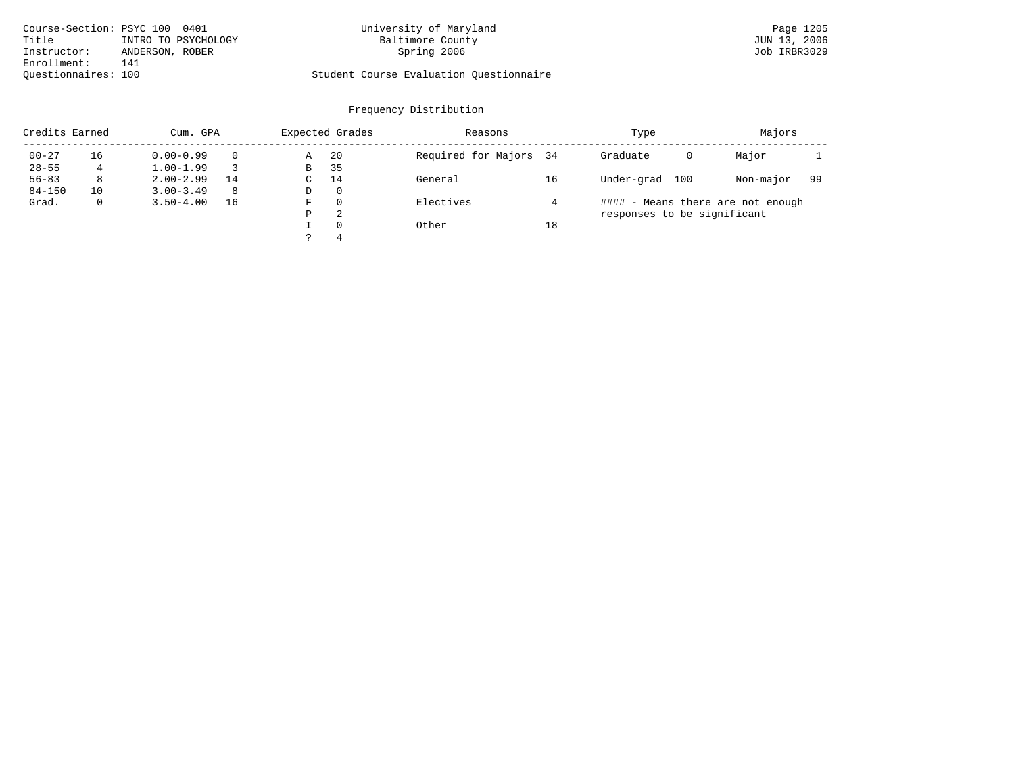| Course-Section: PSYC 100 0401 |                     | University of Maryland                  | Page 1205    |
|-------------------------------|---------------------|-----------------------------------------|--------------|
| Title                         | INTRO TO PSYCHOLOGY | Baltimore County                        | JUN 13, 2006 |
| Instructor:                   | ANDERSON, ROBER     | Spring 2006                             | Job IRBR3029 |
| Enrollment:                   | 141                 |                                         |              |
| Ouestionnaires: 100           |                     | Student Course Evaluation Questionnaire |              |

# University of Maryland Page 1205<br>Baltimore County Baltimore County by Equation: Page 1206

| Credits Earned |    | Cum. GPA      |    |   | Expected Grades | Reasons                |    | Type                        | Majors                            |     |
|----------------|----|---------------|----|---|-----------------|------------------------|----|-----------------------------|-----------------------------------|-----|
| $00 - 27$      | 16 | $0.00 - 0.99$ |    | Α | -20             | Required for Majors 34 |    | Graduate<br>0               | Major                             |     |
| $28 - 55$      | 4  | $1.00 - 1.99$ |    | B | 35              |                        |    |                             |                                   |     |
| $56 - 83$      | 8  | $2.00 - 2.99$ | 14 | C | 14              | General                | 16 | Under-grad<br>100           | Non-major                         | -99 |
| $84 - 150$     | 10 | $3.00 - 3.49$ | 8  | D | 0               |                        |    |                             |                                   |     |
| Grad.          |    | $3.50 - 4.00$ | 16 | F | $\Omega$        | Electives              |    |                             | #### - Means there are not enough |     |
|                |    |               |    | Ρ | 2               |                        |    | responses to be significant |                                   |     |
|                |    |               |    |   | $\Omega$        | Other                  | 18 |                             |                                   |     |
|                |    |               |    |   | 4               |                        |    |                             |                                   |     |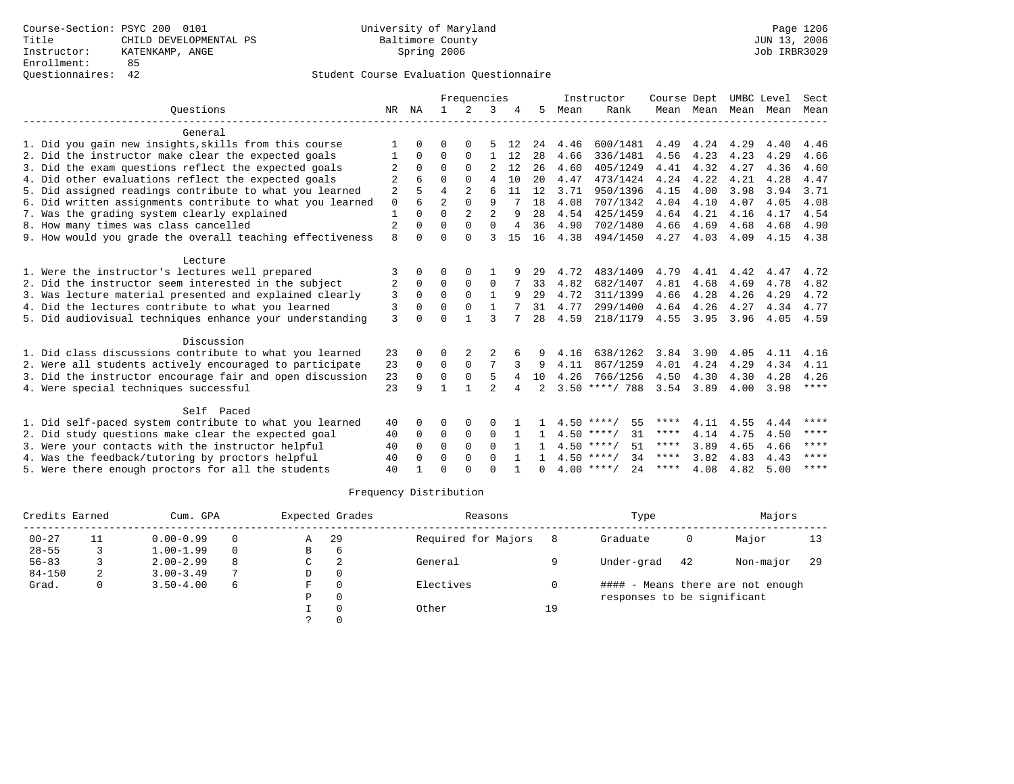# Questionnaires: 42 Student Course Evaluation Questionnaire

|                                                           |                |              |                | Frequencies    |                |    |                |      | Instructor          | Course Dept |           | UMBC Level |      | Sect        |
|-----------------------------------------------------------|----------------|--------------|----------------|----------------|----------------|----|----------------|------|---------------------|-------------|-----------|------------|------|-------------|
| Ouestions                                                 |                | ΝA           | $\mathbf{1}$   | $2^{1}$        | 3              |    | 5.             | Mean | Rank                |             | Mean Mean | Mean       | Mean | Mean        |
| General                                                   |                |              |                |                |                |    |                |      |                     |             |           |            |      |             |
| 1. Did you gain new insights, skills from this course     |                |              | $\Omega$       |                |                | 12 | 24             | 4.46 | 600/1481            | 4.49        | 4.24      | 4.29       | 4.40 | 4.46        |
| 2. Did the instructor make clear the expected goals       |                | $\Omega$     | $\Omega$       | 0              | 1              | 12 | 28             | 4.66 | 336/1481            | 4.56        | 4.23      | 4.23       | 4.29 | 4.66        |
| 3. Did the exam questions reflect the expected goals      | 2              | $\Omega$     | $\Omega$       | $\Omega$       | 2              | 12 | 26             | 4.60 | 405/1249            | 4.41        | 4.32      | 4.27       | 4.36 | 4.60        |
| 4. Did other evaluations reflect the expected goals       | 2              |              | $\Omega$       | $\Omega$       | $\overline{4}$ | 10 | 20             | 4.47 | 473/1424            | 4.24        | 4.22      | 4.21       | 4.28 | 4.47        |
| 5. Did assigned readings contribute to what you learned   | $\overline{2}$ |              | $\overline{4}$ | $\overline{2}$ | 6              | 11 | 12             | 3.71 | 950/1396            | 4.15        | 4.00      | 3.98       | 3.94 | 3.71        |
| 6. Did written assignments contribute to what you learned | $\mathbf 0$    | 6            | $\overline{a}$ | $\Omega$       | 9              |    | 18             | 4.08 | 707/1342            | 4.04        | 4.10      | 4.07       | 4.05 | 4.08        |
| 7. Was the grading system clearly explained               |                | $\cap$       | $\Omega$       | $\overline{2}$ | $\overline{2}$ |    | 28             | 4.54 | 425/1459            | 4.64        | 4.21      | 4.16       | 4.17 | 4.54        |
| 8. How many times was class cancelled                     | $\overline{2}$ |              | $\Omega$       |                | $\Omega$       | 4  | 36             | 4.90 | 702/1480            | 4.66        | 4.69      | 4.68       | 4.68 | 4.90        |
| 9. How would you grade the overall teaching effectiveness | 8              | $\cap$       | $\Omega$       | $\cap$         | २              | 15 | 16             | 4.38 | 494/1450            | 4.27        | 4.03      | 4.09       | 4.15 | 4.38        |
| Lecture                                                   |                |              |                |                |                |    |                |      |                     |             |           |            |      |             |
| 1. Were the instructor's lectures well prepared           | 3              |              | ∩              |                |                |    | 29             | 4.72 | 483/1409            | 4.79        | 4.41      | 4.42       | 4.47 | 4.72        |
| 2. Did the instructor seem interested in the subject      | 2              | $\Omega$     | $\Omega$       | $\Omega$       | 0              |    | 33             | 4.82 | 682/1407            | 4.81        | 4.68      | 4.69       | 4.78 | 4.82        |
| 3. Was lecture material presented and explained clearly   | 3              | $\Omega$     | $\Omega$       | $\Omega$       | $\mathbf{1}$   |    | 29             | 4.72 | 311/1399            | 4.66        | 4.28      | 4.26       | 4.29 | 4.72        |
| 4. Did the lectures contribute to what you learned        | 3              | $\Omega$     | $\Omega$       | $\Omega$       | $\mathbf{1}$   |    | 31             | 4.77 | 299/1400            | 4.64        | 4.26      | 4.27       | 4.34 | 4.77        |
| 5. Did audiovisual techniques enhance your understanding  | 3              | $\cap$       | $\Omega$       |                | ζ              |    | 2.8            | 4.59 | 218/1179            | 4.55        | 3.95      | 3.96       | 4.05 | 4.59        |
| Discussion                                                |                |              |                |                |                |    |                |      |                     |             |           |            |      |             |
| 1. Did class discussions contribute to what you learned   | 23             |              | $\Omega$       | 2              |                | 6  | 9              | 4.16 | 638/1262            | 3.84        | 3.90      | 4.05       | 4.11 | 4.16        |
| 2. Were all students actively encouraged to participate   | 23             | $\Omega$     | $\mathbf 0$    | $\mathbf 0$    |                |    | 9              | 4.11 | 867/1259            | 4.01        | 4.24      | 4.29       | 4.34 | 4.11        |
| 3. Did the instructor encourage fair and open discussion  | 23             | $\Omega$     | $\Omega$       | $\Omega$       | 5              | 4  | 10             | 4.26 | 766/1256            | 4.50        | 4.30      | 4.30       | 4.28 | 4.26        |
| 4. Were special techniques successful                     | 23             | 9            | 1              |                | $\mathcal{D}$  | 4  | $\overline{2}$ |      | $3.50$ ****/ 788    | 3.54        | 3.89      | 4.00       | 3.98 | $***$ * * * |
| Self Paced                                                |                |              |                |                |                |    |                |      |                     |             |           |            |      |             |
| 1. Did self-paced system contribute to what you learned   | 40             | <sup>0</sup> | O              | 0              | 0              |    |                |      | 55<br>$4.50$ ****/  | ****        | 4.11      | 4.55       | 4.44 | ****        |
| 2. Did study questions make clear the expected goal       | 40             | $\Omega$     | 0              | $\Omega$       | $\Omega$       |    | $\mathbf{1}$   |      | $4.50$ ****/<br>31  | ****        | 4.14      | 4.75       | 4.50 | ****        |
| 3. Were your contacts with the instructor helpful         | 40             | $\Omega$     | $\Omega$       | $\Omega$       | $\Omega$       |    |                |      | $4.50$ ****/<br>51  | ****        | 3.89      | 4.65       | 4.66 | ****        |
| 4. Was the feedback/tutoring by proctors helpful          | 40             | $\Omega$     | $\Omega$       | $\Omega$       | $\Omega$       |    |                |      | $4.50$ ****/<br>34  | $***$ * * * | 3.82      | 4.83       | 4.43 | ****        |
| 5. Were there enough proctors for all the students        | 40             |              | $\Omega$       |                | $\cap$         |    | <sup>n</sup>   |      | $4.00$ ****/<br>2.4 | ****        | 4.08      | 4.82       | 5.00 | ****        |

| Credits Earned |    | Expected Grades<br>Cum. GPA |          |   |          | Reasons             |    | Type                        | Majors |                                   |     |
|----------------|----|-----------------------------|----------|---|----------|---------------------|----|-----------------------------|--------|-----------------------------------|-----|
| $00 - 27$      | 11 | $0.00 - 0.99$               | $\Omega$ | Α | -29      | Required for Majors |    | Graduate                    | 0      | Major                             | 13  |
| $28 - 55$      |    | $1.00 - 1.99$               | $\Omega$ | B | b        |                     |    |                             |        |                                   |     |
| $56 - 83$      |    | $2.00 - 2.99$               | 8        | C |          | General             |    | Under-grad                  | 42     | Non-major                         | -29 |
| $84 - 150$     | 2  | $3.00 - 3.49$               |          | D | $\Omega$ |                     |    |                             |        |                                   |     |
| Grad.          |    | $3.50 - 4.00$               | 6        | F |          | Electives           |    |                             |        | #### - Means there are not enough |     |
|                |    |                             |          | Ρ |          |                     |    | responses to be significant |        |                                   |     |
|                |    |                             |          |   |          | Other               | 19 |                             |        |                                   |     |
|                |    |                             |          |   |          |                     |    |                             |        |                                   |     |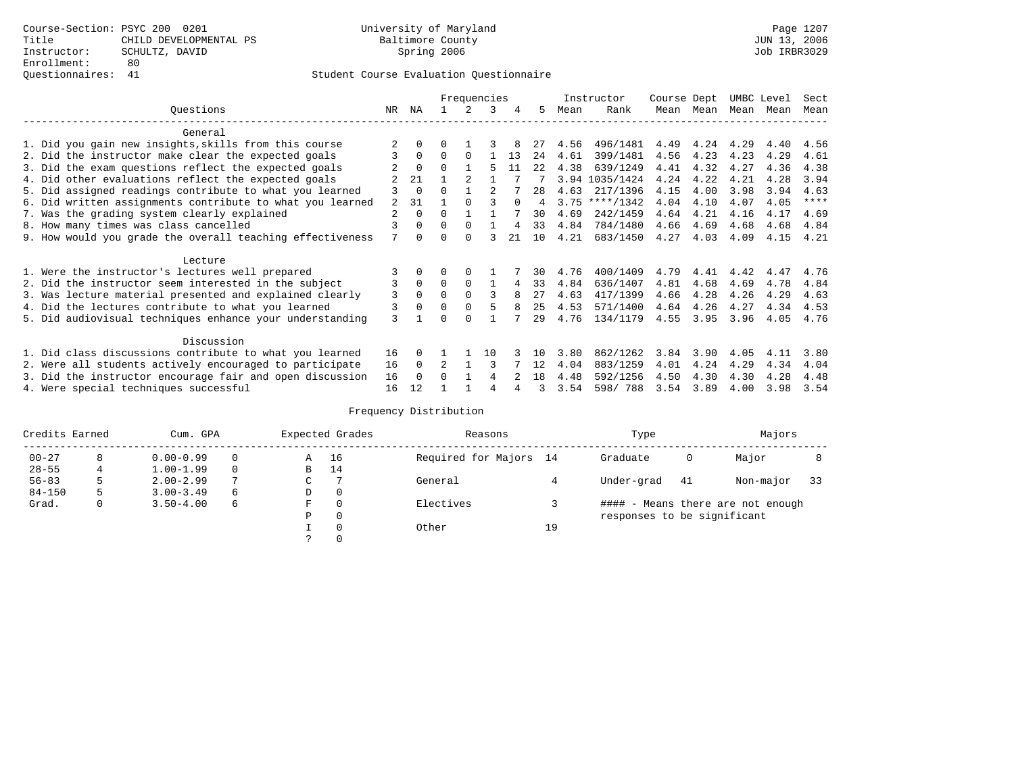# Questionnaires: 41 Student Course Evaluation Questionnaire

|                                                                                                                    |                |          |          |          | Frequencies |        |      |      | Instructor       | Course Dept |      | UMBC Level |      | Sect        |
|--------------------------------------------------------------------------------------------------------------------|----------------|----------|----------|----------|-------------|--------|------|------|------------------|-------------|------|------------|------|-------------|
| Ouestions                                                                                                          | NR.            | ΝA       |          |          | 3           | 4      | 5.   | Mean | Rank             | Mean        | Mean | Mean       | Mean | Mean        |
| General                                                                                                            |                |          |          |          |             |        |      |      |                  |             |      |            |      |             |
|                                                                                                                    |                |          |          |          |             |        |      |      |                  |             |      |            |      |             |
| 1. Did you gain new insights, skills from this course                                                              |                |          | O        |          |             |        | 27   | 4.56 | 496/1481         | 4.49        | 4.24 | 4.29       | 4.40 | 4.56        |
| 2. Did the instructor make clear the expected goals                                                                | 3              | $\Omega$ | $\Omega$ | $\Omega$ |             | 13     | 24   | 4.61 | 399/1481         | 4.56        | 4.23 | 4.23       | 4.29 | 4.61        |
| 3. Did the exam questions reflect the expected goals                                                               |                | $\Omega$ | $\Omega$ |          |             | 11     | 2.2. | 4.38 | 639/1249         | 4.41        | 4.32 | 4.27       | 4.36 | 4.38        |
| 4. Did other evaluations reflect the expected goals                                                                |                | 21       |          |          |             |        |      |      | 3.94 1035/1424   | 4.24        | 4.22 | 4.21       | 4.28 | 3.94        |
| 5. Did assigned readings contribute to what you learned                                                            |                | $\Omega$ | $\Omega$ |          |             |        | 28   | 4.63 | 217/1396         | 4.15        | 4.00 | 3.98       | 3.94 | 4.63        |
| 6. Did written assignments contribute to what you learned                                                          | $\mathfrak{D}$ | 31       |          |          |             | $\cap$ | 4    |      | $3.75$ ****/1342 | 4.04        | 4.10 | 4.07       | 4.05 | $* * * * *$ |
| 7. Was the grading system clearly explained                                                                        | $\overline{a}$ | $\Omega$ | $\Omega$ |          |             |        | 30   | 4.69 | 242/1459         | 4.64        | 4.21 | 4.16       | 4.17 | 4.69        |
| 8. How many times was class cancelled                                                                              |                | $\Omega$ | $\Omega$ | $\Omega$ |             | 4      | 33   | 4.84 | 784/1480         | 4.66        | 4.69 | 4.68       | 4.68 | 4.84        |
| 9. How would you grade the overall teaching effectiveness                                                          | 7              | $\cap$   | U        | $\cap$   |             | 21     | 10   | 4.21 | 683/1450         | 4.27        | 4.03 | 4.09       | 4.15 | 4.21        |
|                                                                                                                    |                |          |          |          |             |        |      |      |                  |             |      |            |      |             |
| Lecture                                                                                                            |                |          |          |          |             |        |      |      |                  |             |      |            |      |             |
| 1. Were the instructor's lectures well prepared                                                                    |                |          |          |          |             |        | 30   | 4.76 | 400/1409         | 4.79        | 4.41 | 4.42       | 4.47 | 4.76        |
| 2. Did the instructor seem interested in the subject                                                               | 3              | $\Omega$ | $\Omega$ | $\Omega$ |             | 4      | 33   | 4.84 | 636/1407         | 4.81        | 4.68 | 4.69       | 4.78 | 4.84        |
| 3. Was lecture material presented and explained clearly                                                            | 3              | $\Omega$ | $\Omega$ | $\Omega$ | ς           |        | 27   | 4.63 | 417/1399         | 4.66        | 4.28 | 4.26       | 4.29 | 4.63        |
| 4. Did the lectures contribute to what you learned                                                                 | 3              | $\Omega$ | $\Omega$ |          |             | 8      | 25   | 4.53 | 571/1400         | 4.64        | 4.26 | 4.27       | 4.34 | 4.53        |
| 5. Did audiovisual techniques enhance your understanding                                                           | 3              |          |          | ∩        |             |        | 29   | 4.76 | 134/1179         | 4.55        | 3.95 | 3.96       | 4.05 | 4.76        |
| Discussion                                                                                                         |                |          |          |          |             |        |      |      |                  |             |      |            |      |             |
|                                                                                                                    | 16             | $\Omega$ |          |          | 10          |        | 1 N  | 3.80 | 862/1262         | 3.84        | 3.90 | 4.05       | 4.11 | 3.80        |
| 1. Did class discussions contribute to what you learned<br>2. Were all students actively encouraged to participate |                | $\Omega$ |          |          |             |        | 12   | 4.04 | 883/1259         | 4.01        | 4.24 | 4.29       | 4.34 | 4.04        |
|                                                                                                                    | 16             |          |          |          |             |        |      |      |                  |             |      |            |      |             |
| 3. Did the instructor encourage fair and open discussion                                                           | 16             | $\Omega$ | 0        |          | 4           |        | 18   | 4.48 | 592/1256         | 4.50        | 4.30 | 4.30       | 4.28 | 4.48        |
| 4. Were special techniques successful                                                                              | 16             | 12       |          |          | 4           |        | 3    | 3.54 | 598/788          | 3.54        | 3.89 | 4.00       | 3.98 | 3.54        |

| Credits Earned |    | Cum. GPA      |   |               | Expected Grades | Reasons                |    | Type                        |    | Majors                            |    |
|----------------|----|---------------|---|---------------|-----------------|------------------------|----|-----------------------------|----|-----------------------------------|----|
| $00 - 27$      | 8  | $0.00 - 0.99$ |   | Α             | 16              | Required for Majors 14 |    | Graduate                    | 0  | Major                             |    |
| $28 - 55$      | 4  | $1.00 - 1.99$ |   | В             | 14              |                        |    |                             |    |                                   |    |
| $56 - 83$      | .5 | $2.00 - 2.99$ | 7 | $\sim$<br>◡   |                 | General                |    | Under-grad                  | 41 | Non-major                         | 33 |
| $84 - 150$     | 5  | $3.00 - 3.49$ | 6 | D             | 0               |                        |    |                             |    |                                   |    |
| Grad.          | 0  | $3.50 - 4.00$ | 6 | F             | 0               | Electives              |    |                             |    | #### - Means there are not enough |    |
|                |    |               |   | Ρ             | 0               |                        |    | responses to be significant |    |                                   |    |
|                |    |               |   |               | $\mathbf 0$     | Other                  | 19 |                             |    |                                   |    |
|                |    |               |   | $\mathcal{L}$ |                 |                        |    |                             |    |                                   |    |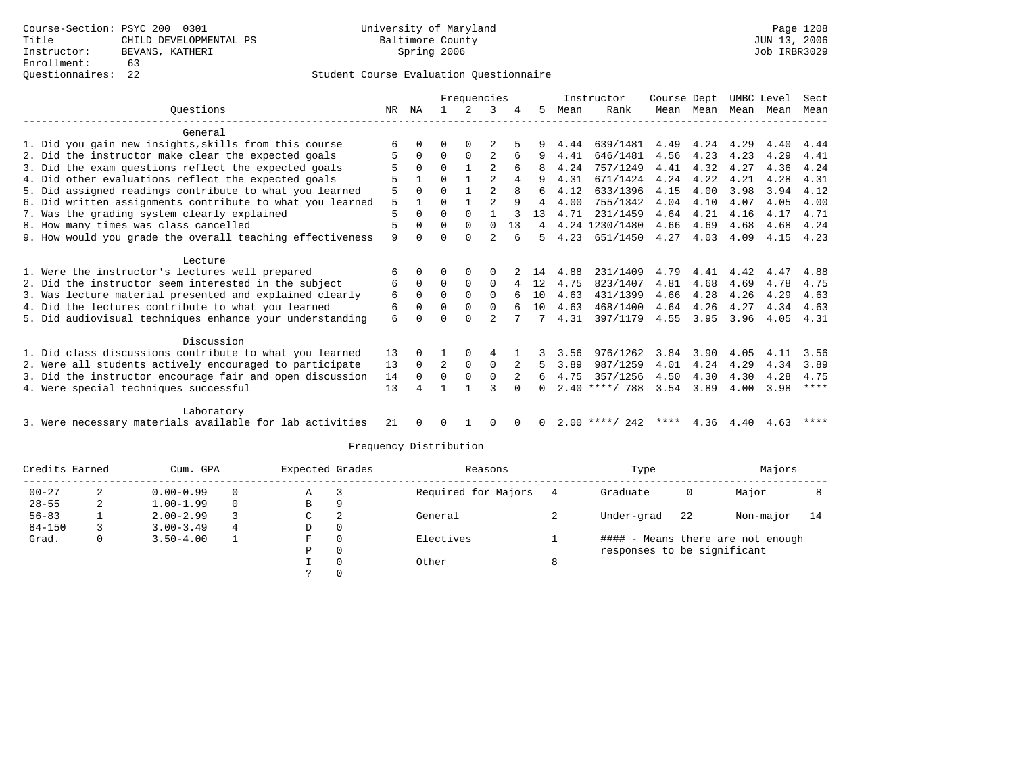### Questionnaires: 22 Student Course Evaluation Questionnaire

|                                                           | Frequencies |          |          |             |                |              | Instructor | Course Dept |                  |      | UMBC Level | Sect |      |             |
|-----------------------------------------------------------|-------------|----------|----------|-------------|----------------|--------------|------------|-------------|------------------|------|------------|------|------|-------------|
| Ouestions                                                 | NR          | ΝA       |          | 2           | 3              |              | 5.         | Mean        | Rank             | Mean | Mean       | Mean | Mean | Mean        |
| General                                                   |             |          |          |             |                |              |            |             |                  |      |            |      |      |             |
| 1. Did you gain new insights, skills from this course     | 6           |          | 0        |             |                |              |            | 4.44        | 639/1481         | 4.49 | 4.24       | 4.29 | 4.40 | 4.44        |
| 2. Did the instructor make clear the expected goals       |             | $\Omega$ | $\Omega$ | $\Omega$    |                | 6            |            | 4.41        | 646/1481         | 4.56 | 4.23       | 4.23 | 4.29 | 4.41        |
| 3. Did the exam questions reflect the expected goals      |             | 0        | $\Omega$ |             |                | 6            | 8          | 4.24        | 757/1249         | 4.41 | 4.32       | 4.27 | 4.36 | 4.24        |
| 4. Did other evaluations reflect the expected goals       |             |          | $\Omega$ |             | $\mathfrak{D}$ | 4            | q          | 4.31        | 671/1424         | 4.24 | 4.22       | 4.21 | 4.28 | 4.31        |
| 5. Did assigned readings contribute to what you learned   | 5           | $\Omega$ | $\Omega$ |             | $\mathfrak{D}$ |              | 6          | 4.12        | 633/1396         | 4.15 | 4.00       | 3.98 | 3.94 | 4.12        |
| 6. Did written assignments contribute to what you learned | 5           |          | $\Omega$ |             | $\overline{a}$ | q            | 4          | 4.00        | 755/1342         | 4.04 | 4.10       | 4.07 | 4.05 | 4.00        |
| 7. Was the grading system clearly explained               | 5           | $\Omega$ | $\Omega$ | $\Omega$    |                |              | 13         | 4.71        | 231/1459         | 4.64 | 4.21       | 4.16 | 4.17 | 4.71        |
| 8. How many times was class cancelled                     | 5           | $\Omega$ | $\Omega$ | 0           | $\Omega$       | 13           | 4          | 4.24        | 1230/1480        | 4.66 | 4.69       | 4.68 | 4.68 | 4.24        |
| 9. How would you grade the overall teaching effectiveness | 9           |          | $\Omega$ | $\Omega$    |                | 6            | 5.         | 4.23        | 651/1450         | 4.27 | 4.03       | 4.09 | 4.15 | 4.23        |
| Lecture                                                   |             |          |          |             |                |              |            |             |                  |      |            |      |      |             |
| 1. Were the instructor's lectures well prepared           | 6           | 0        | 0        | $\Omega$    | $\Omega$       |              | 14         | 4.88        | 231/1409         | 4.79 | 4.41       | 4.42 | 4.47 | 4.88        |
| 2. Did the instructor seem interested in the subject      | 6           | $\Omega$ | $\Omega$ | $\Omega$    | $\Omega$       |              | 12         | 4.75        | 823/1407         | 4.81 | 4.68       | 4.69 | 4.78 | 4.75        |
| 3. Was lecture material presented and explained clearly   | 6           | $\Omega$ | $\Omega$ | $\Omega$    | $\Omega$       |              | 10         | 4.63        | 431/1399         | 4.66 | 4.28       | 4.26 | 4.29 | 4.63        |
| 4. Did the lectures contribute to what you learned        | 6           |          | $\Omega$ | $\Omega$    | $\Omega$       |              | 10         | 4.63        | 468/1400         | 4.64 | 4.26       | 4.27 | 4.34 | 4.63        |
| 5. Did audiovisual techniques enhance your understanding  | 6           |          | ∩        | $\Omega$    | $\mathfrak{D}$ |              |            | 4.31        | 397/1179         | 4.55 | 3.95       | 3.96 | 4.05 | 4.31        |
| Discussion                                                |             |          |          |             |                |              |            |             |                  |      |            |      |      |             |
| 1. Did class discussions contribute to what you learned   | 13          | 0        |          | 0           | 4              |              |            | 3.56        | 976/1262         | 3.84 | 3.90       | 4.05 | 4.11 | 3.56        |
| 2. Were all students actively encouraged to participate   | 13          | $\Omega$ | 2        | $\mathbf 0$ | $\mathbf 0$    |              | 5.         | 3.89        | 987/1259         | 4.01 | 4.24       | 4.29 | 4.34 | 3.89        |
| 3. Did the instructor encourage fair and open discussion  | 14          | $\Omega$ | $\Omega$ | $\mathbf 0$ | $\mathbf 0$    |              | 6          | 4.75        | 357/1256         | 4.50 | 4.30       | 4.30 | 4.28 | 4.75        |
| 4. Were special techniques successful                     | 13          |          |          |             | ζ              |              |            | 2.40        | ****/ 788        | 3.54 | 3.89       | 4.00 | 3.98 | $* * * * *$ |
|                                                           |             |          |          |             |                |              |            |             |                  |      |            |      |      |             |
| Laboratory                                                |             |          |          |             |                |              |            |             |                  |      |            |      |      |             |
| 3. Were necessary materials available for lab activities  | 21          |          | 0        |             | $\Omega$       | <sup>0</sup> | 0          |             | $2.00$ ****/ 242 | **** | 4.36       | 4.40 | 4.63 | ****        |

| Credits Earned |    | Cum. GPA      |          | Expected Grades |          | Reasons             | Type                        |    | Majors                            |      |
|----------------|----|---------------|----------|-----------------|----------|---------------------|-----------------------------|----|-----------------------------------|------|
| $00 - 27$      | z. | $0.00 - 0.99$ | $\Omega$ | A               |          | Required for Majors | Graduate                    | 0  | Major                             |      |
| $28 - 55$      | ∠  | $1.00 - 1.99$ |          | В               | 9        |                     |                             |    |                                   |      |
| $56 - 83$      |    | $2.00 - 2.99$ |          | C               | 2        | General             | Under-grad                  | 22 | Non-major                         | - 14 |
| $84 - 150$     |    | $3.00 - 3.49$ | 4        | D               | 0        |                     |                             |    |                                   |      |
| Grad.          |    | $3.50 - 4.00$ |          | F               | $\Omega$ | Electives           |                             |    | #### - Means there are not enough |      |
|                |    |               |          | Р               | 0        |                     | responses to be significant |    |                                   |      |
|                |    |               |          |                 | 0        | Other               |                             |    |                                   |      |
|                |    |               |          |                 |          |                     |                             |    |                                   |      |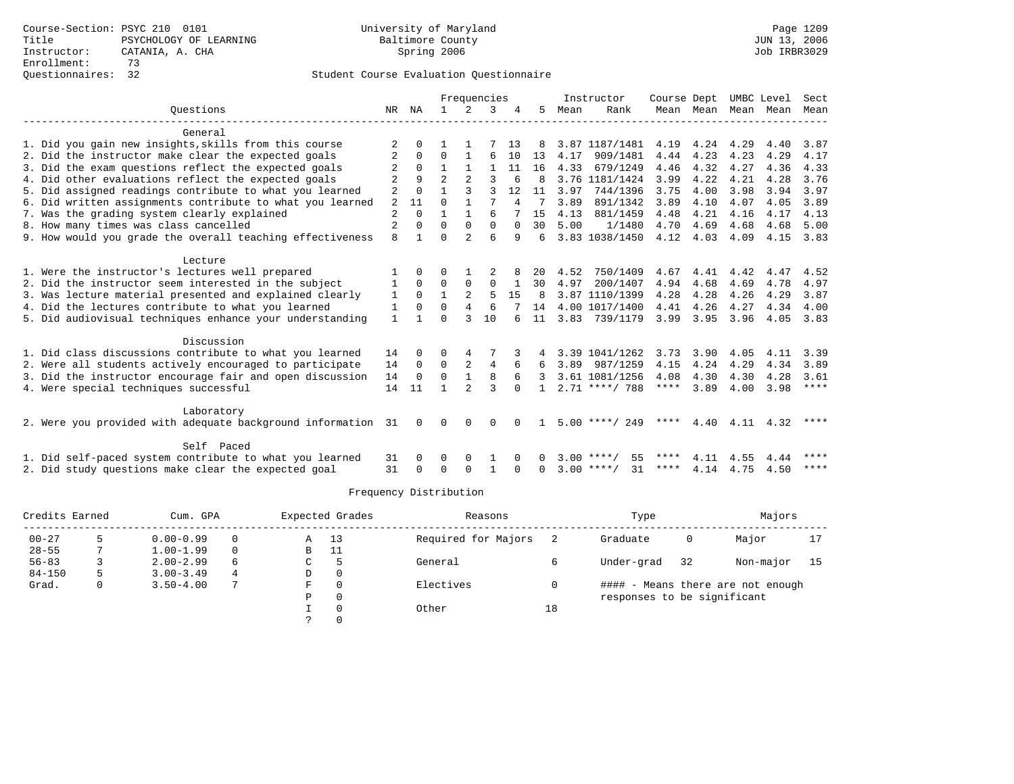|                                                              |                |             |                |                | Frequencies  |              |              |      | Instructor         | Course Dept |           |      | UMBC Level | Sect        |
|--------------------------------------------------------------|----------------|-------------|----------------|----------------|--------------|--------------|--------------|------|--------------------|-------------|-----------|------|------------|-------------|
| Ouestions                                                    | NR             | ΝA          | $\mathbf{1}$   | $\mathcal{L}$  | 3            |              | 5.           | Mean | Rank               |             | Mean Mean | Mean | Mean       | Mean        |
| General                                                      |                |             |                |                |              |              |              |      |                    |             |           |      |            |             |
| 1. Did you gain new insights, skills from this course        | 2              | $\Omega$    |                |                |              | 13           | 8            |      | 3.87 1187/1481     | 4.19        | 4.24      | 4.29 | 4.40       | 3.87        |
| 2. Did the instructor make clear the expected goals          |                | $\Omega$    | $\Omega$       | 1              | 6            | 10           | 13           | 4.17 | 909/1481           | 4.44        | 4.23      | 4.23 | 4.29       | 4.17        |
| 3. Did the exam questions reflect the expected goals         |                | $\Omega$    |                |                |              | 11           | 16           | 4.33 | 679/1249           | 4.46        | 4.32      | 4.27 | 4.36       | 4.33        |
| 4. Did other evaluations reflect the expected goals          |                | 9           | $\overline{2}$ | $\overline{a}$ | 3            | 6            | 8            |      | 3.76 1181/1424     | 3.99        | 4.22      | 4.21 | 4.28       | 3.76        |
| 5. Did assigned readings contribute to what you learned      | 2              | $\Omega$    |                |                |              | 12           | 11           | 3.97 | 744/1396           | 3.75        | 4.00      | 3.98 | 3.94       | 3.97        |
| 6. Did written assignments contribute to what you learned    | $\overline{a}$ | 11          | $\Omega$       | $\mathbf{1}$   | 7            | 4            | 7            | 3.89 | 891/1342           | 3.89        | 4.10      | 4.07 | 4.05       | 3.89        |
| 7. Was the grading system clearly explained                  | $\overline{a}$ | $\Omega$    |                |                | 6            |              | 15           | 4.13 | 881/1459           | 4.48        | 4.21      | 4.16 | 4.17       | 4.13        |
| 8. How many times was class cancelled                        | $\overline{2}$ | $\Omega$    | $\Omega$       | $\Omega$       | 0            | $\Omega$     | 30           | 5.00 | 1/1480             | 4.70        | 4.69      | 4.68 | 4.68       | 5.00        |
| 9. How would you grade the overall teaching effectiveness    | 8              |             | $\Omega$       |                | 6            | 9            | 6            |      | 3.83 1038/1450     | 4.12        | 4.03      | 4.09 |            | 4.15 3.83   |
| Lecture                                                      |                |             |                |                |              |              |              |      |                    |             |           |      |            |             |
| 1. Were the instructor's lectures well prepared              |                | $\Omega$    | $\Omega$       |                |              |              | 20           | 4.52 | 750/1409           | 4.67        | 4.41      | 4.42 | 4.47       | 4.52        |
| 2. Did the instructor seem interested in the subject         | 1              | $\Omega$    | $\Omega$       | $\Omega$       | $\Omega$     | 1            | 30           | 4.97 | 200/1407           | 4.94        | 4.68      | 4.69 | 4.78       | 4.97        |
| 3. Was lecture material presented and explained clearly      | 1              | $\Omega$    | $\mathbf{1}$   |                | 5            | 15           | 8            |      | 3.87 1110/1399     | 4.28        | 4.28      | 4.26 | 4.29       | 3.87        |
| 4. Did the lectures contribute to what you learned           | 1              | $\mathbf 0$ | $\Omega$       | $\overline{4}$ | 6            |              | 14           |      | 4.00 1017/1400     | 4.41        | 4.26      | 4.27 | 4.34       | 4.00        |
| 5. Did audiovisual techniques enhance your understanding     | $\mathbf{1}$   |             | $\Omega$       | २              | 10           |              | 11           |      | 3.83 739/1179      | 3.99        | 3.95      | 3.96 | 4.05       | 3.83        |
| Discussion                                                   |                |             |                |                |              |              |              |      |                    |             |           |      |            |             |
| 1. Did class discussions contribute to what you learned      | 14             | 0           | O              |                |              |              |              |      | 3.39 1041/1262     | 3.73        | 3.90      | 4.05 | 4.11       | 3.39        |
| 2. Were all students actively encouraged to participate      | 14             | $\mathbf 0$ | 0              | $\overline{a}$ | 4            | 6            | 6            | 3.89 | 987/1259           | 4.15        | 4.24      | 4.29 | 4.34       | 3.89        |
| 3. Did the instructor encourage fair and open discussion     | 14             | $\Omega$    | $\Omega$       | $\mathbf{1}$   | 8            |              |              |      | 3.61 1081/1256     | 4.08        | 4.30      | 4.30 | 4.28       | 3.61        |
| 4. Were special techniques successful                        | 14             | 11          | 1              | $\mathfrak{D}$ | 3            |              |              |      | $2.71$ ****/ 788   | $***$ * * * | 3.89      | 4.00 | 3.98       | $***$ * * * |
| Laboratory                                                   |                |             |                |                |              |              |              |      |                    |             |           |      |            |             |
| 2. Were you provided with adequate background information 31 |                | $\Omega$    | 0              | $\Omega$       | $\Omega$     | <sup>0</sup> | $\mathbf{1}$ |      | $5.00$ ****/ 249   | ****        | 4.40      | 4.11 | 4.32       | ****        |
| Self Paced                                                   |                |             |                |                |              |              |              |      |                    |             |           |      |            |             |
| 1. Did self-paced system contribute to what you learned      | 31             | $\Omega$    | $\Omega$       | $\Omega$       |              | $\Omega$     | <sup>n</sup> |      | 55<br>3.00 $***/$  | ****        | 4.11      | 4.55 | 4.44       | ****        |
| 2. Did study questions make clear the expected goal          | 31             | $\Omega$    | $\Omega$       | $\cap$         | $\mathbf{1}$ | $\Omega$     | 0            |      | $3.00$ ****/<br>31 | ****        | 4.14      | 4.75 | 4.50       | $* * * * *$ |

| Credits Earned |   | Cum. GPA      |   |   | Expected Grades | Reasons             |    | Type                        |    | Majors                            |      |
|----------------|---|---------------|---|---|-----------------|---------------------|----|-----------------------------|----|-----------------------------------|------|
| $00 - 27$      |   | $0.00 - 0.99$ |   | A | 13              | Required for Majors |    | Graduate                    | 0  | Major                             |      |
| $28 - 55$      |   | $1.00 - 1.99$ |   | B | -11             |                     |    |                             |    |                                   |      |
| $56 - 83$      |   | $2.00 - 2.99$ | 6 | C |                 | General             |    | Under-grad                  | 32 | Non-major                         | - 15 |
| $84 - 150$     |   | $3.00 - 3.49$ | 4 | D | 0               |                     |    |                             |    |                                   |      |
| Grad.          | 0 | $3.50 - 4.00$ |   | F | $\Omega$        | Electives           |    |                             |    | #### - Means there are not enough |      |
|                |   |               |   | Ρ | 0               |                     |    | responses to be significant |    |                                   |      |
|                |   |               |   |   | $\Omega$        | Other               | 18 |                             |    |                                   |      |
|                |   |               |   |   |                 |                     |    |                             |    |                                   |      |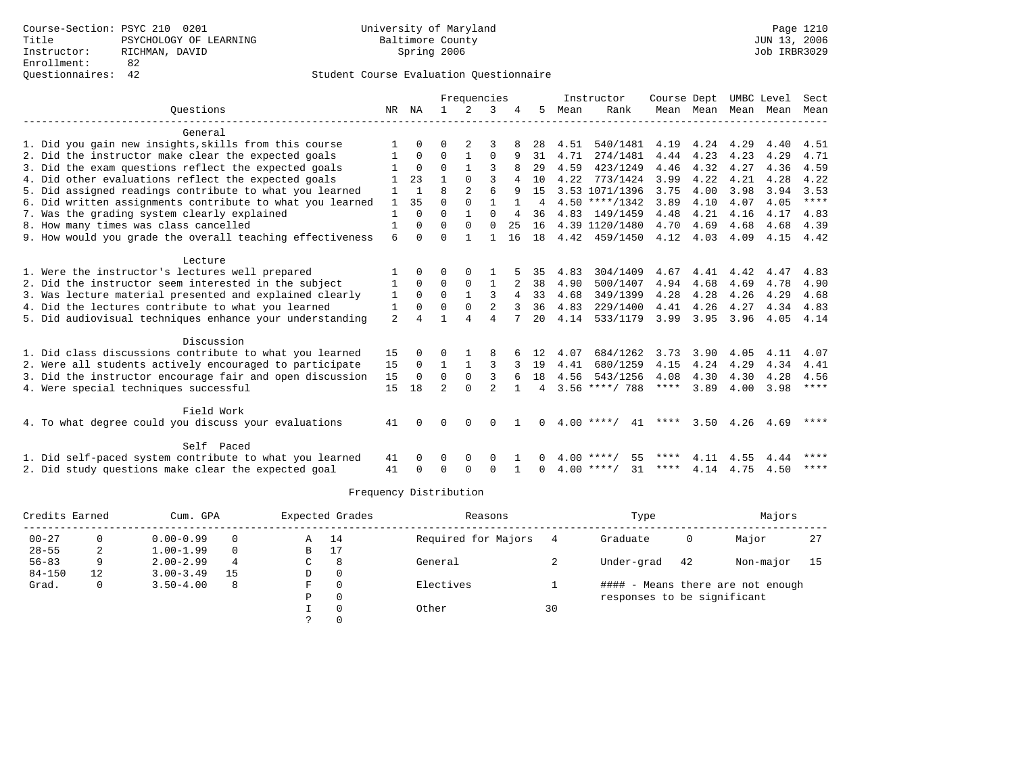|                                                           |                |              |                | Frequencies    |                |    |    |      | Instructor         | Course Dept |           |      | UMBC Level | Sect  |
|-----------------------------------------------------------|----------------|--------------|----------------|----------------|----------------|----|----|------|--------------------|-------------|-----------|------|------------|-------|
| Ouestions                                                 | NR             | ΝA           | $\mathbf{1}$   | $\mathcal{L}$  | 3              |    | 5. | Mean | Rank               |             | Mean Mean | Mean | Mean       | Mean  |
| General                                                   |                |              |                |                |                |    |    |      |                    |             |           |      |            |       |
| 1. Did you gain new insights, skills from this course     |                | 0            | 0              | 2              | 3              |    | 28 | 4.51 | 540/1481           | 4.19        | 4.24      | 4.29 | 4.40       | 4.51  |
| 2. Did the instructor make clear the expected goals       |                | $\Omega$     | $\Omega$       | 1              | $\mathbf 0$    | 9  | 31 | 4.71 | 274/1481           | 4.44        | 4.23      | 4.23 | 4.29       | 4.71  |
| 3. Did the exam questions reflect the expected goals      |                | $\Omega$     | $\Omega$       |                | 3              |    | 29 | 4.59 | 423/1249           | 4.46        | 4.32      | 4.27 | 4.36       | 4.59  |
| 4. Did other evaluations reflect the expected goals       |                | 23           |                | $\Omega$       | ς              | 4  | 10 | 4.22 | 773/1424           | 3.99        | 4.22      | 4.21 | 4.28       | 4.22  |
| 5. Did assigned readings contribute to what you learned   | 1              |              | $\mathsf{R}$   | $\mathfrak{D}$ | 6              | q  | 15 |      | 3.53 1071/1396     | 3.75        | 4.00      | 3.98 | 3.94       | 3.53  |
| 6. Did written assignments contribute to what you learned | $\mathbf{1}$   | 35           | $\Omega$       | $\Omega$       | $\mathbf{1}$   |    | 4  |      | $4.50$ ****/1342   | 3.89        | 4.10      | 4.07 | 4.05       | $***$ |
| 7. Was the grading system clearly explained               | 1              | $\Omega$     | $\Omega$       | 1              | $\Omega$       | 4  | 36 |      | 4.83 149/1459      | 4.48        | 4.21      | 4.16 | 4.17       | 4.83  |
| 8. How many times was class cancelled                     | 1              | $\Omega$     | $\Omega$       | $\Omega$       | $\Omega$       | 25 | 16 |      | 4.39 1120/1480     | 4.70        | 4.69      | 4.68 | 4.68       | 4.39  |
| 9. How would you grade the overall teaching effectiveness | 6              | 0            | $\Omega$       |                |                | 16 | 18 |      | 4.42 459/1450      | 4.12        | 4.03      | 4.09 | 4.15       | 4.42  |
| Lecture                                                   |                |              |                |                |                |    |    |      |                    |             |           |      |            |       |
| 1. Were the instructor's lectures well prepared           |                | <sup>0</sup> | O              | $\Omega$       |                |    | 35 | 4.83 | 304/1409           | 4.67        | 4.41      | 4.42 | 4.47       | 4.83  |
| 2. Did the instructor seem interested in the subject      | 1              | $\Omega$     | $\Omega$       | $\mathbf 0$    | 1              |    | 38 | 4.90 | 500/1407           | 4.94        | 4.68      | 4.69 | 4.78       | 4.90  |
| 3. Was lecture material presented and explained clearly   | 1              | $\Omega$     | $\Omega$       | $\mathbf{1}$   | 3              | 4  | 33 | 4.68 | 349/1399           | 4.28        | 4.28      | 4.26 | 4.29       | 4.68  |
| 4. Did the lectures contribute to what you learned        | 1              | 0            | O              | 0              | $\overline{2}$ |    | 36 | 4.83 | 229/1400           | 4.41        | 4.26      | 4.27 | 4.34       | 4.83  |
| 5. Did audiovisual techniques enhance your understanding  | $\overline{a}$ |              |                |                | $\overline{A}$ |    | 20 | 4.14 | 533/1179           | 3.99        | 3.95      | 3.96 | 4.05       | 4.14  |
| Discussion                                                |                |              |                |                |                |    |    |      |                    |             |           |      |            |       |
| 1. Did class discussions contribute to what you learned   | 15             | 0            | 0              |                | 8              |    | 12 | 4.07 | 684/1262           | 3.73        | 3.90      | 4.05 | 4.11       | 4.07  |
| 2. Were all students actively encouraged to participate   | 15             | $\Omega$     | $\mathbf{1}$   | $\mathbf{1}$   | 3              |    | 19 | 4.41 | 680/1259           | 4.15        | 4.24      | 4.29 | 4.34       | 4.41  |
| 3. Did the instructor encourage fair and open discussion  | 15             | $\Omega$     | $\Omega$       | $\mathbf 0$    | 3              |    | 18 | 4.56 | 543/1256           | 4.08        | 4.30      | 4.30 | 4.28       | 4.56  |
| 4. Were special techniques successful                     | 15             | 18           | $\mathfrak{D}$ | $\cap$         | $\mathfrak{D}$ |    | 4  |      | $3.56$ ****/ 788   | $***$ * *   | 3.89      | 4.00 | 3.98       | ****  |
| Field Work                                                |                |              |                |                |                |    |    |      |                    |             |           |      |            |       |
| 4. To what degree could you discuss your evaluations      |                | <sup>0</sup> | $\Omega$       | $\Omega$       | $\Omega$       |    | 0  |      | $4.00$ ****/<br>41 | ****        | 3.50      | 4.26 | 4.69       | ****  |
| Self Paced                                                |                |              |                |                |                |    |    |      |                    |             |           |      |            |       |
| 1. Did self-paced system contribute to what you learned   | 41             |              | O              | 0              | 0              |    |    | 400  | **** /<br>55       | ****        | 4.11      | 4.55 | 4.44       | ****  |
| 2. Did study questions make clear the expected goal       | 41             | 0            | $\Omega$       | ∩              | $\Omega$       |    | 0  |      | $4.00$ ****/<br>31 | ****        | 4.14      | 4.75 | 4.50       | ****  |

| Credits Earned |    | Cum. GPA      |          |   | Expected Grades | Reasons             |    | Type                        |    | Majors                            |      |
|----------------|----|---------------|----------|---|-----------------|---------------------|----|-----------------------------|----|-----------------------------------|------|
| $00 - 27$      |    | $0.00 - 0.99$ | $\Omega$ | Α | 14              | Required for Majors |    | Graduate                    | 0  | Major                             | 27   |
| $28 - 55$      | 2  | $1.00 - 1.99$ | $\Omega$ | в | 17              |                     |    |                             |    |                                   |      |
| $56 - 83$      | 9  | $2.00 - 2.99$ | 4        | C | 8               | General             |    | Under-grad                  | 42 | Non-major                         | - 15 |
| $84 - 150$     | 12 | $3.00 - 3.49$ | 15       | D |                 |                     |    |                             |    |                                   |      |
| Grad.          | 0  | $3.50 - 4.00$ | 8        | F |                 | Electives           |    |                             |    | #### - Means there are not enough |      |
|                |    |               |          | P |                 |                     |    | responses to be significant |    |                                   |      |
|                |    |               |          |   |                 | Other               | 30 |                             |    |                                   |      |
|                |    |               |          |   |                 |                     |    |                             |    |                                   |      |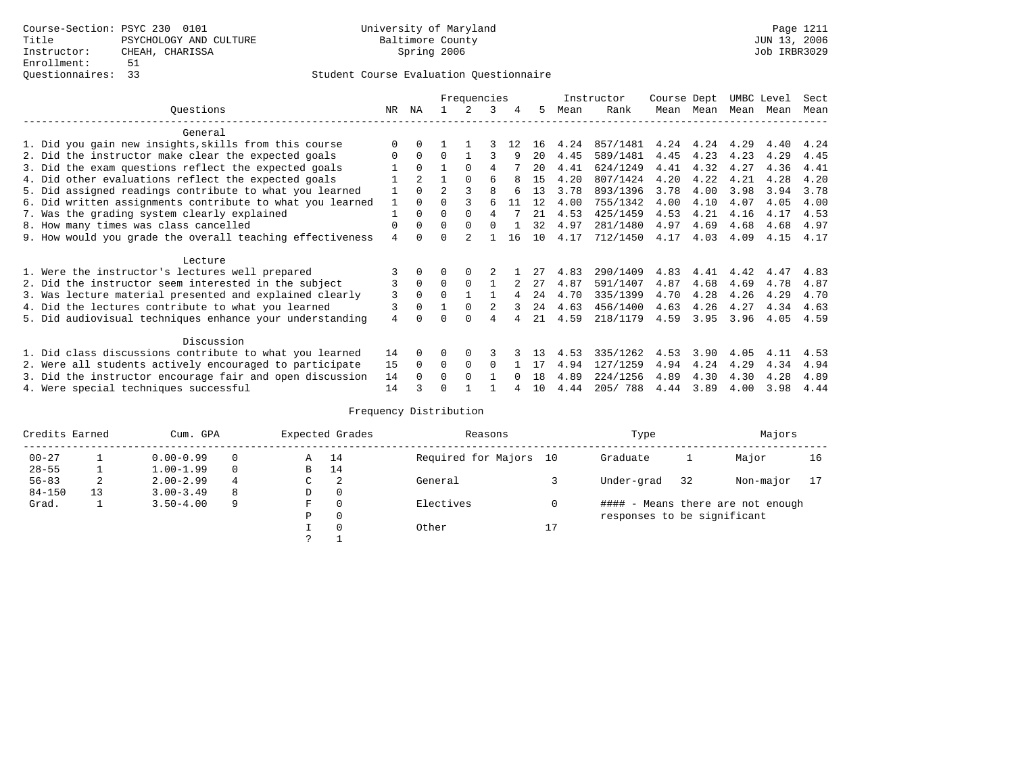|                                                           |                |                |                | Frequencies |          |    |    |      | Instructor | Course Dept |      | UMBC Level |      | Sect |
|-----------------------------------------------------------|----------------|----------------|----------------|-------------|----------|----|----|------|------------|-------------|------|------------|------|------|
| Ouestions                                                 | NR.            | ΝA             |                |             | 3        | 4  | 5. | Mean | Rank       | Mean        | Mean | Mean       | Mean | Mean |
| General                                                   |                |                |                |             |          |    |    |      |            |             |      |            |      |      |
| 1. Did you gain new insights, skills from this course     | $\Omega$       | $\Omega$       |                |             |          | 12 | 16 | 4.24 | 857/1481   | 4.24        | 4.24 | 4.29       | 4.40 | 4.24 |
| 2. Did the instructor make clear the expected goals       | O              | $\Omega$       | $\Omega$       |             |          | 9  | 20 | 4.45 | 589/1481   | 4.45        | 4.23 | 4.23       | 4.29 | 4.45 |
| 3. Did the exam questions reflect the expected goals      |                | $\Omega$       |                | $\Omega$    | 4        |    | 20 | 4.41 | 624/1249   | 4.41        | 4.32 | 4.27       | 4.36 | 4.41 |
| 4. Did other evaluations reflect the expected goals       |                | $\overline{a}$ |                | $\Omega$    | 6        |    | 15 | 4.20 | 807/1424   | 4.20        | 4.22 | 4.21       | 4.28 | 4.20 |
| 5. Did assigned readings contribute to what you learned   |                | $\Omega$       | $\mathfrak{D}$ |             | R        |    | 13 | 3.78 | 893/1396   | 3.78        | 4.00 | 3.98       | 3.94 | 3.78 |
| 6. Did written assignments contribute to what you learned | 1              | $\Omega$       |                |             | 6        | 11 | 12 | 4.00 | 755/1342   | 4.00        | 4.10 | 4.07       | 4.05 | 4.00 |
| 7. Was the grading system clearly explained               |                | $\Omega$       | $\Omega$       | $\Omega$    | 4        |    | 21 | 4.53 | 425/1459   | 4.53        | 4.21 | 4.16       | 4.17 | 4.53 |
| 8. How many times was class cancelled                     | 0              | $\Omega$       | $\Omega$       | $\Omega$    | $\cap$   |    | 32 | 4.97 | 281/1480   | 4.97        | 4.69 | 4.68       | 4.68 | 4.97 |
| 9. How would you grade the overall teaching effectiveness | $\overline{4}$ | <sup>n</sup>   | U              |             |          | 16 | 10 | 4.17 | 712/1450   | 4.17        | 4.03 | 4.09       | 4.15 | 4.17 |
| Lecture                                                   |                |                |                |             |          |    |    |      |            |             |      |            |      |      |
| 1. Were the instructor's lectures well prepared           |                |                |                |             |          |    | 27 | 4.83 | 290/1409   | 4.83        | 4.41 | 4.42       | 4.47 | 4.83 |
| 2. Did the instructor seem interested in the subject      | 3              | $\Omega$       | $\Omega$       |             |          | 2  | 27 | 4.87 | 591/1407   | 4.87        | 4.68 | 4.69       | 4.78 | 4.87 |
| 3. Was lecture material presented and explained clearly   | 3              | $\Omega$       | $\cap$         |             |          | 4  | 24 | 4.70 | 335/1399   | 4.70        | 4.28 | 4.26       | 4.29 | 4.70 |
| 4. Did the lectures contribute to what you learned        |                | $\Omega$       |                | $\Omega$    |          | 3  | 24 | 4.63 | 456/1400   | 4.63        | 4.26 | 4.27       | 4.34 | 4.63 |
| 5. Did audiovisual techniques enhance your understanding  | 4              |                |                | ∩           | 4        |    | 21 | 4.59 | 218/1179   | 4.59        | 3.95 | 3.96       | 4.05 | 4.59 |
|                                                           |                |                |                |             |          |    |    |      |            |             |      |            |      |      |
| Discussion                                                |                |                |                |             |          |    |    |      |            |             |      |            |      |      |
| 1. Did class discussions contribute to what you learned   | 14             | $\Omega$       |                | $\Omega$    |          |    | 13 | 4.53 | 335/1262   | 4.53        | 3.90 | 4.05       | 4.11 | 4.53 |
| 2. Were all students actively encouraged to participate   | 15             | $\Omega$       | $\Omega$       | $\Omega$    | $\Omega$ |    | 17 | 4.94 | 127/1259   | 4.94        | 4.24 | 4.29       | 4.34 | 4.94 |
| 3. Did the instructor encourage fair and open discussion  | 14             | $\Omega$       | 0              | $\Omega$    |          |    | 18 | 4.89 | 224/1256   | 4.89        | 4.30 | 4.30       | 4.28 | 4.89 |
| 4. Were special techniques successful                     | 14             |                |                |             |          |    | 10 | 4.44 | 205/788    | 4.44        | 3.89 | 4.00       | 3.98 | 4.44 |

| Credits Earned |    | Cum. GPA      |          |    | Expected Grades | Reasons                |    | Type                        |    | Majors                            |    |
|----------------|----|---------------|----------|----|-----------------|------------------------|----|-----------------------------|----|-----------------------------------|----|
| $00 - 27$      |    | $0.00 - 0.99$ |          | Α  | 14              | Required for Majors 10 |    | Graduate                    |    | Major                             | 16 |
| $28 - 55$      |    | $1.00 - 1.99$ | $\Omega$ | B  | 14              |                        |    |                             |    |                                   |    |
| $56 - 83$      | 2  | $2.00 - 2.99$ | 4        | C. | 2               | General                |    | Under-grad                  | 32 | Non-major                         |    |
| $84 - 150$     | 13 | $3.00 - 3.49$ | 8        | D  | 0               |                        |    |                             |    |                                   |    |
| Grad.          |    | $3.50 - 4.00$ | 9        | F  | $\Omega$        | Electives              |    |                             |    | #### - Means there are not enough |    |
|                |    |               |          | Ρ  | 0               |                        |    | responses to be significant |    |                                   |    |
|                |    |               |          |    | $\Omega$        | Other                  | 17 |                             |    |                                   |    |
|                |    |               |          |    |                 |                        |    |                             |    |                                   |    |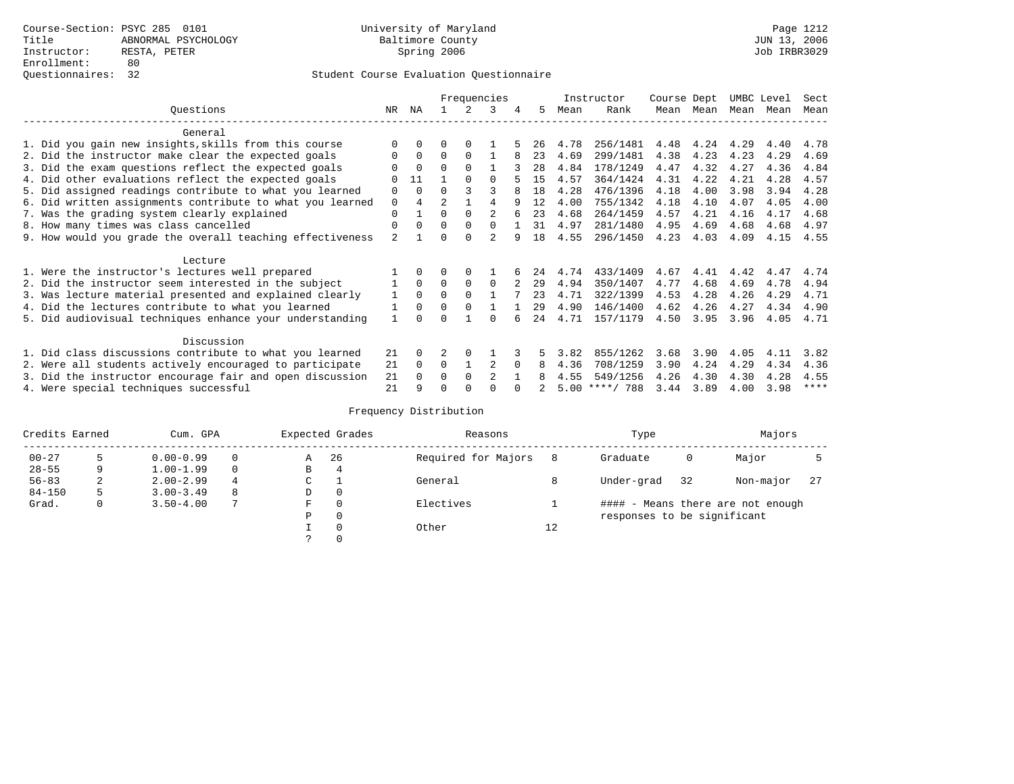|                                                           |          |          |          |          | Frequencies    |   |     |      | Instructor       | Course Dept |      | UMBC Level |      | Sect |
|-----------------------------------------------------------|----------|----------|----------|----------|----------------|---|-----|------|------------------|-------------|------|------------|------|------|
| Ouestions                                                 | NR.      | ΝA       |          |          | २              | 4 | 5   | Mean | Rank             | Mean        | Mean | Mean Mean  |      | Mean |
| General                                                   |          |          |          |          |                |   |     |      |                  |             |      |            |      |      |
| 1. Did you gain new insights, skills from this course     |          |          |          |          |                |   | 26  | 4.78 | 256/1481         | 4.48        | 4.24 | 4.29       | 4.40 | 4.78 |
| 2. Did the instructor make clear the expected goals       |          | $\Omega$ | $\Omega$ | $\Omega$ |                |   | 23  | 4.69 | 299/1481         | 4.38        | 4.23 | 4.23       | 4.29 | 4.69 |
| 3. Did the exam questions reflect the expected goals      |          | $\Omega$ | $\Omega$ | $\Omega$ |                |   | 28  | 4.84 | 178/1249         | 4.47        | 4.32 | 4.27       | 4.36 | 4.84 |
| 4. Did other evaluations reflect the expected goals       | O        | 11       |          | $\Omega$ | <sup>0</sup>   |   | 15  | 4.57 | 364/1424         | 4.31        | 4.22 | 4.21       | 4.28 | 4.57 |
| 5. Did assigned readings contribute to what you learned   | $\Omega$ | $\Omega$ | U        |          |                |   | 18  | 4.28 | 476/1396         | 4.18        | 4.00 | 3.98       | 3.94 | 4.28 |
| 6. Did written assignments contribute to what you learned | 0        | 4        | 2        |          | 4              | q | 12  | 4.00 | 755/1342         | 4.18        | 4.10 | 4.07       | 4.05 | 4.00 |
| 7. Was the grading system clearly explained               | O        |          | O        | $\Omega$ |                |   | 23  | 4.68 | 264/1459         | 4.57        | 4.21 | 4.16       | 4.17 | 4.68 |
| 8. How many times was class cancelled                     | $\Omega$ | $\Omega$ | $\Omega$ | $\Omega$ | 0              |   | 31  | 4.97 | 281/1480         | 4.95        | 4.69 | 4.68       | 4.68 | 4.97 |
| 9. How would you grade the overall teaching effectiveness | 2        |          |          |          | $\mathfrak{D}$ | q | 1 R | 4.55 | 296/1450         | 4.23        | 4.03 | 4.09       | 4.15 | 4.55 |
| Lecture                                                   |          |          |          |          |                |   |     |      |                  |             |      |            |      |      |
| 1. Were the instructor's lectures well prepared           |          |          |          |          |                |   | 24  | 4.74 | 433/1409         | 4.67        | 4.41 | 4.42       | 4.47 | 4.74 |
| 2. Did the instructor seem interested in the subject      |          | $\Omega$ | $\Omega$ | $\Omega$ | $\Omega$       |   | 29  | 4.94 | 350/1407         | 4.77        | 4.68 | 4.69       | 4.78 | 4.94 |
| 3. Was lecture material presented and explained clearly   |          | $\Omega$ | 0        |          |                |   | 23  | 4.71 | 322/1399         | 4.53        | 4.28 | 4.26       | 4.29 | 4.71 |
| 4. Did the lectures contribute to what you learned        |          | $\Omega$ |          | $\Omega$ |                |   | 29  | 4.90 | 146/1400         | 4.62        | 4.26 | 4.27       | 4.34 | 4.90 |
| 5. Did audiovisual techniques enhance your understanding  |          |          |          |          |                |   | 24  | 4.71 | 157/1179         | 4.50        | 3.95 | 3.96       | 4.05 | 4.71 |
| Discussion                                                |          |          |          |          |                |   |     |      |                  |             |      |            |      |      |
| 1. Did class discussions contribute to what you learned   | 21       | $\Omega$ |          | $\Omega$ |                |   |     | 3.82 | 855/1262         | 3.68        | 3.90 | 4.05       | 4.11 | 3.82 |
| 2. Were all students actively encouraged to participate   | 21       | $\Omega$ | $\Omega$ |          |                |   | 8   | 4.36 | 708/1259         | 3.90        | 4.24 | 4.29       | 4.34 | 4.36 |
| 3. Did the instructor encourage fair and open discussion  | 21       |          | U        | $\Omega$ | $\mathfrak{D}$ |   |     | 4.55 | 549/1256         | 4.26        | 4.30 | 4.30       | 4.28 | 4.55 |
| 4. Were special techniques successful                     | 21       | q        |          |          |                |   |     |      | $5.00$ ****/ 788 | 3.44        | 3.89 | 4.00       | 3.98 | **** |

| Credits Earned |   | Cum. GPA      |   | Expected Grades |          | Reasons             |    | Type                        |    | Majors                            |     |
|----------------|---|---------------|---|-----------------|----------|---------------------|----|-----------------------------|----|-----------------------------------|-----|
| $00 - 27$      |   | $0.00 - 0.99$ |   | Α               | 26       | Required for Majors | 8  | Graduate                    | 0  | Major                             |     |
| $28 - 55$      | 9 | $1.00 - 1.99$ |   | В               | 4        |                     |    |                             |    |                                   |     |
| $56 - 83$      | 2 | $2.00 - 2.99$ | 4 | $\sim$<br>J     |          | General             | 8  | Under-grad                  | 32 | Non-major                         | -27 |
| $84 - 150$     | 5 | $3.00 - 3.49$ | 8 | D               | 0        |                     |    |                             |    |                                   |     |
| Grad.          | 0 | $3.50 - 4.00$ | 7 | F               | 0        | Electives           |    |                             |    | #### - Means there are not enough |     |
|                |   |               |   | Ρ               | 0        |                     |    | responses to be significant |    |                                   |     |
|                |   |               |   |                 | $\Omega$ | Other               | 12 |                             |    |                                   |     |
|                |   |               |   |                 |          |                     |    |                             |    |                                   |     |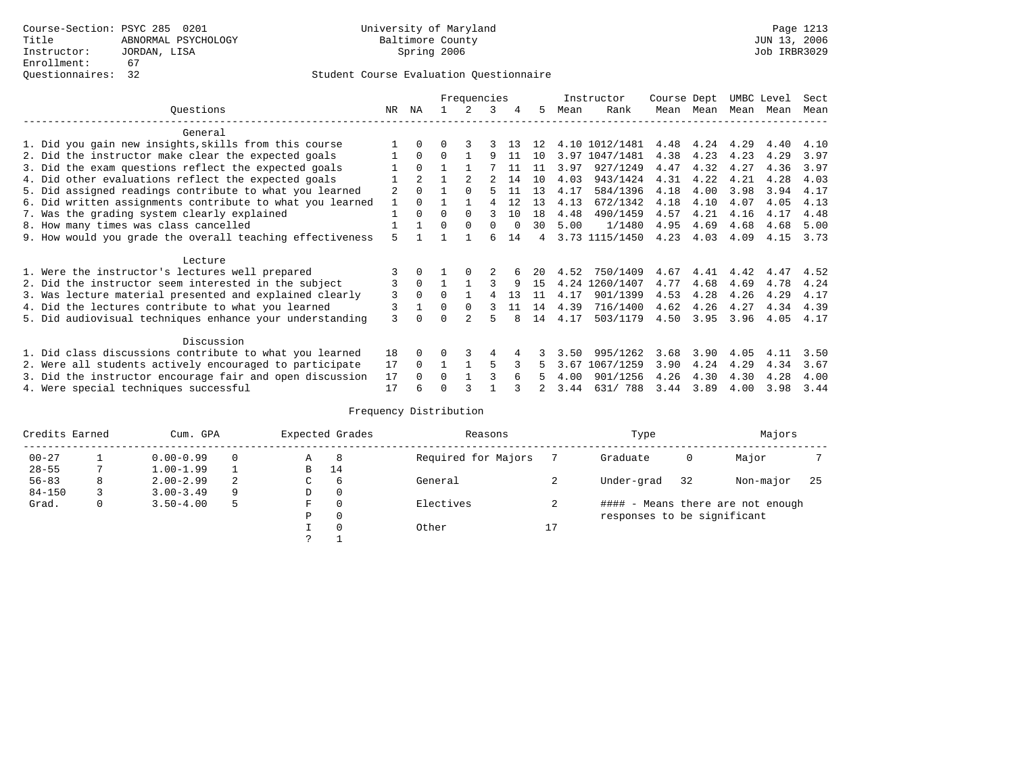|                                                           |                |          |          | Frequencies |          |    |     |      | Instructor     | Course Dept |           | UMBC Level |      | Sect |
|-----------------------------------------------------------|----------------|----------|----------|-------------|----------|----|-----|------|----------------|-------------|-----------|------------|------|------|
| Ouestions                                                 | NR.            | ΝA       |          |             | 3        |    | 5.  | Mean | Rank           |             | Mean Mean | Mean Mean  |      | Mean |
| General                                                   |                |          |          |             |          |    |     |      |                |             |           |            |      |      |
| 1. Did you gain new insights, skills from this course     |                |          |          |             |          |    | 12  |      | 4.10 1012/1481 | 4.48        | 4.24      | 4.29       | 4.40 | 4.10 |
| 2. Did the instructor make clear the expected goals       |                | $\Omega$ | $\Omega$ |             | q        | 11 | 10  | 3.97 | 1047/1481      | 4.38        | 4.23      | 4.23       | 4.29 | 3.97 |
| 3. Did the exam questions reflect the expected goals      |                | $\Omega$ |          |             |          |    | 11  | 3.97 | 927/1249       | 4.47        | 4.32      | 4.27       | 4.36 | 3.97 |
| 4. Did other evaluations reflect the expected goals       |                |          |          |             |          | 14 | 10  | 4.03 | 943/1424       | 4.31        | 4.22      | 4.21       | 4.28 | 4.03 |
| 5. Did assigned readings contribute to what you learned   | $\overline{a}$ | $\Omega$ |          | $\Omega$    |          | 11 | 13  | 4.17 | 584/1396       | 4.18        | 4.00      | 3.98       | 3.94 | 4.17 |
| 6. Did written assignments contribute to what you learned |                | $\Omega$ |          |             |          | 12 | 13  | 4.13 | 672/1342       | 4.18        | 4.10      | 4.07       | 4.05 | 4.13 |
| 7. Was the grading system clearly explained               |                | $\Omega$ | $\Omega$ | $\Omega$    |          | 10 | 1.8 | 4.48 | 490/1459       | 4.57        | 4.21      | 4.16       | 4.17 | 4.48 |
| 8. How many times was class cancelled                     |                |          | 0        | $\Omega$    | $\Omega$ |    | 30  | 5.00 | 1/1480         | 4.95        | 4.69      | 4.68       | 4.68 | 5.00 |
| 9. How would you grade the overall teaching effectiveness | 5              |          |          |             |          | 14 | 4   |      | 3.73 1115/1450 | 4.23        | 4.03      | 4.09       | 4.15 | 3.73 |
| Lecture                                                   |                |          |          |             |          |    |     |      |                |             |           |            |      |      |
| 1. Were the instructor's lectures well prepared           |                |          |          |             |          |    | 20  | 4.52 | 750/1409       | 4.67        | 4.41      | 4.42       | 4.47 | 4.52 |
| 2. Did the instructor seem interested in the subject      | 3              | $\Omega$ |          |             |          | 9  | 15  | 4.24 | 1260/1407      | 4.77        | 4.68      | 4.69       | 4.78 | 4.24 |
| 3. Was lecture material presented and explained clearly   | 3              | $\Omega$ | $\Omega$ |             |          | 13 | 11  | 4.17 | 901/1399       | 4.53        | 4.28      | 4.26       | 4.29 | 4.17 |
| 4. Did the lectures contribute to what you learned        | 3              |          | $\Omega$ | $\Omega$    |          | 11 | 14  | 4.39 | 716/1400       | 4.62        | 4.26      | 4.27       | 4.34 | 4.39 |
| 5. Did audiovisual techniques enhance your understanding  | 3              |          |          |             |          |    | 14  | 4.17 | 503/1179       | 4.50        | 3.95      | 3.96       | 4.05 | 4.17 |
| Discussion                                                |                |          |          |             |          |    |     |      |                |             |           |            |      |      |
| 1. Did class discussions contribute to what you learned   | 18             | 0        | U        |             | 4        |    |     | 3.50 | 995/1262       | 3.68        | 3.90      | 4.05       | 4.11 | 3.50 |
| 2. Were all students actively encouraged to participate   | 17             | $\Omega$ |          |             | 5        |    |     | 3.67 | 1067/1259      | 3.90        | 4.24      | 4.29       | 4.34 | 3.67 |
| 3. Did the instructor encourage fair and open discussion  | 17             |          | $\Omega$ |             |          |    |     | 4.00 | 901/1256       | 4.26        | 4.30      | 4.30       | 4.28 | 4.00 |
| 4. Were special techniques successful                     | 17             |          |          |             |          |    |     | 3.44 | 631/788        | 3.44        | 3.89      | 4.00       | 3.98 | 3.44 |

| Credits Earned |   | Cum. GPA      |   |   | Expected Grades | Reasons             |    | Type                        |    | Majors                            |     |
|----------------|---|---------------|---|---|-----------------|---------------------|----|-----------------------------|----|-----------------------------------|-----|
| $00 - 27$      |   | $0.00 - 0.99$ |   | Α | -8              | Required for Majors |    | Graduate                    | 0  | Major                             |     |
| $28 - 55$      |   | $1.00 - 1.99$ |   | B | 14              |                     |    |                             |    |                                   |     |
| $56 - 83$      | 8 | $2.00 - 2.99$ | 2 | C | 6               | General             |    | Under-grad                  | 32 | Non-major                         | -25 |
| $84 - 150$     |   | $3.00 - 3.49$ | 9 | D | 0               |                     |    |                             |    |                                   |     |
| Grad.          | 0 | $3.50 - 4.00$ | 5 | F | 0               | Electives           |    |                             |    | #### - Means there are not enough |     |
|                |   |               |   | Ρ | 0               |                     |    | responses to be significant |    |                                   |     |
|                |   |               |   |   | $\Omega$        | Other               | Δ, |                             |    |                                   |     |
|                |   |               |   | っ |                 |                     |    |                             |    |                                   |     |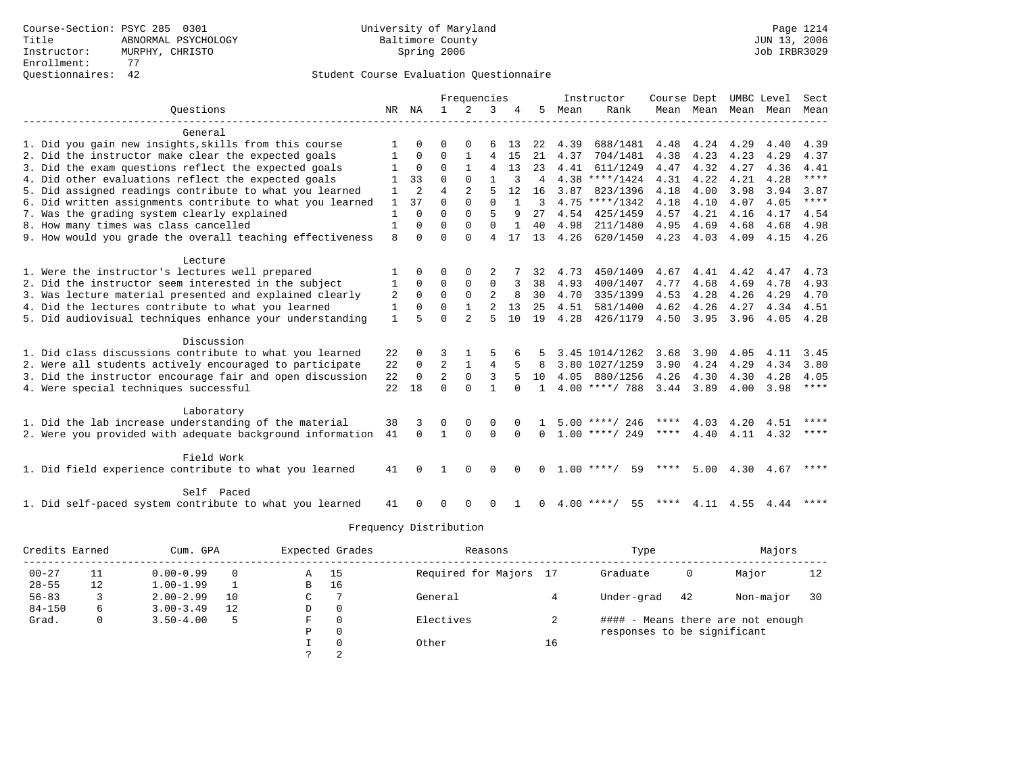|                                                           |              |                | Frequencies    |                |                | Instructor   | Course Dept  |      |                    | UMBC Level    | Sect                |      |      |             |
|-----------------------------------------------------------|--------------|----------------|----------------|----------------|----------------|--------------|--------------|------|--------------------|---------------|---------------------|------|------|-------------|
| Ouestions                                                 |              | NR NA          | $\mathbf{1}$   | 2              | 3              |              | 5            | Mean | Rank               |               | Mean Mean Mean Mean |      |      | Mean        |
|                                                           |              |                |                |                |                |              |              |      |                    |               |                     |      |      |             |
| General                                                   |              |                |                |                |                |              |              |      |                    |               |                     |      |      |             |
| 1. Did you gain new insights, skills from this course     |              |                |                |                |                | 13           | 22           | 4.39 | 688/1481           | 4.48          | 4.24                | 4.29 | 4.40 | 4.39        |
| 2. Did the instructor make clear the expected goals       |              | $\Omega$       | $\Omega$       |                | 4              | -15          | 21           | 4.37 | 704/1481           | 4.38          | 4.23                | 4.23 | 4.29 | 4.37        |
| 3. Did the exam questions reflect the expected goals      |              | $\Omega$       | $\Omega$       |                | 4              | 13           | 23           | 4.41 | 611/1249           | 4.47          | 4.32                | 4.27 | 4.36 | 4.41        |
| 4. Did other evaluations reflect the expected goals       |              | 33             | $\Omega$       | $\Omega$       |                |              | 4            |      | $4.38$ ****/1424   | 4.31          | 4.22                | 4.21 | 4.28 | $***$       |
| 5. Did assigned readings contribute to what you learned   |              | $\overline{2}$ | $\overline{4}$ |                | 5              | 12.          | 16           | 3.87 | 823/1396           | 4.18          | 4.00                | 3.98 | 3.94 | 3.87        |
| 6. Did written assignments contribute to what you learned | 1            | 37             | $\Omega$       | $\Omega$       | $\Omega$       |              | 3            |      | $4.75$ ****/1342   | 4.18          | 4.10                | 4.07 | 4.05 | ****        |
| 7. Was the grading system clearly explained               | 1            | $\Omega$       | $\Omega$       | $\Omega$       | 5              | 9            | 27           | 4.54 | 425/1459           | 4.57          | 4.21                | 4.16 | 4.17 | 4.54        |
| 8. How many times was class cancelled                     | 1            | $\Omega$       | $\Omega$       | $\Omega$       | $\Omega$       | $\mathbf{1}$ | 40           | 4.98 | 211/1480           | 4.95          | 4.69                | 4.68 | 4.68 | 4.98        |
| 9. How would you grade the overall teaching effectiveness | $\mathsf{R}$ | $\Omega$       | $\Omega$       | $\Omega$       | 4              | 17           | 13           | 4.26 | 620/1450           | $4.23$ $4.03$ |                     | 4.09 | 4.15 | 4.26        |
| Lecture                                                   |              |                |                |                |                |              |              |      |                    |               |                     |      |      |             |
| 1. Were the instructor's lectures well prepared           |              | $\Omega$       | $\Omega$       |                | 2              |              | 32           | 4.73 | 450/1409           | 4.67          | 4.41                | 4.42 | 4.47 | 4.73        |
| 2. Did the instructor seem interested in the subject      | -1           | $\Omega$       | $\Omega$       | $\mathbf 0$    | 0              |              | 38           | 4.93 | 400/1407           | 4.77          | 4.68                | 4.69 | 4.78 | 4.93        |
| 3. Was lecture material presented and explained clearly   | 2            | $\Omega$       | $\Omega$       | $\Omega$       | $\overline{2}$ | 8            | 30           | 4.70 | 335/1399           | 4.53          | 4.28                | 4.26 | 4.29 | 4.70        |
| 4. Did the lectures contribute to what you learned        | 1            | $\Omega$       | $\Omega$       | $\mathbf{1}$   | $\overline{2}$ | 13           | 25           | 4.51 | 581/1400           | 4.62          | 4.26                | 4.27 | 4.34 | 4.51        |
| 5. Did audiovisual techniques enhance your understanding  | $\mathbf{1}$ |                | $\cap$         | $\mathfrak{D}$ | 5              | 1 O          | 19           | 4.28 | 426/1179           | 4.50          | 3.95                | 3.96 | 4.05 | 4.28        |
|                                                           |              |                |                |                |                |              |              |      |                    |               |                     |      |      |             |
| Discussion                                                |              |                |                |                |                |              |              |      |                    |               |                     |      |      |             |
| 1. Did class discussions contribute to what you learned   | 22           |                |                |                |                |              |              |      | 3.45 1014/1262     | 3.68          | 3.90                | 4.05 | 4.11 | 3.45        |
| 2. Were all students actively encouraged to participate   | 22           | $\mathbf 0$    | $\overline{2}$ |                | 4              | 5            | -8           |      | 3.80 1027/1259     | 3.90          | 4.24                | 4.29 | 4.34 | 3.80        |
| 3. Did the instructor encourage fair and open discussion  | 22           | $\Omega$       | $\overline{a}$ | $\Omega$       | 3              |              | 10           |      | 4.05 880/1256      | 4.26          | 4.30                | 4.30 | 4.28 | 4.05        |
| 4. Were special techniques successful                     | 22           | 18             | $\Omega$       | $\cap$         |                | $\cap$       |              |      | $4.00$ ****/ 788   | 3.44          | 3.89                | 4.00 | 3.98 | $***$ * * * |
| Laboratory                                                |              |                |                |                |                |              |              |      |                    |               |                     |      |      |             |
| 1. Did the lab increase understanding of the material     | 38           | 3              | $\Omega$       |                | $\Omega$       |              |              |      | $5.00$ ****/ 246   | ****          | 4.03                | 4.20 | 4.51 | $***$       |
| 2. Were you provided with adequate background information | 41           | $\Omega$       | $\mathbf{1}$   | $\Omega$       | $\Omega$       | $\Omega$     | $\Omega$     |      | $1.00$ ****/ 249   | ****          | 4.40                | 4.11 | 4.32 | $***$ * * * |
|                                                           |              |                |                |                |                |              |              |      |                    |               |                     |      |      |             |
| Field Work                                                |              |                |                |                |                |              |              |      |                    |               |                     |      |      |             |
| 1. Did field experience contribute to what you learned    | 41           |                |                | $\cap$         | ∩              |              | <sup>0</sup> |      | $1.00$ ****/<br>59 | ****          | 5.00                | 4.30 | 4.67 | $* * * * *$ |
| Self Paced                                                |              |                |                |                |                |              |              |      |                    |               |                     |      |      |             |
| 1. Did self-paced system contribute to what you learned   | 41           |                |                |                | ∩              |              | $\Omega$     |      | $4.00$ ****/<br>55 | ****          | 4.11                | 4.55 | 4.44 |             |

| Credits Earned<br>Cum. GPA |    |               |          | Expected Grades | Reasons  |                        | Type |                             | Majors |                                   |    |
|----------------------------|----|---------------|----------|-----------------|----------|------------------------|------|-----------------------------|--------|-----------------------------------|----|
| $00 - 27$                  | 11 | $0.00 - 0.99$ | $\Omega$ | Α               | 15       | Required for Majors 17 |      | Graduate                    | 0      | Major                             | 12 |
| $28 - 55$                  | 12 | $1.00 - 1.99$ |          | B               | 16       |                        |      |                             |        |                                   |    |
| $56 - 83$                  |    | $2.00 - 2.99$ | 10       | С               |          | General                |      | Under-grad                  | 42     | Non-major                         | 30 |
| $84 - 150$                 | 6  | $3.00 - 3.49$ | 12       | D               | $\circ$  |                        |      |                             |        |                                   |    |
| Grad.                      | 0  | $3.50 - 4.00$ | 5        | F               | 0        | Electives              | ∠    |                             |        | #### - Means there are not enough |    |
|                            |    |               |          | Ρ               | 0        |                        |      | responses to be significant |        |                                   |    |
|                            |    |               |          |                 | $\Omega$ | Other                  | 16   |                             |        |                                   |    |
|                            |    |               |          |                 | 2        |                        |      |                             |        |                                   |    |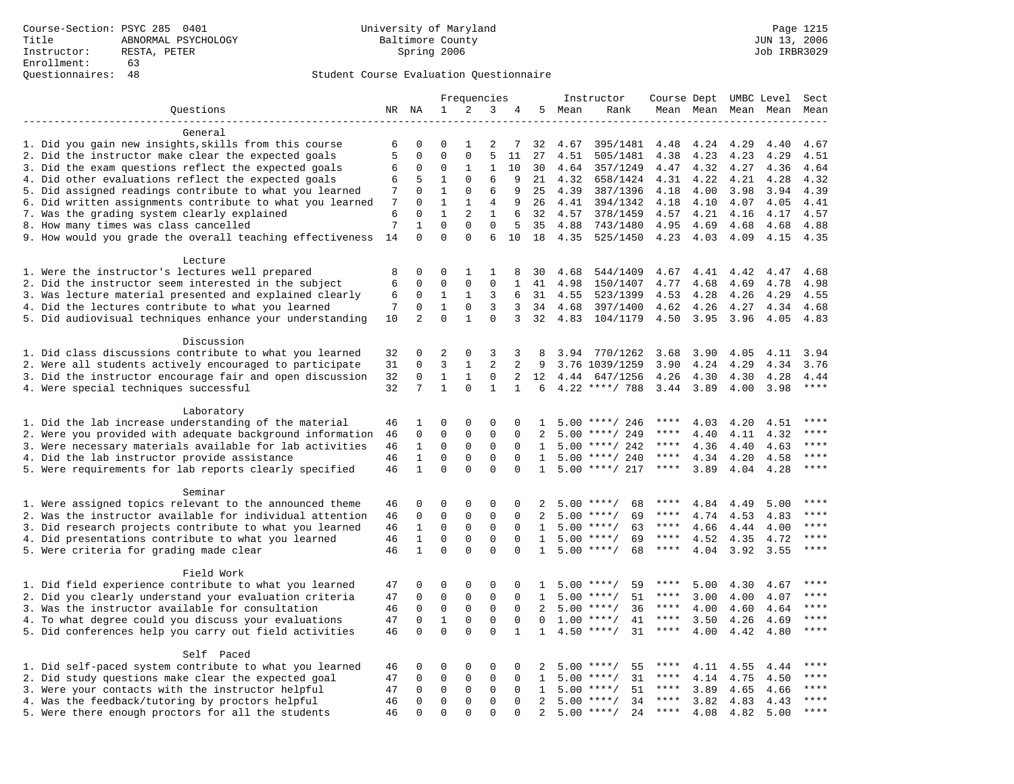# Questionnaires: 48 Student Course Evaluation Questionnaire

|                                                           |                      |                          |                             | Frequencies                 |                             |              |                |              | Instructor           | Course Dept UMBC Level |              |              |              | Sect                 |
|-----------------------------------------------------------|----------------------|--------------------------|-----------------------------|-----------------------------|-----------------------------|--------------|----------------|--------------|----------------------|------------------------|--------------|--------------|--------------|----------------------|
| Questions                                                 |                      | NR NA                    | $\mathbf 1$                 | 2                           | 3                           | 4            |                | 5 Mean       | Rank                 |                        | Mean Mean    |              | Mean Mean    | Mean                 |
|                                                           |                      |                          |                             |                             |                             |              |                |              |                      |                        |              |              |              |                      |
| General                                                   |                      |                          |                             |                             |                             |              |                |              |                      |                        |              |              |              |                      |
| 1. Did you gain new insights, skills from this course     | 6                    | 0                        | $\Omega$                    | $\mathbf{1}$                | 2                           | 7            | 32             | 4.67         | 395/1481             | 4.48                   | 4.24         | 4.29         | 4.40         | 4.67                 |
| 2. Did the instructor make clear the expected goals       | 5                    | $\mathbf 0$              | $\Omega$                    | $\mathbf{0}$                | 5                           | 11           | 27             | 4.51         | 505/1481             | 4.38                   | 4.23         | 4.23         | 4.29         | 4.51                 |
| 3. Did the exam questions reflect the expected goals      | 6                    | 0                        | $\Omega$                    | 1                           | 1                           | 10           | 30             | 4.64         | 357/1249             | 4.47                   | 4.32         | 4.27         | 4.36         | 4.64                 |
| 4. Did other evaluations reflect the expected goals       | 6                    | 5                        | $\mathbf{1}$                | $\Omega$                    | 6                           | 9            | 21             | 4.32         | 658/1424             | 4.31                   | 4.22         | 4.21         | 4.28         | 4.32                 |
| 5. Did assigned readings contribute to what you learned   | 7                    | 0                        | $\mathbf{1}$                | $\mathbf 0$                 | 6                           | 9            | 25             | 4.39         | 387/1396             | 4.18                   | 4.00         | 3.98         | 3.94         | 4.39                 |
| 6. Did written assignments contribute to what you learned | 7                    | $\Omega$                 | $\mathbf{1}$                | 1                           | 4                           | 9            | 26             | 4.41         | 394/1342             | 4.18                   | 4.10         | 4.07         | 4.05         | 4.41                 |
| 7. Was the grading system clearly explained               | 6                    | $\Omega$                 | $\mathbf{1}$<br>$\mathbf 0$ | $\mathbf{2}$<br>$\mathbf 0$ | $\mathbf{1}$<br>$\mathbf 0$ | 6            | 32             | 4.57         | 378/1459             | 4.57                   | 4.21         | 4.16         | 4.17         | 4.57                 |
| 8. How many times was class cancelled                     | $\overline{7}$<br>14 | $\mathbf{1}$<br>$\Omega$ | $\Omega$                    | $\Omega$                    | 6                           | 5<br>10      | 35<br>18       | 4.88<br>4.35 | 743/1480<br>525/1450 | 4.95<br>4.23           | 4.69<br>4.03 | 4.68<br>4.09 | 4.68<br>4.15 | 4.88<br>4.35         |
| 9. How would you grade the overall teaching effectiveness |                      |                          |                             |                             |                             |              |                |              |                      |                        |              |              |              |                      |
| Lecture                                                   |                      |                          |                             |                             |                             |              |                |              |                      |                        |              |              |              |                      |
| 1. Were the instructor's lectures well prepared           | 8                    | 0                        | 0                           | 1                           | 1                           | 8            | 30             | 4.68         | 544/1409             | 4.67                   | 4.41         | 4.42         | 4.47         | 4.68                 |
| 2. Did the instructor seem interested in the subject      | 6                    | 0                        | 0                           | $\mathbf 0$                 | $\mathbf 0$                 | 1            | 41             | 4.98         | 150/1407             | 4.77                   | 4.68         | 4.69         | 4.78         | 4.98                 |
| 3. Was lecture material presented and explained clearly   | 6                    | $\mathbf 0$              | 1                           | 1                           | 3                           | 6            | 31             | 4.55         | 523/1399             | 4.53                   | 4.28         | 4.26         | 4.29         | 4.55                 |
| 4. Did the lectures contribute to what you learned        | 7                    | $\mathbf 0$              | $\mathbf{1}$                | $\Omega$                    | 3                           | 3            | 34             | 4.68         | 397/1400             | 4.62                   | 4.26         | 4.27         | 4.34         | 4.68                 |
| 5. Did audiovisual techniques enhance your understanding  | 10                   | $\overline{a}$           | $\Omega$                    | $\mathbf{1}$                | $\Omega$                    | 3            | 32             | 4.83         | 104/1179             | 4.50                   | 3.95         | 3.96         | 4.05         | 4.83                 |
|                                                           |                      |                          |                             |                             |                             |              |                |              |                      |                        |              |              |              |                      |
| Discussion                                                |                      |                          |                             |                             |                             |              |                |              |                      |                        |              |              |              |                      |
| 1. Did class discussions contribute to what you learned   | 32                   | 0                        | 2                           | 0                           | 3                           | 3            | 8              | 3.94         | 770/1262             | 3.68                   | 3.90         | 4.05         | 4.11         | 3.94                 |
| 2. Were all students actively encouraged to participate   | 31                   | $\mathbf 0$              | 3                           | $\mathbf{1}$                | $\overline{a}$              | 2            | 9              |              | 3.76 1039/1259       | 3.90                   | 4.24         | 4.29         | 4.34         | 3.76                 |
| 3. Did the instructor encourage fair and open discussion  | 32                   | 0                        | $\mathbf{1}$                | $\mathbf{1}$                | 0                           | 2            | 12             | 4.44         | 647/1256             | 4.26                   | 4.30         | 4.30         | 4.28         | 4.44                 |
| 4. Were special techniques successful                     | 32                   | 7                        | $\mathbf{1}$                | $\Omega$                    | $\mathbf{1}$                | $\mathbf{1}$ | 6              |              | $4.22$ ****/ 788     | 3.44                   | 3.89         | 4.00         | 3.98         | $***$                |
|                                                           |                      |                          |                             |                             |                             |              |                |              |                      |                        |              |              |              |                      |
| Laboratory                                                |                      |                          |                             |                             |                             |              |                |              |                      |                        |              |              |              |                      |
| 1. Did the lab increase understanding of the material     | 46                   | 1                        | $\Omega$                    | $\Omega$                    | $\Omega$                    | $\Omega$     | $\mathbf{1}$   |              | $5.00$ ****/ 246     | ****                   | 4.03         | 4.20         | 4.51         |                      |
| 2. Were you provided with adequate background information | 46                   | 0                        | $\mathbf 0$                 | $\mathsf 0$                 | 0                           | 0            | 2              | 5.00         | ****/ 249            | ****                   | 4.40         | 4.11         | 4.32         | ****                 |
| 3. Were necessary materials available for lab activities  | 46                   | $\mathbf 1$              | $\mathbf 0$                 | $\mathsf 0$                 | $\mathbf 0$                 | $\mathbf 0$  | 1              |              | $5.00$ ****/ 242     | ****                   | 4.36         | 4.40         | 4.63         | $***$                |
| 4. Did the lab instructor provide assistance              | 46                   | $\mathbf{1}$             | $\mathbf 0$                 | 0                           | $\Omega$                    | $\Omega$     | $\mathbf{1}$   |              | $5.00$ ****/ 240     | ****                   | 4.34         | 4.20         | 4.58         | $***$                |
| 5. Were requirements for lab reports clearly specified    | 46                   | $\mathbf{1}$             | $\mathbf 0$                 | $\Omega$                    | $\Omega$                    | $\Omega$     | $\mathbf{1}$   |              | $5.00$ ****/ 217     | ****                   | 3.89         | 4.04         | 4.28         | ****                 |
| Seminar                                                   |                      |                          |                             |                             |                             |              |                |              |                      |                        |              |              |              |                      |
| 1. Were assigned topics relevant to the announced theme   | 46                   | 0                        | 0                           | $\Omega$                    | $\Omega$                    | $\Omega$     | 2              |              | $5.00$ ****/<br>68   | ****                   | 4.84         | 4.49         | 5.00         | $***$                |
| 2. Was the instructor available for individual attention  | 46                   | $\mathbf 0$              | $\mathbf 0$                 | $\mathbf{0}$                | $\mathbf 0$                 | $\Omega$     | 2              |              | 69<br>$5.00$ ****/   | ****                   | 4.74         | 4.53         | 4.83         | ****                 |
| 3. Did research projects contribute to what you learned   | 46                   | $\mathbf{1}$             | $\mathsf 0$                 | $\mathbf 0$                 | $\mathbf 0$                 | $\mathbf 0$  | $\mathbf{1}$   |              | $5.00$ ****/<br>63   | $***$ * *              | 4.66         | 4.44         | 4.00         | ****                 |
| 4. Did presentations contribute to what you learned       | 46                   | $\mathbf{1}$             | $\mathsf 0$                 | $\mathbf 0$                 | $\mathbf 0$                 | $\mathbf 0$  | $\mathbf{1}$   |              | $5.00$ ****/<br>69   | $***$ * * *            | 4.52         | 4.35         | 4.72         | $***$                |
| 5. Were criteria for grading made clear                   | 46                   | $\mathbf{1}$             | $\Omega$                    | $\Omega$                    | $\Omega$                    | $\Omega$     | $\mathbf{1}$   |              | $5.00$ ****/<br>68   | $***$ * * *            | 4.04         | 3.92         | 3.55         | ****                 |
|                                                           |                      |                          |                             |                             |                             |              |                |              |                      |                        |              |              |              |                      |
| Field Work                                                |                      |                          |                             |                             |                             |              |                |              |                      |                        |              |              |              |                      |
| 1. Did field experience contribute to what you learned    | 47                   | 0                        | 0                           | 0                           | 0                           | 0            | 1              |              | $5.00$ ****/<br>59   | ****                   | 5.00         | 4.30         | 4.67         | ****                 |
| 2. Did you clearly understand your evaluation criteria    | 47                   | $\mathbf 0$              | $\mathbf 0$                 | $\mathbf 0$                 | $\mathbf 0$                 | $\Omega$     | $\mathbf{1}$   |              | 51<br>$5.00$ ****/   | ****                   | 3.00         | 4.00         | 4.07         | ****                 |
| 3. Was the instructor available for consultation          | 46                   | $\Omega$                 | $\mathbf 0$                 | $\mathbf{0}$                | $\mathbf 0$                 | $\Omega$     | $\overline{2}$ |              | $5.00$ ****/<br>36   | ****                   | 4.00         | 4.60         | 4.64         | ****                 |
| 4. To what degree could you discuss your evaluations      | 47                   | $\mathbf 0$              | $\mathbf{1}$                | $\mathbf 0$                 | $\mathbf 0$                 | $\Omega$     | $\Omega$       | 1.00         | $***/$<br>41         | $***$ * * *            | 3.50         | 4.26         | 4.69         | ****                 |
| 5. Did conferences help you carry out field activities    | 46                   | $\Omega$                 | $\Omega$                    | $\Omega$                    | $\Omega$                    | $\mathbf{1}$ | $\mathbf{1}$   |              | $4.50$ ****/<br>31   | $***$ * * *            | 4.00         | 4.42         | 4.80         | $***$                |
|                                                           |                      |                          |                             |                             |                             |              |                |              |                      |                        |              |              |              |                      |
| Self Paced                                                |                      |                          |                             |                             |                             |              |                |              |                      |                        |              |              |              |                      |
| 1. Did self-paced system contribute to what you learned   | 46                   | 0                        | 0                           | 0                           | $\mathbf 0$                 | 0            | 2              |              | $5.00$ ****/<br>55   |                        | 4.11         | 4.55         | 4.44         |                      |
| 2. Did study questions make clear the expected goal       | 47                   | 0                        | $\mathbf 0$                 | 0                           | $\mathbf 0$                 | $\mathbf 0$  | 1              |              | 31<br>$5.00$ ****/   | ****                   | 4.14         | 4.75         | 4.50         | $***$                |
| 3. Were your contacts with the instructor helpful         | 47                   | 0                        | 0                           | 0                           | 0                           | $\Omega$     | 1              | 5.00         | $***$ /<br>51        | $***$ * * *            | 3.89         | 4.65         | 4.66         | $***$ * * *<br>$***$ |
| 4. Was the feedback/tutoring by proctors helpful          | 46                   | $\Omega$                 | $\mathbf 0$                 | $\mathbf{0}$                | $\Omega$                    | $\Omega$     | $\overline{2}$ |              | $5.00$ ****/<br>34   | ****                   | 3.82         | 4.83         | 4.43         | $***$                |
| 5. Were there enough proctors for all the students        | 46                   | $\Omega$                 | $\Omega$                    | $\Omega$                    | $\Omega$                    | $\Omega$     | 2              |              | $5.00$ ****/<br>24   | $***$ * * *            | 4.08         | 4.82         | 5.00         |                      |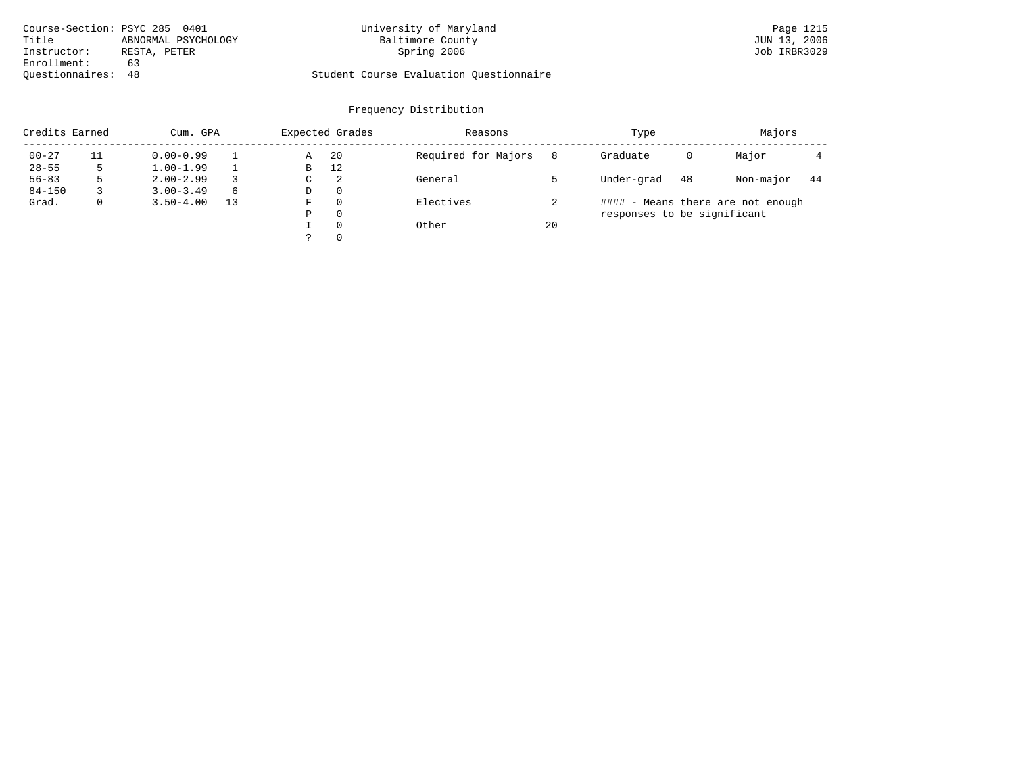| Course-Section: PSYC 285 0401 |                     | University of Maryland                  | Page 1215    |
|-------------------------------|---------------------|-----------------------------------------|--------------|
| Title                         | ABNORMAL PSYCHOLOGY | Baltimore County                        | JUN 13, 2006 |
| Instructor:                   | RESTA, PETER        | Spring 2006                             | Job IRBR3029 |
| Enrollment:                   | 63                  |                                         |              |
| Ouestionnaires: 48            |                     | Student Course Evaluation Questionnaire |              |

# University of Maryland Page 1215 Page 1215 2006 215 Daily Page 1215

| Credits Earned<br>Cum. GPA |    |               |    |   | Expected Grades | Reasons             |    | Type                        |    | Majors                            |    |
|----------------------------|----|---------------|----|---|-----------------|---------------------|----|-----------------------------|----|-----------------------------------|----|
| $00 - 27$                  | 11 | $0.00 - 0.99$ |    | Α | -20             | Required for Majors | 8  | Graduate                    | 0  | Major                             |    |
| $28 - 55$                  |    | $1.00 - 1.99$ |    | B | 12              |                     |    |                             |    |                                   |    |
| $56 - 83$                  |    | $2.00 - 2.99$ |    | C | 2               | General             |    | Under-grad                  | 48 | Non-major                         | 44 |
| $84 - 150$                 |    | $3.00 - 3.49$ | 6  | D | 0               |                     |    |                             |    |                                   |    |
| Grad.                      |    | $3.50 - 4.00$ | 13 | F | $\Omega$        | Electives           |    |                             |    | #### - Means there are not enough |    |
|                            |    |               |    | Ρ | 0               |                     |    | responses to be significant |    |                                   |    |
|                            |    |               |    |   | $\Omega$        | Other               | 20 |                             |    |                                   |    |
|                            |    |               |    |   | $\Omega$        |                     |    |                             |    |                                   |    |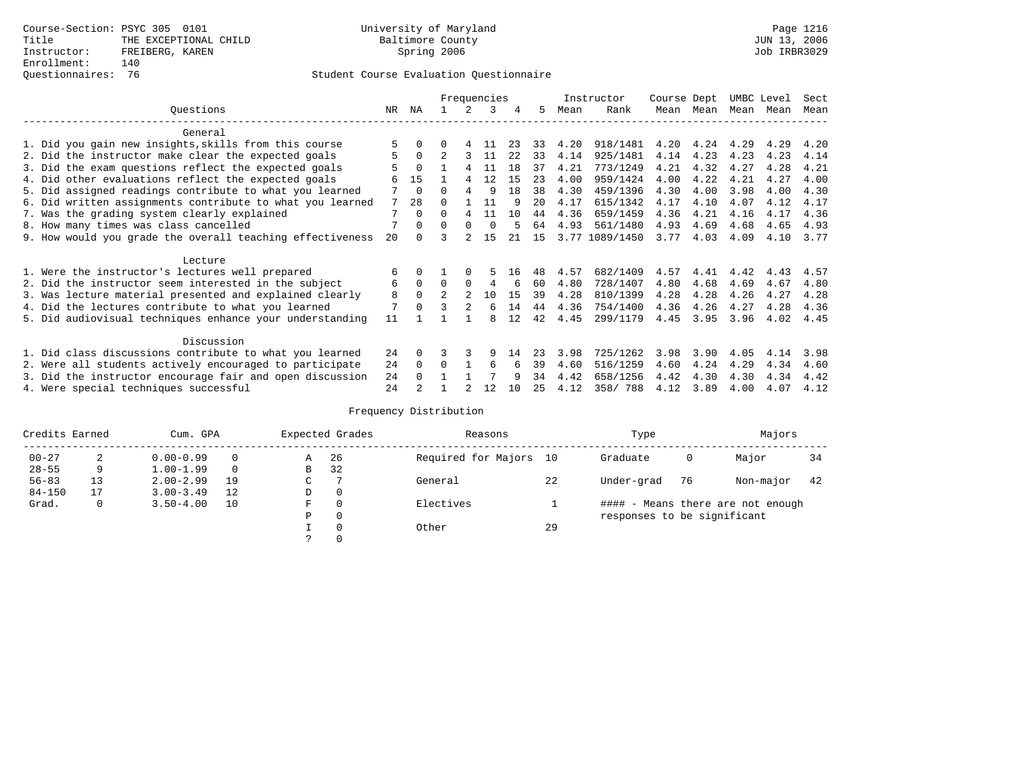# Questionnaires: 76 Student Course Evaluation Questionnaire

|                                                         |                                                           |    | Frequencies |                |                |          |     | Instructor |      | Course Dept    |      | UMBC Level |      | Sect |      |
|---------------------------------------------------------|-----------------------------------------------------------|----|-------------|----------------|----------------|----------|-----|------------|------|----------------|------|------------|------|------|------|
|                                                         | Ouestions                                                 | NR | ΝA          |                |                | 3        | 4   | 5          | Mean | Rank           | Mean | Mean       | Mean | Mean | Mean |
|                                                         | General                                                   |    |             |                |                |          |     |            |      |                |      |            |      |      |      |
|                                                         | 1. Did you gain new insights, skills from this course     | 5  | 0           |                | 4              | 11       | 23  | 33         | 4.20 | 918/1481       | 4.20 | 4.24       | 4.29 | 4.29 | 4.20 |
|                                                         | 2. Did the instructor make clear the expected goals       | 5  | $\Omega$    |                | 3              | 11       | 2.2 | 33         | 4.14 | 925/1481       | 4.14 | 4.23       | 4.23 | 4.23 | 4.14 |
|                                                         |                                                           |    | $\Omega$    |                | 4              | 11       | 18  | 37         | 4.21 | 773/1249       | 4.21 | 4.32       | 4.27 | 4.28 | 4.21 |
|                                                         | 3. Did the exam questions reflect the expected goals      |    |             |                |                |          |     |            |      |                |      |            |      |      |      |
|                                                         | 4. Did other evaluations reflect the expected goals       | 6  | 15          |                | 4              | 12       | 15  | 23         | 4.00 | 959/1424       | 4.00 | 4.22       | 4.21 | 4.27 | 4.00 |
|                                                         | 5. Did assigned readings contribute to what you learned   |    | $\Omega$    | 0              |                | 9        | 18  | 38         | 4.30 | 459/1396       | 4.30 | 4.00       | 3.98 | 4.00 | 4.30 |
|                                                         | 6. Did written assignments contribute to what you learned | 7  | 28          |                |                | 11       | q   | 20         | 4.17 | 615/1342       | 4.17 | 4.10       | 4.07 | 4.12 | 4.17 |
|                                                         | 7. Was the grading system clearly explained               | 7  | $\Omega$    | <sup>0</sup>   | 4              | 11       | 10  | 44         | 4.36 | 659/1459       | 4.36 | 4.21       | 4.16 | 4.17 | 4.36 |
|                                                         | 8. How many times was class cancelled                     | 7  | $\Omega$    | $\Omega$       | $\Omega$       | $\Omega$ | 5   | 64         | 4.93 | 561/1480       | 4.93 | 4.69       | 4.68 | 4.65 | 4.93 |
|                                                         | 9. How would you grade the overall teaching effectiveness | 20 |             |                |                | 15       | 21  | 15         |      | 3.77 1089/1450 | 3.77 | 4.03       | 4.09 | 4.10 | 3.77 |
|                                                         | Lecture                                                   |    |             |                |                |          |     |            |      |                |      |            |      |      |      |
|                                                         | 1. Were the instructor's lectures well prepared           | 6  |             |                |                |          | 16  | 48         | 4.57 | 682/1409       | 4.57 | 4.41       | 4.42 | 4.43 | 4.57 |
|                                                         | 2. Did the instructor seem interested in the subject      | 6  | $\mathbf 0$ | $\Omega$       | $\Omega$       | 4        | 6   | 60         | 4.80 | 728/1407       | 4.80 | 4.68       | 4.69 | 4.67 | 4.80 |
|                                                         | 3. Was lecture material presented and explained clearly   | 8  | $\Omega$    | $\mathfrak{D}$ | $\mathfrak{D}$ | 10       | 15  | 39         | 4.28 | 810/1399       | 4.28 | 4.28       | 4.26 | 4.27 | 4.28 |
|                                                         | 4. Did the lectures contribute to what you learned        | 7  |             | २              | $\overline{2}$ | 6        | 14  | 44         | 4.36 | 754/1400       | 4.36 | 4.26       | 4.27 | 4.28 | 4.36 |
|                                                         |                                                           |    |             |                |                |          |     |            |      |                |      |            |      |      |      |
|                                                         | 5. Did audiovisual techniques enhance your understanding  | 11 |             |                |                | 8        | 12  | 42         | 4.45 | 299/1179       | 4.45 | 3.95       | 3.96 | 4.02 | 4.45 |
|                                                         | Discussion                                                |    |             |                |                |          |     |            |      |                |      |            |      |      |      |
|                                                         | 1. Did class discussions contribute to what you learned   | 24 | $\Omega$    |                |                | 9        | 14  | 23         | 3.98 | 725/1262       | 3.98 | 3.90       | 4.05 | 4.14 | 3.98 |
| 2. Were all students actively encouraged to participate |                                                           |    |             | $\Omega$       |                | 6        | 6   | 39         | 4.60 | 516/1259       | 4.60 | 4.24       | 4.29 | 4.34 | 4.60 |
|                                                         | 3. Did the instructor encourage fair and open discussion  | 24 |             |                |                |          | q   | 34         | 4.42 | 658/1256       | 4.42 | 4.30       | 4.30 | 4.34 | 4.42 |
|                                                         | 4. Were special techniques successful                     | 24 |             |                |                | 12       | 10  | 25         | 4.12 | 358/788        | 4.12 | 3.89       | 4.00 | 4.07 | 4.12 |

| Credits Earned |    | Cum. GPA      |          |    | Expected Grades | Reasons                |    | Type                        |    | Majors                            |     |
|----------------|----|---------------|----------|----|-----------------|------------------------|----|-----------------------------|----|-----------------------------------|-----|
| $00 - 27$      | 2  | $0.00 - 0.99$ |          | Α  | 26              | Required for Majors 10 |    | Graduate                    | 0  | Major                             | 34  |
| $28 - 55$      | 9  | $1.00 - 1.99$ | $\Omega$ | B  | 32              |                        |    |                             |    |                                   |     |
| $56 - 83$      | 13 | $2.00 - 2.99$ | 19       | C. |                 | General                | 22 | Under-grad                  | 76 | Non-major                         | -42 |
| $84 - 150$     | 17 | $3.00 - 3.49$ | 12       | D  | 0               |                        |    |                             |    |                                   |     |
| Grad.          | 0  | $3.50 - 4.00$ | 10       | F  | $\Omega$        | Electives              |    |                             |    | #### - Means there are not enough |     |
|                |    |               |          | Ρ  | 0               |                        |    | responses to be significant |    |                                   |     |
|                |    |               |          |    | $\Omega$        | Other                  | 29 |                             |    |                                   |     |
|                |    |               |          |    |                 |                        |    |                             |    |                                   |     |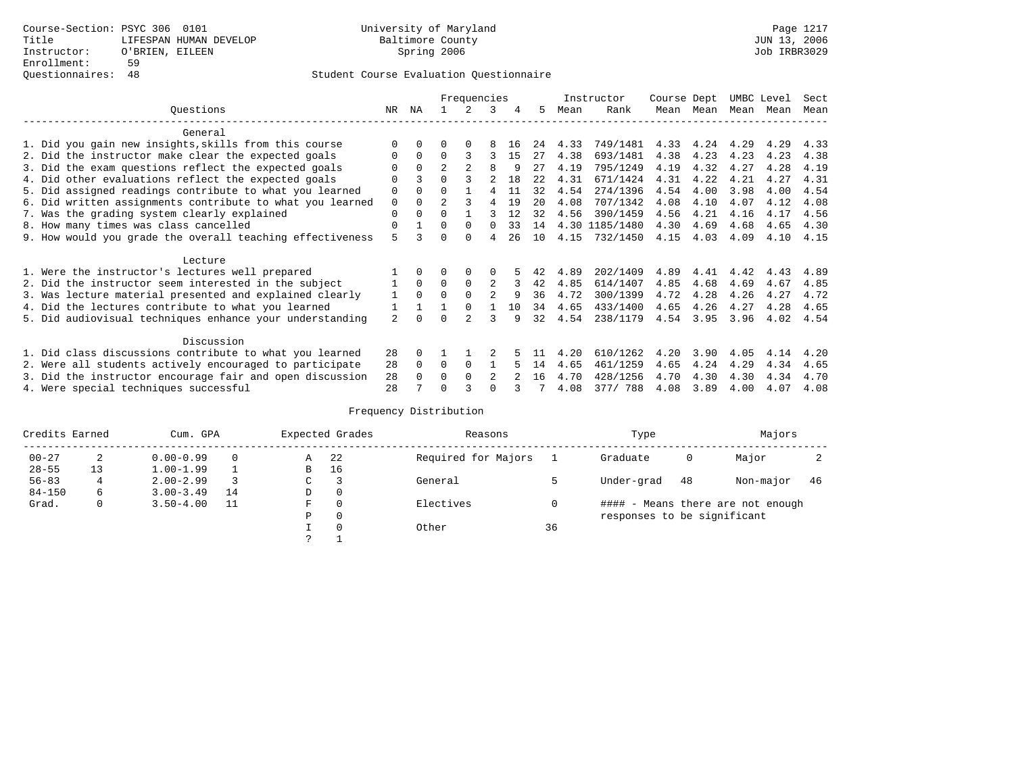|                                                           | Frequencies  |          |                |                | Instructor     |           | Course Dept |      | UMBC Level     |      | Sect      |      |      |      |
|-----------------------------------------------------------|--------------|----------|----------------|----------------|----------------|-----------|-------------|------|----------------|------|-----------|------|------|------|
| Ouestions                                                 | NR           | ΝA       |                | 2.             | 3              | 4         | 5           | Mean | Rank           |      | Mean Mean | Mean | Mean | Mean |
| General                                                   |              |          |                |                |                |           |             |      |                |      |           |      |      |      |
| 1. Did you gain new insights, skills from this course     | $\Omega$     | $\Omega$ | 0              | $\Omega$       | 8              | 16        | 24          | 4.33 | 749/1481       | 4.33 | 4.24      | 4.29 | 4.29 | 4.33 |
| 2. Did the instructor make clear the expected goals       | O            | $\Omega$ | $\Omega$       | 3              | ς              | 15        | 27          | 4.38 | 693/1481       | 4.38 | 4.23      | 4.23 | 4.23 | 4.38 |
| 3. Did the exam questions reflect the expected goals      | O            | $\Omega$ | $\overline{a}$ | $\mathfrak{D}$ | 8              | 9         | 27          | 4.19 | 795/1249       | 4.19 | 4.32      | 4.27 | 4.28 | 4.19 |
| 4. Did other evaluations reflect the expected goals       | O            |          |                |                |                | <b>18</b> | 2.2.        | 4.31 | 671/1424       | 4.31 | 4.22      | 4.21 | 4.27 | 4.31 |
| 5. Did assigned readings contribute to what you learned   | 0            | $\Omega$ | 0              |                | 4              | 11        | 32          | 4.54 | 274/1396       | 4.54 | 4.00      | 3.98 | 4.00 | 4.54 |
| 6. Did written assignments contribute to what you learned | 0            | $\Omega$ | $\mathfrak{D}$ |                | 4              | 19        | 20          | 4.08 | 707/1342       | 4.08 | 4.10      | 4.07 | 4.12 | 4.08 |
| 7. Was the grading system clearly explained               | $\Omega$     | $\Omega$ | 0              |                |                | 12        | 32          | 4.56 | 390/1459       | 4.56 | 4.21      | 4.16 | 4.17 | 4.56 |
| 8. How many times was class cancelled                     | $\Omega$     |          | $\Omega$       | $\Omega$       | $\Omega$       | 33        | 14          |      | 4.30 1185/1480 | 4.30 | 4.69      | 4.68 | 4.65 | 4.30 |
| 9. How would you grade the overall teaching effectiveness | 5            |          | U              | $\Omega$       | 4              | 26        | 10          | 4.15 | 732/1450       | 4.15 | 4.03      | 4.09 | 4.10 | 4.15 |
| Lecture                                                   |              |          |                |                |                |           |             |      |                |      |           |      |      |      |
| 1. Were the instructor's lectures well prepared           |              |          |                |                | 0              |           |             | 4.89 | 202/1409       | 4.89 | 4.41      | 4.42 | 4.43 | 4.89 |
| 2. Did the instructor seem interested in the subject      |              | $\Omega$ | $\Omega$       | $\Omega$       | 2              | 3         | 42          | 4.85 | 614/1407       | 4.85 | 4.68      | 4.69 | 4.67 | 4.85 |
| 3. Was lecture material presented and explained clearly   | $\mathbf{1}$ | $\Omega$ |                | $\Omega$       |                | q         | 36          | 4.72 | 300/1399       | 4.72 | 4.28      | 4.26 | 4.27 | 4.72 |
| 4. Did the lectures contribute to what you learned        | $\mathbf{1}$ |          |                | $\Omega$       |                | 10        | 34          | 4.65 | 433/1400       | 4.65 | 4.26      | 4.27 | 4.28 | 4.65 |
| 5. Did audiovisual techniques enhance your understanding  | 2            |          | ∩              |                |                | q         | 32          | 4.54 | 238/1179       | 4.54 | 3.95      | 3.96 | 4.02 | 4.54 |
| Discussion                                                |              |          |                |                |                |           |             |      |                |      |           |      |      |      |
| 1. Did class discussions contribute to what you learned   | 28           | $\Omega$ |                |                |                |           |             | 4.20 | 610/1262       | 4.20 | 3.90      | 4.05 | 4.14 | 4.20 |
| 2. Were all students actively encouraged to participate   | 28           | $\Omega$ | $\Omega$       | $\Omega$       |                |           | 14          | 4.65 | 461/1259       | 4.65 | 4.24      | 4.29 | 4.34 | 4.65 |
| 3. Did the instructor encourage fair and open discussion  | 28           |          | O              | $\Omega$       | $\mathfrak{D}$ |           | 16          | 4.70 | 428/1256       | 4.70 | 4.30      | 4.30 | 4.34 | 4.70 |
| 4. Were special techniques successful                     | 28           |          |                |                |                |           |             | 4.08 | 377/ 788       | 4.08 | 3.89      | 4.00 | 4.07 | 4.08 |

| Credits Earned |    | Cum. GPA      |    |   | Expected Grades | Reasons             |    | Type                        |    | Majors                            |     |
|----------------|----|---------------|----|---|-----------------|---------------------|----|-----------------------------|----|-----------------------------------|-----|
| $00 - 27$      | 2  | $0.00 - 0.99$ |    | Α | 22              | Required for Majors |    | Graduate                    | 0  | Major                             |     |
| $28 - 55$      | 13 | $1.00 - 1.99$ |    | B | 16              |                     |    |                             |    |                                   |     |
| $56 - 83$      | 4  | $2.00 - 2.99$ |    | ◡ |                 | General             |    | Under-grad                  | 48 | Non-major                         | -46 |
| $84 - 150$     | 6  | $3.00 - 3.49$ | 14 | D | 0               |                     |    |                             |    |                                   |     |
| Grad.          | 0  | $3.50 - 4.00$ | 11 | F | 0               | Electives           | 0  |                             |    | #### - Means there are not enough |     |
|                |    |               |    | Ρ | 0               |                     |    | responses to be significant |    |                                   |     |
|                |    |               |    |   | $\Omega$        | Other               | 36 |                             |    |                                   |     |
|                |    |               |    | っ |                 |                     |    |                             |    |                                   |     |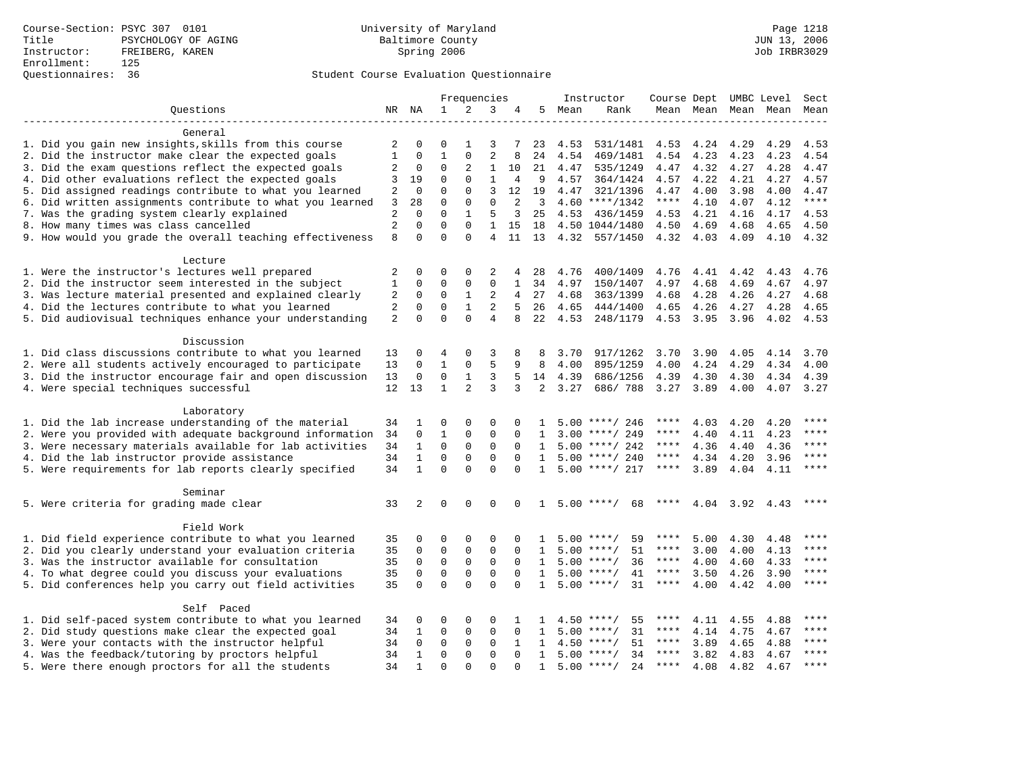# Questionnaires: 36 Student Course Evaluation Questionnaire

|                                                           |                   |              |              | Frequencies    |                |                |                         |      | Instructor          | Course Dept UMBC Level Sect |           |                |                          |       |
|-----------------------------------------------------------|-------------------|--------------|--------------|----------------|----------------|----------------|-------------------------|------|---------------------|-----------------------------|-----------|----------------|--------------------------|-------|
| Ouestions                                                 |                   | NR NA        | $\mathbf{1}$ | 2              | 3              | 4              | 5                       | Mean | Rank                |                             |           |                | Mean Mean Mean Mean Mean |       |
|                                                           |                   |              |              |                |                |                |                         |      |                     |                             |           |                |                          |       |
| General                                                   |                   |              |              |                |                |                |                         |      |                     |                             |           |                |                          |       |
| 1. Did you gain new insights, skills from this course     | 2                 | 0            | 0            | 1              | 3              | 7              | 23                      | 4.53 | 531/1481            | 4.53                        | 4.24      | 4.29           | 4.29                     | 4.53  |
| 2. Did the instructor make clear the expected goals       | 1                 | $\mathbf 0$  | $\mathbf 1$  | $\mathbf{0}$   | 2              | 8              | 24                      | 4.54 | 469/1481            | 4.54                        | 4.23      | 4.23           | 4.23                     | 4.54  |
| 3. Did the exam questions reflect the expected goals      | 2                 | $\mathbf 0$  | $\mathbf 0$  | 2              | 1              | 10             | 21                      | 4.47 | 535/1249            | 4.47                        | 4.32      | 4.27           | 4.28                     | 4.47  |
| 4. Did other evaluations reflect the expected goals       | 3                 | 19           | 0            | $\mathbf 0$    | $\mathbf{1}$   | 4              | - 9                     | 4.57 | 364/1424            | 4.57                        | 4.22      | 4.21           | 4.27                     | 4.57  |
| 5. Did assigned readings contribute to what you learned   | 2                 | 0            | $\mathbf 0$  | $\mathbf{0}$   | 3              | 12             | 19                      | 4.47 | 321/1396            | 4.47                        | 4.00      | 3.98           | 4.00                     | 4.47  |
| 6. Did written assignments contribute to what you learned | 3                 | 28           | $\mathbf 0$  | 0              | $\mathbf{0}$   | 2              | $\overline{\mathbf{3}}$ |      | $4.60$ ****/1342    | ****                        | 4.10      | 4.07           | 4.12                     | $***$ |
| 7. Was the grading system clearly explained               | 2                 | $\mathbf 0$  | $\Omega$     | $\mathbf{1}$   | 5              | 3              | 25                      | 4.53 | 436/1459            | 4.53                        | 4.21      | 4.16           | 4.17                     | 4.53  |
| 8. How many times was class cancelled                     | $\overline{2}$    | $\Omega$     | $\Omega$     | $\Omega$       | 1              | 15             | 18                      |      | 4.50 1044/1480      | 4.50                        | 4.69      | 4.68           | 4.65                     | 4.50  |
| 9. How would you grade the overall teaching effectiveness | 8                 | $\Omega$     | $\Omega$     | $\Omega$       | $\overline{4}$ | 11             | 13                      | 4.32 | 557/1450            | 4.32                        | 4.03      | 4.09           | 4.10                     | 4.32  |
|                                                           |                   |              |              |                |                |                |                         |      |                     |                             |           |                |                          |       |
| Lecture                                                   |                   |              |              |                |                |                |                         |      |                     |                             |           |                |                          |       |
| 1. Were the instructor's lectures well prepared           | 2                 | 0            | 0            | 0              | 2              | 4              | 28                      | 4.76 | 400/1409            | 4.76                        | 4.41      | 4.42           | 4.43                     | 4.76  |
| 2. Did the instructor seem interested in the subject      | 1                 | $\mathbf 0$  | 0            | 0              | 0              | $\mathbf{1}$   | 34                      | 4.97 | 150/1407            | 4.97                        | 4.68      | 4.69           | 4.67                     | 4.97  |
| 3. Was lecture material presented and explained clearly   | 2                 | $\mathbf 0$  | 0            | $\mathbf{1}$   | 2              | $\overline{4}$ | 27                      | 4.68 | 363/1399            | 4.68                        | 4.28      | 4.26           | 4.27                     | 4.68  |
| 4. Did the lectures contribute to what you learned        | $\overline{2}$    | $\mathbf 0$  | $\mathbf 0$  | $\mathbf{1}$   | 2              | 5              | 26                      | 4.65 | 444/1400            | 4.65                        | 4.26      | 4.27           | 4.28                     | 4.65  |
| 5. Did audiovisual techniques enhance your understanding  | $\overline{a}$    | $\Omega$     | $\Omega$     | $\Omega$       | $\overline{4}$ | 8              | 22                      | 4.53 | 248/1179            |                             | 4.53 3.95 | 3.96           | 4.02                     | 4.53  |
|                                                           |                   |              |              |                |                |                |                         |      |                     |                             |           |                |                          |       |
| Discussion                                                |                   |              |              |                |                |                |                         |      |                     |                             |           |                |                          |       |
| 1. Did class discussions contribute to what you learned   | 13                | 0            | 4            | 0              | 3              | 8              | 8                       | 3.70 | 917/1262            | 3.70                        | 3.90      | 4.05           | 4.14                     | 3.70  |
| 2. Were all students actively encouraged to participate   | 13                | $\mathbf 0$  | 1            | 0              | 5              | 9              | 8                       | 4.00 | 895/1259            | 4.00                        | 4.24      | 4.29           | 4.34                     | 4.00  |
| 3. Did the instructor encourage fair and open discussion  | 13                | 0            | $\mathbf 0$  | $\mathbf{1}$   | 3              | 5              | 14                      | 4.39 | 686/1256            | 4.39                        | 4.30      | 4.30           | 4.34                     | 4.39  |
| 4. Were special techniques successful                     | $12 \overline{ }$ | 13           | $\mathbf{1}$ | $\overline{2}$ | 3              | 3              | $\overline{2}$          | 3.27 | 686/788             | 3.27                        | 3.89      | 4.00           | 4.07 3.27                |       |
|                                                           |                   |              |              |                |                |                |                         |      |                     |                             |           |                |                          |       |
| Laboratory                                                |                   |              |              |                |                |                |                         |      |                     |                             |           |                |                          |       |
| 1. Did the lab increase understanding of the material     | 34                | 1            | 0            | 0              | 0              | 0              |                         |      | $5.00$ ****/ 246    |                             | 4.03      | 4.20           | 4.20                     |       |
|                                                           |                   |              |              |                |                |                |                         |      |                     |                             |           |                |                          | ****  |
| 2. Were you provided with adequate background information | 34                | 0            | 1            | 0              | 0              | 0              | 1                       |      | $3.00$ ****/ 249    | ****                        | 4.40      | 4.11           | 4.23                     | ****  |
| 3. Were necessary materials available for lab activities  | 34                | 1            | $\mathbf 0$  | 0              | $\mathbf 0$    | $\mathbf 0$    | 1                       |      | $5.00$ ****/ 242    |                             | 4.36      | 4.40           | 4.36                     |       |
| 4. Did the lab instructor provide assistance              | 34                | $\mathbf{1}$ | $\mathbf 0$  | $\mathbf 0$    | $\mathbf 0$    | $\Omega$       | $\mathbf{1}$            |      | $5.00$ ****/ 240    | ****                        | 4.34      | 4.20           | 3.96                     | ****  |
| 5. Were requirements for lab reports clearly specified    | 34                | $\mathbf{1}$ | $\Omega$     | $\Omega$       | $\Omega$       | $\Omega$       | 1                       |      | $5.00$ ****/ 217    | ****                        | 3.89      | 4.04           | 4.11                     | ****  |
|                                                           |                   |              |              |                |                |                |                         |      |                     |                             |           |                |                          |       |
| Seminar                                                   |                   |              |              |                |                |                |                         |      |                     |                             |           |                |                          |       |
| 5. Were criteria for grading made clear                   | 33                | 2            | $\mathbf 0$  | $\mathbf 0$    | 0              | $\Omega$       | $\mathbf{1}$            |      | $5.00$ ****/<br>68  | ****                        |           | 4.04 3.92 4.43 |                          |       |
|                                                           |                   |              |              |                |                |                |                         |      |                     |                             |           |                |                          |       |
| Field Work                                                |                   |              |              |                |                |                |                         |      |                     |                             |           |                |                          |       |
| 1. Did field experience contribute to what you learned    | 35                | 0            | 0            | 0              | $\Omega$       | $\Omega$       | 1                       | 5.00 | ****/<br>59         |                             | 5.00      | 4.30           | 4.48                     |       |
| 2. Did you clearly understand your evaluation criteria    | 35                | $\mathbf 0$  | $\mathbf 0$  | $\mathbf 0$    | $\mathbf 0$    | $\Omega$       | 1                       | 5.00 | $***/$<br>51        | ****                        | 3.00      | 4.00           | 4.13                     |       |
| 3. Was the instructor available for consultation          | 35                | $\mathbf 0$  | $\mathbf 0$  | $\mathbf{0}$   | $\mathbf 0$    | $\Omega$       | 1                       |      | 36<br>$5.00$ ****/  | ****                        | 4.00      | 4.60           | 4.33                     | ****  |
| 4. To what degree could you discuss your evaluations      | 35                | $\mathbf 0$  | $\mathbf 0$  | $\mathbf 0$    | $\mathbf 0$    | $\Omega$       | 1                       |      | $5.00$ ****/<br>41  | $***$ * *                   | 3.50      | 4.26           | 3.90                     | $***$ |
| 5. Did conferences help you carry out field activities    | 35                | $\Omega$     | $\Omega$     | $\Omega$       | $\Omega$       | $\Omega$       | $\mathbf{1}$            |      | $5.00$ ****/<br>31  | $***$ * *                   | 4.00      | 4.42           | 4.00                     | $***$ |
|                                                           |                   |              |              |                |                |                |                         |      |                     |                             |           |                |                          |       |
| Self Paced                                                |                   |              |              |                |                |                |                         |      |                     |                             |           |                |                          |       |
| 1. Did self-paced system contribute to what you learned   | 34                | 0            | 0            | 0              | $\Omega$       | 1              |                         | 4.50 | 55<br>****/         |                             | 4.11      | 4.55           | 4.88                     |       |
| 2. Did study questions make clear the expected goal       | 34                | 1            | $\mathbf 0$  | $\mathbf 0$    | $\mathbf{0}$   | $\mathbf 0$    | 1                       | 5.00 | 31<br>$***$ /       | ****                        | 4.14      | 4.75           | 4.67                     | ****  |
| 3. Were your contacts with the instructor helpful         | 34                | $\mathbf 0$  | $\mathbf 0$  | $\mathbf 0$    | $\Omega$       | 1              | $\mathbf{1}$            |      | $4.50$ ****/<br>51  | ****                        | 3.89      | 4.65           | 4.88                     | ****  |
| 4. Was the feedback/tutoring by proctors helpful          | 34                | $\mathbf{1}$ | $\Omega$     | $\Omega$       | $\Omega$       | $\Omega$       | $\mathbf{1}$            |      | $5.00$ ****/<br>34  | $***$ * *                   | 3.82      | 4.83           | 4.67                     | $***$ |
| 5. Were there enough proctors for all the students        | 34                | $\mathbf{1}$ | $\Omega$     | $\cap$         | $\cap$         | $\cap$         | $\mathbf{1}$            |      | $5.00$ ****/<br>2.4 | $***$ * *                   | 4.08      | 4.82           | 4.67                     | ****  |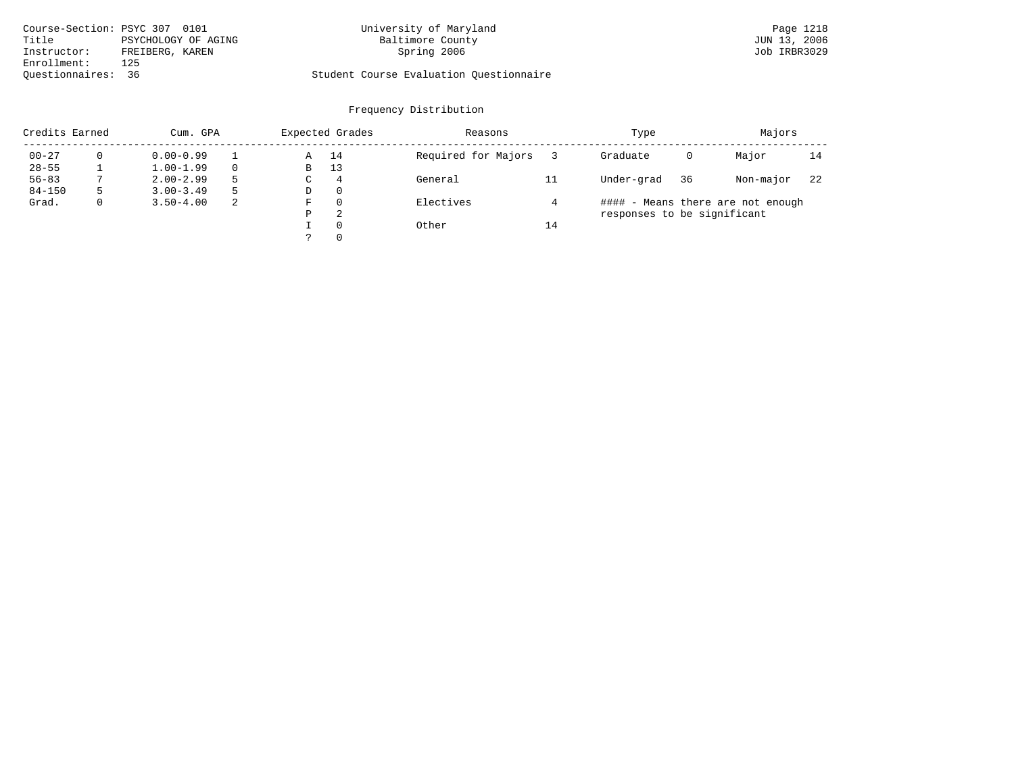| Course-Section: PSYC 307 0101 |                     | University of Maryland                  | Page 1218    |
|-------------------------------|---------------------|-----------------------------------------|--------------|
| Title                         | PSYCHOLOGY OF AGING | Baltimore County                        | JUN 13, 2006 |
| Instructor:                   | FREIBERG, KAREN     | Spring 2006                             | Job IRBR3029 |
| Enrollment:                   | 125                 |                                         |              |
| Ouestionnaires: 36            |                     | Student Course Evaluation Questionnaire |              |

# University of Maryland Baltimore County (Base 1218 of Maryland Page 1218 of Maryland Page 1218 of Maryland Page 1218 of Maryland Page 1218 of Maryland Page 1218 of Maryland Page 1218 of Maryland Page 1218 of Maryland Page

| Credits Earned | Cum. GPA      |          |   | Expected Grades | Reasons             |    | Type                        | Majors |                                   |    |
|----------------|---------------|----------|---|-----------------|---------------------|----|-----------------------------|--------|-----------------------------------|----|
| $00 - 27$      | $0.00 - 0.99$ |          | Α | 14              | Required for Majors |    | Graduate                    | 0      | Major                             | 14 |
| $28 - 55$      | $1.00 - 1.99$ | $\Omega$ | B | 13              |                     |    |                             |        |                                   |    |
| $56 - 83$      | $2.00 - 2.99$ | 5        | C | $\overline{4}$  | General             | 11 | Under-grad                  | 36     | Non-major                         | 22 |
| $84 - 150$     | $3.00 - 3.49$ | 5        | D | -0              |                     |    |                             |        |                                   |    |
| Grad.          | $3.50 - 4.00$ | 2        | F | $\Omega$        | Electives           |    |                             |        | #### - Means there are not enough |    |
|                |               |          | Ρ | 2               |                     |    | responses to be significant |        |                                   |    |
|                |               |          |   | $\Omega$        | Other               | 14 |                             |        |                                   |    |
|                |               |          |   | $\Omega$        |                     |    |                             |        |                                   |    |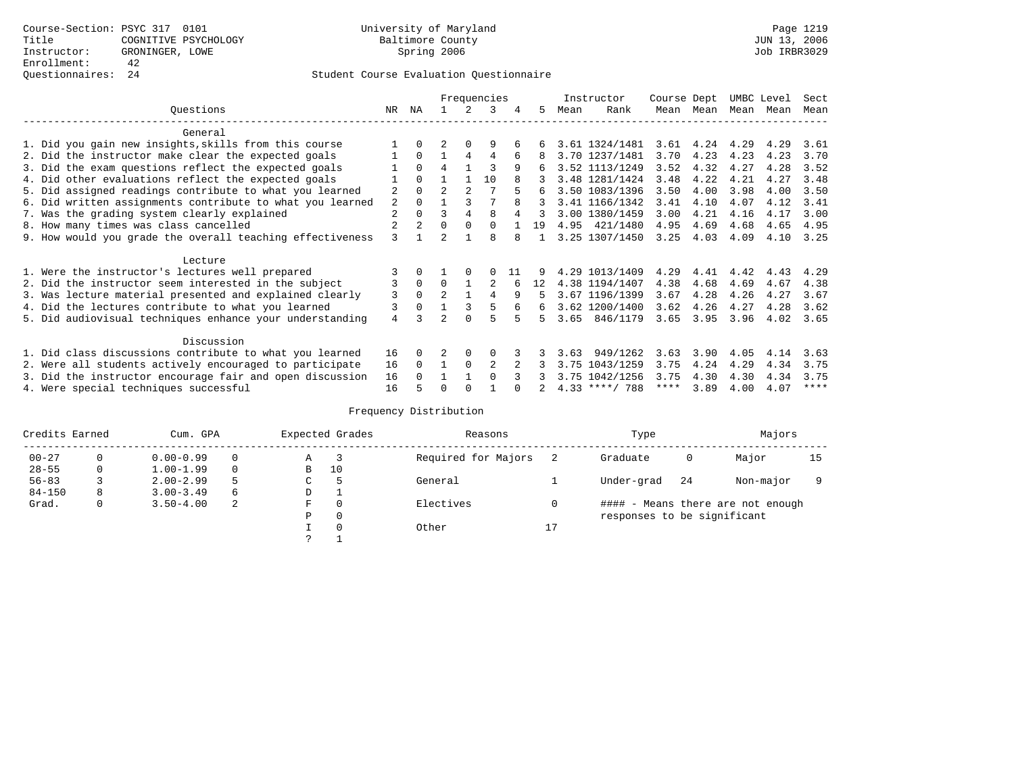|  |                                                           |    |                |                |                | Frequencies |     |    |      | Instructor       | Course Dept |             | UMBC Level |      | Sect        |
|--|-----------------------------------------------------------|----|----------------|----------------|----------------|-------------|-----|----|------|------------------|-------------|-------------|------------|------|-------------|
|  | Ouestions                                                 | NR | ΝA             |                | 2              | 3           | 4   | .5 | Mean | Rank             |             | Mean Mean   | Mean Mean  |      | Mean        |
|  | General                                                   |    |                |                |                |             |     |    |      |                  |             |             |            |      |             |
|  | 1. Did you gain new insights, skills from this course     |    | $\Omega$       | $\mathfrak{D}$ | $\Omega$       | 9           |     |    |      | 3.61 1324/1481   |             | $3.61$ 4.24 | 4.29       | 4.29 | 3.61        |
|  | 2. Did the instructor make clear the expected goals       |    | $\Omega$       |                | 4              | 4           | 6   | 8  |      | 3.70 1237/1481   | 3.70        | 4.23        | 4.23       | 4.23 | 3.70        |
|  | 3. Did the exam questions reflect the expected goals      |    | $\Omega$       | 4              |                | 3           | 9   | 6  |      | 3.52 1113/1249   | 3.52        | 4.32        | 4.27       | 4.28 | 3.52        |
|  | 4. Did other evaluations reflect the expected goals       |    | $\Omega$       |                |                | 10          |     |    |      | 3.48 1281/1424   | 3.48        | 4.22        | 4.21       | 4.27 | 3.48        |
|  | 5. Did assigned readings contribute to what you learned   | 2  | $\Omega$       | $\overline{2}$ | $\overline{2}$ |             |     |    |      | 3.50 1083/1396   | 3.50        | 4.00        | 3.98       | 4.00 | 3.50        |
|  | 6. Did written assignments contribute to what you learned | 2  | $\Omega$       |                |                |             |     | 3  |      | 3.41 1166/1342   | 3.41        | 4.10        | 4.07       | 4.12 | 3.41        |
|  | 7. Was the grading system clearly explained               | 2  | $\Omega$       | ς              | 4              | 8           |     |    |      | 3.00 1380/1459   | 3.00        | 4.21        | 4.16       | 4.17 | 3.00        |
|  | 8. How many times was class cancelled                     |    | $\overline{2}$ | $\Omega$       | $\Omega$       | $\Omega$    |     | 19 |      | 4.95 421/1480    | 4.95        | 4.69        | 4.68       | 4.65 | 4.95        |
|  | 9. How would you grade the overall teaching effectiveness | 3  |                | $\mathfrak{D}$ |                | 8           | 8   |    |      | 3.25 1307/1450   | 3.25        | 4.03        | 4.09       | 4.10 | 3.25        |
|  | Lecture                                                   |    |                |                |                |             |     |    |      |                  |             |             |            |      |             |
|  | 1. Were the instructor's lectures well prepared           |    |                |                |                |             | -11 |    |      | 4.29 1013/1409   | 4.29        | 4.41        | 4.42       | 4.43 | 4.29        |
|  | 2. Did the instructor seem interested in the subject      | 3  | $\Omega$       | $\Omega$       |                | 2           |     | 12 |      | 4.38 1194/1407   | 4.38        | 4.68        | 4.69       | 4.67 | 4.38        |
|  | 3. Was lecture material presented and explained clearly   | 3  | $\Omega$       | $\overline{2}$ |                | 4           | 9   | 5  |      | 3.67 1196/1399   | 3.67        | 4.28        | 4.26       | 4.27 | 3.67        |
|  | 4. Did the lectures contribute to what you learned        | 3  | $\Omega$       |                |                | 5           |     | 6  |      | 3.62 1200/1400   | 3.62        | 4.26        | 4.27       | 4.28 | 3.62        |
|  | 5. Did audiovisual techniques enhance your understanding  | 4  |                | っ              |                | 5           |     | Б. |      | 3.65 846/1179    | 3.65        | 3.95        | 3.96       | 4.02 | 3.65        |
|  | Discussion                                                |    |                |                |                |             |     |    |      |                  |             |             |            |      |             |
|  | 1. Did class discussions contribute to what you learned   | 16 | 0              |                | 0              |             |     |    | 3.63 | 949/1262         | 3.63        | 3.90        | 4.05       | 4.14 | 3.63        |
|  | 2. Were all students actively encouraged to participate   | 16 | $\Omega$       |                | 0              | 2           |     |    | 3.75 | 1043/1259        | 3.75        | 4.24        | 4.29       | 4.34 | 3.75        |
|  | 3. Did the instructor encourage fair and open discussion  | 16 |                |                |                |             |     |    |      | 3.75 1042/1256   | 3.75        | 4.30        | 4.30       | 4.34 | 3.75        |
|  | 4. Were special techniques successful                     | 16 |                |                |                |             |     |    |      | $4.33$ ****/ 788 | ****        | 3.89        | 4.00       | 4.07 | $***$ * * * |

| Credits Earned |          | Cum. GPA      |          |   | Expected Grades | Reasons             | Type |                             |     | Majors                            |    |  |
|----------------|----------|---------------|----------|---|-----------------|---------------------|------|-----------------------------|-----|-----------------------------------|----|--|
| $00 - 27$      | $\Omega$ | $0.00 - 0.99$ |          | Α |                 | Required for Majors |      | Graduate                    | 0   | Major                             | 15 |  |
| $28 - 55$      | 0        | $1.00 - 1.99$ |          | B | 10              |                     |      |                             |     |                                   |    |  |
| $56 - 83$      |          | $2.00 - 2.99$ |          | C |                 | General             |      | Under-grad                  | -24 | Non-major                         |    |  |
| $84 - 150$     | 8        | $3.00 - 3.49$ | $\sigma$ | D | <b>.</b>        |                     |      |                             |     |                                   |    |  |
| Grad.          | 0        | $3.50 - 4.00$ | 2        | F | 0               | Electives           | 0    |                             |     | #### - Means there are not enough |    |  |
|                |          |               |          | Ρ | 0               |                     |      | responses to be significant |     |                                   |    |  |
|                |          |               |          |   | $\Omega$        | Other               | 17   |                             |     |                                   |    |  |
|                |          |               |          | C |                 |                     |      |                             |     |                                   |    |  |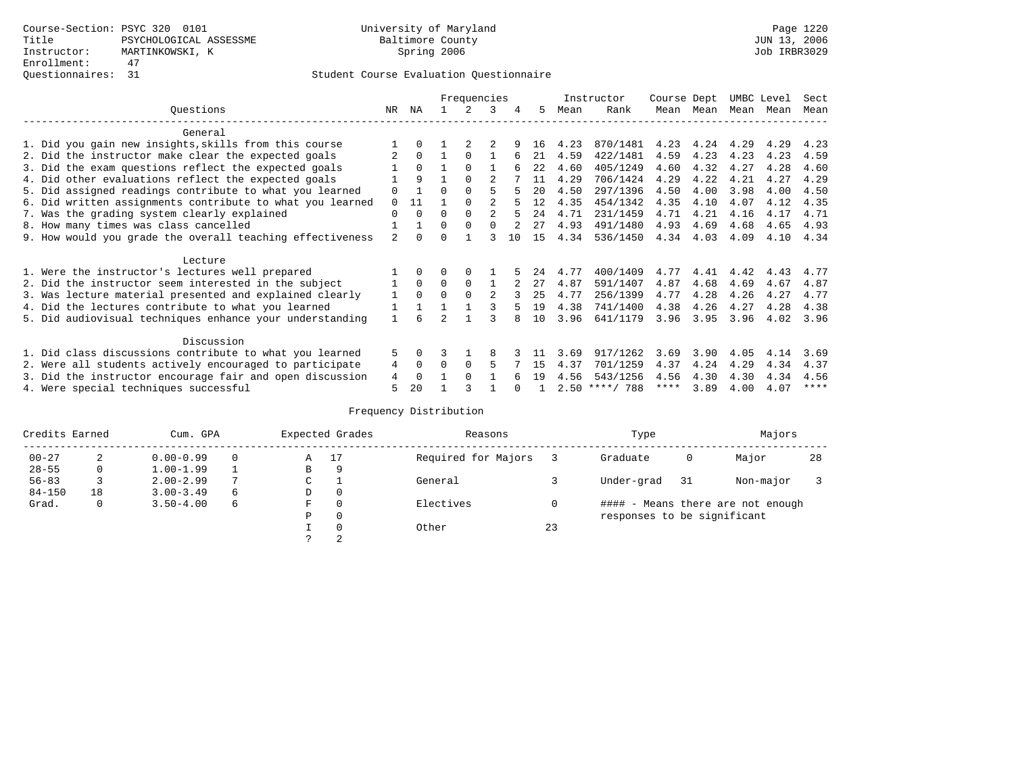|  |                                                           |                |              |   | Frequencies |              |     |      |      | Instructor       | Course Dept |      | UMBC Level |      | Sect |
|--|-----------------------------------------------------------|----------------|--------------|---|-------------|--------------|-----|------|------|------------------|-------------|------|------------|------|------|
|  | Ouestions                                                 | NR.            | ΝA           |   |             | 3            | 4   | 5    | Mean | Rank             | Mean        | Mean | Mean       | Mean | Mean |
|  | General                                                   |                |              |   |             |              |     |      |      |                  |             |      |            |      |      |
|  | 1. Did you gain new insights, skills from this course     |                | 0            |   |             |              |     | 16   | 4.23 | 870/1481         | 4.23        | 4.24 | 4.29       | 4.29 | 4.23 |
|  | 2. Did the instructor make clear the expected goals       |                | $\Omega$     |   | $\Omega$    |              |     | 21   | 4.59 | 422/1481         | 4.59        | 4.23 | 4.23       | 4.23 | 4.59 |
|  | 3. Did the exam questions reflect the expected goals      |                | $\Omega$     |   | $\Omega$    |              |     | 2.2. | 4.60 | 405/1249         | 4.60        | 4.32 | 4.27       | 4.28 | 4.60 |
|  | 4. Did other evaluations reflect the expected goals       |                | 9            |   | $\Omega$    |              |     | 11   | 4.29 | 706/1424         | 4.29        | 4.22 | 4.21       | 4.27 | 4.29 |
|  | 5. Did assigned readings contribute to what you learned   | 0              |              | U | $\Omega$    |              |     | 20   | 4.50 | 297/1396         | 4.50        | 4.00 | 3.98       | 4.00 | 4.50 |
|  | 6. Did written assignments contribute to what you learned | $\Omega$       | 11           |   |             |              |     | 12   | 4.35 | 454/1342         | 4.35        | 4.10 | 4.07       | 4.12 | 4.35 |
|  | 7. Was the grading system clearly explained               | 0              | $\Omega$     |   | $\Omega$    |              |     | 24   | 4.71 | 231/1459         | 4.71        | 4.21 | 4.16       | 4.17 | 4.71 |
|  | 8. How many times was class cancelled                     |                |              | 0 | $\Omega$    | <sup>n</sup> |     | 27   | 4.93 | 491/1480         | 4.93        | 4.69 | 4.68       | 4.65 | 4.93 |
|  | 9. How would you grade the overall teaching effectiveness | $\overline{a}$ | <sup>n</sup> |   |             |              | 1 O | 15   | 4.34 | 536/1450         | 4.34        | 4.03 | 4.09       | 4.10 | 4.34 |
|  |                                                           |                |              |   |             |              |     |      |      |                  |             |      |            |      |      |
|  | Lecture                                                   |                |              |   |             |              |     |      |      |                  |             |      |            |      |      |
|  | 1. Were the instructor's lectures well prepared           |                |              |   |             |              |     | 24   | 4.77 | 400/1409         | 4.77        | 4.41 | 4.42       | 4.43 | 4.77 |
|  | 2. Did the instructor seem interested in the subject      |                | $\Omega$     | 0 | $\Omega$    |              |     | 27   | 4.87 | 591/1407         | 4.87        | 4.68 | 4.69       | 4.67 | 4.87 |
|  | 3. Was lecture material presented and explained clearly   |                | $\Omega$     | 0 | $\Omega$    |              |     | 25   | 4.77 | 256/1399         | 4.77        | 4.28 | 4.26       | 4.27 | 4.77 |
|  | 4. Did the lectures contribute to what you learned        |                |              |   |             |              |     | 19   | 4.38 | 741/1400         | 4.38        | 4.26 | 4.27       | 4.28 | 4.38 |
|  | 5. Did audiovisual techniques enhance your understanding  |                |              | っ |             |              |     | 10   | 3.96 | 641/1179         | 3.96        | 3.95 | 3.96       | 4.02 | 3.96 |
|  |                                                           |                |              |   |             |              |     |      |      |                  |             |      |            |      |      |
|  | Discussion                                                |                |              |   |             |              |     |      |      |                  |             |      |            |      |      |
|  | 1. Did class discussions contribute to what you learned   | 5.             | $\Omega$     |   |             | 8            |     |      | 3.69 | 917/1262         | 3.69        | 3.90 | 4.05       | 4.14 | 3.69 |
|  | 2. Were all students actively encouraged to participate   | 4              | 0            |   | $\Omega$    | 5            |     | 15   | 4.37 | 701/1259         | 4.37        | 4.24 | 4.29       | 4.34 | 4.37 |
|  | 3. Did the instructor encourage fair and open discussion  | 4              |              |   | $\Omega$    |              |     | 19   | 4.56 | 543/1256         | 4.56        | 4.30 | 4.30       | 4.34 | 4.56 |
|  | 4. Were special techniques successful                     | 5              | 20           |   |             |              |     |      |      | $2.50$ ****/ 788 | ****        | 3.89 | 4.00       | 4.07 | **** |

| Credits Earned |    | Cum. GPA      |          |             | Expected Grades<br>Reasons |                     |    | Type                        |     | Majors                            |    |
|----------------|----|---------------|----------|-------------|----------------------------|---------------------|----|-----------------------------|-----|-----------------------------------|----|
| $00 - 27$      | 2  | $0.00 - 0.99$ |          | Α           | 17                         | Required for Majors |    | Graduate                    | 0   | Major                             | 28 |
| $28 - 55$      | 0  | $1.00 - 1.99$ |          | B           | 9                          |                     |    |                             |     |                                   |    |
| $56 - 83$      |    | $2.00 - 2.99$ |          | $\sim$<br>◡ |                            | General             |    | Under-grad                  | -31 | Non-major                         |    |
| $84 - 150$     | 18 | $3.00 - 3.49$ | $\sigma$ | D           | 0                          |                     |    |                             |     |                                   |    |
| Grad.          | 0  | $3.50 - 4.00$ | 6        | F           | 0                          | Electives           | 0  |                             |     | #### - Means there are not enough |    |
|                |    |               |          | Ρ           | 0                          |                     |    | responses to be significant |     |                                   |    |
|                |    |               |          |             | $\Omega$                   | Other               | 23 |                             |     |                                   |    |
|                |    |               |          | C           | 2                          |                     |    |                             |     |                                   |    |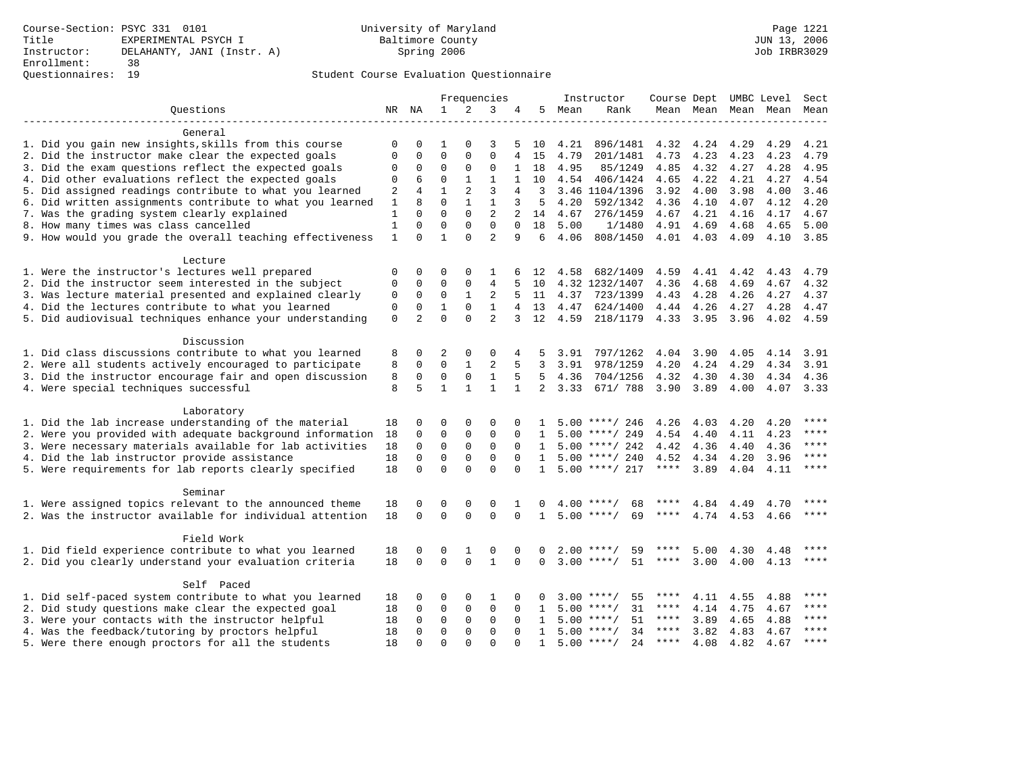| Ouestions<br>$\mathbf{1}$<br>2<br>3<br>5<br>NR NA<br>4<br>Mean<br>Rank<br>Mean Mean<br>Mean Mean<br>General<br>1. Did you gain new insights, skills from this course<br>$\Omega$<br>3<br>4.21<br>896/1481<br>4.32<br>4.24<br>4.29<br>4.29<br>0<br>0<br>1<br>5<br>10<br>$\Omega$<br>$\mathbf 0$<br>2. Did the instructor make clear the expected goals<br>$\mathbf{0}$<br>4.79<br>201/1481<br>4.73<br>4.23<br>4.23<br>4.23<br>$\Omega$<br>0<br>$\overline{4}$<br>15<br>3. Did the exam questions reflect the expected goals<br>$\mathsf 0$<br>$\mathbf 0$<br>$\mathbf{0}$<br>$\mathbf 0$<br>4.95<br>4.85<br>4.32<br>1<br>18<br>85/1249<br>4.27<br>4.28<br>0<br>4. Did other evaluations reflect the expected goals<br>4.22<br>6<br>0<br>1<br>1<br>1<br>10<br>4.54<br>406/1424<br>4.65<br>4.21<br>4.27<br>4.54<br>0<br>5. Did assigned readings contribute to what you learned<br>4<br>$\mathbf{1}$<br>2<br>3<br>4.00<br>4<br>3<br>3.46 1104/1396<br>3.92<br>4.00<br>3.98<br>3.46<br>2<br>6. Did written assignments contribute to what you learned<br>$\mathbf{1}$<br>8<br>$\Omega$<br>$\mathbf{1}$<br>$\mathbf{1}$<br>4.20<br>3<br>5<br>4.20<br>592/1342<br>4.36<br>4.10<br>4.07<br>4.12<br>$\Omega$<br>$\mathbf 0$<br>$\overline{2}$<br>7. Was the grading system clearly explained<br>$\mathbf{1}$<br>$\Omega$<br>$\overline{a}$<br>4.21<br>4.67<br>14<br>4.67<br>276/1459<br>4.67<br>4.16<br>4.17<br>$\Omega$<br>$\Omega$<br>$\Omega$<br>8. How many times was class cancelled<br>$\mathbf{1}$<br>$\Omega$<br>$\Omega$<br>18<br>4.91<br>4.69<br>4.65<br>5.00<br>1/1480<br>4.68<br>$\mathbf{1}$<br>$\Omega$<br>$\mathbf{1}$<br>$\Omega$<br>$\overline{2}$<br>9. How would you grade the overall teaching effectiveness<br>9<br>6<br>4.06<br>808/1450<br>4.01 4.03<br>4.09<br>4.10<br>Lecture | Mean                                                                                                         |
|------------------------------------------------------------------------------------------------------------------------------------------------------------------------------------------------------------------------------------------------------------------------------------------------------------------------------------------------------------------------------------------------------------------------------------------------------------------------------------------------------------------------------------------------------------------------------------------------------------------------------------------------------------------------------------------------------------------------------------------------------------------------------------------------------------------------------------------------------------------------------------------------------------------------------------------------------------------------------------------------------------------------------------------------------------------------------------------------------------------------------------------------------------------------------------------------------------------------------------------------------------------------------------------------------------------------------------------------------------------------------------------------------------------------------------------------------------------------------------------------------------------------------------------------------------------------------------------------------------------------------------------------------------------------------------------------------------------------------------------------------------------------------------------------|--------------------------------------------------------------------------------------------------------------|
|                                                                                                                                                                                                                                                                                                                                                                                                                                                                                                                                                                                                                                                                                                                                                                                                                                                                                                                                                                                                                                                                                                                                                                                                                                                                                                                                                                                                                                                                                                                                                                                                                                                                                                                                                                                                |                                                                                                              |
|                                                                                                                                                                                                                                                                                                                                                                                                                                                                                                                                                                                                                                                                                                                                                                                                                                                                                                                                                                                                                                                                                                                                                                                                                                                                                                                                                                                                                                                                                                                                                                                                                                                                                                                                                                                                |                                                                                                              |
|                                                                                                                                                                                                                                                                                                                                                                                                                                                                                                                                                                                                                                                                                                                                                                                                                                                                                                                                                                                                                                                                                                                                                                                                                                                                                                                                                                                                                                                                                                                                                                                                                                                                                                                                                                                                |                                                                                                              |
|                                                                                                                                                                                                                                                                                                                                                                                                                                                                                                                                                                                                                                                                                                                                                                                                                                                                                                                                                                                                                                                                                                                                                                                                                                                                                                                                                                                                                                                                                                                                                                                                                                                                                                                                                                                                | 4.21                                                                                                         |
|                                                                                                                                                                                                                                                                                                                                                                                                                                                                                                                                                                                                                                                                                                                                                                                                                                                                                                                                                                                                                                                                                                                                                                                                                                                                                                                                                                                                                                                                                                                                                                                                                                                                                                                                                                                                | 4.79                                                                                                         |
|                                                                                                                                                                                                                                                                                                                                                                                                                                                                                                                                                                                                                                                                                                                                                                                                                                                                                                                                                                                                                                                                                                                                                                                                                                                                                                                                                                                                                                                                                                                                                                                                                                                                                                                                                                                                | 4.95                                                                                                         |
|                                                                                                                                                                                                                                                                                                                                                                                                                                                                                                                                                                                                                                                                                                                                                                                                                                                                                                                                                                                                                                                                                                                                                                                                                                                                                                                                                                                                                                                                                                                                                                                                                                                                                                                                                                                                |                                                                                                              |
|                                                                                                                                                                                                                                                                                                                                                                                                                                                                                                                                                                                                                                                                                                                                                                                                                                                                                                                                                                                                                                                                                                                                                                                                                                                                                                                                                                                                                                                                                                                                                                                                                                                                                                                                                                                                |                                                                                                              |
|                                                                                                                                                                                                                                                                                                                                                                                                                                                                                                                                                                                                                                                                                                                                                                                                                                                                                                                                                                                                                                                                                                                                                                                                                                                                                                                                                                                                                                                                                                                                                                                                                                                                                                                                                                                                |                                                                                                              |
|                                                                                                                                                                                                                                                                                                                                                                                                                                                                                                                                                                                                                                                                                                                                                                                                                                                                                                                                                                                                                                                                                                                                                                                                                                                                                                                                                                                                                                                                                                                                                                                                                                                                                                                                                                                                |                                                                                                              |
|                                                                                                                                                                                                                                                                                                                                                                                                                                                                                                                                                                                                                                                                                                                                                                                                                                                                                                                                                                                                                                                                                                                                                                                                                                                                                                                                                                                                                                                                                                                                                                                                                                                                                                                                                                                                |                                                                                                              |
|                                                                                                                                                                                                                                                                                                                                                                                                                                                                                                                                                                                                                                                                                                                                                                                                                                                                                                                                                                                                                                                                                                                                                                                                                                                                                                                                                                                                                                                                                                                                                                                                                                                                                                                                                                                                | 5.00                                                                                                         |
|                                                                                                                                                                                                                                                                                                                                                                                                                                                                                                                                                                                                                                                                                                                                                                                                                                                                                                                                                                                                                                                                                                                                                                                                                                                                                                                                                                                                                                                                                                                                                                                                                                                                                                                                                                                                | 3.85                                                                                                         |
|                                                                                                                                                                                                                                                                                                                                                                                                                                                                                                                                                                                                                                                                                                                                                                                                                                                                                                                                                                                                                                                                                                                                                                                                                                                                                                                                                                                                                                                                                                                                                                                                                                                                                                                                                                                                |                                                                                                              |
|                                                                                                                                                                                                                                                                                                                                                                                                                                                                                                                                                                                                                                                                                                                                                                                                                                                                                                                                                                                                                                                                                                                                                                                                                                                                                                                                                                                                                                                                                                                                                                                                                                                                                                                                                                                                |                                                                                                              |
| 1. Were the instructor's lectures well prepared                                                                                                                                                                                                                                                                                                                                                                                                                                                                                                                                                                                                                                                                                                                                                                                                                                                                                                                                                                                                                                                                                                                                                                                                                                                                                                                                                                                                                                                                                                                                                                                                                                                                                                                                                | 4.58<br>682/1409<br>4.59<br>$\Omega$<br>$\Omega$<br>$\Omega$<br>12<br>4.41<br>4.42<br>4.43<br>4.79<br>0<br>1 |
| 2. Did the instructor seem interested in the subject<br>$\mathsf 0$<br>$\mathbf 0$<br>$\mathbf 0$<br>$\mathbf{0}$<br>4<br>5<br>4.32 1232/1407<br>4.36<br>4.69<br>10<br>4.68<br>4.67                                                                                                                                                                                                                                                                                                                                                                                                                                                                                                                                                                                                                                                                                                                                                                                                                                                                                                                                                                                                                                                                                                                                                                                                                                                                                                                                                                                                                                                                                                                                                                                                            | 4.32                                                                                                         |
| 3. Was lecture material presented and explained clearly<br>$\mathbf 0$<br>0<br>1<br>2<br>5<br>11<br>4.37 723/1399<br>4.43<br>4.28<br>4.26<br>4.27<br>0                                                                                                                                                                                                                                                                                                                                                                                                                                                                                                                                                                                                                                                                                                                                                                                                                                                                                                                                                                                                                                                                                                                                                                                                                                                                                                                                                                                                                                                                                                                                                                                                                                         | 4.37                                                                                                         |
| $\mathbf{1}$<br>4. Did the lectures contribute to what you learned<br>$\mathbf 0$<br>$\mathbf 0$<br>$\mathbf{1}$<br>$\mathbf 0$<br>13<br>4.47<br>624/1400<br>4.44 4.26<br>4.28<br>$\overline{4}$<br>4.27                                                                                                                                                                                                                                                                                                                                                                                                                                                                                                                                                                                                                                                                                                                                                                                                                                                                                                                                                                                                                                                                                                                                                                                                                                                                                                                                                                                                                                                                                                                                                                                       | 4.47                                                                                                         |
| $\Omega$<br>$\overline{a}$<br>5. Did audiovisual techniques enhance your understanding<br>$\Omega$<br>$\overline{a}$<br>$\Omega$<br>12<br>4.59<br>3<br>218/1179<br>4.33 3.95<br>3.96<br>4.02                                                                                                                                                                                                                                                                                                                                                                                                                                                                                                                                                                                                                                                                                                                                                                                                                                                                                                                                                                                                                                                                                                                                                                                                                                                                                                                                                                                                                                                                                                                                                                                                   | 4.59                                                                                                         |
|                                                                                                                                                                                                                                                                                                                                                                                                                                                                                                                                                                                                                                                                                                                                                                                                                                                                                                                                                                                                                                                                                                                                                                                                                                                                                                                                                                                                                                                                                                                                                                                                                                                                                                                                                                                                |                                                                                                              |
| Discussion                                                                                                                                                                                                                                                                                                                                                                                                                                                                                                                                                                                                                                                                                                                                                                                                                                                                                                                                                                                                                                                                                                                                                                                                                                                                                                                                                                                                                                                                                                                                                                                                                                                                                                                                                                                     |                                                                                                              |
| 1. Did class discussions contribute to what you learned<br>0<br>2<br>3.91<br>797/1262<br>4.04<br>3.90<br>4.05<br>4.14<br>8<br>$\Omega$<br>0<br>4<br>5                                                                                                                                                                                                                                                                                                                                                                                                                                                                                                                                                                                                                                                                                                                                                                                                                                                                                                                                                                                                                                                                                                                                                                                                                                                                                                                                                                                                                                                                                                                                                                                                                                          | 3.91                                                                                                         |
| 2. Were all students actively encouraged to participate<br>$\mathbf 0$<br>$\mathbf{1}$<br>2<br>5<br>3.91<br>978/1259<br>4.20<br>4.24<br>4.29<br>8<br>$\mathbf 0$<br>3<br>4.34                                                                                                                                                                                                                                                                                                                                                                                                                                                                                                                                                                                                                                                                                                                                                                                                                                                                                                                                                                                                                                                                                                                                                                                                                                                                                                                                                                                                                                                                                                                                                                                                                  | 3.91                                                                                                         |
| 3. Did the instructor encourage fair and open discussion<br>8<br>$\mathbf 0$<br>$\mathbf 0$<br>$\mathsf 0$<br>$\mathbf{1}$<br>5<br>5<br>4.36<br>704/1256<br>4.30<br>4.32<br>4.30<br>4.34                                                                                                                                                                                                                                                                                                                                                                                                                                                                                                                                                                                                                                                                                                                                                                                                                                                                                                                                                                                                                                                                                                                                                                                                                                                                                                                                                                                                                                                                                                                                                                                                       | 4.36                                                                                                         |
| 8<br>5<br>$\mathbf{1}$<br>$\mathbf{1}$<br>$\overline{a}$<br>4. Were special techniques successful<br>$\mathbf{1}$<br>$\mathbf{1}$<br>3.33<br>671/ 788<br>3.90<br>3.89<br>4.00                                                                                                                                                                                                                                                                                                                                                                                                                                                                                                                                                                                                                                                                                                                                                                                                                                                                                                                                                                                                                                                                                                                                                                                                                                                                                                                                                                                                                                                                                                                                                                                                                  | 4.07 3.33                                                                                                    |
|                                                                                                                                                                                                                                                                                                                                                                                                                                                                                                                                                                                                                                                                                                                                                                                                                                                                                                                                                                                                                                                                                                                                                                                                                                                                                                                                                                                                                                                                                                                                                                                                                                                                                                                                                                                                |                                                                                                              |
| Laboratory                                                                                                                                                                                                                                                                                                                                                                                                                                                                                                                                                                                                                                                                                                                                                                                                                                                                                                                                                                                                                                                                                                                                                                                                                                                                                                                                                                                                                                                                                                                                                                                                                                                                                                                                                                                     |                                                                                                              |
| 1. Did the lab increase understanding of the material<br>0<br>$\Omega$<br>$\Omega$<br>$\Omega$<br>18<br>$5.00$ ****/ 246<br>4.26<br>4.03<br>4.20<br>4.20                                                                                                                                                                                                                                                                                                                                                                                                                                                                                                                                                                                                                                                                                                                                                                                                                                                                                                                                                                                                                                                                                                                                                                                                                                                                                                                                                                                                                                                                                                                                                                                                                                       | ****                                                                                                         |
| 2. Were you provided with adequate background information<br>$\mathbf 0$<br>$\mathbf 0$<br>$\mathbf{0}$<br>$\mathbf 0$<br>18<br>0<br>$5.00$ ****/ 249<br>4.54<br>4.40<br>4.11<br>4.23<br>$\mathbf{1}$                                                                                                                                                                                                                                                                                                                                                                                                                                                                                                                                                                                                                                                                                                                                                                                                                                                                                                                                                                                                                                                                                                                                                                                                                                                                                                                                                                                                                                                                                                                                                                                          | $***$                                                                                                        |
| 3. Were necessary materials available for lab activities<br>18<br>$\mathbf 0$<br>$\mathbf 0$<br>$\mathbf 0$<br>$\mathbf 0$<br>$5.00$ ****/ 242<br>4.42<br>4.36<br>4.36<br>$\Omega$<br>4.40<br>1                                                                                                                                                                                                                                                                                                                                                                                                                                                                                                                                                                                                                                                                                                                                                                                                                                                                                                                                                                                                                                                                                                                                                                                                                                                                                                                                                                                                                                                                                                                                                                                                | ****                                                                                                         |
| 4. Did the lab instructor provide assistance<br>$\Omega$<br>$\mathbf 0$<br>$\mathbf 0$<br>$5.00$ ****/ 240<br>4.52<br>18<br>0<br>$\Omega$<br>4.34<br>4.20<br>3.96<br>$\mathbf{1}$                                                                                                                                                                                                                                                                                                                                                                                                                                                                                                                                                                                                                                                                                                                                                                                                                                                                                                                                                                                                                                                                                                                                                                                                                                                                                                                                                                                                                                                                                                                                                                                                              | $* * * *$                                                                                                    |
| $\Omega$<br>$\Omega$<br>$\Omega$<br>$\Omega$<br>$5.00$ ****/ 217<br>****<br>3.89<br>4.11<br>5. Were requirements for lab reports clearly specified<br>18<br>$\Omega$<br>4.04<br>$\mathbf{1}$                                                                                                                                                                                                                                                                                                                                                                                                                                                                                                                                                                                                                                                                                                                                                                                                                                                                                                                                                                                                                                                                                                                                                                                                                                                                                                                                                                                                                                                                                                                                                                                                   | $***$                                                                                                        |
|                                                                                                                                                                                                                                                                                                                                                                                                                                                                                                                                                                                                                                                                                                                                                                                                                                                                                                                                                                                                                                                                                                                                                                                                                                                                                                                                                                                                                                                                                                                                                                                                                                                                                                                                                                                                |                                                                                                              |
| Seminar                                                                                                                                                                                                                                                                                                                                                                                                                                                                                                                                                                                                                                                                                                                                                                                                                                                                                                                                                                                                                                                                                                                                                                                                                                                                                                                                                                                                                                                                                                                                                                                                                                                                                                                                                                                        |                                                                                                              |
| 1. Were assigned topics relevant to the announced theme<br>18<br>0<br>0<br>0<br>$\Omega$<br>$4.00$ ****/<br>68<br>****<br>4.84<br>1<br>$\Omega$<br>4.49<br>4.70                                                                                                                                                                                                                                                                                                                                                                                                                                                                                                                                                                                                                                                                                                                                                                                                                                                                                                                                                                                                                                                                                                                                                                                                                                                                                                                                                                                                                                                                                                                                                                                                                                | ****                                                                                                         |
| 2. Was the instructor available for individual attention<br>$\Omega$<br>$\Omega$<br>$\Omega$<br>$\Omega$<br>69<br>18<br>$\Omega$<br>$\mathbf{1}$<br>$5.00$ ****/<br>****<br>4.74 4.53 4.66                                                                                                                                                                                                                                                                                                                                                                                                                                                                                                                                                                                                                                                                                                                                                                                                                                                                                                                                                                                                                                                                                                                                                                                                                                                                                                                                                                                                                                                                                                                                                                                                     | $***$                                                                                                        |
|                                                                                                                                                                                                                                                                                                                                                                                                                                                                                                                                                                                                                                                                                                                                                                                                                                                                                                                                                                                                                                                                                                                                                                                                                                                                                                                                                                                                                                                                                                                                                                                                                                                                                                                                                                                                |                                                                                                              |
| Field Work                                                                                                                                                                                                                                                                                                                                                                                                                                                                                                                                                                                                                                                                                                                                                                                                                                                                                                                                                                                                                                                                                                                                                                                                                                                                                                                                                                                                                                                                                                                                                                                                                                                                                                                                                                                     |                                                                                                              |
| 1. Did field experience contribute to what you learned<br>$2.00$ ****/<br>59<br>****<br>5.00<br>4.30<br>18<br>0<br>0<br>1<br>0<br>$\Omega$<br>$\Omega$<br>4.48                                                                                                                                                                                                                                                                                                                                                                                                                                                                                                                                                                                                                                                                                                                                                                                                                                                                                                                                                                                                                                                                                                                                                                                                                                                                                                                                                                                                                                                                                                                                                                                                                                 | ****                                                                                                         |
| $\mathbf 0$<br>$3.00$ ****/<br>51<br>2. Did you clearly understand your evaluation criteria<br>18<br>$\mathbf 0$<br>$\mathbf 0$<br>$\mathbf{1}$<br>$***$ * * *<br>3.00<br>4.00<br>$\Omega$<br>$\mathbf 0$<br>4.13                                                                                                                                                                                                                                                                                                                                                                                                                                                                                                                                                                                                                                                                                                                                                                                                                                                                                                                                                                                                                                                                                                                                                                                                                                                                                                                                                                                                                                                                                                                                                                              | ****                                                                                                         |
|                                                                                                                                                                                                                                                                                                                                                                                                                                                                                                                                                                                                                                                                                                                                                                                                                                                                                                                                                                                                                                                                                                                                                                                                                                                                                                                                                                                                                                                                                                                                                                                                                                                                                                                                                                                                |                                                                                                              |
| Self Paced                                                                                                                                                                                                                                                                                                                                                                                                                                                                                                                                                                                                                                                                                                                                                                                                                                                                                                                                                                                                                                                                                                                                                                                                                                                                                                                                                                                                                                                                                                                                                                                                                                                                                                                                                                                     |                                                                                                              |
| 1. Did self-paced system contribute to what you learned<br>18<br>$\Omega$<br>$\Omega$<br>1<br>$\Omega$<br>55<br>****<br>4.11<br>0<br>$3.00$ ****/<br>4.55<br>4.88                                                                                                                                                                                                                                                                                                                                                                                                                                                                                                                                                                                                                                                                                                                                                                                                                                                                                                                                                                                                                                                                                                                                                                                                                                                                                                                                                                                                                                                                                                                                                                                                                              | ****                                                                                                         |
| 2. Did study questions make clear the expected goal<br>$\mathbf 0$<br>0<br>0<br>5.00<br>31<br>4.14<br>4.75<br>4.67<br>18<br>$\Omega$<br>$\Omega$<br>$\mathbf{1}$<br>$***/$<br>****                                                                                                                                                                                                                                                                                                                                                                                                                                                                                                                                                                                                                                                                                                                                                                                                                                                                                                                                                                                                                                                                                                                                                                                                                                                                                                                                                                                                                                                                                                                                                                                                             | $***$                                                                                                        |
| 3. Were your contacts with the instructor helpful<br>18<br>$\Omega$<br>0<br>0<br>0<br>$5.00$ ****/<br>51<br>****<br>3.89<br>4.65<br>4.88<br>$\Omega$<br>$\mathbf{1}$                                                                                                                                                                                                                                                                                                                                                                                                                                                                                                                                                                                                                                                                                                                                                                                                                                                                                                                                                                                                                                                                                                                                                                                                                                                                                                                                                                                                                                                                                                                                                                                                                           | $***$                                                                                                        |
| $5.00$ ****/<br>4. Was the feedback/tutoring by proctors helpful<br>$\mathbf 0$<br>$\mathbf{0}$<br>0<br>34<br>$***$ * * *<br>3.82<br>4.83<br>18<br>0<br>$\Omega$<br>4.67<br>$\mathbf{1}$                                                                                                                                                                                                                                                                                                                                                                                                                                                                                                                                                                                                                                                                                                                                                                                                                                                                                                                                                                                                                                                                                                                                                                                                                                                                                                                                                                                                                                                                                                                                                                                                       | $***$ * * *                                                                                                  |
| $\Omega$<br>$5.00$ ****/<br>24<br>$***$ * * *<br>4.08<br>5. Were there enough proctors for all the students<br>18<br>$\Omega$<br>$\Omega$<br>$\Omega$<br>4.82<br>4.67<br>$\Omega$<br>$\mathbf{1}$                                                                                                                                                                                                                                                                                                                                                                                                                                                                                                                                                                                                                                                                                                                                                                                                                                                                                                                                                                                                                                                                                                                                                                                                                                                                                                                                                                                                                                                                                                                                                                                              | $* * * *$                                                                                                    |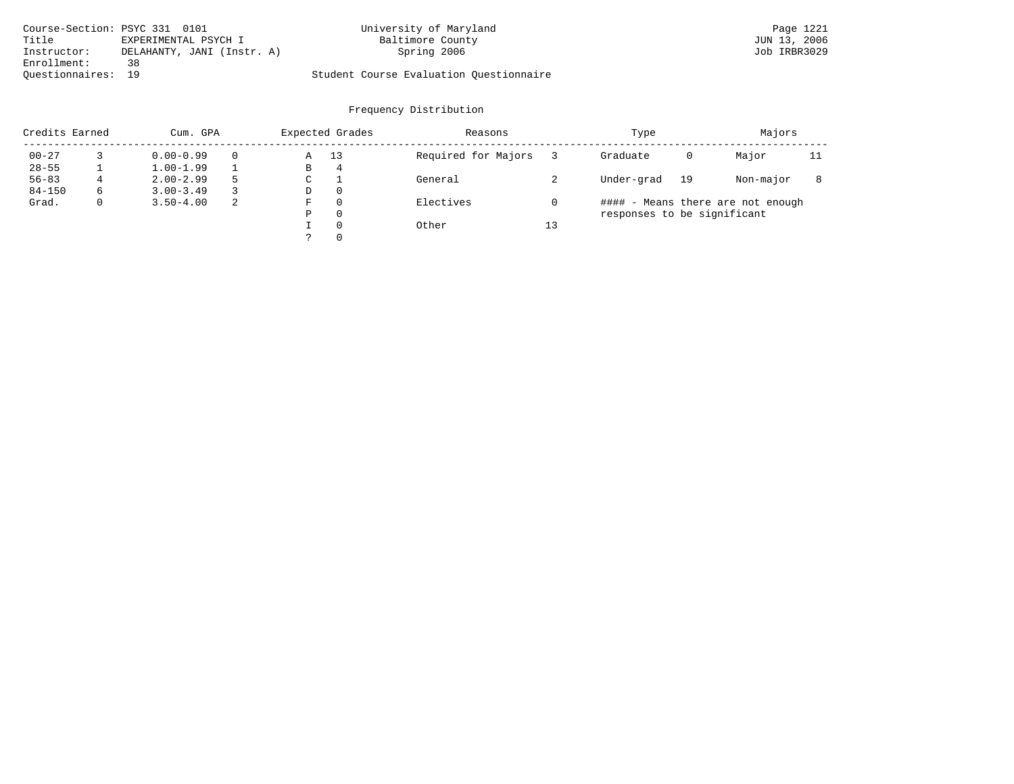| Course-Section: PSYC 331 0101 |                            | University of Maryland                  | Page 1221    |
|-------------------------------|----------------------------|-----------------------------------------|--------------|
| Title                         | EXPERIMENTAL PSYCH I       | Baltimore County                        | JUN 13, 2006 |
| Instructor:                   | DELAHANTY, JANI (Instr. A) | Spring 2006                             | Job IRBR3029 |
| Enrollment:                   | 38                         |                                         |              |
| Ouestionnaires: 19            |                            | Student Course Evaluation Questionnaire |              |

| Credits Earned |   | Cum. GPA      |   | Expected Grades |          | Reasons             |    | Type                        |    | Majors                            |    |
|----------------|---|---------------|---|-----------------|----------|---------------------|----|-----------------------------|----|-----------------------------------|----|
| $00 - 27$      |   | $0.00 - 0.99$ |   | Α               | 13       | Required for Majors |    | Graduate                    | 0  | Major                             | 11 |
| $28 - 55$      |   | $1.00 - 1.99$ |   | В               | 4        |                     |    |                             |    |                                   |    |
| $56 - 83$      | 4 | $2.00 - 2.99$ | 5 | $\sim$<br>◡     |          | General             |    | Under-grad                  | 19 | Non-major                         |    |
| $84 - 150$     | 6 | $3.00 - 3.49$ |   | D               | 0        |                     |    |                             |    |                                   |    |
| Grad.          | 0 | $3.50 - 4.00$ | 2 | F               | 0        | Electives           |    |                             |    | #### - Means there are not enough |    |
|                |   |               |   | Ρ               | 0        |                     |    | responses to be significant |    |                                   |    |
|                |   |               |   |                 | $\Omega$ | Other               | 13 |                             |    |                                   |    |
|                |   |               |   | っ               | 0        |                     |    |                             |    |                                   |    |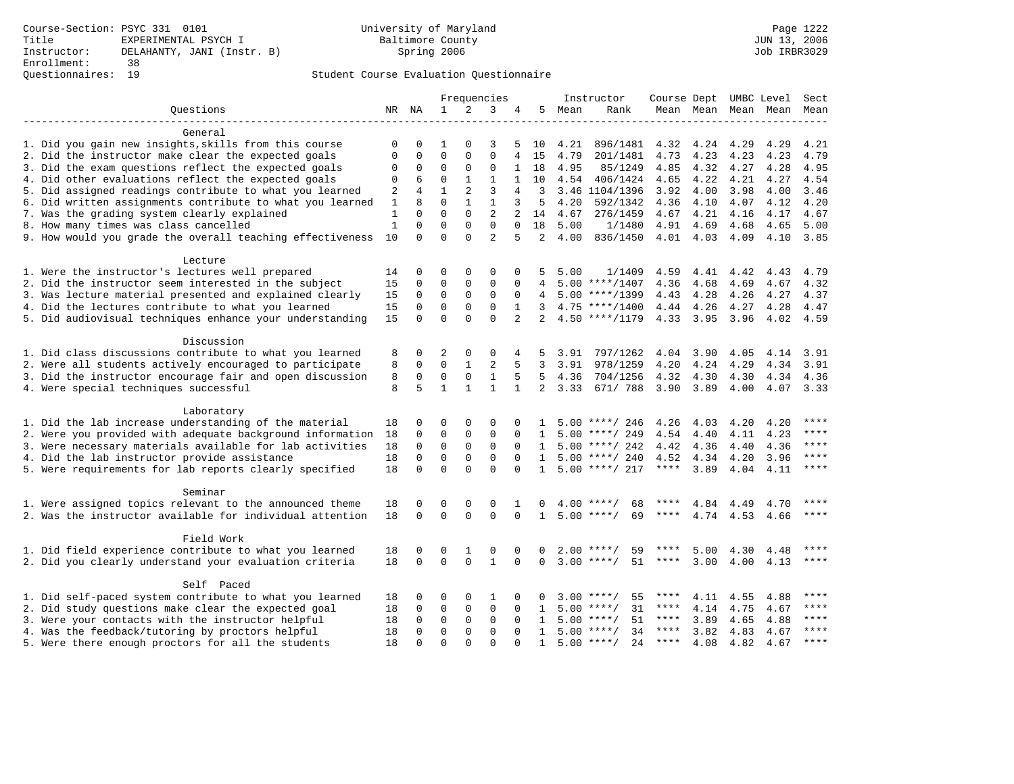|                                                           |              |             |              |              | Frequencies    |                |                |      | Instructor         | Course Dept UMBC Level Sect |      |           |                     |       |
|-----------------------------------------------------------|--------------|-------------|--------------|--------------|----------------|----------------|----------------|------|--------------------|-----------------------------|------|-----------|---------------------|-------|
| Questions                                                 |              | NR NA       | $\mathbf{1}$ | 2            | 3              | 4              | 5              | Mean | Rank               |                             |      |           | Mean Mean Mean Mean | Mean  |
| General                                                   |              |             |              |              |                |                |                |      |                    |                             |      |           |                     |       |
| 1. Did you gain new insights, skills from this course     | 0            | 0           | $\mathbf{1}$ | $\Omega$     | 3              | 5              | 10             | 4.21 | 896/1481           | 4.32                        | 4.24 | 4.29      | 4.29                | 4.21  |
| 2. Did the instructor make clear the expected goals       | $\Omega$     | $\mathbf 0$ | $\mathbf 0$  | $\mathbf{0}$ | $\mathbf 0$    | 4              | 15             | 4.79 | 201/1481           | 4.73                        | 4.23 | 4.23      | 4.23                | 4.79  |
| 3. Did the exam questions reflect the expected goals      | 0            | $\mathsf 0$ | $\mathbf 0$  | $\mathbf{0}$ | 0              | 1              | 18             | 4.95 | 85/1249            | 4.85                        | 4.32 | 4.27      | 4.28                | 4.95  |
| 4. Did other evaluations reflect the expected goals       | 0            | 6           | $\mathbf 0$  | $\mathbf{1}$ | $\mathbf{1}$   | $\mathbf{1}$   | 10             | 4.54 | 406/1424           | 4.65                        | 4.22 | 4.21      | 4.27                | 4.54  |
| 5. Did assigned readings contribute to what you learned   | 2            | 4           | $\mathbf{1}$ | 2            | 3              | 4              | 3              |      | 3.46 1104/1396     | 3.92                        | 4.00 | 3.98      | 4.00                | 3.46  |
| 6. Did written assignments contribute to what you learned | $\mathbf{1}$ | 8           | $\Omega$     | $\mathbf{1}$ | $\mathbf{1}$   | 3              | 5              | 4.20 | 592/1342           | 4.36                        | 4.10 | 4.07      | 4.12                | 4.20  |
| 7. Was the grading system clearly explained               | 1            | $\Omega$    | $\Omega$     | $\Omega$     | $\overline{2}$ | 2              | 14             | 4.67 | 276/1459           | 4.67                        | 4.21 | 4.16      | 4.17                | 4.67  |
| 8. How many times was class cancelled                     | $\mathbf{1}$ | $\Omega$    | $\Omega$     | $\Omega$     | $\Omega$       | $\Omega$       | 18             | 5.00 | 1/1480             | 4.91                        | 4.69 | 4.68      | 4.65                | 5.00  |
| 9. How would you grade the overall teaching effectiveness | 10           | $\Omega$    | $\Omega$     | $\Omega$     | $\overline{2}$ | 5              | 2              | 4.00 | 836/1450           | 4.01 4.03                   |      | 4.09      | 4.10                | 3.85  |
|                                                           |              |             |              |              |                |                |                |      |                    |                             |      |           |                     |       |
| Lecture                                                   |              |             |              |              |                |                |                |      |                    |                             |      |           |                     |       |
| 1. Were the instructor's lectures well prepared           | 14           | 0           | 0            | 0            | 0              | 0              | 5              | 5.00 | 1/1409             | 4.59                        | 4.41 | 4.42      | 4.43                | 4.79  |
| 2. Did the instructor seem interested in the subject      | 15           | $\mathbf 0$ | $\mathbf 0$  | $\mathbf{0}$ | 0              | 0              | 4              |      | $5.00$ ****/1407   | 4.36                        | 4.68 | 4.69      | 4.67                | 4.32  |
| 3. Was lecture material presented and explained clearly   | 15           | 0           | $\mathbf 0$  | 0            | 0              | 0              |                |      | $5.00$ ****/1399   | 4.43                        | 4.28 | 4.26      | 4.27                | 4.37  |
| 4. Did the lectures contribute to what you learned        | 15           | $\mathbf 0$ | $\mathbf 0$  | $\mathbf{0}$ | 0              | $\mathbf{1}$   | 3              |      | $4.75$ ****/1400   | 4.44 4.26                   |      |           | 4.27 4.28           | 4.47  |
| 5. Did audiovisual techniques enhance your understanding  | 15           | $\mathbf 0$ | $\mathbf 0$  | $\Omega$     | $\Omega$       | $\overline{a}$ | 2              |      | $4.50$ ****/1179   | 4.33 3.95                   |      | 3.96      | 4.02                | 4.59  |
| Discussion                                                |              |             |              |              |                |                |                |      |                    |                             |      |           |                     |       |
| 1. Did class discussions contribute to what you learned   | 8            | 0           | 2            | 0            | 0              | 4              | 5              | 3.91 | 797/1262           | 4.04                        | 3.90 | 4.05      | 4.14                | 3.91  |
| 2. Were all students actively encouraged to participate   | 8            | $\mathbf 0$ | 0            | 1            | 2              | 5              | 3              | 3.91 | 978/1259           | 4.20                        | 4.24 | 4.29      | 4.34                | 3.91  |
| 3. Did the instructor encourage fair and open discussion  | 8            | $\mathbf 0$ | $\mathbf 0$  | $\mathbf 0$  | $\mathbf{1}$   | 5              | 5              | 4.36 | 704/1256           | 4.32                        | 4.30 | 4.30      | 4.34                | 4.36  |
| 4. Were special techniques successful                     | 8            | 5           | $\mathbf{1}$ | $\mathbf{1}$ | $\mathbf{1}$   | $\mathbf{1}$   | $\overline{2}$ | 3.33 | 671/ 788           | 3.90 3.89                   |      | 4.00      | 4.07                | 3.33  |
|                                                           |              |             |              |              |                |                |                |      |                    |                             |      |           |                     |       |
| Laboratory                                                |              |             |              |              |                |                |                |      |                    |                             |      |           |                     |       |
| 1. Did the lab increase understanding of the material     | 18           | 0           | $\Omega$     | $\mathbf{0}$ | 0              | $\Omega$       | $\mathbf{1}$   |      | $5.00$ ****/ 246   | 4.26                        | 4.03 | 4.20      | 4.20                | ****  |
| 2. Were you provided with adequate background information | 18           | $\mathbf 0$ | $\mathbf 0$  | $\mathbf{0}$ | 0              | 0              | 1              |      | $5.00$ ****/ 249   | 4.54                        | 4.40 |           | 4.11 4.23           | $***$ |
| 3. Were necessary materials available for lab activities  | 18           | $\mathbf 0$ | $\mathbf 0$  | $\mathbf 0$  | 0              | $\Omega$       | $\mathbf{1}$   |      | $5.00$ ****/ 242   | 4.42                        | 4.36 | 4.40      | 4.36                | ****  |
| 4. Did the lab instructor provide assistance              | 18           | $\Omega$    | $\Omega$     | $\Omega$     | $\Omega$       | $\Omega$       | 1              |      | $5.00$ ****/ 240   | 4.52                        | 4.34 | 4.20      | 3.96                | $***$ |
| 5. Were requirements for lab reports clearly specified    | 18           | $\mathbf 0$ | $\mathbf 0$  | $\Omega$     | $\Omega$       | $\Omega$       | $\mathbf{1}$   |      | $5.00$ ****/ 217   | $***$ * * *                 | 3.89 | 4.04      | 4.11                | ****  |
| Seminar                                                   |              |             |              |              |                |                |                |      |                    |                             |      |           |                     |       |
| 1. Were assigned topics relevant to the announced theme   | 18           | 0           | $\mathbf 0$  | 0            | 0              | 1              | 0              |      | $4.00$ ****/<br>68 | ****                        | 4.84 | 4.49      | 4.70                | ****  |
| 2. Was the instructor available for individual attention  | 18           | $\Omega$    | $\Omega$     | $\Omega$     | $\Omega$       | $\Omega$       | $\mathbf{1}$   |      | 69<br>$5.00$ ****/ | ****                        | 4.74 | 4.53 4.66 |                     | $***$ |
|                                                           |              |             |              |              |                |                |                |      |                    |                             |      |           |                     |       |
| Field Work                                                |              |             |              |              |                |                |                |      |                    |                             |      |           |                     |       |
| 1. Did field experience contribute to what you learned    | 18           | 0           | 0            | 1            | 0              | 0              | 0              |      | $2.00$ ****/<br>59 | ****                        | 5.00 | 4.30      | 4.48                | ****  |
| 2. Did you clearly understand your evaluation criteria    | 18           | $\mathbf 0$ | $\mathbf 0$  | $\mathbf 0$  | $\mathbf{1}$   | $\Omega$       | $\mathbf 0$    |      | 51<br>$3.00$ ****/ | ****                        | 3.00 | 4.00      | 4.13                | ****  |
| Self Paced                                                |              |             |              |              |                |                |                |      |                    |                             |      |           |                     |       |
| 1. Did self-paced system contribute to what you learned   | 18           | 0           | 0            | 0            | 1              | $\Omega$       | 0              |      | $3.00$ ****/<br>55 | ****                        | 4.11 | 4.55      | 4.88                | ****  |
| 2. Did study questions make clear the expected goal       | 18           | $\Omega$    | $\mathbf 0$  | 0            | 0              | $\Omega$       | 1              |      | $5.00$ ****/<br>31 | ****                        | 4.14 | 4.75      | 4.67                | ****  |
| 3. Were your contacts with the instructor helpful         | 18           | $\mathbf 0$ | $\mathbf 0$  | $\mathbf 0$  | 0              | $\Omega$       | $\mathbf{1}$   |      | $5.00$ ****/<br>51 | ****                        | 3.89 | 4.65      | 4.88                | ****  |
| 4. Was the feedback/tutoring by proctors helpful          | 18           | 0           | $\mathbf 0$  | $\mathbf{0}$ | 0              | 0              | 1              |      | $5.00$ ****/<br>34 | $***$ * * *                 | 3.82 | 4.83      | 4.67                | ****  |
| 5. Were there enough proctors for all the students        | 18           | $\Omega$    | $\Omega$     | $\Omega$     | $\Omega$       | $\Omega$       | $\mathbf{1}$   |      | $5.00$ ****/<br>24 | $***$ * * *                 | 4.08 | 4.82      | 4.67                | ****  |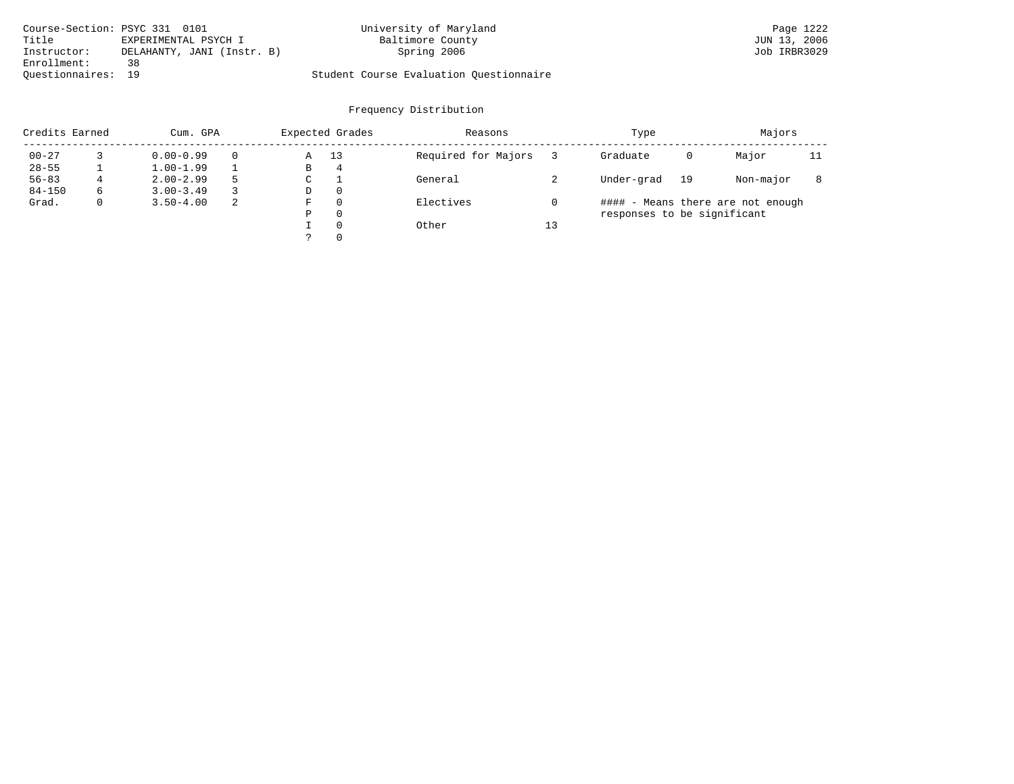| Course-Section: PSYC 331 0101 |                            | University of Maryland                  | Page 1222    |
|-------------------------------|----------------------------|-----------------------------------------|--------------|
| Title                         | EXPERIMENTAL PSYCH I       | Baltimore County                        | JUN 13, 2006 |
| Instructor:                   | DELAHANTY, JANI (Instr. B) | Spring 2006                             | Job IRBR3029 |
| Enrollment:                   | 38                         |                                         |              |
| Ouestionnaires: 19            |                            | Student Course Evaluation Questionnaire |              |

| Credits Earned |   | Cum. GPA      |   | Expected Grades |          | Reasons             |    | Type                        |    | Majors                            |    |
|----------------|---|---------------|---|-----------------|----------|---------------------|----|-----------------------------|----|-----------------------------------|----|
| $00 - 27$      |   | $0.00 - 0.99$ |   | Α               | 13       | Required for Majors |    | Graduate                    | 0  | Major                             | 11 |
| $28 - 55$      |   | $1.00 - 1.99$ |   | В               | 4        |                     |    |                             |    |                                   |    |
| $56 - 83$      | 4 | $2.00 - 2.99$ | 5 | $\sim$<br>◡     |          | General             |    | Under-grad                  | 19 | Non-major                         |    |
| $84 - 150$     | 6 | $3.00 - 3.49$ |   | D               | 0        |                     |    |                             |    |                                   |    |
| Grad.          | 0 | $3.50 - 4.00$ | 2 | F               | 0        | Electives           |    |                             |    | #### - Means there are not enough |    |
|                |   |               |   | Ρ               | 0        |                     |    | responses to be significant |    |                                   |    |
|                |   |               |   |                 | $\Omega$ | Other               | 13 |                             |    |                                   |    |
|                |   |               |   | っ               | 0        |                     |    |                             |    |                                   |    |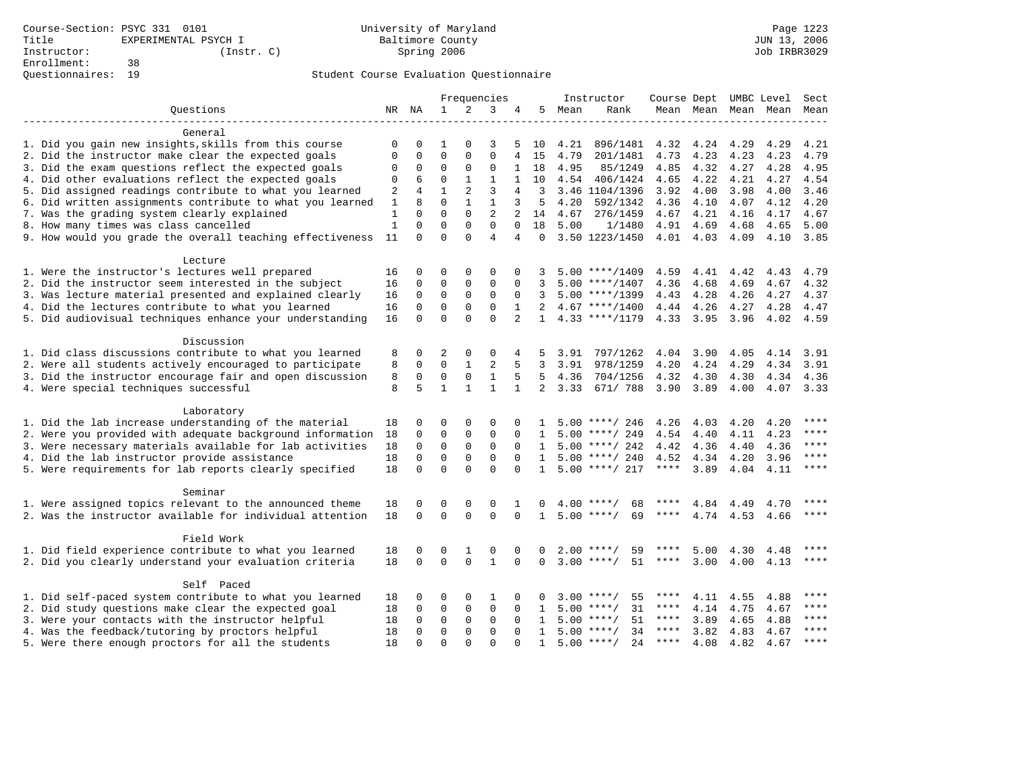|                                                                                                                  |              |             |              |              | Frequencies    |                |                |      | Instructor         | Course Dept UMBC Level Sect |           |           |              |         |
|------------------------------------------------------------------------------------------------------------------|--------------|-------------|--------------|--------------|----------------|----------------|----------------|------|--------------------|-----------------------------|-----------|-----------|--------------|---------|
| Questions                                                                                                        |              | NR NA       | $\mathbf{1}$ | 2            | 3              | 4              | 5              | Mean | Rank               |                             | Mean Mean |           | Mean Mean    | Mean    |
|                                                                                                                  |              |             |              |              |                |                |                |      |                    |                             |           |           |              |         |
| General                                                                                                          |              |             |              |              |                |                |                |      |                    |                             |           |           |              |         |
| 1. Did you gain new insights, skills from this course                                                            | 0            | 0           | 1            | $\Omega$     | 3              | 5              | 10             | 4.21 | 896/1481           | 4.32                        | 4.24      | 4.29      | 4.29         | 4.21    |
| 2. Did the instructor make clear the expected goals                                                              | $\Omega$     | 0           | $\Omega$     | $\Omega$     | $\Omega$       | 4              | 15             | 4.79 | 201/1481           | 4.73                        | 4.23      | 4.23      | 4.23         | 4.79    |
| 3. Did the exam questions reflect the expected goals                                                             | 0            | 0           | $\mathbf 0$  | 0            | $\mathbf 0$    | 1              | 18             | 4.95 | 85/1249            | 4.85                        | 4.32      | 4.27      | 4.28         | 4.95    |
| 4. Did other evaluations reflect the expected goals                                                              | $\Omega$     | 6           | $\Omega$     | $\mathbf{1}$ | $\mathbf{1}$   | $\mathbf{1}$   | 10             | 4.54 | 406/1424           | 4.65                        | 4.22      | 4.21      | 4.27         | 4.54    |
| 5. Did assigned readings contribute to what you learned                                                          | 2            | 4           | $\mathbf{1}$ | 2            | 3              | 4              | 3              |      | 3.46 1104/1396     | 3.92                        | 4.00      | 3.98      | 4.00         | 3.46    |
| 6. Did written assignments contribute to what you learned                                                        | $\mathbf{1}$ | 8           | $\mathbf 0$  | $\mathbf{1}$ | $\mathbf{1}$   | 3              | 5              | 4.20 | 592/1342           | 4.36                        | 4.10      | 4.07      | 4.12         | 4.20    |
| 7. Was the grading system clearly explained                                                                      | $\mathbf{1}$ | $\Omega$    | $\Omega$     | $\Omega$     | $\overline{2}$ | $\overline{a}$ | 14             | 4.67 | 276/1459           | 4.67                        | 4.21      | 4.16      | 4.17         | 4.67    |
| 8. How many times was class cancelled                                                                            | $\mathbf{1}$ | $\Omega$    | $\Omega$     | $\Omega$     | $\Omega$       | $\Omega$       | 18             | 5.00 | 1/1480             | 4.91                        | 4.69      | 4.68      | 4.65         | 5.00    |
| 9. How would you grade the overall teaching effectiveness                                                        | 11           | $\Omega$    | $\Omega$     | $\Omega$     | $\overline{4}$ | 4              | $\Omega$       |      | 3.50 1223/1450     | 4.01 4.03                   |           | 4.09      | 4.10         | 3.85    |
| Lecture                                                                                                          |              |             |              |              |                |                |                |      |                    |                             |           |           |              |         |
| 1. Were the instructor's lectures well prepared                                                                  | 16           | 0           | 0            | $\Omega$     | $\Omega$       | $\Omega$       | 3              |      | $5.00$ ****/1409   | 4.59                        | 4.41      | 4.42      | 4.43         | 4.79    |
| 2. Did the instructor seem interested in the subject                                                             | 16           | $\mathbf 0$ | $\mathbf 0$  | 0            | $\mathbf 0$    | $\mathbf 0$    | 3              |      | $5.00$ ****/1407   | 4.36                        | 4.68      | 4.69      | 4.67         | 4.32    |
| 3. Was lecture material presented and explained clearly                                                          | 16           | $\mathbf 0$ | $\mathbf 0$  | 0            | $\mathbf 0$    | $\mathbf 0$    | 3              |      | $5.00$ ****/1399   | 4.43                        | 4.28      | 4.26      | 4.27         | 4.37    |
| 4. Did the lectures contribute to what you learned                                                               | 16           | $\mathbf 0$ | $\mathbf 0$  | $\mathbf 0$  | $\mathbf 0$    | 1              | 2              |      | $4.67$ ****/1400   | 4.44 4.26                   |           | 4.27      | 4.28         | 4.47    |
| 5. Did audiovisual techniques enhance your understanding                                                         | 16           | $\Omega$    | $\Omega$     | $\Omega$     | $\Omega$       | $\overline{a}$ | $\mathbf{1}$   |      | $4.33$ ****/1179   | 4.33 3.95                   |           | 3.96      | 4.02         | 4.59    |
|                                                                                                                  |              |             |              |              |                |                |                |      |                    |                             |           |           |              |         |
| Discussion                                                                                                       |              |             |              |              |                |                |                |      |                    |                             |           |           |              |         |
| 1. Did class discussions contribute to what you learned                                                          | 8            | 0           | 2            | $\Omega$     | 0              | 4              | 5              | 3.91 | 797/1262           | 4.04                        | 3.90      | 4.05      | 4.14         | 3.91    |
| 2. Were all students actively encouraged to participate                                                          | 8            | $\mathbf 0$ | $\mathbf 0$  | $\mathbf{1}$ | 2              | 5              | 3              | 3.91 | 978/1259           | 4.20                        | 4.24      | 4.29      | 4.34         | 3.91    |
| 3. Did the instructor encourage fair and open discussion                                                         | 8            | 0           | $\mathbf 0$  | 0            | $\mathbf{1}$   | 5              | 5              | 4.36 | 704/1256           | 4.32                        | 4.30      | 4.30      | 4.34         | 4.36    |
| 4. Were special techniques successful                                                                            | 8            | 5           | $\mathbf{1}$ | $\mathbf{1}$ | $\mathbf{1}$   | $\mathbf{1}$   | $\overline{2}$ | 3.33 | 671/ 788           | 3.90                        | 3.89      | 4.00      | 4.07         | 3.33    |
| Laboratory                                                                                                       |              |             |              |              |                |                |                |      |                    |                             |           |           |              |         |
| 1. Did the lab increase understanding of the material                                                            | 18           | $\Omega$    | $\Omega$     | $\Omega$     | $\Omega$       | $\Omega$       | 1              |      | $5.00$ ****/ 246   | 4.26                        | 4.03      | 4.20      | 4.20         | ****    |
| 2. Were you provided with adequate background information                                                        | 18           | $\Omega$    | $\Omega$     | $\Omega$     | $\mathbf 0$    | $\Omega$       | 1              |      | $5.00$ ****/ 249   | 4.54                        | 4.40      | 4.11      | 4.23         | $***$   |
| 3. Were necessary materials available for lab activities                                                         | 18           | $\mathbf 0$ | $\mathbf{0}$ | $\mathsf 0$  | $\mathsf 0$    | $\Omega$       | $\mathbf{1}$   |      | $5.00$ ****/ 242   | 4.42                        | 4.36      | 4.40      | 4.36         | $***$   |
| 4. Did the lab instructor provide assistance                                                                     | 18           | $\mathbf 0$ | $\mathbf 0$  | $\mathbf 0$  | $\mathbf 0$    | $\Omega$       | $\mathbf{1}$   |      | $5.00$ ****/ 240   | 4.52                        | 4.34      | 4.20      | 3.96         | ****    |
| 5. Were requirements for lab reports clearly specified                                                           | 18           | $\Omega$    | $\Omega$     | $\Omega$     | $\Omega$       | $\Omega$       | $\mathbf{1}$   |      | $5.00$ ****/ 217   | $***$ * * *                 | 3.89      | 4.04      | 4.11         | ****    |
|                                                                                                                  |              |             |              |              |                |                |                |      |                    |                             |           |           |              |         |
| Seminar                                                                                                          |              |             |              |              |                |                |                |      |                    |                             |           |           |              |         |
| 1. Were assigned topics relevant to the announced theme                                                          | 18           | 0           | 0            | 0            | 0              | 1              | 0              | 4.00 | 68                 |                             | 4.84      | 4.49      | 4.70         | ****    |
| 2. Was the instructor available for individual attention                                                         | 18           | 0           | $\mathbf 0$  | $\Omega$     | $\mathbf 0$    | $\mathbf 0$    | $\mathbf{1}$   |      | 69<br>$5.00$ ****/ | ****                        |           | 4.74 4.53 | 4.66         | $***$   |
| Field Work                                                                                                       |              |             |              |              |                |                |                |      |                    |                             |           |           |              |         |
|                                                                                                                  |              | 0           | 0            | 1            | $\Omega$       | $\Omega$       | 0              |      | $2.00$ ****/<br>59 | ****                        | 5.00      | 4.30      |              | ****    |
| 1. Did field experience contribute to what you learned<br>2. Did you clearly understand your evaluation criteria | 18<br>18     | $\Omega$    | $\Omega$     | $\Omega$     | $\mathbf{1}$   | $\Omega$       | 0              |      | $3.00$ ****/<br>51 | $***$ * * *                 | 3.00      | 4.00      | 4.48<br>4.13 | ****    |
|                                                                                                                  |              |             |              |              |                |                |                |      |                    |                             |           |           |              |         |
| Self Paced                                                                                                       |              |             |              |              |                |                |                |      |                    |                             |           |           |              |         |
| 1. Did self-paced system contribute to what you learned                                                          | 18           | 0           | 0            | 0            | 1              | 0              | 0              |      | 55<br>$3.00$ ****/ | ****                        | 4.11      | 4.55      | 4.88         |         |
| 2. Did study questions make clear the expected goal                                                              | 18           | 0           | $\mathbf 0$  | 0            | $\mathsf 0$    | $\mathbf 0$    | 1              | 5.00 | 31<br>$***/$       | ****                        | 4.14      | 4.75      | 4.67         | ****    |
| 3. Were your contacts with the instructor helpful                                                                | 18           | 0           | $\mathbf 0$  | $\mathbf 0$  | $\mathbf 0$    | $\Omega$       | 1              |      | 51<br>$5.00$ ****/ | ****                        | 3.89      | 4.65      | 4.88         | ****    |
| 4. Was the feedback/tutoring by proctors helpful                                                                 | 18           | $\Omega$    | $\Omega$     | $\Omega$     | $\Omega$       | $\Omega$       | $\mathbf{1}$   |      | 34<br>$5.00$ ****/ | ****                        | 3.82      | 4.83      | 4.67         | ****    |
| 5. Were there enough proctors for all the students                                                               | 18           | $\Omega$    | $\Omega$     | $\Omega$     | $\Omega$       | $\Omega$       | $\mathbf{1}$   |      | 24<br>$5.00$ ****/ | **** $4.08$                 |           | 4.82      | 4.67         | $***$ * |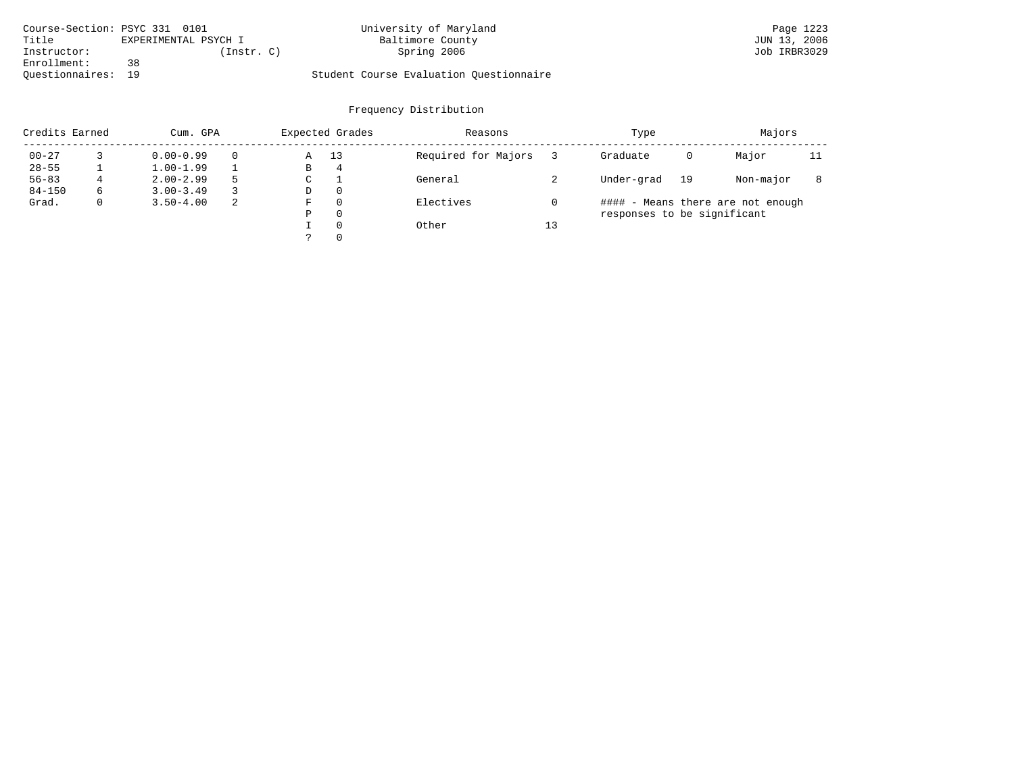| Course-Section: PSYC 331 0101 |                      | University of Maryland                  | Page 1223    |
|-------------------------------|----------------------|-----------------------------------------|--------------|
| Title                         | EXPERIMENTAL PSYCH I | Baltimore County                        | JUN 13, 2006 |
| Instructor:                   | Instr. C)            | Spring 2006                             | Job IRBR3029 |
| Enrollment:                   | 38                   |                                         |              |
| Ouestionnaires: 19            |                      | Student Course Evaluation Questionnaire |              |

| Credits Earned |   | Cum. GPA      |   |             | Expected Grades | Reasons             |    | Type                        |    | Majors                            |    |
|----------------|---|---------------|---|-------------|-----------------|---------------------|----|-----------------------------|----|-----------------------------------|----|
| $00 - 27$      |   | $0.00 - 0.99$ |   | Α           | 13              | Required for Majors |    | Graduate                    | 0  | Major                             | 11 |
| $28 - 55$      |   | $1.00 - 1.99$ |   | В           | 4               |                     |    |                             |    |                                   |    |
| $56 - 83$      | 4 | $2.00 - 2.99$ |   | $\sim$<br>◡ |                 | General             |    | Under-grad                  | 19 | Non-major                         |    |
| $84 - 150$     | 6 | $3.00 - 3.49$ |   | D           | 0               |                     |    |                             |    |                                   |    |
| Grad.          | 0 | $3.50 - 4.00$ | 2 | F           | 0               | Electives           | 0  |                             |    | #### - Means there are not enough |    |
|                |   |               |   | Ρ           | 0               |                     |    | responses to be significant |    |                                   |    |
|                |   |               |   |             | $\Omega$        | Other               | 13 |                             |    |                                   |    |
|                |   |               |   |             | 0               |                     |    |                             |    |                                   |    |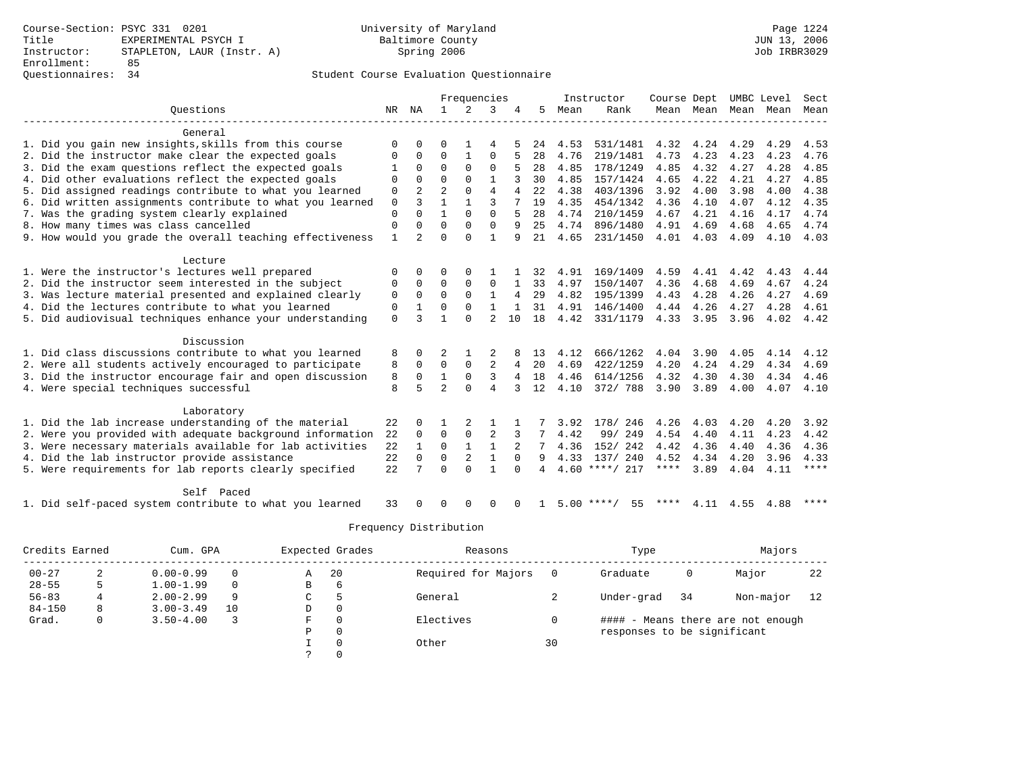### Questionnaires: 34 Student Course Evaluation Questionnaire

|                                                           |              |                |                | Frequencies    |                |              |    |      | Instructor         | Course Dept |      |      | UMBC Level               | Sect        |
|-----------------------------------------------------------|--------------|----------------|----------------|----------------|----------------|--------------|----|------|--------------------|-------------|------|------|--------------------------|-------------|
| Ouestions                                                 | NR           | ΝA             | $\mathbf{1}$   | 2              | 3              | 4            | 5. | Mean | Rank               |             |      |      | Mean Mean Mean Mean Mean |             |
| General                                                   |              |                |                |                |                |              |    |      |                    |             |      |      |                          |             |
| 1. Did you gain new insights, skills from this course     | 0            | O              | O              |                | 4              |              | 24 | 4.53 | 531/1481           | 4.32        | 4.24 | 4.29 | 4.29                     | 4.53        |
| 2. Did the instructor make clear the expected goals       | 0            | 0              | O              | 1              | $\Omega$       |              | 28 | 4.76 | 219/1481           | 4.73        | 4.23 | 4.23 | 4.23                     | 4.76        |
| 3. Did the exam questions reflect the expected goals      |              | $\Omega$       | $\Omega$       | $\Omega$       | $\Omega$       |              | 28 | 4.85 | 178/1249           | 4.85        | 4.32 | 4.27 | 4.28                     | 4.85        |
| 4. Did other evaluations reflect the expected goals       | 0            | $\Omega$       | $\Omega$       | $\Omega$       | $\mathbf{1}$   |              | 30 | 4.85 | 157/1424           | 4.65        | 4.22 | 4.21 | 4.27                     | 4.85        |
| 5. Did assigned readings contribute to what you learned   | 0            |                | $\overline{2}$ | $\Omega$       | $\overline{4}$ | 4            | 22 | 4.38 | 403/1396           | 3.92        | 4.00 | 3.98 | 4.00                     | 4.38        |
| 6. Did written assignments contribute to what you learned | $\mathbf 0$  | 3              |                |                | ς              |              | 19 | 4.35 | 454/1342           | 4.36        | 4.10 | 4.07 | 4.12                     | 4.35        |
| 7. Was the grading system clearly explained               | 0            | $\Omega$       | $\mathbf{1}$   | $\Omega$       | $\Omega$       | 5            | 28 | 4.74 | 210/1459           | 4.67        | 4.21 | 4.16 | 4.17                     | 4.74        |
| 8. How many times was class cancelled                     | 0            | $\Omega$       | $\Omega$       | $\Omega$       | $\Omega$       | 9            | 25 | 4.74 | 896/1480           | 4.91        | 4.69 | 4.68 | 4.65                     | 4.74        |
| 9. How would you grade the overall teaching effectiveness | $\mathbf{1}$ | $\overline{a}$ | $\Omega$       | $\Omega$       | $\mathbf{1}$   | 9            | 21 | 4.65 | 231/1450           | 4.01        | 4.03 | 4.09 | 4.10                     | 4.03        |
| Lecture                                                   |              |                |                |                |                |              |    |      |                    |             |      |      |                          |             |
| 1. Were the instructor's lectures well prepared           | 0            | $\Omega$       | O              | $\Omega$       |                |              | 32 | 4.91 | 169/1409           | 4.59        | 4.41 | 4.42 | 4.43                     | 4.44        |
| 2. Did the instructor seem interested in the subject      | 0            | $\Omega$       | $\Omega$       | $\mathbf 0$    | $\mathbf 0$    |              | 33 | 4.97 | 150/1407           | 4.36        | 4.68 | 4.69 | 4.67                     | 4.24        |
| 3. Was lecture material presented and explained clearly   | 0            | $\mathbf 0$    | $\Omega$       | $\Omega$       | $\mathbf{1}$   | 4            | 29 | 4.82 | 195/1399           | 4.43        | 4.28 | 4.26 | 4.27                     | 4.69        |
| 4. Did the lectures contribute to what you learned        | 0            | 1              | $\Omega$       | $\mathbf 0$    | $\mathbf{1}$   | 1            | 31 | 4.91 | 146/1400           | 4.44        | 4.26 | 4.27 | 4.28                     | 4.61        |
| 5. Did audiovisual techniques enhance your understanding  | $\mathbf 0$  | ζ              | $\mathbf{1}$   | $\Omega$       | $\mathfrak{D}$ | 10           | 18 | 4.42 | 331/1179           | 4.33        | 3.95 | 3.96 | 4.02                     | 4.42        |
| Discussion                                                |              |                |                |                |                |              |    |      |                    |             |      |      |                          |             |
| 1. Did class discussions contribute to what you learned   | 8            | $\Omega$       |                |                |                |              | 13 | 4.12 | 666/1262           | 4.04        | 3.90 | 4.05 | 4.14                     | 4.12        |
| 2. Were all students actively encouraged to participate   | 8            | $\mathbf 0$    | $\Omega$       | $\Omega$       | $\overline{a}$ | 4            | 20 | 4.69 | 422/1259           | 4.20        | 4.24 | 4.29 | 4.34                     | 4.69        |
| 3. Did the instructor encourage fair and open discussion  | 8            | $\mathbf 0$    | $\mathbf 1$    | 0              | 3              | 4            | 18 | 4.46 | 614/1256           | 4.32        | 4.30 | 4.30 | 4.34                     | 4.46        |
| 4. Were special techniques successful                     | 8            | 5              | $\overline{a}$ | $\Omega$       | $\overline{4}$ | 3            | 12 | 4.10 | 372/ 788           | 3.90        | 3.89 | 4.00 | 4.07                     | 4.10        |
| Laboratory                                                |              |                |                |                |                |              |    |      |                    |             |      |      |                          |             |
| 1. Did the lab increase understanding of the material     | 22           | $\Omega$       |                | $\overline{2}$ |                |              |    | 3.92 | 178/ 246           | 4.26        | 4.03 | 4.20 | 4.20                     | 3.92        |
| 2. Were you provided with adequate background information | 22           | 0              | $\mathbf 0$    | $\mathbf 0$    | $\overline{2}$ | 3            |    | 4.42 | 99/ 249            | 4.54        | 4.40 | 4.11 | 4.23                     | 4.42        |
| 3. Were necessary materials available for lab activities  | 22           |                | $\Omega$       | $\mathbf{1}$   | 1              |              |    | 4.36 | 152/242            | 4.42        | 4.36 | 4.40 | 4.36                     | 4.36        |
| 4. Did the lab instructor provide assistance              | 22           | $\mathbf 0$    | $\Omega$       | 2              | $\mathbf{1}$   | $\Omega$     | 9  | 4.33 | 137/ 240           | 4.52        | 4.34 | 4.20 | 3.96                     | 4.33        |
| 5. Were requirements for lab reports clearly specified    | 22           |                | $\Omega$       | $\Omega$       | $\mathbf{1}$   | $\Omega$     | 4  |      | $4.60$ ****/ 217   | $***$ * *   | 3.89 | 4.04 | 4.11                     | $***$ * * * |
| Self Paced                                                |              |                |                |                |                |              |    |      |                    |             |      |      |                          |             |
| 1. Did self-paced system contribute to what you learned   | 33           |                | U              | ∩              | $\Omega$       | <sup>0</sup> |    |      | $5.00$ ****/<br>55 | ****        | 4.11 | 4.55 | 4.88                     | $***$ * * * |

| Credits Earned |   | Cum. GPA      |    | Expected Grades |             | Reasons             |    | Type                        |    | Majors                            |    |
|----------------|---|---------------|----|-----------------|-------------|---------------------|----|-----------------------------|----|-----------------------------------|----|
| $00 - 27$      |   | $0.00 - 0.99$ |    | A               | 20          | Required for Majors |    | Graduate                    | 0  | Major                             | 22 |
| $28 - 55$      |   | $1.00 - 1.99$ |    | B               | 6           |                     |    |                             |    |                                   |    |
| $56 - 83$      | 4 | $2.00 - 2.99$ | 9  | C.              | 5           | General             |    | Under-grad                  | 34 | Non-major                         | 12 |
| $84 - 150$     | 8 | $3.00 - 3.49$ | 10 | D               | 0           |                     |    |                             |    |                                   |    |
| Grad.          | 0 | $3.50 - 4.00$ |    | F               | $\Omega$    | Electives           |    |                             |    | #### - Means there are not enough |    |
|                |   |               |    | P               | $\mathbf 0$ |                     |    | responses to be significant |    |                                   |    |
|                |   |               |    |                 |             | Other               | 30 |                             |    |                                   |    |
|                |   |               |    |                 |             |                     |    |                             |    |                                   |    |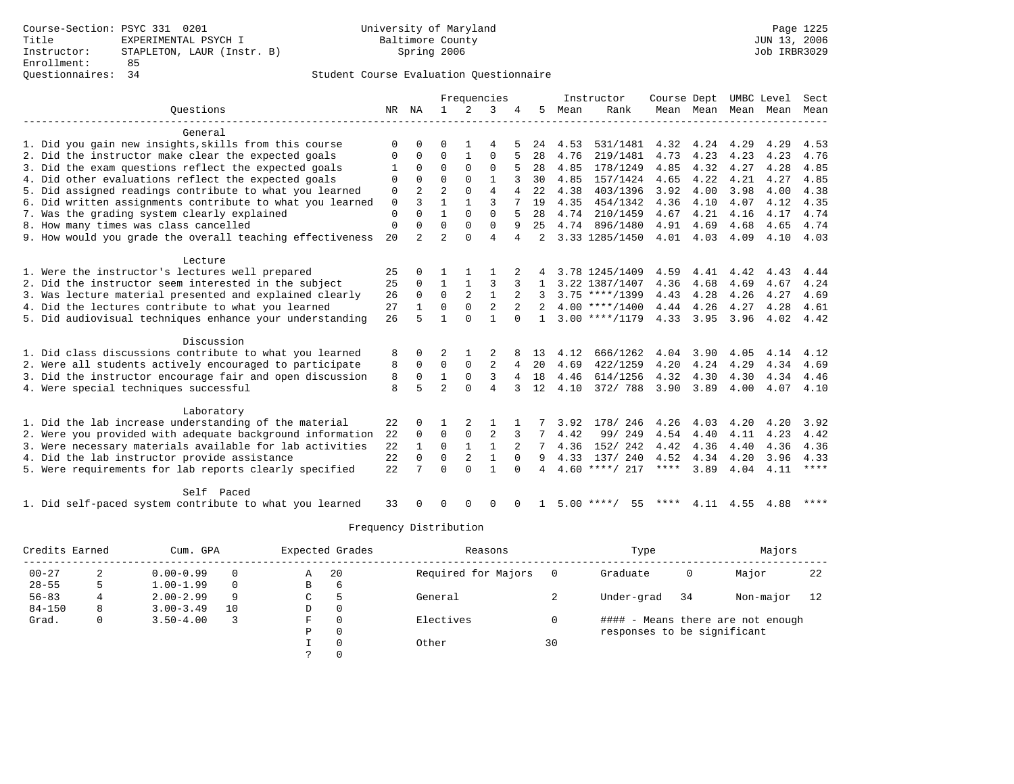### Questionnaires: 34 Student Course Evaluation Questionnaire

|                                                           |             |                |                |                | Frequencies    |              |                |      | Instructor         | Course Dept |      |      | UMBC Level               | Sect        |
|-----------------------------------------------------------|-------------|----------------|----------------|----------------|----------------|--------------|----------------|------|--------------------|-------------|------|------|--------------------------|-------------|
| Ouestions                                                 | NR          | ΝA             | $\mathbf{1}$   | 2              | 3              | 4            | 5.             | Mean | Rank               |             |      |      | Mean Mean Mean Mean Mean |             |
| General                                                   |             |                |                |                |                |              |                |      |                    |             |      |      |                          |             |
| 1. Did you gain new insights, skills from this course     | 0           | O              | O              |                | 4              |              | 24             | 4.53 | 531/1481           | 4.32        | 4.24 | 4.29 | 4.29                     | 4.53        |
| 2. Did the instructor make clear the expected goals       | 0           | 0              | O              | 1              | 0              |              | 28             | 4.76 | 219/1481           | 4.73        | 4.23 | 4.23 | 4.23                     | 4.76        |
| 3. Did the exam questions reflect the expected goals      | 1           | $\Omega$       | $\Omega$       | $\Omega$       | $\Omega$       |              | 28             | 4.85 | 178/1249           | 4.85        | 4.32 | 4.27 | 4.28                     | 4.85        |
| 4. Did other evaluations reflect the expected goals       | 0           | $\Omega$       | $\Omega$       | $\Omega$       | $\mathbf{1}$   |              | 30             | 4.85 | 157/1424           | 4.65        | 4.22 | 4.21 | 4.27                     | 4.85        |
| 5. Did assigned readings contribute to what you learned   | 0           |                | $\overline{2}$ | $\Omega$       | $\overline{4}$ | 4            | 22             | 4.38 | 403/1396           | 3.92        | 4.00 | 3.98 | 4.00                     | 4.38        |
| 6. Did written assignments contribute to what you learned | $\mathbf 0$ | 3              |                |                | ς              |              | 19             | 4.35 | 454/1342           | 4.36        | 4.10 | 4.07 | 4.12                     | 4.35        |
| 7. Was the grading system clearly explained               | 0           | $\Omega$       | $\mathbf{1}$   | $\Omega$       | $\Omega$       | 5            | 28             | 4.74 | 210/1459           | 4.67        | 4.21 | 4.16 | 4.17                     | 4.74        |
| 8. How many times was class cancelled                     | $\mathbf 0$ | $\Omega$       | $\Omega$       | $\Omega$       | $\mathbf{0}$   | 9            | 25             | 4.74 | 896/1480           | 4.91        | 4.69 | 4.68 | 4.65                     | 4.74        |
| 9. How would you grade the overall teaching effectiveness | 20          | $\overline{a}$ | $\overline{a}$ | $\Omega$       | 4              | 4            | $\mathfrak{D}$ |      | 3.33 1285/1450     | 4.01        | 4.03 | 4.09 | 4.10                     | 4.03        |
| Lecture                                                   |             |                |                |                |                |              |                |      |                    |             |      |      |                          |             |
| 1. Were the instructor's lectures well prepared           | 25          | $\Omega$       |                |                |                |              |                |      | 3.78 1245/1409     | 4.59        | 4.41 | 4.42 | 4.43                     | 4.44        |
| 2. Did the instructor seem interested in the subject      | 25          | $\Omega$       | $\mathbf{1}$   | $\mathbf{1}$   | 3              | 3            |                |      | 3.22 1387/1407     | 4.36        | 4.68 | 4.69 | 4.67                     | 4.24        |
| 3. Was lecture material presented and explained clearly   | 26          | $\Omega$       | $\mathbf 0$    | 2              | $\mathbf{1}$   |              |                |      | $3.75$ ****/1399   | 4.43        | 4.28 | 4.26 | 4.27                     | 4.69        |
| 4. Did the lectures contribute to what you learned        | 27          | $\mathbf{1}$   | $\mathbf 0$    | $\mathbf 0$    | $\overline{2}$ | 2            | 2              |      | $4.00$ ****/1400   | 4.44        | 4.26 | 4.27 | 4.28                     | 4.61        |
| 5. Did audiovisual techniques enhance your understanding  | 26          | 5              | $\mathbf{1}$   | $\Omega$       | $\mathbf{1}$   | $\Omega$     |                |      | $3.00$ ****/1179   | 4.33        | 3.95 | 3.96 | 4.02                     | 4.42        |
| Discussion                                                |             |                |                |                |                |              |                |      |                    |             |      |      |                          |             |
| 1. Did class discussions contribute to what you learned   | 8           | 0              |                |                |                |              | 13             | 4.12 | 666/1262           | 4.04        | 3.90 | 4.05 | 4.14                     | 4.12        |
| 2. Were all students actively encouraged to participate   | 8           | $\mathbf 0$    | $\Omega$       | $\Omega$       | $\overline{a}$ | 4            | 20             | 4.69 | 422/1259           | 4.20        | 4.24 | 4.29 | 4.34                     | 4.69        |
| 3. Did the instructor encourage fair and open discussion  | 8           | $\mathbf 0$    | $\mathbf 1$    | 0              | 3              | 4            | 18             | 4.46 | 614/1256           | 4.32        | 4.30 | 4.30 | 4.34                     | 4.46        |
| 4. Were special techniques successful                     | 8           | 5              | $\overline{a}$ | $\Omega$       | $\overline{4}$ | 3            | 12             | 4.10 | 372/ 788           | 3.90        | 3.89 | 4.00 | 4.07                     | 4.10        |
| Laboratory                                                |             |                |                |                |                |              |                |      |                    |             |      |      |                          |             |
| 1. Did the lab increase understanding of the material     | 22          | $\Omega$       |                | $\overline{2}$ |                |              |                | 3.92 | 178/ 246           | 4.26        | 4.03 | 4.20 | 4.20                     | 3.92        |
| 2. Were you provided with adequate background information | 22          | 0              | $\mathbf 0$    | $\mathbf 0$    | $\overline{2}$ | 3            |                | 4.42 | 99/ 249            | 4.54        | 4.40 | 4.11 | 4.23                     | 4.42        |
| 3. Were necessary materials available for lab activities  | 22          | 1              | $\Omega$       | $\mathbf{1}$   | 1              |              |                | 4.36 | 152/242            | 4.42        | 4.36 | 4.40 | 4.36                     | 4.36        |
| 4. Did the lab instructor provide assistance              | 22          | $\mathbf 0$    | $\Omega$       | 2              | $\mathbf{1}$   | $\Omega$     | 9              | 4.33 | 137/ 240           | 4.52        | 4.34 | 4.20 | 3.96                     | 4.33        |
| 5. Were requirements for lab reports clearly specified    | 22          |                | $\Omega$       | $\Omega$       | $\mathbf{1}$   | $\Omega$     | 4              |      | $4.60$ ****/ 217   | $***$ * *   | 3.89 | 4.04 | 4.11                     | $***$ * * * |
| Self Paced                                                |             |                |                |                |                |              |                |      |                    |             |      |      |                          |             |
| 1. Did self-paced system contribute to what you learned   | 33          |                | U              | ∩              | $\Omega$       | <sup>0</sup> |                |      | $5.00$ ****/<br>55 | ****        | 4.11 | 4.55 | 4.88                     | ****        |

| Credits Earned |   | Cum. GPA      |    | Expected Grades |             | Reasons             |    | Type                        |    | Majors                            |    |
|----------------|---|---------------|----|-----------------|-------------|---------------------|----|-----------------------------|----|-----------------------------------|----|
| $00 - 27$      |   | $0.00 - 0.99$ |    | A               | 20          | Required for Majors |    | Graduate                    | 0  | Major                             | 22 |
| $28 - 55$      |   | $1.00 - 1.99$ |    | B               | 6           |                     |    |                             |    |                                   |    |
| $56 - 83$      | 4 | $2.00 - 2.99$ | 9  | C.              | 5           | General             |    | Under-grad                  | 34 | Non-major                         | 12 |
| $84 - 150$     | 8 | $3.00 - 3.49$ | 10 | D               | 0           |                     |    |                             |    |                                   |    |
| Grad.          | 0 | $3.50 - 4.00$ |    | F               | $\Omega$    | Electives           |    |                             |    | #### - Means there are not enough |    |
|                |   |               |    | P               | $\mathbf 0$ |                     |    | responses to be significant |    |                                   |    |
|                |   |               |    |                 |             | Other               | 30 |                             |    |                                   |    |
|                |   |               |    |                 |             |                     |    |                             |    |                                   |    |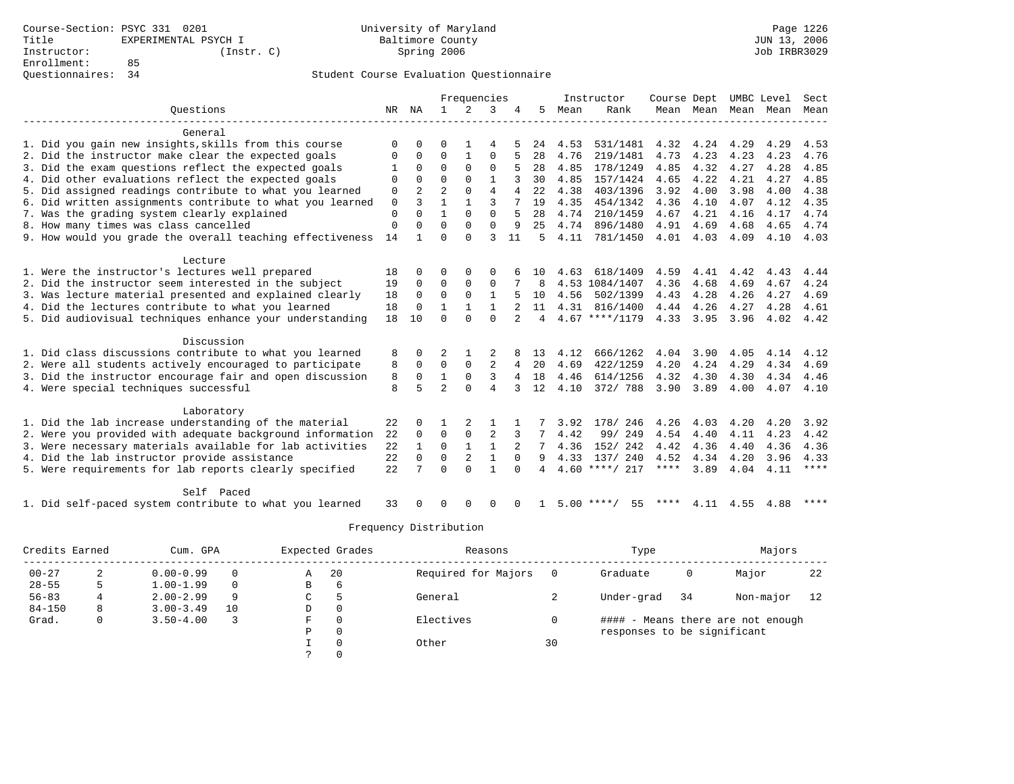|                                                           |          |                |                | Frequencies    |                |                |    |      | Instructor         | Course Dept |      |      | UMBC Level               | Sect        |
|-----------------------------------------------------------|----------|----------------|----------------|----------------|----------------|----------------|----|------|--------------------|-------------|------|------|--------------------------|-------------|
| Ouestions                                                 | NR       | NA             | $\mathbf{1}$   | 2              | 3              | 4              | 5  | Mean | Rank               |             |      |      | Mean Mean Mean Mean Mean |             |
| General                                                   |          |                |                |                |                |                |    |      |                    |             |      |      |                          |             |
| 1. Did you gain new insights, skills from this course     | $\Omega$ | $\Omega$       | U              |                | 4              |                | 24 | 4.53 | 531/1481           | 4.32        | 4.24 | 4.29 | 4.29                     | 4.53        |
| 2. Did the instructor make clear the expected goals       | 0        | 0              | $\Omega$       | 1              | $\Omega$       | 5              | 28 | 4.76 | 219/1481           | 4.73        | 4.23 | 4.23 | 4.23                     | 4.76        |
| 3. Did the exam questions reflect the expected goals      | -1       | $\Omega$       | $\Omega$       | $\Omega$       | 0              | 5              | 28 | 4.85 | 178/1249           | 4.85        | 4.32 | 4.27 | 4.28                     | 4.85        |
| 4. Did other evaluations reflect the expected goals       | 0        | $\Omega$       | $\Omega$       | $\Omega$       | 1              |                | 30 | 4.85 | 157/1424           | 4.65        | 4.22 | 4.21 | 4.27                     | 4.85        |
| 5. Did assigned readings contribute to what you learned   | 0        | $\overline{a}$ | $\overline{a}$ | $\Omega$       | 4              | 4              | 22 | 4.38 | 403/1396           | 3.92        | 4.00 | 3.98 | 4.00                     | 4.38        |
| 6. Did written assignments contribute to what you learned | 0        | 3              | 1              | $\mathbf{1}$   | ζ              |                | 19 | 4.35 | 454/1342           | 4.36        | 4.10 | 4.07 | 4.12                     | 4.35        |
| 7. Was the grading system clearly explained               | 0        | $\Omega$       | $\mathbf{1}$   | $\Omega$       | $\Omega$       | 5              | 28 | 4.74 | 210/1459           | 4.67        | 4.21 | 4.16 | 4.17                     | 4.74        |
| 8. How many times was class cancelled                     | 0        | $\Omega$       | $\Omega$       | $\Omega$       | $\Omega$       | 9              | 25 | 4.74 | 896/1480           | 4.91        | 4.69 | 4.68 | 4.65                     | 4.74        |
| 9. How would you grade the overall teaching effectiveness | 14       | $\mathbf{1}$   | U              | $\Omega$       | ζ              | 11             | 5  | 4.11 | 781/1450           | 4.01        | 4.03 | 4.09 | 4.10                     | 4.03        |
| Lecture                                                   |          |                |                |                |                |                |    |      |                    |             |      |      |                          |             |
| 1. Were the instructor's lectures well prepared           | 18       | $\Omega$       | $\Omega$       | $\Omega$       | $\Omega$       |                | 10 | 4.63 | 618/1409           | 4.59        | 4.41 | 4.42 | 4.43                     | 4.44        |
| 2. Did the instructor seem interested in the subject      | 19       | $\Omega$       | $\mathbf 0$    | $\mathbf 0$    | 0              |                | 8  |      | 4.53 1084/1407     | 4.36        | 4.68 | 4.69 | 4.67                     | 4.24        |
| 3. Was lecture material presented and explained clearly   | 18       | $\mathbf 0$    | $\mathbf 0$    | $\mathbf{0}$   | $\mathbf{1}$   |                | 10 | 4.56 | 502/1399           | 4.43        | 4.28 | 4.26 | 4.27                     | 4.69        |
| 4. Did the lectures contribute to what you learned        | 18       | 0              | $\mathbf{1}$   | $\mathbf{1}$   | $\mathbf{1}$   |                | 11 | 4.31 | 816/1400           | 4.44        | 4.26 | 4.27 | 4.28                     | 4.61        |
| 5. Did audiovisual techniques enhance your understanding  | 18       | 10             | $\Omega$       | $\Omega$       | $\Omega$       | $\overline{2}$ | 4  |      | $4.67$ ****/1179   | 4.33        | 3.95 | 3.96 | 4.02                     | 4.42        |
| Discussion                                                |          |                |                |                |                |                |    |      |                    |             |      |      |                          |             |
| 1. Did class discussions contribute to what you learned   | 8        | 0              | 2              |                |                |                | 13 | 4.12 | 666/1262           | 4.04        | 3.90 | 4.05 | 4.14                     | 4.12        |
| 2. Were all students actively encouraged to participate   | 8        | $\mathbf 0$    | 0              | $\mathbf 0$    | $\overline{2}$ | 4              | 20 | 4.69 | 422/1259           | 4.20        | 4.24 | 4.29 | 4.34                     | 4.69        |
| 3. Did the instructor encourage fair and open discussion  | 8        | 0              | $\mathbf{1}$   | 0              | 3              | 4              | 18 | 4.46 | 614/1256           | 4.32        | 4.30 | 4.30 | 4.34                     | 4.46        |
| 4. Were special techniques successful                     | 8        | 5              | $\mathfrak{D}$ | $\Omega$       | 4              | 3              | 12 | 4.10 | 372/ 788           | 3.90        | 3.89 | 4.00 | 4.07                     | 4.10        |
| Laboratory                                                |          |                |                |                |                |                |    |      |                    |             |      |      |                          |             |
| 1. Did the lab increase understanding of the material     | 22       | $\Omega$       |                | 2              | 1              |                |    | 3.92 | 178/ 246           | 4.26        | 4.03 | 4.20 | 4.20                     | 3.92        |
| 2. Were you provided with adequate background information | 22       | 0              | $\mathbf 0$    | 0              | 2              |                |    | 4.42 | 99/ 249            | 4.54        | 4.40 | 4.11 | 4.23                     | 4.42        |
| 3. Were necessary materials available for lab activities  | 22       | 1              | 0              | $\mathbf{1}$   | 1              |                |    | 4.36 | 152/ 242           | 4.42        | 4.36 | 4.40 | 4.36                     | 4.36        |
| 4. Did the lab instructor provide assistance              | 22       | $\mathbf 0$    | $\mathbf 0$    | $\overline{2}$ | $\mathbf{1}$   | $\Omega$       | 9  | 4.33 | 137/ 240           | 4.52        | 4.34 | 4.20 | 3.96                     | 4.33        |
| 5. Were requirements for lab reports clearly specified    | 22       | 7              | $\Omega$       | $\Omega$       | $\mathbf{1}$   | $\Omega$       | 4  |      | $4.60$ ****/ 217   | $***$ * * * | 3.89 | 4.04 | 4.11                     | $***$ * * * |
| Self Paced                                                |          |                |                |                |                |                |    |      |                    |             |      |      |                          |             |
| 1. Did self-paced system contribute to what you learned   | 33       | $\cap$         | U              | $\Omega$       | $\Omega$       | $\Omega$       |    |      | $5.00$ ****/<br>55 | ****        | 4.11 | 4.55 | 4.88                     | $***$ * * * |

| Credits Earned |   | Cum. GPA      |    | Expected Grades |             | Reasons             |    | Type                        |    | Majors                            |    |
|----------------|---|---------------|----|-----------------|-------------|---------------------|----|-----------------------------|----|-----------------------------------|----|
| $00 - 27$      |   | $0.00 - 0.99$ |    | A               | 20          | Required for Majors |    | Graduate                    | 0  | Major                             | 22 |
| $28 - 55$      |   | $1.00 - 1.99$ |    | B               | 6           |                     |    |                             |    |                                   |    |
| $56 - 83$      | 4 | $2.00 - 2.99$ | 9  | C.              | 5           | General             |    | Under-grad                  | 34 | Non-major                         | 12 |
| $84 - 150$     | 8 | $3.00 - 3.49$ | 10 | D               | 0           |                     |    |                             |    |                                   |    |
| Grad.          | 0 | $3.50 - 4.00$ |    | F               | $\Omega$    | Electives           |    |                             |    | #### - Means there are not enough |    |
|                |   |               |    | P               | $\mathbf 0$ |                     |    | responses to be significant |    |                                   |    |
|                |   |               |    |                 |             | Other               | 30 |                             |    |                                   |    |
|                |   |               |    |                 |             |                     |    |                             |    |                                   |    |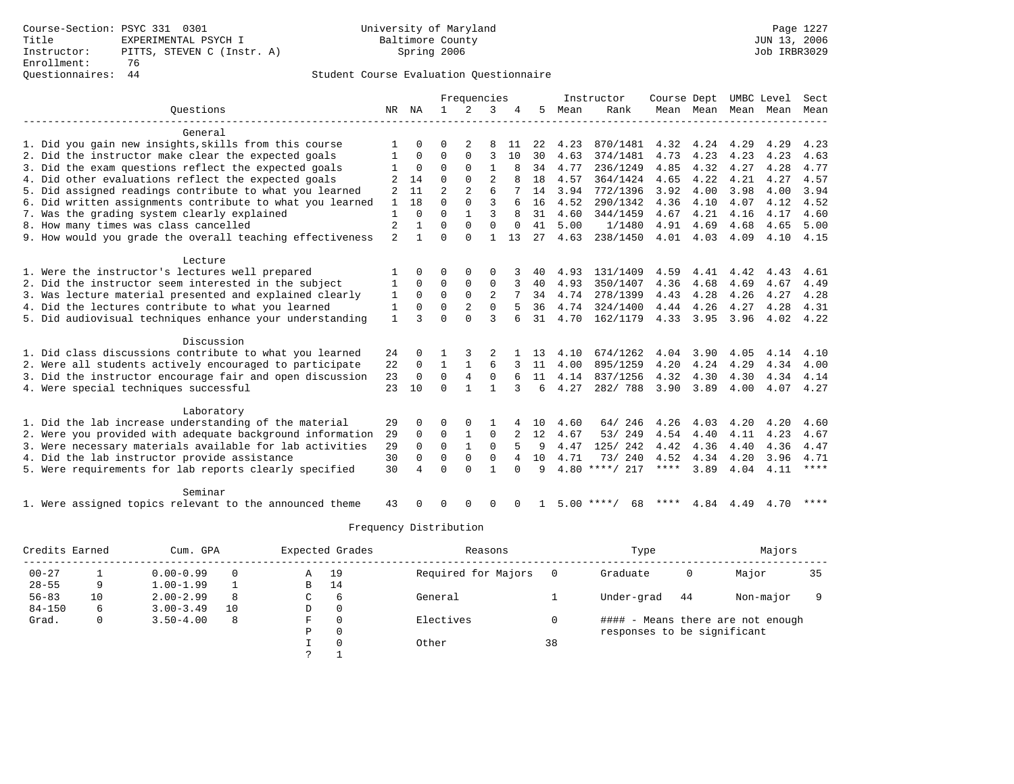### Questionnaires: 44 Student Course Evaluation Questionnaire

|                                                           |                |              |                | Frequencies    |                |          |    |      | Instructor         | Course Dept |      |      | UMBC Level               | Sect        |
|-----------------------------------------------------------|----------------|--------------|----------------|----------------|----------------|----------|----|------|--------------------|-------------|------|------|--------------------------|-------------|
| Ouestions                                                 | NR             | ΝA           | $\mathbf{1}$   | 2              | 3              | 4        | 5  | Mean | Rank               |             |      |      | Mean Mean Mean Mean Mean |             |
| General                                                   |                |              |                |                |                |          |    |      |                    |             |      |      |                          |             |
| 1. Did you gain new insights, skills from this course     |                | $\Omega$     | U              | 2              | 8              | 11       | 22 | 4.23 | 870/1481           | 4.32        | 4.24 | 4.29 | 4.29                     | 4.23        |
| 2. Did the instructor make clear the expected goals       | 1              | 0            | $\Omega$       | $\Omega$       | 3              | 10       | 30 | 4.63 | 374/1481           | 4.73        | 4.23 | 4.23 | 4.23                     | 4.63        |
| 3. Did the exam questions reflect the expected goals      | 1              | 0            | $\Omega$       | $\Omega$       | $\mathbf{1}$   | 8        | 34 | 4.77 | 236/1249           | 4.85        | 4.32 | 4.27 | 4.28                     | 4.77        |
| 4. Did other evaluations reflect the expected goals       |                | 14           | $\Omega$       | $\Omega$       | $\overline{2}$ | 8        | 18 | 4.57 | 364/1424           | 4.65        | 4.22 | 4.21 | 4.27                     | 4.57        |
| 5. Did assigned readings contribute to what you learned   | 2              | 11           | $\overline{a}$ | $\overline{2}$ | 6              |          | 14 | 3.94 | 772/1396           | 3.92        | 4.00 | 3.98 | 4.00                     | 3.94        |
| 6. Did written assignments contribute to what you learned | 1              | 18           | $\Omega$       | $\Omega$       | ζ              | 6        | 16 | 4.52 | 290/1342           | 4.36        | 4.10 | 4.07 | 4.12                     | 4.52        |
| 7. Was the grading system clearly explained               | 1              | $\Omega$     | $\Omega$       | $\mathbf{1}$   | ζ              | 8        | 31 | 4.60 | 344/1459           | 4.67        | 4.21 | 4.16 | 4.17                     | 4.60        |
| 8. How many times was class cancelled                     | 2              | 1            | 0              | $\Omega$       | 0              | $\Omega$ | 41 | 5.00 | 1/1480             | 4.91        | 4.69 | 4.68 | 4.65                     | 5.00        |
| 9. How would you grade the overall teaching effectiveness | $\overline{2}$ | $\mathbf{1}$ | $\Omega$       | $\Omega$       | $\mathbf{1}$   | 13       | 27 | 4.63 | 238/1450           | 4.01        | 4.03 | 4.09 | 4.10                     | 4.15        |
| Lecture                                                   |                |              |                |                |                |          |    |      |                    |             |      |      |                          |             |
| 1. Were the instructor's lectures well prepared           |                | $\Omega$     | U              | $\Omega$       | $\Omega$       |          | 40 | 4.93 | 131/1409           | 4.59        | 4.41 | 4.42 | 4.43                     | 4.61        |
| 2. Did the instructor seem interested in the subject      | 1              | $\Omega$     | $\mathbf 0$    | $\mathbf 0$    | 0              | 3        | 40 | 4.93 | 350/1407           | 4.36        | 4.68 | 4.69 | 4.67                     | 4.49        |
| 3. Was lecture material presented and explained clearly   | 1              | 0            | $\Omega$       | $\mathbf 0$    | $\overline{2}$ |          | 34 | 4.74 | 278/1399           | 4.43        | 4.28 | 4.26 | 4.27                     | 4.28        |
| 4. Did the lectures contribute to what you learned        | 1              | 0            | $\mathbf 0$    | $\overline{2}$ | 0              | 5        | 36 | 4.74 | 324/1400           | 4.44        | 4.26 | 4.27 | 4.28                     | 4.31        |
| 5. Did audiovisual techniques enhance your understanding  | $\mathbf{1}$   | ς            | $\Omega$       | $\Omega$       | ζ              | б        | 31 | 4.70 | 162/1179           | 4.33        | 3.95 | 3.96 | 4.02                     | 4.22        |
| Discussion                                                |                |              |                |                |                |          |    |      |                    |             |      |      |                          |             |
| 1. Did class discussions contribute to what you learned   | 24             | 0            |                |                |                |          | 13 | 4.10 | 674/1262           | 4.04        | 3.90 | 4.05 | 4.14                     | 4.10        |
| 2. Were all students actively encouraged to participate   | 22             | $\mathbf 0$  | $\mathbf{1}$   | $\mathbf{1}$   | 6              |          | 11 | 4.00 | 895/1259           | 4.20        | 4.24 | 4.29 | 4.34                     | 4.00        |
| 3. Did the instructor encourage fair and open discussion  | 23             | 0            | $\Omega$       | 4              | 0              | 6        | 11 | 4.14 | 837/1256           | 4.32        | 4.30 | 4.30 | 4.34                     | 4.14        |
| 4. Were special techniques successful                     | 23             | 10           | $\Omega$       | $\mathbf{1}$   | $\mathbf{1}$   | 3        | 6  | 4.27 | 282/788            | 3.90        | 3.89 | 4.00 | 4.07                     | 4.27        |
| Laboratory                                                |                |              |                |                |                |          |    |      |                    |             |      |      |                          |             |
| 1. Did the lab increase understanding of the material     | 29             | $\Omega$     | U              | O              | $\mathbf{1}$   |          | 10 | 4.60 | 64/246             | 4.26        | 4.03 | 4.20 | 4.20                     | 4.60        |
| 2. Were you provided with adequate background information | 29             | 0            | 0              | $\mathbf{1}$   | 0              |          | 12 | 4.67 | 53/249             | 4.54        | 4.40 | 4.11 | 4.23                     | 4.67        |
| 3. Were necessary materials available for lab activities  | 29             | 0            | $\mathbf 0$    | $\mathbf{1}$   | 0              | 5        | 9  | 4.47 | 125/ 242           | 4.42        | 4.36 | 4.40 | 4.36                     | 4.47        |
| 4. Did the lab instructor provide assistance              | 30             | $\Omega$     | $\Omega$       | $\Omega$       | $\Omega$       | 4        | 10 | 4.71 | 73/240             | 4.52        | 4.34 | 4.20 | 3.96                     | 4.71        |
| 5. Were requirements for lab reports clearly specified    | 30             | 4            | $\Omega$       | $\Omega$       | $\mathbf{1}$   | $\Omega$ | 9  |      | $4.80$ ****/ 217   | $***$ * * * | 3.89 | 4.04 | 4.11                     | $***$ * * * |
| Seminar                                                   |                |              |                |                |                |          |    |      |                    |             |      |      |                          |             |
| 1. Were assigned topics relevant to the announced theme   | 43             | $\cap$       | U              | $\Omega$       | $\Omega$       | $\Omega$ |    |      | $5.00$ ****/<br>68 | ****        | 4.84 | 4.49 | 4.70                     | ****        |

| Credits Earned |    | Cum. GPA      |          |   | Expected Grades | Reasons             |    | Type                        |    | Majors                            |    |
|----------------|----|---------------|----------|---|-----------------|---------------------|----|-----------------------------|----|-----------------------------------|----|
| $00 - 27$      |    | $0.00 - 0.99$ | $\Omega$ | Α | 19              | Required for Majors |    | Graduate                    | 0  | Major                             | 35 |
| $28 - 55$      | 9  | $1.00 - 1.99$ |          | В | 14              |                     |    |                             |    |                                   |    |
| $56 - 83$      | 10 | $2.00 - 2.99$ | 8        | C | 6               | General             |    | Under-grad                  | 44 | Non-major                         |    |
| $84 - 150$     | 6  | $3.00 - 3.49$ | 10       | D | $\mathbf{0}$    |                     |    |                             |    |                                   |    |
| Grad.          | 0  | $3.50 - 4.00$ | 8        | F | $\Omega$        | Electives           |    |                             |    | #### - Means there are not enough |    |
|                |    |               |          | Ρ | $\mathbf 0$     |                     |    | responses to be significant |    |                                   |    |
|                |    |               |          |   | $\Omega$        | Other               | 38 |                             |    |                                   |    |
|                |    |               |          |   |                 |                     |    |                             |    |                                   |    |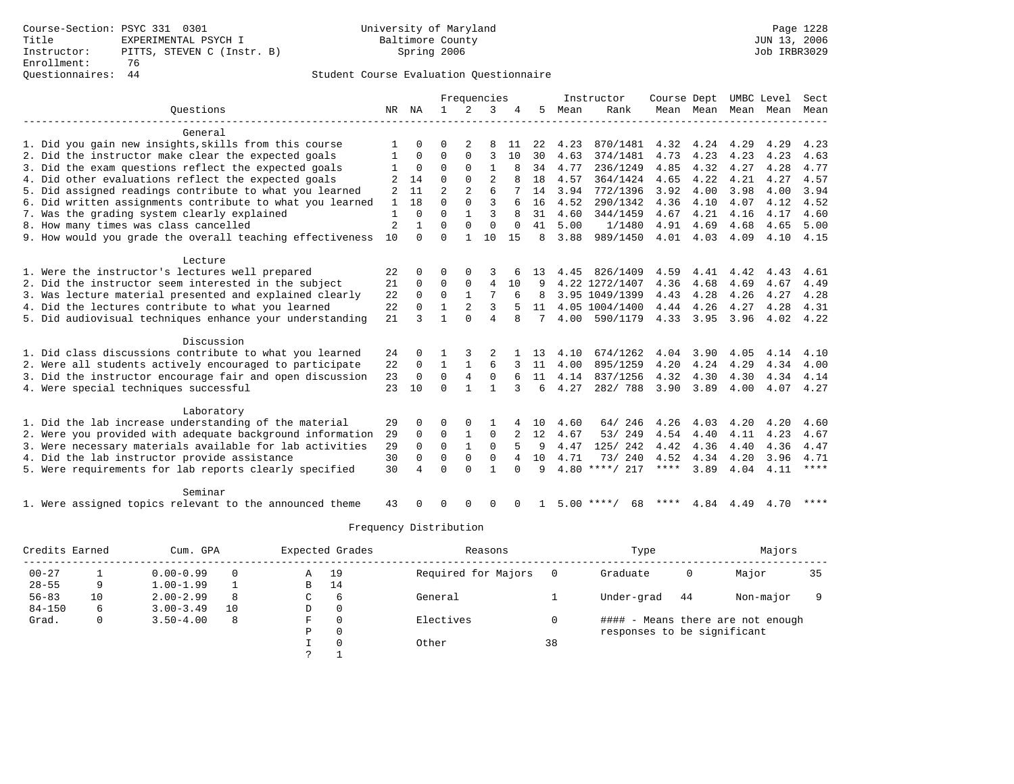### Questionnaires: 44 Student Course Evaluation Questionnaire

|                                                                                                                       |                |              |                |                | Frequencies                 |          |          |              | Instructor         | Course Dept  |                     |              | UMBC Level   | Sect         |
|-----------------------------------------------------------------------------------------------------------------------|----------------|--------------|----------------|----------------|-----------------------------|----------|----------|--------------|--------------------|--------------|---------------------|--------------|--------------|--------------|
| Ouestions                                                                                                             | NR             | NA           | $\mathbf{1}$   | 2              | 3                           |          | 5        | Mean         | Rank               |              | Mean Mean Mean Mean |              |              | Mean         |
| General                                                                                                               |                |              |                |                |                             |          |          |              |                    |              |                     |              |              |              |
| 1. Did you gain new insights, skills from this course                                                                 |                | $\Omega$     | $\Omega$       |                | 8                           | 11       | 22       | 4.23         | 870/1481           | 4.32         | 4.24                | 4.29         | 4.29         | 4.23         |
| 2. Did the instructor make clear the expected goals                                                                   |                | 0            | $\Omega$       | $\Omega$       | 3                           | 10       | 30       | 4.63         | 374/1481           | 4.73         | 4.23                | 4.23         | 4.23         | 4.63         |
| 3. Did the exam questions reflect the expected goals                                                                  |                | $\mathbf 0$  | $\Omega$       | $\Omega$       | $\mathbf{1}$                | 8        | 34       | 4.77         | 236/1249           | 4.85         | 4.32                | 4.27         | 4.28         | 4.77         |
| 4. Did other evaluations reflect the expected goals                                                                   |                | 14           | $\Omega$       | $\Omega$       | $\overline{c}$              |          | 18       | 4.57         | 364/1424           | 4.65         | 4.22                | 4.21         | 4.27         | 4.57         |
| 5. Did assigned readings contribute to what you learned                                                               | 2              | 11           | $\overline{2}$ | $\mathfrak{D}$ | 6                           |          | 14       | 3.94         | 772/1396           | 3.92         | 4.00                | 3.98         | 4.00         | 3.94         |
| 6. Did written assignments contribute to what you learned                                                             | 1              | 18           | $\Omega$       | $\Omega$       | ς                           | 6        | 16       | 4.52         | 290/1342           | 4.36         | 4.10                | 4.07         | 4.12         | 4.52         |
| 7. Was the grading system clearly explained                                                                           | $\mathbf{1}$   | 0            | $\Omega$       | $\mathbf{1}$   | 3                           | 8        | 31       | 4.60         | 344/1459           | 4.67         | 4.21                | 4.16         | 4.17         | 4.60         |
| 8. How many times was class cancelled                                                                                 | $\overline{a}$ | $\mathbf{1}$ | $\Omega$       | $\mathbf{0}$   | $\mathbf{0}$                | $\Omega$ | 41       | 5.00         | 1/1480             | 4.91         | 4.69                | 4.68         | 4.65         | 5.00         |
| 9. How would you grade the overall teaching effectiveness                                                             | 10             | $\Omega$     | $\Omega$       | $\mathbf{1}$   | 10                          | 15       | 8        | 3.88         | 989/1450           | 4.01         | 4.03                | 4.09         | 4.10         | 4.15         |
| Lecture                                                                                                               |                |              |                |                |                             |          |          |              |                    |              |                     |              |              |              |
| 1. Were the instructor's lectures well prepared                                                                       | 22             | $\Omega$     | U              | $\Omega$       | 3                           | 6        | 13       | 4.45         | 826/1409           | 4.59         | 4.41                | 4.42         | 4.43         | 4.61         |
| 2. Did the instructor seem interested in the subject                                                                  | 21             | 0            | $\mathbf 0$    | $\mathbf 0$    | 4                           | 10       | 9        |              | 4.22 1272/1407     | 4.36         | 4.68                | 4.69         | 4.67         | 4.49         |
| 3. Was lecture material presented and explained clearly                                                               | 22             | $\Omega$     | $\mathbf 0$    | $\mathbf{1}$   | 7                           | 6        | 8        |              | 3.95 1049/1399     | 4.43         | 4.28                | 4.26         | 4.27         | 4.28         |
| 4. Did the lectures contribute to what you learned                                                                    | 22             | $\Omega$     | $\mathbf{1}$   | $\overline{2}$ | 3                           |          | 11       |              | 4.05 1004/1400     | 4.44         | 4.26                | 4.27         | 4.28         | 4.31         |
| 5. Did audiovisual techniques enhance your understanding                                                              | 21             | ς            | 1              | $\Omega$       | 4                           | 8        | 7        | 4.00         | 590/1179           | 4.33         | 3.95                | 3.96         | 4.02         | 4.22         |
| Discussion                                                                                                            |                |              |                |                |                             |          |          |              |                    |              |                     |              |              |              |
| 1. Did class discussions contribute to what you learned                                                               | 24             | $\Omega$     |                |                |                             |          | 13       | 4.10         | 674/1262           | 4.04         | 3.90                | 4.05         | 4.14         | 4.10         |
| 2. Were all students actively encouraged to participate                                                               | 22             | $\mathbf 0$  | $\mathbf{1}$   | $\mathbf{1}$   | 6                           |          | 11       | 4.00         | 895/1259           | 4.20         | 4.24                | 4.29         | 4.34         | 4.00         |
| 3. Did the instructor encourage fair and open discussion                                                              | 23             | $\mathbf 0$  | $\Omega$       | 4              | $\mathbf 0$                 | 6        | 11       | 4.14         | 837/1256           | 4.32         | 4.30                | 4.30         | 4.34         | 4.14         |
| 4. Were special techniques successful                                                                                 | 23             | 10           | $\Omega$       | $\mathbf{1}$   | $\mathbf{1}$                | 3        | 6        | 4.27         | 282/788            | 3.90         | 3.89                | 4.00         | 4.07         | 4.27         |
|                                                                                                                       |                |              |                |                |                             |          |          |              |                    |              |                     |              |              |              |
| Laboratory                                                                                                            |                |              | O              | $\Omega$       |                             |          |          |              |                    |              |                     |              |              |              |
| 1. Did the lab increase understanding of the material                                                                 | 29             | 0<br>0       | $\Omega$       | 1              | $\mathbf{1}$<br>$\mathbf 0$ |          | 10<br>12 | 4.60<br>4.67 | 64/246<br>53/249   | 4.26<br>4.54 | 4.03                | 4.20         | 4.20<br>4.23 | 4.60         |
| 2. Were you provided with adequate background information<br>3. Were necessary materials available for lab activities | 29<br>29       | $\Omega$     | $\Omega$       | $\mathbf{1}$   | $\Omega$                    | 5        | 9        | 4.47         | 125/ 242           | 4.42         | 4.40<br>4.36        | 4.11<br>4.40 | 4.36         | 4.67<br>4.47 |
| 4. Did the lab instructor provide assistance                                                                          | 30             | $\mathbf 0$  | $\Omega$       | $\Omega$       | $\Omega$                    | 4        | 10       | 4.71         | 73/240             | 4.52         | 4.34                | 4.20         | 3.96         | 4.71         |
| 5. Were requirements for lab reports clearly specified                                                                | 30             | 4            | $\Omega$       | $\Omega$       | $\mathbf{1}$                | $\Omega$ | 9        |              | $4.80$ ****/ 217   | $***$ * *    | 3.89                | 4.04         | 4.11         | $***$ * * *  |
|                                                                                                                       |                |              |                |                |                             |          |          |              |                    |              |                     |              |              |              |
| Seminar                                                                                                               |                |              |                |                |                             |          |          |              |                    |              |                     |              |              |              |
| 1. Were assigned topics relevant to the announced theme                                                               | 43             |              | U              | ∩              | $\Omega$                    | U        |          |              | $5.00$ ****/<br>68 | ****         | 4.84                | 4.49         | 4.70         | ****         |

| Credits Earned |    | Cum. GPA      |          |   | Expected Grades | Reasons             |    | Type                        |    | Majors                            |    |
|----------------|----|---------------|----------|---|-----------------|---------------------|----|-----------------------------|----|-----------------------------------|----|
| $00 - 27$      |    | $0.00 - 0.99$ | $\Omega$ | Α | 19              | Required for Majors |    | Graduate                    | 0  | Major                             | 35 |
| $28 - 55$      | 9  | $1.00 - 1.99$ |          | В | 14              |                     |    |                             |    |                                   |    |
| $56 - 83$      | 10 | $2.00 - 2.99$ | 8        | C | 6               | General             |    | Under-grad                  | 44 | Non-major                         |    |
| $84 - 150$     | 6  | $3.00 - 3.49$ | 10       | D | $\mathbf{0}$    |                     |    |                             |    |                                   |    |
| Grad.          | 0  | $3.50 - 4.00$ | 8        | F | $\Omega$        | Electives           |    |                             |    | #### - Means there are not enough |    |
|                |    |               |          | Ρ | $\mathbf 0$     |                     |    | responses to be significant |    |                                   |    |
|                |    |               |          |   | $\Omega$        | Other               | 38 |                             |    |                                   |    |
|                |    |               |          |   |                 |                     |    |                             |    |                                   |    |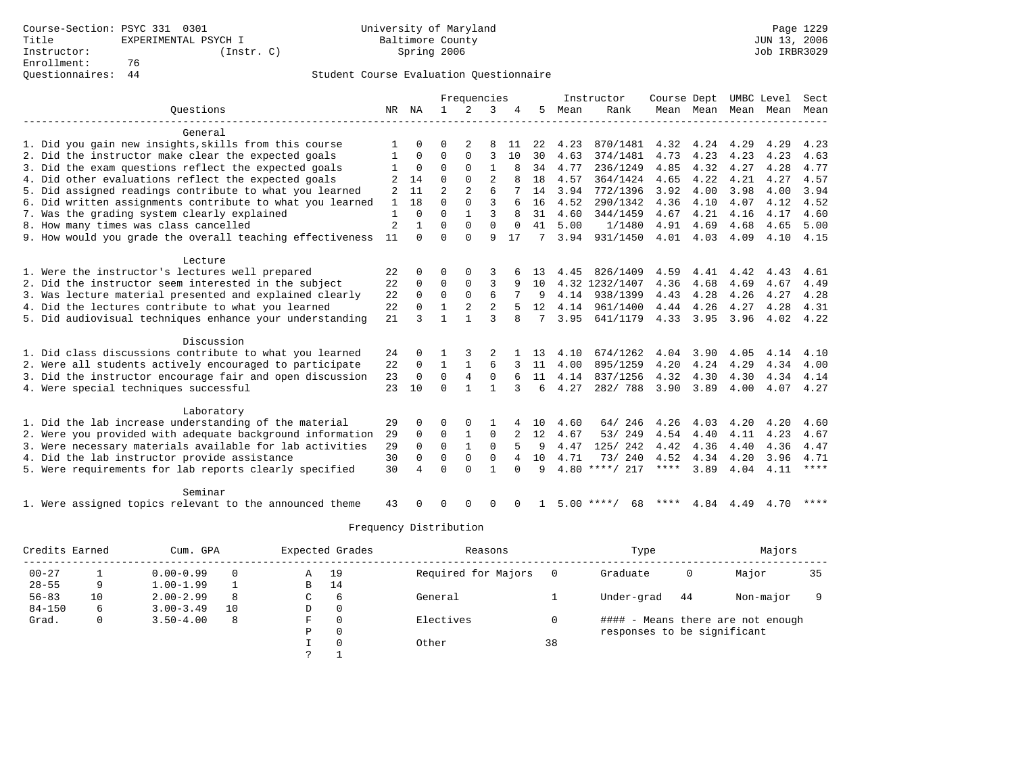|                                                           |                |                |                | Frequencies    |                |              |    |      | Instructor         | Course Dept |      |      | UMBC Level               | Sect        |
|-----------------------------------------------------------|----------------|----------------|----------------|----------------|----------------|--------------|----|------|--------------------|-------------|------|------|--------------------------|-------------|
| Ouestions                                                 | NR             | ΝA             | $\mathbf{1}$   | 2              | 3              | 4            | 5  | Mean | Rank               |             |      |      | Mean Mean Mean Mean Mean |             |
| General                                                   |                |                |                |                |                |              |    |      |                    |             |      |      |                          |             |
| 1. Did you gain new insights, skills from this course     |                | $\Omega$       | O              | 2              | 8              | 11           | 22 | 4.23 | 870/1481           | 4.32        | 4.24 | 4.29 | 4.29                     | 4.23        |
| 2. Did the instructor make clear the expected goals       | 1              | 0              | $\Omega$       | $\Omega$       | 3              | 10           | 30 | 4.63 | 374/1481           | 4.73        | 4.23 | 4.23 | 4.23                     | 4.63        |
| 3. Did the exam questions reflect the expected goals      | 1              | $\mathbf 0$    | $\Omega$       | $\Omega$       | $\mathbf{1}$   | 8            | 34 | 4.77 | 236/1249           | 4.85        | 4.32 | 4.27 | 4.28                     | 4.77        |
| 4. Did other evaluations reflect the expected goals       |                | 14             | $\Omega$       | $\Omega$       | $\overline{c}$ | 8            | 18 | 4.57 | 364/1424           | 4.65        | 4.22 | 4.21 | 4.27                     | 4.57        |
| 5. Did assigned readings contribute to what you learned   | 2              | 11             | $\overline{2}$ |                | 6              |              | 14 | 3.94 | 772/1396           | 3.92        | 4.00 | 3.98 | 4.00                     | 3.94        |
| 6. Did written assignments contribute to what you learned | 1              | 18             | $\Omega$       | $\Omega$       | ς              | 6            | 16 | 4.52 | 290/1342           | 4.36        | 4.10 | 4.07 | 4.12                     | 4.52        |
| 7. Was the grading system clearly explained               | 1              | $\Omega$       | $\Omega$       | $\mathbf{1}$   | 3              | 8            | 31 | 4.60 | 344/1459           | 4.67        | 4.21 | 4.16 | 4.17                     | 4.60        |
| 8. How many times was class cancelled                     | $\overline{2}$ | $\mathbf{1}$   | $\Omega$       | $\Omega$       | $\Omega$       | $\Omega$     | 41 | 5.00 | 1/1480             | 4.91        | 4.69 | 4.68 | 4.65                     | 5.00        |
| 9. How would you grade the overall teaching effectiveness | 11             | $\Omega$       | $\Omega$       | $\Omega$       | 9              | 17           | 7  | 3.94 | 931/1450           | 4.01        | 4.03 | 4.09 | 4.10                     | 4.15        |
| Lecture                                                   |                |                |                |                |                |              |    |      |                    |             |      |      |                          |             |
| 1. Were the instructor's lectures well prepared           | 22             | $\Omega$       | 0              | $\Omega$       | 3              |              | 13 | 4.45 | 826/1409           | 4.59        | 4.41 | 4.42 | 4.43                     | 4.61        |
| 2. Did the instructor seem interested in the subject      | 22             | $\Omega$       | $\Omega$       | $\mathbf 0$    | 3              | 9            | 10 |      | 4.32 1232/1407     | 4.36        | 4.68 | 4.69 | 4.67                     | 4.49        |
| 3. Was lecture material presented and explained clearly   | 22             | $\Omega$       | $\mathbf 0$    | $\mathbf 0$    | 6              |              | 9  | 4.14 | 938/1399           | 4.43        | 4.28 | 4.26 | 4.27                     | 4.28        |
| 4. Did the lectures contribute to what you learned        | 22             | $\Omega$       | $\mathbf{1}$   | $\overline{2}$ | $\overline{2}$ | 5            | 12 | 4.14 | 961/1400           | 4.44        | 4.26 | 4.27 | 4.28                     | 4.31        |
| 5. Did audiovisual techniques enhance your understanding  | 21             | ζ              | $\mathbf{1}$   | $\mathbf{1}$   | ς              | $\mathsf{R}$ |    | 3.95 | 641/1179           | 4.33        | 3.95 | 3.96 | 4.02                     | 4.22        |
| Discussion                                                |                |                |                |                |                |              |    |      |                    |             |      |      |                          |             |
| 1. Did class discussions contribute to what you learned   | 24             | $\Omega$       |                |                |                |              | 13 | 4.10 | 674/1262           | 4.04        | 3.90 | 4.05 | 4.14                     | 4.10        |
| 2. Were all students actively encouraged to participate   | 22             | $\mathbf 0$    | $\mathbf{1}$   | $\mathbf{1}$   | 6              |              | 11 | 4.00 | 895/1259           | 4.20        | 4.24 | 4.29 | 4.34                     | 4.00        |
| 3. Did the instructor encourage fair and open discussion  | 23             | $\mathbf 0$    | $\Omega$       | 4              | 0              | 6            | 11 | 4.14 | 837/1256           | 4.32        | 4.30 | 4.30 | 4.34                     | 4.14        |
| 4. Were special techniques successful                     | 23             | 10             | $\Omega$       | $\mathbf{1}$   | $\mathbf{1}$   | 3            | 6  | 4.27 | 282/788            | 3.90        | 3.89 | 4.00 | 4.07                     | 4.27        |
| Laboratory                                                |                |                |                |                |                |              |    |      |                    |             |      |      |                          |             |
| 1. Did the lab increase understanding of the material     | 29             | $\Omega$       | O              | $\Omega$       |                |              | 10 | 4.60 | 64/246             | 4.26        | 4.03 | 4.20 | 4.20                     | 4.60        |
| 2. Were you provided with adequate background information | 29             | 0              | 0              | $\mathbf{1}$   | $\mathbf 0$    |              | 12 | 4.67 | 53/249             | 4.54        | 4.40 | 4.11 | 4.23                     | 4.67        |
| 3. Were necessary materials available for lab activities  | 29             | 0              | $\mathbf 0$    | 1              | $\mathbf 0$    | 5            | 9  | 4.47 | 125/ 242           | 4.42        | 4.36 | 4.40 | 4.36                     | 4.47        |
| 4. Did the lab instructor provide assistance              | 30             | $\Omega$       | $\Omega$       | $\Omega$       | $\Omega$       | 4            | 10 | 4.71 | 73/240             | 4.52        | 4.34 | 4.20 | 3.96                     | 4.71        |
| 5. Were requirements for lab reports clearly specified    | 30             | $\overline{4}$ | $\Omega$       | $\Omega$       | $\mathbf{1}$   | $\Omega$     | 9  |      | $4.80$ ****/ 217   | ****        | 3.89 | 4.04 | 4.11                     | $***$ * * * |
| Seminar                                                   |                |                |                |                |                |              |    |      |                    |             |      |      |                          |             |
| 1. Were assigned topics relevant to the announced theme   | 43             |                | U              | ∩              | $\Omega$       | U            |    |      | $5.00$ ****/<br>68 | ****        | 4.84 | 4.49 | 4.70                     | ****        |

| Credits Earned |    | Cum. GPA      |          |   | Expected Grades | Reasons             |    | Type                        |    | Majors                            |    |  |
|----------------|----|---------------|----------|---|-----------------|---------------------|----|-----------------------------|----|-----------------------------------|----|--|
| $00 - 27$      |    | $0.00 - 0.99$ | $\Omega$ | Α | 19              | Required for Majors |    | Graduate                    | 0  | Major                             | 35 |  |
| $28 - 55$      | 9  | $1.00 - 1.99$ |          | В | 14              |                     |    |                             |    |                                   |    |  |
| $56 - 83$      | 10 | $2.00 - 2.99$ | 8        | C | 6               | General             |    | Under-grad                  | 44 | Non-major                         |    |  |
| $84 - 150$     | 6  | $3.00 - 3.49$ | 10       | D | $\mathbf{0}$    |                     |    |                             |    |                                   |    |  |
| Grad.          | 0  | $3.50 - 4.00$ | 8        | F | $\Omega$        | Electives           |    |                             |    | #### - Means there are not enough |    |  |
|                |    |               |          | Ρ | $\mathbf 0$     |                     |    | responses to be significant |    |                                   |    |  |
|                |    |               |          |   | $\Omega$        | Other               | 38 |                             |    |                                   |    |  |
|                |    |               |          |   |                 |                     |    |                             |    |                                   |    |  |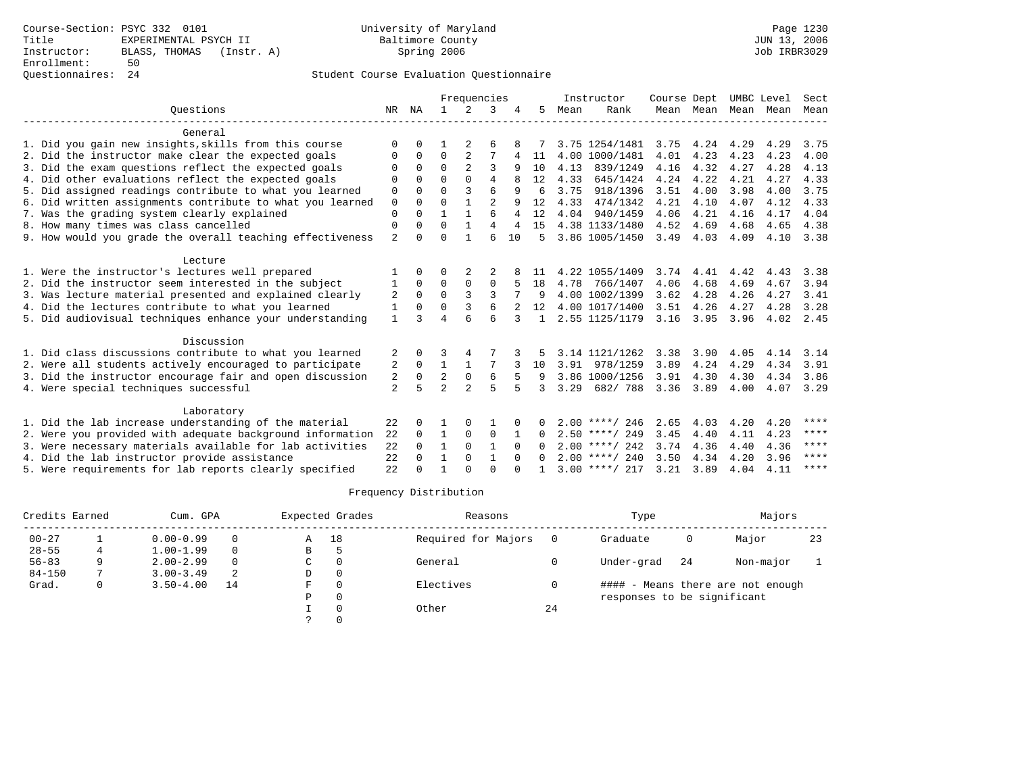# Questionnaires: 24 Student Course Evaluation Questionnaire

|                                                           |                |             | Frequencies    |                |                |                |               |      | Instructor       | Course Dept |           | UMBC Level |      | Sect  |
|-----------------------------------------------------------|----------------|-------------|----------------|----------------|----------------|----------------|---------------|------|------------------|-------------|-----------|------------|------|-------|
| Ouestions                                                 |                |             | $\mathbf{1}$   | 2              | 3              |                | 5             | Mean | Rank             |             | Mean Mean | Mean Mean  |      | Mean  |
| General                                                   |                |             |                |                |                |                |               |      |                  |             |           |            |      |       |
| 1. Did you gain new insights, skills from this course     | $\Omega$       | $\Omega$    |                |                | 6              |                |               |      | 3.75 1254/1481   | 3.75        | 4.24      | 4.29       | 4.29 | 3.75  |
| 2. Did the instructor make clear the expected goals       | 0              | $\Omega$    | $\Omega$       | 2              | 7              | 4              | 11            |      | 4.00 1000/1481   | 4.01        | 4.23      | 4.23       | 4.23 | 4.00  |
| 3. Did the exam questions reflect the expected goals      | $\Omega$       | $\Omega$    | $\Omega$       |                | 3              | 9              | 10            | 4.13 | 839/1249         | 4.16        | 4.32      | 4.27       | 4.28 | 4.13  |
| 4. Did other evaluations reflect the expected goals       | O              | $\Omega$    | $\Omega$       | $\cap$         | 4              | 8              | 12            | 4.33 | 645/1424         | 4.24        | 4.22      | 4.21       | 4.27 | 4.33  |
| 5. Did assigned readings contribute to what you learned   | 0              | $\Omega$    | $\Omega$       | 3              | 6              | 9              | 6             | 3.75 | 918/1396         | 3.51        | 4.00      | 3.98       | 4.00 | 3.75  |
| 6. Did written assignments contribute to what you learned | $\mathbf 0$    | $\Omega$    | $\Omega$       | $\mathbf{1}$   | $\overline{a}$ | 9              | 12            | 4.33 | 474/1342         | 4.21        | 4.10      | 4.07       | 4.12 | 4.33  |
| 7. Was the grading system clearly explained               | $\mathbf{0}$   | $\Omega$    | $\mathbf{1}$   | $\mathbf{1}$   |                | $\overline{4}$ | 12            | 4.04 | 940/1459         | 4.06        | 4.21      | 4.16       | 4.17 | 4.04  |
| 8. How many times was class cancelled                     | 0              | $\Omega$    | $\Omega$       | $\mathbf{1}$   | 4              | 4              | 15            |      | 4.38 1133/1480   | 4.52        | 4.69      | 4.68       | 4.65 | 4.38  |
| 9. How would you grade the overall teaching effectiveness | $\overline{a}$ | $\Omega$    | $\Omega$       |                | ĥ              | 10             | 5             |      | 3.86 1005/1450   | 3.49        | 4.03      | 4.09       | 4.10 | 3.38  |
| Lecture                                                   |                |             |                |                |                |                |               |      |                  |             |           |            |      |       |
| 1. Were the instructor's lectures well prepared           |                | $\Omega$    | O              | 2              |                |                | 11            |      | 4.22 1055/1409   | 3.74        | 4.41      | 4.42       | 4.43 | 3.38  |
| 2. Did the instructor seem interested in the subject      | 1              | $\Omega$    | $\Omega$       | $\Omega$       | 0              |                | 18            | 4.78 | 766/1407         | 4.06        | 4.68      | 4.69       | 4.67 | 3.94  |
| 3. Was lecture material presented and explained clearly   | 2              | $\Omega$    | $\Omega$       | 3              | 3              |                | 9             |      | 4.00 1002/1399   | 3.62        | 4.28      | 4.26       | 4.27 | 3.41  |
| 4. Did the lectures contribute to what you learned        | 1              | $\Omega$    | $\Omega$       | 3              | 6              |                | 12            |      | 4.00 1017/1400   | 3.51        | 4.26      | 4.27       | 4.28 | 3.28  |
| 5. Did audiovisual techniques enhance your understanding  | 1              | २           | $\overline{4}$ |                | б              |                | $\mathbf{1}$  |      | 2.55 1125/1179   | 3.16        | 3.95      | 3.96       | 4.02 | 2.45  |
| Discussion                                                |                |             |                |                |                |                |               |      |                  |             |           |            |      |       |
| 1. Did class discussions contribute to what you learned   | 2              | 0           | 3              | 4              |                |                |               |      | 3.14 1121/1262   | 3.38        | 3.90      | 4.05       | 4.14 | 3.14  |
| 2. Were all students actively encouraged to participate   | 2              | $\Omega$    | $\mathbf{1}$   | $\mathbf{1}$   | 7              |                | 10            | 3.91 | 978/1259         | 3.89        | 4.24      | 4.29       | 4.34 | 3.91  |
| 3. Did the instructor encourage fair and open discussion  | 2              | $\mathbf 0$ | $\overline{a}$ | $\mathbf 0$    | 6              |                | 9             |      | 3.86 1000/1256   | 3.91        | 4.30      | 4.30       | 4.34 | 3.86  |
| 4. Were special techniques successful                     | $\overline{a}$ | 5           | $\overline{a}$ | $\overline{a}$ | $\overline{5}$ |                | $\mathcal{L}$ | 3.29 | 682/788          | 3.36        | 3.89      | 4.00       | 4.07 | 3.29  |
| Laboratory                                                |                |             |                |                |                |                |               |      |                  |             |           |            |      |       |
| 1. Did the lab increase understanding of the material     | 22             | O           |                | $\Omega$       |                |                | 0             |      | $2.00$ ****/ 246 | 2.65        | 4.03      | 4.20       | 4.20 | $***$ |
| 2. Were you provided with adequate background information | 22             | $\Omega$    | $\mathbf{1}$   | $\Omega$       | $\mathbf 0$    | 1              | $\Omega$      |      | $2.50$ ****/ 249 | 3.45        | 4.40      | 4.11       | 4.23 | ****  |
| 3. Were necessary materials available for lab activities  | 22             | $\Omega$    | $\mathbf{1}$   | $\Omega$       | $\mathbf{1}$   | $\Omega$       | $\Omega$      |      | $2.00$ ****/ 242 | 3.74        | 4.36      | 4.40       | 4.36 | ****  |
| 4. Did the lab instructor provide assistance              | 22             | $\cap$      | 1              | $\Omega$       | $\mathbf{1}$   | $\Omega$       | $\cap$        |      | $2.00$ ****/ 240 | 3.50        | 4.34      | 4.20       | 3.96 | ****  |
| 5. Were requirements for lab reports clearly specified    | 22             | $\Omega$    |                | $\cap$         | $\Omega$       | $\cap$         |               |      | $3.00$ ****/ 217 | 3.21        | 3.89      | 4.04       | 4.11 | ****  |

| Credits Earned |   | Cum. GPA      | Expected Grades |   | Reasons |                     | Type | Majors                      |    |                                   |    |
|----------------|---|---------------|-----------------|---|---------|---------------------|------|-----------------------------|----|-----------------------------------|----|
| $00 - 27$      |   | $0.00 - 0.99$ | $\Omega$        | Α | 18      | Required for Majors |      | Graduate                    | 0  | Major                             | 23 |
| $28 - 55$      |   | $1.00 - 1.99$ | $\Omega$        | В |         |                     |      |                             |    |                                   |    |
| $56 - 83$      | 9 | $2.00 - 2.99$ | $\Omega$        | C |         | General             |      | Under-grad                  | 24 | Non-major                         |    |
| $84 - 150$     |   | $3.00 - 3.49$ | 2               | D |         |                     |      |                             |    |                                   |    |
| Grad.          | 0 | $3.50 - 4.00$ | 14              | F |         | Electives           |      |                             |    | #### - Means there are not enough |    |
|                |   |               |                 | P |         |                     |      | responses to be significant |    |                                   |    |
|                |   |               |                 |   |         | Other               | 24   |                             |    |                                   |    |
|                |   |               |                 |   |         |                     |      |                             |    |                                   |    |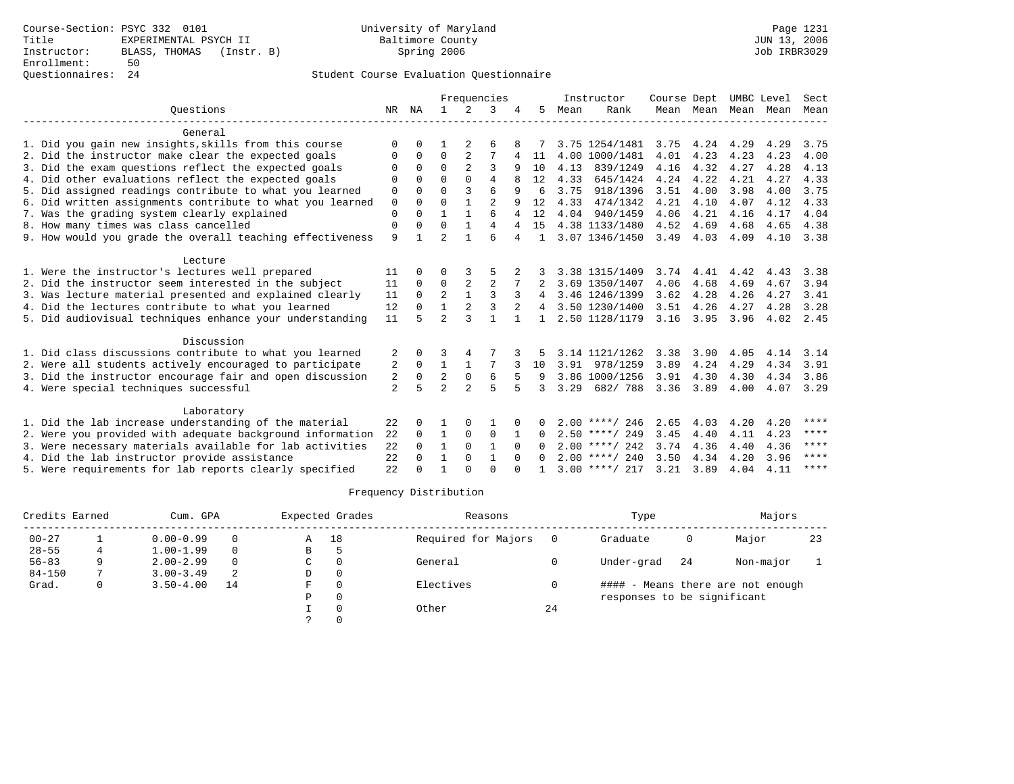## Questionnaires: 24 Student Course Evaluation Questionnaire

|                                                           |                |          |                |                | Frequencies    |              |              |      | Instructor       | Course Dept |           | UMBC Level |           | Sect        |
|-----------------------------------------------------------|----------------|----------|----------------|----------------|----------------|--------------|--------------|------|------------------|-------------|-----------|------------|-----------|-------------|
| Ouestions                                                 | NR             | ΝA       | $\mathbf{1}$   | $\mathfrak{D}$ | 3              |              | 5            | Mean | Rank             |             | Mean Mean | Mean       | Mean      | Mean        |
| General                                                   |                |          |                |                |                |              |              |      |                  |             |           |            |           |             |
| 1. Did you gain new insights, skills from this course     | $\Omega$       | $\Omega$ |                | 2              | 6              | 8            |              |      | 3.75 1254/1481   | 3.75        | 4.24      | 4.29       | 4.29      | 3.75        |
| 2. Did the instructor make clear the expected goals       | 0              | $\Omega$ | 0              | 2              |                | 4            | 11           |      | 4.00 1000/1481   | 4.01        | 4.23      | 4.23       | 4.23      | 4.00        |
| 3. Did the exam questions reflect the expected goals      |                | $\Omega$ | $\Omega$       |                | 3              | 9            | 10           | 4.13 | 839/1249         | 4.16        | 4.32      | 4.27       | 4.28      | 4.13        |
| 4. Did other evaluations reflect the expected goals       | 0              | $\Omega$ | $\Omega$       | $\Omega$       | 4              | 8            | 12           | 4.33 | 645/1424         | 4.24        | 4.22      | 4.21       | 4.27      | 4.33        |
| 5. Did assigned readings contribute to what you learned   | $\mathbf 0$    | $\Omega$ | $\Omega$       | 3              | $\epsilon$     | 9            | 6            | 3.75 | 918/1396         | 3.51        | 4.00      | 3.98       | 4.00      | 3.75        |
| 6. Did written assignments contribute to what you learned | $\mathbf 0$    | $\Omega$ | $\Omega$       | $\mathbf{1}$   | $\overline{a}$ | q            | 12           | 4.33 | 474/1342         | 4.21        | 4.10      | 4.07       | 4.12      | 4.33        |
| 7. Was the grading system clearly explained               | $\mathbf{0}$   | $\Omega$ |                | $\mathbf{1}$   | 6              | 4            | 12           | 4.04 | 940/1459         | 4.06        | 4.21      | 4.16       | 4.17      | 4.04        |
| 8. How many times was class cancelled                     | 0              | $\Omega$ | $\Omega$       | $\mathbf{1}$   | 4              | 4            | 15           |      | 4.38 1133/1480   | 4.52        | 4.69      | 4.68       | 4.65      | 4.38        |
| 9. How would you grade the overall teaching effectiveness | 9              |          | $\overline{2}$ |                | б              | 4            |              |      | 3.07 1346/1450   | 3.49        | 4.03      | 4.09       | 4.10      | 3.38        |
| Lecture                                                   |                |          |                |                |                |              |              |      |                  |             |           |            |           |             |
| 1. Were the instructor's lectures well prepared           | 11             | $\Omega$ | O              |                |                |              |              |      | 3.38 1315/1409   | 3.74        | 4.41      | 4.42       | 4.43      | 3.38        |
| 2. Did the instructor seem interested in the subject      | 11             | $\Omega$ | $\Omega$       | $\overline{a}$ | $\overline{2}$ |              |              |      | 3.69 1350/1407   | 4.06        | 4.68      | 4.69       | 4.67      | 3.94        |
| 3. Was lecture material presented and explained clearly   | 11             | $\Omega$ | $\overline{a}$ | $\mathbf{1}$   | 3              | 3            |              |      | 3.46 1246/1399   | 3.62        | 4.28      | 4.26       | 4.27      | 3.41        |
| 4. Did the lectures contribute to what you learned        | 12             | $\Omega$ | $\mathbf{1}$   |                | 3              |              |              |      | 3.50 1230/1400   | 3.51        | 4.26      | 4.27       | 4.28      | 3.28        |
| 5. Did audiovisual techniques enhance your understanding  | 11             |          | $\mathcal{D}$  | २              | $\mathbf{1}$   | $\mathbf{1}$ | $\mathbf{1}$ |      | 2.50 1128/1179   | 3.16        | 3.95      | 3.96       | 4.02      | 2.45        |
| Discussion                                                |                |          |                |                |                |              |              |      |                  |             |           |            |           |             |
| 1. Did class discussions contribute to what you learned   | 2              | 0        | 3              | 4              |                |              | 5.           |      | 3.14 1121/1262   | 3.38        | 3.90      | 4.05       | 4.14      | 3.14        |
| 2. Were all students actively encouraged to participate   | 2              | $\Omega$ | $\mathbf{1}$   | $\mathbf{1}$   | 7              |              | 10           | 3.91 | 978/1259         | 3.89        | 4.24      | 4.29       | 4.34      | 3.91        |
| 3. Did the instructor encourage fair and open discussion  | 2              | 0        | $\overline{a}$ | $\mathbf 0$    | 6              |              | 9            |      | 3.86 1000/1256   | 3.91        | 4.30      | 4.30       | 4.34      | 3.86        |
| 4. Were special techniques successful                     | $\overline{a}$ | 5        | $\overline{a}$ | $\overline{a}$ | 5              |              | 3            | 3.29 | 682/788          | 3.36 3.89   |           | 4.00       | 4.07 3.29 |             |
| Laboratory                                                |                |          |                |                |                |              |              |      |                  |             |           |            |           |             |
| 1. Did the lab increase understanding of the material     | 22             | $\Omega$ |                | $\Omega$       |                |              |              |      | $2.00$ ****/ 246 | 2.65        | 4.03      | 4.20       | 4.20      | $***$ * * * |
| 2. Were you provided with adequate background information | 22             | $\Omega$ | 1              | $\mathbf 0$    | 0              | 1            | $\Omega$     |      | $2.50$ ****/ 249 | 3.45        | 4.40      | 4.11       | 4.23      | $* * * *$   |
| 3. Were necessary materials available for lab activities  | 22             | $\Omega$ | $\mathbf{1}$   | $\Omega$       | $\mathbf{1}$   | $\Omega$     | $\Omega$     |      | $2.00$ ****/ 242 | 3.74        | 4.36      | 4.40       | 4.36      | $***$ * * * |
| 4. Did the lab instructor provide assistance              | 22             | $\cap$   | $\mathbf{1}$   | $\Omega$       | 1              | $\Omega$     | $\Omega$     |      | $2.00$ ****/ 240 | 3.50        | 4.34      | 4.20       | 3.96      | ****        |
| 5. Were requirements for lab reports clearly specified    | 22             | $\Omega$ |                | ∩              | $\cap$         |              |              |      | $3.00$ ****/ 217 | 3.21        | 3.89      | 4.04       | 4.11      | ****        |

| Credits Earned |   | Cum. GPA      |          | Expected Grades |    | Reasons             |    | Type                        |    | Majors                            |    |
|----------------|---|---------------|----------|-----------------|----|---------------------|----|-----------------------------|----|-----------------------------------|----|
| $00 - 27$      |   | $0.00 - 0.99$ | $\Omega$ | Α               | 18 | Required for Majors |    | Graduate                    | 0  | Major                             | 23 |
| $28 - 55$      |   | $1.00 - 1.99$ | $\Omega$ | В               |    |                     |    |                             |    |                                   |    |
| $56 - 83$      | 9 | $2.00 - 2.99$ | $\Omega$ | C               |    | General             |    | Under-grad                  | 24 | Non-major                         |    |
| $84 - 150$     |   | $3.00 - 3.49$ | 2        | D               |    |                     |    |                             |    |                                   |    |
| Grad.          | 0 | $3.50 - 4.00$ | 14       | F               |    | Electives           |    |                             |    | #### - Means there are not enough |    |
|                |   |               |          | P               |    |                     |    | responses to be significant |    |                                   |    |
|                |   |               |          |                 |    | Other               | 24 |                             |    |                                   |    |
|                |   |               |          |                 |    |                     |    |                             |    |                                   |    |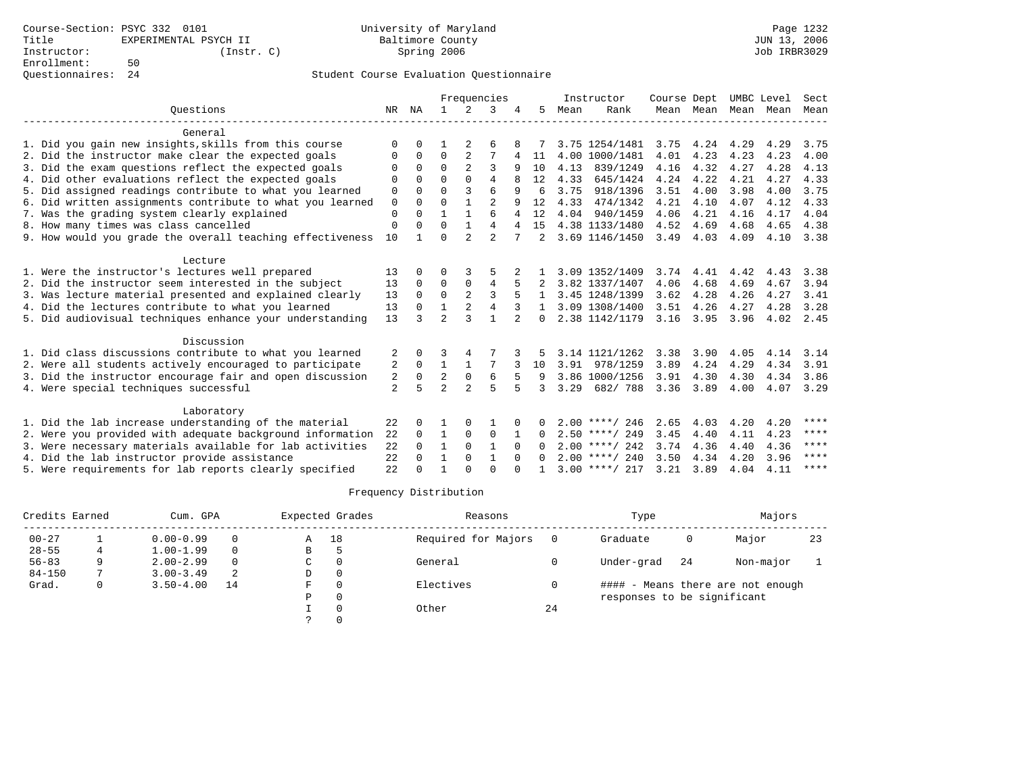|  |                                                           |                |              |                |                | Frequencies    |                |                |      | Instructor       | Course Dept |      |                     | UMBC Level | Sect  |
|--|-----------------------------------------------------------|----------------|--------------|----------------|----------------|----------------|----------------|----------------|------|------------------|-------------|------|---------------------|------------|-------|
|  | Ouestions                                                 | NR             | ΝA           |                | 2              | 3              |                | 5              | Mean | Rank             |             |      | Mean Mean Mean Mean |            | Mean  |
|  | General                                                   |                |              |                |                |                |                |                |      |                  |             |      |                     |            |       |
|  | 1. Did you gain new insights, skills from this course     | $\Omega$       | $\Omega$     |                |                | 6              |                |                |      | 3.75 1254/1481   | 3.75        | 4.24 | 4.29                | 4.29       | 3.75  |
|  | 2. Did the instructor make clear the expected goals       | O              | 0            | 0              | 2              | 7              | 4              | 11             | 4.00 | 1000/1481        | 4.01        | 4.23 | 4.23                | 4.23       | 4.00  |
|  | 3. Did the exam questions reflect the expected goals      | O              | $\Omega$     | $\Omega$       | $\overline{2}$ | 3              | 9              | 10             | 4.13 | 839/1249         | 4.16        | 4.32 | 4.27                | 4.28       | 4.13  |
|  | 4. Did other evaluations reflect the expected goals       | U              | $\Omega$     | $\cap$         | $\Omega$       | 4              | 8              | 12             | 4.33 | 645/1424         | 4.24        | 4.22 | 4.21                | 4.27       | 4.33  |
|  | 5. Did assigned readings contribute to what you learned   | 0              | $\Omega$     | $\Omega$       | 3              | 6              | 9              | 6              | 3.75 | 918/1396         | 3.51        | 4.00 | 3.98                | 4.00       | 3.75  |
|  | 6. Did written assignments contribute to what you learned | 0              | $\Omega$     | U              | $\mathbf{1}$   | $\overline{2}$ | 9              | 12             | 4.33 | 474/1342         | 4.21        | 4.10 | 4.07                | 4.12       | 4.33  |
|  | 7. Was the grading system clearly explained               | $\mathbf 0$    | $\Omega$     | $\mathbf{1}$   | $\mathbf{1}$   | 6              | 4              | 12             | 4.04 | 940/1459         | 4.06        | 4.21 | 4.16                | 4.17       | 4.04  |
|  | 8. How many times was class cancelled                     | 0              | $\Omega$     | $\Omega$       | $\mathbf{1}$   | 4              | 4              | 15             |      | 4.38 1133/1480   | 4.52        | 4.69 | 4.68                | 4.65       | 4.38  |
|  | 9. How would you grade the overall teaching effectiveness | 10             | $\mathbf{1}$ | O              | $\overline{a}$ | $\overline{2}$ |                | $\mathfrak{D}$ |      | 3.69 1146/1450   | 3.49        | 4.03 | 4.09                | 4.10       | 3.38  |
|  | Lecture                                                   |                |              |                |                |                |                |                |      |                  |             |      |                     |            |       |
|  | 1. Were the instructor's lectures well prepared           | 13             | $\Omega$     | U              |                |                |                |                |      | 3.09 1352/1409   | 3.74        | 4.41 | 4.42                | 4.43       | 3.38  |
|  | 2. Did the instructor seem interested in the subject      | 13             | $\Omega$     | 0              | 0              | 4              |                |                |      | 3.82 1337/1407   | 4.06        | 4.68 | 4.69                | 4.67       | 3.94  |
|  | 3. Was lecture material presented and explained clearly   | 13             | $\Omega$     | $\Omega$       | 2              | 3              | 5              |                |      | 3.45 1248/1399   | 3.62        | 4.28 | 4.26                | 4.27       | 3.41  |
|  | 4. Did the lectures contribute to what you learned        | 13             | $\Omega$     | 1              | 2              | 4              |                |                |      | 3.09 1308/1400   | 3.51        | 4.26 | 4.27                | 4.28       | 3.28  |
|  | 5. Did audiovisual techniques enhance your understanding  | 13             | ς            | $\mathfrak{D}$ | ς              |                | $\overline{2}$ | $\Omega$       |      | 2.38 1142/1179   | 3.16        | 3.95 | 3.96                | 4.02       | 2.45  |
|  | Discussion                                                |                |              |                |                |                |                |                |      |                  |             |      |                     |            |       |
|  | 1. Did class discussions contribute to what you learned   | 2              | 0            | 3              | 4              |                |                |                |      | 3.14 1121/1262   | 3.38        | 3.90 | 4.05                | 4.14       | 3.14  |
|  | 2. Were all students actively encouraged to participate   | 2              | $\Omega$     | $\mathbf{1}$   | $\mathbf{1}$   | 7              |                | 10             | 3.91 | 978/1259         | 3.89        | 4.24 | 4.29                | 4.34       | 3.91  |
|  | 3. Did the instructor encourage fair and open discussion  | 2              | $\mathbf 0$  | $\overline{2}$ | $\mathbf 0$    | 6              | 5              | 9              |      | 3.86 1000/1256   | 3.91        | 4.30 | 4.30                | 4.34       | 3.86  |
|  | 4. Were special techniques successful                     | $\overline{2}$ | 5            | $\overline{a}$ | $\overline{a}$ | 5              | 5              | २              | 3.29 | 682/788          | 3.36        | 3.89 | 4.00                | 4.07       | 3.29  |
|  | Laboratory                                                |                |              |                |                |                |                |                |      |                  |             |      |                     |            |       |
|  | 1. Did the lab increase understanding of the material     | 22             | $\Omega$     |                | $\Omega$       |                |                | 0              |      | $2.00$ ****/ 246 | 2.65        | 4.03 | 4.20                | 4.20       | $***$ |
|  | 2. Were you provided with adequate background information | 22             | $\Omega$     | $\mathbf{1}$   | $\Omega$       | $\Omega$       | -1             | 0              |      | $2.50$ ****/ 249 | 3.45        | 4.40 | 4.11                | 4.23       | ****  |
|  | 3. Were necessary materials available for lab activities  | 22             | $\Omega$     | $\mathbf{1}$   | $\Omega$       | $\mathbf{1}$   | $\Omega$       | $\Omega$       |      | $2.00$ ****/ 242 | 3.74        | 4.36 | 4.40                | 4.36       | ****  |
|  | 4. Did the lab instructor provide assistance              | 22             | $\Omega$     | $\mathbf{1}$   | $\Omega$       | $\mathbf{1}$   | $\Omega$       | $\Omega$       |      | $2.00$ ****/ 240 | 3.50        | 4.34 | 4.20                | 3.96       | ****  |
|  | 5. Were requirements for lab reports clearly specified    | 22             | $\Omega$     |                | U              | $\Omega$       |                |                |      | $3.00$ ****/ 217 | 3.21        | 3.89 | 4.04                | 4.11       | ****  |

| Credits Earned |   | Cum. GPA      |    |   | Expected Grades | Reasons             |    | Type                        |     | Majors                            |    |
|----------------|---|---------------|----|---|-----------------|---------------------|----|-----------------------------|-----|-----------------------------------|----|
| $00 - 27$      |   | $0.00 - 0.99$ |    | A | 18              | Required for Majors |    | Graduate                    | 0   | Major                             | 23 |
| $28 - 55$      | 4 | $1.00 - 1.99$ |    | B | h               |                     |    |                             |     |                                   |    |
| $56 - 83$      |   | $2.00 - 2.99$ |    | C | $\Omega$        | General             |    | Under-grad                  | -24 | Non-major                         |    |
| $84 - 150$     |   | $3.00 - 3.49$ | 2  | D | 0               |                     |    |                             |     |                                   |    |
| Grad.          | 0 | $3.50 - 4.00$ | 14 | F | 0               | Electives           |    |                             |     | #### - Means there are not enough |    |
|                |   |               |    | Ρ | 0               |                     |    | responses to be significant |     |                                   |    |
|                |   |               |    |   | $\Omega$        | Other               | 24 |                             |     |                                   |    |
|                |   |               |    |   |                 |                     |    |                             |     |                                   |    |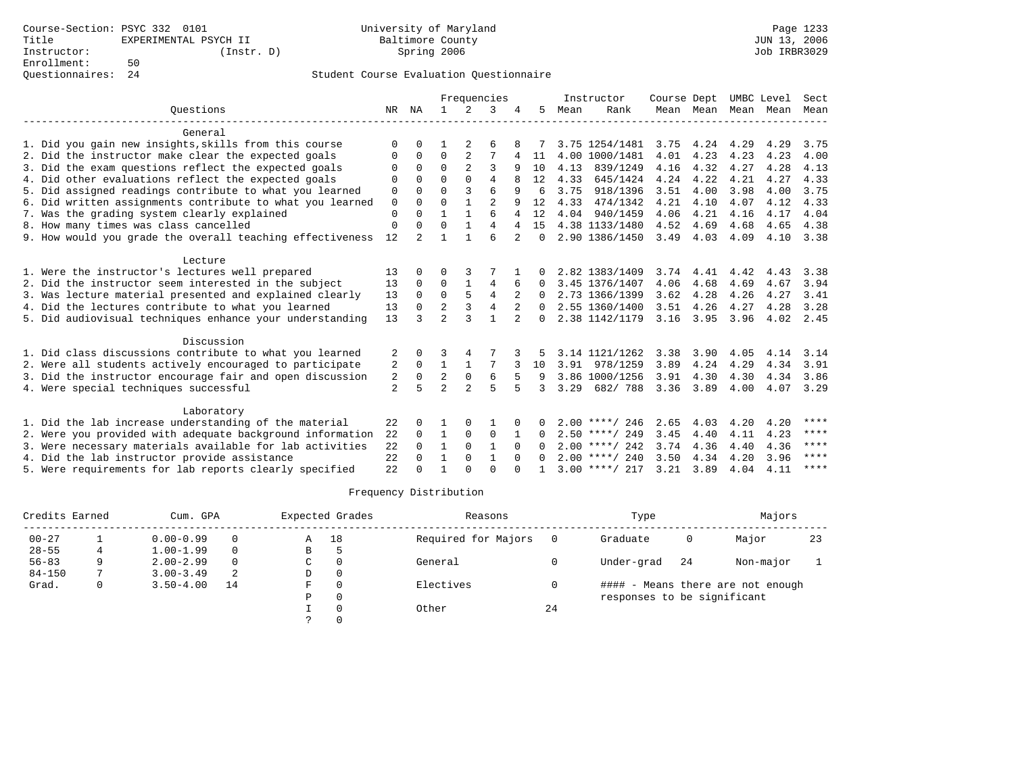|  |                                                           |                |                |                          |                | Frequencies    |                |          |      | Instructor       | Course Dept |                     | UMBC Level |      | Sect        |
|--|-----------------------------------------------------------|----------------|----------------|--------------------------|----------------|----------------|----------------|----------|------|------------------|-------------|---------------------|------------|------|-------------|
|  | Ouestions                                                 | NR             | ΝA             |                          | 2              | 3              |                | 5        | Mean | Rank             |             | Mean Mean Mean Mean |            |      | Mean        |
|  | General                                                   |                |                |                          |                |                |                |          |      |                  |             |                     |            |      |             |
|  | 1. Did you gain new insights, skills from this course     | $\Omega$       | $\Omega$       |                          |                | 6              |                |          |      | 3.75 1254/1481   | 3.75        | 4.24                | 4.29       | 4.29 | 3.75        |
|  | 2. Did the instructor make clear the expected goals       | 0              | $\Omega$       | $\Omega$                 | 2              | 7              | 4              | 11       | 4.00 | 1000/1481        | 4.01        | 4.23                | 4.23       | 4.23 | 4.00        |
|  | 3. Did the exam questions reflect the expected goals      | O              | $\Omega$       | $\Omega$                 | $\overline{2}$ | 3              | 9              | 10       | 4.13 | 839/1249         | 4.16        | 4.32                | 4.27       | 4.28 | 4.13        |
|  | 4. Did other evaluations reflect the expected goals       | U              | $\Omega$       | U                        | $\Omega$       | 4              | 8              | 12       | 4.33 | 645/1424         | 4.24        | 4.22                | 4.21       | 4.27 | 4.33        |
|  | 5. Did assigned readings contribute to what you learned   | 0              | $\Omega$       | $\Omega$                 | 3              | 6              | 9              | 6        | 3.75 | 918/1396         | 3.51        | 4.00                | 3.98       | 4.00 | 3.75        |
|  | 6. Did written assignments contribute to what you learned | 0              | $\Omega$       | $\Omega$                 | $\mathbf{1}$   | $\overline{2}$ | 9              | 12       | 4.33 | 474/1342         | 4.21        | 4.10                | 4.07       | 4.12 | 4.33        |
|  | 7. Was the grading system clearly explained               | $\mathbf 0$    | $\Omega$       | $\mathbf{1}$             | $\mathbf{1}$   | 6              | 4              | 12       | 4.04 | 940/1459         | 4.06        | 4.21                | 4.16       | 4.17 | 4.04        |
|  | 8. How many times was class cancelled                     | 0              | $\Omega$       | O                        | $\mathbf{1}$   | 4              | 4              | 15       |      | 4.38 1133/1480   | 4.52        | 4.69                | 4.68       | 4.65 | 4.38        |
|  | 9. How would you grade the overall teaching effectiveness | 12             | $\mathfrak{D}$ |                          | $\mathbf{1}$   | 6              | $\overline{a}$ | $\Omega$ |      | 2.90 1386/1450   | 3.49        | 4.03                | 4.09       | 4.10 | 3.38        |
|  | Lecture                                                   |                |                |                          |                |                |                |          |      |                  |             |                     |            |      |             |
|  | 1. Were the instructor's lectures well prepared           | 13             | $\Omega$       | U                        |                |                |                |          |      | 2.82 1383/1409   | 3.74        | 4.41                | 4.42       | 4.43 | 3.38        |
|  | 2. Did the instructor seem interested in the subject      | 13             | $\Omega$       | $\Omega$                 | $\mathbf{1}$   | 4              | 6              | $\Omega$ |      | 3.45 1376/1407   | 4.06        | 4.68                | 4.69       | 4.67 | 3.94        |
|  | 3. Was lecture material presented and explained clearly   | 13             | $\Omega$       | $\Omega$                 | 5              | $\overline{4}$ |                | $\Omega$ |      | 2.73 1366/1399   | 3.62        | 4.28                | 4.26       | 4.27 | 3.41        |
|  | 4. Did the lectures contribute to what you learned        | 13             | $\Omega$       | 2                        | 3              | $\overline{4}$ |                | $\Omega$ |      | 2.55 1360/1400   | 3.51        | 4.26                | 4.27       | 4.28 | 3.28        |
|  | 5. Did audiovisual techniques enhance your understanding  | 13             |                | $\overline{2}$           | ς              |                | 2              | $\Omega$ |      | 2.38 1142/1179   | 3.16        | 3.95                | 3.96       | 4.02 | 2.45        |
|  | Discussion                                                |                |                |                          |                |                |                |          |      |                  |             |                     |            |      |             |
|  | 1. Did class discussions contribute to what you learned   | 2              | $\Omega$       | 3                        | 4              |                |                |          |      | 3.14 1121/1262   | 3.38        | 3.90                | 4.05       | 4.14 | 3.14        |
|  | 2. Were all students actively encouraged to participate   | 2              | $\mathbf 0$    | $\mathbf{1}$             | $\mathbf{1}$   | 7              |                | 10       | 3.91 | 978/1259         | 3.89        | 4.24                | 4.29       | 4.34 | 3.91        |
|  | 3. Did the instructor encourage fair and open discussion  | 2              | $\mathbf 0$    | $\overline{a}$           | $\mathbf 0$    | 6              | 5              | 9        |      | 3.86 1000/1256   | 3.91        | 4.30                | 4.30       | 4.34 | 3.86        |
|  | 4. Were special techniques successful                     | $\overline{a}$ | 5              | $\overline{\mathcal{L}}$ | $\overline{a}$ | 5              | 5              | 3        | 3.29 | 682/788          | 3.36 3.89   |                     | 4.00       | 4.07 | 3.29        |
|  | Laboratory                                                |                |                |                          |                |                |                |          |      |                  |             |                     |            |      |             |
|  | 1. Did the lab increase understanding of the material     | 22             | $\Omega$       |                          | $\Omega$       |                |                | 0        |      | $2.00$ ****/ 246 | 2.65        | 4.03                | 4.20       | 4.20 | ****        |
|  | 2. Were you provided with adequate background information | 22             | $\Omega$       | $\mathbf{1}$             | $\Omega$       | $\Omega$       | 1              | $\Omega$ |      | $2.50$ ****/ 249 | 3.45        | 4.40                | 4.11       | 4.23 | ****        |
|  | 3. Were necessary materials available for lab activities  | 22             | $\Omega$       | $\mathbf{1}$             | $\Omega$       | $\mathbf{1}$   | $\Omega$       | $\Omega$ |      | $2.00$ ****/ 242 | 3.74        | 4.36                | 4.40       | 4.36 | ****        |
|  | 4. Did the lab instructor provide assistance              | 22             | $\cap$         | $\mathbf{1}$             | $\Omega$       | $\mathbf{1}$   | $\Omega$       | $\Omega$ |      | $2.00$ ****/ 240 | 3.50        | 4.34                | 4.20       | 3.96 | ****        |
|  | 5. Were requirements for lab reports clearly specified    | 22             | $\Omega$       | -1                       | U              | $\Omega$       |                |          |      | $3.00$ ****/ 217 | 3.21        | 3.89                | 4.04       | 4.11 | $***$ * * * |

| Credits Earned |   | Cum. GPA      |          | Expected Grades |    | Reasons             |    | Type                        |    | Majors                            |    |
|----------------|---|---------------|----------|-----------------|----|---------------------|----|-----------------------------|----|-----------------------------------|----|
| $00 - 27$      |   | $0.00 - 0.99$ | $\Omega$ | Α               | 18 | Required for Majors |    | Graduate                    | 0  | Major                             | 23 |
| $28 - 55$      |   | $1.00 - 1.99$ | $\Omega$ | В               |    |                     |    |                             |    |                                   |    |
| $56 - 83$      | 9 | $2.00 - 2.99$ | $\Omega$ | C               |    | General             |    | Under-grad                  | 24 | Non-major                         |    |
| $84 - 150$     |   | $3.00 - 3.49$ | 2        | D               |    |                     |    |                             |    |                                   |    |
| Grad.          | 0 | $3.50 - 4.00$ | 14       | F               |    | Electives           |    |                             |    | #### - Means there are not enough |    |
|                |   |               |          | P               |    |                     |    | responses to be significant |    |                                   |    |
|                |   |               |          |                 |    | Other               | 24 |                             |    |                                   |    |
|                |   |               |          |                 |    |                     |    |                             |    |                                   |    |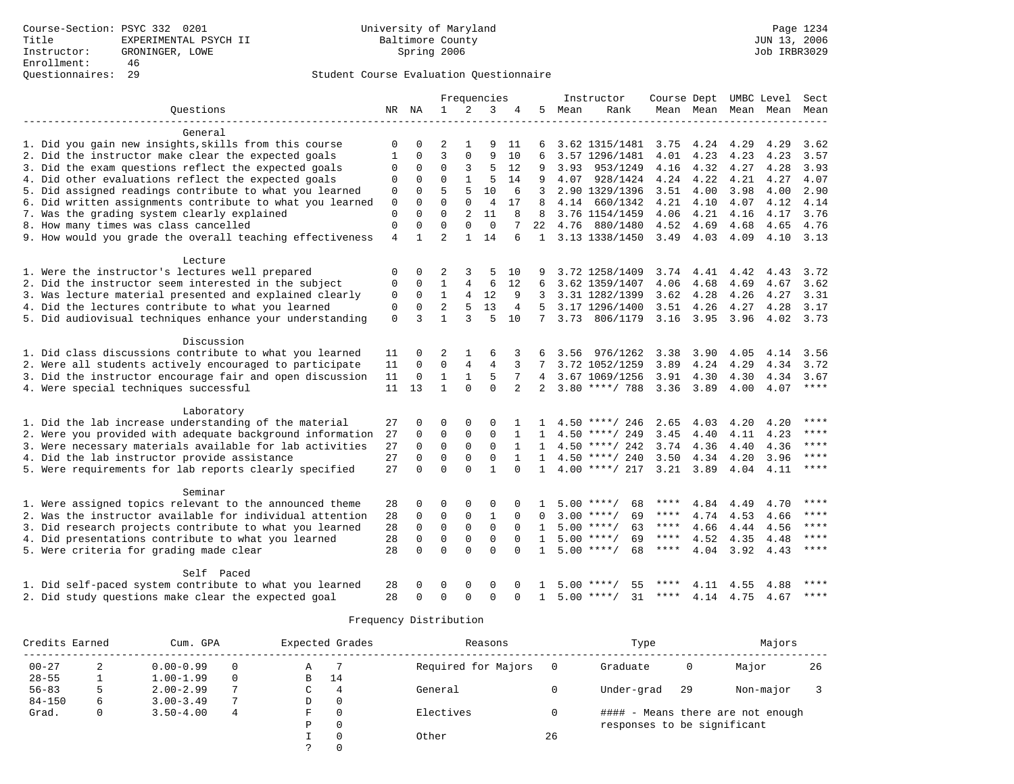|                                                           |                |              |                |                | Frequencies    |                |                |      | Instructor                 | Course Dept UMBC Level |               |                |           | Sect        |
|-----------------------------------------------------------|----------------|--------------|----------------|----------------|----------------|----------------|----------------|------|----------------------------|------------------------|---------------|----------------|-----------|-------------|
| Ouestions                                                 |                | NR NA        | $\mathbf{1}$   | 2              | 3              | 4              | 5              | Mean | Rank                       |                        | Mean Mean     |                | Mean Mean | Mean        |
| General                                                   |                |              |                |                |                |                |                |      |                            |                        |               |                |           |             |
| 1. Did you gain new insights, skills from this course     | $\mathbf 0$    | $\Omega$     | 2              |                | 9              | 11             | 6              |      | 3.62 1315/1481             | 3.75                   | 4.24          | 4.29           | 4.29      | 3.62        |
| 2. Did the instructor make clear the expected goals       | 1              | $\Omega$     | 3              | $\Omega$       | 9              | 10             |                |      | 3.57 1296/1481             | 4.01                   | 4.23          | 4.23           | 4.23      | 3.57        |
| 3. Did the exam questions reflect the expected goals      | 0              | 0            | $\Omega$       | 3              | 5              | 12             | 9              | 3.93 | 953/1249                   | 4.16                   | 4.32          | 4.27           | 4.28      | 3.93        |
| 4. Did other evaluations reflect the expected goals       | $\Omega$       | 0            | $\Omega$       | $\mathbf{1}$   | 5              | 14             | 9              | 4.07 | 928/1424                   |                        | 4.24 4.22     | 4.21           | 4.27      | 4.07        |
| 5. Did assigned readings contribute to what you learned   | $\Omega$       | $\Omega$     | 5              | 5              | 10             | 6              | 3              |      | 2.90 1329/1396             |                        | $3.51$ 4.00   | 3.98           | 4.00      | 2.90        |
| 6. Did written assignments contribute to what you learned | $\mathbf 0$    | $\Omega$     | $\mathbf 0$    | 0              | $\overline{4}$ | 17             | 8              | 4.14 | 660/1342                   | 4.21                   | 4.10          | 4.07           | 4.12      | 4.14        |
| 7. Was the grading system clearly explained               | $\Omega$       | $\Omega$     | $\Omega$       | $\overline{a}$ | 11             | 8              | 8              |      | 3.76 1154/1459             | 4.06                   | 4.21          | 4.16           | 4.17      | 3.76        |
| 8. How many times was class cancelled                     | $\Omega$       | $\Omega$     | $\Omega$       | $\Omega$       | $\Omega$       |                | 2.2            | 4.76 | 880/1480                   | 4.52                   | 4.69          | 4.68           | 4.65      | 4.76        |
| 9. How would you grade the overall teaching effectiveness | $\overline{4}$ | $\mathbf{1}$ | $\overline{a}$ | $\mathbf{1}$   | 14             | 6              | $\mathbf{1}$   |      | 3.13 1338/1450             | 3.49                   | 4.03          | 4.09           | 4.10      | 3.13        |
| Lecture                                                   |                |              |                |                |                |                |                |      |                            |                        |               |                |           |             |
| 1. Were the instructor's lectures well prepared           | 0              | $\Omega$     | 2              | 3              | 5              | 10             | 9              |      | 3.72 1258/1409             | 3.74                   | 4.41          | 4.42           | 4.43      | 3.72        |
| 2. Did the instructor seem interested in the subject      | $\Omega$       | $\Omega$     | $\mathbf{1}$   | $\overline{4}$ | 6              | 12             | 6              |      | 3.62 1359/1407             | 4.06                   | 4.68          | 4.69           | 4.67      | 3.62        |
| 3. Was lecture material presented and explained clearly   | $\Omega$       | $\Omega$     | $\mathbf{1}$   | 4              | 12             | 9              | 3              |      | 3.31 1282/1399             | 3.62                   | 4.28          | 4.26           | 4.27      | 3.31        |
| 4. Did the lectures contribute to what you learned        | $\mathbf 0$    | $\Omega$     | $\overline{a}$ | 5              | 13             | $\overline{4}$ | 5              |      | 3.17 1296/1400             | 3.51                   | 4.26          | 4.27           | 4.28      | 3.17        |
| 5. Did audiovisual techniques enhance your understanding  | $\mathbf 0$    | 3            | $\mathbf{1}$   | 3              | 5              | 10             | 7              |      |                            |                        |               |                |           |             |
|                                                           |                |              |                |                |                |                |                |      | 3.73 806/1179              |                        | $3.16$ $3.95$ | 3.96           |           | 4.02 3.73   |
| Discussion                                                |                |              |                |                |                |                |                |      |                            |                        |               |                |           |             |
| 1. Did class discussions contribute to what you learned   | 11             | $\Omega$     | 2              | 1              | 6              | 3              |                | 3.56 | 976/1262                   | 3.38                   | 3.90          | 4.05           | 4.14      | 3.56        |
| 2. Were all students actively encouraged to participate   | 11             | $\Omega$     | $\overline{0}$ | $\overline{4}$ | $\overline{4}$ |                |                |      | 3.72 1052/1259             | 3.89                   | 4.24          | 4.29           | 4.34      | 3.72        |
| 3. Did the instructor encourage fair and open discussion  | 11             | $\mathbf 0$  | $\mathbf{1}$   | $\mathbf{1}$   | 5              | 7              | 4              |      | 3.67 1069/1256             | 3.91                   | 4.30          | 4.30           | 4.34      | 3.67        |
| 4. Were special techniques successful                     | 11             | 13           | $\mathbf{1}$   | $\Omega$       | $\Omega$       | $\overline{2}$ | $\overline{a}$ |      | $3.80$ ****/ 788           | 3.36 3.89              |               | 4.00           | 4.07      | $***$ * * * |
| Laboratory                                                |                |              |                |                |                |                |                |      |                            |                        |               |                |           |             |
| 1. Did the lab increase understanding of the material     | 27             | $\Omega$     | $\Omega$       | $\Omega$       | $\Omega$       |                |                |      | $4.50$ ****/ 246           | 2.65                   | 4.03          | 4.20           | 4.20      | ****        |
| 2. Were you provided with adequate background information | 27             | $\Omega$     | $\Omega$       | 0              | $\Omega$       |                | $\mathbf{1}$   |      | $4.50$ ****/ 249           | 3.45                   | 4.40          | 4.11           | 4.23      | ****        |
| 3. Were necessary materials available for lab activities  | 27             | $\Omega$     | $\Omega$       | $\Omega$       | $\mathbf 0$    | $\mathbf{1}$   | $\mathbf{1}$   |      | $4.50$ ****/ 242           | 3.74                   | 4.36          | 4.40           | 4.36      | $***$       |
| 4. Did the lab instructor provide assistance              | 27             | $\Omega$     | $\mathbf 0$    | $\Omega$       | $\Omega$       | $\mathbf{1}$   | $\mathbf{1}$   |      | $4.50$ ****/ 240           | 3.50                   | 4.34          | 4.20           | 3.96      | ****        |
| 5. Were requirements for lab reports clearly specified    | 27             | $\Omega$     | $\Omega$       | $\Omega$       | $\mathbf{1}$   | $\Omega$       | $\mathbf{1}$   |      | $4.00$ ****/ 217 3.21 3.89 |                        |               | 4.04           | 4.11      | ****        |
| Seminar                                                   |                |              |                |                |                |                |                |      |                            |                        |               |                |           |             |
| 1. Were assigned topics relevant to the announced theme   |                | 0            | $\Omega$       | $\Omega$       | $\Omega$       | $\Omega$       |                |      | $5.00$ ****/<br>68         | ****                   | 4.84          |                | 4.70      | ****        |
|                                                           | 28<br>28       | $\Omega$     | 0              | 0              | $\mathbf{1}$   | $\Omega$       | <sup>0</sup>   |      | 69<br>$3.00$ ****/         | ****                   | 4.74          | 4.49<br>4.53   |           | $***$       |
| 2. Was the instructor available for individual attention  |                |              |                |                |                |                |                |      |                            | $***$ * *              |               |                | 4.66      | $***$       |
| 3. Did research projects contribute to what you learned   | 28             | $\mathbf 0$  | $\mathbf 0$    | $\mathbf 0$    | $\mathbf 0$    | $\Omega$       | $\mathbf{1}$   |      | $5.00$ ****/<br>63         | ****                   | 4.66          | 4.44           | 4.56      | ****        |
| 4. Did presentations contribute to what you learned       | 28             | $\mathbf 0$  | $\mathbf 0$    | $\mathbf 0$    | $\Omega$       | $\Omega$       | $\mathbf{1}$   |      | $5.00$ ****/<br>69         |                        | 4.52          | 4.35           | 4.48      | ****        |
| 5. Were criteria for grading made clear                   | 28             | $\Omega$     | $\Omega$       | $\Omega$       | $\Omega$       | $\Omega$       | $\mathbf{1}$   |      | $5.00$ ****/<br>68         | ****                   |               | 4.04 3.92 4.43 |           |             |
| Self Paced                                                |                |              |                |                |                |                |                |      |                            |                        |               |                |           |             |
| 1. Did self-paced system contribute to what you learned   | 28             | 0            | O              | $\Omega$       | $\Omega$       |                |                | 5.00 | ****<br>55                 |                        | 4.11          | 4.55           | 4.88      | $***$       |
| 2. Did study questions make clear the expected goal       | 28             | $\cap$       | $\Omega$       | $\Omega$       | $\Omega$       | $\Omega$       | $\mathbf{1}$   | 5.00 | 31<br>$* * * * /$          | ****                   | 4.14          | 4.75           | 4.67      | $* * * * *$ |

| Credits Earned |   | Cum. GPA      |   | Expected Grades |          | Reasons             |    | Type                        |    | Majors                            |    |
|----------------|---|---------------|---|-----------------|----------|---------------------|----|-----------------------------|----|-----------------------------------|----|
| $00 - 27$      | 2 | $0.00 - 0.99$ |   | Α               |          | Required for Majors |    | Graduate                    | 0  | Major                             | 26 |
| $28 - 55$      |   | $1.00 - 1.99$ |   | В               | 14       |                     |    |                             |    |                                   |    |
| $56 - 83$      |   | $2.00 - 2.99$ |   |                 | 4        | General             |    | Under-grad                  | 29 | Non-major                         |    |
| $84 - 150$     | 6 | $3.00 - 3.49$ |   | D               | 0        |                     |    |                             |    |                                   |    |
| Grad.          | 0 | $3.50 - 4.00$ | 4 | F               | $\Omega$ | Electives           |    |                             |    | #### - Means there are not enough |    |
|                |   |               |   | D               | 0        |                     |    | responses to be significant |    |                                   |    |
|                |   |               |   |                 | $\Omega$ | Other               | 26 |                             |    |                                   |    |
|                |   |               |   |                 |          |                     |    |                             |    |                                   |    |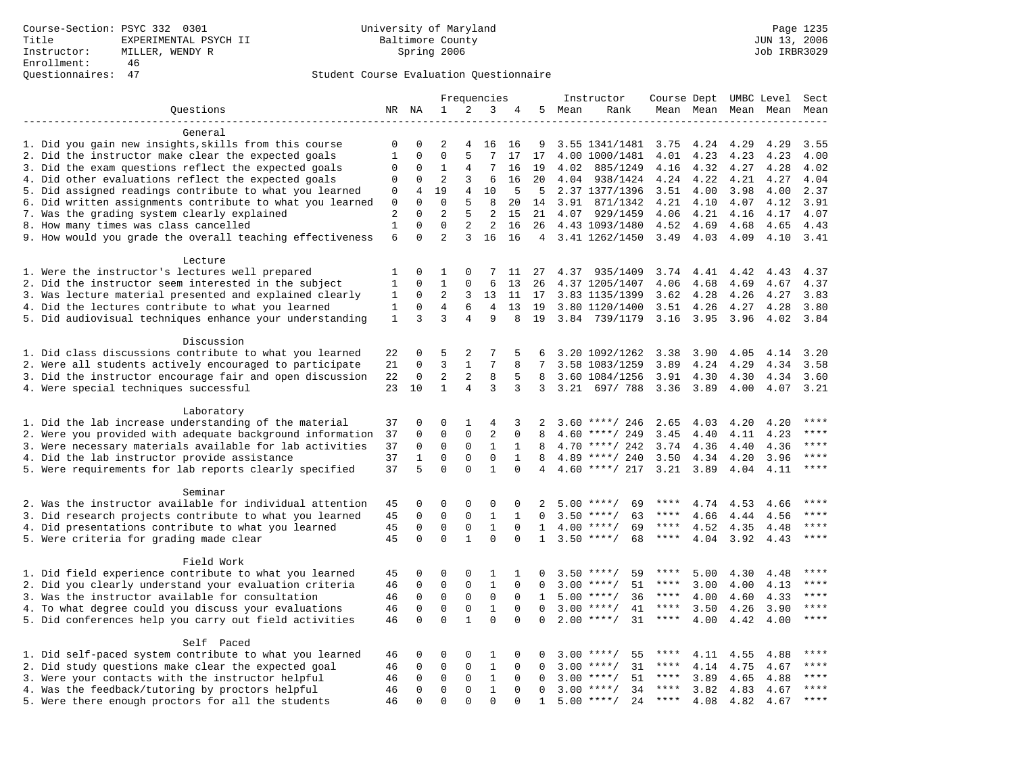|                                                           |              |                   |                |                     | Frequencies                 |                          |                 |      | Instructor                         |              |      |                   | Course Dept UMBC Level | Sect        |
|-----------------------------------------------------------|--------------|-------------------|----------------|---------------------|-----------------------------|--------------------------|-----------------|------|------------------------------------|--------------|------|-------------------|------------------------|-------------|
| Questions                                                 |              | NR NA             | 1              | 2                   | 3                           | 4                        | 5               | Mean | Rank                               |              |      |                   | Mean Mean Mean Mean    | Mean        |
|                                                           |              |                   |                |                     |                             |                          |                 |      |                                    |              |      |                   |                        |             |
| General                                                   |              |                   |                |                     |                             |                          |                 |      |                                    |              |      |                   |                        |             |
| 1. Did you gain new insights, skills from this course     | $\mathbf 0$  | $\Omega$          | 2              |                     | 16                          | 16                       | 9               |      | 3.55 1341/1481                     | 3.75         | 4.24 | 4.29              | 4.29                   | 3.55        |
| 2. Did the instructor make clear the expected goals       | $\mathbf{1}$ | $\mathbf 0$       | $\mathbf{0}$   | 5                   | 7                           | 17                       | 17              |      | 4.00 1000/1481                     | 4.01         | 4.23 | 4.23              | 4.23                   | 4.00        |
| 3. Did the exam questions reflect the expected goals      | 0            | 0                 | 1              | 4                   | $7\phantom{.0}$             | 16                       | 19              | 4.02 | 885/1249                           | 4.16         | 4.32 | 4.27              | 4.28                   | 4.02        |
| 4. Did other evaluations reflect the expected goals       | 0            | 0                 | $\overline{2}$ | 3                   | 6                           | 16                       | 20              | 4.04 | 938/1424                           | 4.24         | 4.22 | 4.21              | 4.27                   | 4.04        |
| 5. Did assigned readings contribute to what you learned   | 0            | 4                 | 19             | $\overline{4}$      | 10                          | 5                        | 5               |      | 2.37 1377/1396                     | 3.51         | 4.00 | 3.98              | 4.00                   | 2.37        |
| 6. Did written assignments contribute to what you learned | $\mathbf 0$  | $\Omega$          | $\Omega$       | 5                   | 8                           | 20                       | 14              |      | 3.91 871/1342                      | 4.21         | 4.10 | 4.07              | 4.12                   | 3.91        |
| 7. Was the grading system clearly explained               | $\sqrt{2}$   | $\mathbf 0$       | 2              | 5                   | $\overline{2}$              | 15                       | 21              | 4.07 | 929/1459                           | 4.06         | 4.21 | 4.16              | 4.17                   | 4.07        |
| 8. How many times was class cancelled                     | 1            | 0                 | $\mathsf 0$    | 2                   | $\overline{2}$              | 16                       | 26              |      | 4.43 1093/1480                     | 4.52         | 4.69 | 4.68              | 4.65                   | 4.43        |
| 9. How would you grade the overall teaching effectiveness | 6            | $\Omega$          | $\overline{a}$ | 3                   | 16                          | 16                       | $4\overline{ }$ |      | 3.41 1262/1450                     | 3.49         | 4.03 | 4.09              | 4.10                   | 3.41        |
| Lecture                                                   |              |                   |                |                     |                             |                          |                 |      |                                    |              |      |                   |                        |             |
| 1. Were the instructor's lectures well prepared           | 1            | 0                 | 1              | $\mathbf 0$         | 7                           | 11                       | 27              |      | 4.37 935/1409                      | 3.74         | 4.41 | 4.42              | 4.43                   | 4.37        |
| 2. Did the instructor seem interested in the subject      | 1            | $\Omega$          | $\mathbf{1}$   | $\mathsf{O}\xspace$ | 6                           | 13                       | 26              |      | 4.37 1205/1407                     | 4.06         | 4.68 | 4.69              | 4.67                   | 4.37        |
| 3. Was lecture material presented and explained clearly   | 1            | 0                 | $\overline{2}$ | 3                   | 13                          | 11                       | 17              |      | 3.83 1135/1399                     | 3.62         | 4.28 | 4.26              | 4.27                   | 3.83        |
| 4. Did the lectures contribute to what you learned        | 1            | 0                 | $\overline{4}$ | 6                   | $\overline{4}$              | 13                       | 19              |      | 3.80 1120/1400                     | 3.51         | 4.26 | 4.27              | 4.28                   | 3.80        |
| 5. Did audiovisual techniques enhance your understanding  | $\mathbf{1}$ | 3                 | 3              | $\overline{4}$      | 9                           | 8                        | 19              |      | 3.84 739/1179                      | 3.16         | 3.95 | 3.96              | 4.02                   | 3.84        |
|                                                           |              |                   |                |                     |                             |                          |                 |      |                                    |              |      |                   |                        |             |
| Discussion                                                |              |                   |                |                     |                             |                          |                 |      |                                    |              |      |                   |                        |             |
| 1. Did class discussions contribute to what you learned   | 22           | 0                 | 5              | 2                   | 7                           | 5                        | 6               |      | 3.20 1092/1262                     | 3.38         | 3.90 | 4.05              | 4.14                   | 3.20        |
| 2. Were all students actively encouraged to participate   | 21           | $\mathbf 0$       | 3              | $\mathbf{1}$        | 7                           | 8                        | 7               |      | 3.58 1083/1259                     | 3.89         | 4.24 | 4.29              | 4.34                   | 3.58        |
| 3. Did the instructor encourage fair and open discussion  | 22           | $\mathbf 0$       | $\overline{2}$ | 2                   | 8                           | 5                        | 8               |      | 3.60 1084/1256                     | 3.91         | 4.30 | 4.30              | 4.34                   | 3.60        |
| 4. Were special techniques successful                     | 23           | 10                | $\mathbf{1}$   | $\overline{4}$      | 3                           | 3                        | 3               |      | 3.21 697/ 788                      | 3.36         | 3.89 | 4.00              | 4.07                   | 3.21        |
| Laboratory                                                |              |                   |                |                     |                             |                          |                 |      |                                    |              |      |                   |                        |             |
| 1. Did the lab increase understanding of the material     | 37           | 0                 | $\mathbf 0$    | 1                   | 4                           | 3                        | 2               |      | $3.60$ ****/ 246                   | 2.65         | 4.03 | 4.20              | 4.20                   | $***$ * * * |
| 2. Were you provided with adequate background information | 37           | $\mathbf 0$       | $\mathbf{0}$   | $\mathbf 0$         | $\overline{2}$              | $\mathbf 0$              | 8               | 4.60 | ****/ 249                          | 3.45         | 4.40 | 4.11              | 4.23                   | $***$       |
| 3. Were necessary materials available for lab activities  | 37           | $\mathbf 0$       | $\mathbf 0$    | $\mathbf 0$         | 1                           | $\mathbf{1}$             | 8               |      | $4.70$ ****/ 242                   | 3.74         | 4.36 | 4.40              | 4.36                   | $***$       |
|                                                           |              |                   | $\mathbf{0}$   | $\mathbf 0$         |                             |                          | 8               |      |                                    |              |      |                   |                        | ****        |
| 4. Did the lab instructor provide assistance              | 37<br>37     | $\mathbf{1}$<br>5 | $\Omega$       | $\Omega$            | $\mathsf 0$<br>$\mathbf{1}$ | $\mathbf{1}$<br>$\Omega$ | 4               |      | 4.89 ****/ 240<br>$4.60$ ****/ 217 | 3.50<br>3.21 | 3.89 | 4.34 4.20<br>4.04 | 3.96                   | $***$       |
| 5. Were requirements for lab reports clearly specified    |              |                   |                |                     |                             |                          |                 |      |                                    |              |      |                   | 4.11                   |             |
| Seminar                                                   |              |                   |                |                     |                             |                          |                 |      |                                    |              |      |                   |                        |             |
| 2. Was the instructor available for individual attention  | 45           | 0                 | $\mathbf 0$    | $\mathbf 0$         | 0                           | 0                        | 2               | 5.00 | 69<br>$***$ /                      | ****         | 4.74 | 4.53              | 4.66                   | $* * * *$   |
| 3. Did research projects contribute to what you learned   | 45           | $\Omega$          | $\Omega$       | $\Omega$            | $\mathbf{1}$                | $\mathbf{1}$             | $\Omega$        | 3.50 | $***/$<br>63                       | ****         | 4.66 | 4.44              | 4.56                   | $***$       |
| 4. Did presentations contribute to what you learned       | 45           | $\mathbf 0$       | $\mathbf{0}$   | $\mathbf 0$         | $\mathbf{1}$                | $\Omega$                 | $\mathbf{1}$    | 4.00 | $***/$<br>69                       | $***$ * *    | 4.52 | 4.35              | 4.48                   | $***$       |
| 5. Were criteria for grading made clear                   | 45           | $\mathbf 0$       | $\mathbf{0}$   | $\mathbf{1}$        | $\mathbf 0$                 | $\mathbf 0$              | 1               |      | $3.50$ ****/<br>68                 | ****         | 4.04 | 3.92              | 4.43                   | $***$       |
| Field Work                                                |              |                   |                |                     |                             |                          |                 |      |                                    |              |      |                   |                        |             |
| 1. Did field experience contribute to what you learned    | 45           | 0                 | 0              | 0                   | 1                           | 1                        |                 |      | $3.50$ ****/<br>59                 | ****         | 5.00 | 4.30              | 4.48                   | ****        |
| 2. Did you clearly understand your evaluation criteria    | 46           | $\mathbf 0$       | $\mathbf 0$    | $\mathbf 0$         | $\mathbf{1}$                | $\Omega$                 | $\Omega$        |      | 51<br>$3.00$ ****/                 | ****         | 3.00 | 4.00              | 4.13                   | ****        |
| 3. Was the instructor available for consultation          | 46           | $\mathbf 0$       | $\mathbf 0$    | $\mathbf 0$         | $\mathbf 0$                 | $\Omega$                 | $\mathbf{1}$    |      | $5.00$ ****/<br>36                 | ****         | 4.00 | 4.60              | 4.33                   | ****        |
| 4. To what degree could you discuss your evaluations      | 46           | $\mathbf 0$       | $\mathbf 0$    | $\mathbf 0$         | $\mathbf{1}$                | $\Omega$                 | $\Omega$        |      | 41<br>$3.00$ ****/                 | $***$ * * *  | 3.50 | 4.26              | 3.90                   | $***$       |
| 5. Did conferences help you carry out field activities    | 46           | $\mathbf 0$       | $\Omega$       | $\mathbf{1}$        | $\Omega$                    | $\Omega$                 | $\Omega$        |      | $2.00$ ****/<br>31                 | ****         | 4.00 | 4.42              | 4.00                   | $***$       |
|                                                           |              |                   |                |                     |                             |                          |                 |      |                                    |              |      |                   |                        |             |
| Self Paced                                                |              |                   |                |                     |                             |                          |                 |      |                                    |              |      |                   |                        |             |
| 1. Did self-paced system contribute to what you learned   | 46           | 0                 | $\mathbf 0$    | $\mathbf 0$         | 1                           | 0                        | $\Omega$        | 3.00 | ****/<br>55                        | ****         | 4.11 | 4.55              | 4.88                   | $***$       |
| 2. Did study questions make clear the expected goal       | 46           | $\mathbf 0$       | $\mathbf 0$    | $\mathbf 0$         | $\mathbf{1}$                | $\mathbf 0$              | $\Omega$        | 3.00 | 31<br>$***$ /                      | ****         | 4.14 | 4.75              | 4.67                   | $***$       |
| 3. Were your contacts with the instructor helpful         | 46           | 0                 | $\mathbf 0$    | $\mathbf 0$         | $\mathbf{1}$                | 0                        | $\Omega$        | 3.00 | 51<br>$***/$                       | ****         | 3.89 | 4.65              | 4.88                   | ****        |
| 4. Was the feedback/tutoring by proctors helpful          | 46           | 0                 | $\mathbf 0$    | $\Omega$            | $\mathbf{1}$                | $\Omega$                 | $\Omega$        | 3.00 | $***$ /<br>34                      | ****         | 3.82 | 4.83              | 4.67                   | $***$       |
| 5. Were there enough proctors for all the students        | 46           | $\Omega$          | $\Omega$       | $\Omega$            | $\Omega$                    | $\Omega$                 | $\mathbf{1}$    |      | $5.00$ ****/<br>24                 | $***$ * * *  | 4.08 | 4.82              | 4.67                   | $***$       |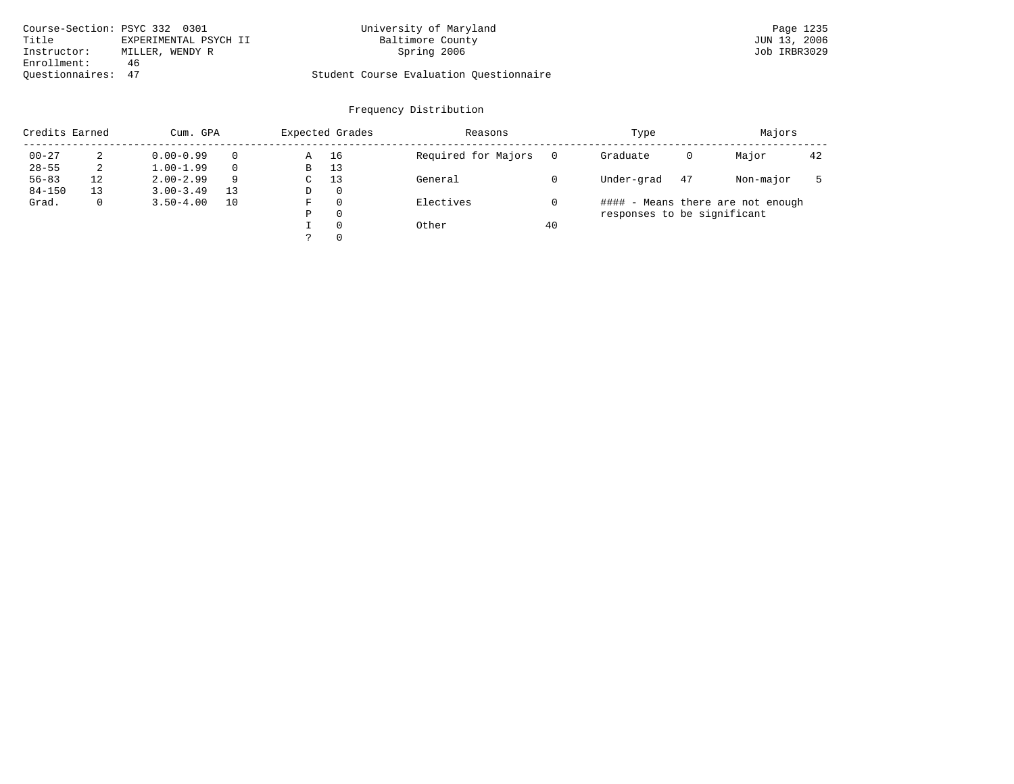| Course-Section: PSYC 332 0301 |                       | University of Maryland                  | Page 1235    |
|-------------------------------|-----------------------|-----------------------------------------|--------------|
| Title                         | EXPERIMENTAL PSYCH II | Baltimore County                        | JUN 13, 2006 |
| Instructor:                   | MILLER, WENDY R       | Spring 2006                             | Job IRBR3029 |
| Enrollment:                   | 46                    |                                         |              |
| Ouestionnaires: 47            |                       | Student Course Evaluation Ouestionnaire |              |

| Credits Earned |    | Cum. GPA      |    |             | Expected Grades | Reasons             |    | Type                        |    | Majors                            |    |
|----------------|----|---------------|----|-------------|-----------------|---------------------|----|-----------------------------|----|-----------------------------------|----|
| $00 - 27$      | 2  | $0.00 - 0.99$ |    | Α           | 16              | Required for Majors |    | Graduate                    | 0  | Major                             | 42 |
| $28 - 55$      | 2  | $1.00 - 1.99$ |    | B           | 13              |                     |    |                             |    |                                   |    |
| $56 - 83$      | 12 | $2.00 - 2.99$ | 9  | $\sim$<br>◡ | 13              | General             |    | Under-grad                  | 47 | Non-major                         |    |
| $84 - 150$     | 13 | $3.00 - 3.49$ | 13 | D           | 0               |                     |    |                             |    |                                   |    |
| Grad.          | 0  | $3.50 - 4.00$ | 10 | F           | 0               | Electives           |    |                             |    | #### - Means there are not enough |    |
|                |    |               |    | Ρ           | 0               |                     |    | responses to be significant |    |                                   |    |
|                |    |               |    |             | $\Omega$        | Other               | 40 |                             |    |                                   |    |
|                |    |               |    | っ           | 0               |                     |    |                             |    |                                   |    |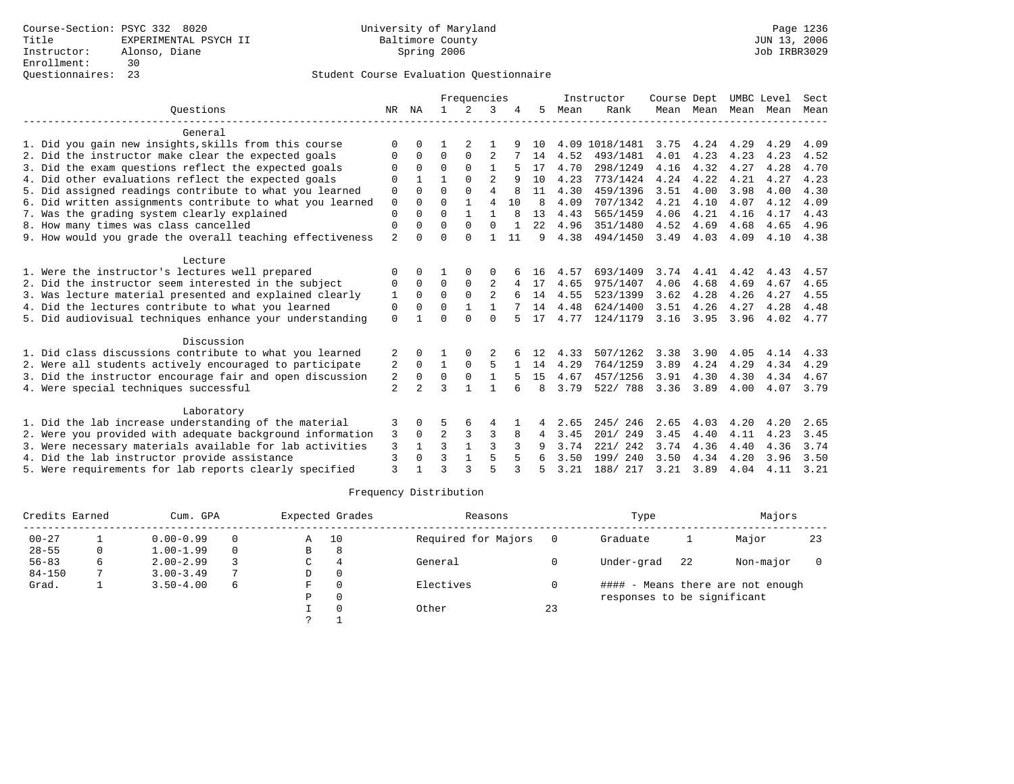|                                                           |                |                |              | Frequencies   |                |    |              |      | Instructor     | Course Dept |           |      | UMBC Level | Sect |
|-----------------------------------------------------------|----------------|----------------|--------------|---------------|----------------|----|--------------|------|----------------|-------------|-----------|------|------------|------|
| Ouestions                                                 | NR             | ΝA             | $\mathbf{1}$ | $\mathcal{L}$ | 3              |    | 5.           | Mean | Rank           |             | Mean Mean | Mean | Mean       | Mean |
| General                                                   |                |                |              |               |                |    |              |      |                |             |           |      |            |      |
| 1. Did you gain new insights, skills from this course     | $\Omega$       | 0              |              | 2             |                |    | 1 O          |      | 4.09 1018/1481 | 3.75        | 4.24      | 4.29 | 4.29       | 4.09 |
| 2. Did the instructor make clear the expected goals       | 0              | $\Omega$       | $\Omega$     | $\Omega$      | $\overline{2}$ |    | 14           | 4.52 | 493/1481       | 4.01        | 4.23      | 4.23 | 4.23       | 4.52 |
| 3. Did the exam questions reflect the expected goals      |                | 0              | $\Omega$     | ∩             |                |    | 17           | 4.70 | 298/1249       | 4.16        | 4.32      | 4.27 | 4.28       | 4.70 |
| 4. Did other evaluations reflect the expected goals       | $\Omega$       |                |              | $\Omega$      | $\overline{2}$ |    | 10           | 4.23 | 773/1424       | 4.24        | 4.22      | 4.21 | 4.27       | 4.23 |
| 5. Did assigned readings contribute to what you learned   | 0              | $\Omega$       | $\Omega$     | $\Omega$      | 4              |    | 11           | 4.30 | 459/1396       | 3.51        | 4.00      | 3.98 | 4.00       | 4.30 |
| 6. Did written assignments contribute to what you learned | $\mathbf 0$    | $\Omega$       | $\Omega$     | $\mathbf{1}$  | $\overline{4}$ | 10 | $\mathsf{R}$ | 4.09 | 707/1342       | 4.21        | 4.10      | 4.07 | 4.12       | 4.09 |
| 7. Was the grading system clearly explained               | $\Omega$       |                | $\Omega$     |               | 1              |    | 13           | 4.43 | 565/1459       | 4.06        | 4.21      | 4.16 | 4.17       | 4.43 |
| 8. How many times was class cancelled                     | 0              | 0              | $\Omega$     | $\Omega$      | $\Omega$       |    | 22           | 4.96 | 351/1480       | 4.52        | 4.69      | 4.68 | 4.65       | 4.96 |
| 9. How would you grade the overall teaching effectiveness | $\overline{2}$ | <sup>0</sup>   | $\Omega$     | $\Omega$      | 1              | 11 | 9            | 4.38 | 494/1450       | 3.49        | 4.03      | 4.09 | 4.10       | 4.38 |
| Lecture                                                   |                |                |              |               |                |    |              |      |                |             |           |      |            |      |
| 1. Were the instructor's lectures well prepared           | $\Omega$       |                |              | $\Omega$      | 0              |    | 16           | 4.57 | 693/1409       | 3.74        | 4.41      | 4.42 | 4.43       | 4.57 |
| 2. Did the instructor seem interested in the subject      | 0              | $\Omega$       | $\Omega$     | $\Omega$      | $\overline{2}$ |    | 17           | 4.65 | 975/1407       | 4.06        | 4.68      | 4.69 | 4.67       | 4.65 |
| 3. Was lecture material presented and explained clearly   | 1              | $\Omega$       | $\Omega$     | $\Omega$      | $\overline{a}$ |    | 14           | 4.55 | 523/1399       | 3.62        | 4.28      | 4.26 | 4.27       | 4.55 |
| 4. Did the lectures contribute to what you learned        | 0              | 0              | U            |               |                |    | 14           | 4.48 | 624/1400       | 3.51        | 4.26      | 4.27 | 4.28       | 4.48 |
| 5. Did audiovisual techniques enhance your understanding  | $\Omega$       |                | $\Omega$     | $\cap$        | $\Omega$       |    | 17           | 4.77 | 124/1179       | 3.16        | 3.95      | 3.96 | 4.02       | 4.77 |
| Discussion                                                |                |                |              |               |                |    |              |      |                |             |           |      |            |      |
| 1. Did class discussions contribute to what you learned   | 2              |                |              |               |                |    | 12           | 4.33 | 507/1262       | 3.38        | 3.90      | 4.05 | 4.14       | 4.33 |
| 2. Were all students actively encouraged to participate   | 2              | 0              | 1            | 0             | 5              |    | 14           | 4.29 | 764/1259       | 3.89        | 4.24      | 4.29 | 4.34       | 4.29 |
| 3. Did the instructor encourage fair and open discussion  | 2              | 0              | 0            | $\mathbf 0$   |                |    | 15           | 4.67 | 457/1256       | 3.91        | 4.30      | 4.30 | 4.34       | 4.67 |
| 4. Were special techniques successful                     | $\overline{2}$ | $\overline{2}$ | 3            | 1             | $\mathbf{1}$   |    | 8            | 3.79 | 522/ 788       | 3.36        | 3.89      | 4.00 | 4.07       | 3.79 |
| Laboratory                                                |                |                |              |               |                |    |              |      |                |             |           |      |            |      |
| 1. Did the lab increase understanding of the material     | 3              | 0              | 5            | 6             | 4              |    | 4            | 2.65 | 245/246        | 2.65        | 4.03      | 4.20 | 4.20       | 2.65 |
| 2. Were you provided with adequate background information | 3              | $\Omega$       | 2            | 3             | 3              |    |              | 3.45 | 201/249        | 3.45        | 4.40      | 4.11 | 4.23       | 3.45 |
| 3. Were necessary materials available for lab activities  | 3              |                | 3            |               | ζ              |    | 9            | 3.74 | 221/242        | 3.74        | 4.36      | 4.40 | 4.36       | 3.74 |
| 4. Did the lab instructor provide assistance              | 3              | $\Omega$       | 3            |               | 5              |    |              | 3.50 | 199/ 240       | 3.50        | 4.34      | 4.20 | 3.96       | 3.50 |
| 5. Were requirements for lab reports clearly specified    | ζ              |                | ς            |               | 5              |    |              | 3.21 | 188/ 217       | 3.21        | 3.89      | 4.04 | 4.11       | 3.21 |

| Credits Earned |    | Cum. GPA      |          |   | Expected Grades | Reasons             |    | Type                        |    | Majors                            |    |
|----------------|----|---------------|----------|---|-----------------|---------------------|----|-----------------------------|----|-----------------------------------|----|
| $00 - 27$      |    | $0.00 - 0.99$ | $\Omega$ | A | 10              | Required for Majors |    | Graduate                    |    | Major                             | 23 |
| $28 - 55$      | 0  | $1.00 - 1.99$ | $\Omega$ | в | 8               |                     |    |                             |    |                                   |    |
| $56 - 83$      | 6. | $2.00 - 2.99$ |          | C | 4               | General             |    | Under-grad                  | 22 | Non-major                         |    |
| $84 - 150$     |    | $3.00 - 3.49$ | 7        | D |                 |                     |    |                             |    |                                   |    |
| Grad.          |    | $3.50 - 4.00$ | 6        | F |                 | Electives           |    |                             |    | #### - Means there are not enough |    |
|                |    |               |          | P |                 |                     |    | responses to be significant |    |                                   |    |
|                |    |               |          |   |                 | Other               | 23 |                             |    |                                   |    |
|                |    |               |          | っ |                 |                     |    |                             |    |                                   |    |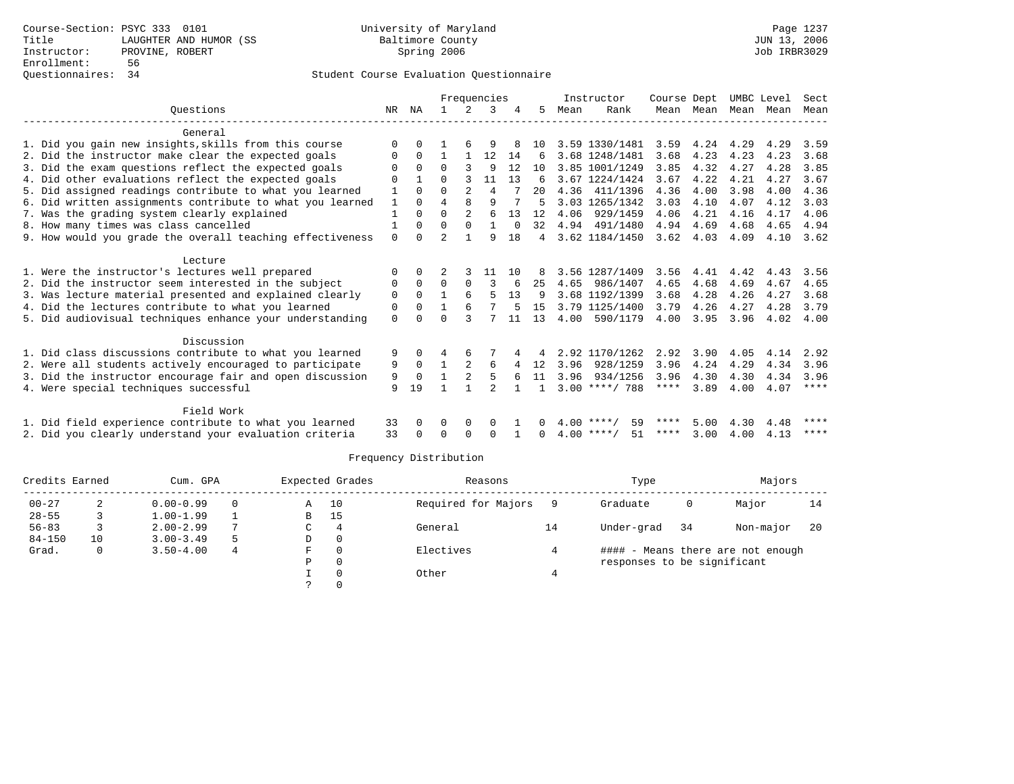|                                                           |              |          |                |                | Frequencies |          |                |      | Instructor         | Course Dept |           |           | UMBC Level | Sect |
|-----------------------------------------------------------|--------------|----------|----------------|----------------|-------------|----------|----------------|------|--------------------|-------------|-----------|-----------|------------|------|
| Ouestions                                                 | NR.          | ΝA       |                | 2              | 3           |          | 5.             | Mean | Rank               |             | Mean Mean | Mean Mean |            | Mean |
| General                                                   |              |          |                |                |             |          |                |      |                    |             |           |           |            |      |
| 1. Did you gain new insights, skills from this course     | $\Omega$     |          |                |                |             |          | 10             |      | 3.59 1330/1481     | 3.59        | 4.24      | 4.29      | 4.29       | 3.59 |
| 2. Did the instructor make clear the expected goals       | 0            | $\Omega$ |                |                | 12          | 14       | 6              |      | 3.68 1248/1481     | 3.68        | 4.23      | 4.23      | 4.23       | 3.68 |
| 3. Did the exam questions reflect the expected goals      | $\mathbf 0$  | $\Omega$ | $\Omega$       |                | 9           | 12       | 10             |      | 3.85 1001/1249     | 3.85        | 4.32      | 4.27      | 4.28       | 3.85 |
| 4. Did other evaluations reflect the expected goals       | O            |          | 0              |                | 11          | 13       | 6              |      | 3.67 1224/1424     | 3.67        | 4.22      | 4.21      | 4.27       | 3.67 |
| 5. Did assigned readings contribute to what you learned   |              | $\Omega$ | $\Omega$       | $\mathfrak{D}$ | 4           |          | 20             | 4.36 | 411/1396           | 4.36        | 4.00      | 3.98      | 4.00       | 4.36 |
| 6. Did written assignments contribute to what you learned | $\mathbf{1}$ | $\Omega$ | $\overline{4}$ | $\mathsf{R}$   | 9           |          | 5              |      | 3.03 1265/1342     | 3.03        | 4.10      | 4.07      | 4.12       | 3.03 |
| 7. Was the grading system clearly explained               | $\mathbf{1}$ | $\Omega$ | $\Omega$       | 2              | 6           | 13       | 12             | 4.06 | 929/1459           | 4.06        | 4.21      | 4.16      | 4.17       | 4.06 |
| 8. How many times was class cancelled                     |              | $\Omega$ | $\Omega$       | $\Omega$       |             | $\Omega$ | 32             |      | 4.94 491/1480      | 4.94        | 4.69      | 4.68      | 4.65       | 4.94 |
| 9. How would you grade the overall teaching effectiveness | $\Omega$     | $\cap$   | $\mathcal{D}$  |                | q           | 18       | $\overline{4}$ |      | 3.62 1184/1450     | 3.62        | 4.03      | 4.09      | 4.10       | 3.62 |
| Lecture                                                   |              |          |                |                |             |          |                |      |                    |             |           |           |            |      |
| 1. Were the instructor's lectures well prepared           | $\Omega$     | $\Omega$ |                |                | 11          | 10       | 8              |      | 3.56 1287/1409     | 3.56        | 4.41      | 4.42      | 4.43       | 3.56 |
| 2. Did the instructor seem interested in the subject      | 0            | $\Omega$ | $\Omega$       | $\Omega$       |             | 6        | 25             | 4.65 | 986/1407           | 4.65        | 4.68      | 4.69      | 4.67       | 4.65 |
| 3. Was lecture material presented and explained clearly   | 0            | $\Omega$ |                | 6              | 5           | 13       | 9              |      | 3.68 1192/1399     | 3.68        | 4.28      | 4.26      | 4.27       | 3.68 |
| 4. Did the lectures contribute to what you learned        | 0            | $\Omega$ |                |                |             |          | 15             |      | 3.79 1125/1400     | 3.79        | 4.26      | 4.27      | 4.28       | 3.79 |
| 5. Did audiovisual techniques enhance your understanding  | $\mathbf{0}$ |          | $\Omega$       |                |             | 11       | 13             | 4.00 | 590/1179           | 4.00        | 3.95      | 3.96      | 4.02       | 4.00 |
| Discussion                                                |              |          |                |                |             |          |                |      |                    |             |           |           |            |      |
| 1. Did class discussions contribute to what you learned   | 9            | $\Omega$ |                | 6              |             |          |                |      | 2.92 1170/1262     | 2.92        | 3.90      | 4.05      | 4.14       | 2.92 |
| 2. Were all students actively encouraged to participate   | 9            | $\Omega$ |                |                | 6           |          | 12             | 3.96 | 928/1259           | 3.96        | 4.24      | 4.29      | 4.34       | 3.96 |
| 3. Did the instructor encourage fair and open discussion  | 9            | $\Omega$ |                |                | 5           |          | 11             | 3.96 | 934/1256           | 3.96        | 4.30      | 4.30      | 4.34       | 3.96 |
| 4. Were special techniques successful                     | 9            | 19       |                |                |             |          |                |      | $3.00$ ****/ 788   | ****        | 3.89      | 4.00      | 4.07       | **** |
| Field Work                                                |              |          |                |                |             |          |                |      |                    |             |           |           |            |      |
| 1. Did field experience contribute to what you learned    | 33           |          | O              | $\Omega$       | 0           |          | 0              |      | $4.00$ ****/<br>59 | ****        | 5.00      | 4.30      | 4.48       | **** |
| 2. Did you clearly understand your evaluation criteria    | 33           | $\Omega$ | O              | $\Omega$       | $\Omega$    |          | 0              |      | $4.00$ ****/<br>51 | ****        | 3.00      | 4.00      | 4.13       | **** |
|                                                           |              |          |                |                |             |          |                |      |                    |             |           |           |            |      |

| Credits Earned |    | Cum. GPA      |   |   | Expected Grades | Reasons             |    | Type                        |    | Majors                            |    |
|----------------|----|---------------|---|---|-----------------|---------------------|----|-----------------------------|----|-----------------------------------|----|
| $00 - 27$      | 4  | $0.00 - 0.99$ | 0 | Α | 10              | Required for Majors |    | Graduate                    | 0  | Major                             | 14 |
| $28 - 55$      |    | $1.00 - 1.99$ |   | B | 15              |                     |    |                             |    |                                   |    |
| $56 - 83$      |    | $2.00 - 2.99$ | 7 | C | 4               | General             | 14 | Under-grad                  | 34 | Non-major                         | 20 |
| $84 - 150$     | 10 | $3.00 - 3.49$ | 5 | D | $\Omega$        |                     |    |                             |    |                                   |    |
| Grad.          | 0  | $3.50 - 4.00$ | 4 | F |                 | Electives           |    |                             |    | #### - Means there are not enough |    |
|                |    |               |   | Ρ | $\Omega$        |                     |    | responses to be significant |    |                                   |    |
|                |    |               |   |   |                 | Other               |    |                             |    |                                   |    |
|                |    |               |   |   |                 |                     |    |                             |    |                                   |    |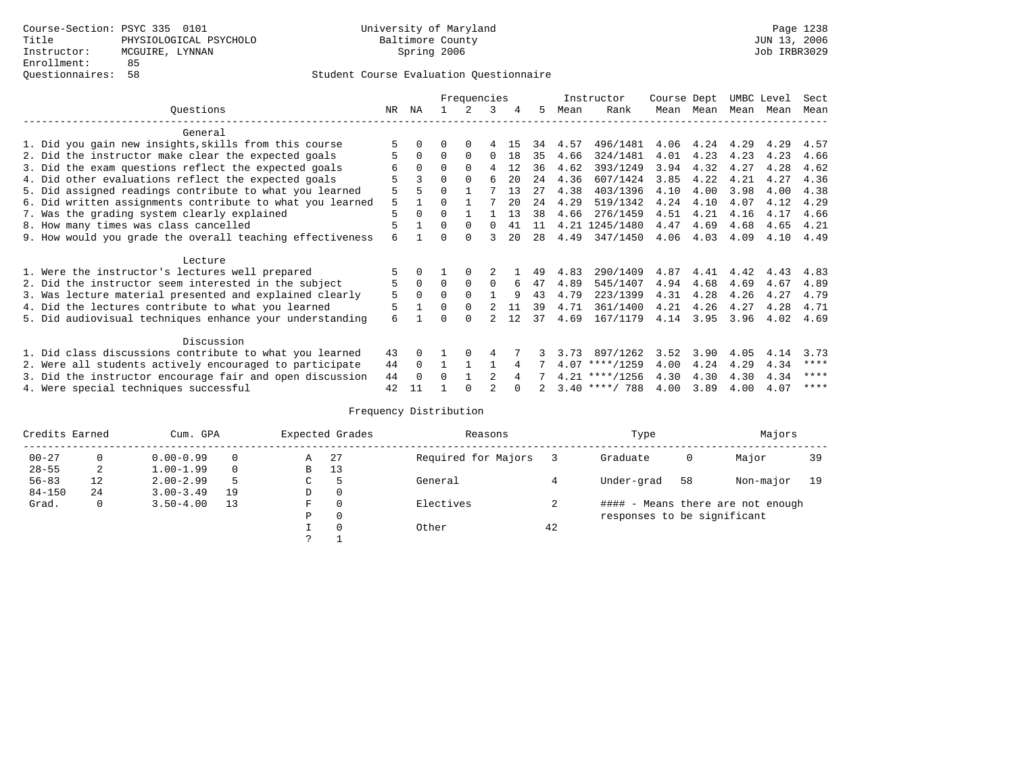|                                                           |     |          |          | Frequencies |                |    |     |      | Instructor       | Course Dept |      | UMBC Level |      | Sect |
|-----------------------------------------------------------|-----|----------|----------|-------------|----------------|----|-----|------|------------------|-------------|------|------------|------|------|
| Ouestions                                                 | NR. | ΝA       |          |             | 3              | 4  | 5   | Mean | Rank             | Mean        | Mean | Mean       | Mean | Mean |
| General                                                   |     |          |          |             |                |    |     |      |                  |             |      |            |      |      |
| 1. Did you gain new insights, skills from this course     |     |          | 0        | $\Omega$    |                | 15 | 34  | 4.57 | 496/1481         | 4.06        | 4.24 | 4.29       | 4.29 | 4.57 |
| 2. Did the instructor make clear the expected goals       |     | $\Omega$ | $\Omega$ | $\Omega$    | $\Omega$       | 18 | 35  | 4.66 | 324/1481         | 4.01        | 4.23 | 4.23       | 4.23 | 4.66 |
| 3. Did the exam questions reflect the expected goals      | 6   | $\Omega$ | $\Omega$ | $\Omega$    | 4              | 12 | 36  | 4.62 | 393/1249         | 3.94        | 4.32 | 4.27       | 4.28 | 4.62 |
| 4. Did other evaluations reflect the expected goals       |     |          | O        | $\Omega$    | 6              | 20 | 2.4 | 4.36 | 607/1424         | 3.85        | 4.22 | 4.21       | 4.27 | 4.36 |
| 5. Did assigned readings contribute to what you learned   | 5   | 5        | 0        |             |                | 13 | 27  | 4.38 | 403/1396         | 4.10        | 4.00 | 3.98       | 4.00 | 4.38 |
| 6. Did written assignments contribute to what you learned | 5   |          | 0        |             |                | 20 | 2.4 | 4.29 | 519/1342         | 4.24        | 4.10 | 4.07       | 4.12 | 4.29 |
| 7. Was the grading system clearly explained               | 5   | $\Omega$ | 0        |             |                | 13 | 38  | 4.66 | 276/1459         | 4.51        | 4.21 | 4.16       | 4.17 | 4.66 |
| 8. How many times was class cancelled                     | 5   |          | $\Omega$ | $\Omega$    | 0              | 41 | 11  |      | 4.21 1245/1480   | 4.47        | 4.69 | 4.68       | 4.65 | 4.21 |
| 9. How would you grade the overall teaching effectiveness | 6   |          | U        | $\Omega$    |                | 20 | 28  | 4.49 | 347/1450         | 4.06        | 4.03 | 4.09       | 4.10 | 4.49 |
| Lecture                                                   |     |          |          |             |                |    |     |      |                  |             |      |            |      |      |
| 1. Were the instructor's lectures well prepared           |     |          |          |             |                |    | 49  | 4.83 | 290/1409         | 4.87        | 4.41 | 4.42       | 4.43 | 4.83 |
| 2. Did the instructor seem interested in the subject      | 5   | $\Omega$ | $\Omega$ | $\Omega$    | $\Omega$       | 6  | 47  | 4.89 | 545/1407         | 4.94        | 4.68 | 4.69       | 4.67 | 4.89 |
| 3. Was lecture material presented and explained clearly   | 5   | $\Omega$ | 0        |             |                | q  | 43  | 4.79 | 223/1399         | 4.31        | 4.28 | 4.26       | 4.27 | 4.79 |
| 4. Did the lectures contribute to what you learned        | 5   |          | $\Omega$ | $\Omega$    |                | 11 | 39  | 4.71 | 361/1400         | 4.21        | 4.26 | 4.27       | 4.28 | 4.71 |
| 5. Did audiovisual techniques enhance your understanding  | 6   |          |          | $\cap$      |                | 12 | 37  | 4.69 | 167/1179         | 4.14        | 3.95 | 3.96       | 4.02 | 4.69 |
|                                                           |     |          |          |             |                |    |     |      |                  |             |      |            |      |      |
| Discussion                                                |     |          |          |             |                |    |     |      |                  |             |      |            |      |      |
| 1. Did class discussions contribute to what you learned   | 43  |          |          |             | 4              |    |     | 3.73 | 897/1262         | 3.52        | 3.90 | 4.05       | 4.14 | 3.73 |
| 2. Were all students actively encouraged to participate   | 44  | $\Omega$ |          |             |                | 4  |     |      | $4.07$ ****/1259 | 4.00        | 4.24 | 4.29       | 4.34 | **** |
| 3. Did the instructor encourage fair and open discussion  | 44  | $\Omega$ | U        |             | $\mathfrak{D}$ |    |     |      | $4.21$ ****/1256 | 4.30        | 4.30 | 4.30       | 4.34 | **** |
| 4. Were special techniques successful                     | 42  | 11       |          |             |                |    |     |      | $3.40$ ****/ 788 | 4.00        | 3.89 | 4.00       | 4.07 | **** |

| Credits Earned |    | Cum. GPA      |          |    | Expected Grades | Reasons             |    | Type                        |    | Majors                            |    |
|----------------|----|---------------|----------|----|-----------------|---------------------|----|-----------------------------|----|-----------------------------------|----|
| $00 - 27$      | 0  | $0.00 - 0.99$ |          | Α  | -27             | Required for Majors |    | Graduate                    | 0  | Major                             | 39 |
| $28 - 55$      | 2  | $1.00 - 1.99$ | $\Omega$ | В  | 13              |                     |    |                             |    |                                   |    |
| $56 - 83$      | 12 | $2.00 - 2.99$ |          | C. |                 | General             |    | Under-grad                  | 58 | Non-major                         | 19 |
| $84 - 150$     | 24 | $3.00 - 3.49$ | 19       | D  | 0               |                     |    |                             |    |                                   |    |
| Grad.          | 0  | $3.50 - 4.00$ | 13       | F  | $\Omega$        | Electives           |    |                             |    | #### - Means there are not enough |    |
|                |    |               |          | Ρ  | 0               |                     |    | responses to be significant |    |                                   |    |
|                |    |               |          |    | $\Omega$        | Other               | 42 |                             |    |                                   |    |
|                |    |               |          |    |                 |                     |    |                             |    |                                   |    |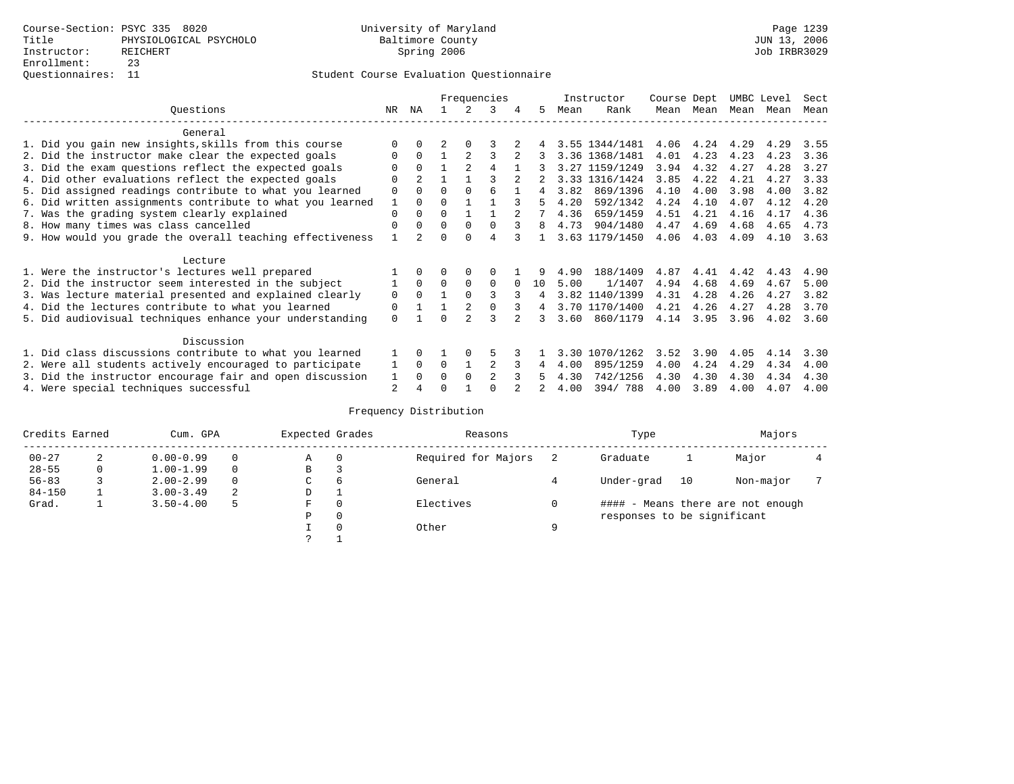|                                                           |          |                |          |               | Frequencies    |   |    |      | Instructor     | Course Dept |      | UMBC Level |      | Sect |
|-----------------------------------------------------------|----------|----------------|----------|---------------|----------------|---|----|------|----------------|-------------|------|------------|------|------|
| Questions                                                 | NR.      | ΝA             |          |               | 3              | 4 | 5. | Mean | Rank           | Mean        | Mean | Mean       | Mean | Mean |
| General                                                   |          |                |          |               |                |   |    |      |                |             |      |            |      |      |
| 1. Did you gain new insights, skills from this course     |          | 0              |          |               |                |   |    |      | 3.55 1344/1481 | 4.06        | 4.24 | 4.29       | 4.29 | 3.55 |
| 2. Did the instructor make clear the expected goals       | O        | $\Omega$       |          |               | 3              |   |    |      | 3.36 1368/1481 | 4.01        | 4.23 | 4.23       | 4.23 | 3.36 |
| 3. Did the exam questions reflect the expected goals      |          | $\Omega$       |          | 2             | 4              |   |    |      | 3.27 1159/1249 | 3.94        | 4.32 | 4.27       | 4.28 | 3.27 |
| 4. Did other evaluations reflect the expected goals       | O        | 2              |          |               |                |   |    |      | 3.33 1316/1424 | 3.85        | 4.22 | 4.21       | 4.27 | 3.33 |
| 5. Did assigned readings contribute to what you learned   | 0        | $\Omega$       | O        | $\Omega$      | 6              |   | 4  | 3.82 | 869/1396       | 4.10        | 4.00 | 3.98       | 4.00 | 3.82 |
| 6. Did written assignments contribute to what you learned |          | $\Omega$       | U        |               |                |   |    | 4.20 | 592/1342       | 4.24        | 4.10 | 4.07       | 4.12 | 4.20 |
| 7. Was the grading system clearly explained               | $\Omega$ |                |          |               |                |   |    | 4.36 | 659/1459       | 4.51        | 4.21 | 4.16       | 4.17 | 4.36 |
| 8. How many times was class cancelled                     | $\Omega$ | $\Omega$       | $\Omega$ | $\Omega$      | $\Omega$       |   | 8  | 4.73 | 904/1480       | 4.47        | 4.69 | 4.68       | 4.65 | 4.73 |
| 9. How would you grade the overall teaching effectiveness |          | $\mathfrak{D}$ |          | U             | 4              |   |    |      | 3.63 1179/1450 | 4.06        | 4.03 | 4.09       | 4.10 | 3.63 |
| Lecture                                                   |          |                |          |               |                |   |    |      |                |             |      |            |      |      |
| 1. Were the instructor's lectures well prepared           |          |                |          |               |                |   |    | 4.90 | 188/1409       | 4.87        | 4.41 | 4.42       | 4.43 | 4.90 |
| 2. Did the instructor seem interested in the subject      |          | $\Omega$       | $\Omega$ | $\mathbf 0$   | $\Omega$       |   | 10 | 5.00 | 1/1407         | 4.94        | 4.68 | 4.69       | 4.67 | 5.00 |
| 3. Was lecture material presented and explained clearly   | 0        | $\Omega$       |          | $\Omega$      | ζ              |   | 4  |      | 3.82 1140/1399 | 4.31        | 4.28 | 4.26       | 4.27 | 3.82 |
| 4. Did the lectures contribute to what you learned        | 0        |                |          |               |                |   | 4  |      | 3.70 1170/1400 | 4.21        | 4.26 | 4.27       | 4.28 | 3.70 |
| 5. Did audiovisual techniques enhance your understanding  | $\Omega$ |                |          | $\mathcal{D}$ |                |   | 3  | 3.60 | 860/1179       | 4.14        | 3.95 | 3.96       | 4.02 | 3.60 |
|                                                           |          |                |          |               |                |   |    |      |                |             |      |            |      |      |
| Discussion                                                |          |                |          |               |                |   |    |      |                |             |      |            |      |      |
| 1. Did class discussions contribute to what you learned   |          | $\Omega$       |          |               |                |   |    | 3.30 | 1070/1262      | 3.52        | 3.90 | 4.05       | 4.14 | 3.30 |
| 2. Were all students actively encouraged to participate   |          | $\Omega$       | $\Omega$ |               | 2              |   | 4  | 4.00 | 895/1259       | 4.00        | 4.24 | 4.29       | 4.34 | 4.00 |
| 3. Did the instructor encourage fair and open discussion  | 1        | $\Omega$       | U        | $\Omega$      | $\mathfrak{D}$ |   |    | 4.30 | 742/1256       | 4.30        | 4.30 | 4.30       | 4.34 | 4.30 |
| 4. Were special techniques successful                     | 2        |                |          |               |                |   |    | 4.00 | 394/788        | 4.00        | 3.89 | 4.00       | 4.07 | 4.00 |

| Credits Earned |   | Cum. GPA      |          | Expected Grades |              | Reasons             |   | Type                        |    | Majors                            |  |
|----------------|---|---------------|----------|-----------------|--------------|---------------------|---|-----------------------------|----|-----------------------------------|--|
| $00 - 27$      | 2 | $0.00 - 0.99$ | $\Omega$ | Α               | $\mathbf 0$  | Required for Majors |   | Graduate                    |    | Major                             |  |
| $28 - 55$      | 0 | $1.00 - 1.99$ | $\Omega$ | В               | 3            |                     |   |                             |    |                                   |  |
| $56 - 83$      |   | $2.00 - 2.99$ | $\Omega$ | С               | 6            | General             |   | Under-grad                  | 10 | Non-major                         |  |
| $84 - 150$     |   | $3.00 - 3.49$ | 2        | D               | ᅩ            |                     |   |                             |    |                                   |  |
| Grad.          |   | $3.50 - 4.00$ | 5        | F               | 0            | Electives           |   |                             |    | #### - Means there are not enough |  |
|                |   |               |          | Ρ               | $\mathbf{0}$ |                     |   | responses to be significant |    |                                   |  |
|                |   |               |          |                 | $\Omega$     | Other               | Q |                             |    |                                   |  |
|                |   |               |          | っ               |              |                     |   |                             |    |                                   |  |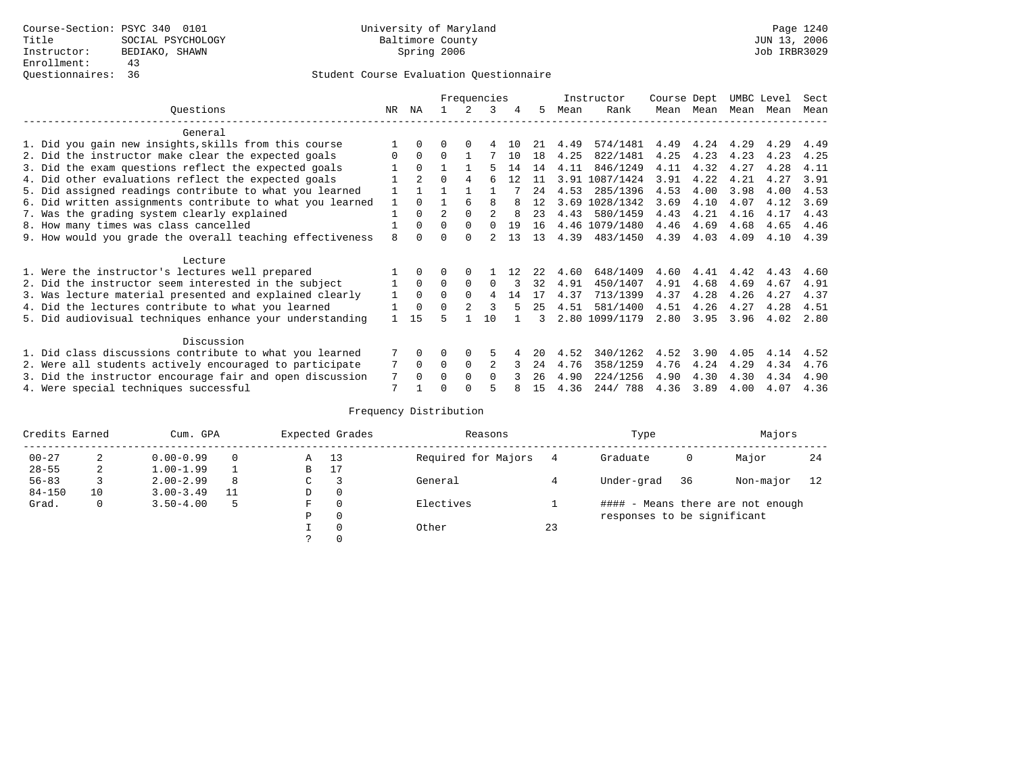|                                                           |          |                |                |          | Frequencies |    |     |      | Instructor     | Course Dept |           | UMBC Level |      | Sect |
|-----------------------------------------------------------|----------|----------------|----------------|----------|-------------|----|-----|------|----------------|-------------|-----------|------------|------|------|
| Ouestions                                                 | NR.      | ΝA             |                | 2        | 3           |    | 5.  | Mean | Rank           |             | Mean Mean | Mean       | Mean | Mean |
| General                                                   |          |                |                |          |             |    |     |      |                |             |           |            |      |      |
| 1. Did you gain new insights, skills from this course     |          |                | 0              | $\Omega$ |             | 10 | 21  | 4.49 | 574/1481       | 4.49        | 4.24      | 4.29       | 4.29 | 4.49 |
| 2. Did the instructor make clear the expected goals       | $\Omega$ | 0              | <sup>0</sup>   |          |             | 10 | 18  | 4.25 | 822/1481       | 4.25        | 4.23      | 4.23       | 4.23 | 4.25 |
| 3. Did the exam questions reflect the expected goals      |          | $\Omega$       |                |          |             | 14 | 14  | 4.11 | 846/1249       | 4.11        | 4.32      | 4.27       | 4.28 | 4.11 |
| 4. Did other evaluations reflect the expected goals       |          | $\overline{2}$ | $\Omega$       |          |             | 12 | -11 | 3.91 | 1087/1424      | 3.91        | 4.22      | 4.21       | 4.27 | 3.91 |
| 5. Did assigned readings contribute to what you learned   |          |                |                |          |             |    | 24  | 4.53 | 285/1396       | 4.53        | 4.00      | 3.98       | 4.00 | 4.53 |
| 6. Did written assignments contribute to what you learned |          | <sup>n</sup>   |                |          | Я           |    | 12  | 3.69 | 1028/1342      | 3.69        | 4.10      | 4.07       | 4.12 | 3.69 |
| 7. Was the grading system clearly explained               |          | $\Omega$       | $\mathfrak{D}$ |          |             |    | 23  | 4.43 | 580/1459       | 4.43        | 4.21      | 4.16       | 4.17 | 4.43 |
| 8. How many times was class cancelled                     |          | $\Omega$       | $\Omega$       | $\Omega$ | $\Omega$    | 19 | 16  |      | 4.46 1079/1480 | 4.46        | 4.69      | 4.68       | 4.65 | 4.46 |
| 9. How would you grade the overall teaching effectiveness | 8        |                | U              | ∩        |             | 13 | 13  | 4.39 | 483/1450       | 4.39        | 4.03      | 4.09       | 4.10 | 4.39 |
| Lecture                                                   |          |                |                |          |             |    |     |      |                |             |           |            |      |      |
| 1. Were the instructor's lectures well prepared           |          |                |                |          |             |    |     | 4.60 | 648/1409       | 4.60        | 4.41      | 4.42       | 4.43 | 4.60 |
| 2. Did the instructor seem interested in the subject      |          | $\Omega$       | $\Omega$       | $\Omega$ | $\Omega$    |    | 32  | 4.91 | 450/1407       | 4.91        | 4.68      | 4.69       | 4.67 | 4.91 |
| 3. Was lecture material presented and explained clearly   |          | $\Omega$       | $\Omega$       | $\Omega$ | 4           | 14 | 17  | 4.37 | 713/1399       | 4.37        | 4.28      | 4.26       | 4.27 | 4.37 |
| 4. Did the lectures contribute to what you learned        |          |                | <sup>0</sup>   |          | 3           |    | 25  | 4.51 | 581/1400       | 4.51        | 4.26      | 4.27       | 4.28 | 4.51 |
| 5. Did audiovisual techniques enhance your understanding  |          | 15             | ц              |          | 10          |    |     | 2.80 | 1099/1179      | 2.80        | 3.95      | 3.96       | 4.02 | 2.80 |
| Discussion                                                |          |                |                |          |             |    |     |      |                |             |           |            |      |      |
| 1. Did class discussions contribute to what you learned   |          | 0              | 0              | 0        | 5           |    | 20  | 4.52 | 340/1262       | 4.52        | 3.90      | 4.05       | 4.14 | 4.52 |
| 2. Were all students actively encouraged to participate   |          | $\Omega$       | $\Omega$       | $\Omega$ |             |    | 24  | 4.76 | 358/1259       | 4.76        | 4.24      | 4.29       | 4.34 | 4.76 |
| 3. Did the instructor encourage fair and open discussion  | 7        |                | O              |          | $\Omega$    |    | 26  | 4.90 | 224/1256       | 4.90        | 4.30      | 4.30       | 4.34 | 4.90 |
| 4. Were special techniques successful                     | 7        |                |                |          |             |    | 15  | 4.36 | 244/788        | 4.36        | 3.89      | 4.00       | 4.07 | 4.36 |

| Credits Earned |    | Cum. GPA      |    |   | Expected Grades | Reasons             |    | Type                        |    | Majors                            |    |
|----------------|----|---------------|----|---|-----------------|---------------------|----|-----------------------------|----|-----------------------------------|----|
| $00 - 27$      | 2  | $0.00 - 0.99$ |    | Α | 13              | Required for Majors |    | Graduate                    | 0  | Major                             | 24 |
| $28 - 55$      | 2  | $1.00 - 1.99$ |    | B | 17              |                     |    |                             |    |                                   |    |
| $56 - 83$      |    | $2.00 - 2.99$ | 8  | C |                 | General             |    | Under-grad                  | 36 | Non-major                         | 12 |
| $84 - 150$     | 10 | $3.00 - 3.49$ | 11 | D | 0               |                     |    |                             |    |                                   |    |
| Grad.          | 0  | $3.50 - 4.00$ | 5  | F | 0               | Electives           |    |                             |    | #### - Means there are not enough |    |
|                |    |               |    | Ρ | 0               |                     |    | responses to be significant |    |                                   |    |
|                |    |               |    |   | $\Omega$        | Other               | 23 |                             |    |                                   |    |
|                |    |               |    |   |                 |                     |    |                             |    |                                   |    |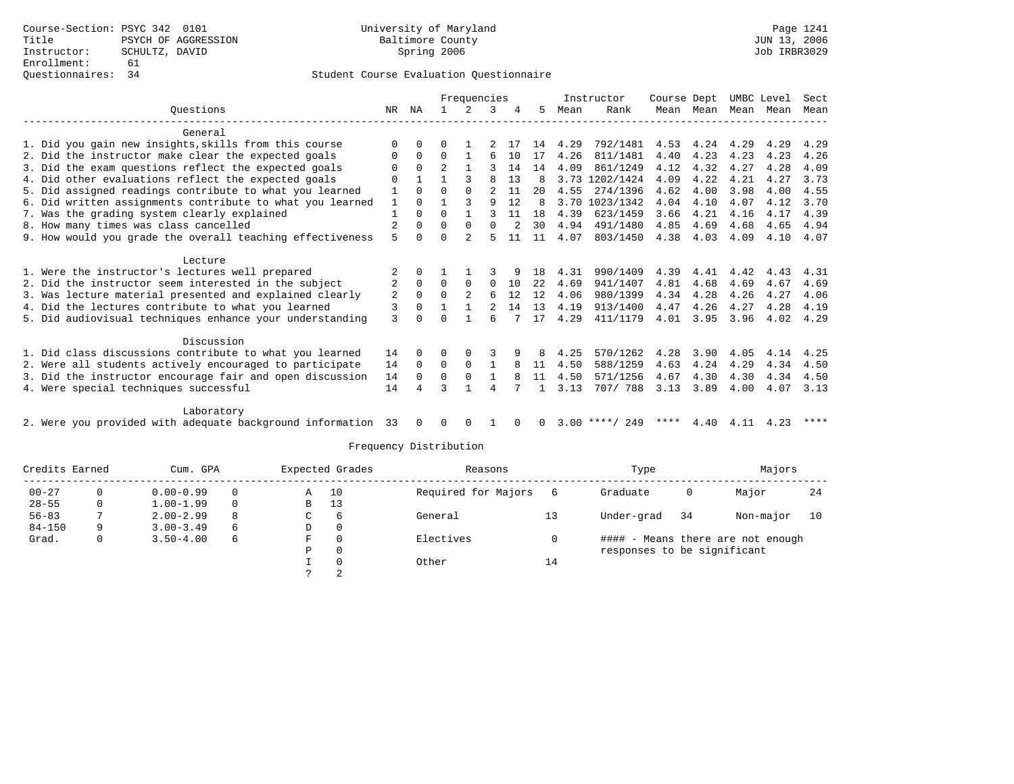### Questionnaires: 34 Student Course Evaluation Questionnaire

|                                                              |                |              |          | Frequencies    |                |          |          |      | Instructor          | Course Dept |           |      | UMBC Level | Sect |
|--------------------------------------------------------------|----------------|--------------|----------|----------------|----------------|----------|----------|------|---------------------|-------------|-----------|------|------------|------|
| Ouestions                                                    | NR             | ΝA           |          | 2              |                |          | 5        | Mean | Rank                |             | Mean Mean |      | Mean Mean  | Mean |
| General                                                      |                |              |          |                |                |          |          |      |                     |             |           |      |            |      |
| 1. Did you gain new insights, skills from this course        | $\Omega$       | $\Omega$     |          |                |                |          | 14       | 4.29 | 792/1481            | 4.53        | 4.24      | 4.29 | 4.29       | 4.29 |
| 2. Did the instructor make clear the expected goals          | 0              | $\mathbf 0$  | $\Omega$ |                | 6              | 10       | 17       | 4.26 | 811/1481            | 4.40        | 4.23      | 4.23 | 4.23       | 4.26 |
| 3. Did the exam questions reflect the expected goals         | 0              | $\Omega$     |          |                | ς              | 14       | 14       | 4.09 | 861/1249            | 4.12        | 4.32      | 4.27 | 4.28       | 4.09 |
| 4. Did other evaluations reflect the expected goals          | $\Omega$       | $\mathbf{1}$ |          | 3              | 8              | 13       | 8        | 3.73 | 1202/1424           | 4.09        | 4.22      | 4.21 | 4.27       | 3.73 |
| 5. Did assigned readings contribute to what you learned      | $\mathbf{1}$   | $\Omega$     | $\Omega$ | $\Omega$       | $\mathfrak{D}$ | 11       | 20       | 4.55 | 274/1396            | 4.62        | 4.00      | 3.98 | 4.00       | 4.55 |
| 6. Did written assignments contribute to what you learned    | $\mathbf{1}$   | $\Omega$     |          | ζ              | 9              | 12       | 8        |      | 3.70 1023/1342      | 4.04        | 4.10      | 4.07 | 4.12       | 3.70 |
| 7. Was the grading system clearly explained                  |                | $\Omega$     | $\Omega$ | $\mathbf{1}$   |                | 11       | 18       | 4.39 | 623/1459            | 3.66        | 4.21      | 4.16 | 4.17       | 4.39 |
| 8. How many times was class cancelled                        | $\overline{2}$ | $\Omega$     | 0        | $\Omega$       | $\Omega$       |          | 30       | 4.94 | 491/1480            | 4.85        | 4.69      | 4.68 | 4.65       | 4.94 |
| 9. How would you grade the overall teaching effectiveness    | 5              | $\Omega$     | O        |                | 5              | 11       | 11       | 4.07 | 803/1450            | 4.38        | 4.03      | 4.09 | 4.10       | 4.07 |
| Lecture                                                      |                |              |          |                |                |          |          |      |                     |             |           |      |            |      |
| 1. Were the instructor's lectures well prepared              |                | $\Omega$     |          |                |                |          | 18       | 4.31 | 990/1409            | 4.39        | 4.41      | 4.42 | 4.43       | 4.31 |
| 2. Did the instructor seem interested in the subject         | 2              | $\Omega$     | $\Omega$ | $\Omega$       | $\Omega$       | 10       | 2.2.     | 4.69 | 941/1407            | 4.81        | 4.68      | 4.69 | 4.67       | 4.69 |
| 3. Was lecture material presented and explained clearly      | 2              | $\Omega$     | $\Omega$ | $\overline{2}$ | 6              | 12       | 12       | 4.06 | 980/1399            | 4.34        | 4.28      | 4.26 | 4.27       | 4.06 |
| 4. Did the lectures contribute to what you learned           | 3              | $\Omega$     |          |                |                | 14       | 13       | 4.19 | 913/1400            | 4.47        | 4.26      | 4.27 | 4.28       | 4.19 |
| 5. Did audiovisual techniques enhance your understanding     | 3              |              |          |                | б              |          | 17       | 4.29 | 411/1179            | 4.01        | 3.95      | 3.96 | 4.02       | 4.29 |
| Discussion                                                   |                |              |          |                |                |          |          |      |                     |             |           |      |            |      |
| 1. Did class discussions contribute to what you learned      | 14             | $\Omega$     | U        | 0              |                |          | 8        | 4.25 | 570/1262            | 4.28        | 3.90      | 4.05 | 4.14       | 4.25 |
| 2. Were all students actively encouraged to participate      | 14             | $\Omega$     | $\Omega$ | $\Omega$       |                | 8        | 11       | 4.50 | 588/1259            | 4.63        | 4.24      | 4.29 | 4.34       | 4.50 |
| 3. Did the instructor encourage fair and open discussion     | 14             | $\Omega$     | $\Omega$ | $\Omega$       |                | 8        | 11       | 4.50 | 571/1256            | 4.67        | 4.30      | 4.30 | 4.34       | 4.50 |
| 4. Were special techniques successful                        | 14             | 4            | ς        |                | 4              |          |          | 3.13 | 707/ 788            | 3.13        | 3.89      | 4.00 | 4.07       | 3.13 |
| Laboratory                                                   |                |              |          |                |                |          |          |      |                     |             |           |      |            |      |
| 2. Were you provided with adequate background information 33 |                | $\Omega$     | $\Omega$ | $\Omega$       |                | $\Omega$ | $\Omega$ |      | $3.00$ ****/<br>249 | ****        | 4.40      | 4.11 | 4.23       | **** |

| Credits Earned |   | Cum. GPA      |          | Expected Grades |          | Reasons             |    | Type                        |    | Majors                            |    |
|----------------|---|---------------|----------|-----------------|----------|---------------------|----|-----------------------------|----|-----------------------------------|----|
| $00 - 27$      |   | $0.00 - 0.99$ | $\Omega$ | A               | 10       | Required for Majors |    | Graduate                    | 0  | Major                             | 24 |
| $28 - 55$      |   | $1.00 - 1.99$ |          | B               | 13       |                     |    |                             |    |                                   |    |
| $56 - 83$      |   | $2.00 - 2.99$ | 8        | C               | 6        | General             | 13 | Under-grad                  | 34 | Non-major                         | 10 |
| $84 - 150$     | Q | $3.00 - 3.49$ | 6        | D               | - 0      |                     |    |                             |    |                                   |    |
| Grad.          |   | $3.50 - 4.00$ | 6        | F               | $\Omega$ | Electives           |    |                             |    | #### - Means there are not enough |    |
|                |   |               |          | Р               | 0        |                     |    | responses to be significant |    |                                   |    |
|                |   |               |          |                 | 0        | Other               | 14 |                             |    |                                   |    |
|                |   |               |          |                 |          |                     |    |                             |    |                                   |    |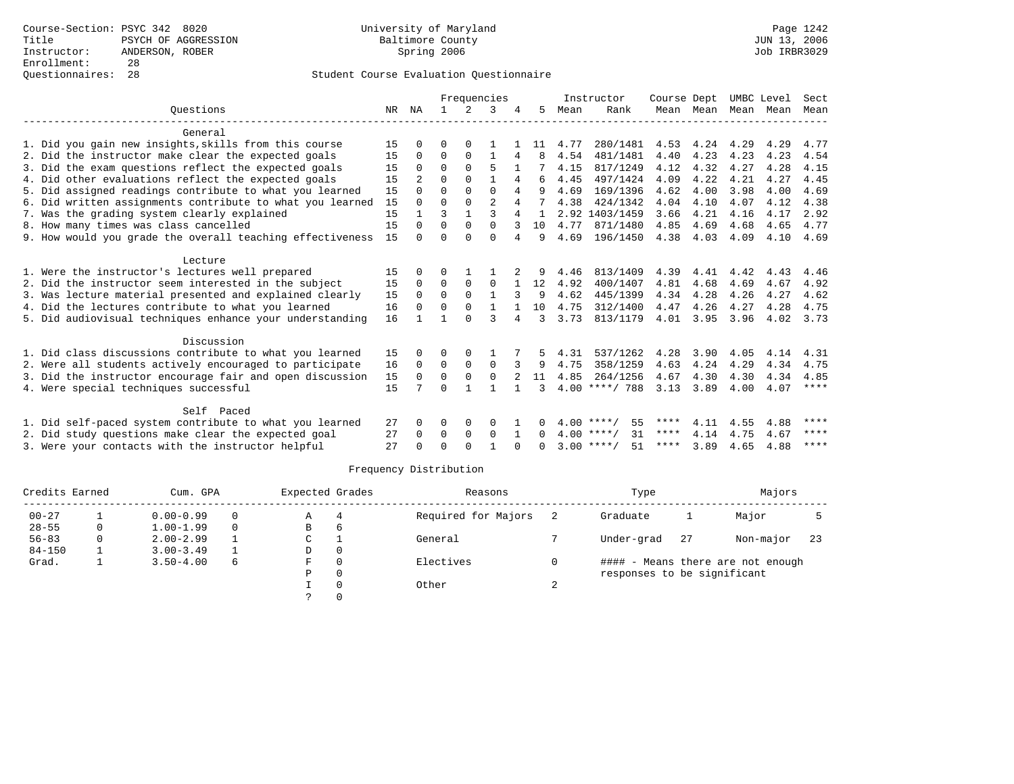|                                                           |    |                |          |             | Frequencies    |                |          |      | Instructor         | Course Dept |           | UMBC Level |      | Sect        |
|-----------------------------------------------------------|----|----------------|----------|-------------|----------------|----------------|----------|------|--------------------|-------------|-----------|------------|------|-------------|
| Ouestions                                                 | NR | ΝA             |          | 2           | २              |                | 5.       | Mean | Rank               |             | Mean Mean | Mean Mean  |      | Mean        |
|                                                           |    |                |          |             |                |                |          |      |                    |             |           |            |      |             |
| General                                                   |    |                |          |             |                |                |          |      |                    |             |           |            |      |             |
| 1. Did you gain new insights, skills from this course     | 15 |                | O        | $\Omega$    |                |                | 11       | 4.77 | 280/1481           | 4.53        | 4.24      | 4.29       | 4.29 | 4.77        |
| 2. Did the instructor make clear the expected goals       | 15 | 0              | $\Omega$ | $\Omega$    |                | 4              | 8        | 4.54 | 481/1481           | 4.40        | 4.23      | 4.23       | 4.23 | 4.54        |
| 3. Did the exam questions reflect the expected goals      | 15 | $\Omega$       | $\Omega$ | $\Omega$    | 5              |                |          | 4.15 | 817/1249           | 4.12        | 4.32      | 4.27       | 4.28 | 4.15        |
| 4. Did other evaluations reflect the expected goals       | 15 | $\mathfrak{D}$ | $\Omega$ | $\Omega$    | $\mathbf{1}$   | 4              | 6        | 4.45 | 497/1424           | 4.09        | 4.22      | 4.21       | 4.27 | 4.45        |
| 5. Did assigned readings contribute to what you learned   | 15 | $\Omega$       | $\Omega$ | $\Omega$    | $\Omega$       | 4              | 9        | 4.69 | 169/1396           | 4.62        | 4.00      | 3.98       | 4.00 | 4.69        |
| 6. Did written assignments contribute to what you learned | 15 | $\Omega$       | $\Omega$ | $\Omega$    | $\mathfrak{D}$ | 4              |          | 4.38 | 424/1342           | 4.04        | 4.10      | 4.07       | 4.12 | 4.38        |
| 7. Was the grading system clearly explained               | 15 |                | 3        |             | 3              | $\overline{4}$ |          |      | 2.92 1403/1459     | 3.66        | 4.21      | 4.16       | 4.17 | 2.92        |
| 8. How many times was class cancelled                     | 15 | $\Omega$       | $\Omega$ | $\Omega$    | $\Omega$       |                | 10       | 4.77 | 871/1480           | 4.85        | 4.69      | 4.68       | 4.65 | 4.77        |
| 9. How would you grade the overall teaching effectiveness | 15 | $\cap$         | $\cap$   | $\cap$      | $\cap$         | 4              | 9        | 4.69 | 196/1450           | 4.38        | 4.03      | 4.09       | 4.10 | 4.69        |
| Lecture                                                   |    |                |          |             |                |                |          |      |                    |             |           |            |      |             |
| 1. Were the instructor's lectures well prepared           | 15 | $\Omega$       | $\Omega$ |             |                |                |          | 4.46 | 813/1409           | 4.39        | 4.41      | 4.42       | 4.43 | 4.46        |
| 2. Did the instructor seem interested in the subject      | 15 | $\Omega$       | $\Omega$ | $\Omega$    | $\Omega$       |                | 12       | 4.92 | 400/1407           | 4.81        | 4.68      | 4.69       | 4.67 | 4.92        |
| 3. Was lecture material presented and explained clearly   | 15 | $\Omega$       | $\Omega$ | $\Omega$    |                |                | 9        | 4.62 | 445/1399           | 4.34        | 4.28      | 4.26       | 4.27 | 4.62        |
| 4. Did the lectures contribute to what you learned        | 16 | $\Omega$       | $\Omega$ | 0           |                |                | 10       | 4.75 | 312/1400           | 4.47        | 4.26      | 4.27       | 4.28 | 4.75        |
| 5. Did audiovisual techniques enhance your understanding  | 16 |                |          | $\cap$      | ς              | 4              | 3        | 3.73 | 813/1179           | 4.01        | 3.95      | 3.96       | 4.02 | 3.73        |
|                                                           |    |                |          |             |                |                |          |      |                    |             |           |            |      |             |
| Discussion                                                |    |                |          |             |                |                |          |      |                    |             |           |            |      |             |
| 1. Did class discussions contribute to what you learned   | 15 |                | 0        | O           |                |                |          | 4.31 | 537/1262           | 4.28        | 3.90      | 4.05       | 4.14 | 4.31        |
| 2. Were all students actively encouraged to participate   | 16 | $\mathbf 0$    | 0        | $\mathbf 0$ | $\mathbf 0$    |                | 9        | 4.75 | 358/1259           | 4.63        | 4.24      | 4.29       | 4.34 | 4.75        |
| 3. Did the instructor encourage fair and open discussion  | 15 | $\Omega$       | $\Omega$ | $\mathbf 0$ | $\Omega$       |                | 11       | 4.85 | 264/1256           | 4.67        | 4.30      | 4.30       | 4.34 | 4.85        |
| 4. Were special techniques successful                     | 15 |                | ∩        |             |                |                | 3        | 4.00 | ****/ 788          | 3.13        | 3.89      | 4.00       | 4.07 | ****        |
|                                                           |    |                |          |             |                |                |          |      |                    |             |           |            |      |             |
| Self Paced                                                |    |                |          |             |                |                |          |      |                    | ****        |           |            |      | ****        |
| 1. Did self-paced system contribute to what you learned   | 27 | $\Omega$       | $\Omega$ | 0           | 0              |                | 0        |      | 55<br>$4.00$ ****/ | ****        | 4.11      | 4.55       | 4.88 | $* * * * *$ |
| 2. Did study questions make clear the expected goal       | 27 | $\Omega$       | $\Omega$ | 0           | $\Omega$       | 1              | $\Omega$ |      | 31<br>$4.00$ ****/ |             | 4.14      | 4.75       | 4.67 | $***$ * * * |
| 3. Were your contacts with the instructor helpful         | 27 |                | $\cap$   | $\cap$      |                |                |          |      | $3.00$ ****/<br>51 | ****        | 3.89      | 4.65       | 4.88 |             |

| Credits Earned |   | Cum. GPA      |          | Expected Grades |          | Reasons             | Type                        |    | Majors                            |     |
|----------------|---|---------------|----------|-----------------|----------|---------------------|-----------------------------|----|-----------------------------------|-----|
| $00 - 27$      |   | $0.00 - 0.99$ | $\Omega$ | Α               | 4        | Required for Majors | Graduate                    |    | Major                             |     |
| $28 - 55$      | 0 | $1.00 - 1.99$ | $\Omega$ | в               | 6        |                     |                             |    |                                   |     |
| $56 - 83$      | 0 | $2.00 - 2.99$ |          | C               |          | General             | Under-grad                  | 27 | Non-major                         | -23 |
| $84 - 150$     |   | $3.00 - 3.49$ |          | D               | 0        |                     |                             |    |                                   |     |
| Grad.          |   | $3.50 - 4.00$ | 6        | F               | $\Omega$ | Electives           |                             |    | #### - Means there are not enough |     |
|                |   |               |          | Ρ               | $\Omega$ |                     | responses to be significant |    |                                   |     |
|                |   |               |          |                 |          | Other               |                             |    |                                   |     |
|                |   |               |          |                 |          |                     |                             |    |                                   |     |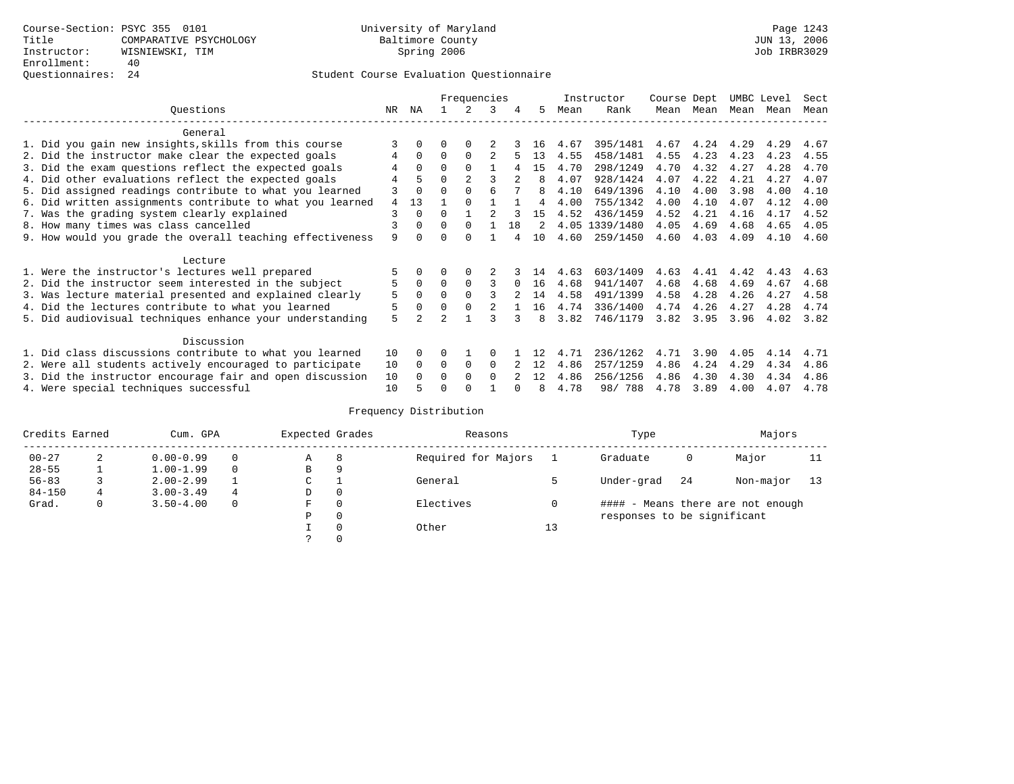|                                                           |    |          |                | Frequencies   |                |     |         |      | Instructor     | Course Dept |           | UMBC Level |      | Sect |
|-----------------------------------------------------------|----|----------|----------------|---------------|----------------|-----|---------|------|----------------|-------------|-----------|------------|------|------|
| Ouestions                                                 | NR | ΝA       |                | $\mathcal{L}$ | 3              | 4   | 5       | Mean | Rank           |             | Mean Mean | Mean       | Mean | Mean |
| General                                                   |    |          |                |               |                |     |         |      |                |             |           |            |      |      |
| 1. Did you gain new insights, skills from this course     |    | 0        | 0              | $\Omega$      |                |     | 16      | 4.67 | 395/1481       | 4.67        | 4.24      | 4.29       | 4.29 | 4.67 |
| 2. Did the instructor make clear the expected goals       | 4  | $\Omega$ | $\Omega$       | $\Omega$      | 2              |     | 13      | 4.55 | 458/1481       | 4.55        | 4.23      | 4.23       | 4.23 | 4.55 |
| 3. Did the exam questions reflect the expected goals      |    | $\Omega$ | $\Omega$       | $\Omega$      |                | 4   | 1.5     | 4.70 | 298/1249       | 4.70        | 4.32      | 4.27       | 4.28 | 4.70 |
| 4. Did other evaluations reflect the expected goals       | 4  | 5        | O              | 2             | 3              |     | 8       | 4.07 | 928/1424       | 4.07        | 4.22      | 4.21       | 4.27 | 4.07 |
| 5. Did assigned readings contribute to what you learned   | 3  | $\Omega$ | U              | $\Omega$      | 6              |     | 8       | 4.10 | 649/1396       | 4.10        | 4.00      | 3.98       | 4.00 | 4.10 |
| 6. Did written assignments contribute to what you learned | 4  | 13       |                |               |                |     | 4       | 4.00 | 755/1342       | 4.00        | 4.10      | 4.07       | 4.12 | 4.00 |
| 7. Was the grading system clearly explained               | 3  | $\Omega$ | O              |               | $\mathcal{D}$  |     | 1.5     | 4.52 | 436/1459       | 4.52        | 4.21      | 4.16       | 4.17 | 4.52 |
| 8. How many times was class cancelled                     | ζ  | $\Omega$ | $\Omega$       | $\Omega$      |                | 1.8 | $2^{1}$ |      | 4.05 1339/1480 | 4.05        | 4.69      | 4.68       | 4.65 | 4.05 |
| 9. How would you grade the overall teaching effectiveness | 9  |          |                | $\Omega$      |                |     | 10      | 4.60 | 259/1450       | 4.60        | 4.03      | 4.09       | 4.10 | 4.60 |
| Lecture                                                   |    |          |                |               |                |     |         |      |                |             |           |            |      |      |
| 1. Were the instructor's lectures well prepared           |    |          |                |               |                |     | 14      | 4.63 | 603/1409       | 4.63        | 4.41      | 4.42       | 4.43 | 4.63 |
| 2. Did the instructor seem interested in the subject      | 5  | 0        | $\Omega$       | $\Omega$      | 3              |     | 16      | 4.68 | 941/1407       | 4.68        | 4.68      | 4.69       | 4.67 | 4.68 |
| 3. Was lecture material presented and explained clearly   | 5  | $\Omega$ |                | $\Omega$      |                |     | 14      | 4.58 | 491/1399       | 4.58        | 4.28      | 4.26       | 4.27 | 4.58 |
| 4. Did the lectures contribute to what you learned        | 5  | $\Omega$ | $\Omega$       | $\Omega$      | $\mathfrak{D}$ |     | 16      | 4.74 | 336/1400       | 4.74        | 4.26      | 4.27       | 4.28 | 4.74 |
| 5. Did audiovisual techniques enhance your understanding  | 5  | 2        | $\overline{a}$ |               |                |     | 8       | 3.82 | 746/1179       | 3.82        | 3.95      | 3.96       | 4.02 | 3.82 |
| Discussion                                                |    |          |                |               |                |     |         |      |                |             |           |            |      |      |
| 1. Did class discussions contribute to what you learned   | 10 | $\Omega$ |                |               | $\Omega$       |     | 12      | 4.71 | 236/1262       | 4.71        | 3.90      | 4.05       | 4.14 | 4.71 |
| 2. Were all students actively encouraged to participate   | 10 | $\Omega$ | 0              | 0             | $\Omega$       |     | 12      | 4.86 | 257/1259       | 4.86        | 4.24      | 4.29       | 4.34 | 4.86 |
| 3. Did the instructor encourage fair and open discussion  | 10 |          |                | <sup>0</sup>  | $\Omega$       |     | 12      | 4.86 | 256/1256       | 4.86        | 4.30      | 4.30       | 4.34 | 4.86 |
| 4. Were special techniques successful                     | 10 |          |                | <sup>0</sup>  |                |     |         | 4.78 | 98/788         | 4.78        | 3.89      | 4.00       | 4.07 | 4.78 |

| Credits Earned |   | Cum. GPA      |   | Expected Grades |          | Reasons             |    | Type                        |     | Majors                            |    |
|----------------|---|---------------|---|-----------------|----------|---------------------|----|-----------------------------|-----|-----------------------------------|----|
| $00 - 27$      | 2 | $0.00 - 0.99$ |   | А               | 8        | Required for Majors |    | Graduate                    | 0   | Major                             | 11 |
| $28 - 55$      | ᅩ | $1.00 - 1.99$ |   | B               | 9        |                     |    |                             |     |                                   |    |
| $56 - 83$      |   | $2.00 - 2.99$ |   | $\sim$<br>◡     |          | General             |    | Under-grad                  | -24 | Non-major                         | 13 |
| $84 - 150$     | 4 | $3.00 - 3.49$ | 4 | D               | 0        |                     |    |                             |     |                                   |    |
| Grad.          | 0 | $3.50 - 4.00$ |   | F               | 0        | Electives           | 0  |                             |     | #### - Means there are not enough |    |
|                |   |               |   | Ρ               | 0        |                     |    | responses to be significant |     |                                   |    |
|                |   |               |   |                 | $\Omega$ | Other               | 13 |                             |     |                                   |    |
|                |   |               |   |                 |          |                     |    |                             |     |                                   |    |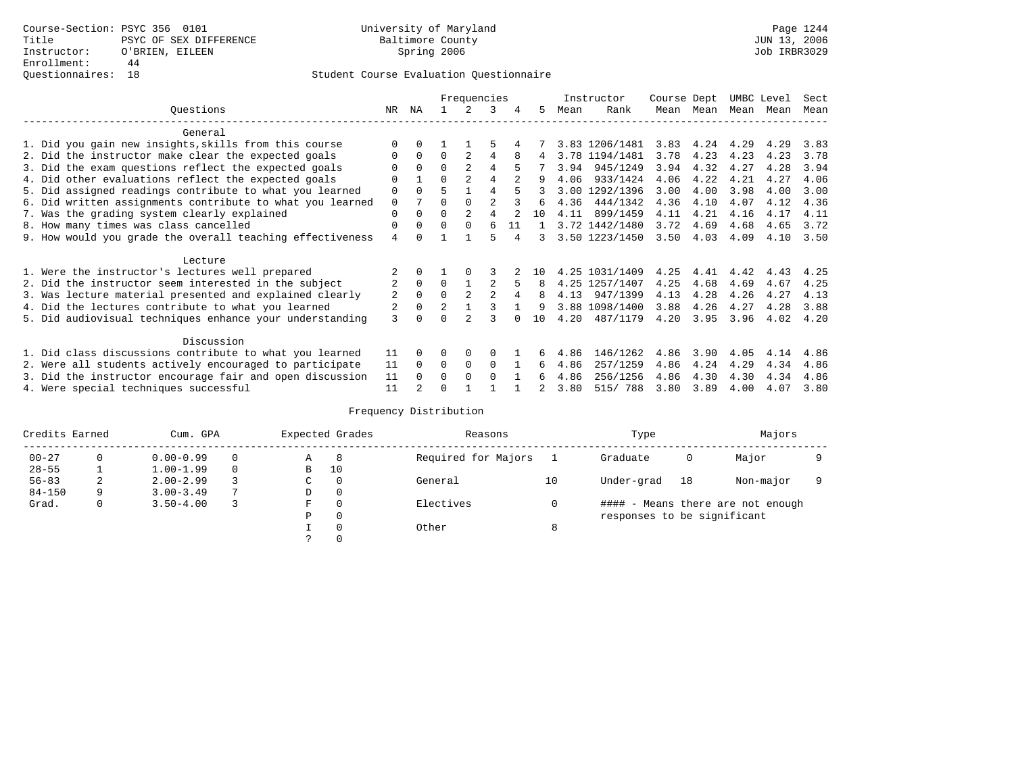|                                                           |    |              |                | Frequencies    |                |    |                |      | Instructor     | Course Dept |           | UMBC Level |      | Sect |
|-----------------------------------------------------------|----|--------------|----------------|----------------|----------------|----|----------------|------|----------------|-------------|-----------|------------|------|------|
| Ouestions                                                 | NR | ΝA           |                | 2              | 3              | 4  | 5              | Mean | Rank           |             | Mean Mean | Mean       | Mean | Mean |
| General                                                   |    |              |                |                |                |    |                |      |                |             |           |            |      |      |
| 1. Did you gain new insights, skills from this course     |    | $\Omega$     |                |                | 5              |    |                |      | 3.83 1206/1481 | 3.83        | 4.24      | 4.29       | 4.29 | 3.83 |
| 2. Did the instructor make clear the expected goals       | 0  | $\Omega$     | $\Omega$       | $\mathfrak{D}$ | 4              |    | 4              |      | 3.78 1194/1481 | 3.78        | 4.23      | 4.23       | 4.23 | 3.78 |
| 3. Did the exam questions reflect the expected goals      |    | $\Omega$     | $\Omega$       | $\overline{2}$ | 4              | 5  |                | 3.94 | 945/1249       | 3.94        | 4.32      | 4.27       | 4.28 | 3.94 |
| 4. Did other evaluations reflect the expected goals       | O  |              | O              | $\overline{2}$ | 4              |    | 9              | 4.06 | 933/1424       | 4.06        | 4.22      | 4.21       | 4.27 | 4.06 |
| 5. Did assigned readings contribute to what you learned   | 0  | $\Omega$     | 5              |                | 4              |    |                |      | 3.00 1292/1396 | 3.00        | 4.00      | 3.98       | 4.00 | 3.00 |
| 6. Did written assignments contribute to what you learned | 0  | 7            | O              | $\Omega$       | $\mathfrak{D}$ |    | 6              | 4.36 | 444/1342       | 4.36        | 4.10      | 4.07       | 4.12 | 4.36 |
| 7. Was the grading system clearly explained               | 0  | $\Omega$     | O              | $\overline{2}$ | 4              |    | 10             | 4.11 | 899/1459       | 4.11        | 4.21      | 4.16       | 4.17 | 4.11 |
| 8. How many times was class cancelled                     | 0  | $\Omega$     | $\Omega$       | $\Omega$       | 6              | 11 | $\overline{1}$ |      | 3.72 1442/1480 | 3.72        | 4.69      | 4.68       | 4.65 | 3.72 |
| 9. How would you grade the overall teaching effectiveness | 4  | <sup>n</sup> |                |                | г,             |    | 3              |      | 3.50 1223/1450 | 3.50        | 4.03      | 4.09       | 4.10 | 3.50 |
| Lecture                                                   |    |              |                |                |                |    |                |      |                |             |           |            |      |      |
| 1. Were the instructor's lectures well prepared           |    |              |                |                |                |    | 1 N            | 4.25 | 1031/1409      | 4.25        | 4.41      | 4.42       | 4.43 | 4.25 |
| 2. Did the instructor seem interested in the subject      | 2  | $\Omega$     | $\Omega$       |                | $\overline{a}$ |    | 8              |      | 4.25 1257/1407 | 4.25        | 4.68      | 4.69       | 4.67 | 4.25 |
| 3. Was lecture material presented and explained clearly   | 2  | $\mathbf 0$  | $\Omega$       | 2              | $\overline{a}$ |    | 8              | 4.13 | 947/1399       | 4.13        | 4.28      | 4.26       | 4.27 | 4.13 |
| 4. Did the lectures contribute to what you learned        | 2  | $\Omega$     | $\overline{2}$ |                |                |    | 9              |      | 3.88 1098/1400 | 3.88        | 4.26      | 4.27       | 4.28 | 3.88 |
| 5. Did audiovisual techniques enhance your understanding  | 3  |              |                |                |                |    | 10             | 4.20 | 487/1179       | 4.20        | 3.95      | 3.96       | 4.02 | 4.20 |
| Discussion                                                |    |              |                |                |                |    |                |      |                |             |           |            |      |      |
| 1. Did class discussions contribute to what you learned   | 11 | $\Omega$     | 0              | $\Omega$       | $\Omega$       |    |                | 4.86 | 146/1262       | 4.86        | 3.90      | 4.05       | 4.14 | 4.86 |
| 2. Were all students actively encouraged to participate   | 11 | $\Omega$     | 0              | $\mathbf 0$    | 0              |    | 6              | 4.86 | 257/1259       | 4.86        | 4.24      | 4.29       | 4.34 | 4.86 |
| 3. Did the instructor encourage fair and open discussion  | 11 |              | U              | $\Omega$       | $\Omega$       |    | 6              | 4.86 | 256/1256       | 4.86        | 4.30      | 4.30       | 4.34 | 4.86 |
| 4. Were special techniques successful                     | 11 |              |                |                |                |    | 2              | 3.80 | 515/ 788       | 3.80        | 3.89      | 4.00       | 4.07 | 3.80 |

| Credits Earned |          | Cum. GPA      |                |             | Expected Grades | Reasons             |    | Type                        |    | Majors                            |  |
|----------------|----------|---------------|----------------|-------------|-----------------|---------------------|----|-----------------------------|----|-----------------------------------|--|
| $00 - 27$      | $\Omega$ | $0.00 - 0.99$ |                | Α           | -8              | Required for Majors |    | Graduate                    | 0  | Major                             |  |
| $28 - 55$      |          | $1.00 - 1.99$ |                | B           | 10              |                     |    |                             |    |                                   |  |
| $56 - 83$      | 2        | $2.00 - 2.99$ |                | $\sim$<br>◡ | 0               | General             | 10 | Under-grad                  | 18 | Non-major                         |  |
| $84 - 150$     | 9        | $3.00 - 3.49$ | $\overline{ }$ | D           | 0               |                     |    |                             |    |                                   |  |
| Grad.          | 0        | $3.50 - 4.00$ |                | F           | 0               | Electives           |    |                             |    | #### - Means there are not enough |  |
|                |          |               |                | Ρ           | 0               |                     |    | responses to be significant |    |                                   |  |
|                |          |               |                |             | 0               | Other               | 8  |                             |    |                                   |  |
|                |          |               |                | C.          |                 |                     |    |                             |    |                                   |  |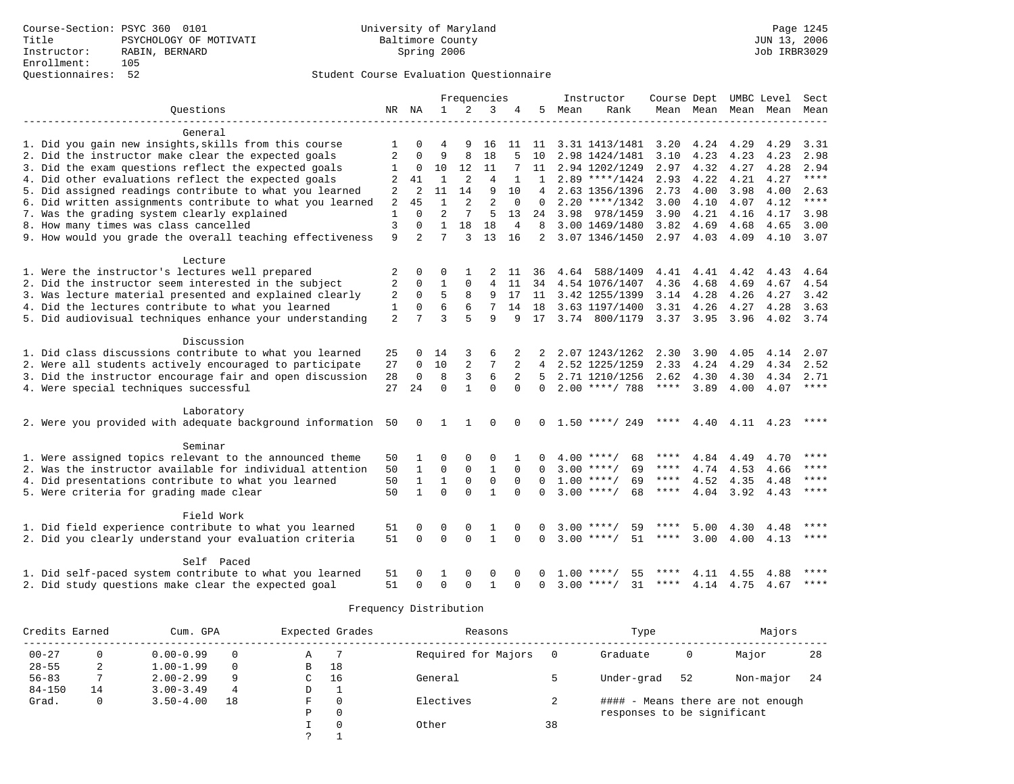|                                                                  |                |                |              |                | Frequencies    |          |                |      | Instructor               | Course Dept UMBC Level |           |                   |              | Sect         |
|------------------------------------------------------------------|----------------|----------------|--------------|----------------|----------------|----------|----------------|------|--------------------------|------------------------|-----------|-------------------|--------------|--------------|
| Questions                                                        |                | NR NA          | $\mathbf{1}$ | 2              | 3              | 4        | 5.             | Mean | Rank                     |                        | Mean Mean | Mean              | Mean         | Mean         |
|                                                                  |                |                |              |                |                |          |                |      |                          |                        |           |                   |              |              |
| General<br>1. Did you gain new insights, skills from this course | 1              | 0              | 4            | 9              |                | 11       |                |      | 3.31 1413/1481           |                        |           |                   |              |              |
| 2. Did the instructor make clear the expected goals              | $\overline{2}$ |                | 9            | 8              | 16<br>18       |          | 11<br>10       |      | 2.98 1424/1481           | 3.20<br>3.10           | 4.23      | 4.24 4.29<br>4.23 | 4.29<br>4.23 | 3.31<br>2.98 |
|                                                                  |                | $\mathbf 0$    | 10           | 12             | 11             |          | 11             |      |                          | 2.97                   | 4.32      | 4.27              | 4.28         | 2.94         |
| 3. Did the exam questions reflect the expected goals             | 1              |                |              |                |                |          |                |      | 2.94 1202/1249           |                        |           |                   |              | $***$ * * *  |
| 4. Did other evaluations reflect the expected goals              | 2              | 41             | $\mathbf{1}$ | $\overline{a}$ | $\overline{4}$ |          | $\mathbf{1}$   |      | $2.89$ ****/1424         | 2.93                   | 4.22      | 4.21              | 4.27         |              |
| 5. Did assigned readings contribute to what you learned          | 2              | 2              | 11           | 14             | 9              | 10       | 4              |      | 2.63 1356/1396           | 2.73                   | 4.00      | 3.98              | 4.00         | 2.63         |
| 6. Did written assignments contribute to what you learned        | $\overline{2}$ | 45             | $\mathbf{1}$ | $\overline{a}$ | $\overline{2}$ | $\Omega$ | $\Omega$       |      | $2.20$ ****/1342         | 3.00                   | 4.10      | 4.07              | 4.12         | $***$        |
| 7. Was the grading system clearly explained                      | 1              | $\Omega$       | 2            | 7              | 5              | 13       | 24             |      | 3.98 978/1459            | 3.90                   | 4.21      | 4.16              | 4.17         | 3.98         |
| 8. How many times was class cancelled                            | 3              | 0              | $\mathbf{1}$ | 18             | 18             | 4        | 8              |      | 3.00 1469/1480           | 3.82                   | 4.69      | 4.68              | 4.65         | 3.00         |
| 9. How would you grade the overall teaching effectiveness        | 9              | $\overline{2}$ | 7            | 3              | 13             | 16       | $\overline{a}$ |      | 3.07 1346/1450           | 2.97 4.03              |           | 4.09              | 4.10         | 3.07         |
| Lecture                                                          |                |                |              |                |                |          |                |      |                          |                        |           |                   |              |              |
| 1. Were the instructor's lectures well prepared                  | 2              | 0              | O            |                | 2              | -11      | 36             |      | 4.64 588/1409            |                        | 4.41 4.41 | 4.42              | 4.43         | 4.64         |
| 2. Did the instructor seem interested in the subject             | 2              | $\Omega$       | $\mathbf{1}$ | $\Omega$       | $\overline{4}$ | 11       |                |      | 34 4.54 1076/1407        | 4.36                   | 4.68      | 4.69              | 4.67         | 4.54         |
| 3. Was lecture material presented and explained clearly          | 2              | $\mathbf 0$    | 5            | 8              | 9              | 17       | 11             |      | 3.42 1255/1399           | 3.14                   | 4.28      | 4.26              | 4.27         | 3.42         |
| 4. Did the lectures contribute to what you learned               | 1              | 0              | 6            |                |                | 14       | 18             |      | 3.63 1197/1400           | 3.31                   | 4.26      | 4.27              | 4.28         | 3.63         |
| 5. Did audiovisual techniques enhance your understanding         | $\overline{2}$ | 7              | ζ            | 5              | $\mathsf{Q}$   | 9        | 17             |      | 3.74 800/1179            | 3.37 3.95              |           | 3.96              | 4.02         | 3.74         |
| Discussion                                                       |                |                |              |                |                |          |                |      |                          |                        |           |                   |              |              |
| 1. Did class discussions contribute to what you learned          |                | 0              | 14           | 3              | 6              |          |                |      | 2.07 1243/1262           | 2.30                   | 3.90      | 4.05              | 4.14         | 2.07         |
| 2. Were all students actively encouraged to participate          | 25<br>27       | $\Omega$       | 10           | 2              | 7              | 2        | 4              |      | 2.52 1225/1259           | 2.33                   | 4.24      | 4.29              | 4.34         | 2.52         |
| 3. Did the instructor encourage fair and open discussion         | 28             | 0              | 8            | 3              | 6              | 2        | $5 -$          |      | 2.71 1210/1256           | 2.62                   | 4.30      | 4.30              | 4.34         | 2.71         |
| 4. Were special techniques successful                            | 27             | 24             | $\Omega$     | $\mathbf{1}$   | $\Omega$       | $\Omega$ | $\Omega$       |      | $2.00$ ****/ 788         | $***$ * * *            | 3.89      | 4.00              | 4.07         | ****         |
|                                                                  |                |                |              |                |                |          |                |      |                          |                        |           |                   |              |              |
| Laboratory                                                       |                |                |              |                |                |          |                |      |                          |                        |           |                   |              |              |
| 2. Were you provided with adequate background information 50     |                | $\mathbf{0}$   | 1            | 1              | $\mathbf 0$    | $\Omega$ |                |      | $0 \quad 1.50$ ****/ 249 | ****                   |           | 4.40 4.11 4.23    |              | ****         |
| Seminar                                                          |                |                |              |                |                |          |                |      |                          |                        |           |                   |              |              |
| 1. Were assigned topics relevant to the announced theme          | 50             | $\mathbf{1}$   | $\Omega$     | $\Omega$       | $\Omega$       |          | 0              |      | $4.00$ ****/<br>68       | ****                   | 4.84      | 4.49              | 4.70         | ****         |
| 2. Was the instructor available for individual attention         | 50             | $\mathbf{1}$   | $\mathbf 0$  | $\mathbf 0$    | $\mathbf{1}$   | $\Omega$ | $\Omega$       |      | $3.00$ ****/<br>69       | ****                   | 4.74      | 4.53              | 4.66         | ****         |
| 4. Did presentations contribute to what you learned              | 50             | $\mathbf{1}$   | $\mathbf{1}$ | $\mathbf 0$    | $\mathbf 0$    | $\Omega$ | $\Omega$       |      | $1.00$ ****/<br>69       | $***$ * *              | 4.52      | 4.35              | 4.48         | ****         |
| 5. Were criteria for grading made clear                          | 50             | $\mathbf{1}$   | $\Omega$     | $\Omega$       | $\mathbf{1}$   | $\Omega$ | $\Omega$       |      | $3.00$ ****/<br>68       | $***$ * * *            | 4.04      | 3.92              | 4.43         | $***$ * * *  |
|                                                                  |                |                |              |                |                |          |                |      |                          |                        |           |                   |              |              |
| Field Work                                                       |                |                |              |                |                |          |                |      |                          |                        |           |                   |              |              |
| 1. Did field experience contribute to what you learned           | 51             | 0              | $\Omega$     | $\Omega$       | 1              | ∩        | U              | 3.00 | 59                       |                        | 5.00      | 4.30              | 4.48         |              |
| 2. Did you clearly understand your evaluation criteria           | 51             | $\Omega$       | $\Omega$     | $\Omega$       | $\mathbf{1}$   | $\Omega$ | $\Omega$       |      | $3.00$ ****/<br>51       | ****                   | 3.00      |                   | 4.00 4.13    | $***$ * * *  |
| Self Paced                                                       |                |                |              |                |                |          |                |      |                          |                        |           |                   |              |              |
| 1. Did self-paced system contribute to what you learned          | 51             | 0              | 1            | $\Omega$       | $\Omega$       | $\Omega$ |                | 1.00 | $***$ /<br>55            |                        | 4.11      | 4.55              | 4.88         | ****         |
| 2. Did study questions make clear the expected goal              | 51             | $\Omega$       | $\Omega$     | $\Omega$       | $\mathbf{1}$   | ∩        | $\Omega$       |      | $3.00$ ****/<br>31       | ****                   |           | 4.14 4.75 4.67    |              | ****         |

| Credits Earned |                 | Cum. GPA      |          |   | Expected Grades | Reasons             |    | Type                        |    | Majors                            |     |
|----------------|-----------------|---------------|----------|---|-----------------|---------------------|----|-----------------------------|----|-----------------------------------|-----|
| $00 - 27$      | $\Omega$        | $0.00 - 0.99$ | $\Omega$ | Α |                 | Required for Majors |    | Graduate                    | 0  | Major                             | 28  |
| $28 - 55$      | ◠<br>$\epsilon$ | $1.00 - 1.99$ | $\Omega$ | в | 18              |                     |    |                             |    |                                   |     |
| $56 - 83$      |                 | $2.00 - 2.99$ | 9        | C | 16              | General             |    | Under-grad                  | 52 | Non-major                         | -24 |
| $84 - 150$     | 14              | $3.00 - 3.49$ | 4        | D |                 |                     |    |                             |    |                                   |     |
| Grad.          | $\Omega$        | $3.50 - 4.00$ | 18       | F | $\Omega$        | Electives           |    |                             |    | #### - Means there are not enough |     |
|                |                 |               |          | P | $\mathbf 0$     |                     |    | responses to be significant |    |                                   |     |
|                |                 |               |          |   | $\Omega$        | Other               | 38 |                             |    |                                   |     |
|                |                 |               |          | っ |                 |                     |    |                             |    |                                   |     |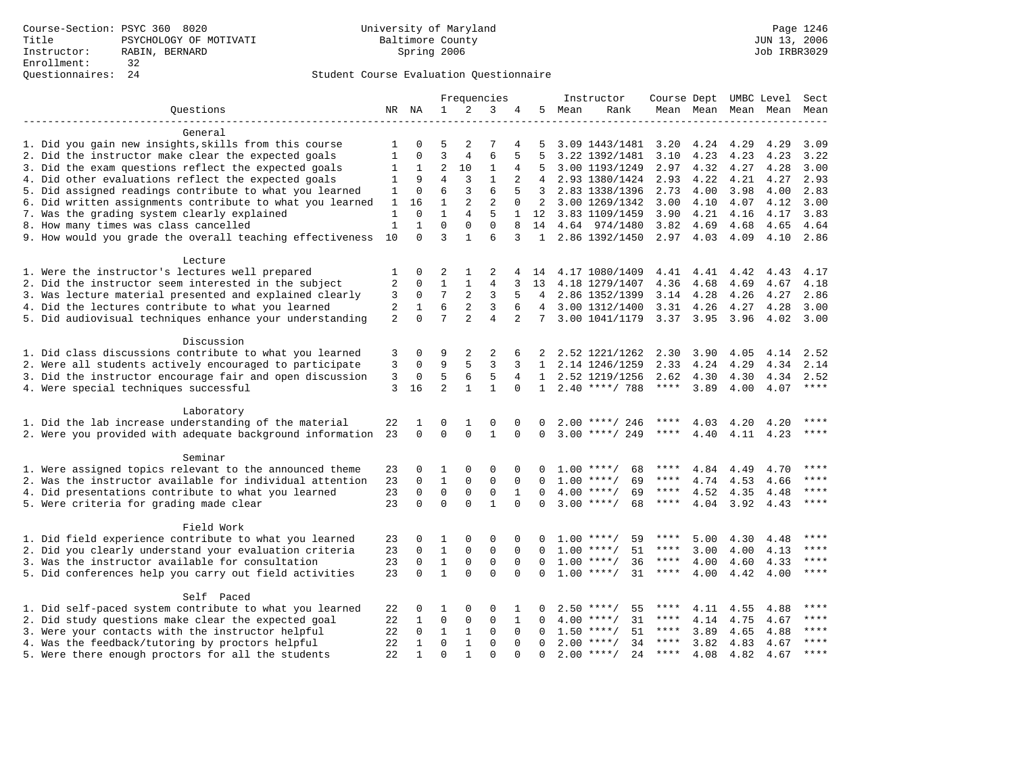|                                                           |                |              |                |                | Frequencies    |              |                 |      | Instructor          | Course Dept UMBC Level |           |      |           | Sect        |
|-----------------------------------------------------------|----------------|--------------|----------------|----------------|----------------|--------------|-----------------|------|---------------------|------------------------|-----------|------|-----------|-------------|
| Ouestions                                                 |                | NR NA        | $\mathbf{1}$   | 2              | 3              | 4            | 5               | Mean | Rank                |                        | Mean Mean |      | Mean Mean | Mean        |
|                                                           |                |              |                |                |                |              |                 |      |                     |                        |           |      |           |             |
| General                                                   |                |              |                |                |                |              |                 |      |                     |                        |           |      |           |             |
| 1. Did you gain new insights, skills from this course     | 1              | 0            | 5              | 2              |                | 4            | 5               |      | 3.09 1443/1481      | 3.20                   | 4.24      | 4.29 | 4.29      | 3.09        |
| 2. Did the instructor make clear the expected goals       | 1              | $\Omega$     | 3              | 4              | 6              | 5            | 5               |      | 3.22 1392/1481      | 3.10                   | 4.23      | 4.23 | 4.23      | 3.22        |
| 3. Did the exam questions reflect the expected goals      | $\mathbf{1}$   | 1            | $\overline{2}$ | 10             | $1\,$          | 4            | 5               |      | 3.00 1193/1249      | 2.97                   | 4.32      | 4.27 | 4.28      | 3.00        |
| 4. Did other evaluations reflect the expected goals       | 1              | 9            | $\overline{4}$ | 3              | $\mathbf{1}$   | 2            | $\overline{4}$  |      | 2.93 1380/1424      | 2.93                   | 4.22      | 4.21 | 4.27      | 2.93        |
| 5. Did assigned readings contribute to what you learned   | 1              | $\Omega$     | 6              | 3              | 6              | 5            | 3               |      | 2.83 1338/1396      | 2.73                   | 4.00      | 3.98 | 4.00      | 2.83        |
| 6. Did written assignments contribute to what you learned | 1              | 16           | $\mathbf{1}$   | 2              | $\overline{2}$ | $\mathbf 0$  | 2               |      | 3.00 1269/1342      | 3.00                   | 4.10      | 4.07 | 4.12      | 3.00        |
| 7. Was the grading system clearly explained               | 1              | $\Omega$     | $\mathbf{1}$   | $\overline{4}$ | 5              | 1            | 12              |      | 3.83 1109/1459      | 3.90                   | 4.21      | 4.16 | 4.17      | 3.83        |
| 8. How many times was class cancelled                     | 1              | $\mathbf{1}$ | $\Omega$       | $\Omega$       | $\Omega$       | 8            | 14              |      | 4.64 974/1480       | 3.82                   | 4.69      | 4.68 | 4.65      | 4.64        |
| 9. How would you grade the overall teaching effectiveness | 10             | $\Omega$     | 3              | $\mathbf{1}$   | 6              | 3            | $\mathbf{1}$    |      | 2.86 1392/1450      | 2.97                   | 4.03      | 4.09 | 4.10      | 2.86        |
|                                                           |                |              |                |                |                |              |                 |      |                     |                        |           |      |           |             |
| Lecture                                                   |                |              |                |                |                |              |                 |      |                     |                        |           |      |           |             |
| 1. Were the instructor's lectures well prepared           | 1              | $\Omega$     | 2              | 1              | 2              | 4            | 14              |      | 4.17 1080/1409      |                        | 4.41 4.41 | 4.42 | 4.43      | 4.17        |
| 2. Did the instructor seem interested in the subject      | 2              | 0            | $\mathbf{1}$   | 1              | 4              | 3            | 13              |      |                     |                        |           |      |           | 4.18        |
|                                                           |                | 0            | 7              | 2              | 3              | 5            |                 |      | 4.18 1279/1407      | 4.36                   | 4.68      | 4.69 | 4.67      |             |
| 3. Was lecture material presented and explained clearly   | 3              |              | 6              |                |                |              | 4               |      | 2.86 1352/1399      | 3.14                   | 4.28      | 4.26 | 4.27      | 2.86        |
| 4. Did the lectures contribute to what you learned        | 2              | $\mathbf{1}$ |                | 2              | 3              | 6            | $4\overline{ }$ |      | 3.00 1312/1400      | 3.31                   | 4.26      | 4.27 | 4.28      | 3.00        |
| 5. Did audiovisual techniques enhance your understanding  | $\overline{2}$ | $\Omega$     | 7              | $\overline{a}$ | $\overline{4}$ | 2            | 7               |      | 3.00 1041/1179      | 3.37 3.95              |           | 3.96 | 4.02      | 3.00        |
|                                                           |                |              |                |                |                |              |                 |      |                     |                        |           |      |           |             |
| Discussion                                                |                |              |                |                |                |              |                 |      |                     |                        |           |      |           |             |
| 1. Did class discussions contribute to what you learned   | 3              | 0            | 9              | 2              | 2              | 6            |                 |      | 2.52 1221/1262      | 2.30                   | 3.90      | 4.05 | 4.14      | 2.52        |
| 2. Were all students actively encouraged to participate   | 3              | $\Omega$     | 9              | 5              | 3              | 3            | 1               |      | 2.14 1246/1259      | 2.33                   | 4.24      | 4.29 | 4.34      | 2.14        |
| 3. Did the instructor encourage fair and open discussion  | 3              | 0            | 5              | 6              | 5              | 4            | $\mathbf{1}$    |      | 2.52 1219/1256      | 2.62                   | 4.30      | 4.30 | 4.34      | 2.52        |
| 4. Were special techniques successful                     | 3              | 16           | $\overline{2}$ | $\mathbf{1}$   | $\mathbf{1}$   | $\Omega$     | $\mathbf{1}$    |      | $2.40$ ****/ 788    | ****                   | 3.89      | 4.00 | 4.07      | ****        |
|                                                           |                |              |                |                |                |              |                 |      |                     |                        |           |      |           |             |
| Laboratory                                                |                |              |                |                |                |              |                 |      |                     |                        |           |      |           |             |
| 1. Did the lab increase understanding of the material     | 22             | 1            | 0              | 1              | $\Omega$       | $\Omega$     | 0               |      | $2.00$ ****/ 246    | ****                   | 4.03      | 4.20 | 4.20      | ****        |
| 2. Were you provided with adequate background information | 23             | $\Omega$     | $\Omega$       | $\Omega$       | $\mathbf{1}$   | $\Omega$     | $\Omega$        |      | $3.00$ ****/ 249    | ****                   | 4.40      | 4.11 | 4.23      | $***$       |
|                                                           |                |              |                |                |                |              |                 |      |                     |                        |           |      |           |             |
| Seminar                                                   |                |              |                |                |                |              |                 |      |                     |                        |           |      |           |             |
| 1. Were assigned topics relevant to the announced theme   | 23             | 0            | 1              | 0              | $\mathbf 0$    | $\Omega$     | 0               |      | $1.00$ ****/<br>68  | ****                   | 4.84      | 4.49 | 4.70      |             |
| 2. Was the instructor available for individual attention  | 23             | $\mathbf 0$  | $\mathbf{1}$   | 0              | $\mathbf 0$    | $\mathbf 0$  | $\Omega$        |      | $1.00$ ****/<br>69  | ****                   | 4.74      | 4.53 | 4.66      |             |
| 4. Did presentations contribute to what you learned       | 23             | $\Omega$     | $\mathbf 0$    | $\mathbf 0$    | $\mathbf 0$    | $\mathbf{1}$ | $\Omega$        |      | $4.00$ ****/<br>69  | ****                   | 4.52      | 4.35 | 4.48      | ****        |
| 5. Were criteria for grading made clear                   | 23             | $\Omega$     | $\Omega$       | $\Omega$       | $\mathbf{1}$   | $\Omega$     | $\Omega$        |      | $3.00$ ****/<br>68  | ****                   | 4.04      | 3.92 | 4.43      | ****        |
|                                                           |                |              |                |                |                |              |                 |      |                     |                        |           |      |           |             |
| Field Work                                                |                |              |                |                |                |              |                 |      |                     |                        |           |      |           |             |
| 1. Did field experience contribute to what you learned    | 23             | 0            | 1              | $\Omega$       | $\Omega$       | $\Omega$     | 0               |      | $1.00$ ****/<br>59  | ****                   | 5.00      | 4.30 | 4.48      | ****        |
| 2. Did you clearly understand your evaluation criteria    | 23             | 0            | $\mathbf{1}$   | $\mathbf 0$    | $\mathsf 0$    | $\mathbf 0$  | 0               |      | $1.00$ ****/<br>51  | ****                   | 3.00      | 4.00 | 4.13      | ****        |
| 3. Was the instructor available for consultation          | 23             | $\Omega$     | 1              | $\mathbf 0$    | $\mathbf 0$    | $\Omega$     | $\Omega$        |      | $1.00$ ****/<br>36  | ****                   | 4.00      | 4.60 | 4.33      | $***$       |
| 5. Did conferences help you carry out field activities    | 23             | $\Omega$     | $\mathbf{1}$   | $\Omega$       | $\Omega$       | $\Omega$     | $\Omega$        |      | $1.00$ ****/<br>31  | $***$ * * *            | 4.00      | 4.42 | 4.00      | ****        |
|                                                           |                |              |                |                |                |              |                 |      |                     |                        |           |      |           |             |
| Self Paced                                                |                |              |                |                |                |              |                 |      |                     |                        |           |      |           |             |
| 1. Did self-paced system contribute to what you learned   | 22             | 0            | 1              | $\Omega$       | $\Omega$       | 1            | 0               | 2.50 | ****/<br>55         | ****                   | 4.11      | 4.55 | 4.88      | $***$ * * * |
| 2. Did study questions make clear the expected goal       | 22             | 1            | $\mathbf 0$    | 0              | $\mathbf 0$    | 1            | 0               | 4.00 | 31<br>$***$ /       | ****                   | 4.14      | 4.75 | 4.67      | ****        |
| 3. Were your contacts with the instructor helpful         | 22             | $\Omega$     | $\mathbf{1}$   | $\mathbf{1}$   | $\mathbf 0$    | $\Omega$     | $\Omega$        | 1.50 | 51<br>$***$ /       | $***$ * *              | 3.89      | 4.65 | 4.88      | $***$       |
| 4. Was the feedback/tutoring by proctors helpful          | 22             | 1            | $\mathbf 0$    | $\mathbf{1}$   | $\Omega$       | $\Omega$     | $\Omega$        |      | $2.00$ ****/<br>34  | $***$ * *              | 3.82      | 4.83 | 4.67      | ****        |
|                                                           | 22             | $\mathbf{1}$ | $\Omega$       | 1              | $\Omega$       | $\Omega$     | $\Omega$        |      | $2.00$ ****/<br>2.4 | ****                   | 4.08      | 4.82 | 4.67      | ****        |
| 5. Were there enough proctors for all the students        |                |              |                |                |                |              |                 |      |                     |                        |           |      |           |             |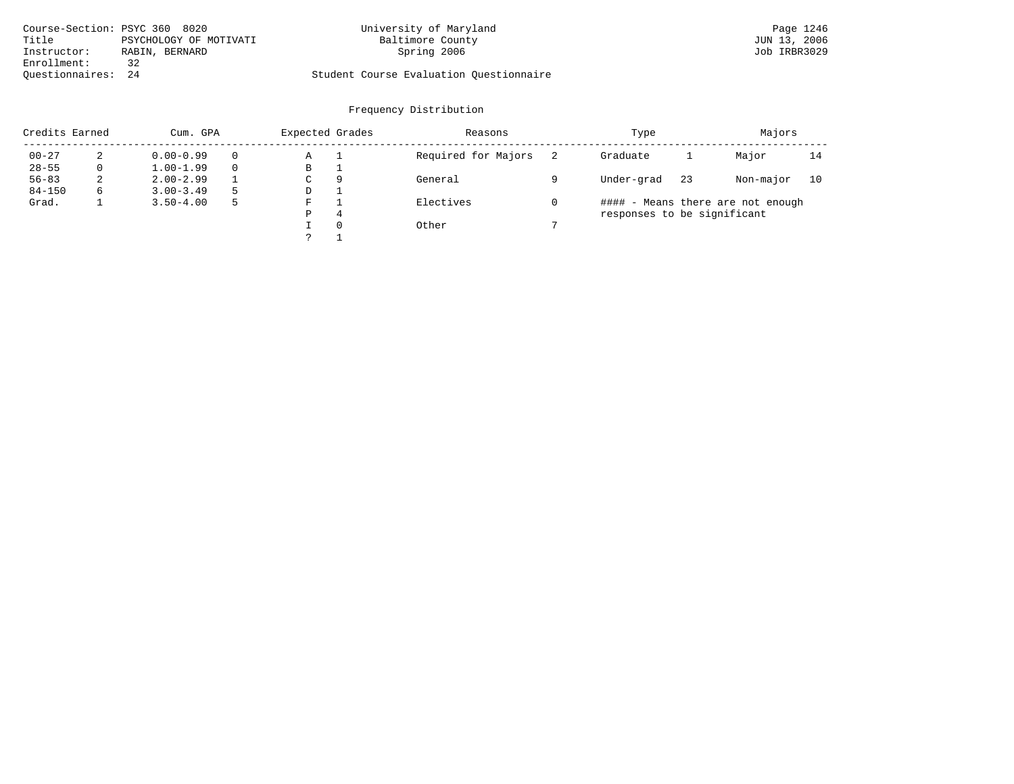|                    | Course-Section: PSYC 360 8020 | University of Maryland                  | Page 1246    |
|--------------------|-------------------------------|-----------------------------------------|--------------|
| Title              | PSYCHOLOGY OF MOTIVATI        | Baltimore County                        | JUN 13, 2006 |
| Instructor:        | RABIN, BERNARD                | Spring 2006                             | Job IRBR3029 |
| Enrollment:        |                               |                                         |              |
| Ouestionnaires: 24 |                               | Student Course Evaluation Ouestionnaire |              |

| Credits Earned |    | Cum. GPA      |          | Expected Grades |          | Reasons             | Type                        |    | Majors                            |    |
|----------------|----|---------------|----------|-----------------|----------|---------------------|-----------------------------|----|-----------------------------------|----|
| $00 - 27$      |    | $0.00 - 0.99$ | $\Omega$ | Α               |          | Required for Majors | Graduate                    |    | Major                             | 14 |
| $28 - 55$      |    | $1.00 - 1.99$ | $\Omega$ | В               |          |                     |                             |    |                                   |    |
| $56 - 83$      | z. | $2.00 - 2.99$ |          | C               | -9       | General             | Under-grad                  | 23 | Non-major                         | 10 |
| $84 - 150$     | 6  | $3.00 - 3.49$ | 5        | D               |          |                     |                             |    |                                   |    |
| Grad.          |    | $3.50 - 4.00$ | 5        | F               |          | Electives           |                             |    | #### - Means there are not enough |    |
|                |    |               |          | P               | 4        |                     | responses to be significant |    |                                   |    |
|                |    |               |          |                 | $\Omega$ | Other               |                             |    |                                   |    |
|                |    |               |          |                 |          |                     |                             |    |                                   |    |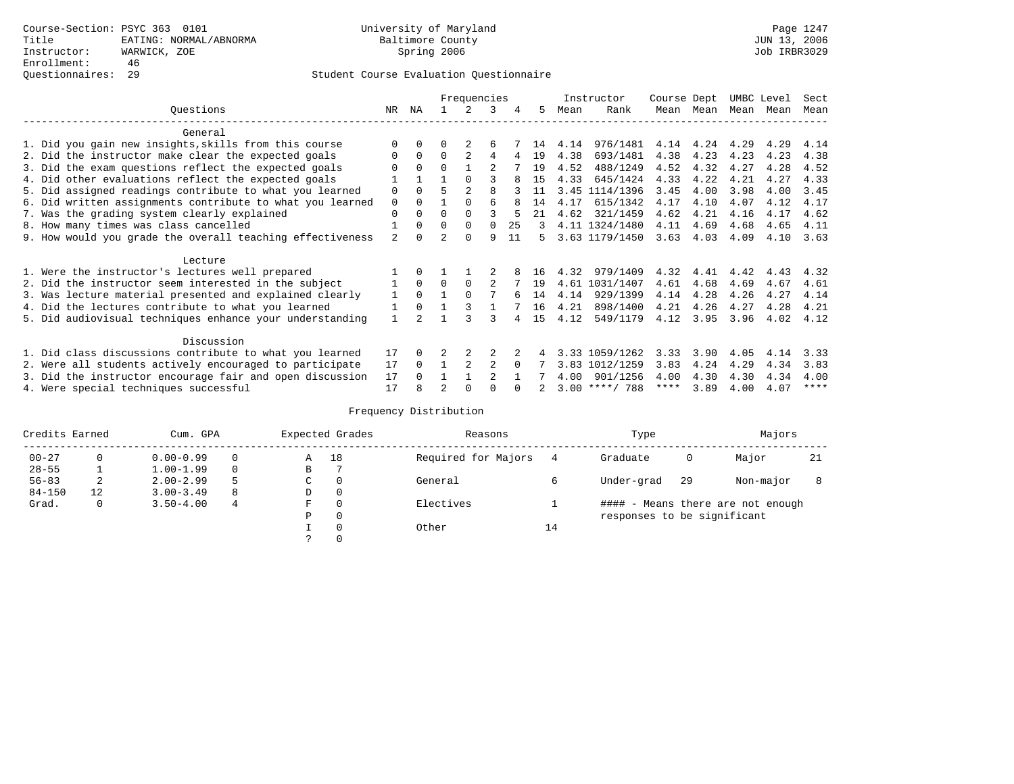|                                                           |                |              |                | Frequencies    |                |    |               |      | Instructor       | Course Dept |           | UMBC Level |      | Sect        |
|-----------------------------------------------------------|----------------|--------------|----------------|----------------|----------------|----|---------------|------|------------------|-------------|-----------|------------|------|-------------|
| Ouestions                                                 | NR             | ΝA           |                | 2              | 3              | 4  | 5.            | Mean | Rank             |             | Mean Mean | Mean Mean  |      | Mean        |
| General                                                   |                |              |                |                |                |    |               |      |                  |             |           |            |      |             |
| 1. Did you gain new insights, skills from this course     |                | $\Omega$     | U              | 2              | 6              |    | 14            | 4.14 | 976/1481         | 4.14        | 4.24      | 4.29       | 4.29 | 4.14        |
| 2. Did the instructor make clear the expected goals       | 0              | $\Omega$     | $\Omega$       | $\mathfrak{D}$ | 4              |    | 19            | 4.38 | 693/1481         | 4.38        | 4.23      | 4.23       | 4.23 | 4.38        |
| 3. Did the exam questions reflect the expected goals      |                | $\Omega$     | $\Omega$       |                |                |    | 19            | 4.52 | 488/1249         | 4.52        | 4.32      | 4.27       | 4.28 | 4.52        |
| 4. Did other evaluations reflect the expected goals       |                |              |                | $\Omega$       |                |    | 15            | 4.33 | 645/1424         | 4.33        | 4.22      | 4.21       | 4.27 | 4.33        |
| 5. Did assigned readings contribute to what you learned   | 0              | $\Omega$     | 5              |                | 8              |    | 11            |      | 3.45 1114/1396   | 3.45        | 4.00      | 3.98       | 4.00 | 3.45        |
| 6. Did written assignments contribute to what you learned | $\mathbf 0$    | $\Omega$     |                | $\Omega$       | 6              | 8  | 14            | 4.17 | 615/1342         | 4.17        | 4.10      | 4.07       | 4.12 | 4.17        |
| 7. Was the grading system clearly explained               | 0              | $\Omega$     | U              | $\Omega$       |                | 5  | 21            | 4.62 | 321/1459         | 4.62        | 4.21      | 4.16       | 4.17 | 4.62        |
| 8. How many times was class cancelled                     |                | $\Omega$     | $\Omega$       | $\Omega$       | $\Omega$       | 25 | $\mathcal{L}$ |      | 4.11 1324/1480   | 4.11        | 4.69      | 4.68       | 4.65 | 4.11        |
| 9. How would you grade the overall teaching effectiveness | $\overline{a}$ | <sup>n</sup> | $\mathfrak{D}$ | $\Omega$       | 9              | 11 | 5.            |      | 3.63 1179/1450   | 3.63        | 4.03      | 4.09       | 4.10 | 3.63        |
| Lecture                                                   |                |              |                |                |                |    |               |      |                  |             |           |            |      |             |
| 1. Were the instructor's lectures well prepared           |                | $\Omega$     |                |                |                |    | 16            | 4.32 | 979/1409         | 4.32        | 4.41      | 4.42       | 4.43 | 4.32        |
| 2. Did the instructor seem interested in the subject      |                | $\Omega$     | $\Omega$       | $\Omega$       | 2              |    | 19            |      | 4.61 1031/1407   | 4.61        | 4.68      | 4.69       | 4.67 | 4.61        |
| 3. Was lecture material presented and explained clearly   | 1              | $\Omega$     |                |                |                |    | 14            | 4.14 | 929/1399         | 4.14        | 4.28      | 4.26       | 4.27 | 4.14        |
| 4. Did the lectures contribute to what you learned        |                | $\Omega$     |                |                |                |    | 16            | 4.21 | 898/1400         | 4.21        | 4.26      | 4.27       | 4.28 | 4.21        |
| 5. Did audiovisual techniques enhance your understanding  |                |              |                |                |                |    | 15            | 4.12 | 549/1179         | 4.12        | 3.95      | 3.96       | 4.02 | 4.12        |
| Discussion                                                |                |              |                |                |                |    |               |      |                  |             |           |            |      |             |
| 1. Did class discussions contribute to what you learned   | 17             | 0            |                |                |                |    |               |      | 3.33 1059/1262   | 3.33        | 3.90      | 4.05       | 4.14 | 3.33        |
| 2. Were all students actively encouraged to participate   | 17             | $\Omega$     |                | $\overline{2}$ | 2              |    |               | 3.83 | 1012/1259        | 3.83        | 4.24      | 4.29       | 4.34 | 3.83        |
| 3. Did the instructor encourage fair and open discussion  | 17             |              |                |                | $\mathfrak{D}$ |    |               | 4.00 | 901/1256         | 4.00        | 4.30      | 4.30       | 4.34 | 4.00        |
| 4. Were special techniques successful                     | 17             |              |                |                |                |    |               |      | $3.00$ ****/ 788 | ****        | 3.89      | 4.00       | 4.07 | $***$ * * * |

| Credits Earned |          | Cum. GPA      |   |             | Expected Grades | Reasons             |    | Type                        |     | Majors                            |    |
|----------------|----------|---------------|---|-------------|-----------------|---------------------|----|-----------------------------|-----|-----------------------------------|----|
| $00 - 27$      | $\Omega$ | $0.00 - 0.99$ |   | Α           | 18              | Required for Majors | 4  | Graduate                    | 0   | Major                             | 21 |
| $28 - 55$      | ┻        | $1.00 - 1.99$ |   | В           |                 |                     |    |                             |     |                                   |    |
| $56 - 83$      | 2        | $2.00 - 2.99$ |   | $\sim$<br>J | 0               | General             |    | Under-grad                  | -29 | Non-major                         |    |
| $84 - 150$     | 12       | $3.00 - 3.49$ | 8 | D           | 0               |                     |    |                             |     |                                   |    |
| Grad.          | 0        | $3.50 - 4.00$ | 4 | F           | 0               | Electives           |    |                             |     | #### - Means there are not enough |    |
|                |          |               |   | Ρ           | 0               |                     |    | responses to be significant |     |                                   |    |
|                |          |               |   |             | $\Omega$        | Other               | 14 |                             |     |                                   |    |
|                |          |               |   |             |                 |                     |    |                             |     |                                   |    |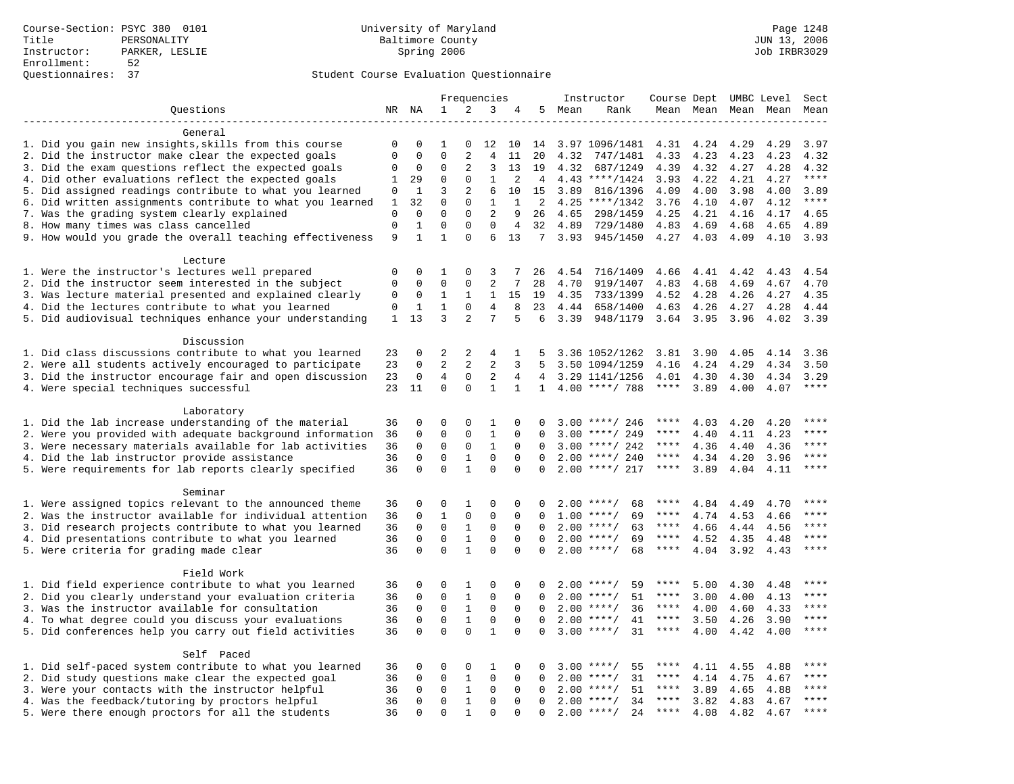|                                                           |              |                            |                            |                              | Frequencies             |              |                |         | Instructor               | Course Dept UMBC Level |                     |              |      | Sect        |
|-----------------------------------------------------------|--------------|----------------------------|----------------------------|------------------------------|-------------------------|--------------|----------------|---------|--------------------------|------------------------|---------------------|--------------|------|-------------|
| Questions                                                 |              | NR NA                      | $\mathbf{1}$               | 2                            | 3                       | 4            |                | 5 Mean  | Rank                     |                        | Mean Mean Mean Mean |              |      | Mean        |
|                                                           |              |                            |                            |                              |                         |              |                |         |                          |                        |                     |              |      |             |
| General                                                   |              |                            |                            |                              |                         |              |                |         |                          |                        |                     |              |      |             |
| 1. Did you gain new insights, skills from this course     | $\mathbf 0$  | $\mathbf 0$                | 1                          | 0                            | 12                      | 10           | 14             |         | 3.97 1096/1481           | 4.31                   | 4.24                | 4.29         | 4.29 | 3.97        |
| 2. Did the instructor make clear the expected goals       | $\mathbf{0}$ | $\Omega$                   | $\Omega$                   | 2                            | $\overline{4}$          | 11           | 20             | 4.32    | 747/1481                 | 4.33                   | 4.23                | 4.23         | 4.23 | 4.32        |
| 3. Did the exam questions reflect the expected goals      | $\mathbf 0$  | $\mathbf 0$                | $\Omega$                   | 2                            | 3                       | 13           | 19             | 4.32    | 687/1249                 | 4.39                   | 4.32                | 4.27         | 4.28 | 4.32        |
| 4. Did other evaluations reflect the expected goals       |              | 29                         | $\Omega$                   | $\Omega$                     | $\mathbf{1}$            | 2            | $\overline{4}$ |         | $4.43$ ****/1424         | 3.93                   | 4.22                | 4.21         | 4.27 | $***$       |
| 5. Did assigned readings contribute to what you learned   | $\mathbf 0$  | $\mathbf{1}$               | 3                          | $\overline{2}$               | 6                       | 10           | 15             | 3.89    | 816/1396                 | 4.09                   | 4.00                | 3.98         | 4.00 | 3.89        |
| 6. Did written assignments contribute to what you learned | $\mathbf{1}$ | 32                         | $\mathbf 0$                | $\mathbf 0$                  | $\mathbf{1}$            | $\mathbf{1}$ | 2              |         | $4.25$ ****/1342         | 3.76                   | 4.10                | 4.07         | 4.12 | $***$       |
| 7. Was the grading system clearly explained               | $\mathbf{0}$ | $\mathbf 0$                | $\mathbf 0$                | $\mathbf 0$                  | 2                       | 9            | 26             | 4.65    | 298/1459                 | 4.25                   | 4.21                | 4.16         | 4.17 | 4.65        |
| 8. How many times was class cancelled                     | $\mathbf{0}$ | $\mathbf 1$                | $\mathbf 0$                | $\Omega$                     | $\Omega$                | 4            | 32             | 4.89    | 729/1480                 | 4.83                   | 4.69                | 4.68         | 4.65 | 4.89        |
| 9. How would you grade the overall teaching effectiveness | 9            | $\mathbf{1}$               | $\mathbf{1}$               | $\Omega$                     | 6                       | 13           |                | 7, 3.93 | 945/1450                 | 4.27                   | 4.03                | 4.09         | 4.10 | 3.93        |
|                                                           |              |                            |                            |                              |                         |              |                |         |                          |                        |                     |              |      |             |
| Lecture                                                   |              |                            |                            |                              |                         |              |                |         |                          |                        |                     |              |      |             |
| 1. Were the instructor's lectures well prepared           |              |                            | 1                          | $\Omega$                     | 3                       | 7            | 26             | 4.54    | 716/1409                 | 4.66                   | 4.41                | 4.42         | 4.43 | 4.54        |
| 2. Did the instructor seem interested in the subject      | $\mathbf 0$  | $\mathbf 0$                | $\mathbf 0$                | $\mathsf 0$                  | 2                       | 7            | 28             | 4.70    | 919/1407                 | 4.83                   | 4.68                | 4.69         | 4.67 | 4.70        |
| 3. Was lecture material presented and explained clearly   | 0            | 0                          | $\mathbf{1}$               | $\mathbf{1}$                 | $\mathbf{1}$            | 15           | 19             | 4.35    | 733/1399                 | 4.52                   | 4.28                | 4.26         | 4.27 | 4.35        |
| 4. Did the lectures contribute to what you learned        | 0            | 1                          | 1                          | $\mathbf 0$                  | $\overline{4}$          | 8            | 23             | 4.44    | 658/1400                 | 4.63                   | 4.26                | 4.27         | 4.28 | 4.44        |
| 5. Did audiovisual techniques enhance your understanding  | $\mathbf{1}$ | 13                         | 3                          | 2                            | 7                       | 5            | 6              | 3.39    | 948/1179                 | 3.64                   | 3.95                | 3.96         | 4.02 | 3.39        |
|                                                           |              |                            |                            |                              |                         |              |                |         |                          |                        |                     |              |      |             |
| Discussion                                                |              |                            |                            |                              |                         |              |                |         |                          |                        |                     |              |      |             |
| 1. Did class discussions contribute to what you learned   | 23           | $\mathbf 0$                | 2                          | 2                            | 4                       | 1            | 5              |         | 3.36 1052/1262           | 3.81                   | 3.90                | 4.05         | 4.14 | 3.36        |
| 2. Were all students actively encouraged to participate   | 23           | $\Omega$                   | $\overline{2}$             | 2                            | $\overline{2}$          | 3            | 5              |         | 3.50 1094/1259           | 4.16                   | 4.24                | 4.29         | 4.34 | 3.50        |
| 3. Did the instructor encourage fair and open discussion  | 23           | $\mathbf 0$                | $\overline{4}$             | $\mathbf 0$                  | $\overline{2}$          | 4            | 4              |         | 3.29 1141/1256           | 4.01                   | 4.30                | 4.30         | 4.34 | 3.29        |
| 4. Were special techniques successful                     | 23           | 11                         | $\mathbf 0$                | $\Omega$                     | $\mathbf{1}$            | $\mathbf{1}$ |                |         | $1 \quad 4.00$ ****/ 788 | $***$ * * *            | 3.89                | 4.00         | 4.07 | $***$       |
| Laboratory                                                |              |                            |                            |                              |                         |              |                |         |                          |                        |                     |              |      |             |
| 1. Did the lab increase understanding of the material     | 36           | $\mathbf 0$                | 0                          | $\Omega$                     | 1                       | $\Omega$     |                |         | $3.00$ ****/ 246         | ****                   | 4.03                |              | 4.20 | ****        |
| 2. Were you provided with adequate background information | 36           | $\mathbf 0$                | $\mathbf 0$                | $\mathbf 0$                  | $\mathbf{1}$            | 0            | $\Omega$       | 3.00    | ****/ 249                |                        | 4.40                | 4.20<br>4.11 | 4.23 | $***$       |
|                                                           | 36           | $\mathbf 0$                | $\mathbf 0$                | $\mathbf 0$                  | $\mathbf{1}$            | $\Omega$     | $\Omega$       |         | $3.00$ ****/ 242         | $***$ * * *            | 4.36                |              | 4.36 | $***$       |
| 3. Were necessary materials available for lab activities  |              |                            |                            |                              |                         | $\Omega$     | $\Omega$       |         |                          | $***$ * * *            |                     | 4.40         |      | $***$ * * * |
| 4. Did the lab instructor provide assistance              | 36<br>36     | $\mathbf 0$<br>$\mathbf 0$ | $\mathbf 0$<br>$\mathbf 0$ | $\mathbf{1}$<br>$\mathbf{1}$ | $\mathbf 0$<br>$\Omega$ | $\mathbf 0$  | $\Omega$       |         | $2.00$ ****/ 240         | $***$ * *              | 4.34                | 4.20         | 3.96 | $***$       |
| 5. Were requirements for lab reports clearly specified    |              |                            |                            |                              |                         |              |                |         | $2.00$ ****/ 217         |                        | 3.89                | 4.04         | 4.11 |             |
| Seminar                                                   |              |                            |                            |                              |                         |              |                |         |                          |                        |                     |              |      |             |
| 1. Were assigned topics relevant to the announced theme   | 36           | $\mathbf 0$                | 0                          | 1                            | $\mathbf 0$             | 0            | <sup>0</sup>   |         | $2.00$ ****/<br>68       | ****                   | 4.84                | 4.49         | 4.70 | * * * *     |
| 2. Was the instructor available for individual attention  | 36           | $\mathbf 0$                | $\mathbf{1}$               | $\mathbf 0$                  | $\mathbf{0}$            | 0            | $\Omega$       |         | $1.00$ ****/<br>69       | ****                   | 4.74                | 4.53         | 4.66 | ****        |
| 3. Did research projects contribute to what you learned   | 36           | $\mathbf 0$                | $\mathbf 0$                | $\mathbf{1}$                 | $\mathbf 0$             | $\mathbf 0$  | $\Omega$       |         | 63<br>$2.00$ ****/       | $***$ * * *            | 4.66                | 4.44         | 4.56 | ****        |
| 4. Did presentations contribute to what you learned       | 36           | $\mathbf 0$                | $\mathbf 0$                | $\,1$                        | $\mathbf 0$             | $\Omega$     | $\Omega$       |         | $2.00$ ****/<br>69       | $***$ * * *            | 4.52                | 4.35         | 4.48 | $***$ * * * |
| 5. Were criteria for grading made clear                   | 36           | $\mathbf 0$                | $\Omega$                   | $\mathbf{1}$                 | $\Omega$                | $\Omega$     | $\Omega$       |         | $2.00$ ****/<br>68       | $***$ * *              | 4.04                | 3.92         | 4.43 | ****        |
|                                                           |              |                            |                            |                              |                         |              |                |         |                          |                        |                     |              |      |             |
| Field Work                                                |              |                            |                            |                              |                         |              |                |         |                          |                        |                     |              |      |             |
| 1. Did field experience contribute to what you learned    | 36           | 0                          | 0                          | 1                            | 0                       | 0            | 0              |         | $2.00$ ****/<br>59       | ****                   | 5.00                | 4.30         | 4.48 | ****        |
| 2. Did you clearly understand your evaluation criteria    | 36           | $\mathbf 0$                | $\mathbf 0$                | $\mathbf{1}$                 | $\mathbf{0}$            | $\Omega$     | $\Omega$       |         | 51<br>$2.00$ ****/       | ****                   | 3.00                | 4.00         | 4.13 | ****        |
| 3. Was the instructor available for consultation          | 36           | $\Omega$                   | $\Omega$                   | $\mathbf{1}$                 | $\mathbf 0$             | $\Omega$     | $\Omega$       |         | $2.00$ ****/<br>36       | ****                   | 4.00                | 4.60         | 4.33 | ****        |
| 4. To what degree could you discuss your evaluations      | 36           | $\mathbf 0$                | $\mathbf 0$                | $\mathbf{1}$                 | $\mathbf 0$             | $\mathbf 0$  | $\Omega$       | 2.00    | $***/$<br>41             | $***$ * *              | 3.50                | 4.26         | 3.90 | $***$       |
| 5. Did conferences help you carry out field activities    | 36           | $\Omega$                   | $\Omega$                   | $\Omega$                     | $\mathbf{1}$            | $\Omega$     | $\Omega$       | 3.00    | $***$ /<br>31            | ****                   | 4.00                | 4.42         | 4.00 | ****        |
|                                                           |              |                            |                            |                              |                         |              |                |         |                          |                        |                     |              |      |             |
| Self Paced                                                |              |                            |                            |                              |                         |              |                |         |                          |                        |                     |              |      |             |
| 1. Did self-paced system contribute to what you learned   | 36           | 0                          | 0                          | 0                            | 1                       | 0            | 0              |         | $3.00$ ****/<br>55       | ****                   | 4.11                | 4.55         | 4.88 |             |
| 2. Did study questions make clear the expected goal       | 36           | $\mathbf 0$                | $\mathbf 0$                | 1                            | $\mathbf 0$             | 0            | 0              | 2.00    | $***$ /<br>31            | ****                   | 4.14                | 4.75         | 4.67 | ****        |
| 3. Were your contacts with the instructor helpful         | 36           | $\Omega$                   | $\mathbf 0$                | 1                            | 0                       | 0            | $\Omega$       |         | $2.00$ ****/<br>51       | $***$ * * *            | 3.89                | 4.65         | 4.88 | $***$ * * * |
| 4. Was the feedback/tutoring by proctors helpful          | 36           | $\Omega$                   | $\Omega$                   | $\mathbf{1}$                 | $\Omega$                | $\Omega$     | $\Omega$       |         | $2.00$ ****/<br>34       | ****                   | 3.82                | 4.83         | 4.67 | ****        |
| 5. Were there enough proctors for all the students        | 36           | $\Omega$                   | $\Omega$                   | $\mathbf{1}$                 | $\Omega$                | $\Omega$     | $\Omega$       |         | $2.00$ ****/<br>24       | $***$ * * *            | 4.08                | 4.82         | 4.67 | ****        |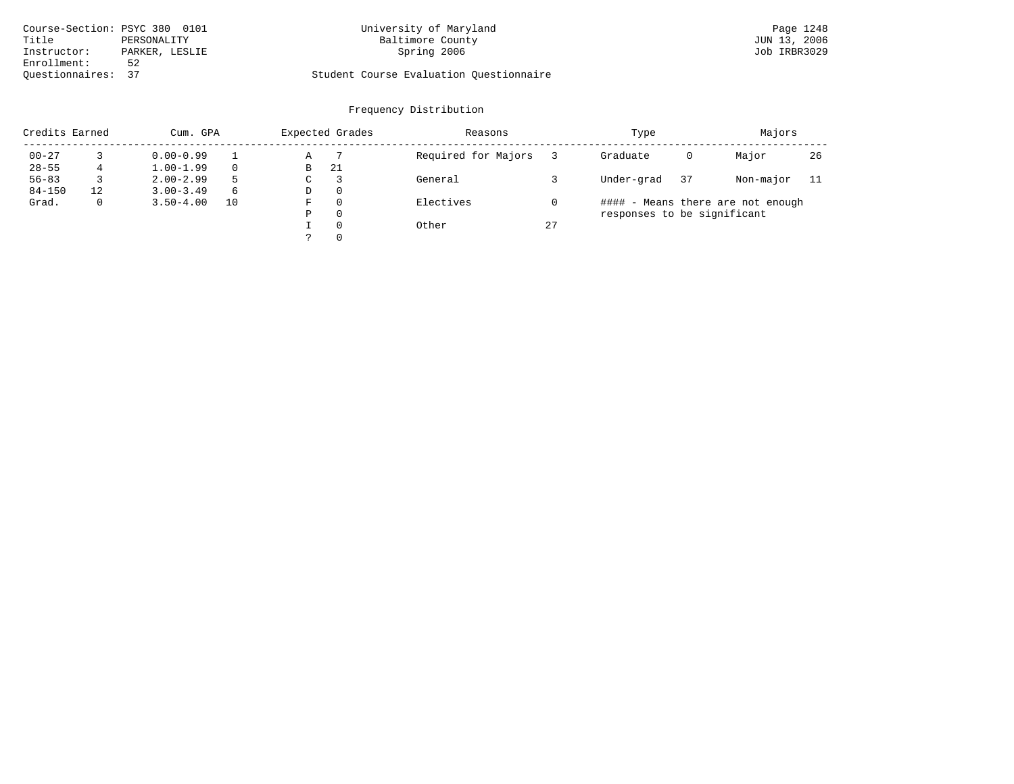| Course-Section: PSYC 380 0101 |                | University of Maryland                  | Page 1248    |
|-------------------------------|----------------|-----------------------------------------|--------------|
| Title                         | PERSONALITY    | Baltimore County                        | JUN 13, 2006 |
| Instructor:                   | PARKER, LESLIE | Spring 2006                             | Job IRBR3029 |
| Enrollment:                   | 52             |                                         |              |
| Ouestionnaires: 37            |                | Student Course Evaluation Questionnaire |              |

| Credits Earned |    | Cum. GPA      |    |             | Expected Grades | Reasons             |    | Type                        |    | Majors                            |     |
|----------------|----|---------------|----|-------------|-----------------|---------------------|----|-----------------------------|----|-----------------------------------|-----|
| $00 - 27$      |    | $0.00 - 0.99$ |    | Α           |                 | Required for Majors |    | Graduate                    | 0  | Major                             | 26  |
| $28 - 55$      |    | $1.00 - 1.99$ |    | B           | 21              |                     |    |                             |    |                                   |     |
| $56 - 83$      |    | $2.00 - 2.99$ | 5  | $\sim$<br>◡ |                 | General             |    | Under-grad                  | 37 | Non-major                         | -11 |
| $84 - 150$     | 12 | $3.00 - 3.49$ | 6  | D           | 0               |                     |    |                             |    |                                   |     |
| Grad.          | 0  | $3.50 - 4.00$ | 10 | F           | 0               | Electives           |    |                             |    | #### - Means there are not enough |     |
|                |    |               |    | Ρ           | 0               |                     |    | responses to be significant |    |                                   |     |
|                |    |               |    |             | $\Omega$        | Other               | 27 |                             |    |                                   |     |
|                |    |               |    | っ           | 0               |                     |    |                             |    |                                   |     |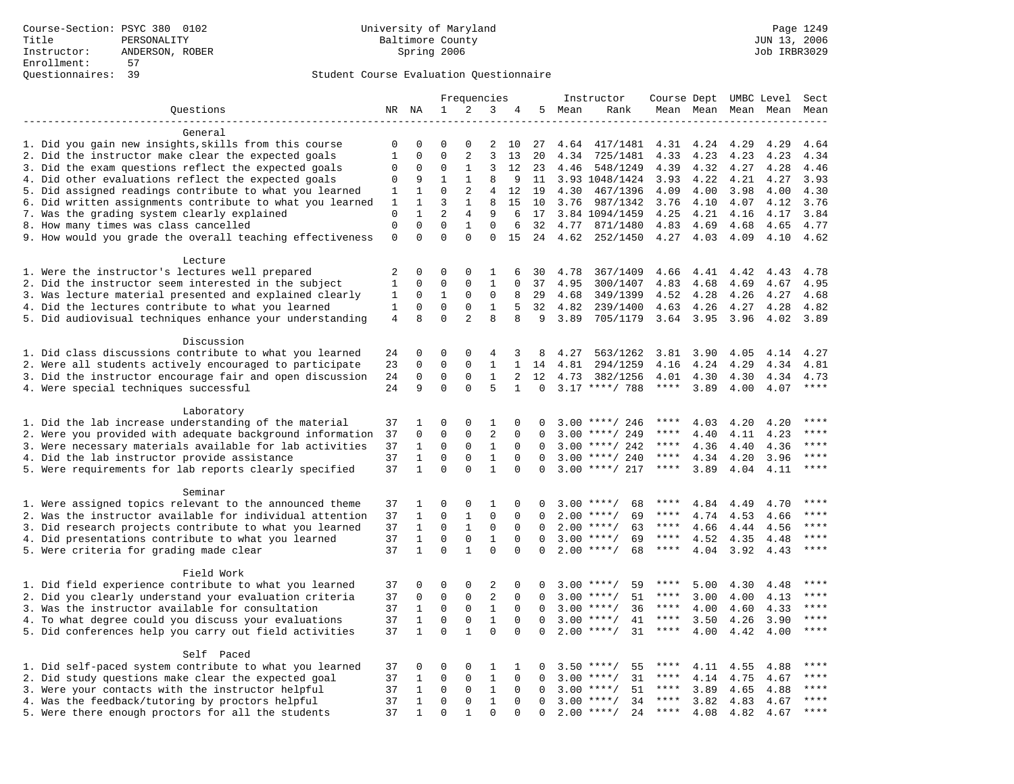|                                                                                                               |                     |              |             | Frequencies         |                   |              |          |      | Instructor           | Course Dept UMBC Level |              |              |                     | Sect                   |
|---------------------------------------------------------------------------------------------------------------|---------------------|--------------|-------------|---------------------|-------------------|--------------|----------|------|----------------------|------------------------|--------------|--------------|---------------------|------------------------|
| Questions                                                                                                     |                     | NR NA        | 1           | 2                   | 3                 | 4            | 5        | Mean | Rank                 |                        |              |              | Mean Mean Mean Mean | Mean                   |
|                                                                                                               |                     |              |             |                     |                   |              |          |      |                      |                        |              |              |                     |                        |
| General                                                                                                       |                     |              |             |                     |                   |              |          |      |                      |                        |              |              |                     |                        |
| 1. Did you gain new insights, skills from this course                                                         | 0                   | 0            | $\mathbf 0$ | 0                   | 2                 | 10           | 27       | 4.64 | 417/1481             | 4.31                   | 4.24         | 4.29         | 4.29                | 4.64                   |
| 2. Did the instructor make clear the expected goals                                                           | $\mathbf{1}$        | $\mathbf 0$  | $\mathbf 0$ | 2                   | 3                 | 13           | 20       | 4.34 | 725/1481             | 4.33                   | 4.23         | 4.23         | 4.23                | 4.34                   |
| 3. Did the exam questions reflect the expected goals                                                          | 0                   | $\mathbf 0$  | 0           | 1                   | 3                 | 12           | 23       | 4.46 | 548/1249             | 4.39                   | 4.32         | 4.27         | 4.28                | 4.46                   |
| 4. Did other evaluations reflect the expected goals                                                           |                     | 9            | 1           | $\mathbf{1}$        | 8                 | 9            | 11       |      | 3.93 1048/1424       | 3.93                   | 4.22         | 4.21         | 4.27                | 3.93                   |
| 5. Did assigned readings contribute to what you learned                                                       | 1                   | 1            | $\mathbf 0$ | 2                   | $\overline{4}$    | 12           | 19       | 4.30 | 467/1396             | 4.09                   | 4.00         | 3.98         | 4.00                | 4.30                   |
| 6. Did written assignments contribute to what you learned                                                     | 1                   | $\mathbf{1}$ | 3           | $\mathbf{1}$        | 8                 | 15           | 10       | 3.76 | 987/1342             | 3.76                   | 4.10         | 4.07         | 4.12                | 3.76                   |
| 7. Was the grading system clearly explained                                                                   | $\mathbf 0$         | $\mathbf{1}$ | 2           | 4                   | 9                 | 6            | 17       |      | 3.84 1094/1459       | 4.25                   | 4.21         | 4.16         | 4.17                | 3.84                   |
| 8. How many times was class cancelled                                                                         | $\mathsf{O}\xspace$ | $\Omega$     | $\Omega$    | $\mathbf{1}$        | $\Omega$          | 6            | 32       | 4.77 | 871/1480             | 4.83                   | 4.69         | 4.68         | 4.65                | 4.77                   |
| 9. How would you grade the overall teaching effectiveness                                                     | $\mathbf 0$         | $\Omega$     | $\Omega$    | $\Omega$            | $\mathbf 0$       | 15           | 24       | 4.62 | 252/1450             | 4.27                   | 4.03         | 4.09         | 4.10                | 4.62                   |
|                                                                                                               |                     |              |             |                     |                   |              |          |      |                      |                        |              |              |                     |                        |
| Lecture                                                                                                       | 2                   | $\Omega$     | $\Omega$    | $\Omega$            |                   | 6            |          | 4.78 |                      | 4.66                   |              | 4.42         |                     |                        |
| 1. Were the instructor's lectures well prepared<br>2. Did the instructor seem interested in the subject       |                     | $\mathbf 0$  | $\mathbf 0$ | $\mathbf 0$         | 1<br>$\mathbf{1}$ | $\Omega$     | 30<br>37 | 4.95 | 367/1409             |                        | 4.41         | 4.69         | 4.43<br>4.67        | 4.78<br>4.95           |
|                                                                                                               | $\mathbf{1}$        | 0            | $1\,$       | $\mathbf 0$         | $\mathbf 0$       | 8            | 29       | 4.68 | 300/1407             | 4.83<br>4.52           | 4.68<br>4.28 |              | 4.27                | 4.68                   |
| 3. Was lecture material presented and explained clearly<br>4. Did the lectures contribute to what you learned | 1<br>$\mathbf{1}$   | $\mathbf 0$  | $\mathbf 0$ | $\mathbf 0$         | $\mathbf{1}$      | 5            | 32       | 4.82 | 349/1399<br>239/1400 | 4.63                   | 4.26         | 4.26         | 4.28                | 4.82                   |
| 5. Did audiovisual techniques enhance your understanding                                                      | 4                   | 8            | $\Omega$    | 2                   | 8                 | 8            | 9        | 3.89 | 705/1179             | 3.64                   | 3.95         | 4.27<br>3.96 | 4.02                | 3.89                   |
|                                                                                                               |                     |              |             |                     |                   |              |          |      |                      |                        |              |              |                     |                        |
| Discussion                                                                                                    |                     |              |             |                     |                   |              |          |      |                      |                        |              |              |                     |                        |
| 1. Did class discussions contribute to what you learned                                                       | 24                  | 0            | 0           | $\mathbf 0$         | 4                 | 3            | 8        | 4.27 | 563/1262             | 3.81                   | 3.90         | 4.05         | 4.14                | 4.27                   |
| 2. Were all students actively encouraged to participate                                                       | 23                  | $\mathbf 0$  | $\mathbf 0$ | $\mathbf 0$         | $\mathbf{1}$      | $\mathbf{1}$ | 14       | 4.81 | 294/1259             | 4.16                   | 4.24         | 4.29         | 4.34                | 4.81                   |
| 3. Did the instructor encourage fair and open discussion                                                      | 24                  | 0            | 0           | 0                   | 1                 | 2            | 12       | 4.73 | 382/1256             | 4.01                   | 4.30         | 4.30         | 4.34                | 4.73                   |
| 4. Were special techniques successful                                                                         | 24                  | 9            | $\Omega$    | $\Omega$            | 5                 | $\mathbf{1}$ | 0        |      | $3.17$ ****/ 788     | ****                   | 3.89         | 4.00         | 4.07                | $***$                  |
|                                                                                                               |                     |              |             |                     |                   |              |          |      |                      |                        |              |              |                     |                        |
| Laboratory                                                                                                    |                     |              |             |                     |                   |              |          |      |                      |                        |              |              |                     |                        |
| 1. Did the lab increase understanding of the material                                                         | 37                  | 1            | 0           | 0                   | 1                 | $\mathbf 0$  | $\cap$   |      | $3.00$ ****/ 246     | ****                   | 4.03         | 4.20         | 4.20                |                        |
| 2. Were you provided with adequate background information                                                     | 37                  | $\mathbf 0$  | $\mathbf 0$ | $\mathbf 0$         | 2                 | 0            | $\Omega$ | 3.00 | ****/ 249            | ****                   | 4.40         | 4.11         | 4.23                | ****                   |
| 3. Were necessary materials available for lab activities                                                      | 37                  | 1            | 0           | 0                   | 1                 | $\Omega$     | $\Omega$ |      | $3.00$ ****/ 242     | ****                   | 4.36         | 4.40         | 4.36                | ****                   |
| 4. Did the lab instructor provide assistance                                                                  | 37                  | $\mathbf{1}$ | $\mathbf 0$ | $\mathbf 0$         | $\mathbf{1}$      | $\Omega$     | $\Omega$ |      | $3.00$ ****/ 240     | ****                   | 4.34         | 4.20         | 3.96                | $***$                  |
| 5. Were requirements for lab reports clearly specified                                                        | 37                  | $\mathbf{1}$ | $\Omega$    | $\Omega$            | $\mathbf{1}$      | $\Omega$     | $\Omega$ |      | $3.00$ ****/ 217     | $***$ * * *            | 3.89         | 4.04         | 4.11                | $* * * *$              |
|                                                                                                               |                     |              |             |                     |                   |              |          |      |                      |                        |              |              |                     |                        |
| Seminar                                                                                                       |                     |              |             |                     |                   |              |          |      |                      |                        |              |              |                     |                        |
| 1. Were assigned topics relevant to the announced theme                                                       | 37                  | 1            | $\mathbf 0$ | 0                   | 1                 | 0            | $\Omega$ |      | $3.00$ ****/<br>68   | ****                   | 4.84         | 4.49         | 4.70                | $***$                  |
| 2. Was the instructor available for individual attention                                                      | 37                  | $\mathbf{1}$ | $\mathbf 0$ | $\mathbf{1}$        | $\mathbf{0}$      | $\mathbf 0$  | $\Omega$ | 2.00 | $***/$<br>69         | ****                   | 4.74         | 4.53         | 4.66                | ****                   |
| 3. Did research projects contribute to what you learned                                                       | 37                  | $\mathbf{1}$ | $\mathbf 0$ | $\mathbf{1}$        | $\mathbf 0$       | $\Omega$     | $\Omega$ |      | $2.00$ ****/<br>63   | $***$ * *              | 4.66         | 4.44         | 4.56                | ****                   |
| 4. Did presentations contribute to what you learned                                                           | 37                  | $\mathbf{1}$ | $\mathbf 0$ | $\mathbf 0$         | $\mathbf{1}$      | $\Omega$     | $\Omega$ | 3.00 | $***$ /<br>69        | $***$ * *              | 4.52         | 4.35         | 4.48                | $***$                  |
| 5. Were criteria for grading made clear                                                                       | 37                  | $\mathbf{1}$ | $\mathbf 0$ | $\mathbf{1}$        | $\mathbf 0$       | $\mathbf 0$  | $\Omega$ |      | $2.00$ ****/<br>68   | $***$ * * *            | 4.04         | 3.92         | 4.43                | ****                   |
|                                                                                                               |                     |              |             |                     |                   |              |          |      |                      |                        |              |              |                     |                        |
| Field Work                                                                                                    |                     |              |             |                     |                   |              |          |      |                      |                        |              |              |                     |                        |
| 1. Did field experience contribute to what you learned                                                        | 37                  | 0            | 0           | 0                   | 2                 | 0            | $\Omega$ |      | $3.00$ ****/<br>59   | ****                   | 5.00         | 4.30         | 4.48                |                        |
| 2. Did you clearly understand your evaluation criteria                                                        | 37                  | $\mathbf 0$  | $\mathbf 0$ | $\mathbf 0$         | 2                 | $\Omega$     | $\Omega$ | 3.00 | $***$ /<br>51        | ****                   | 3.00         | 4.00         | 4.13                | $***$                  |
| 3. Was the instructor available for consultation                                                              | 37                  | $\mathbf{1}$ | $\mathbf 0$ | $\mathbf 0$         | $\mathbf{1}$      | 0            | $\Omega$ |      | $3.00$ ****/<br>36   | $***$ * *              | 4.00         | 4.60         | 4.33                | $***$                  |
| 4. To what degree could you discuss your evaluations                                                          | 37                  | $\mathbf{1}$ | $\mathsf 0$ | $\mathsf{O}\xspace$ | $\,1\,$           | $\mathbf 0$  | 0        |      | $3.00$ ****/<br>41   | $\star\star\star\star$ | 3.50         | 4.26         | 3.90                | $\star\star\star\star$ |
| 5. Did conferences help you carry out field activities                                                        | 37                  | $\mathbf{1}$ | $\mathbf 0$ | $\mathbf{1}$        | $\Omega$          | $\Omega$     | $\Omega$ |      | 31<br>$2.00$ ****/   | $***$ * * *            | 4.00         | 4.42         | 4.00                | $***$                  |
| Self Paced                                                                                                    |                     |              |             |                     |                   |              |          |      |                      |                        |              |              |                     |                        |
| 1. Did self-paced system contribute to what you learned                                                       | 37                  | 0            | 0           | 0                   | 1                 | 1            | $\Omega$ | 3.50 | 55<br>$***$ /        | ****                   | 4.11         | 4.55         | 4.88                | $***$ * * *            |
| 2. Did study questions make clear the expected goal                                                           | 37                  | $\mathbf{1}$ | $\mathbf 0$ | $\mathbf 0$         | $\mathbf{1}$      | $\mathbf 0$  | $\Omega$ | 3.00 | $***$ /<br>31        | $***$ * *              | 4.14         | 4.75         | 4.67                | $***$ * * *            |
| 3. Were your contacts with the instructor helpful                                                             | 37                  | $\mathbf{1}$ | $\mathbf 0$ | $\mathbf 0$         | $\mathbf{1}$      | $\mathbf 0$  | $\Omega$ | 3.00 | $***/$<br>51         | ****                   | 3.89         | 4.65         | 4.88                | ****                   |
| 4. Was the feedback/tutoring by proctors helpful                                                              | 37                  | 1            | $\mathbf 0$ | $\mathbf 0$         | $\mathbf{1}$      | $\mathbf 0$  | $\Omega$ | 3.00 | $***/$<br>34         | ****                   | 3.82         | 4.83         | 4.67                | ****                   |
| 5. Were there enough proctors for all the students                                                            | 37                  | $\mathbf{1}$ | $\mathbf 0$ | 1                   | $\mathbf 0$       | $\Omega$     | $\Omega$ |      | $2.00$ ****/<br>24   | $***$ * * *            | 4.08         | 4.82         | 4.67                | ****                   |
|                                                                                                               |                     |              |             |                     |                   |              |          |      |                      |                        |              |              |                     |                        |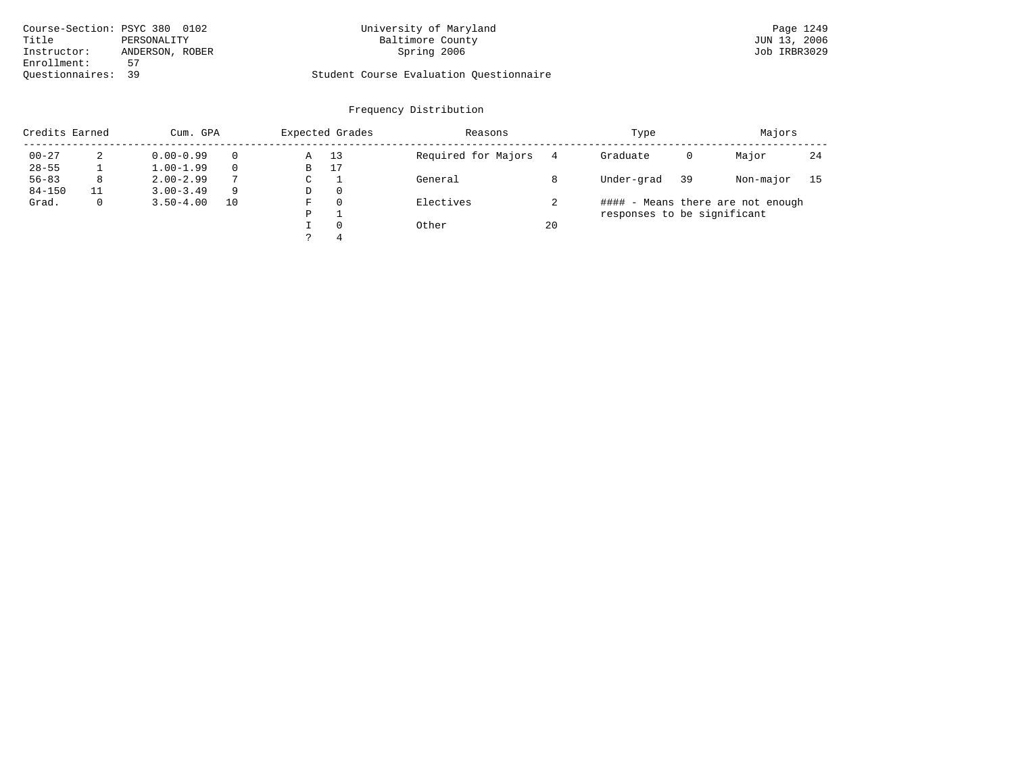| Course-Section: PSYC 380 0102  | University of Maryland                  | Page 1249    |
|--------------------------------|-----------------------------------------|--------------|
| Title<br>PERSONALITY           | Baltimore County                        | JUN 13, 2006 |
| ANDERSON, ROBER<br>Instructor: | Spring 2006                             | Job IRBR3029 |
| Enrollment:<br>57              |                                         |              |
| Ouestionnaires: 39             | Student Course Evaluation Ouestionnaire |              |

| Credits Earned |    | Cum. GPA      |    |             | Expected Grades | Reasons             |    | Type                        |    | Majors                            |     |
|----------------|----|---------------|----|-------------|-----------------|---------------------|----|-----------------------------|----|-----------------------------------|-----|
| $00 - 27$      | 2  | $0.00 - 0.99$ |    | Α           | 13              | Required for Majors | 4  | Graduate                    | 0  | Major                             | -24 |
| $28 - 55$      |    | $1.00 - 1.99$ |    | B           | 17              |                     |    |                             |    |                                   |     |
| $56 - 83$      | 8  | $2.00 - 2.99$ | 7  | $\sim$<br>◡ |                 | General             |    | Under-grad                  | 39 | Non-major                         | 15  |
| $84 - 150$     | 11 | $3.00 - 3.49$ | 9  | D           | 0               |                     |    |                             |    |                                   |     |
| Grad.          | 0  | $3.50 - 4.00$ | 10 | F           | 0               | Electives           |    |                             |    | #### - Means there are not enough |     |
|                |    |               |    | P           |                 |                     |    | responses to be significant |    |                                   |     |
|                |    |               |    |             | $\Omega$        | Other               | 20 |                             |    |                                   |     |
|                |    |               |    |             | 4               |                     |    |                             |    |                                   |     |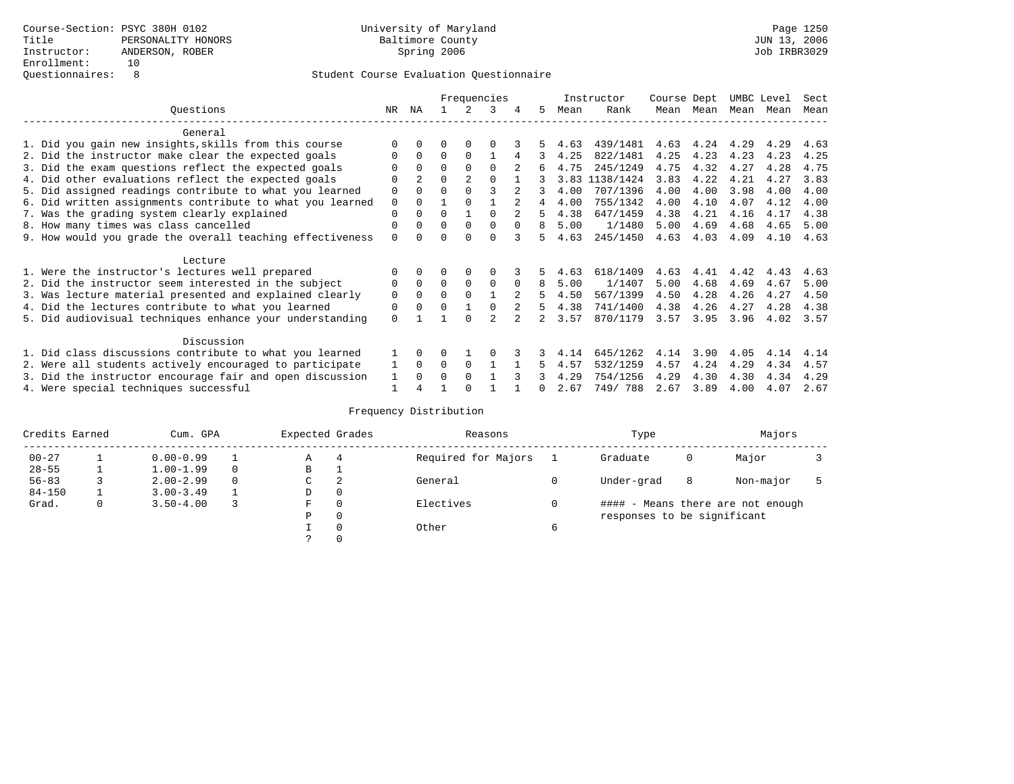|                                                           |             |              |          |          | Frequencies |          |    |      | Instructor | Course Dept |      | UMBC Level |      | Sect |
|-----------------------------------------------------------|-------------|--------------|----------|----------|-------------|----------|----|------|------------|-------------|------|------------|------|------|
| Ouestions                                                 | NR.         | ΝA           |          |          | 3           |          | 5. | Mean | Rank       | Mean        | Mean | Mean       | Mean | Mean |
| General                                                   |             |              |          |          |             |          |    |      |            |             |      |            |      |      |
| 1. Did you gain new insights, skills from this course     | ∩           |              | O        | $\Omega$ | ∩           |          |    | 4.63 | 439/1481   | 4.63        | 4.24 | 4.29       | 4.29 | 4.63 |
| 2. Did the instructor make clear the expected goals       | $\Omega$    | $\Omega$     | $\Omega$ | $\Omega$ |             | 4        | 3  | 4.25 | 822/1481   | 4.25        | 4.23 | 4.23       | 4.23 | 4.25 |
| 3. Did the exam questions reflect the expected goals      |             |              | $\Omega$ | $\Omega$ | $\Omega$    |          | 6  | 4.75 | 245/1249   | 4.75        | 4.32 | 4.27       | 4.28 | 4.75 |
| 4. Did other evaluations reflect the expected goals       | $\Omega$    |              | $\Omega$ |          | $\Omega$    |          |    | 3.83 | 1138/1424  | 3.83        | 4.22 | 4.21       | 4.27 | 3.83 |
| 5. Did assigned readings contribute to what you learned   | 0           |              | $\Omega$ |          |             |          | 3  | 4.00 | 707/1396   | 4.00        | 4.00 | 3.98       | 4.00 | 4.00 |
| 6. Did written assignments contribute to what you learned | $\mathbf 0$ |              |          |          |             |          | 4  | 4.00 | 755/1342   | 4.00        | 4.10 | 4.07       | 4.12 | 4.00 |
| 7. Was the grading system clearly explained               | $\Omega$    |              | $\Omega$ |          | $\cap$      |          | 5  | 4.38 | 647/1459   | 4.38        | 4.21 | 4.16       | 4.17 | 4.38 |
| 8. How many times was class cancelled                     | $\Omega$    | <sup>0</sup> | $\Omega$ | $\Omega$ | $\Omega$    | $\Omega$ | 8  | 5.00 | 1/1480     | 5.00        | 4.69 | 4.68       | 4.65 | 5.00 |
| 9. How would you grade the overall teaching effectiveness | $\Omega$    |              | U        | ∩        | $\cap$      | २        | 5. | 4.63 | 245/1450   | 4.63        | 4.03 | 4.09       | 4.10 | 4.63 |
| Lecture                                                   |             |              |          |          |             |          |    |      |            |             |      |            |      |      |
| 1. Were the instructor's lectures well prepared           |             |              |          |          |             |          |    | 4.63 | 618/1409   | 4.63        | 4.41 | 4.42       | 4.43 | 4.63 |
| 2. Did the instructor seem interested in the subject      | 0           | $\Omega$     | $\Omega$ | 0        | $\mathbf 0$ | $\Omega$ | 8  | 5.00 | 1/1407     | 5.00        | 4.68 | 4.69       | 4.67 | 5.00 |
| 3. Was lecture material presented and explained clearly   | $\mathbf 0$ | $\Omega$     | $\Omega$ |          |             |          | 5  | 4.50 | 567/1399   | 4.50        | 4.28 | 4.26       | 4.27 | 4.50 |
| 4. Did the lectures contribute to what you learned        | 0           |              | $\Omega$ |          |             |          | 5. | 4.38 | 741/1400   | 4.38        | 4.26 | 4.27       | 4.28 | 4.38 |
| 5. Did audiovisual techniques enhance your understanding  | $\Omega$    |              |          |          |             |          |    | 3.57 | 870/1179   | 3.57        | 3.95 | 3.96       | 4.02 | 3.57 |
|                                                           |             |              |          |          |             |          |    |      |            |             |      |            |      |      |
| Discussion                                                |             | 0            |          |          |             |          |    |      |            |             |      |            |      |      |
| 1. Did class discussions contribute to what you learned   |             |              | U        |          |             |          |    | 4.14 | 645/1262   | 4.14        | 3.90 | 4.05       | 4.14 | 4.14 |
| 2. Were all students actively encouraged to participate   |             |              | $\Omega$ | $\Omega$ |             |          | 5  | 4.57 | 532/1259   | 4.57        | 4.24 | 4.29       | 4.34 | 4.57 |
| 3. Did the instructor encourage fair and open discussion  |             |              | O        | $\Omega$ |             |          |    | 4.29 | 754/1256   | 4.29        | 4.30 | 4.30       | 4.34 | 4.29 |
| 4. Were special techniques successful                     |             |              |          |          |             |          | 0  | 2.67 | 749/788    | 2.67        | 3.89 | 4.00       | 4.07 | 2.67 |

| Credits Earned |   | Cum. GPA      | Expected Grades |   | Reasons  |                     | Type |                             | Majors |                                   |  |
|----------------|---|---------------|-----------------|---|----------|---------------------|------|-----------------------------|--------|-----------------------------------|--|
| $00 - 27$      |   | $0.00 - 0.99$ |                 | А | 4        | Required for Majors |      | Graduate                    | 0      | Major                             |  |
| $28 - 55$      | ᅩ | $1.00 - 1.99$ |                 | В | ÷        |                     |      |                             |        |                                   |  |
| $56 - 83$      |   | $2.00 - 2.99$ |                 | C | 2        | General             |      | Under-grad                  | 8      | Non-major                         |  |
| $84 - 150$     |   | $3.00 - 3.49$ |                 | D | 0        |                     |      |                             |        |                                   |  |
| Grad.          | 0 | $3.50 - 4.00$ |                 | F | 0        | Electives           | 0    |                             |        | #### - Means there are not enough |  |
|                |   |               |                 | Ρ | 0        |                     |      | responses to be significant |        |                                   |  |
|                |   |               |                 |   | $\Omega$ | Other               | 6    |                             |        |                                   |  |
|                |   |               |                 |   |          |                     |      |                             |        |                                   |  |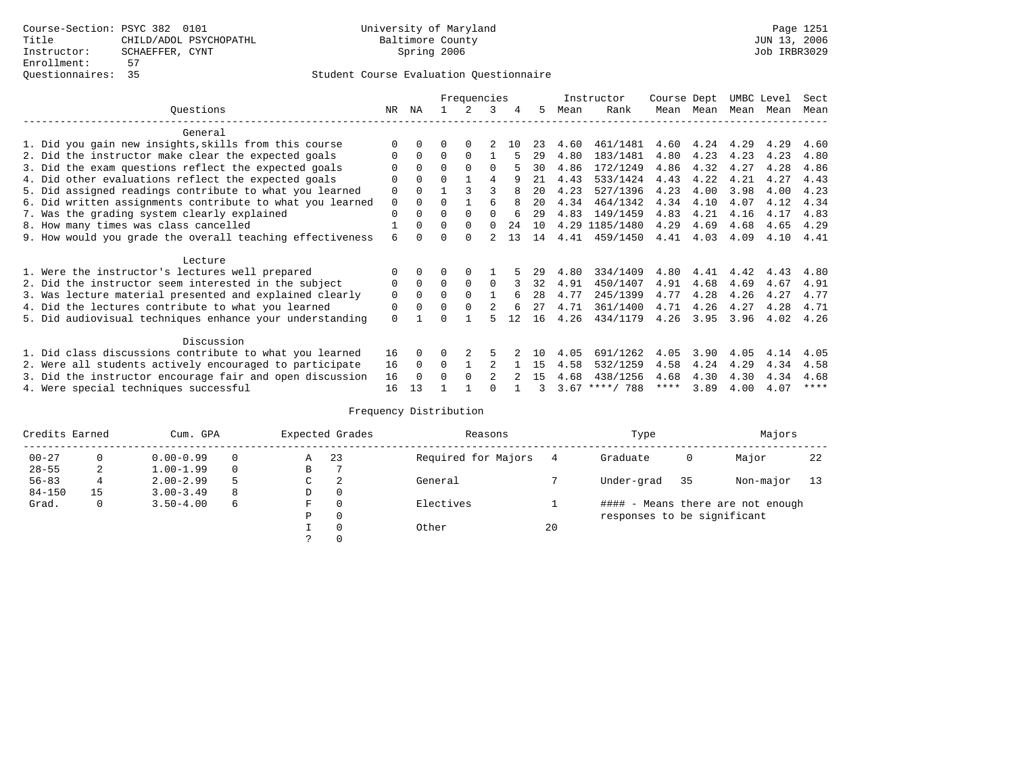|                                                          |                                                           |          |          |          | Frequencies |                |     |                   |      | Instructor       | Course Dept |      | UMBC Level |      | Sect      |
|----------------------------------------------------------|-----------------------------------------------------------|----------|----------|----------|-------------|----------------|-----|-------------------|------|------------------|-------------|------|------------|------|-----------|
|                                                          | Ouestions                                                 | NR.      | ΝA       |          |             | 3              | 4   | 5.                | Mean | Rank             | Mean        | Mean | Mean       | Mean | Mean      |
|                                                          | General                                                   |          |          |          |             |                |     |                   |      |                  |             |      |            |      |           |
|                                                          | 1. Did you gain new insights, skills from this course     | $\Omega$ | $\Omega$ | 0        | $\Omega$    |                | 1 N | 23                | 4.60 | 461/1481         | 4.60        | 4.24 | 4.29       | 4.29 | 4.60      |
|                                                          | 2. Did the instructor make clear the expected goals       | O        | $\Omega$ | $\Omega$ | $\Omega$    |                |     | 29                | 4.80 | 183/1481         | 4.80        | 4.23 | 4.23       | 4.23 | 4.80      |
|                                                          | 3. Did the exam questions reflect the expected goals      |          | $\Omega$ | 0        | $\Omega$    | $\Omega$       |     | 30                | 4.86 | 172/1249         | 4.86        | 4.32 | 4.27       | 4.28 | 4.86      |
|                                                          | 4. Did other evaluations reflect the expected goals       | $\Omega$ | $\Omega$ | O        |             | 4              | q   | 21                | 4.43 | 533/1424         | 4.43        | 4.22 | 4.21       | 4.27 | 4.43      |
|                                                          | 5. Did assigned readings contribute to what you learned   | 0        | $\Omega$ |          | ς           |                | 8   | 20                | 4.23 | 527/1396         | 4.23        | 4.00 | 3.98       | 4.00 | 4.23      |
|                                                          | 6. Did written assignments contribute to what you learned | 0        | $\Omega$ | O        |             | 6              | 8   | $20 \overline{0}$ | 4.34 | 464/1342         | 4.34        | 4.10 | 4.07       | 4.12 | 4.34      |
|                                                          | 7. Was the grading system clearly explained               | $\Omega$ | $\Omega$ | U        | $\Omega$    |                | 6   | 29                | 4.83 | 149/1459         | 4.83        | 4.21 | 4.16       | 4.17 | 4.83      |
|                                                          | 8. How many times was class cancelled                     |          | $\Omega$ | $\Omega$ | $\Omega$    | 0              | 24  | 10                |      | 4.29 1185/1480   | 4.29        | 4.69 | 4.68       | 4.65 | 4.29      |
|                                                          | 9. How would you grade the overall teaching effectiveness | 6        |          | U        | $\Omega$    | $\mathfrak{D}$ | 13  | 14                | 4.41 | 459/1450         | 4.41        | 4.03 | 4.09       | 4.10 | 4.41      |
|                                                          |                                                           |          |          |          |             |                |     |                   |      |                  |             |      |            |      |           |
|                                                          | Lecture                                                   |          |          |          |             |                |     |                   |      |                  |             |      |            |      |           |
|                                                          | 1. Were the instructor's lectures well prepared           | 0        |          |          |             |                |     | 29                | 4.80 | 334/1409         | 4.80        | 4.41 | 4.42       | 4.43 | 4.80      |
|                                                          | 2. Did the instructor seem interested in the subject      | 0        | $\Omega$ | $\Omega$ | $\Omega$    | $\Omega$       |     | 32                | 4.91 | 450/1407         | 4.91        | 4.68 | 4.69       | 4.67 | 4.91      |
|                                                          | 3. Was lecture material presented and explained clearly   | 0        | $\Omega$ | U        | $\Omega$    |                | 6   | 28                | 4.77 | 245/1399         | 4.77        | 4.28 | 4.26       | 4.27 | 4.77      |
|                                                          | 4. Did the lectures contribute to what you learned        | 0        | $\Omega$ | $\Omega$ | $\Omega$    |                | 6   | 27                | 4.71 | 361/1400         | 4.71        | 4.26 | 4.27       | 4.28 | 4.71      |
|                                                          | 5. Did audiovisual techniques enhance your understanding  | $\Omega$ |          |          |             |                | 12  | 16                | 4.26 | 434/1179         | 4.26        | 3.95 | 3.96       | 4.02 | 4.26      |
|                                                          |                                                           |          |          |          |             |                |     |                   |      |                  |             |      |            |      |           |
|                                                          | Discussion                                                |          |          |          |             |                |     |                   |      |                  |             |      |            |      |           |
|                                                          | 1. Did class discussions contribute to what you learned   | 16       | $\Omega$ |          |             |                |     | 1 N               | 4.05 | 691/1262         | 4.05        | 3.90 | 4.05       | 4.14 | 4.05      |
|                                                          | 2. Were all students actively encouraged to participate   | 16       | $\Omega$ | $\Omega$ |             |                |     | 15                | 4.58 | 532/1259         | 4.58        | 4.24 | 4.29       | 4.34 | 4.58      |
| 3. Did the instructor encourage fair and open discussion |                                                           |          |          | U        | $\Omega$    |                |     | 15                | 4.68 | 438/1256         | 4.68        | 4.30 | 4.30       | 4.34 | 4.68      |
|                                                          | 4. Were special techniques successful                     | 16       | 13       |          |             |                |     |                   |      | $3.67$ ****/ 788 | $***$ * * * | 3.89 | 4.00       | 4.07 | $***$ * * |

| Credits Earned |          | Cum. GPA      |   |               | Expected Grades | Reasons             |    | Type                        |    | Majors                            |    |
|----------------|----------|---------------|---|---------------|-----------------|---------------------|----|-----------------------------|----|-----------------------------------|----|
| $00 - 27$      | $\Omega$ | $0.00 - 0.99$ |   | Α             | 23              | Required for Majors |    | Graduate                    | 0  | Major                             | 22 |
| $28 - 55$      | 2        | $1.00 - 1.99$ |   | В             |                 |                     |    |                             |    |                                   |    |
| $56 - 83$      | 4        | $2.00 - 2.99$ | 5 | $\sim$<br>◡   | 2               | General             |    | Under-grad                  | 35 | Non-major                         | 13 |
| $84 - 150$     | 15       | $3.00 - 3.49$ | 8 | D             | 0               |                     |    |                             |    |                                   |    |
| Grad.          | 0        | $3.50 - 4.00$ | 6 | F             | 0               | Electives           |    |                             |    | #### - Means there are not enough |    |
|                |          |               |   | Ρ             | 0               |                     |    | responses to be significant |    |                                   |    |
|                |          |               |   |               | 0               | Other               | 20 |                             |    |                                   |    |
|                |          |               |   | $\mathcal{L}$ |                 |                     |    |                             |    |                                   |    |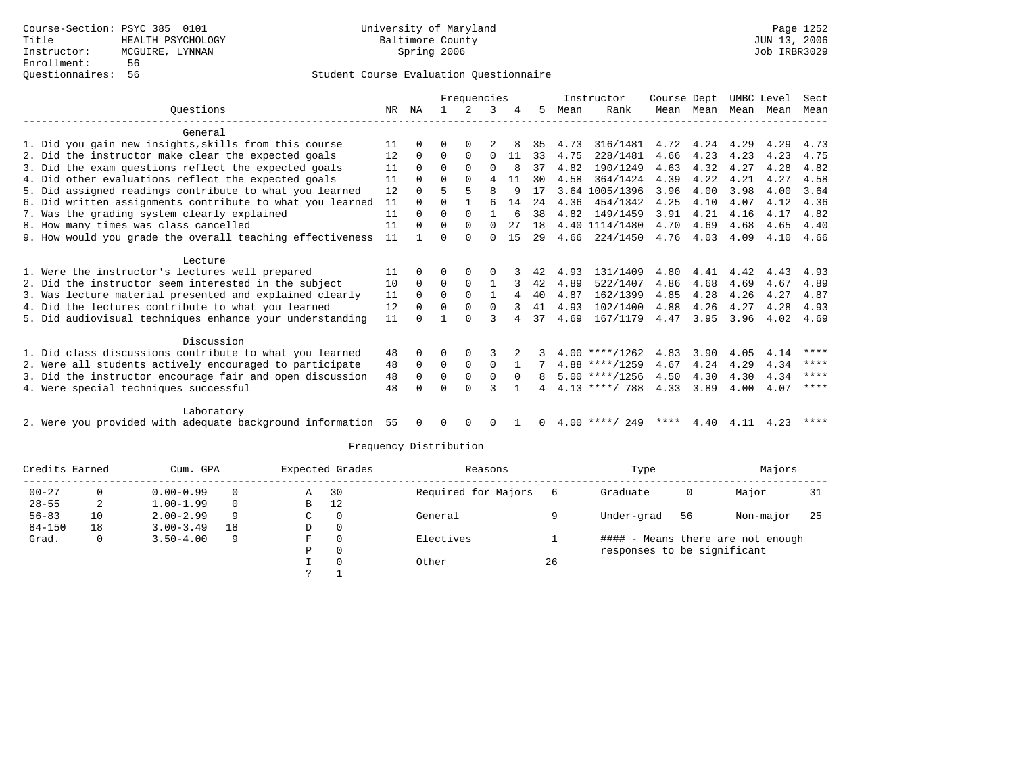|                                                              |          |              |              | Frequencies |              |              |          |      | Instructor       | Course Dept |           |      | UMBC Level | Sect        |
|--------------------------------------------------------------|----------|--------------|--------------|-------------|--------------|--------------|----------|------|------------------|-------------|-----------|------|------------|-------------|
| Ouestions                                                    | NR       | ΝA           |              |             | 3            | 4            | 5        | Mean | Rank             |             | Mean Mean | Mean | Mean       | Mean        |
| General                                                      |          |              |              |             |              |              |          |      |                  |             |           |      |            |             |
| 1. Did you gain new insights, skills from this course        | 11       |              | 0            | 0           |              |              | 35       | 4.73 | 316/1481         | 4.72        | 4.24      | 4.29 | 4.29       | 4.73        |
| 2. Did the instructor make clear the expected goals          | 12       | $\Omega$     | 0            | $\Omega$    | $\Omega$     | 11           | 33       | 4.75 | 228/1481         | 4.66        | 4.23      | 4.23 | 4.23       | 4.75        |
| 3. Did the exam questions reflect the expected goals         | 11       | $\Omega$     | 0            | $\Omega$    | $\Omega$     | 8            | 37       | 4.82 | 190/1249         | 4.63        | 4.32      | 4.27 | 4.28       | 4.82        |
| 4. Did other evaluations reflect the expected goals          | 11       | 0            | <sup>0</sup> | $\Omega$    | 4            | 11           | 30       | 4.58 | 364/1424         | 4.39        | 4.22      | 4.21 | 4.27       | 4.58        |
| 5. Did assigned readings contribute to what you learned      | 12       |              | 5            | 5           | 8            | 9            | 17       |      | 3.64 1005/1396   | 3.96        | 4.00      | 3.98 | 4.00       | 3.64        |
| 6. Did written assignments contribute to what you learned    | 11       |              | U            |             | 6            | 14           | 24       | 4.36 | 454/1342         | 4.25        | 4.10      | 4.07 | 4.12       | 4.36        |
| 7. Was the grading system clearly explained                  | 11       | <sup>0</sup> | 0            | $\Omega$    |              |              | 38       | 4.82 | 149/1459         | 3.91        | 4.21      | 4.16 | 4.17       | 4.82        |
| 8. How many times was class cancelled                        | 11       | $\Omega$     | 0            | 0           | $\Omega$     | 27           | 18       |      | 4.40 1114/1480   | 4.70        | 4.69      | 4.68 | 4.65       | 4.40        |
| 9. How would you grade the overall teaching effectiveness    | 11       |              | U            | $\Omega$    | 0            | 15           | 29       | 4.66 | 224/1450         | 4.76        | 4.03      | 4.09 | 4.10       | 4.66        |
| Lecture                                                      |          |              |              |             |              |              |          |      |                  |             |           |      |            |             |
| 1. Were the instructor's lectures well prepared              | 11       | 0            | 0            | $\Omega$    | O            |              | 42       | 4.93 | 131/1409         | 4.80        | 4.41      | 4.42 | 4.43       | 4.93        |
| 2. Did the instructor seem interested in the subject         | 10       | $\Omega$     | 0            | $\Omega$    | -1           | 3            | 42       | 4.89 | 522/1407         | 4.86        | 4.68      | 4.69 | 4.67       | 4.89        |
| 3. Was lecture material presented and explained clearly      | 11       | $\Omega$     | $\Omega$     | $\Omega$    | $\mathbf{1}$ | 4            | 40       | 4.87 | 162/1399         | 4.85        | 4.28      | 4.26 | 4.27       | 4.87        |
| 4. Did the lectures contribute to what you learned           | 12       | $\Omega$     | U            | 0           | $\Omega$     |              | 41       | 4.93 | 102/1400         | 4.88        | 4.26      | 4.27 | 4.28       | 4.93        |
| 5. Did audiovisual techniques enhance your understanding     | 11       |              |              | $\cap$      | ς            | 4            | 37       | 4.69 | 167/1179         | 4.47        | 3.95      | 3.96 | 4.02       | 4.69        |
| Discussion                                                   |          |              |              |             |              |              |          |      |                  |             |           |      |            |             |
| 1. Did class discussions contribute to what you learned      | 48       | $\Omega$     | 0            | $\Omega$    | 3            |              |          |      | $4.00$ ****/1262 | 4.83        | 3.90      | 4.05 | 4.14       | $***$ * * * |
| 2. Were all students actively encouraged to participate      | 48       | $\Omega$     | 0            | 0           | 0            | $\mathbf{1}$ |          |      | $4.88$ ****/1259 | 4.67        | 4.24      | 4.29 | 4.34       | ****        |
| 3. Did the instructor encourage fair and open discussion     |          |              | 0            | 0           | 0            | $\Omega$     | 8        |      | $5.00$ ****/1256 | 4.50        | 4.30      | 4.30 | 4.34       | ****        |
| 4. Were special techniques successful                        | 48<br>48 |              |              | U           | 3            |              |          |      | $4.13$ ****/ 788 | 4.33        | 3.89      | 4.00 | 4.07       | ****        |
| Laboratory                                                   |          |              |              |             |              |              |          |      |                  |             |           |      |            |             |
| 2. Were you provided with adequate background information 55 |          | $\Omega$     | 0            | $\Omega$    | $\Omega$     |              | $\Omega$ |      | $4.00$ ****/ 249 | * * * *     | 4.40      | 4.11 | 4.23       | ****        |

| Credits Earned |    | Cum. GPA      |          |   | Expected Grades | Reasons             |    | Type                        |    | Majors                            |     |
|----------------|----|---------------|----------|---|-----------------|---------------------|----|-----------------------------|----|-----------------------------------|-----|
| $00 - 27$      |    | $0.00 - 0.99$ | $\Omega$ | A | 30              | Required for Majors |    | Graduate                    | 0  | Major                             | 31  |
| $28 - 55$      | 2  | $1.00 - 1.99$ |          | B | 12              |                     |    |                             |    |                                   |     |
| $56 - 83$      | 10 | $2.00 - 2.99$ | 9        | C | 0               | General             |    | Under-grad                  | 56 | Non-major                         | -25 |
| $84 - 150$     | 18 | $3.00 - 3.49$ | 18       | D | 0               |                     |    |                             |    |                                   |     |
| Grad.          |    | $3.50 - 4.00$ | 9        | F | $\Omega$        | Electives           |    |                             |    | #### - Means there are not enough |     |
|                |    |               |          | Р | 0               |                     |    | responses to be significant |    |                                   |     |
|                |    |               |          |   | 0               | Other               | 26 |                             |    |                                   |     |
|                |    |               |          |   |                 |                     |    |                             |    |                                   |     |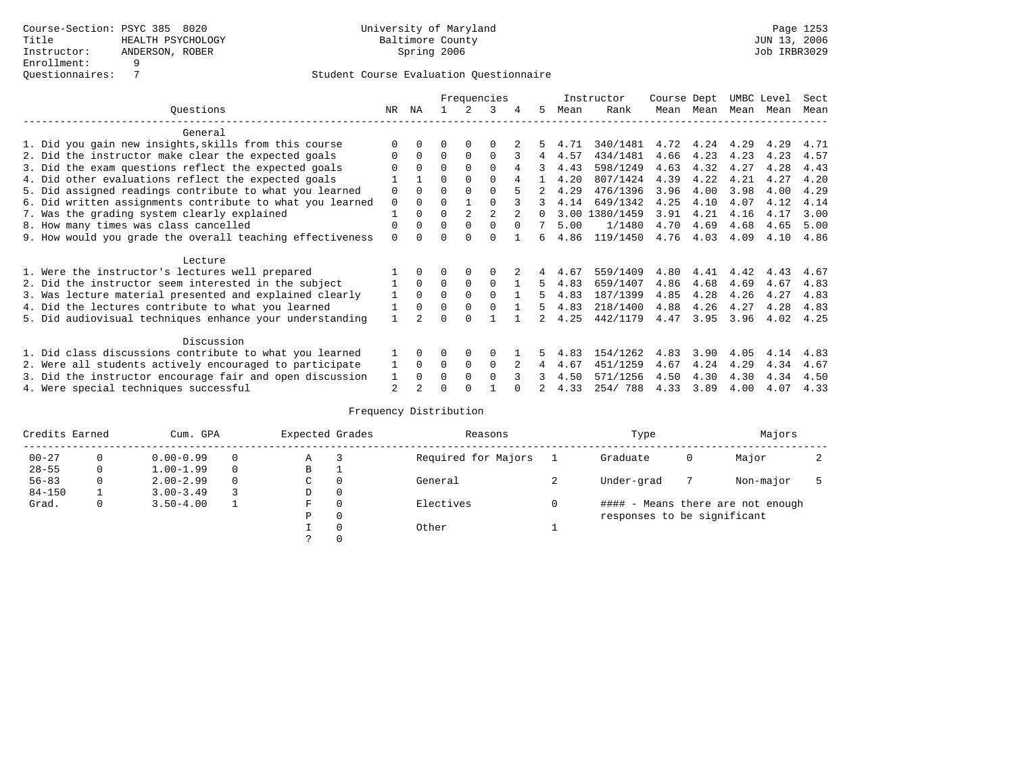|                                                           | Frequencies    |          |          | Instructor | Course Dept |          | UMBC Level |      | Sect      |      |      |      |      |      |
|-----------------------------------------------------------|----------------|----------|----------|------------|-------------|----------|------------|------|-----------|------|------|------|------|------|
| Ouestions                                                 | NR.            | ΝA       |          |            | 3           |          | 5.         | Mean | Rank      | Mean | Mean | Mean | Mean | Mean |
| General                                                   |                |          |          |            |             |          |            |      |           |      |      |      |      |      |
| 1. Did you gain new insights, skills from this course     | ∩              |          | O        | $\Omega$   | $\Omega$    |          |            | 4.71 | 340/1481  | 4.72 | 4.24 | 4.29 | 4.29 | 4.71 |
| 2. Did the instructor make clear the expected goals       | $\Omega$       | $\Omega$ | $\Omega$ | $\Omega$   | $\Omega$    |          | 4          | 4.57 | 434/1481  | 4.66 | 4.23 | 4.23 | 4.23 | 4.57 |
| 3. Did the exam questions reflect the expected goals      |                |          | $\Omega$ | $\Omega$   | $\Omega$    | 4        | 3          | 4.43 | 598/1249  | 4.63 | 4.32 | 4.27 | 4.28 | 4.43 |
| 4. Did other evaluations reflect the expected goals       |                |          | $\Omega$ | $\Omega$   | $\Omega$    |          |            | 4.20 | 807/1424  | 4.39 | 4.22 | 4.21 | 4.27 | 4.20 |
| 5. Did assigned readings contribute to what you learned   | $\Omega$       |          |          |            | $\Omega$    |          |            | 4.29 | 476/1396  | 3.96 | 4.00 | 3.98 | 4.00 | 4.29 |
| 6. Did written assignments contribute to what you learned | $\mathbf 0$    |          | $\Omega$ |            |             |          | 3          | 4.14 | 649/1342  | 4.25 | 4.10 | 4.07 | 4.12 | 4.14 |
| 7. Was the grading system clearly explained               |                |          | $\Omega$ |            |             |          |            | 3.00 | 1380/1459 | 3.91 | 4.21 | 4.16 | 4.17 | 3.00 |
| 8. How many times was class cancelled                     | $\Omega$       | 0        | $\Omega$ | $\Omega$   | $\Omega$    | $\Omega$ |            | 5.00 | 1/1480    | 4.70 | 4.69 | 4.68 | 4.65 | 5.00 |
| 9. How would you grade the overall teaching effectiveness | $\Omega$       |          | U        | ∩          | $\cap$      |          | б.         | 4.86 | 119/1450  | 4.76 | 4.03 | 4.09 | 4.10 | 4.86 |
| Lecture                                                   |                |          |          |            |             |          |            |      |           |      |      |      |      |      |
| 1. Were the instructor's lectures well prepared           |                |          |          |            | $\Omega$    |          |            | 4.67 | 559/1409  | 4.80 | 4.41 | 4.42 | 4.43 | 4.67 |
| 2. Did the instructor seem interested in the subject      |                | $\Omega$ | $\Omega$ | 0          | $\Omega$    |          | 5.         | 4.83 | 659/1407  | 4.86 | 4.68 | 4.69 | 4.67 | 4.83 |
| 3. Was lecture material presented and explained clearly   |                | $\Omega$ | $\Omega$ |            | $\Omega$    |          | 5          | 4.83 | 187/1399  | 4.85 | 4.28 | 4.26 | 4.27 | 4.83 |
| 4. Did the lectures contribute to what you learned        |                | $\Omega$ | $\Omega$ | $\Omega$   | $\Omega$    |          | 5          | 4.83 | 218/1400  | 4.88 | 4.26 | 4.27 | 4.28 | 4.83 |
| 5. Did audiovisual techniques enhance your understanding  |                |          | ∩        |            |             |          |            | 4.25 | 442/1179  | 4.47 | 3.95 | 3.96 | 4.02 | 4.25 |
|                                                           |                |          |          |            |             |          |            |      |           |      |      |      |      |      |
| Discussion                                                |                |          |          |            |             |          |            |      |           |      |      |      |      |      |
| 1. Did class discussions contribute to what you learned   |                | 0        | O        | $\Omega$   | $\Omega$    |          |            | 4.83 | 154/1262  | 4.83 | 3.90 | 4.05 | 4.14 | 4.83 |
| 2. Were all students actively encouraged to participate   |                | $\Omega$ | $\Omega$ | 0          | $\Omega$    |          | 4          | 4.67 | 451/1259  | 4.67 | 4.24 | 4.29 | 4.34 | 4.67 |
| 3. Did the instructor encourage fair and open discussion  |                |          | O        | $\Omega$   | $\Omega$    |          |            | 4.50 | 571/1256  | 4.50 | 4.30 | 4.30 | 4.34 | 4.50 |
| 4. Were special techniques successful                     | $\overline{2}$ |          |          |            |             |          |            | 4.33 | 254/788   | 4.33 | 3.89 | 4.00 | 4.07 | 4.33 |

| Credits Earned |   | Cum. GPA      |          | Expected Grades |          | Reasons             | Type                        |   | Majors                            |  |
|----------------|---|---------------|----------|-----------------|----------|---------------------|-----------------------------|---|-----------------------------------|--|
| $00 - 27$      |   | $0.00 - 0.99$ | $\Omega$ | Α               |          | Required for Majors | Graduate                    | Ü | Major                             |  |
| $28 - 55$      | 0 | $1.00 - 1.99$ | $\Omega$ | В               | ᅩ        |                     |                             |   |                                   |  |
| $56 - 83$      |   | $2.00 - 2.99$ | $\Omega$ | С               | 0        | General             | Under-grad                  |   | Non-major                         |  |
| $84 - 150$     |   | $3.00 - 3.49$ | 3        | D               | 0        |                     |                             |   |                                   |  |
| Grad.          | 0 | $3.50 - 4.00$ |          | F               | 0        | Electives           |                             |   | #### - Means there are not enough |  |
|                |   |               |          | Ρ               | $\circ$  |                     | responses to be significant |   |                                   |  |
|                |   |               |          |                 | $\Omega$ | Other               |                             |   |                                   |  |
|                |   |               |          |                 | 0        |                     |                             |   |                                   |  |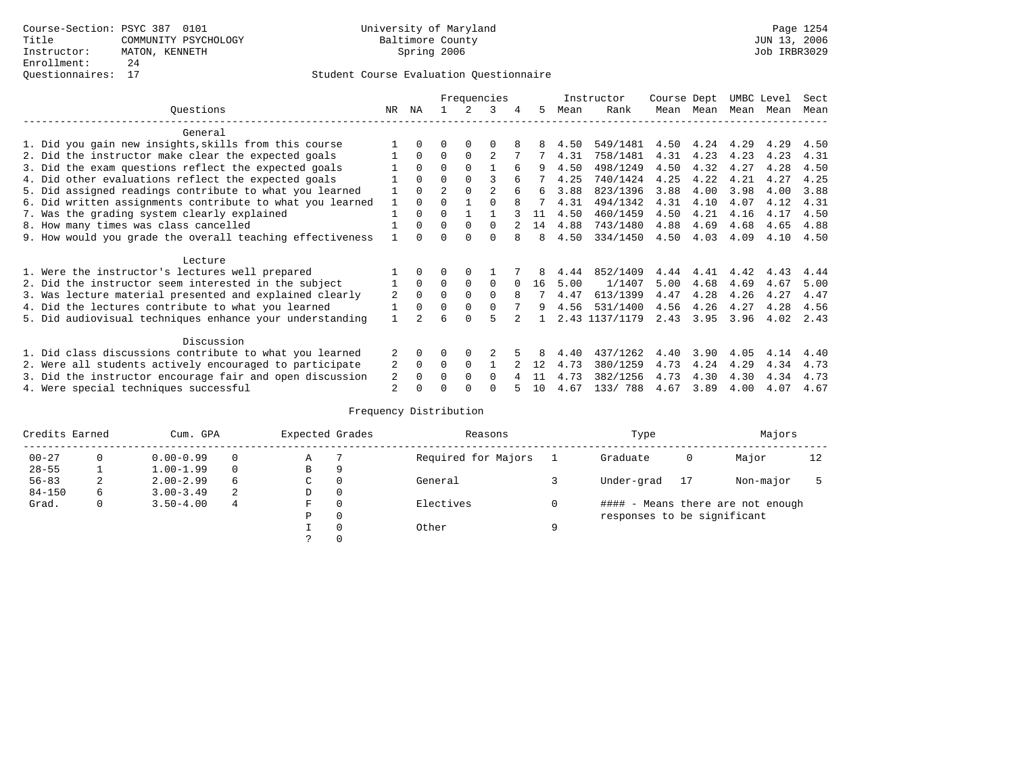|                                                           |              |              |               | Frequencies |                |   |    |      | Instructor     | Course Dept |      | UMBC Level |      | Sect |
|-----------------------------------------------------------|--------------|--------------|---------------|-------------|----------------|---|----|------|----------------|-------------|------|------------|------|------|
| Questions                                                 | NR           | ΝA           |               |             |                | 4 | 5  | Mean | Rank           | Mean        | Mean | Mean       | Mean | Mean |
| General                                                   |              |              |               |             |                |   |    |      |                |             |      |            |      |      |
| 1. Did you gain new insights, skills from this course     |              |              |               |             |                |   |    | 4.50 | 549/1481       | 4.50        | 4.24 | 4.29       | 4.29 | 4.50 |
| 2. Did the instructor make clear the expected goals       |              | $\Omega$     | $\Omega$      | $\Omega$    | $\overline{c}$ |   |    | 4.31 | 758/1481       | 4.31        | 4.23 | 4.23       | 4.23 | 4.31 |
| 3. Did the exam questions reflect the expected goals      |              | $\Omega$     | 0             | $\Omega$    |                | 6 |    | 4.50 | 498/1249       | 4.50        | 4.32 | 4.27       | 4.28 | 4.50 |
| 4. Did other evaluations reflect the expected goals       |              | $\Omega$     | 0             | $\Omega$    | ς              |   |    | 4.25 | 740/1424       | 4.25        | 4.22 | 4.21       | 4.27 | 4.25 |
| 5. Did assigned readings contribute to what you learned   |              | $\Omega$     | $\mathcal{D}$ | $\Omega$    |                |   | 6  | 3.88 | 823/1396       | 3.88        | 4.00 | 3.98       | 4.00 | 3.88 |
| 6. Did written assignments contribute to what you learned |              | $\Omega$     |               |             |                |   |    | 4.31 | 494/1342       | 4.31        | 4.10 | 4.07       | 4.12 | 4.31 |
| 7. Was the grading system clearly explained               |              | $\Omega$     | 0             |             |                |   | 11 | 4.50 | 460/1459       | 4.50        | 4.21 | 4.16       | 4.17 | 4.50 |
| 8. How many times was class cancelled                     |              | $\Omega$     | 0             | $\Omega$    | $\Omega$       |   | 14 | 4.88 | 743/1480       | 4.88        | 4.69 | 4.68       | 4.65 | 4.88 |
| 9. How would you grade the overall teaching effectiveness |              | <sup>n</sup> |               |             | ∩              |   | 8  | 4.50 | 334/1450       | 4.50        | 4.03 | 4.09       | 4.10 | 4.50 |
| Lecture                                                   |              |              |               |             |                |   |    |      |                |             |      |            |      |      |
| 1. Were the instructor's lectures well prepared           |              |              |               |             |                |   |    | 4.44 | 852/1409       | 4.44        | 4.41 | 4.42       | 4.43 | 4.44 |
| 2. Did the instructor seem interested in the subject      |              | $\Omega$     | $\Omega$      | $\Omega$    | $\Omega$       |   | 16 | 5.00 | 1/1407         | 5.00        | 4.68 | 4.69       | 4.67 | 5.00 |
| 3. Was lecture material presented and explained clearly   | 2            | $\Omega$     |               |             | $\Omega$       | 8 |    | 4.47 | 613/1399       | 4.47        | 4.28 | 4.26       | 4.27 | 4.47 |
| 4. Did the lectures contribute to what you learned        |              | $\Omega$     | 0             | $\Omega$    |                |   | 9  | 4.56 | 531/1400       | 4.56        | 4.26 | 4.27       | 4.28 | 4.56 |
| 5. Did audiovisual techniques enhance your understanding  | $\mathbf{1}$ |              | ี             |             |                |   |    |      | 2.43 1137/1179 | 2.43        | 3.95 | 3.96       | 4.02 | 2.43 |
| Discussion                                                |              |              |               |             |                |   |    |      |                |             |      |            |      |      |
| 1. Did class discussions contribute to what you learned   |              | 0            | 0             | $\Omega$    |                |   |    | 4.40 | 437/1262       | 4.40        | 3.90 | 4.05       | 4.14 | 4.40 |
| 2. Were all students actively encouraged to participate   | 2            | $\Omega$     | $\Omega$      | $\Omega$    |                |   | 12 | 4.73 | 380/1259       | 4.73        | 4.24 | 4.29       | 4.34 | 4.73 |
| 3. Did the instructor encourage fair and open discussion  | 2            | $\Omega$     | O             | $\Omega$    | $\Omega$       |   | 11 | 4.73 | 382/1256       | 4.73        | 4.30 | 4.30       | 4.34 | 4.73 |
| 4. Were special techniques successful                     | 2            |              |               |             |                |   | 10 | 4.67 | 133/788        | 4.67        | 3.89 | 4.00       | 4.07 | 4.67 |

| Credits Earned |          | Cum. GPA      |   | Expected Grades |          | Reasons             |   | Type                        |    | Majors                            |    |
|----------------|----------|---------------|---|-----------------|----------|---------------------|---|-----------------------------|----|-----------------------------------|----|
| $00 - 27$      | $\Omega$ | $0.00 - 0.99$ |   | Α               |          | Required for Majors |   | Graduate                    | 0  | Major                             | 12 |
| $28 - 55$      | ᅩ        | $1.00 - 1.99$ |   | B               | 9        |                     |   |                             |    |                                   |    |
| $56 - 83$      | 2        | $2.00 - 2.99$ | 6 | $\sim$<br>◡     | 0        | General             |   | Under-grad                  | 17 | Non-major                         |    |
| $84 - 150$     | 6        | $3.00 - 3.49$ | 2 | D               | 0        |                     |   |                             |    |                                   |    |
| Grad.          | 0        | $3.50 - 4.00$ | 4 | F               | 0        | Electives           | 0 |                             |    | #### - Means there are not enough |    |
|                |          |               |   | Ρ               | 0        |                     |   | responses to be significant |    |                                   |    |
|                |          |               |   |                 | $\Omega$ | Other               | Q |                             |    |                                   |    |
|                |          |               |   |                 |          |                     |   |                             |    |                                   |    |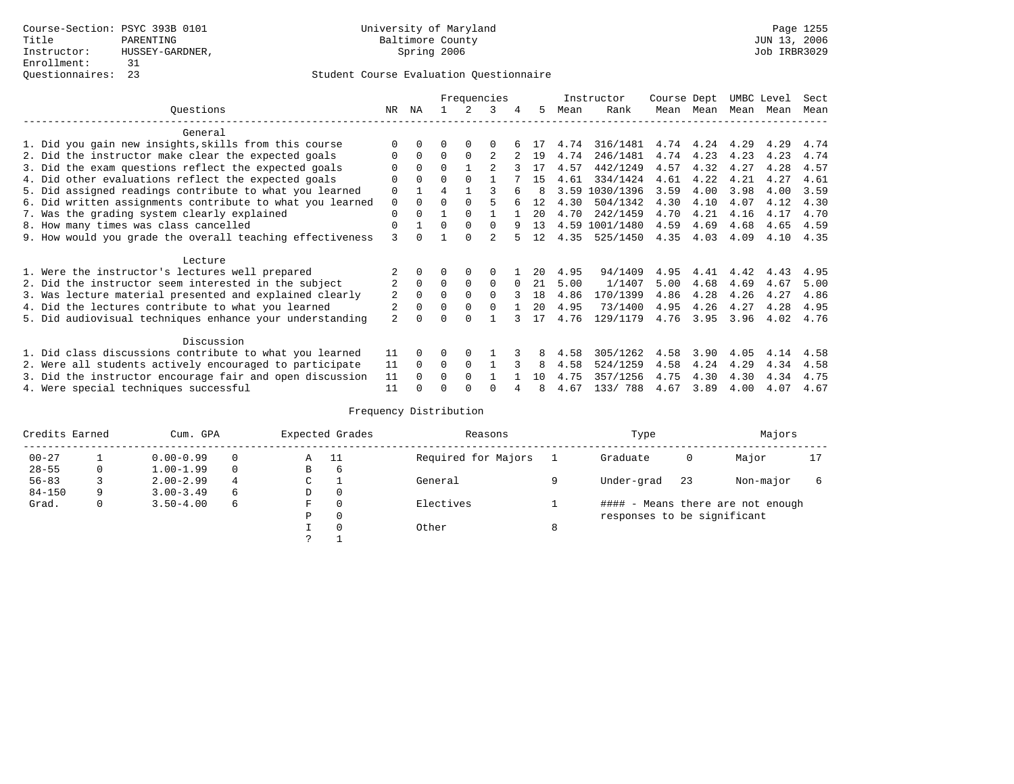|                                                           |                |              |          |          | Frequencies    |          |              |      | Instructor     | Course Dept |      | UMBC Level |      | Sect |
|-----------------------------------------------------------|----------------|--------------|----------|----------|----------------|----------|--------------|------|----------------|-------------|------|------------|------|------|
| Questions                                                 | NR             | ΝA           |          |          |                | 4        | 5            | Mean | Rank           | Mean        | Mean | Mean       | Mean | Mean |
| General                                                   |                |              |          |          |                |          |              |      |                |             |      |            |      |      |
| 1. Did you gain new insights, skills from this course     |                |              |          |          |                |          |              | 4.74 | 316/1481       | 4.74        | 4.24 | 4.29       | 4.29 | 4.74 |
| 2. Did the instructor make clear the expected goals       |                | $\Omega$     | $\Omega$ | $\Omega$ |                |          | 19           | 4.74 | 246/1481       | 4.74        | 4.23 | 4.23       | 4.23 | 4.74 |
| 3. Did the exam questions reflect the expected goals      |                | $\Omega$     | 0        |          |                |          |              | 4.57 | 442/1249       | 4.57        | 4.32 | 4.27       | 4.28 | 4.57 |
| 4. Did other evaluations reflect the expected goals       | $\Omega$       | $\Omega$     | 0        | $\Omega$ |                |          | 15           | 4.61 | 334/1424       | 4.61        | 4.22 | 4.21       | 4.27 | 4.61 |
| 5. Did assigned readings contribute to what you learned   | $\mathbf 0$    |              |          |          |                |          | <sup>8</sup> | 3.59 | 1030/1396      | 3.59        | 4.00 | 3.98       | 4.00 | 3.59 |
| 6. Did written assignments contribute to what you learned | $\mathbf 0$    | $\Omega$     | $\Omega$ |          |                |          | 12           | 4.30 | 504/1342       | 4.30        | 4.10 | 4.07       | 4.12 | 4.30 |
| 7. Was the grading system clearly explained               | $\Omega$       | $\Omega$     |          | $\Omega$ |                |          | 20           | 4.70 | 242/1459       | 4.70        | 4.21 | 4.16       | 4.17 | 4.70 |
| 8. How many times was class cancelled                     | 0              |              | 0        | $\Omega$ | $\Omega$       | q        | 13           |      | 4.59 1001/1480 | 4.59        | 4.69 | 4.68       | 4.65 | 4.59 |
| 9. How would you grade the overall teaching effectiveness | 3              | <sup>n</sup> |          | ∩        | $\mathfrak{D}$ |          | 12           | 4.35 | 525/1450       | 4.35        | 4.03 | 4.09       | 4.10 | 4.35 |
| Lecture                                                   |                |              |          |          |                |          |              |      |                |             |      |            |      |      |
| 1. Were the instructor's lectures well prepared           |                |              |          |          |                |          | 20           | 4.95 | 94/1409        | 4.95        | 4.41 | 4.42       | 4.43 | 4.95 |
| 2. Did the instructor seem interested in the subject      | 2              | $\Omega$     | $\Omega$ | $\Omega$ | 0              | $\Omega$ | 21           | 5.00 | 1/1407         | 5.00        | 4.68 | 4.69       | 4.67 | 5.00 |
| 3. Was lecture material presented and explained clearly   | 2              | $\Omega$     |          |          | $\Omega$       |          | 18           | 4.86 | 170/1399       | 4.86        | 4.28 | 4.26       | 4.27 | 4.86 |
| 4. Did the lectures contribute to what you learned        |                | $\Omega$     |          |          |                |          | 20           | 4.95 | 73/1400        | 4.95        | 4.26 | 4.27       | 4.28 | 4.95 |
| 5. Did audiovisual techniques enhance your understanding  | $\overline{a}$ | ∩            |          |          |                |          | 17           | 4.76 | 129/1179       | 4.76        | 3.95 | 3.96       | 4.02 | 4.76 |
| Discussion                                                |                |              |          |          |                |          |              |      |                |             |      |            |      |      |
| 1. Did class discussions contribute to what you learned   | 11             | 0            | 0        | $\Omega$ |                |          |              | 4.58 | 305/1262       | 4.58        | 3.90 | 4.05       | 4.14 | 4.58 |
| 2. Were all students actively encouraged to participate   | 11             | $\Omega$     | $\Omega$ | $\Omega$ |                |          | 8            | 4.58 | 524/1259       | 4.58        | 4.24 | 4.29       | 4.34 | 4.58 |
| 3. Did the instructor encourage fair and open discussion  | 11             |              | O        | $\Omega$ |                |          | 1 O          | 4.75 | 357/1256       | 4.75        | 4.30 | 4.30       | 4.34 | 4.75 |
| 4. Were special techniques successful                     | 11             |              |          |          |                |          | 8            | 4.67 | 133/788        | 4.67        | 3.89 | 4.00       | 4.07 | 4.67 |

| Credits Earned |   | Cum. GPA      |   |   | Expected Grades | Reasons             |   | Type                        |    | Majors                            |  |
|----------------|---|---------------|---|---|-----------------|---------------------|---|-----------------------------|----|-----------------------------------|--|
| $00 - 27$      |   | $0.00 - 0.99$ |   | Α | - 11            | Required for Majors |   | Graduate                    | 0  | Major                             |  |
| $28 - 55$      | 0 | $1.00 - 1.99$ |   | B | 6               |                     |   |                             |    |                                   |  |
| $56 - 83$      |   | $2.00 - 2.99$ | 4 | ◡ |                 | General             |   | Under-grad                  | 23 | Non-major                         |  |
| $84 - 150$     | 9 | $3.00 - 3.49$ | 6 | D | 0               |                     |   |                             |    |                                   |  |
| Grad.          | 0 | $3.50 - 4.00$ | 6 | F | 0               | Electives           |   |                             |    | #### - Means there are not enough |  |
|                |   |               |   | Ρ | 0               |                     |   | responses to be significant |    |                                   |  |
|                |   |               |   |   | $\Omega$        | Other               | 8 |                             |    |                                   |  |
|                |   |               |   | っ |                 |                     |   |                             |    |                                   |  |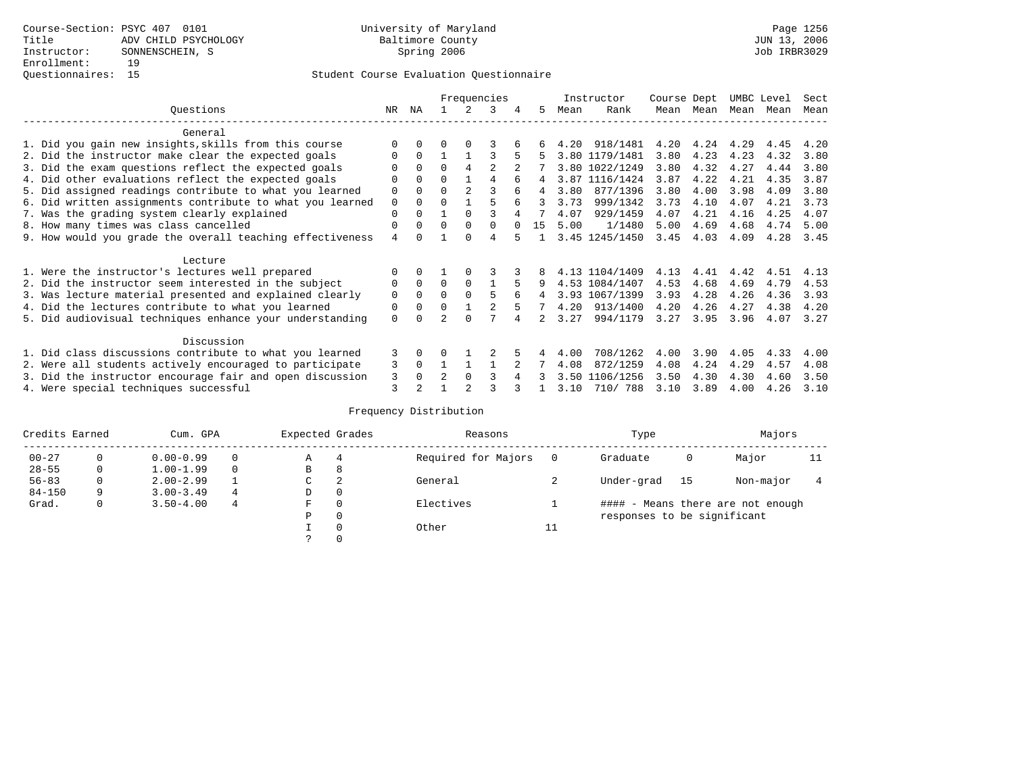|                                                           |              |                |                |                | Frequencies |    |    |      | Instructor     | Course Dept |           | UMBC Level |      | Sect |
|-----------------------------------------------------------|--------------|----------------|----------------|----------------|-------------|----|----|------|----------------|-------------|-----------|------------|------|------|
| Ouestions                                                 | NR           | ΝA             |                | $\mathcal{L}$  | 3           | 4  | 5  | Mean | Rank           |             | Mean Mean | Mean       | Mean | Mean |
| General                                                   |              |                |                |                |             |    |    |      |                |             |           |            |      |      |
| 1. Did you gain new insights, skills from this course     |              | $\Omega$       | <sup>0</sup>   | $\Omega$       |             |    |    |      | 4.20 918/1481  | 4.20        | 4.24      | 4.29       | 4.45 | 4.20 |
| 2. Did the instructor make clear the expected goals       | <sup>0</sup> | $\Omega$       |                |                |             | 5  | 5  |      | 3.80 1179/1481 | 3.80        | 4.23      | 4.23       | 4.32 | 3.80 |
| 3. Did the exam questions reflect the expected goals      |              | $\Omega$       | $\Omega$       | 4              | 2           |    |    |      | 3.80 1022/1249 | 3.80        | 4.32      | 4.27       | 4.44 | 3.80 |
| 4. Did other evaluations reflect the expected goals       |              | $\Omega$       | 0              |                | 4           |    | 4  |      | 3.87 1116/1424 | 3.87        | 4.22      | 4.21       | 4.35 | 3.87 |
| 5. Did assigned readings contribute to what you learned   | 0            | $\Omega$       | 0              | $\overline{a}$ |             |    | 4  | 3.80 | 877/1396       | 3.80        | 4.00      | 3.98       | 4.09 | 3.80 |
| 6. Did written assignments contribute to what you learned | $\mathbf 0$  | $\Omega$       | 0              |                | 5           | б. | २  | 3.73 | 999/1342       | 3.73        | 4.10      | 4.07       | 4.21 | 3.73 |
| 7. Was the grading system clearly explained               | 0            | $\Omega$       |                | $\Omega$       |             |    |    | 4.07 | 929/1459       | 4.07        | 4.21      | 4.16       | 4.25 | 4.07 |
| 8. How many times was class cancelled                     |              |                | $\Omega$       | $\Omega$       | $\Omega$    |    | 15 | 5.00 | 1/1480         | 5.00        | 4.69      | 4.68       | 4.74 | 5.00 |
| 9. How would you grade the overall teaching effectiveness | 4            | <sup>n</sup>   |                | <sup>n</sup>   | 4           |    |    |      | 3.45 1245/1450 | 3.45        | 4.03      | 4.09       | 4.28 | 3.45 |
| Lecture                                                   |              |                |                |                |             |    |    |      |                |             |           |            |      |      |
| 1. Were the instructor's lectures well prepared           |              | $\Omega$       |                |                |             |    |    |      | 4.13 1104/1409 | 4.13        | 4.41      | 4.42       | 4.51 | 4.13 |
| 2. Did the instructor seem interested in the subject      | 0            | $\Omega$       | $\Omega$       | $\Omega$       |             | 5  | 9  |      | 4.53 1084/1407 | 4.53        | 4.68      | 4.69       | 4.79 | 4.53 |
| 3. Was lecture material presented and explained clearly   | 0            | $\Omega$       | 0              | $\Omega$       | 5           | 6  | 4  |      | 3.93 1067/1399 | 3.93        | 4.28      | 4.26       | 4.36 | 3.93 |
| 4. Did the lectures contribute to what you learned        | 0            | $\Omega$       | $\Omega$       |                | 2           | 5  |    | 4.20 | 913/1400       | 4.20        | 4.26      | 4.27       | 4.38 | 4.20 |
| 5. Did audiovisual techniques enhance your understanding  | 0            |                |                |                |             |    |    | 3.27 | 994/1179       | 3.27        | 3.95      | 3.96       | 4.07 | 3.27 |
| Discussion                                                |              |                |                |                |             |    |    |      |                |             |           |            |      |      |
| 1. Did class discussions contribute to what you learned   | 3            | $\Omega$       |                |                |             |    |    | 4.00 | 708/1262       | 4.00        | 3.90      | 4.05       | 4.33 | 4.00 |
| 2. Were all students actively encouraged to participate   | 3            | $\mathbf 0$    |                |                |             |    |    | 4.08 | 872/1259       | 4.08        | 4.24      | 4.29       | 4.57 | 4.08 |
| 3. Did the instructor encourage fair and open discussion  | 3            | 0              | $\mathfrak{D}$ | $\Omega$       |             |    |    |      | 3.50 1106/1256 | 3.50        | 4.30      | 4.30       | 4.60 | 3.50 |
| 4. Were special techniques successful                     | 3            | $\mathfrak{D}$ |                |                |             |    |    | 3.10 | 710/ 788       | 3.10        | 3.89      | 4.00       | 4.26 | 3.10 |

| Credits Earned |          | Cum. GPA      |   | Expected Grades |          | Reasons             |          |                             |      | Majors                            |    |
|----------------|----------|---------------|---|-----------------|----------|---------------------|----------|-----------------------------|------|-----------------------------------|----|
| $00 - 27$      | $\Omega$ | $0.00 - 0.99$ |   | А               | 4        | Required for Majors | $\Omega$ | Graduate                    | 0    | Major                             | 11 |
| $28 - 55$      | 0        | $1.00 - 1.99$ |   | В               | 8        |                     |          |                             |      |                                   |    |
| $56 - 83$      | 0        | $2.00 - 2.99$ |   | $\sim$<br>◡     | 2        | General             |          | Under-grad                  | - 15 | Non-major                         |    |
| $84 - 150$     | 9        | $3.00 - 3.49$ | 4 | D               | 0        |                     |          |                             |      |                                   |    |
| Grad.          | 0        | $3.50 - 4.00$ | 4 | F               | 0        | Electives           |          |                             |      | #### - Means there are not enough |    |
|                |          |               |   | Ρ               | 0        |                     |          | responses to be significant |      |                                   |    |
|                |          |               |   |                 | $\Omega$ | Other               | ⊥⊥       |                             |      |                                   |    |
|                |          |               |   |                 |          |                     |          |                             |      |                                   |    |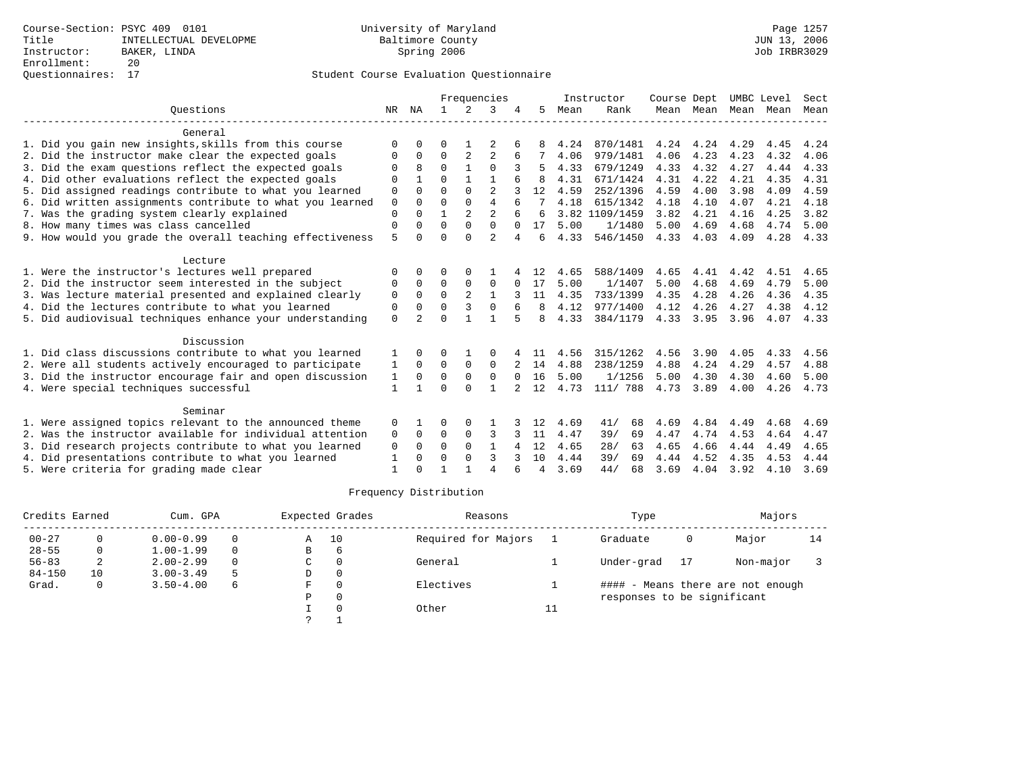| Frequencies |                |              |                |                |                            |    |          | Sect      |                              |                      |                             |                |                    |
|-------------|----------------|--------------|----------------|----------------|----------------------------|----|----------|-----------|------------------------------|----------------------|-----------------------------|----------------|--------------------|
| NR          | ΝA             | $\mathbf{1}$ | 2              | 3              |                            | 5  | Mean     | Rank      |                              |                      |                             |                | Mean               |
|             |                |              |                |                |                            |    |          |           |                              |                      |                             |                |                    |
| $\Omega$    |                | 0            |                |                |                            |    | 4.24     | 870/1481  | 4.24                         | 4.24                 | 4.29                        | 4.45           | 4.24               |
| $\Omega$    | 0              | $\Omega$     | 2              | $\overline{2}$ | 6                          | 7  | 4.06     | 979/1481  | 4.06                         | 4.23                 | 4.23                        | 4.32           | 4.06               |
| $\Omega$    | 8              | $\Omega$     | $\mathbf{1}$   | $\Omega$       |                            |    | 4.33     | 679/1249  | 4.33                         | 4.32                 | 4.27                        | 4.44           | 4.33               |
| $\Omega$    |                | $\Omega$     |                |                |                            | 8  | 4.31     | 671/1424  | 4.31                         | 4.22                 | 4.21                        | 4.35           | 4.31               |
| 0           | $\Omega$       | $\Omega$     | $\Omega$       | $\overline{2}$ |                            | 12 | 4.59     | 252/1396  | 4.59                         | 4.00                 | 3.98                        | 4.09           | 4.59               |
| $\mathsf 0$ | 0              | $\Omega$     | $\Omega$       | $\overline{4}$ |                            |    | 4.18     | 615/1342  | 4.18                         | 4.10                 | 4.07                        | 4.21           | 4.18               |
| $\mathbf 0$ | $\Omega$       | 1            |                |                |                            | 6  |          |           |                              | 4.21                 | 4.16                        | 4.25           | 3.82               |
| $\Omega$    | O              |              | $\Omega$       |                | $\Omega$                   | 17 | 5.00     | 1/1480    |                              | 4.69                 | 4.68                        | 4.74           | 5.00               |
|             | <sup>n</sup>   | $\Omega$     | $\Omega$       | $\mathfrak{D}$ | 4                          | 6  | 4.33     | 546/1450  |                              |                      | 4.09                        | 4.28           | 4.33               |
|             |                |              |                |                |                            |    |          |           |                              |                      |                             |                |                    |
| O           |                | 0            | 0              |                |                            | 12 | 4.65     | 588/1409  | 4.65                         | 4.41                 | 4.42                        | 4.51           | 4.65               |
| 0           | $\Omega$       | $\Omega$     | $\Omega$       | $\Omega$       | $\Omega$                   | 17 | 5.00     | 1/1407    | 5.00                         | 4.68                 | 4.69                        | 4.79           | 5.00               |
| $\mathbf 0$ | $\Omega$       | $\Omega$     | $\overline{a}$ | $\mathbf{1}$   |                            | 11 | 4.35     | 733/1399  | 4.35                         | 4.28                 | 4.26                        | 4.36           | 4.35               |
| 0           | $\Omega$       | $\Omega$     | 3              | $\Omega$       |                            | 8  | 4.12     | 977/1400  | 4.12                         | 4.26                 | 4.27                        | 4.38           | 4.12               |
| $\Omega$    | $\overline{2}$ | $\Omega$     |                |                |                            | 8  | 4.33     | 384/1179  | 4.33                         |                      | 3.96                        | 4.07           | 4.33               |
|             |                |              |                |                |                            |    |          |           |                              |                      |                             |                |                    |
| 1           | <sup>0</sup>   | 0            |                | $\Omega$       |                            | 11 | 4.56     | 315/1262  | 4.56                         | 3.90                 | 4.05                        | 4.33           | 4.56               |
| 1           | $\Omega$       | 0            | $\mathbf 0$    | $\mathbf 0$    |                            |    | 4.88     | 238/1259  | 4.88                         | 4.24                 | 4.29                        | 4.57           | 4.88               |
| 1           | 0              | $\Omega$     | $\Omega$       | $\Omega$       | $\Omega$                   | 16 | 5.00     | 1/1256    | 5.00                         | 4.30                 | 4.30                        | 4.60           | 5.00               |
| 1           |                | $\Omega$     | $\Omega$       | $\mathbf{1}$   |                            | 12 | 4.73     | 111/ 788  | 4.73                         | 3.89                 | 4.00                        | 4.26           | 4.73               |
|             |                |              |                |                |                            |    |          |           |                              |                      |                             |                |                    |
| 0           |                | 0            | $\Omega$       |                |                            | 12 | 4.69     | 41/<br>68 | 4.69                         | 4.84                 | 4.49                        | 4.68           | 4.69               |
| 0           | $\Omega$       | $\mathbf 0$  | 0              | 3              | २                          | 11 | 4.47     | 39/<br>69 | 4.47                         | 4.74                 | 4.53                        | 4.64           | 4.47               |
| 0           | $\Omega$       | $\Omega$     | $\Omega$       | $\mathbf{1}$   | 4                          | 12 | 4.65     | 28/<br>63 | 4.65                         | 4.66                 | 4.44                        | 4.49           | 4.65               |
| 1           | 0              | O            | $\Omega$       | 3              |                            | 10 | 4.44     | 39/<br>69 | 4.44                         | 4.52                 | 4.35                        | 4.53           | 4.44               |
| 1           | U              |              |                | $\overline{A}$ |                            | 4  | 3.69     | 44/<br>68 | 3.69                         | 4.04                 | 3.92                        | 4.10           | 3.69               |
|             | 5              |              | $\Omega$       | $\overline{a}$ | $\overline{a}$<br>$\Omega$ |    | $2 \t14$ |           | Instructor<br>3.82 1109/1459 | 3.82<br>5.00<br>4.33 | Course Dept<br>4.03<br>3.95 | Mean Mean Mean | UMBC Level<br>Mean |

| Credits Earned |    | Cum. GPA      |          |   | Expected Grades | Reasons             |    | Type                        |    | Majors                            |    |
|----------------|----|---------------|----------|---|-----------------|---------------------|----|-----------------------------|----|-----------------------------------|----|
| $00 - 27$      |    | $0.00 - 0.99$ | $\Omega$ | Α | 10              | Required for Majors |    | Graduate                    | 0  | Major                             | 14 |
| $28 - 55$      | 0  | $1.00 - 1.99$ | $\Omega$ | В | 6               |                     |    |                             |    |                                   |    |
| $56 - 83$      |    | $2.00 - 2.99$ | $\Omega$ | C |                 | General             |    | Under-grad                  | 17 | Non-major                         |    |
| $84 - 150$     | 10 | $3.00 - 3.49$ | 5        | D |                 |                     |    |                             |    |                                   |    |
| Grad.          | 0  | $3.50 - 4.00$ | 6        | F |                 | Electives           |    |                             |    | #### - Means there are not enough |    |
|                |    |               |          | P |                 |                     |    | responses to be significant |    |                                   |    |
|                |    |               |          |   |                 | Other               | ⊥⊥ |                             |    |                                   |    |
|                |    |               |          | っ |                 |                     |    |                             |    |                                   |    |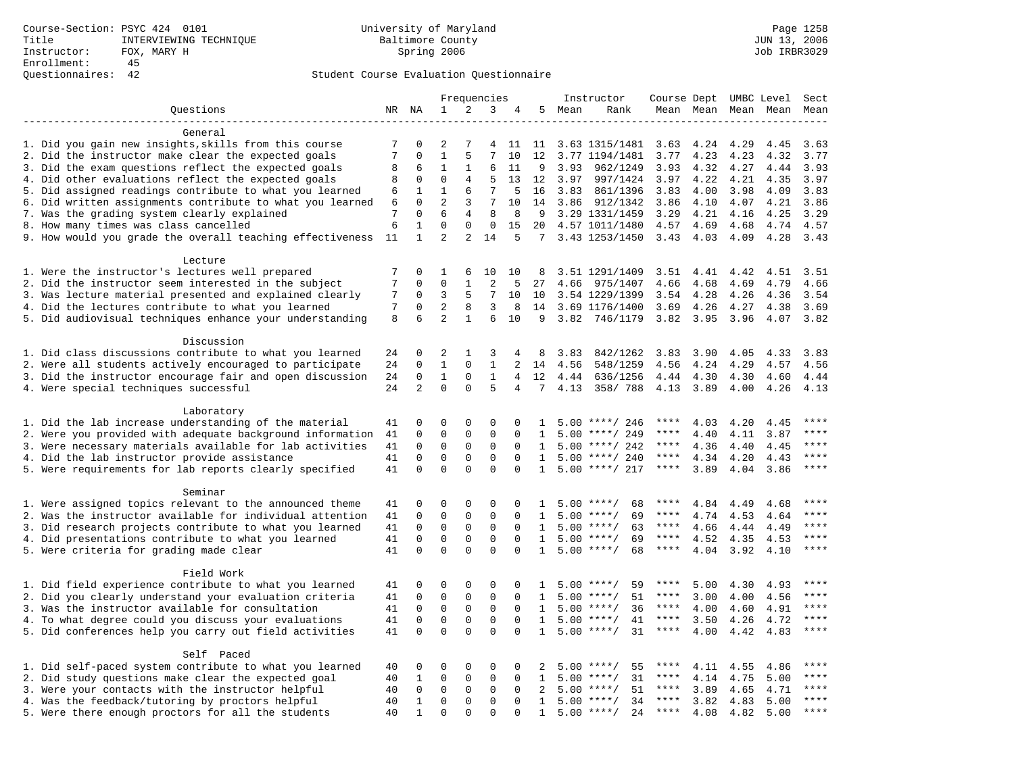|                                                                                                                    | Frequencies    |                            |                             |                                 | Instructor                  | Course Dept UMBC Level |                   |      |                                     | Sect                |              |              |                     |                        |
|--------------------------------------------------------------------------------------------------------------------|----------------|----------------------------|-----------------------------|---------------------------------|-----------------------------|------------------------|-------------------|------|-------------------------------------|---------------------|--------------|--------------|---------------------|------------------------|
| Ouestions                                                                                                          |                | NR NA                      | 1                           | 2                               | 3                           | 4                      | 5                 | Mean | Rank                                |                     |              |              | Mean Mean Mean Mean | Mean                   |
|                                                                                                                    |                |                            |                             |                                 |                             |                        |                   |      |                                     |                     |              |              |                     |                        |
| General                                                                                                            |                |                            |                             |                                 |                             |                        |                   |      |                                     |                     |              |              |                     |                        |
| 1. Did you gain new insights, skills from this course                                                              | 7              | 0                          | 2                           | 7                               | 4                           | 11                     | 11                |      | 3.63 1315/1481                      | 3.63                | 4.24         | 4.29         | 4.45                | 3.63                   |
| 2. Did the instructor make clear the expected goals                                                                | 7              | $\mathbf 0$                | $1\,$                       | 5                               | 7                           | 10                     | 12                |      | 3.77 1194/1481                      | 3.77                | 4.23         | 4.23         | 4.32                | 3.77                   |
| 3. Did the exam questions reflect the expected goals                                                               | 8              | 6                          | $\mathbf{1}$                | 1                               | 6                           | 11                     | 9                 | 3.93 | 962/1249                            | 3.93                | 4.32         | 4.27         | 4.44                | 3.93                   |
| 4. Did other evaluations reflect the expected goals                                                                | 8              | 0                          | $\mathbf{0}$                | 4                               | 5                           | 13                     | 12                | 3.97 | 997/1424                            | 3.97                | 4.22         | 4.21         | 4.35                | 3.97                   |
| 5. Did assigned readings contribute to what you learned                                                            | 6              | 1                          | 1<br>2                      | 6                               | 7<br>7                      | 5                      | 16                | 3.83 | 861/1396                            | 3.83                | 4.00         | 3.98         | 4.09                | 3.83                   |
| 6. Did written assignments contribute to what you learned                                                          | 6<br>7         | $\mathbf 0$<br>$\mathbf 0$ | 6                           | 3<br>4                          | 8                           | 10<br>8                | 14<br>9           | 3.86 | 912/1342                            | 3.86<br>3.29        | 4.10<br>4.21 | 4.07         | 4.21<br>4.25        | 3.86<br>3.29           |
| 7. Was the grading system clearly explained<br>8. How many times was class cancelled                               | 6              | $\mathbf{1}$               | $\mathbf{0}$                | $\mathbf 0$                     | $\mathbf 0$                 | 15                     | 20                |      | 3.29 1331/1459<br>4.57 1011/1480    | 4.57                | 4.69         | 4.16<br>4.68 | 4.74                | 4.57                   |
| 9. How would you grade the overall teaching effectiveness                                                          | 11             | $\mathbf{1}$               | $\overline{2}$              | $\overline{a}$                  | 14                          | 5                      |                   |      | 7 3.43 1253/1450                    | $3.43 \quad 4.03$   |              | 4.09         | 4.28                | 3.43                   |
|                                                                                                                    |                |                            |                             |                                 |                             |                        |                   |      |                                     |                     |              |              |                     |                        |
| Lecture                                                                                                            |                |                            |                             |                                 |                             |                        |                   |      |                                     |                     |              |              |                     |                        |
| 1. Were the instructor's lectures well prepared                                                                    | 7              | 0                          | 1                           | 6                               | 10                          | 10                     | 8                 |      | 3.51 1291/1409                      | 3.51                | 4.41         | 4.42         | 4.51                | 3.51                   |
| 2. Did the instructor seem interested in the subject                                                               | $\overline{7}$ | $\mathbf 0$                | $\mathbf{0}$                | $\mathbf{1}$                    | $\overline{2}$              | 5                      | 27                | 4.66 | 975/1407                            | 4.66                | 4.68         | 4.69         | 4.79                | 4.66                   |
| 3. Was lecture material presented and explained clearly                                                            | 7              | 0                          | 3                           | 5                               | 7                           | 10                     | 10                |      | 3.54 1229/1399                      | 3.54                | 4.28         | 4.26         | 4.36                | 3.54                   |
| 4. Did the lectures contribute to what you learned                                                                 | 7              | 0                          | $\overline{c}$              | 8                               | 3                           | 8                      | 14                |      | 3.69 1176/1400                      | 3.69                | 4.26         | 4.27         | 4.38                | 3.69                   |
| 5. Did audiovisual techniques enhance your understanding                                                           | 8              | 6                          | $\overline{2}$              | $\mathbf{1}$                    | 6                           | 10                     | 9                 | 3.82 | 746/1179                            | 3.82                | 3.95         | 3.96         | 4.07                | 3.82                   |
|                                                                                                                    |                |                            |                             |                                 |                             |                        |                   |      |                                     |                     |              |              |                     |                        |
| Discussion                                                                                                         |                |                            |                             |                                 |                             |                        |                   |      |                                     |                     |              |              |                     |                        |
| 1. Did class discussions contribute to what you learned                                                            | 24             | 0                          | 2                           | 1                               | 3                           | 4                      | 8                 | 3.83 | 842/1262                            | 3.83                | 3.90         | 4.05         | 4.33                | 3.83                   |
| 2. Were all students actively encouraged to participate                                                            | 24             | $\mathbf 0$                | $\mathbf{1}$                | $\mathbf 0$                     | $\mathbf{1}$                | $\overline{2}$         | 14                | 4.56 | 548/1259                            | 4.56                | 4.24         | 4.29         | 4.57                | 4.56                   |
| 3. Did the instructor encourage fair and open discussion                                                           | 24             | 0                          | $\mathbf{1}$                | $\mathbf 0$                     | $\mathbf{1}$                | 4                      | 12                | 4.44 | 636/1256                            | 4.44                | 4.30         | 4.30         | 4.60                | 4.44                   |
| 4. Were special techniques successful                                                                              | 24             | $\overline{2}$             | $\Omega$                    | $\Omega$                        | 5                           | $\overline{4}$         | 7                 | 4.13 | 358/788                             | 4.13                | 3.89         | 4.00         | 4.26                | 4.13                   |
|                                                                                                                    |                |                            |                             |                                 |                             |                        |                   |      |                                     |                     |              |              |                     |                        |
| Laboratory                                                                                                         |                |                            |                             |                                 |                             |                        |                   |      |                                     | ****                |              |              |                     |                        |
| 1. Did the lab increase understanding of the material<br>2. Were you provided with adequate background information | 41             | 0<br>0                     | $\mathbf 0$<br>$\mathbf{0}$ | $\mathbf 0$<br>$\mathbf 0$      | 0<br>$\mathbf{0}$           | 0<br>$\Omega$          | -1.<br>1          | 5.00 | $5.00$ ****/ 246<br>****/ 249       | ****                | 4.03<br>4.40 | 4.20<br>4.11 | 4.45<br>3.87        | ****                   |
| 3. Were necessary materials available for lab activities                                                           | 41<br>41       | $\mathbf 0$                | $\mathbf 0$                 | $\mathsf 0$                     | $\Omega$                    | $\Omega$               | 1                 |      | $5.00$ ****/ 242                    | $***$ * *           | 4.36         | 4.40         | 4.45                | ****                   |
| 4. Did the lab instructor provide assistance                                                                       | 41             | $\mathbf 0$                | $\mathbf{0}$                | $\mathbf 0$                     | $\mathbf 0$                 | $\mathbf 0$            | $\mathbf{1}$      |      | $5.00$ ****/ 240                    | ****                | 4.34         | 4.20         | 4.43                | $\star\star\star\star$ |
| 5. Were requirements for lab reports clearly specified                                                             | 41             | $\mathbf 0$                | $\mathbf{0}$                | $\Omega$                        | $\mathbf{0}$                | $\Omega$               | $\mathbf{1}$      |      | $5.00$ ****/ 217                    | ****                | 3.89         | 4.04         | 3.86                | ****                   |
|                                                                                                                    |                |                            |                             |                                 |                             |                        |                   |      |                                     |                     |              |              |                     |                        |
| Seminar                                                                                                            |                |                            |                             |                                 |                             |                        |                   |      |                                     |                     |              |              |                     |                        |
| 1. Were assigned topics relevant to the announced theme                                                            | 41             | 0                          | $\mathbf 0$                 | $\mathsf 0$                     | $\mathsf 0$                 | $\Omega$               | $\mathbf{1}$      |      | $5.00$ ****/<br>68                  | ****                | 4.84         | 4.49         | 4.68                | ****                   |
| 2. Was the instructor available for individual attention                                                           | 41             | $\mathbf 0$                | $\mathbf 0$                 | $\mathsf 0$                     | $\mathsf 0$                 | $\mathbf 0$            | 1                 | 5.00 | $***/$<br>69                        | $***$ * *           | 4.74         | 4.53         | 4.64                | ****                   |
| 3. Did research projects contribute to what you learned                                                            | 41             | $\mathbf 0$                | $\mathbf 0$                 | $\mathbf 0$                     | $\mathbf{0}$                | $\mathbf 0$            | 1                 |      | $5.00$ ****/<br>63                  | $***$ * *           | 4.66         | 4.44         | 4.49                | $***$                  |
| 4. Did presentations contribute to what you learned                                                                | 41             | $\mathbf 0$                | $\mathbf{0}$                | $\mathbf 0$                     | $\mathbf{0}$                | $\Omega$               | 1                 | 5.00 | $***/$<br>69                        | $***$ * *           | 4.52         | 4.35         | 4.53                | $***$ * * *            |
| 5. Were criteria for grading made clear                                                                            | 41             | $\Omega$                   | $\Omega$                    | $\Omega$                        | $\Omega$                    | $\Omega$               | $\mathbf{1}$      |      | $5.00$ ****/<br>68                  | ****                | 4.04         | 3.92         | 4.10                | ****                   |
|                                                                                                                    |                |                            |                             |                                 |                             |                        |                   |      |                                     |                     |              |              |                     |                        |
| Field Work                                                                                                         |                |                            |                             |                                 |                             |                        |                   |      |                                     |                     |              |              |                     |                        |
| 1. Did field experience contribute to what you learned                                                             | 41             | 0                          | $\mathbf 0$                 | $\mathbf 0$                     | 0                           | $\Omega$               | 1                 |      | $5.00$ ****/<br>59                  | ****                | 5.00         | 4.30         | 4.93                | ****<br>****           |
| 2. Did you clearly understand your evaluation criteria                                                             | 41             | $\mathbf 0$                | $\mathbf 0$                 | $\mathbf 0$                     | $\mathbf{0}$                | $\mathbf 0$            | $\mathbf{1}$      | 5.00 | 51<br>$***$ /                       | ****                | 3.00         | 4.00         | 4.56                | ****                   |
| 3. Was the instructor available for consultation                                                                   | 41             | $\mathbf 0$<br>$\Omega$    | $\mathbf 0$                 | $\mathbf 0$                     | $\mathbf 0$                 | $\Omega$<br>$\Omega$   | 1                 | 5.00 | $***/$<br>36                        | ****<br>$***$ * * * | 4.00         | 4.60         | 4.91                | $***$                  |
| 4. To what degree could you discuss your evaluations                                                               | 41<br>41       | $\Omega$                   | $\mathbf 0$<br>$\mathbf{0}$ | $\mathsf{O}\xspace$<br>$\Omega$ | $\mathsf 0$<br>$\mathbf{0}$ | $\Omega$               | $\mathbf{1}$<br>1 | 5.00 | $5.00$ ****/<br>41<br>$***$ /<br>31 | $***$ * * *         | 3.50<br>4.00 | 4.26<br>4.42 | 4.72<br>4.83        | $***$                  |
| 5. Did conferences help you carry out field activities                                                             |                |                            |                             |                                 |                             |                        |                   |      |                                     |                     |              |              |                     |                        |
| Self Paced                                                                                                         |                |                            |                             |                                 |                             |                        |                   |      |                                     |                     |              |              |                     |                        |
| 1. Did self-paced system contribute to what you learned                                                            | 40             | 0                          | $\mathbf 0$                 | $\mathbf 0$                     | 0                           | 0                      | 2                 | 5.00 | $***$ /<br>55                       | ****                | 4.11         | 4.55         | 4.86                | ****                   |
| 2. Did study questions make clear the expected goal                                                                | 40             | 1                          | $\mathbf 0$                 | $\mathbf 0$                     | $\mathsf 0$                 | $\Omega$               | $\mathbf{1}$      |      | $5.00$ ****/<br>31                  | $***$ * *           | 4.14         | 4.75         | 5.00                | ****                   |
| 3. Were your contacts with the instructor helpful                                                                  | 40             | 0                          | $\mathsf 0$                 | $\mathbf 0$                     | $\mathbf 0$                 | $\mathbf 0$            | 2                 | 5.00 | 51<br>$***/$                        | $***$ * * *         | 3.89         | 4.65         | 4.71                | $***$                  |
| 4. Was the feedback/tutoring by proctors helpful                                                                   | 40             | 1                          | $\mathbf 0$                 | $\mathbf 0$                     | $\mathbf 0$                 | $\Omega$               | $\mathbf{1}$      |      | $5.00$ ****/<br>34                  | ****                | 3.82         | 4.83         | 5.00                | ****                   |
| 5. Were there enough proctors for all the students                                                                 | 40             | $\mathbf{1}$               | $\mathbf{0}$                | $\Omega$                        | $\Omega$                    | $\Omega$               | $\mathbf{1}$      |      | $5.00$ ****/<br>24                  | $***$ * * *         | 4.08         | 4.82         | 5.00                | ****                   |
|                                                                                                                    |                |                            |                             |                                 |                             |                        |                   |      |                                     |                     |              |              |                     |                        |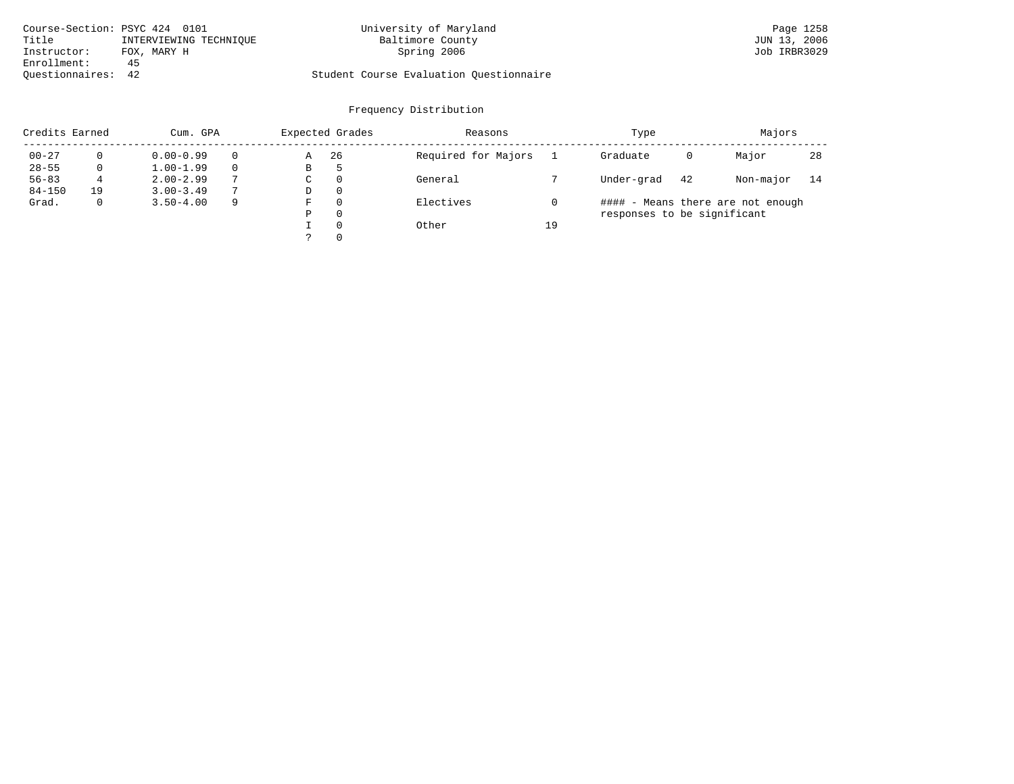| Course-Section: PSYC 424 0101 |                        | University of Maryland                  | Page 1258    |
|-------------------------------|------------------------|-----------------------------------------|--------------|
| Title                         | INTERVIEWING TECHNIOUE | Baltimore County                        | JUN 13, 2006 |
| Instructor:                   | FOX, MARY H            | Spring 2006                             | Job IRBR3029 |
| Enrollment:                   | 45                     |                                         |              |
| Ouestionnaires: 42            |                        | Student Course Evaluation Questionnaire |              |

| Credits Earned |    | Cum. GPA      |          | Expected Grades | Reasons  |                     | Type | Majors                      |                                   |           |    |
|----------------|----|---------------|----------|-----------------|----------|---------------------|------|-----------------------------|-----------------------------------|-----------|----|
| $00 - 27$      |    | $0.00 - 0.99$ | $\Omega$ | Α               | 26       | Required for Majors |      | Graduate                    | 0                                 | Major     | 28 |
| $28 - 55$      |    | $1.00 - 1.99$ | $\Omega$ | B               | -5       |                     |      |                             |                                   |           |    |
| $56 - 83$      | 4  | $2.00 - 2.99$ | 7        | C               | $\Omega$ | General             |      | Under-grad                  | 42                                | Non-major | 14 |
| $84 - 150$     | 19 | $3.00 - 3.49$ | 7        | D               | $\Omega$ |                     |      |                             |                                   |           |    |
| Grad.          |    | $3.50 - 4.00$ | 9        | F               | $\Omega$ | Electives           |      |                             | #### - Means there are not enough |           |    |
|                |    |               |          | Ρ               | 0        |                     |      | responses to be significant |                                   |           |    |
|                |    |               |          |                 | $\Omega$ | Other               | 19   |                             |                                   |           |    |
|                |    |               |          |                 | $\Omega$ |                     |      |                             |                                   |           |    |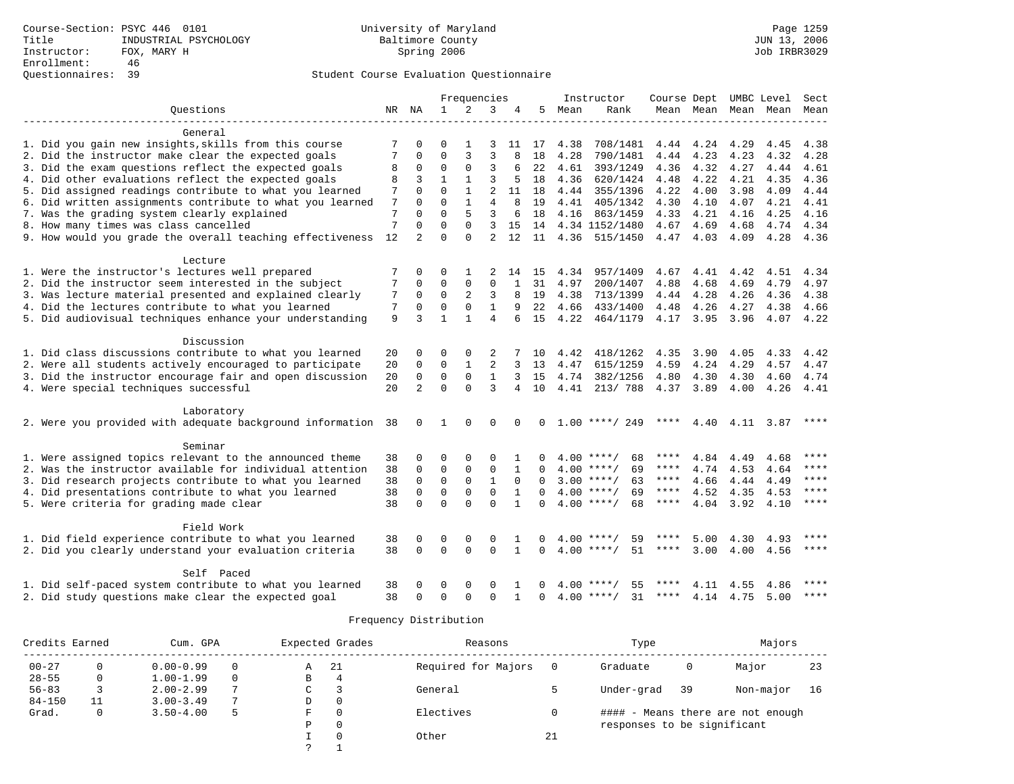|                                                           |          |                |              | Frequencies    |                |              |              |      | Instructor         |             |           | Course Dept UMBC Level |           | Sect      |  |
|-----------------------------------------------------------|----------|----------------|--------------|----------------|----------------|--------------|--------------|------|--------------------|-------------|-----------|------------------------|-----------|-----------|--|
| Ouestions                                                 |          | NR NA          | $\mathbf{1}$ | 2              | 3              |              | 5.           | Mean | Rank               |             | Mean Mean |                        | Mean Mean | Mean      |  |
| General                                                   |          |                |              |                |                |              |              |      |                    |             |           |                        |           |           |  |
| 1. Did you gain new insights, skills from this course     | 7        | $\Omega$       | $\Omega$     |                | 3              |              | 11 17        | 4.38 | 708/1481           |             | 4.44 4.24 | 4.29                   | 4.45      | 4.38      |  |
| 2. Did the instructor make clear the expected goals       |          | 0              | $\Omega$     | 3              | 3              |              | 18           | 4.28 | 790/1481           | 4.44        | 4.23      | 4.23                   | 4.32      | 4.28      |  |
| 3. Did the exam questions reflect the expected goals      | 8        | $\mathbf 0$    | $\Omega$     | $\Omega$       | 3              | 6            | 22           | 4.61 | 393/1249           | 4.36        | 4.32      | 4.27                   | 4.44      | 4.61      |  |
| 4. Did other evaluations reflect the expected goals       | 8        | 3              | $\mathbf{1}$ | $\mathbf{1}$   | 3              | 5            | 18           | 4.36 | 620/1424           | 4.48        | 4.22      | 4.21                   | 4.35      | 4.36      |  |
| 5. Did assigned readings contribute to what you learned   | 7        | $\Omega$       | $\cap$       | $\mathbf{1}$   | $\overline{a}$ | 11           | 18           | 4.44 | 355/1396           | 4.22        | 4.00      | 3.98                   | 4.09      | 4.44      |  |
| 6. Did written assignments contribute to what you learned | 7        | $\Omega$       | $\Omega$     | $\mathbf{1}$   | 4              |              | 19           | 4.41 | 405/1342           | 4.30        | 4.10      | 4.07                   | 4.21      | 4.41      |  |
| 7. Was the grading system clearly explained               | 7        | $\Omega$       | $\Omega$     | 5              | 3              | 6            | 18           | 4.16 | 863/1459           | 4.33        | 4.21      | 4.16                   | 4.25      | 4.16      |  |
| 8. How many times was class cancelled                     | 7        | $\Omega$       | $\Omega$     | $\Omega$       | 3              | 15           | 14           |      | 4.34 1152/1480     | 4.67        | 4.69      | 4.68                   | 4.74      | 4.34      |  |
| 9. How would you grade the overall teaching effectiveness | 12       | $\overline{2}$ | $\Omega$     | $\Omega$       | $\mathfrak{D}$ | 12           | 11           | 4.36 | 515/1450           |             | 4.47 4.03 | 4.09                   | 4.28      | 4.36      |  |
| Lecture                                                   |          |                |              |                |                |              |              |      |                    |             |           |                        |           |           |  |
| 1. Were the instructor's lectures well prepared           |          | $\Omega$       | 0            | 1              |                | 14           | 15           | 4.34 | 957/1409           | 4.67        | 4.41      | 4.42                   | 4.51      | 4.34      |  |
| 2. Did the instructor seem interested in the subject      | 7        | $\Omega$       | $\Omega$     | 0              | $\Omega$       |              | 31           | 4.97 | 200/1407           | 4.88        | 4.68      | 4.69                   | 4.79      | 4.97      |  |
| 3. Was lecture material presented and explained clearly   | 7        | $\mathbf 0$    | $\Omega$     | $\overline{2}$ | 3              | 8            | 19           | 4.38 | 713/1399           | 4.44        | 4.28      | 4.26                   | 4.36      | 4.38      |  |
| 4. Did the lectures contribute to what you learned        | 7        | $\Omega$       | $\Omega$     | 0              | $\mathbf{1}$   | 9            | 22           | 4.66 | 433/1400           | 4.48        | 4.26      | 4.27                   | 4.38      | 4.66      |  |
| 5. Did audiovisual techniques enhance your understanding  | 9        | 3              | $\mathbf{1}$ | $\mathbf{1}$   | 4              |              | 15           | 4.22 | 464/1179           |             | 4.17 3.95 | 3.96                   | 4.07      | 4.22      |  |
| Discussion                                                |          |                |              |                |                |              |              |      |                    |             |           |                        |           |           |  |
| 1. Did class discussions contribute to what you learned   |          | 0              | $\Omega$     | $\Omega$       | 2              |              | 10           | 4.42 | 418/1262           | 4.35        | 3.90      | 4.05                   | 4.33      | 4.42      |  |
| 2. Were all students actively encouraged to participate   | 20<br>20 | $\mathbf 0$    | 0            | $\mathbf{1}$   | $\overline{2}$ |              | 13           | 4.47 | 615/1259           | 4.59        | 4.24      | 4.29                   | 4.57      | 4.47      |  |
| 3. Did the instructor encourage fair and open discussion  | 20       | $\mathbf 0$    | $\mathbf 0$  | $\Omega$       | $\mathbf{1}$   | 3            | 15           | 4.74 | 382/1256           | 4.80        | 4.30      | 4.30                   | 4.60      | 4.74      |  |
| 4. Were special techniques successful                     | 20       | $\overline{2}$ | $\Omega$     | $\Omega$       | $\mathbf{3}$   | 4            | 10           | 4.41 | 213/788            |             |           | 4.00                   | 4.26      |           |  |
|                                                           |          |                |              |                |                |              |              |      |                    |             | 4.37 3.89 |                        |           | 4.41      |  |
| Laboratory                                                |          |                |              |                |                |              |              |      |                    |             |           |                        |           |           |  |
| 2. Were you provided with adequate background information | 38       | 0              | 1            | $\Omega$       | $\Omega$       |              | <sup>0</sup> |      | $1.00$ ****/ 249   | ****        | 4.40      | 4.11                   | 3.87      | ****      |  |
| Seminar                                                   |          |                |              |                |                |              |              |      |                    |             |           |                        |           |           |  |
| 1. Were assigned topics relevant to the announced theme   | 38       | 0              | $\Omega$     | 0              | $\Omega$       |              | 0            |      | $4.00$ ****/<br>68 | ****        | 4.84      | 4.49                   | 4.68      | ****      |  |
| 2. Was the instructor available for individual attention  | 38       | $\Omega$       | $\Omega$     | 0              | $\Omega$       | $\mathbf{1}$ | $\Omega$     |      | $4.00$ ****/<br>69 | ****        | 4.74      | 4.53                   | 4.64      | ****      |  |
| 3. Did research projects contribute to what you learned   | 38       | $\mathbf 0$    | $\mathbf 0$  | $\mathbf 0$    | $\mathbf{1}$   | $\Omega$     | $\Omega$     |      | $3.00$ ****/<br>63 | $***$ * * * | 4.66      | 4.44                   | 4.49      | ****      |  |
| 4. Did presentations contribute to what you learned       | 38       | $\mathbf 0$    | $\mathbf 0$  | $\Omega$       | $\Omega$       | $\mathbf{1}$ | $\Omega$     |      | $4.00$ ****/<br>69 | $***$ * * * | 4.52      | 4.35                   | 4.53      | ****      |  |
| 5. Were criteria for grading made clear                   | 38       | $\Omega$       | $\Omega$     | $\cap$         | $\Omega$       | $\mathbf{1}$ | $\cap$       |      | $4.00$ ****/<br>68 | ****        | 4.04      | 3.92                   | 4.10      | $* * * *$ |  |
| Field Work                                                |          |                |              |                |                |              |              |      |                    |             |           |                        |           |           |  |
| 1. Did field experience contribute to what you learned    | 38       | 0              | 0            | 0              | $\mathbf 0$    |              | 0            |      | $4.00$ ****/<br>59 |             | 5.00      | 4.30                   | 4.93      | ****      |  |
| 2. Did you clearly understand your evaluation criteria    | 38       | $\Omega$       | $\Omega$     | $\Omega$       | $\Omega$       | $\mathbf{1}$ | $\Omega$     |      | $4.00$ ****/<br>51 | ****        | 3.00      | 4.00                   | 4.56      | $***$     |  |
| Self Paced                                                |          |                |              |                |                |              |              |      |                    |             |           |                        |           |           |  |
| 1. Did self-paced system contribute to what you learned   | 38       | O              | O            | $\Omega$       | $\Omega$       |              | 0            | 400  | 55                 |             | 4.11      | 4.55                   | 4.86      |           |  |
| 2. Did study questions make clear the expected goal       | 38       | $\Omega$       | $\Omega$     | $\Omega$       | $\Omega$       |              | $\Omega$     |      | $4.00$ ****/<br>31 | ****        | 4.14      | 4.75                   | 5.00      | $***$ *   |  |

| Credits Earned | Cum. GPA |               |          | Expected Grades |          | Reasons             |    | Type                        | Majors |                                   |    |
|----------------|----------|---------------|----------|-----------------|----------|---------------------|----|-----------------------------|--------|-----------------------------------|----|
| $00 - 27$      |          | $0.00 - 0.99$ |          | Α               | -21      | Required for Majors |    | Graduate                    | 0      | Major                             | 23 |
| $28 - 55$      |          | $1.00 - 1.99$ | $\Omega$ | В               | 4        |                     |    |                             |        |                                   |    |
| $56 - 83$      |          | $2.00 - 2.99$ | 7        | C               | 3        | General             |    | Under-grad                  | 39     | Non-major                         | 16 |
| $84 - 150$     |          | $3.00 - 3.49$ | 7        | D               | 0        |                     |    |                             |        |                                   |    |
| Grad.          |          | $3.50 - 4.00$ | 5        | F               | 0        | Electives           |    |                             |        | #### - Means there are not enough |    |
|                |          |               |          | Ρ               | 0        |                     |    | responses to be significant |        |                                   |    |
|                |          |               |          |                 | $\Omega$ | Other               | 21 |                             |        |                                   |    |
|                |          |               |          |                 |          |                     |    |                             |        |                                   |    |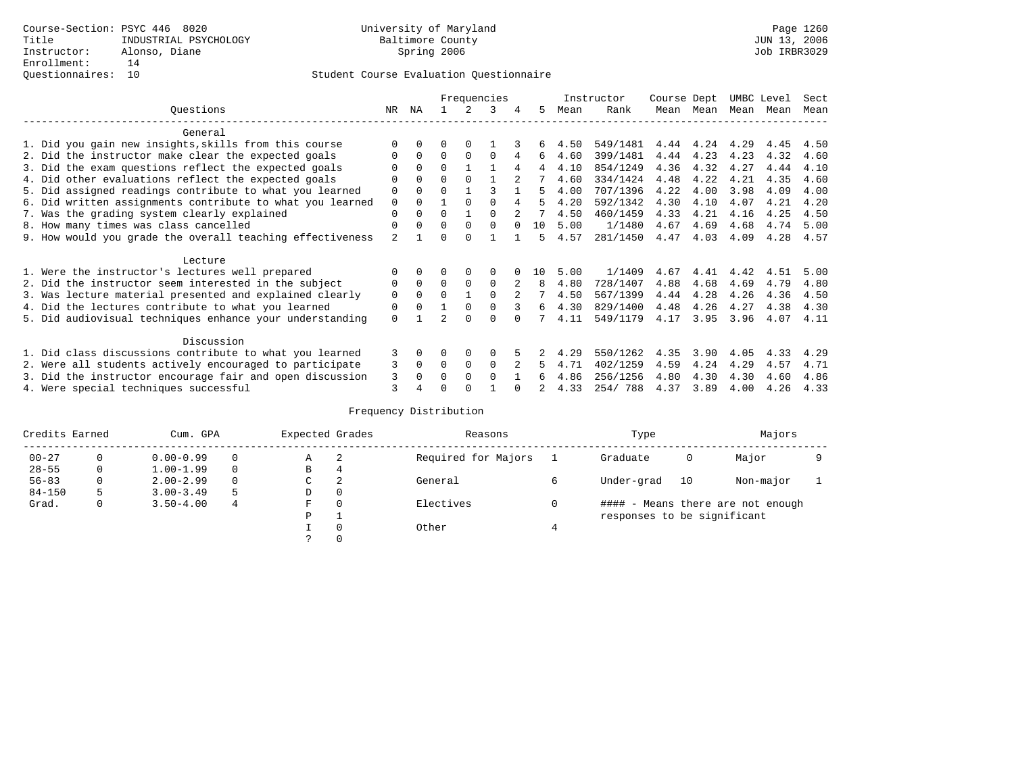|                                                           |                | Frequencies |          |             |          |                |     |      | Instructor | Course Dept |      | UMBC Level |      | Sect |
|-----------------------------------------------------------|----------------|-------------|----------|-------------|----------|----------------|-----|------|------------|-------------|------|------------|------|------|
| Ouestions                                                 | NR.            | ΝA          |          |             | 3        |                | 5.  | Mean | Rank       | Mean        | Mean | Mean       | Mean | Mean |
| General                                                   |                |             |          |             |          |                |     |      |            |             |      |            |      |      |
| 1. Did you gain new insights, skills from this course     | $\Omega$       | $\Omega$    | O        | $\Omega$    |          |                | 6   | 4.50 | 549/1481   | 4.44        | 4.24 | 4.29       | 4.45 | 4.50 |
| 2. Did the instructor make clear the expected goals       | O              | $\Omega$    | $\Omega$ | $\Omega$    | $\Omega$ | 4              | 6   | 4.60 | 399/1481   | 4.44        | 4.23 | 4.23       | 4.32 | 4.60 |
| 3. Did the exam questions reflect the expected goals      |                | $\Omega$    | $\Omega$ |             |          | 4              | 4   | 4.10 | 854/1249   | 4.36        | 4.32 | 4.27       | 4.44 | 4.10 |
| 4. Did other evaluations reflect the expected goals       | O              | $\Omega$    | $\Omega$ | $\Omega$    |          |                |     | 4.60 | 334/1424   | 4.48        | 4.22 | 4.21       | 4.35 | 4.60 |
| 5. Did assigned readings contribute to what you learned   | $\mathbf 0$    | $\Omega$    | $\Omega$ |             |          |                | 5   | 4.00 | 707/1396   | 4.22        | 4.00 | 3.98       | 4.09 | 4.00 |
| 6. Did written assignments contribute to what you learned | $\mathbf 0$    | $\Omega$    |          | $\Omega$    |          |                | 5   | 4.20 | 592/1342   | 4.30        | 4.10 | 4.07       | 4.21 | 4.20 |
| 7. Was the grading system clearly explained               | $\Omega$       | $\Omega$    | $\Omega$ |             |          |                |     | 4.50 | 460/1459   | 4.33        | 4.21 | 4.16       | 4.25 | 4.50 |
| 8. How many times was class cancelled                     | $\Omega$       | $\Omega$    | $\Omega$ | $\Omega$    | $\Omega$ | $\Omega$       | 10  | 5.00 | 1/1480     | 4.67        | 4.69 | 4.68       | 4.74 | 5.00 |
| 9. How would you grade the overall teaching effectiveness | $\mathfrak{D}$ |             | U        | $\cap$      |          |                | 5   | 4.57 | 281/1450   | 4.47        | 4.03 | 4.09       | 4.28 | 4.57 |
| Lecture                                                   |                |             |          |             |          |                |     |      |            |             |      |            |      |      |
| 1. Were the instructor's lectures well prepared           |                |             |          |             | $\Omega$ |                | 1 O | 5.00 | 1/1409     | 4.67        | 4.41 | 4.42       | 4.51 | 5.00 |
| 2. Did the instructor seem interested in the subject      | 0              | $\Omega$    | $\Omega$ | $\Omega$    | $\Omega$ | $\overline{a}$ | 8   | 4.80 | 728/1407   | 4.88        | 4.68 | 4.69       | 4.79 | 4.80 |
| 3. Was lecture material presented and explained clearly   | $\mathbf 0$    | $\Omega$    | $\Omega$ |             | $\Omega$ |                |     | 4.50 | 567/1399   | 4.44        | 4.28 | 4.26       | 4.36 | 4.50 |
| 4. Did the lectures contribute to what you learned        | 0              | $\Omega$    |          | $\Omega$    |          |                | б.  | 4.30 | 829/1400   | 4.48        | 4.26 | 4.27       | 4.38 | 4.30 |
| 5. Did audiovisual techniques enhance your understanding  | $\Omega$       |             |          | ∩           | U        |                |     | 4.11 | 549/1179   | 4.17        | 3.95 | 3.96       | 4.07 | 4.11 |
| Discussion                                                |                |             |          |             |          |                |     |      |            |             |      |            |      |      |
| 1. Did class discussions contribute to what you learned   | 3              | $\Omega$    | U        | $\Omega$    | $\Omega$ |                |     | 4.29 | 550/1262   | 4.35        | 3.90 | 4.05       | 4.33 | 4.29 |
| 2. Were all students actively encouraged to participate   | 3              | $\Omega$    | $\Omega$ | $\mathbf 0$ | $\Omega$ |                | 5.  | 4.71 | 402/1259   | 4.59        | 4.24 | 4.29       | 4.57 | 4.71 |
| 3. Did the instructor encourage fair and open discussion  | 3              | $\Omega$    | 0        | $\Omega$    | $\Omega$ |                |     | 4.86 | 256/1256   | 4.80        | 4.30 | 4.30       | 4.60 | 4.86 |
| 4. Were special techniques successful                     | 3              |             |          |             |          |                |     | 4.33 | 254/788    | 4.37        | 3.89 | 4.00       | 4.26 | 4.33 |

| Credits Earned        | Cum. GPA |               | Expected Grades |   | Reasons  |                     | Type | Majors                      |                                   |           |  |
|-----------------------|----------|---------------|-----------------|---|----------|---------------------|------|-----------------------------|-----------------------------------|-----------|--|
| $00 - 27$<br>$\Omega$ |          | $0.00 - 0.99$ |                 | А | -2       | Required for Majors |      | Graduate                    | 0                                 | Major     |  |
| $28 - 55$             | 0        | $1.00 - 1.99$ |                 | В | 4        |                     |      |                             |                                   |           |  |
| $56 - 83$             | 0        | $2.00 - 2.99$ |                 | C | 2        | General             |      | Under-grad                  | 10                                | Non-major |  |
| $84 - 150$            | 5        | $3.00 - 3.49$ | .5              | D | 0        |                     |      |                             |                                   |           |  |
| Grad.                 | 0        | $3.50 - 4.00$ | 4               | F | 0        | Electives           | 0    |                             | #### - Means there are not enough |           |  |
|                       |          |               |                 | Ρ |          |                     |      | responses to be significant |                                   |           |  |
|                       |          |               |                 |   | $\Omega$ | Other               |      |                             |                                   |           |  |
|                       |          |               |                 |   |          |                     |      |                             |                                   |           |  |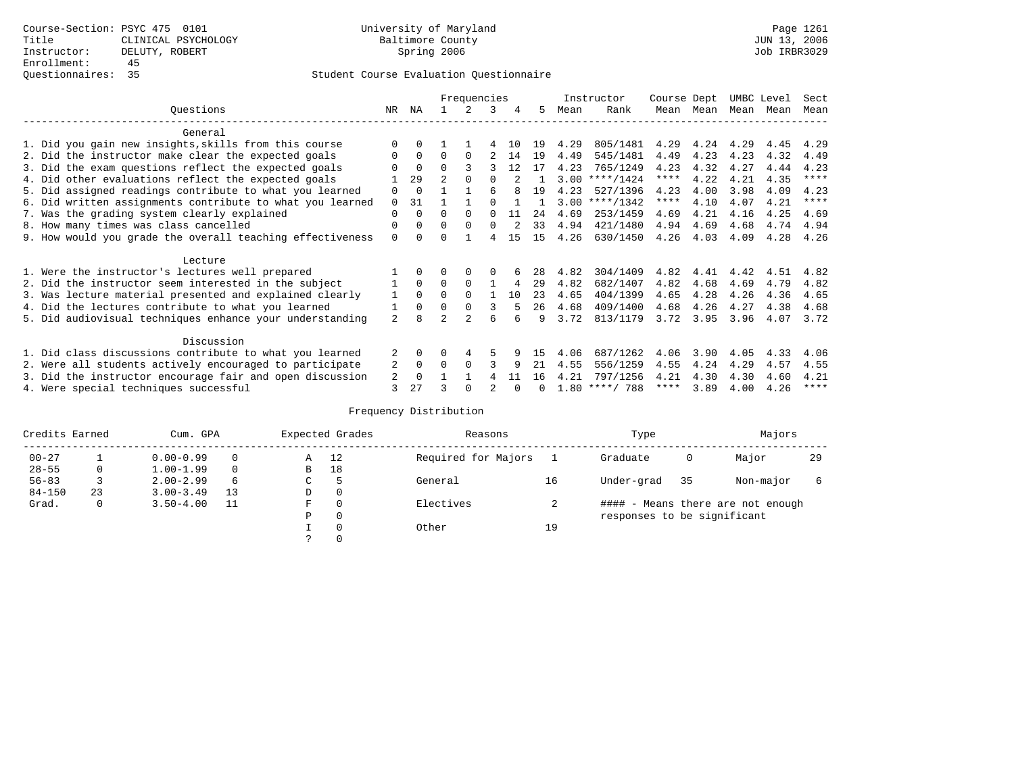|                                                           |                |              |                | Frequencies    |   |     |     |      | Instructor       | Course Dept |      | UMBC Level |      | Sect        |
|-----------------------------------------------------------|----------------|--------------|----------------|----------------|---|-----|-----|------|------------------|-------------|------|------------|------|-------------|
| Ouestions                                                 | NR.            | ΝA           |                |                | 3 | 4   | 5   | Mean | Rank             | Mean        | Mean | Mean       | Mean | Mean        |
| General                                                   |                |              |                |                |   |     |     |      |                  |             |      |            |      |             |
| 1. Did you gain new insights, skills from this course     |                |              |                |                |   | 1 ∩ | 19  | 4.29 | 805/1481         | 4.29        | 4.24 | 4.29       | 4.45 | 4.29        |
| 2. Did the instructor make clear the expected goals       |                | 0            | 0              | $\Omega$       |   | 14  | 19  | 4.49 | 545/1481         | 4.49        | 4.23 | 4.23       | 4.32 | 4.49        |
| 3. Did the exam questions reflect the expected goals      |                | $\Omega$     | $\Omega$       |                |   | 12  | 17  | 4.23 | 765/1249         | 4.23        | 4.32 | 4.27       | 4.44 | 4.23        |
| 4. Did other evaluations reflect the expected goals       |                | 29           | $\overline{a}$ |                |   |     |     | 3.00 | $***/1424$       | $***$ * * * | 4.22 | 4.21       | 4.35 | ****        |
| 5. Did assigned readings contribute to what you learned   | 0              | $\Omega$     |                |                | 6 |     | 19  | 4.23 | 527/1396         | 4.23        | 4.00 | 3.98       | 4.09 | 4.23        |
| 6. Did written assignments contribute to what you learned | $\Omega$       | 31           |                |                |   |     |     |      | $3.00$ ****/1342 | $***$ * *   | 4.10 | 4.07       | 4.21 | $***$ * * * |
| 7. Was the grading system clearly explained               | 0              | 0            | U              | <sup>0</sup>   |   | -11 | 2.4 | 4.69 | 253/1459         | 4.69        | 4.21 | 4.16       | 4.25 | 4.69        |
|                                                           | 0              | $\Omega$     | 0              | $\Omega$       | 0 |     | 33  | 4.94 | 421/1480         | 4.94        | 4.69 | 4.68       | 4.74 | 4.94        |
| 8. How many times was class cancelled                     |                |              |                |                |   | 15  | 15  | 4.26 | 630/1450         | 4.26        | 4.03 | 4.09       | 4.28 | 4.26        |
| 9. How would you grade the overall teaching effectiveness | 0              | <sup>n</sup> |                |                |   |     |     |      |                  |             |      |            |      |             |
| Lecture                                                   |                |              |                |                |   |     |     |      |                  |             |      |            |      |             |
| 1. Were the instructor's lectures well prepared           |                |              |                |                |   |     | 28  | 4.82 | 304/1409         | 4.82        | 4.41 | 4.42       | 4.51 | 4.82        |
| 2. Did the instructor seem interested in the subject      |                | $\Omega$     | 0              | $\Omega$       |   | 4   | 29  | 4.82 | 682/1407         | 4.82        | 4.68 | 4.69       | 4.79 | 4.82        |
| 3. Was lecture material presented and explained clearly   | 1              | $\Omega$     | 0              | $\Omega$       |   | 1 O | 23  | 4.65 | 404/1399         | 4.65        | 4.28 | 4.26       | 4.36 | 4.65        |
| 4. Did the lectures contribute to what you learned        |                | $\Omega$     | $\Omega$       | $\Omega$       | 3 |     | 26  | 4.68 | 409/1400         | 4.68        | 4.26 | 4.27       | 4.38 | 4.68        |
| 5. Did audiovisual techniques enhance your understanding  | $\overline{a}$ |              |                | $\mathfrak{D}$ | 6 |     | 9   | 3.72 | 813/1179         | 3.72        | 3.95 | 3.96       | 4.07 | 3.72        |
|                                                           |                |              |                |                |   |     |     |      |                  |             |      |            |      |             |
| Discussion                                                |                |              |                |                |   |     |     |      |                  |             |      |            |      |             |
| 1. Did class discussions contribute to what you learned   | 2              | $\Omega$     | 0              | 4              | 5 |     | 15  | 4.06 | 687/1262         | 4.06        | 3.90 | 4.05       | 4.33 | 4.06        |
| 2. Were all students actively encouraged to participate   | 2              | 0            | 0              | $\Omega$       |   | 9   | 21  | 4.55 | 556/1259         | 4.55        | 4.24 | 4.29       | 4.57 | 4.55        |
| 3. Did the instructor encourage fair and open discussion  | 2              | $\Omega$     |                |                |   | -11 | 16  | 4.21 | 797/1256         | 4.21        | 4.30 | 4.30       | 4.60 | 4.21        |
| 4. Were special techniques successful                     | 3              | 27           |                |                |   |     |     |      | $1.80$ ****/ 788 | ****        | 3.89 | 4.00       | 4.26 | ****        |

| Credits Earned |    | Cum. GPA            |    |   | Expected Grades | Reasons             |    | Type                        | Majors                            |           |    |
|----------------|----|---------------------|----|---|-----------------|---------------------|----|-----------------------------|-----------------------------------|-----------|----|
| $00 - 27$      |    | $0.00 - 0.99$       |    | Α | 12              | Required for Majors |    | Graduate                    | 0                                 | Major     | 29 |
| $28 - 55$      | 0  | $1.00 - 1.99$       |    | B | 18              |                     |    |                             |                                   |           |    |
| $56 - 83$      |    | $2.00 - 2.99$       | 6  | C | 5               | General             | 16 | Under-grad                  | 35                                | Non-major |    |
| $84 - 150$     | 23 | $3.00 - 3.49$       | 13 | D | 0               |                     |    |                             |                                   |           |    |
| Grad.          | 0  | $3.50 - 4.00$<br>11 |    | F | 0               | Electives           |    |                             | #### - Means there are not enough |           |    |
|                |    |                     |    | Ρ | 0               |                     |    | responses to be significant |                                   |           |    |
|                |    |                     |    |   | $\Omega$        | Other               | 19 |                             |                                   |           |    |
|                |    |                     |    |   |                 |                     |    |                             |                                   |           |    |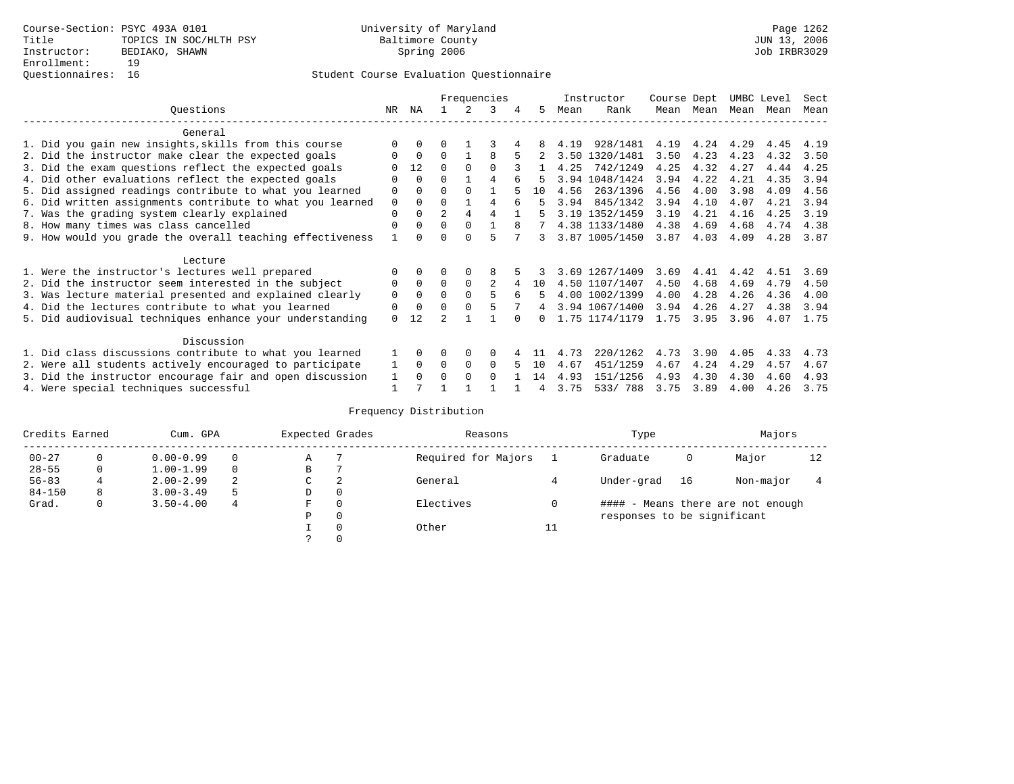## Questionnaires: 16 Student Course Evaluation Questionnaire

|                                                           |             |              |                |          | Frequencies    |   |     |      | Instructor     | Course Dept |      | UMBC Level |      | Sect |
|-----------------------------------------------------------|-------------|--------------|----------------|----------|----------------|---|-----|------|----------------|-------------|------|------------|------|------|
| Ouestions                                                 | NR.         | ΝA           |                |          | 3              |   | 5.  | Mean | Rank           | Mean        | Mean | Mean       | Mean | Mean |
| General                                                   |             |              |                |          |                |   |     |      |                |             |      |            |      |      |
| 1. Did you gain new insights, skills from this course     |             | $\Omega$     | U              |          |                |   |     | 4.19 | 928/1481       | 4.19        | 4.24 | 4.29       | 4.45 | 4.19 |
|                                                           | O           | $\Omega$     | $\Omega$       |          | R              |   |     |      | 3.50 1320/1481 | 3.50        | 4.23 | 4.23       | 4.32 | 3.50 |
| 2. Did the instructor make clear the expected goals       |             |              |                |          |                |   |     |      |                |             |      |            |      |      |
| 3. Did the exam questions reflect the expected goals      |             | 12           | $\Omega$       | $\Omega$ | $\Omega$       |   |     | 4.25 | 742/1249       | 4.25        | 4.32 | 4.27       | 4.44 | 4.25 |
| 4. Did other evaluations reflect the expected goals       | O           | $\Omega$     | $\Omega$       |          | 4              |   |     |      | 3.94 1048/1424 | 3.94        | 4.22 | 4.21       | 4.35 | 3.94 |
| 5. Did assigned readings contribute to what you learned   | $\mathbf 0$ | $\Omega$     | $\Omega$       | $\Omega$ |                |   | 1 O | 4.56 | 263/1396       | 4.56        | 4.00 | 3.98       | 4.09 | 4.56 |
| 6. Did written assignments contribute to what you learned | $\mathbf 0$ | $\Omega$     | $\Omega$       |          | 4              |   | Б.  | 3.94 | 845/1342       | 3.94        | 4.10 | 4.07       | 4.21 | 3.94 |
| 7. Was the grading system clearly explained               | $\Omega$    | $\Omega$     | $\overline{a}$ | 4        | 4              |   |     |      | 3.19 1352/1459 | 3.19        | 4.21 | 4.16       | 4.25 | 3.19 |
| 8. How many times was class cancelled                     | $\Omega$    | $\Omega$     | $\Omega$       | $\Omega$ |                | 8 |     |      | 4.38 1133/1480 | 4.38        | 4.69 | 4.68       | 4.74 | 4.38 |
| 9. How would you grade the overall teaching effectiveness |             | <sup>n</sup> | U              | ∩        |                |   | 3   |      | 3.87 1005/1450 | 3.87        | 4.03 | 4.09       | 4.28 | 3.87 |
| Lecture                                                   |             |              |                |          |                |   |     |      |                |             |      |            |      |      |
| 1. Were the instructor's lectures well prepared           |             |              |                |          | 8              |   |     |      | 3.69 1267/1409 | 3.69        | 4.41 | 4.42       | 4.51 | 3.69 |
| 2. Did the instructor seem interested in the subject      | 0           | $\Omega$     | $\Omega$       | $\Omega$ | $\mathfrak{D}$ |   | 10  |      | 4.50 1107/1407 | 4.50        | 4.68 | 4.69       | 4.79 | 4.50 |
|                                                           | $\mathbf 0$ | $\Omega$     | $\Omega$       | $\Omega$ |                | 6 | 5.  |      | 4.00 1002/1399 | 4.00        | 4.28 | 4.26       | 4.36 | 4.00 |
| 3. Was lecture material presented and explained clearly   |             |              |                |          |                |   |     |      |                |             |      |            |      |      |
| 4. Did the lectures contribute to what you learned        | 0           | $\Omega$     | $\Omega$       |          |                |   | 4   |      | 3.94 1067/1400 | 3.94        | 4.26 | 4.27       | 4.38 | 3.94 |
| 5. Did audiovisual techniques enhance your understanding  | $\Omega$    | 12           |                |          |                |   |     |      | 1.75 1174/1179 | 1.75        | 3.95 | 3.96       | 4.07 | 1.75 |
| Discussion                                                |             |              |                |          |                |   |     |      |                |             |      |            |      |      |
| 1. Did class discussions contribute to what you learned   |             | $\Omega$     | U              | $\Omega$ | $\Omega$       |   |     | 4.73 | 220/1262       | 4.73        | 3.90 | 4.05       | 4.33 | 4.73 |
| 2. Were all students actively encouraged to participate   |             | $\Omega$     | $\Omega$       | $\Omega$ | $\Omega$       |   | 10  | 4.67 | 451/1259       | 4.67        | 4.24 | 4.29       | 4.57 | 4.67 |
| 3. Did the instructor encourage fair and open discussion  | 1           | $\Omega$     | 0              | $\Omega$ | $\Omega$       |   | 14  | 4.93 | 151/1256       | 4.93        | 4.30 | 4.30       | 4.60 | 4.93 |
| 4. Were special techniques successful                     |             |              |                |          |                |   |     | 3.75 | 533/788        | 3.75        | 3.89 | 4.00       | 4.26 | 3.75 |

| Credits Earned |          | Cum. GPA      |    | Expected Grades |          | Reasons             |    | Type                        |    | Majors                            |    |
|----------------|----------|---------------|----|-----------------|----------|---------------------|----|-----------------------------|----|-----------------------------------|----|
| $00 - 27$      | $\Omega$ | $0.00 - 0.99$ |    | Α               |          | Required for Majors |    | Graduate                    | 0  | Major                             | 12 |
| $28 - 55$      | 0        | $1.00 - 1.99$ |    | В               |          |                     |    |                             |    |                                   |    |
| $56 - 83$      |          | $2.00 - 2.99$ | 2  | $\sim$<br>◡     | 2        | General             |    | Under-grad                  | 16 | Non-major                         |    |
| $84 - 150$     | 8        | $3.00 - 3.49$ | .5 | D               | 0        |                     |    |                             |    |                                   |    |
| Grad.          | 0        | $3.50 - 4.00$ | 4  | F               | 0        | Electives           | 0  |                             |    | #### - Means there are not enough |    |
|                |          |               |    | Ρ               | 0        |                     |    | responses to be significant |    |                                   |    |
|                |          |               |    |                 | $\Omega$ | Other               | ⊥⊥ |                             |    |                                   |    |
|                |          |               |    |                 |          |                     |    |                             |    |                                   |    |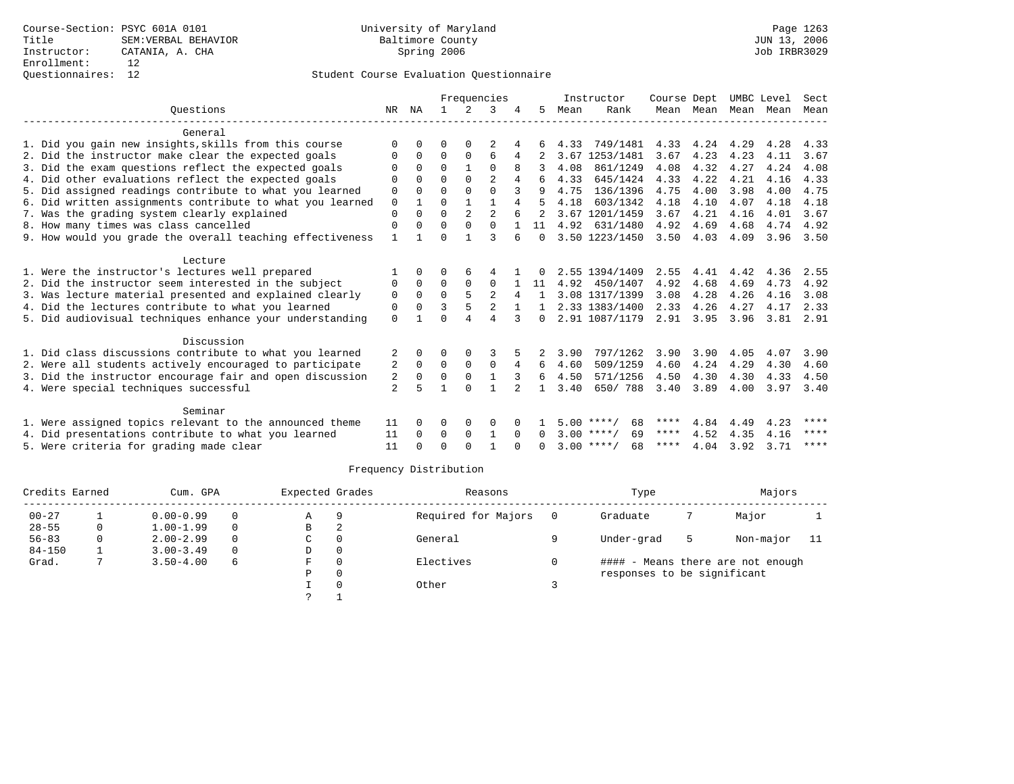|                                                           |              |             |          |               | Frequencies    |                |              |      | Instructor         | Course Dept |           | UMBC Level |      | Sect        |
|-----------------------------------------------------------|--------------|-------------|----------|---------------|----------------|----------------|--------------|------|--------------------|-------------|-----------|------------|------|-------------|
| Ouestions                                                 | NR           | ΝA          |          | $\mathcal{L}$ |                |                | 5.           | Mean | Rank               |             | Mean Mean | Mean Mean  |      | Mean        |
| General                                                   |              |             |          |               |                |                |              |      |                    |             |           |            |      |             |
| 1. Did you gain new insights, skills from this course     | U            |             | U        |               |                |                |              | 4.33 | 749/1481           | 4.33        | 4.24      | 4.29       | 4.28 | 4.33        |
| 2. Did the instructor make clear the expected goals       | $\Omega$     | $\Omega$    | $\Omega$ | $\Omega$      | б              | 4              |              | 3.67 | 1253/1481          | 3.67        | 4.23      | 4.23       | 4.11 | 3.67        |
| 3. Did the exam questions reflect the expected goals      | $\Omega$     | $\Omega$    | $\Omega$ |               | $\Omega$       |                |              | 4.08 | 861/1249           | 4.08        | 4.32      | 4.27       | 4.24 | 4.08        |
| 4. Did other evaluations reflect the expected goals       | 0            | $\Omega$    | $\Omega$ | $\Omega$      | $\overline{2}$ | 4              | 6            | 4.33 | 645/1424           | 4.33        | 4.22      | 4.21       | 4.16 | 4.33        |
| 5. Did assigned readings contribute to what you learned   | $\mathbf 0$  | $\Omega$    | $\Omega$ | $\Omega$      | $\Omega$       | 3              |              | 4.75 | 136/1396           | 4.75        | 4.00      | 3.98       | 4.00 | 4.75        |
| 6. Did written assignments contribute to what you learned | $\mathbf 0$  |             | $\Omega$ |               |                | 4              |              | 4.18 | 603/1342           | 4.18        | 4.10      | 4.07       | 4.18 | 4.18        |
| 7. Was the grading system clearly explained               | $\mathbf 0$  | $\Omega$    | $\Omega$ | 2             | $\overline{c}$ |                |              |      | 3.67 1201/1459     | 3.67        | 4.21      | 4.16       | 4.01 | 3.67        |
| 8. How many times was class cancelled                     | $\mathbf 0$  | $\Omega$    | $\Omega$ | $\Omega$      | $\Omega$       |                | 11           | 4.92 | 631/1480           | 4.92        | 4.69      | 4.68       | 4.74 | 4.92        |
| 9. How would you grade the overall teaching effectiveness | $\mathbf{1}$ |             | U        |               | ς              |                | $\Omega$     |      | 3.50 1223/1450     | 3.50        | 4.03      | 4.09       | 3.96 | 3.50        |
|                                                           |              |             |          |               |                |                |              |      |                    |             |           |            |      |             |
| Lecture                                                   |              |             |          |               |                |                |              |      |                    |             |           |            |      |             |
| 1. Were the instructor's lectures well prepared           |              | 0           |          | 6             |                |                |              |      | 2.55 1394/1409     | 2.55        | 4.41      | 4.42       | 4.36 | 2.55        |
| 2. Did the instructor seem interested in the subject      | 0            | $\Omega$    | $\Omega$ | $\Omega$      | $\Omega$       |                | 11           | 4.92 | 450/1407           | 4.92        | 4.68      | 4.69       | 4.73 | 4.92        |
| 3. Was lecture material presented and explained clearly   | $\mathbf 0$  | $\mathbf 0$ | 0        |               | 2              | 4              | 1            |      | 3.08 1317/1399     | 3.08        | 4.28      | 4.26       | 4.16 | 3.08        |
| 4. Did the lectures contribute to what you learned        | 0            | $\Omega$    | ζ        |               | $\overline{2}$ |                |              |      | 2.33 1383/1400     | 2.33        | 4.26      | 4.27       | 4.17 | 2.33        |
| 5. Did audiovisual techniques enhance your understanding  | $\Omega$     |             |          |               |                |                | 0            |      | 2.91 1087/1179     | 2.91        | 3.95      | 3.96       | 3.81 | 2.91        |
| Discussion                                                |              |             |          |               |                |                |              |      |                    |             |           |            |      |             |
| 1. Did class discussions contribute to what you learned   |              | $\Omega$    | O        | $\Omega$      |                |                |              | 3.90 | 797/1262           | 3.90        | 3.90      | 4.05       | 4.07 | 3.90        |
| 2. Were all students actively encouraged to participate   | 2            | $\Omega$    | $\Omega$ | $\Omega$      | $\Omega$       | 4              | 6            | 4.60 | 509/1259           | 4.60        | 4.24      | 4.29       | 4.30 | 4.60        |
| 3. Did the instructor encourage fair and open discussion  | 2            | $\Omega$    | $\Omega$ | $\Omega$      |                |                | 6            | 4.50 | 571/1256           | 4.50        | 4.30      | 4.30       | 4.33 | 4.50        |
| 4. Were special techniques successful                     | 2            | 5           |          | $\cap$        | 1              | $\mathfrak{D}$ | $\mathbf{1}$ | 3.40 | 650/788            | 3.40        | 3.89      | 4.00       | 3.97 | 3.40        |
|                                                           |              |             |          |               |                |                |              |      |                    |             |           |            |      |             |
| Seminar                                                   |              |             |          |               |                |                |              |      |                    |             |           |            |      |             |
| 1. Were assigned topics relevant to the announced theme   | 11           | $\Omega$    | 0        | 0             | $\Omega$       |                |              |      | $5.00$ ****/<br>68 | ****        | 4.84      | 4.49       | 4.23 | ****        |
| 4. Did presentations contribute to what you learned       | 11           | $\Omega$    | 0        | $\mathbf 0$   |                | $\Omega$       | $\Omega$     |      | 69<br>$3.00$ ****/ | ****        | 4.52      | 4.35       | 4.16 | ****        |
| 5. Were criteria for grading made clear                   | 11           |             | $\Omega$ | $\cap$        |                |                |              |      | $3.00$ ****/<br>68 | ****        | 4.04      | 3.92       | 3.71 | $***$ * * * |
|                                                           |              |             |          |               |                |                |              |      |                    |             |           |            |      |             |

| Credits Earned |   | Cum. GPA      |          | Expected Grades |          | Reasons             |     | Type                        |   | Majors                            |     |
|----------------|---|---------------|----------|-----------------|----------|---------------------|-----|-----------------------------|---|-----------------------------------|-----|
| $00 - 27$      |   | $0.00 - 0.99$ | 0        | Α               | 9        | Required for Majors | - 0 | Graduate                    |   | Major                             |     |
| $28 - 55$      | 0 | $1.00 - 1.99$ | $\Omega$ | B               |          |                     |     |                             |   |                                   |     |
| $56 - 83$      | 0 | $2.00 - 2.99$ | $\Omega$ | C               | $\Omega$ | General             |     | Under-grad                  | 5 | Non-major                         | -11 |
| $84 - 150$     |   | $3.00 - 3.49$ | 0        | D               | 0        |                     |     |                             |   |                                   |     |
| Grad.          |   | $3.50 - 4.00$ | 6        | F.              | $\Omega$ | Electives           |     |                             |   | #### - Means there are not enough |     |
|                |   |               |          | Ρ               | 0        |                     |     | responses to be significant |   |                                   |     |
|                |   |               |          |                 |          | Other               |     |                             |   |                                   |     |
|                |   |               |          |                 |          |                     |     |                             |   |                                   |     |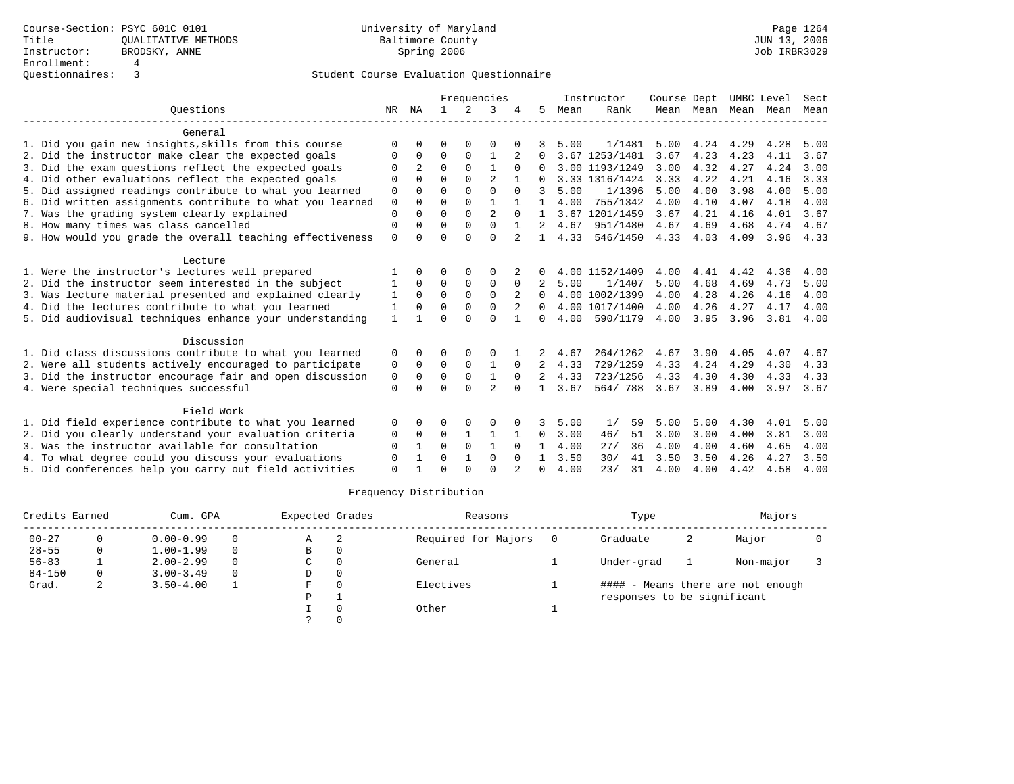|                                                           |             |              |              |               | Frequencies    |              |                |      | Instructor     | Course Dept |           | UMBC Level |      | Sect |
|-----------------------------------------------------------|-------------|--------------|--------------|---------------|----------------|--------------|----------------|------|----------------|-------------|-----------|------------|------|------|
| Ouestions                                                 | NR          | ΝA           | $\mathbf{1}$ | $\mathcal{L}$ | 3              |              | 5.             | Mean | Rank           |             | Mean Mean | Mean       | Mean | Mean |
| General                                                   |             |              |              |               |                |              |                |      |                |             |           |            |      |      |
| 1. Did you gain new insights, skills from this course     | $\Omega$    |              | O            | 0             | 0              |              |                | 5.00 | 1/1481         | 5.00        | 4.24      | 4.29       | 4.28 | 5.00 |
| 2. Did the instructor make clear the expected goals       | 0           | $\Omega$     | $\Omega$     | 0             | 1              |              | 0              |      | 3.67 1253/1481 | 3.67        | 4.23      | 4.23       | 4.11 | 3.67 |
| 3. Did the exam questions reflect the expected goals      | $\Omega$    |              | $\Omega$     | $\Omega$      | $\mathbf{1}$   | $\Omega$     |                |      | 3.00 1193/1249 | 3.00        | 4.32      | 4.27       | 4.24 | 3.00 |
| 4. Did other evaluations reflect the expected goals       | $\Omega$    | 0            | $\Omega$     | $\Omega$      | $\mathfrak{D}$ |              | 0              |      | 3.33 1316/1424 | 3.33        | 4.22      | 4.21       | 4.16 | 3.33 |
| 5. Did assigned readings contribute to what you learned   | 0           | O            | $\Omega$     | 0             | $\Omega$       | $\Omega$     | 3              | 5.00 | 1/1396         | 5.00        | 4.00      | 3.98       | 4.00 | 5.00 |
| 6. Did written assignments contribute to what you learned | $\mathbf 0$ | $\Omega$     | $\Omega$     | $\Omega$      | $\mathbf{1}$   |              | 1.             | 4.00 | 755/1342       | 4.00        | 4.10      | 4.07       | 4.18 | 4.00 |
| 7. Was the grading system clearly explained               | $\Omega$    | $\Omega$     | $\Omega$     | $\Omega$      | $\overline{a}$ | $\Omega$     |                |      | 3.67 1201/1459 | 3.67        | 4.21      | 4.16       | 4.01 | 3.67 |
| 8. How many times was class cancelled                     | $\mathbf 0$ | 0            | $\Omega$     | $\Omega$      | $\Omega$       | $\mathbf{1}$ | 2              | 4.67 | 951/1480       | 4.67        | 4.69      | 4.68       | 4.74 | 4.67 |
| 9. How would you grade the overall teaching effectiveness | $\Omega$    | $\cap$       | $\Omega$     | $\cap$        | $\Omega$       |              | $\mathbf{1}$   | 4.33 | 546/1450       | 4.33        | 4.03      | 4.09       | 3.96 | 4.33 |
| Lecture                                                   |             |              |              |               |                |              |                |      |                |             |           |            |      |      |
| 1. Were the instructor's lectures well prepared           |             | 0            | O            | 0             | $\Omega$       |              |                |      | 4.00 1152/1409 | 4.00        | 4.41      | 4.42       | 4.36 | 4.00 |
| 2. Did the instructor seem interested in the subject      |             | $\Omega$     | $\Omega$     | 0             | $\mathbf 0$    | $\Omega$     |                | 5.00 | 1/1407         | 5.00        | 4.68      | 4.69       | 4.73 | 5.00 |
| 3. Was lecture material presented and explained clearly   | 1           | $\Omega$     | $\Omega$     | $\Omega$      | $\Omega$       | 2            | 0              |      | 4.00 1002/1399 | 4.00        | 4.28      | 4.26       | 4.16 | 4.00 |
| 4. Did the lectures contribute to what you learned        | 1           | $\Omega$     | $\Omega$     | 0             | $\mathbf 0$    | 2            | 0              |      | 4.00 1017/1400 | 4.00        | 4.26      | 4.27       | 4.17 | 4.00 |
| 5. Did audiovisual techniques enhance your understanding  | 1           |              | $\Omega$     | $\cap$        | $\Omega$       | $\mathbf{1}$ | 0              | 4.00 | 590/1179       | 4.00        | 3.95      | 3.96       | 3.81 | 4.00 |
| Discussion                                                |             |              |              |               |                |              |                |      |                |             |           |            |      |      |
| 1. Did class discussions contribute to what you learned   | 0           | 0            | O            | $\Omega$      | $\Omega$       |              |                | 4.67 | 264/1262       | 4.67        | 3.90      | 4.05       | 4.07 | 4.67 |
| 2. Were all students actively encouraged to participate   | 0           | $\Omega$     | $\Omega$     | $\Omega$      | $\mathbf{1}$   | $\Omega$     |                | 4.33 | 729/1259       | 4.33        | 4.24      | 4.29       | 4.30 | 4.33 |
| 3. Did the instructor encourage fair and open discussion  | 0           | $\Omega$     | $\Omega$     | $\Omega$      | $\mathbf{1}$   | $\Omega$     | $\overline{2}$ | 4.33 | 723/1256       | 4.33        | 4.30      | 4.30       | 4.33 | 4.33 |
| 4. Were special techniques successful                     | $\Omega$    | <sup>0</sup> | $\Omega$     | $\Omega$      | $\mathfrak{D}$ | <sup>0</sup> |                | 3.67 | 564/788        | 3.67        | 3.89      | 4.00       | 3.97 | 3.67 |
| Field Work                                                |             |              |              |               |                |              |                |      |                |             |           |            |      |      |
| 1. Did field experience contribute to what you learned    | $\Omega$    | <sup>0</sup> | O            | $\Omega$      | $\Omega$       |              | 3              | 5.00 | 1/<br>59       | 5.00        | 5.00      | 4.30       | 4.01 | 5.00 |
| 2. Did you clearly understand your evaluation criteria    | 0           | 0            | 0            | 1             | 1              |              | 0              | 3.00 | 46/<br>51      | 3.00        | 3.00      | 4.00       | 3.81 | 3.00 |
| 3. Was the instructor available for consultation          | $\Omega$    |              | $\Omega$     | $\Omega$      | 1              | $\Omega$     |                | 4.00 | 27/<br>36      | 4.00        | 4.00      | 4.60       | 4.65 | 4.00 |
| 4. To what degree could you discuss your evaluations      | $\Omega$    |              | $\Omega$     |               | $\Omega$       | $\Omega$     |                | 3.50 | 30/<br>41      | 3.50        | 3.50      | 4.26       | 4.27 | 3.50 |
| 5. Did conferences help you carry out field activities    | $\Omega$    |              | $\Omega$     | $\Omega$      | $\Omega$       |              | <sup>0</sup>   | 4.00 | 23/<br>31      | 4.00        | 4.00      | 4.42       | 4.58 | 4.00 |

| Credits Earned |   | Cum. GPA      |          | Expected Grades |          | Reasons             | Type                        |   | Majors                            |  |
|----------------|---|---------------|----------|-----------------|----------|---------------------|-----------------------------|---|-----------------------------------|--|
| $00 - 27$      |   | $0.00 - 0.99$ | 0        | A               |          | Required for Majors | Graduate                    | 2 | Major                             |  |
| $28 - 55$      | 0 | $1.00 - 1.99$ | $\Omega$ | B               |          |                     |                             |   |                                   |  |
| $56 - 83$      |   | $2.00 - 2.99$ | $\Omega$ | C               |          | General             | Under-grad                  |   | Non-major                         |  |
| $84 - 150$     | 0 | $3.00 - 3.49$ | $\Omega$ | D               | $\Omega$ |                     |                             |   |                                   |  |
| Grad.          | 2 | $3.50 - 4.00$ |          | F.              |          | Electives           |                             |   | #### - Means there are not enough |  |
|                |   |               |          | P               |          |                     | responses to be significant |   |                                   |  |
|                |   |               |          |                 |          | Other               |                             |   |                                   |  |
|                |   |               |          |                 |          |                     |                             |   |                                   |  |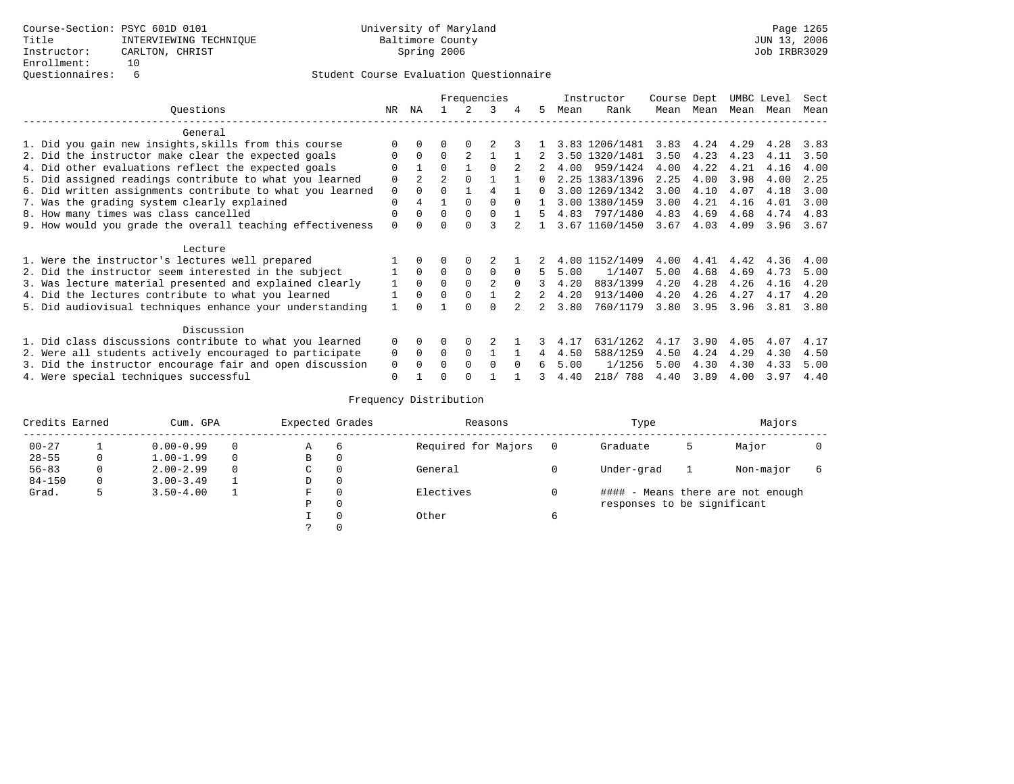|                                                           |          | Frequencies  |              |              |          |              |              | Instructor | Course Dept    |      | UMBC Level |      | Sect |      |
|-----------------------------------------------------------|----------|--------------|--------------|--------------|----------|--------------|--------------|------------|----------------|------|------------|------|------|------|
| Ouestions                                                 | NR       | ΝA           |              |              | ર        | 4            | 5            | Mean       | Rank           | Mean | Mean       | Mean | Mean | Mean |
| General                                                   |          |              |              |              |          |              |              |            |                |      |            |      |      |      |
| 1. Did you gain new insights, skills from this course     |          |              |              |              |          |              |              |            | 3.83 1206/1481 | 3.83 | 4.24       | 4.29 | 4.28 | 3.83 |
| 2. Did the instructor make clear the expected goals       | $\Omega$ | $\Omega$     | <sup>0</sup> |              |          |              |              |            | 3.50 1320/1481 | 3.50 | 4.23       | 4.23 | 4.11 | 3.50 |
| 4. Did other evaluations reflect the expected goals       |          |              | $\Omega$     |              |          |              |              | 4.00       | 959/1424       | 4.00 | 4.22       | 4.21 | 4.16 | 4.00 |
| 5. Did assigned readings contribute to what you learned   | $\Omega$ |              |              |              |          |              |              |            | 2.25 1383/1396 | 2.25 | 4.00       | 3.98 | 4.00 | 2.25 |
| 6. Did written assignments contribute to what you learned | $\Omega$ | $\Omega$     | $\cap$       |              |          |              | <sup>n</sup> |            | 3.00 1269/1342 | 3.00 | 4.10       | 4.07 | 4.18 | 3.00 |
| 7. Was the grading system clearly explained               | $\Omega$ |              |              | <sup>n</sup> | $\cap$   |              |              |            | 3.00 1380/1459 | 3.00 | 4.21       | 4.16 | 4.01 | 3.00 |
| 8. How many times was class cancelled                     | $\Omega$ | $\Omega$     | $\Omega$     | $\Omega$     | $\cap$   |              | 5            | 4.83       | 797/1480       | 4.83 | 4.69       | 4.68 | 4.74 | 4.83 |
| 9. How would you grade the overall teaching effectiveness | $\Omega$ |              | U            | ∩            |          |              |              |            | 3.67 1160/1450 | 3.67 | 4.03       | 4.09 | 3.96 | 3.67 |
| Lecture                                                   |          |              |              |              |          |              |              |            |                |      |            |      |      |      |
| 1. Were the instructor's lectures well prepared           |          | $\Omega$     | 0            | $\Omega$     |          |              |              |            | 4.00 1152/1409 | 4.00 | 4.41       | 4.42 | 4.36 | 4.00 |
| 2. Did the instructor seem interested in the subject      |          | $\Omega$     | <sup>0</sup> | $\Omega$     | $\Omega$ | $\Omega$     | 5            | 5.00       | 1/1407         | 5.00 | 4.68       | 4.69 | 4.73 | 5.00 |
| 3. Was lecture material presented and explained clearly   |          | $\Omega$     | $\Omega$     | $\Omega$     |          | $\Omega$     |              | 4.20       | 883/1399       | 4.20 | 4.28       | 4.26 | 4.16 | 4.20 |
| 4. Did the lectures contribute to what you learned        |          | <sup>0</sup> | U            |              |          |              |              | 4.20       | 913/1400       | 4.20 | 4.26       | 4.27 | 4.17 | 4.20 |
| 5. Did audiovisual techniques enhance your understanding  |          |              |              | <sup>n</sup> | $\cap$   |              |              | 3.80       | 760/1179       | 3.80 | 3.95       | 3.96 | 3.81 | 3.80 |
| Discussion                                                |          |              |              |              |          |              |              |            |                |      |            |      |      |      |
| 1. Did class discussions contribute to what you learned   | 0        | $\Omega$     | 0            | $\Omega$     |          |              |              | 4.17       | 631/1262       | 4.17 | 3.90       | 4.05 | 4.07 | 4.17 |
| 2. Were all students actively encouraged to participate   | 0        | $\Omega$     | $\Omega$     | $\Omega$     |          |              |              | 4.50       | 588/1259       | 4.50 | 4.24       | 4.29 | 4.30 | 4.50 |
| 3. Did the instructor encourage fair and open discussion  | 0        |              | U            | ∩            | $\cap$   | <sup>n</sup> |              | 5.00       | 1/1256         | 5.00 | 4.30       | 4.30 | 4.33 | 5.00 |
| 4. Were special techniques successful                     | $\Omega$ |              | U            |              |          |              |              | 4.40       | 218/ 788       | 4.40 | 3.89       | 4.00 | 3.97 | 4.40 |

| Credits Earned | Cum. GPA |               |   | Expected Grades |                | Reasons             |   | Type                        |   | Majors                            |  |
|----------------|----------|---------------|---|-----------------|----------------|---------------------|---|-----------------------------|---|-----------------------------------|--|
| $00 - 27$      |          | $0.00 - 0.99$ |   | Α               | $\overline{6}$ | Required for Majors |   | Graduate                    | 5 | Major                             |  |
| $28 - 55$      |          | $1.00 - 1.99$ | 0 | В               | 0              |                     |   |                             |   |                                   |  |
| $56 - 83$      | 0        | $2.00 - 2.99$ |   | C               | $\Omega$       | General             |   | Under-grad                  |   | Non-major                         |  |
| $84 - 150$     | 0        | $3.00 - 3.49$ |   | D               | 0              |                     |   |                             |   |                                   |  |
| Grad.          |          | $3.50 - 4.00$ |   | F               |                | Electives           |   |                             |   | #### - Means there are not enough |  |
|                |          |               |   | Ρ               | $\Omega$       |                     |   | responses to be significant |   |                                   |  |
|                |          |               |   |                 | $\Omega$       | Other               | 6 |                             |   |                                   |  |
|                |          |               |   |                 |                |                     |   |                             |   |                                   |  |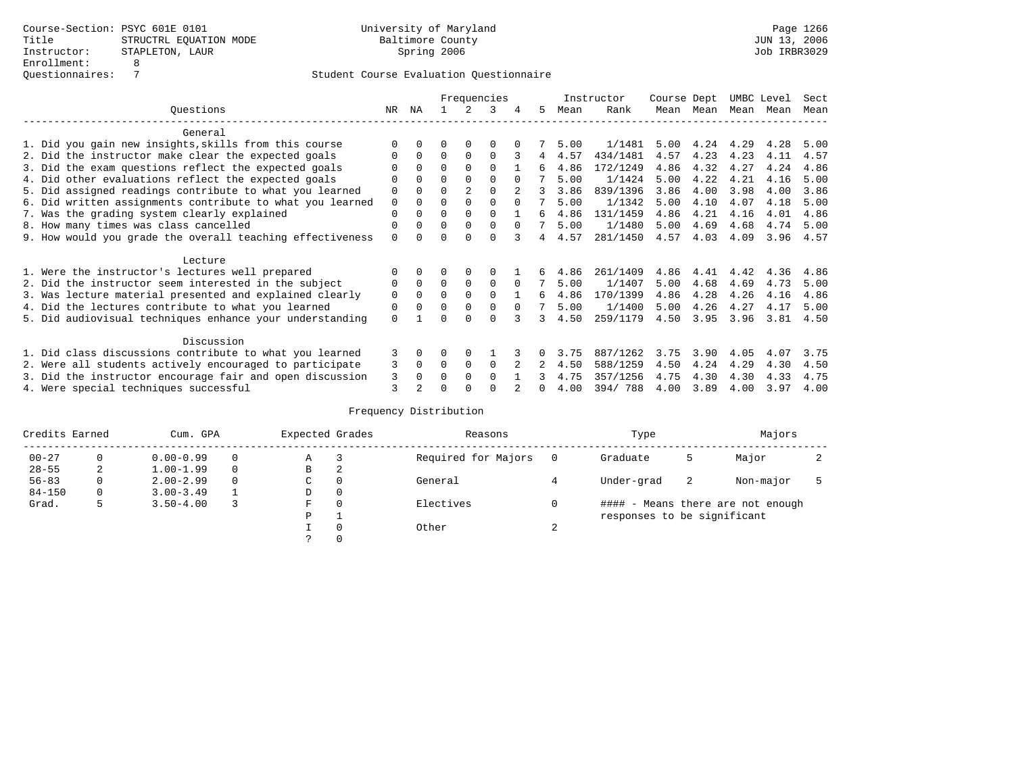|                                                           |             |              |          |                | Frequencies |          |    |      | Instructor | Course Dept |           | UMBC Level |      | Sect |
|-----------------------------------------------------------|-------------|--------------|----------|----------------|-------------|----------|----|------|------------|-------------|-----------|------------|------|------|
| Ouestions                                                 | NR.         | ΝA           |          |                | 3           | 4        | 5. | Mean | Rank       |             | Mean Mean | Mean       | Mean | Mean |
| General                                                   |             |              |          |                |             |          |    |      |            |             |           |            |      |      |
| 1. Did you gain new insights, skills from this course     |             | $\Omega$     | 0        | $\Omega$       | $\Omega$    |          |    | 5.00 | 1/1481     | 5.00        | 4.24      | 4.29       | 4.28 | 5.00 |
| 2. Did the instructor make clear the expected goals       | O           | $\Omega$     | $\Omega$ | $\Omega$       | $\Omega$    |          | 4  | 4.57 | 434/1481   | 4.57        | 4.23      | 4.23       | 4.11 | 4.57 |
| 3. Did the exam questions reflect the expected goals      |             | $\Omega$     | $\Omega$ | $\Omega$       | $\Omega$    |          | 6  | 4.86 | 172/1249   | 4.86        | 4.32      | 4.27       | 4.24 | 4.86 |
| 4. Did other evaluations reflect the expected goals       | O           | $\Omega$     | $\Omega$ | $\Omega$       | $\Omega$    |          |    | 5.00 | 1/1424     | 5.00        | 4.22      | 4.21       | 4.16 | 5.00 |
| 5. Did assigned readings contribute to what you learned   | $\mathbf 0$ | $\Omega$     | $\Omega$ | $\overline{2}$ | $\Omega$    |          | 3  | 3.86 | 839/1396   | 3.86        | 4.00      | 3.98       | 4.00 | 3.86 |
| 6. Did written assignments contribute to what you learned | $\mathbf 0$ | $\Omega$     | 0        | $\Omega$       | $\Omega$    | $\Omega$ |    | 5.00 | 1/1342     | 5.00        | 4.10      | 4.07       | 4.18 | 5.00 |
| 7. Was the grading system clearly explained               | $\mathbf 0$ | $\Omega$     | 0        | $\Omega$       | $\cap$      |          | Б. | 4.86 | 131/1459   | 4.86        | 4.21      | 4.16       | 4.01 | 4.86 |
| 8. How many times was class cancelled                     | 0           | $\Omega$     | $\Omega$ | $\Omega$       | $\Omega$    | $\Omega$ |    | 5.00 | 1/1480     | 5.00        | 4.69      | 4.68       | 4.74 | 5.00 |
| 9. How would you grade the overall teaching effectiveness | $\Omega$    | <sup>n</sup> | ∩        | ∩              | $\cap$      |          | 4  | 4.57 | 281/1450   | 4.57        | 4.03      | 4.09       | 3.96 | 4.57 |
| Lecture                                                   |             |              |          |                |             |          |    |      |            |             |           |            |      |      |
| 1. Were the instructor's lectures well prepared           |             |              |          | $\Omega$       | $\Omega$    |          |    | 4.86 | 261/1409   | 4.86        | 4.41      | 4.42       | 4.36 | 4.86 |
| 2. Did the instructor seem interested in the subject      | 0           | $\Omega$     | $\Omega$ | $\Omega$       | $\Omega$    | $\Omega$ |    | 5.00 | 1/1407     | 5.00        | 4.68      | 4.69       | 4.73 | 5.00 |
| 3. Was lecture material presented and explained clearly   | 0           | $\Omega$     | $\Omega$ | $\Omega$       | $\Omega$    |          | б. | 4.86 | 170/1399   | 4.86        | 4.28      | 4.26       | 4.16 | 4.86 |
| 4. Did the lectures contribute to what you learned        | 0           | $\Omega$     | $\Omega$ | $\Omega$       | $\Omega$    | $\Omega$ |    | 5.00 | 1/1400     | 5.00        | 4.26      | 4.27       | 4.17 | 5.00 |
| 5. Did audiovisual techniques enhance your understanding  | $\Omega$    |              |          |                | $\cap$      |          | २  | 4.50 | 259/1179   | 4.50        | 3.95      | 3.96       | 3.81 | 4.50 |
| Discussion                                                |             |              |          |                |             |          |    |      |            |             |           |            |      |      |
| 1. Did class discussions contribute to what you learned   | 3           | $\Omega$     | O        | $\Omega$       |             |          |    | 3.75 | 887/1262   | 3.75        | 3.90      | 4.05       | 4.07 | 3.75 |
| 2. Were all students actively encouraged to participate   | 3           | $\Omega$     | $\Omega$ | $\Omega$       | $\Omega$    |          |    | 4.50 | 588/1259   | 4.50        | 4.24      | 4.29       | 4.30 | 4.50 |
| 3. Did the instructor encourage fair and open discussion  | 3           | $\Omega$     | 0        | $\Omega$       | $\Omega$    |          |    | 4.75 | 357/1256   | 4.75        | 4.30      | 4.30       | 4.33 | 4.75 |
| 4. Were special techniques successful                     | 3           |              |          |                |             |          |    | 4.00 | 394/788    | 4.00        | 3.89      | 4.00       | 3.97 | 4.00 |

| Credits Earned |   | Cum. GPA      |   | Expected Grades |             | Reasons             |        | Type                        |    | Majors                            |  |
|----------------|---|---------------|---|-----------------|-------------|---------------------|--------|-----------------------------|----|-----------------------------------|--|
| $00 - 27$      | 0 | $0.00 - 0.99$ |   | Α               |             | Required for Majors |        | Graduate                    | כ  | Major                             |  |
| $28 - 55$      | 2 | $1.00 - 1.99$ |   | В               | 2           |                     |        |                             |    |                                   |  |
| $56 - 83$      | 0 | $2.00 - 2.99$ | 0 | $\sim$<br>◡     | 0           | General             |        | Under-grad                  | -2 | Non-major                         |  |
| $84 - 150$     | 0 | $3.00 - 3.49$ |   | D               | 0           |                     |        |                             |    |                                   |  |
| Grad.          | 5 | $3.50 - 4.00$ |   | F               | 0           | Electives           |        |                             |    | #### - Means there are not enough |  |
|                |   |               |   | P               |             |                     |        | responses to be significant |    |                                   |  |
|                |   |               |   |                 | $\mathbf 0$ | Other               | $\sim$ |                             |    |                                   |  |
|                |   |               |   | $\mathcal{L}$   |             |                     |        |                             |    |                                   |  |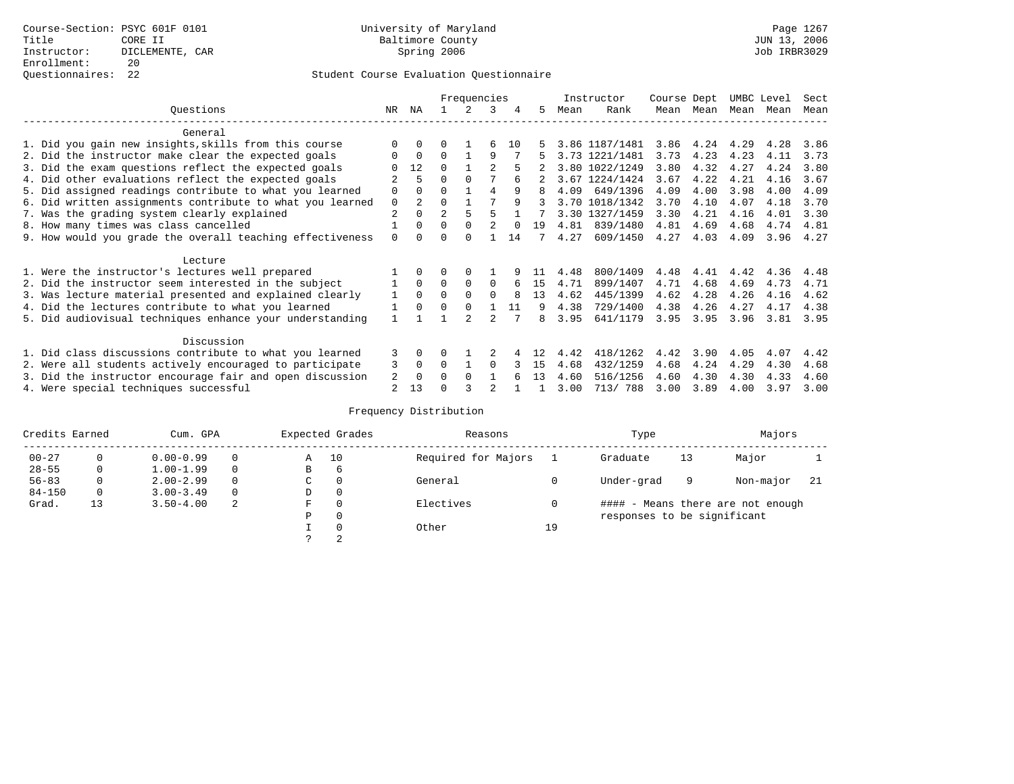| Ouestions<br>NR.<br>ΝA<br>3<br>5.<br>Rank<br>Mean<br>Mean<br>Mean<br>Mean<br>Mean                                                                                           | Mean |
|-----------------------------------------------------------------------------------------------------------------------------------------------------------------------------|------|
| General                                                                                                                                                                     |      |
| 1. Did you gain new insights, skills from this course<br>4.24<br>3.86 1187/1481<br>3.86<br>4.29<br>4.28<br>$\Omega$<br>U<br>б<br>10                                         | 3.86 |
| 3.73<br>4.23<br>2. Did the instructor make clear the expected goals<br>$\Omega$<br>9<br>3.73 1221/1481<br>4.23<br>4.11<br>$\Omega$<br>O                                     | 3.73 |
| 12<br>3.80<br>3. Did the exam questions reflect the expected goals<br>$\Omega$<br>3.80 1022/1249<br>4.32<br>4.27<br>4.24                                                    | 3.80 |
| 4. Did other evaluations reflect the expected goals<br>3.67<br>4.22<br>4.21<br>$\Omega$<br>$\Omega$<br>3.67 1224/1424<br>4.16                                               | 3.67 |
| 5. Did assigned readings contribute to what you learned<br>649/1396<br>4.09<br>4.00<br>3.98<br>$\mathbf 0$<br>0<br>4<br>9<br>4.09<br>4.00<br>$\Omega$<br>8                  | 4.09 |
| $\mathfrak{D}$<br>3.70 1018/1342<br>3.70<br>6. Did written assignments contribute to what you learned<br>$\Omega$<br>4.10<br>4.07<br>4.18<br>$\mathbf 0$<br>q<br>२          | 3.70 |
| $\overline{2}$<br>$\overline{2}$<br>3.30 1327/1459<br>3.30<br>4.21<br>7. Was the grading system clearly explained<br>$\Omega$<br>4.16<br>4.01                               | 3.30 |
| 8. How many times was class cancelled<br>839/1480<br>4.81<br>$\Omega$<br>$\Omega$<br>$\Omega$<br>4.81<br>4.69<br>4.68<br>4.74<br>19<br>$\Omega$                             | 4.81 |
| 609/1450<br>4.27<br>4.03<br>9. How would you grade the overall teaching effectiveness<br>$\Omega$<br>14<br>4.27<br>4.09<br>3.96<br>U<br>$\cap$<br><sup>n</sup>              | 4.27 |
|                                                                                                                                                                             |      |
| Lecture                                                                                                                                                                     |      |
| 1. Were the instructor's lectures well prepared<br>800/1409<br>4.42<br>4.48<br>4.41<br>4.36<br>4.48                                                                         | 4.48 |
| 2. Did the instructor seem interested in the subject<br>$\Omega$<br>$\Omega$<br>4.71<br>899/1407<br>4.71<br>$\Omega$<br>15<br>4.68<br>4.69<br>4.73<br>$\Omega$<br>6         | 4.71 |
| 1<br>$\Omega$<br>4.62<br>445/1399<br>4.62<br>4.28<br>4.26<br>4.16<br>3. Was lecture material presented and explained clearly<br>$\Omega$<br>$\Omega$<br>$\Omega$<br>13<br>8 | 4.62 |
| 4. Did the lectures contribute to what you learned<br>4.38<br>729/1400<br>4.38<br>4.26<br>4.27<br>$\Omega$<br>$\Omega$<br>11<br>4.17<br>$\Omega$<br>q                       | 4.38 |
| 5. Did audiovisual techniques enhance your understanding<br>3.95<br>641/1179<br>3.95<br>3.95<br>3.96<br>3.81<br>8                                                           | 3.95 |
| Discussion                                                                                                                                                                  |      |
| 3<br>418/1262<br>1. Did class discussions contribute to what you learned<br>3.90<br>4.05<br>4.07<br>4.42<br>4.42<br>$\Omega$<br>U                                           | 4.42 |
| 2. Were all students actively encouraged to participate<br>3<br>432/1259<br>4.68<br>4.24<br>4.29<br>$\Omega$<br>0<br>$\Omega$<br>4.68<br>4.30<br>15                         | 4.68 |
| 3. Did the instructor encourage fair and open discussion<br>2<br>516/1256<br>4.60<br>4.30<br>4.30<br>$\Omega$<br>O<br>$\Omega$<br>13<br>4.60<br>4.33                        | 4.60 |
| 4. Were special techniques successful<br>2<br>13<br>3.00<br>713/ 788<br>3.00<br>3.89<br>4.00<br>3.97                                                                        | 3.00 |

| Credits Earned |              | Cum. GPA      |   |   | Expected Grades | Reasons             |    | Type                        |    | Majors                            |     |
|----------------|--------------|---------------|---|---|-----------------|---------------------|----|-----------------------------|----|-----------------------------------|-----|
| $00 - 27$      | $\Omega$     | $0.00 - 0.99$ |   | Α | 10              | Required for Majors |    | Graduate                    | 13 | Major                             |     |
| $28 - 55$      | 0            | $1.00 - 1.99$ |   | B | 6               |                     |    |                             |    |                                   |     |
| $56 - 83$      | 0            | $2.00 - 2.99$ |   | C | 0               | General             |    | Under-grad                  | 9  | Non-major                         | -21 |
| $84 - 150$     | $\mathbf{0}$ | $3.00 - 3.49$ |   | D | 0               |                     |    |                             |    |                                   |     |
| Grad.          | 13           | $3.50 - 4.00$ | 2 | F | 0               | Electives           |    |                             |    | #### - Means there are not enough |     |
|                |              |               |   | Ρ | 0               |                     |    | responses to be significant |    |                                   |     |
|                |              |               |   |   | $\Omega$        | Other               | 19 |                             |    |                                   |     |
|                |              |               |   |   | 2               |                     |    |                             |    |                                   |     |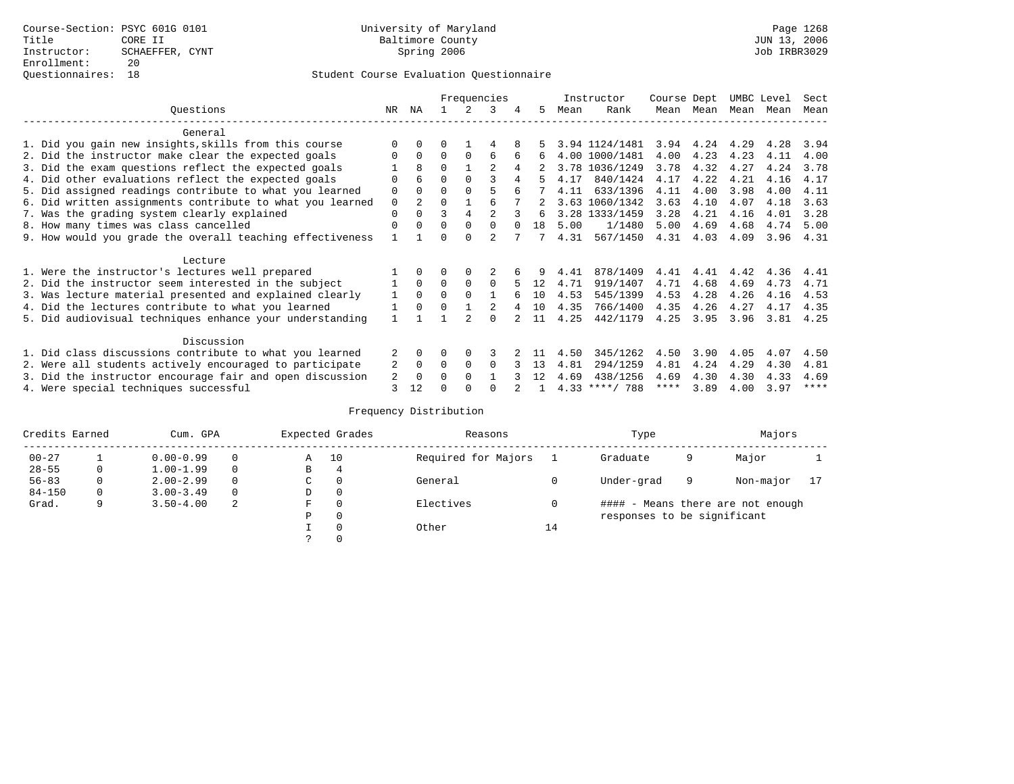|                                                           |             |                |          |          | Frequencies    |        |     |      | Instructor       | Course Dept |      | UMBC Level |      | Sect |
|-----------------------------------------------------------|-------------|----------------|----------|----------|----------------|--------|-----|------|------------------|-------------|------|------------|------|------|
| Ouestions                                                 | NR.         | ΝA             |          |          | 3              | 4      | 5.  | Mean | Rank             | Mean        | Mean | Mean       | Mean | Mean |
| General                                                   |             |                |          |          |                |        |     |      |                  |             |      |            |      |      |
| 1. Did you gain new insights, skills from this course     |             | $\Omega$       | U        |          | 4              |        |     |      | 3.94 1124/1481   | 3.94        | 4.24 | 4.29       | 4.28 | 3.94 |
| 2. Did the instructor make clear the expected goals       |             | $\Omega$       | $\Omega$ | $\Omega$ | 6              | 6      | 6   |      | 4.00 1000/1481   | 4.00        | 4.23 | 4.23       | 4.11 | 4.00 |
| 3. Did the exam questions reflect the expected goals      |             | 8              | $\Omega$ |          | $\overline{c}$ | 4      |     |      | 3.78 1036/1249   | 3.78        | 4.32 | 4.27       | 4.24 | 3.78 |
| 4. Did other evaluations reflect the expected goals       | O           | 6              | $\Omega$ | $\Omega$ |                |        |     | 4.17 | 840/1424         | 4.17        | 4.22 | 4.21       | 4.16 | 4.17 |
| 5. Did assigned readings contribute to what you learned   | $\mathbf 0$ | $\Omega$       | $\Omega$ |          |                |        |     | 4.11 | 633/1396         | 4.11        | 4.00 | 3.98       | 4.00 | 4.11 |
| 6. Did written assignments contribute to what you learned | $\mathbf 0$ | $\mathfrak{D}$ | $\Omega$ |          |                |        | 2   |      | 3.63 1060/1342   | 3.63        | 4.10 | 4.07       | 4.18 | 3.63 |
| 7. Was the grading system clearly explained               | $\Omega$    | $\Omega$       | ζ        | 4        |                |        | 6   |      | 3.28 1333/1459   | 3.28        | 4.21 | 4.16       | 4.01 | 3.28 |
| 8. How many times was class cancelled                     | $\Omega$    | $\Omega$       | $\Omega$ | $\Omega$ | $\Omega$       | $\cap$ | 1 R | 5.00 | 1/1480           | 5.00        | 4.69 | 4.68       | 4.74 | 5.00 |
| 9. How would you grade the overall teaching effectiveness |             |                | U        | $\cap$   | $\mathcal{D}$  |        | 7   | 4.31 | 567/1450         | 4.31        | 4.03 | 4.09       | 3.96 | 4.31 |
|                                                           |             |                |          |          |                |        |     |      |                  |             |      |            |      |      |
| Lecture                                                   |             |                |          |          |                |        |     |      |                  |             |      |            |      |      |
| 1. Were the instructor's lectures well prepared           |             |                |          |          |                |        |     | 4.41 | 878/1409         | 4.41        | 4.41 | 4.42       | 4.36 | 4.41 |
| 2. Did the instructor seem interested in the subject      |             | $\Omega$       | $\Omega$ | $\Omega$ | $\Omega$       |        | 12  | 4.71 | 919/1407         | 4.71        | 4.68 | 4.69       | 4.73 | 4.71 |
| 3. Was lecture material presented and explained clearly   | 1           | $\Omega$       | $\Omega$ | $\Omega$ |                |        | 10  | 4.53 | 545/1399         | 4.53        | 4.28 | 4.26       | 4.16 | 4.53 |
| 4. Did the lectures contribute to what you learned        |             | $\Omega$       | $\Omega$ |          |                |        | 1 O | 4.35 | 766/1400         | 4.35        | 4.26 | 4.27       | 4.17 | 4.35 |
| 5. Did audiovisual techniques enhance your understanding  |             |                |          |          | $\cap$         |        | 11  | 4.25 | 442/1179         | 4.25        | 3.95 | 3.96       | 3.81 | 4.25 |
|                                                           |             |                |          |          |                |        |     |      |                  |             |      |            |      |      |
| Discussion                                                |             |                |          |          |                |        |     |      |                  |             |      |            |      |      |
| 1. Did class discussions contribute to what you learned   |             | $\Omega$       | U        | $\Omega$ | κ              |        |     | 4.50 | 345/1262         | 4.50        | 3.90 | 4.05       | 4.07 | 4.50 |
| 2. Were all students actively encouraged to participate   |             | $\Omega$       | $\Omega$ | $\Omega$ | $\Omega$       |        | 13  | 4.81 | 294/1259         | 4.81        | 4.24 | 4.29       | 4.30 | 4.81 |
| 3. Did the instructor encourage fair and open discussion  | 2           | $\Omega$       | 0        | $\Omega$ |                |        | 12  | 4.69 | 438/1256         | 4.69        | 4.30 | 4.30       | 4.33 | 4.69 |
| 4. Were special techniques successful                     |             | 12             |          |          |                |        |     |      | $4.33$ ****/ 788 | ****        | 3.89 | 4.00       | 3.97 | **** |

| Credits Earned |   | Cum. GPA      |          | Expected Grades |          | Reasons             |    | Type                        |   | Majors                            |  |
|----------------|---|---------------|----------|-----------------|----------|---------------------|----|-----------------------------|---|-----------------------------------|--|
| $00 - 27$      |   | $0.00 - 0.99$ |          | Α               | 10       | Required for Majors |    | Graduate                    | 9 | Major                             |  |
| $28 - 55$      | 0 | $1.00 - 1.99$ |          | В               | 4        |                     |    |                             |   |                                   |  |
| $56 - 83$      | 0 | $2.00 - 2.99$ |          | $\sim$<br>◡     | 0        | General             |    | Under-grad                  | 9 | Non-major                         |  |
| $84 - 150$     | 0 | $3.00 - 3.49$ | $\Omega$ | D               | 0        |                     |    |                             |   |                                   |  |
| Grad.          | 9 | $3.50 - 4.00$ | 2        | F               | 0        | Electives           | 0  |                             |   | #### - Means there are not enough |  |
|                |   |               |          | Ρ               | 0        |                     |    | responses to be significant |   |                                   |  |
|                |   |               |          |                 | $\Omega$ | Other               | 14 |                             |   |                                   |  |
|                |   |               |          |                 |          |                     |    |                             |   |                                   |  |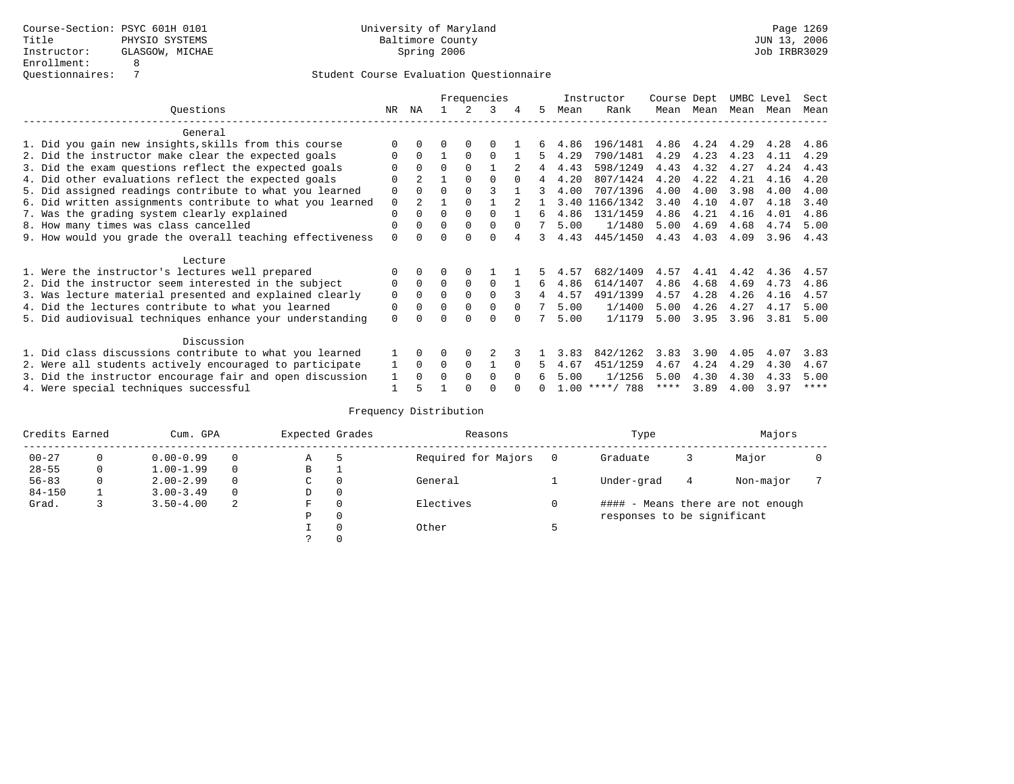|                                                           |             |               |          |          | Frequencies |               |    |      | Instructor       | Course Dept |      | UMBC Level |      | Sect |
|-----------------------------------------------------------|-------------|---------------|----------|----------|-------------|---------------|----|------|------------------|-------------|------|------------|------|------|
| Ouestions                                                 | NR.         | ΝA            |          |          | 3           |               | 5. | Mean | Rank             | Mean        | Mean | Mean       | Mean | Mean |
| General                                                   |             |               |          |          |             |               |    |      |                  |             |      |            |      |      |
| 1. Did you gain new insights, skills from this course     | ∩           |               | O        | 0        | $\Omega$    |               |    | 4.86 | 196/1481         | 4.86        | 4.24 | 4.29       | 4.28 | 4.86 |
| 2. Did the instructor make clear the expected goals       | $\Omega$    | $\Omega$      |          | $\Omega$ | $\Omega$    |               | 5. | 4.29 | 790/1481         | 4.29        | 4.23 | 4.23       | 4.11 | 4.29 |
| 3. Did the exam questions reflect the expected goals      |             |               | $\Omega$ | $\Omega$ |             |               | 4  | 4.43 | 598/1249         | 4.43        | 4.32 | 4.27       | 4.24 | 4.43 |
| 4. Did other evaluations reflect the expected goals       | $\Omega$    |               |          |          | $\Omega$    |               | 4  | 4.20 | 807/1424         | 4.20        | 4.22 | 4.21       | 4.16 | 4.20 |
| 5. Did assigned readings contribute to what you learned   | 0           |               | $\Omega$ |          |             |               | 3  | 4.00 | 707/1396         | 4.00        | 4.00 | 3.98       | 4.00 | 4.00 |
| 6. Did written assignments contribute to what you learned | $\mathbf 0$ | $\mathcal{L}$ |          |          |             | $\mathcal{P}$ |    |      | 3.40 1166/1342   | 3.40        | 4.10 | 4.07       | 4.18 | 3.40 |
|                                                           | $\Omega$    |               | $\Omega$ | $\Omega$ | $\cap$      |               | 6  | 4.86 | 131/1459         | 4.86        | 4.21 | 4.16       | 4.01 | 4.86 |
| 7. Was the grading system clearly explained               |             | 0             | $\Omega$ | $\Omega$ | $\Omega$    | $\Omega$      |    | 5.00 | 1/1480           | 5.00        |      |            |      |      |
| 8. How many times was class cancelled                     | $\Omega$    |               |          | ∩        | $\cap$      |               |    |      |                  |             | 4.69 | 4.68       | 4.74 | 5.00 |
| 9. How would you grade the overall teaching effectiveness | $\Omega$    |               | U        |          |             |               | 3  | 4.43 | 445/1450         | 4.43        | 4.03 | 4.09       | 3.96 | 4.43 |
| Lecture                                                   |             |               |          |          |             |               |    |      |                  |             |      |            |      |      |
| 1. Were the instructor's lectures well prepared           |             |               |          |          |             |               |    | 4.57 | 682/1409         | 4.57        | 4.41 | 4.42       | 4.36 | 4.57 |
| 2. Did the instructor seem interested in the subject      | 0           | $\Omega$      | $\Omega$ | $\Omega$ | $\Omega$    |               | 6  | 4.86 | 614/1407         | 4.86        | 4.68 | 4.69       | 4.73 | 4.86 |
| 3. Was lecture material presented and explained clearly   | $\mathbf 0$ | $\Omega$      | $\Omega$ |          | $\Omega$    |               |    | 4.57 | 491/1399         | 4.57        | 4.28 | 4.26       | 4.16 | 4.57 |
| 4. Did the lectures contribute to what you learned        | 0           |               | $\Omega$ | $\Omega$ | $\Omega$    | $\Omega$      |    | 5.00 | 1/1400           | 5.00        | 4.26 | 4.27       | 4.17 | 5.00 |
| 5. Did audiovisual techniques enhance your understanding  | $\Omega$    |               |          |          | $\cap$      |               |    | 5.00 | 1/1179           | 5.00        | 3.95 | 3.96       | 3.81 | 5.00 |
|                                                           |             |               |          |          |             |               |    |      |                  |             |      |            |      |      |
| Discussion                                                |             |               |          |          |             |               |    |      |                  |             |      |            |      |      |
| 1. Did class discussions contribute to what you learned   |             | 0             | O        | 0        |             |               |    | 3.83 | 842/1262         | 3.83        | 3.90 | 4.05       | 4.07 | 3.83 |
| 2. Were all students actively encouraged to participate   |             | $\Omega$      | 0        | 0        |             | $\Omega$      | 5  | 4.67 | 451/1259         | 4.67        | 4.24 | 4.29       | 4.30 | 4.67 |
| 3. Did the instructor encourage fair and open discussion  |             |               | O        | $\Omega$ | $\Omega$    | $\Omega$      |    | 5.00 | 1/1256           | 5.00        | 4.30 | 4.30       | 4.33 | 5.00 |
| 4. Were special techniques successful                     |             |               |          |          |             |               |    |      | $1.00$ ****/ 788 | ****        | 3.89 | 4.00       | 3.97 | **** |

| Credits Earned |          | Cum. GPA      |          | Expected Grades |          | Reasons             |   | Type                        |   | Majors                            |  |
|----------------|----------|---------------|----------|-----------------|----------|---------------------|---|-----------------------------|---|-----------------------------------|--|
| $00 - 27$      | $\Omega$ | $0.00 - 0.99$ |          | Α               | 5        | Required for Majors | 0 | Graduate                    | 3 | Major                             |  |
| $28 - 55$      | 0        | $1.00 - 1.99$ |          | В               |          |                     |   |                             |   |                                   |  |
| $56 - 83$      | 0        | $2.00 - 2.99$ |          | $\sim$<br>◡     |          | General             |   | Under-grad                  | 4 | Non-major                         |  |
| $84 - 150$     |          | $3.00 - 3.49$ | $\Omega$ | D               | 0        |                     |   |                             |   |                                   |  |
| Grad.          |          | $3.50 - 4.00$ | 2        | F               | 0        | Electives           | 0 |                             |   | #### - Means there are not enough |  |
|                |          |               |          | Ρ               | 0        |                     |   | responses to be significant |   |                                   |  |
|                |          |               |          |                 | $\Omega$ | Other               |   |                             |   |                                   |  |
|                |          |               |          |                 |          |                     |   |                             |   |                                   |  |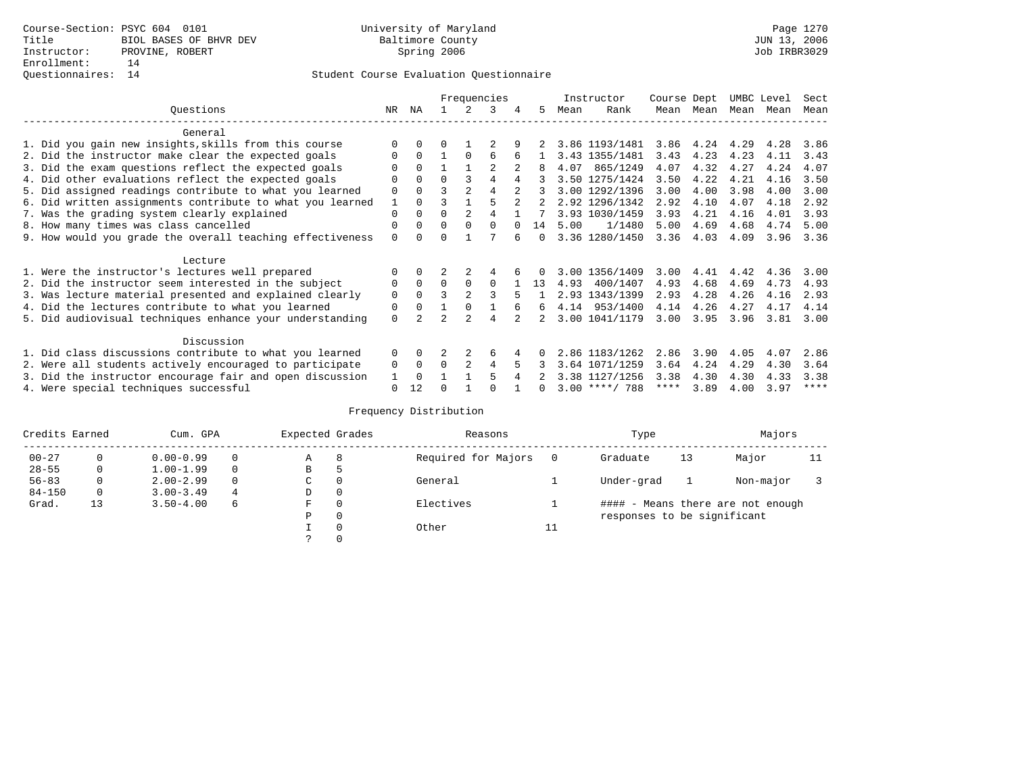## Questionnaires: 14 Student Course Evaluation Questionnaire

|                                                           |          |              |          |                | Frequencies    |          |             |      | Instructor       | Course Dept |           | UMBC Level |      | Sect        |
|-----------------------------------------------------------|----------|--------------|----------|----------------|----------------|----------|-------------|------|------------------|-------------|-----------|------------|------|-------------|
| Ouestions                                                 | NR       | ΝA           |          | 2              | 3              | 4        | 5           | Mean | Rank             |             | Mean Mean | Mean Mean  |      | Mean        |
| General                                                   |          |              |          |                |                |          |             |      |                  |             |           |            |      |             |
| 1. Did you gain new insights, skills from this course     |          | 0            | 0        |                |                |          |             |      | 3.86 1193/1481   | 3.86        | 4.24      | 4.29       | 4.28 | 3.86        |
| 2. Did the instructor make clear the expected goals       | 0        | $\Omega$     |          | $\Omega$       | 6              | 6        |             |      | 3.43 1355/1481   | 3.43        | 4.23      | 4.23       | 4.11 | 3.43        |
| 3. Did the exam questions reflect the expected goals      |          | $\Omega$     |          |                | $\mathfrak{D}$ |          |             | 4.07 | 865/1249         | 4.07        | 4.32      | 4.27       | 4.24 | 4.07        |
| 4. Did other evaluations reflect the expected goals       |          | $\Omega$     | $\Omega$ | 3              | 4              |          |             |      | 3.50 1275/1424   | 3.50        | 4.22      | 4.21       | 4.16 | 3.50        |
| 5. Did assigned readings contribute to what you learned   | 0        | $\Omega$     | ς        | $\overline{2}$ |                |          |             |      | 3.00 1292/1396   | 3.00        | 4.00      | 3.98       | 4.00 | 3.00        |
| 6. Did written assignments contribute to what you learned | 1        | $\Omega$     |          |                |                | $2^{1}$  | $2^{\circ}$ |      | 2.92 1296/1342   | 2.92        | 4.10      | 4.07       | 4.18 | 2.92        |
| 7. Was the grading system clearly explained               | 0        | $\Omega$     | 0        | $\overline{2}$ |                |          |             |      | 3.93 1030/1459   | 3.93        | 4.21      | 4.16       | 4.01 | 3.93        |
| 8. How many times was class cancelled                     | 0        | $\Omega$     | $\Omega$ | $\Omega$       | $\Omega$       | $\Omega$ | 14          | 5.00 | 1/1480           | 5.00        | 4.69      | 4.68       | 4.74 | 5.00        |
| 9. How would you grade the overall teaching effectiveness | 0        | <sup>n</sup> |          |                |                |          | $\Omega$    |      | 3.36 1280/1450   | 3.36        | 4.03      | 4.09       | 3.96 | 3.36        |
| Lecture                                                   |          |              |          |                |                |          |             |      |                  |             |           |            |      |             |
| 1. Were the instructor's lectures well prepared           |          | $\Omega$     |          |                | 4              |          |             |      | 3.00 1356/1409   | 3.00        | 4.41      | 4.42       | 4.36 | 3.00        |
| 2. Did the instructor seem interested in the subject      | 0        | $\Omega$     | $\Omega$ | $\Omega$       | $\Omega$       |          | 13          | 4.93 | 400/1407         | 4.93        | 4.68      | 4.69       | 4.73 | 4.93        |
| 3. Was lecture material presented and explained clearly   | 0        | $\Omega$     |          | $\mathfrak{D}$ | 3              | 5        |             |      | 2.93 1343/1399   | 2.93        | 4.28      | 4.26       | 4.16 | 2.93        |
| 4. Did the lectures contribute to what you learned        | 0        | $\Omega$     |          | $\Omega$       |                |          | 6           |      | 4.14 953/1400    | 4.14        | 4.26      | 4.27       | 4.17 | 4.14        |
| 5. Did audiovisual techniques enhance your understanding  | 0        |              | っ        | $\mathcal{D}$  | 4              |          | 2.          |      | 3.00 1041/1179   | 3.00        | 3.95      | 3.96       | 3.81 | 3.00        |
| Discussion                                                |          |              |          |                |                |          |             |      |                  |             |           |            |      |             |
| 1. Did class discussions contribute to what you learned   | $\Omega$ | $\Omega$     |          |                | 6              |          |             |      | 2.86 1183/1262   | 2.86        | 3.90      | 4.05       | 4.07 | 2.86        |
| 2. Were all students actively encouraged to participate   | 0        | 0            | $\Omega$ | $\overline{2}$ | 4              | 5        |             |      | 3.64 1071/1259   | 3.64        | 4.24      | 4.29       | 4.30 | 3.64        |
| 3. Did the instructor encourage fair and open discussion  |          | $\Omega$     |          |                | 5              |          |             |      | 3.38 1127/1256   | 3.38        | 4.30      | 4.30       | 4.33 | 3.38        |
| 4. Were special techniques successful                     | 0        | 12           |          |                |                |          |             |      | $3.00$ ****/ 788 | ****        | 3.89      | 4.00       | 3.97 | $***$ * * * |

| Credits Earned |          | Cum. GPA      |   | Expected Grades |          | Reasons             |    | Type                        |    | Majors                            |    |
|----------------|----------|---------------|---|-----------------|----------|---------------------|----|-----------------------------|----|-----------------------------------|----|
| $00 - 27$      | $\Omega$ | $0.00 - 0.99$ |   | А               | 8        | Required for Majors | 0  | Graduate                    | 13 | Major                             | 11 |
| $28 - 55$      | 0        | $1.00 - 1.99$ |   | В               | 5        |                     |    |                             |    |                                   |    |
| $56 - 83$      | 0        | $2.00 - 2.99$ |   | $\sim$<br>◡     |          | General             |    | Under-grad                  |    | Non-major                         |    |
| $84 - 150$     | 0        | $3.00 - 3.49$ | 4 | D               | 0        |                     |    |                             |    |                                   |    |
| Grad.          | 13       | $3.50 - 4.00$ | 6 | F               | 0        | Electives           |    |                             |    | #### - Means there are not enough |    |
|                |          |               |   | Ρ               | 0        |                     |    | responses to be significant |    |                                   |    |
|                |          |               |   |                 | $\Omega$ | Other               | ⊥⊥ |                             |    |                                   |    |
|                |          |               |   |                 |          |                     |    |                             |    |                                   |    |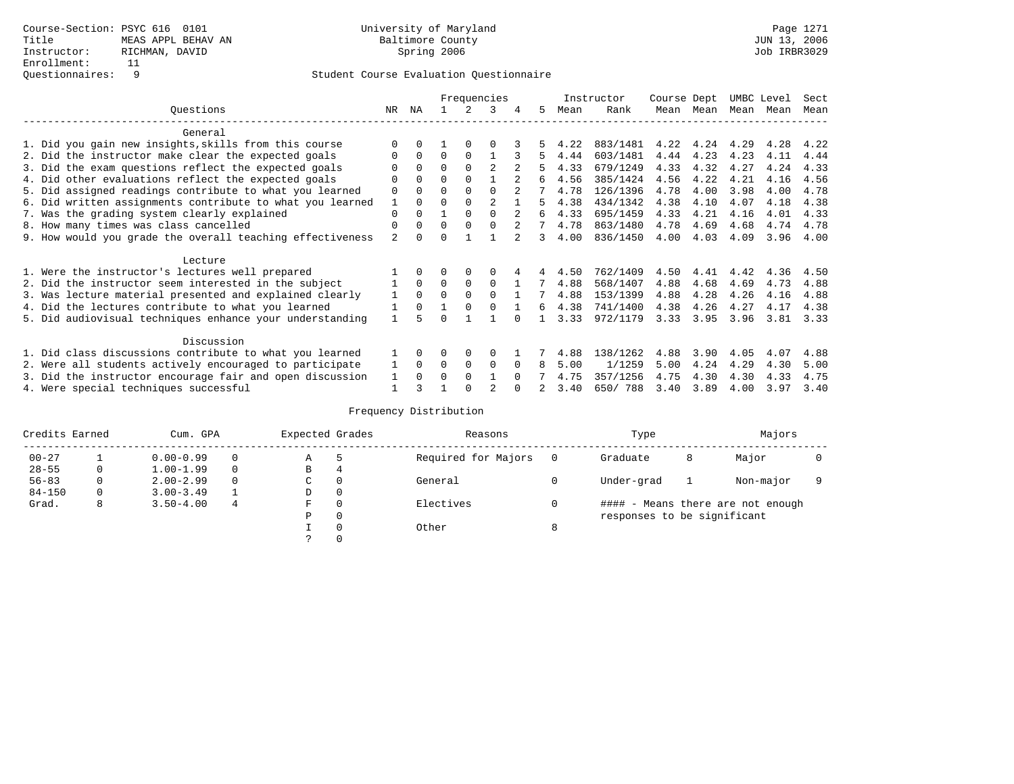|                                                           |                |              |          |          | Frequencies    |          |    |      | Instructor | Course Dept |      | UMBC Level |      | Sect |
|-----------------------------------------------------------|----------------|--------------|----------|----------|----------------|----------|----|------|------------|-------------|------|------------|------|------|
| Ouestions                                                 | NR.            | ΝA           |          |          | 3              |          | 5. | Mean | Rank       | Mean        | Mean | Mean       | Mean | Mean |
| General                                                   |                |              |          |          |                |          |    |      |            |             |      |            |      |      |
| 1. Did you gain new insights, skills from this course     | ∩              |              |          | $\Omega$ | ∩              |          |    | 4.22 | 883/1481   | 4.22        | 4.24 | 4.29       | 4.28 | 4.22 |
| 2. Did the instructor make clear the expected goals       | $\Omega$       | $\Omega$     | $\Omega$ | $\Omega$ |                |          | 5. | 4.44 | 603/1481   | 4.44        | 4.23 | 4.23       | 4.11 | 4.44 |
| 3. Did the exam questions reflect the expected goals      |                |              | $\Omega$ | $\Omega$ | $\mathfrak{D}$ |          |    | 4.33 | 679/1249   | 4.33        | 4.32 | 4.27       | 4.24 | 4.33 |
| 4. Did other evaluations reflect the expected goals       | $\Omega$       |              | $\Omega$ |          |                |          | 6  | 4.56 | 385/1424   | 4.56        | 4.22 | 4.21       | 4.16 | 4.56 |
| 5. Did assigned readings contribute to what you learned   | $\Omega$       |              | $\Omega$ |          | $\Omega$       |          |    | 4.78 | 126/1396   | 4.78        | 4.00 | 3.98       | 4.00 | 4.78 |
| 6. Did written assignments contribute to what you learned | 1              |              | $\Omega$ |          | $\mathfrak{D}$ |          | 5  | 4.38 | 434/1342   | 4.38        | 4.10 | 4.07       | 4.18 | 4.38 |
| 7. Was the grading system clearly explained               | $\Omega$       |              |          | $\Omega$ | $\Omega$       |          | 6  | 4.33 | 695/1459   | 4.33        | 4.21 | 4.16       | 4.01 | 4.33 |
| 8. How many times was class cancelled                     | $\Omega$       | 0            | $\Omega$ | $\Omega$ | $\Omega$       |          |    | 4.78 | 863/1480   | 4.78        | 4.69 | 4.68       | 4.74 | 4.78 |
| 9. How would you grade the overall teaching effectiveness | $\mathfrak{D}$ | <sup>n</sup> | U        |          |                |          | 3  | 4.00 | 836/1450   | 4.00        | 4.03 | 4.09       | 3.96 | 4.00 |
| Lecture                                                   |                |              |          |          |                |          |    |      |            |             |      |            |      |      |
| 1. Were the instructor's lectures well prepared           |                |              |          |          | $\Omega$       |          |    | 4.50 | 762/1409   | 4.50        | 4.41 | 4.42       | 4.36 | 4.50 |
| 2. Did the instructor seem interested in the subject      |                | $\Omega$     | $\Omega$ | 0        | $\Omega$       |          | 7  | 4.88 | 568/1407   | 4.88        | 4.68 | 4.69       | 4.73 | 4.88 |
| 3. Was lecture material presented and explained clearly   |                | $\Omega$     | $\Omega$ |          | $\Omega$       |          |    | 4.88 | 153/1399   | 4.88        | 4.28 | 4.26       | 4.16 | 4.88 |
| 4. Did the lectures contribute to what you learned        |                | $\Omega$     |          |          | $\Omega$       |          | б. | 4.38 | 741/1400   | 4.38        | 4.26 | 4.27       | 4.17 | 4.38 |
| 5. Did audiovisual techniques enhance your understanding  |                |              |          |          |                |          |    | 3.33 | 972/1179   | 3.33        | 3.95 | 3.96       | 3.81 | 3.33 |
| Discussion                                                |                |              |          |          |                |          |    |      |            |             |      |            |      |      |
| 1. Did class discussions contribute to what you learned   |                | 0            | O        | 0        | $\Omega$       |          |    | 4.88 | 138/1262   | 4.88        | 3.90 | 4.05       | 4.07 | 4.88 |
| 2. Were all students actively encouraged to participate   |                | $\Omega$     | 0        | 0        | $\Omega$       |          | 8  | 5.00 | 1/1259     | 5.00        | 4.24 | 4.29       | 4.30 | 5.00 |
| 3. Did the instructor encourage fair and open discussion  |                |              | O        | $\Omega$ |                | $\Omega$ |    | 4.75 | 357/1256   | 4.75        | 4.30 | 4.30       | 4.33 | 4.75 |
| 4. Were special techniques successful                     |                |              |          |          |                |          |    | 3.40 | 650/788    | 3.40        | 3.89 | 4.00       | 3.97 | 3.40 |

| Credits Earned |          | Cum. GPA      |   | Expected Grades |          | Reasons             |   | Type                        |   | Majors                            |  |
|----------------|----------|---------------|---|-----------------|----------|---------------------|---|-----------------------------|---|-----------------------------------|--|
| $00 - 27$      |          | $0.00 - 0.99$ |   | Α               |          | Required for Majors |   | Graduate                    | 8 | Major                             |  |
| $28 - 55$      | 0        | $1.00 - 1.99$ |   | B               | 4        |                     |   |                             |   |                                   |  |
| $56 - 83$      | $\Omega$ | $2.00 - 2.99$ |   | C               | 0        | General             |   | Under-grad                  |   | Non-major                         |  |
| $84 - 150$     | 0        | $3.00 - 3.49$ |   | D               | 0        |                     |   |                             |   |                                   |  |
| Grad.          | 8        | $3.50 - 4.00$ | 4 | F               | 0        | Electives           |   |                             |   | #### - Means there are not enough |  |
|                |          |               |   | Ρ               | 0        |                     |   | responses to be significant |   |                                   |  |
|                |          |               |   |                 | $\Omega$ | Other               | 8 |                             |   |                                   |  |
|                |          |               |   |                 |          |                     |   |                             |   |                                   |  |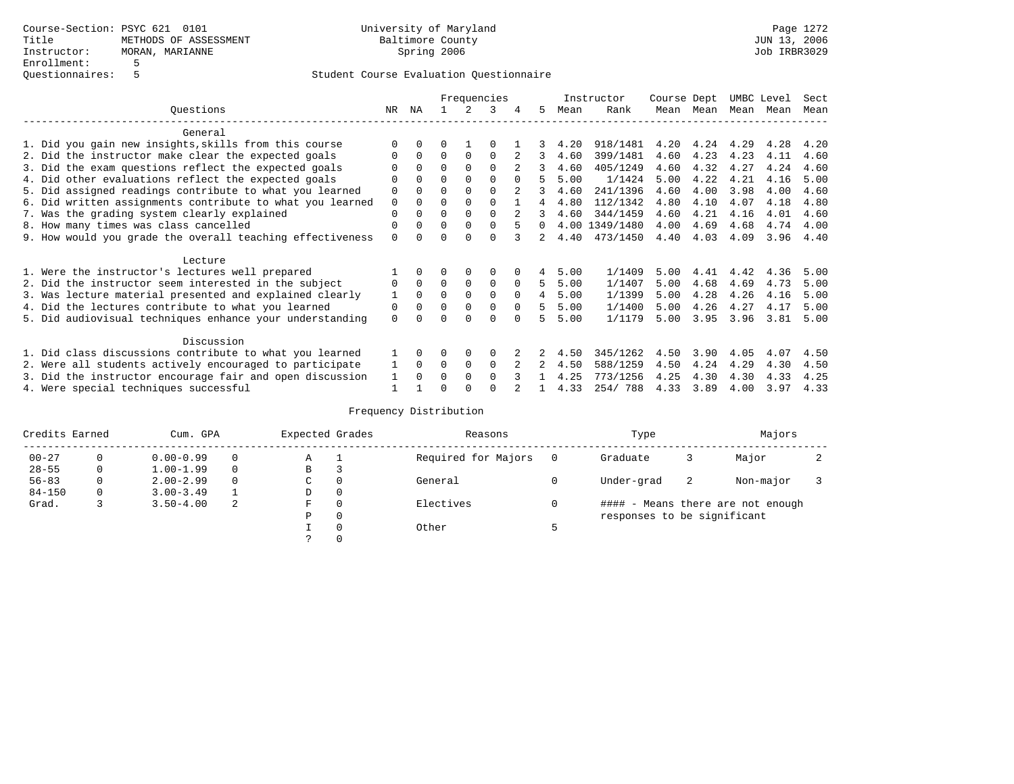|                                                           |             |              |          |             | Frequencies |          |          |      | Instructor     | Course Dept |      | UMBC Level |      | Sect |
|-----------------------------------------------------------|-------------|--------------|----------|-------------|-------------|----------|----------|------|----------------|-------------|------|------------|------|------|
| Ouestions                                                 | NR.         | ΝA           |          |             | 3           |          | 5.       | Mean | Rank           | Mean        | Mean | Mean       | Mean | Mean |
| General                                                   |             |              |          |             |             |          |          |      |                |             |      |            |      |      |
| 1. Did you gain new insights, skills from this course     | $\Omega$    | $\Omega$     | O        |             | O           |          |          | 4.20 | 918/1481       | 4.20        | 4.24 | 4.29       | 4.28 | 4.20 |
| 2. Did the instructor make clear the expected goals       | O           | $\Omega$     | $\Omega$ | $\Omega$    | $\Omega$    |          | 3        | 4.60 | 399/1481       | 4.60        | 4.23 | 4.23       | 4.11 | 4.60 |
| 3. Did the exam questions reflect the expected goals      |             | $\Omega$     | 0        | $\Omega$    | $\Omega$    |          | 3        | 4.60 | 405/1249       | 4.60        | 4.32 | 4.27       | 4.24 | 4.60 |
| 4. Did other evaluations reflect the expected goals       | O           | $\Omega$     | $\Omega$ | $\Omega$    | $\Omega$    |          |          | 5.00 | 1/1424         | 5.00        | 4.22 | 4.21       | 4.16 | 5.00 |
| 5. Did assigned readings contribute to what you learned   | $\mathbf 0$ |              | $\Omega$ |             | $\Omega$    |          | 3        | 4.60 | 241/1396       | 4.60        | 4.00 | 3.98       | 4.00 | 4.60 |
| 6. Did written assignments contribute to what you learned | $\mathbf 0$ | $\Omega$     | $\Omega$ | $\Omega$    | $\Omega$    |          | 4        | 4.80 | 112/1342       | 4.80        | 4.10 | 4.07       | 4.18 | 4.80 |
| 7. Was the grading system clearly explained               | $\Omega$    |              | $\Omega$ | $\Omega$    | $\Omega$    |          |          | 4.60 | 344/1459       | 4.60        | 4.21 | 4.16       | 4.01 | 4.60 |
| 8. How many times was class cancelled                     | 0           | $\Omega$     | $\Omega$ | $\Omega$    | $\Omega$    |          | $\Omega$ |      | 4.00 1349/1480 | 4.00        | 4.69 | 4.68       | 4.74 | 4.00 |
| 9. How would you grade the overall teaching effectiveness | $\Omega$    | <sup>n</sup> | U        | ∩           | $\cap$      |          | 2        | 4.40 | 473/1450       | 4.40        | 4.03 | 4.09       | 3.96 | 4.40 |
| Lecture                                                   |             |              |          |             |             |          |          |      |                |             |      |            |      |      |
| 1. Were the instructor's lectures well prepared           |             |              |          | 0           | 0           |          | 4        | 5.00 | 1/1409         | 5.00        | 4.41 | 4.42       | 4.36 | 5.00 |
| 2. Did the instructor seem interested in the subject      | 0           | $\Omega$     | $\Omega$ | $\mathbf 0$ | $\mathbf 0$ | $\Omega$ | 5.       | 5.00 | 1/1407         | 5.00        | 4.68 | 4.69       | 4.73 | 5.00 |
| 3. Was lecture material presented and explained clearly   | 1           | $\Omega$     | $\Omega$ | $\Omega$    | $\Omega$    | $\Omega$ | 4        | 5.00 | 1/1399         | 5.00        | 4.28 | 4.26       | 4.16 | 5.00 |
| 4. Did the lectures contribute to what you learned        | 0           | $\Omega$     | $\Omega$ | $\Omega$    | $\mathbf 0$ | $\Omega$ | 5        | 5.00 | 1/1400         | 5.00        | 4.26 | 4.27       | 4.17 | 5.00 |
| 5. Did audiovisual techniques enhance your understanding  | $\Omega$    |              |          |             | $\Omega$    | $\cap$   | 5        | 5.00 | 1/1179         | 5.00        | 3.95 | 3.96       | 3.81 | 5.00 |
| Discussion                                                |             |              |          |             |             |          |          |      |                |             |      |            |      |      |
| 1. Did class discussions contribute to what you learned   |             | $\Omega$     | O        | $\Omega$    | $\Omega$    |          |          | 4.50 | 345/1262       | 4.50        | 3.90 | 4.05       | 4.07 | 4.50 |
| 2. Were all students actively encouraged to participate   |             | $\Omega$     | $\Omega$ | $\mathbf 0$ | $\Omega$    |          |          | 4.50 | 588/1259       | 4.50        | 4.24 | 4.29       | 4.30 | 4.50 |
| 3. Did the instructor encourage fair and open discussion  | 1           | $\Omega$     | O        | $\Omega$    | $\Omega$    |          |          | 4.25 | 773/1256       | 4.25        | 4.30 | 4.30       | 4.33 | 4.25 |
| 4. Were special techniques successful                     |             |              |          |             |             |          |          | 4.33 | 254/788        | 4.33        | 3.89 | 4.00       | 3.97 | 4.33 |

| Credits Earned |          | Cum. GPA      |   | Expected Grades |          | Reasons             |   | Type                        |    | Majors                            |  |
|----------------|----------|---------------|---|-----------------|----------|---------------------|---|-----------------------------|----|-----------------------------------|--|
| $00 - 27$      | $\Omega$ | $0.00 - 0.99$ |   | Α               |          | Required for Majors | 0 | Graduate                    | 3  | Major                             |  |
| $28 - 55$      | 0        | $1.00 - 1.99$ |   | В               | 3        |                     |   |                             |    |                                   |  |
| $56 - 83$      | 0        | $2.00 - 2.99$ |   | $\sim$<br>◡     | 0        | General             |   | Under-grad                  | -2 | Non-major                         |  |
| $84 - 150$     | 0        | $3.00 - 3.49$ |   | D               | 0        |                     |   |                             |    |                                   |  |
| Grad.          |          | $3.50 - 4.00$ | 2 | F               | 0        | Electives           | 0 |                             |    | #### - Means there are not enough |  |
|                |          |               |   | Ρ               | 0        |                     |   | responses to be significant |    |                                   |  |
|                |          |               |   |                 | $\Omega$ | Other               |   |                             |    |                                   |  |
|                |          |               |   |                 |          |                     |   |                             |    |                                   |  |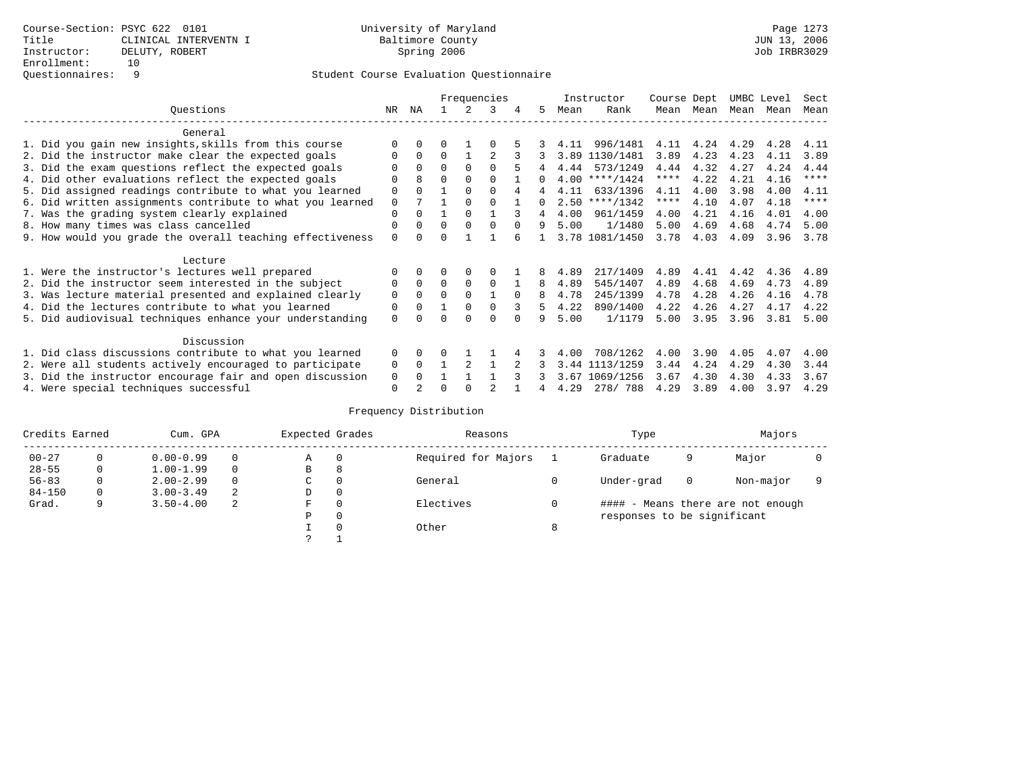|                                                           |             |              |          |          | Frequencies |          |              |      | Instructor       | Course Dept |      | UMBC Level |      | Sect        |
|-----------------------------------------------------------|-------------|--------------|----------|----------|-------------|----------|--------------|------|------------------|-------------|------|------------|------|-------------|
| Ouestions                                                 | NR.         | ΝA           |          |          | 3           |          | 5.           | Mean | Rank             | Mean        | Mean | Mean       | Mean | Mean        |
| General                                                   |             |              |          |          |             |          |              |      |                  |             |      |            |      |             |
| 1. Did you gain new insights, skills from this course     |             | $\Omega$     | O        |          |             |          |              | 4.11 | 996/1481         | 4.11        | 4.24 | 4.29       | 4.28 | 4.11        |
| 2. Did the instructor make clear the expected goals       | O           | $\Omega$     | $\Omega$ |          |             |          |              | 3.89 | 1130/1481        | 3.89        | 4.23 | 4.23       | 4.11 | 3.89        |
| 3. Did the exam questions reflect the expected goals      |             | $\Omega$     | $\Omega$ | $\Omega$ | $\Omega$    |          |              | 4.44 | 573/1249         | 4.44        | 4.32 | 4.27       | 4.24 | 4.44        |
| 4. Did other evaluations reflect the expected goals       | O           | 8            | $\Omega$ | $\Omega$ | $\Omega$    |          | <sup>n</sup> |      | $4.00$ ****/1424 | $***$ * *   | 4.22 | 4.21       | 4.16 | $***$ * * * |
| 5. Did assigned readings contribute to what you learned   | $\mathbf 0$ | $\Omega$     |          | $\Omega$ | $\Omega$    |          |              | 4.11 | 633/1396         | 4.11        | 4.00 | 3.98       | 4.00 | 4.11        |
| 6. Did written assignments contribute to what you learned | $\mathbf 0$ |              |          | $\Omega$ |             |          | 0            |      | $2.50$ ****/1342 | $***$ * *   | 4.10 | 4.07       | 4.18 | $* * * * *$ |
| 7. Was the grading system clearly explained               | $\Omega$    | $\Omega$     |          | $\Omega$ |             |          |              | 4.00 | 961/1459         | 4.00        | 4.21 | 4.16       | 4.01 | 4.00        |
| 8. How many times was class cancelled                     | 0           | $\Omega$     | $\Omega$ | $\Omega$ | $\Omega$    | $\Omega$ | 9            | 5.00 | 1/1480           | 5.00        | 4.69 | 4.68       | 4.74 | 5.00        |
| 9. How would you grade the overall teaching effectiveness | $\Omega$    | <sup>n</sup> | ∩        |          |             |          |              |      | 3.78 1081/1450   | 3.78        | 4.03 | 4.09       | 3.96 | 3.78        |
| Lecture                                                   |             |              |          |          |             |          |              |      |                  |             |      |            |      |             |
| 1. Were the instructor's lectures well prepared           | 0           |              |          |          |             |          |              | 4.89 | 217/1409         | 4.89        | 4.41 | 4.42       | 4.36 | 4.89        |
| 2. Did the instructor seem interested in the subject      | 0           | $\Omega$     | $\Omega$ | $\Omega$ | $\Omega$    |          | 8            | 4.89 | 545/1407         | 4.89        | 4.68 | 4.69       | 4.73 | 4.89        |
| 3. Was lecture material presented and explained clearly   | $\mathbf 0$ | $\Omega$     | $\Omega$ | $\Omega$ |             | $\Omega$ | 8            | 4.78 | 245/1399         | 4.78        | 4.28 | 4.26       | 4.16 | 4.78        |
| 4. Did the lectures contribute to what you learned        | 0           | $\Omega$     |          | $\Omega$ |             |          | 5            | 4.22 | 890/1400         | 4.22        | 4.26 | 4.27       | 4.17 | 4.22        |
| 5. Did audiovisual techniques enhance your understanding  | $\Omega$    |              |          |          | U           |          | q            | 5.00 | 1/1179           | 5.00        | 3.95 | 3.96       | 3.81 | 5.00        |
|                                                           |             |              |          |          |             |          |              |      |                  |             |      |            |      |             |
| Discussion                                                |             |              |          |          |             |          |              |      |                  |             |      |            |      |             |
| 1. Did class discussions contribute to what you learned   | $\Omega$    | $\Omega$     |          |          |             |          |              | 4.00 | 708/1262         | 4.00        | 3.90 | 4.05       | 4.07 | 4.00        |
| 2. Were all students actively encouraged to participate   | 0           | $\Omega$     |          |          |             |          |              | 3.44 | 1113/1259        | 3.44        | 4.24 | 4.29       | 4.30 | 3.44        |
| 3. Did the instructor encourage fair and open discussion  | 0           |              |          |          |             |          |              | 3.67 | 1069/1256        | 3.67        | 4.30 | 4.30       | 4.33 | 3.67        |
| 4. Were special techniques successful                     | $\Omega$    |              |          |          |             |          |              | 4.29 | 278/788          | 4.29        | 3.89 | 4.00       | 3.97 | 4.29        |

| Credits Earned |          | Cum. GPA      |   | Expected Grades |          | Reasons             |   | Type                        |          | Majors                            |  |
|----------------|----------|---------------|---|-----------------|----------|---------------------|---|-----------------------------|----------|-----------------------------------|--|
| $00 - 27$      | $\Omega$ | $0.00 - 0.99$ |   | Α               | 0        | Required for Majors |   | Graduate                    | 9        | Major                             |  |
| $28 - 55$      | 0        | $1.00 - 1.99$ |   | В               | 8        |                     |   |                             |          |                                   |  |
| $56 - 83$      | 0        | $2.00 - 2.99$ |   | $\sim$<br>◡     | 0        | General             |   | Under-grad                  | $\Omega$ | Non-major                         |  |
| $84 - 150$     | 0        | $3.00 - 3.49$ | 2 | D               | 0        |                     |   |                             |          |                                   |  |
| Grad.          | 9        | $3.50 - 4.00$ | 2 | F               | 0        | Electives           |   |                             |          | #### - Means there are not enough |  |
|                |          |               |   | Ρ               | 0        |                     |   | responses to be significant |          |                                   |  |
|                |          |               |   |                 | $\Omega$ | Other               | 8 |                             |          |                                   |  |
|                |          |               |   | っ               |          |                     |   |                             |          |                                   |  |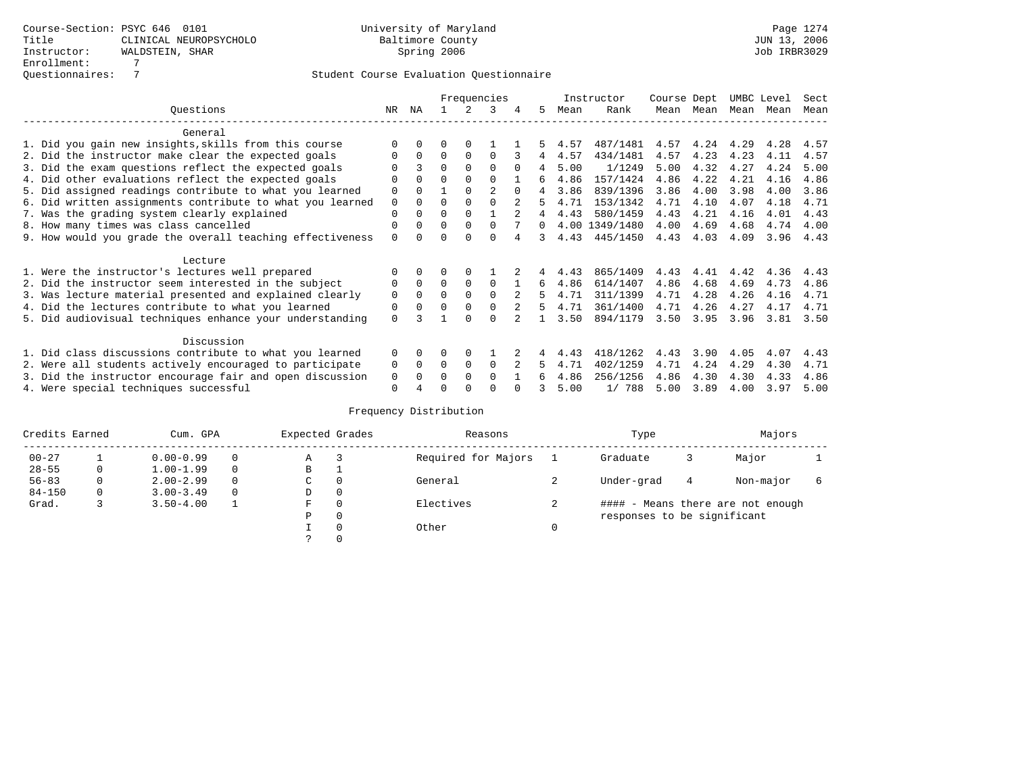|                                                           |             | Frequencies<br>ΝA<br>3 |          |          |                |          |          |      | Instructor     | Course Dept |      | UMBC Level |      | Sect |
|-----------------------------------------------------------|-------------|------------------------|----------|----------|----------------|----------|----------|------|----------------|-------------|------|------------|------|------|
| Ouestions                                                 | NR.         |                        |          |          |                |          | 5.       | Mean | Rank           | Mean        | Mean | Mean       | Mean | Mean |
| General                                                   |             |                        |          |          |                |          |          |      |                |             |      |            |      |      |
| 1. Did you gain new insights, skills from this course     |             | $\Omega$               | O        | $\Omega$ |                |          |          | 4.57 | 487/1481       | 4.57        | 4.24 | 4.29       | 4.28 | 4.57 |
| 2. Did the instructor make clear the expected goals       | O           | $\Omega$               | $\Omega$ | $\Omega$ | $\Omega$       |          | 4        | 4.57 | 434/1481       | 4.57        | 4.23 | 4.23       | 4.11 | 4.57 |
| 3. Did the exam questions reflect the expected goals      |             |                        | $\Omega$ | $\Omega$ | $\Omega$       | $\Omega$ | 4        | 5.00 | 1/1249         | 5.00        | 4.32 | 4.27       | 4.24 | 5.00 |
| 4. Did other evaluations reflect the expected goals       | O           | $\Omega$               | $\Omega$ | $\Omega$ | $\Omega$       |          | б.       | 4.86 | 157/1424       | 4.86        | 4.22 | 4.21       | 4.16 | 4.86 |
| 5. Did assigned readings contribute to what you learned   | $\mathbf 0$ |                        |          |          | $\mathfrak{D}$ | $\Omega$ | 4        | 3.86 | 839/1396       | 3.86        | 4.00 | 3.98       | 4.00 | 3.86 |
| 6. Did written assignments contribute to what you learned | $\mathbf 0$ | $\Omega$               | $\Omega$ |          |                |          | 5        | 4.71 | 153/1342       | 4.71        | 4.10 | 4.07       | 4.18 | 4.71 |
| 7. Was the grading system clearly explained               | $\Omega$    | $\Omega$               | $\Omega$ | $\Omega$ |                |          | 4        | 4.43 | 580/1459       | 4.43        | 4.21 | 4.16       | 4.01 | 4.43 |
| 8. How many times was class cancelled                     | 0           | $\Omega$               | $\Omega$ | $\Omega$ | $\Omega$       |          | $\Omega$ |      | 4.00 1349/1480 | 4.00        | 4.69 | 4.68       | 4.74 | 4.00 |
| 9. How would you grade the overall teaching effectiveness | $\Omega$    | <sup>n</sup>           | U        | ∩        | $\cap$         |          | 3        | 4.43 | 445/1450       | 4.43        | 4.03 | 4.09       | 3.96 | 4.43 |
| Lecture                                                   |             |                        |          |          |                |          |          |      |                |             |      |            |      |      |
| 1. Were the instructor's lectures well prepared           |             |                        |          |          |                |          |          | 4.43 | 865/1409       | 4.43        | 4.41 | 4.42       | 4.36 | 4.43 |
| 2. Did the instructor seem interested in the subject      | 0           | $\Omega$               | $\Omega$ | $\Omega$ | $\Omega$       |          | 6        | 4.86 | 614/1407       | 4.86        | 4.68 | 4.69       | 4.73 | 4.86 |
| 3. Was lecture material presented and explained clearly   | $\mathbf 0$ | $\Omega$               | $\Omega$ | $\Omega$ | $\Omega$       |          | 5        | 4.71 | 311/1399       | 4.71        | 4.28 | 4.26       | 4.16 | 4.71 |
| 4. Did the lectures contribute to what you learned        | 0           | $\Omega$               | $\Omega$ | $\Omega$ |                |          | 5.       | 4.71 | 361/1400       | 4.71        | 4.26 | 4.27       | 4.17 | 4.71 |
| 5. Did audiovisual techniques enhance your understanding  | $\Omega$    |                        |          | ∩        | $\cap$         |          |          | 3.50 | 894/1179       | 3.50        | 3.95 | 3.96       | 3.81 | 3.50 |
|                                                           |             |                        |          |          |                |          |          |      |                |             |      |            |      |      |
| Discussion                                                |             |                        |          |          |                |          |          |      |                |             |      |            |      |      |
| 1. Did class discussions contribute to what you learned   | $\Omega$    | $\Omega$               | O        | $\Omega$ |                |          |          | 4.43 | 418/1262       | 4.43        | 3.90 | 4.05       | 4.07 | 4.43 |
| 2. Were all students actively encouraged to participate   | 0           | $\Omega$               | $\Omega$ | $\Omega$ | $\Omega$       |          | 5.       | 4.71 | 402/1259       | 4.71        | 4.24 | 4.29       | 4.30 | 4.71 |
| 3. Did the instructor encourage fair and open discussion  | 0           |                        | 0        | $\Omega$ | $\Omega$       |          | б.       | 4.86 | 256/1256       | 4.86        | 4.30 | 4.30       | 4.33 | 4.86 |
| 4. Were special techniques successful                     | $\Omega$    |                        |          |          |                |          |          | 5.00 | 1/788          | 5.00        | 3.89 | 4.00       | 3.97 | 5.00 |

| Credits Earned |          | Cum. GPA      | Expected Grades |          | Reasons             | Type                        |   | Majors                            |  |
|----------------|----------|---------------|-----------------|----------|---------------------|-----------------------------|---|-----------------------------------|--|
| $00 - 27$      |          | $0.00 - 0.99$ | Α               |          | Required for Majors | Graduate                    |   | Major                             |  |
| $28 - 55$      | 0        | $1.00 - 1.99$ | B               | л.       |                     |                             |   |                                   |  |
| $56 - 83$      | $\Omega$ | $2.00 - 2.99$ | C               | 0        | General             | Under-grad                  | 4 | Non-major                         |  |
| $84 - 150$     | 0        | $3.00 - 3.49$ | D               | 0        |                     |                             |   |                                   |  |
| Grad.          | 3        | $3.50 - 4.00$ | F               | 0        | Electives           |                             |   | #### - Means there are not enough |  |
|                |          |               | Ρ               | 0        |                     | responses to be significant |   |                                   |  |
|                |          |               |                 | $\Omega$ | Other               |                             |   |                                   |  |
|                |          |               |                 |          |                     |                             |   |                                   |  |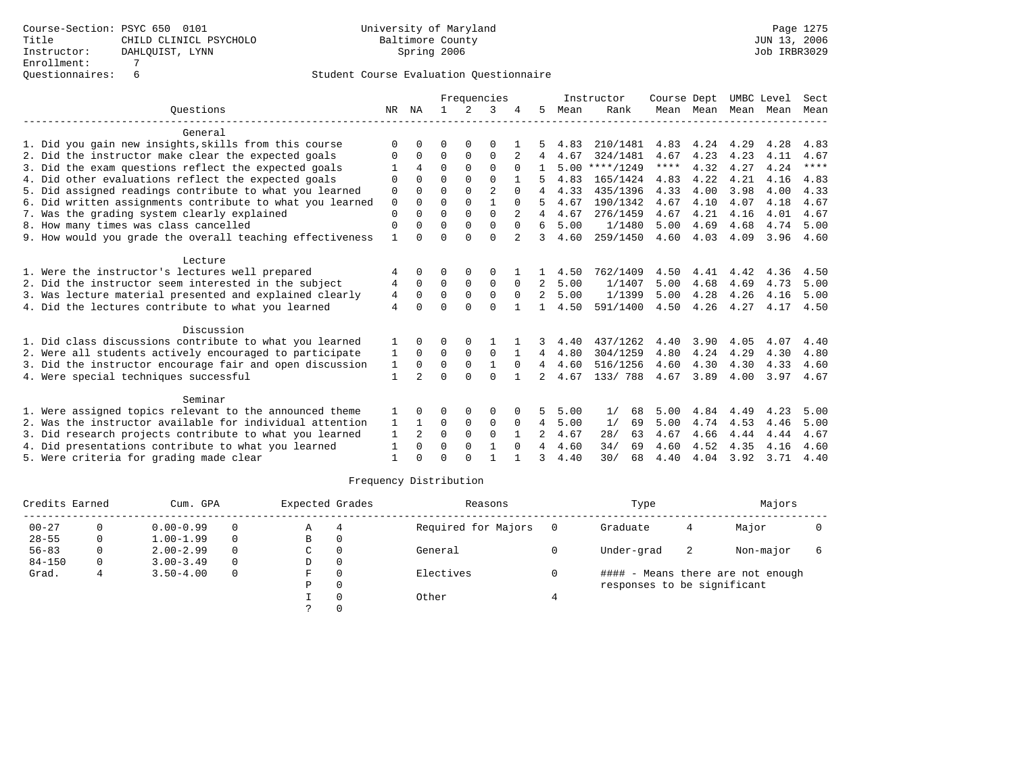|                                                           | Frequencies  |                |          |                |                |          | Instructor | Course Dept |                  | UMBC Level  |           | Sect |      |             |
|-----------------------------------------------------------|--------------|----------------|----------|----------------|----------------|----------|------------|-------------|------------------|-------------|-----------|------|------|-------------|
| Ouestions                                                 | NR           | ΝA             |          | $\mathfrak{D}$ | 3              |          | 5          | Mean        | Rank             |             | Mean Mean | Mean | Mean | Mean        |
| General                                                   |              |                |          |                |                |          |            |             |                  |             |           |      |      |             |
| 1. Did you gain new insights, skills from this course     | $\Omega$     | <sup>n</sup>   | $\cap$   | ∩              | $\Omega$       |          |            | 4.83        | 210/1481         | 4.83        | 4.24      | 4.29 | 4.28 | 4.83        |
| 2. Did the instructor make clear the expected goals       |              | $\Omega$       | $\Omega$ | $\Omega$       | $\Omega$       |          |            | 4.67        | 324/1481         | 4.67        | 4.23      | 4.23 | 4.11 | 4.67        |
| 3. Did the exam questions reflect the expected goals      |              | 4              | $\Omega$ | $\Omega$       | $\Omega$       | $\Omega$ |            |             | $5.00$ ****/1249 | $***$ * * * | 4.32      | 4.27 | 4.24 | $***$ * * * |
| 4. Did other evaluations reflect the expected goals       | $\Omega$     | $\cap$         | $\cap$   | $\Omega$       | $\cap$         |          |            | 4.83        | 165/1424         | 4.83        | 4.22      | 4.21 | 4.16 | 4.83        |
| 5. Did assigned readings contribute to what you learned   | $\Omega$     | $\Omega$       | $\Omega$ | $\Omega$       | $\mathfrak{D}$ | $\Omega$ | 4          | 4.33        | 435/1396         | 4.33        | 4.00      | 3.98 | 4.00 | 4.33        |
| 6. Did written assignments contribute to what you learned | $\Omega$     | $\Omega$       | $\Omega$ | $\Omega$       |                |          |            | 4.67        | 190/1342         | 4.67        | 4.10      | 4.07 | 4.18 | 4.67        |
| 7. Was the grading system clearly explained               | $\Omega$     | $\cap$         | $\Omega$ | $\Omega$       | $\Omega$       |          |            | 4.67        | 276/1459         | 4.67        | 4.21      | 4.16 | 4.01 | 4.67        |
| 8. How many times was class cancelled                     | $\Omega$     |                | $\Omega$ | $\Omega$       | $\Omega$       | $\Omega$ | 6          | 5.00        | 1/1480           | 5.00        | 4.69      | 4.68 | 4.74 | 5.00        |
| 9. How would you grade the overall teaching effectiveness | $\mathbf{1}$ | U              | $\Omega$ | $\cap$         | $\Omega$       |          | 3          | 4.60        | 259/1450         | 4.60        | 4.03      | 4.09 | 3.96 | 4.60        |
| Lecture                                                   |              |                |          |                |                |          |            |             |                  |             |           |      |      |             |
| 1. Were the instructor's lectures well prepared           | 4            | $\Omega$       | $\Omega$ |                | 0              |          |            | 4.50        | 762/1409         | 4.50        | 4.41      | 4.42 | 4.36 | 4.50        |
| 2. Did the instructor seem interested in the subject      | 4            | $\Omega$       | $\Omega$ | $\Omega$       | $\Omega$       | $\Omega$ | 2          | 5.00        | 1/1407           | 5.00        | 4.68      | 4.69 | 4.73 | 5.00        |
| 3. Was lecture material presented and explained clearly   | 4            | $\Omega$       | $\Omega$ | $\Omega$       | 0              |          | 2          | 5.00        | 1/1399           | 5.00        | 4.28      | 4.26 | 4.16 | 5.00        |
| 4. Did the lectures contribute to what you learned        | 4            | $\Omega$       | $\Omega$ | $\cap$         | $\Omega$       |          |            | 4.50        | 591/1400         | 4.50        | 4.26      | 4.27 | 4.17 | 4.50        |
| Discussion                                                |              |                |          |                |                |          |            |             |                  |             |           |      |      |             |
| 1. Did class discussions contribute to what you learned   |              | 0              | $\Omega$ | 0              |                |          | 3          | 4.40        | 437/1262         | 4.40        | 3.90      | 4.05 | 4.07 | 4.40        |
| 2. Were all students actively encouraged to participate   | 1            | $\Omega$       | $\Omega$ | $\Omega$       | $\Omega$       |          | 4          | 4.80        | 304/1259         | 4.80        | 4.24      | 4.29 | 4.30 | 4.80        |
| 3. Did the instructor encourage fair and open discussion  | 1            | 0              | $\Omega$ | $\Omega$       |                |          |            | 4.60        | 516/1256         | 4.60        | 4.30      | 4.30 | 4.33 | 4.60        |
| 4. Were special techniques successful                     | 1            | 2              | $\Omega$ | $\cap$         | $\Omega$       |          | 2          | 4.67        | 133/788          | 4.67        | 3.89      | 4.00 | 3.97 | 4.67        |
| Seminar                                                   |              |                |          |                |                |          |            |             |                  |             |           |      |      |             |
| 1. Were assigned topics relevant to the announced theme   |              |                |          |                | 0              |          |            | 5.00        | 1/<br>68         | 5.00        | 4.84      | 4.49 | 4.23 | 5.00        |
| 2. Was the instructor available for individual attention  | 1            |                | $\Omega$ | $\mathbf 0$    | 0              | $\Omega$ | 4          | 5.00        | 1/<br>69         | 5.00        | 4.74      | 4.53 | 4.46 | 5.00        |
| 3. Did research projects contribute to what you learned   | $\mathbf{1}$ | $\overline{a}$ | $\Omega$ | $\Omega$       | $\Omega$       |          |            | 4.67        | 28/<br>63        | 4.67        | 4.66      | 4.44 | 4.44 | 4.67        |
| 4. Did presentations contribute to what you learned       | $\mathbf{1}$ | $\Omega$       | $\Omega$ | $\Omega$       | $\mathbf{1}$   | $\Omega$ | 4          | 4.60        | 34/<br>69        | 4.60        | 4.52      | 4.35 | 4.16 | 4.60        |
| 5. Were criteria for grading made clear                   |              |                | $\Omega$ |                |                |          | २          | 4.40        | 30/<br>68        | 4.40        | 4.04      | 3.92 | 3.71 | 4.40        |
|                                                           |              |                |          |                |                |          |            |             |                  |             |           |      |      |             |

| Credits Earned |   | Cum. GPA      |          | Expected Grades |          | Reasons             | Type                        |    | Majors                            |  |
|----------------|---|---------------|----------|-----------------|----------|---------------------|-----------------------------|----|-----------------------------------|--|
| $00 - 27$      | 0 | $0.00 - 0.99$ | $\Omega$ | Α               | 4        | Required for Majors | Graduate                    | 4  | Major                             |  |
| $28 - 55$      | 0 | $1.00 - 1.99$ | $\Omega$ | В               | 0        |                     |                             |    |                                   |  |
| $56 - 83$      | 0 | $2.00 - 2.99$ | $\Omega$ | C               | $\Omega$ | General             | Under-grad                  | -2 | Non-major                         |  |
| $84 - 150$     | 0 | $3.00 - 3.49$ | $\Omega$ | D               | $\Omega$ |                     |                             |    |                                   |  |
| Grad.          | 4 | $3.50 - 4.00$ | $\Omega$ | F.              | $\Omega$ | Electives           |                             |    | #### - Means there are not enough |  |
|                |   |               |          | Ρ               | 0        |                     | responses to be significant |    |                                   |  |
|                |   |               |          |                 |          | Other               |                             |    |                                   |  |
|                |   |               |          |                 |          |                     |                             |    |                                   |  |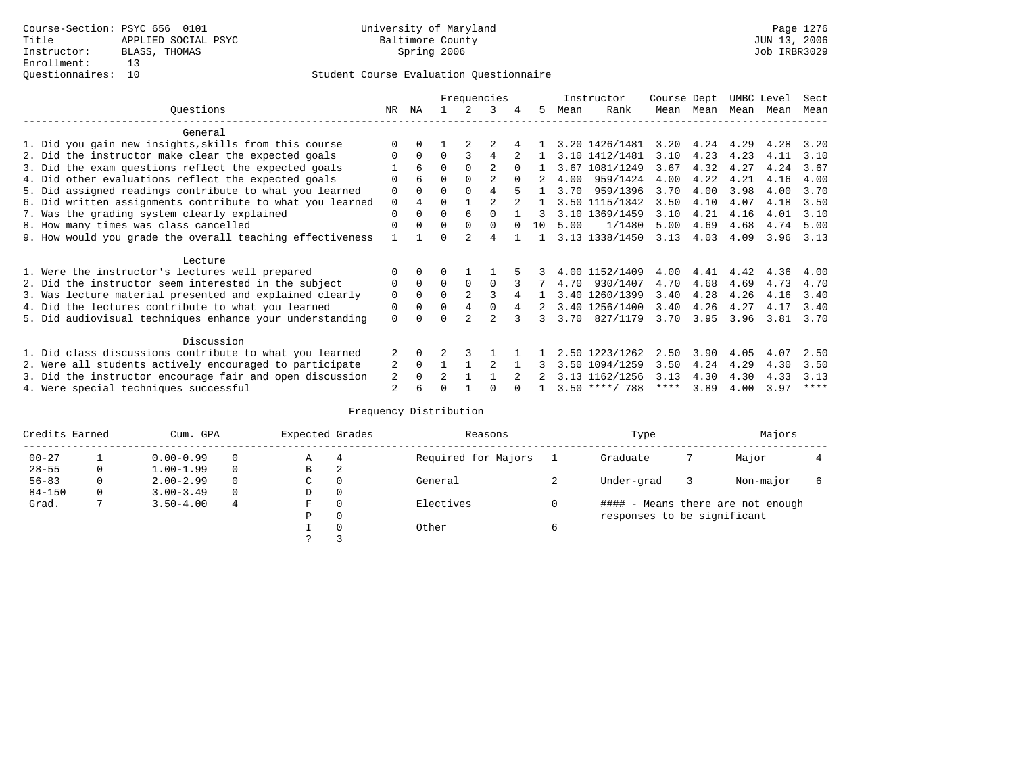|                                                           |             |                |                |          | Frequencies    |          |                |      | Instructor       | Course Dept |      | UMBC Level |      | Sect        |
|-----------------------------------------------------------|-------------|----------------|----------------|----------|----------------|----------|----------------|------|------------------|-------------|------|------------|------|-------------|
| Ouestions                                                 | NR.         | ΝA             |                |          | 3              |          | 5.             | Mean | Rank             | Mean        | Mean | Mean       | Mean | Mean        |
| General                                                   |             |                |                |          |                |          |                |      |                  |             |      |            |      |             |
| 1. Did you gain new insights, skills from this course     | $\Omega$    | $\Omega$       |                |          |                |          |                |      | 3.20 1426/1481   | 3.20        | 4.24 | 4.29       | 4.28 | 3.20        |
| 2. Did the instructor make clear the expected goals       | O           | $\Omega$       | $\Omega$       |          | 4              |          |                |      | 3.10 1412/1481   | 3.10        | 4.23 | 4.23       | 4.11 | 3.10        |
| 3. Did the exam questions reflect the expected goals      |             | 6              | $\Omega$       | $\Omega$ | $\overline{c}$ | $\Omega$ |                |      | 3.67 1081/1249   | 3.67        | 4.32 | 4.27       | 4.24 | 3.67        |
| 4. Did other evaluations reflect the expected goals       | O           | 6              | $\Omega$       |          |                |          |                | 4.00 | 959/1424         | 4.00        | 4.22 | 4.21       | 4.16 | 4.00        |
| 5. Did assigned readings contribute to what you learned   | $\mathbf 0$ |                | $\Omega$       |          | 4              |          |                | 3.70 | 959/1396         | 3.70        | 4.00 | 3.98       | 4.00 | 3.70        |
| 6. Did written assignments contribute to what you learned | $\mathbf 0$ | $\overline{4}$ |                |          |                |          | $\overline{1}$ |      | 3.50 1115/1342   | 3.50        | 4.10 | 4.07       | 4.18 | 3.50        |
| 7. Was the grading system clearly explained               | $\Omega$    | $\Omega$       | $\Omega$       | 6        |                |          |                |      | 3.10 1369/1459   | 3.10        | 4.21 | 4.16       | 4.01 | 3.10        |
| 8. How many times was class cancelled                     | $\Omega$    | $\Omega$       | $\Omega$       | $\Omega$ | $\Omega$       | $\Omega$ | 10             | 5.00 | 1/1480           | 5.00        | 4.69 | 4.68       | 4.74 | 5.00        |
| 9. How would you grade the overall teaching effectiveness |             |                | ∩              |          | 4              |          |                |      | 3.13 1338/1450   | 3.13        | 4.03 | 4.09       | 3.96 | 3.13        |
|                                                           |             |                |                |          |                |          |                |      |                  |             |      |            |      |             |
| Lecture                                                   |             |                |                |          |                |          |                |      |                  |             |      |            |      |             |
| 1. Were the instructor's lectures well prepared           |             |                |                |          |                |          |                |      | 4.00 1152/1409   | 4.00        | 4.41 | 4.42       | 4.36 | 4.00        |
| 2. Did the instructor seem interested in the subject      | 0           | $\Omega$       | $\Omega$       | $\Omega$ | $\Omega$       |          |                | 4.70 | 930/1407         | 4.70        | 4.68 | 4.69       | 4.73 | 4.70        |
| 3. Was lecture material presented and explained clearly   | $\mathbf 0$ | $\Omega$       | $\Omega$       |          |                |          |                |      | 3.40 1260/1399   | 3.40        | 4.28 | 4.26       | 4.16 | 3.40        |
| 4. Did the lectures contribute to what you learned        | 0           | $\Omega$       | $\Omega$       | 4        |                |          |                |      | 3.40 1256/1400   | 3.40        | 4.26 | 4.27       | 4.17 | 3.40        |
| 5. Did audiovisual techniques enhance your understanding  | $\Omega$    |                |                |          | $\mathcal{D}$  |          | 3              | 3.70 | 827/1179         | 3.70        | 3.95 | 3.96       | 3.81 | 3.70        |
|                                                           |             |                |                |          |                |          |                |      |                  |             |      |            |      |             |
| Discussion                                                |             |                |                |          |                |          |                |      |                  |             |      |            |      |             |
| 1. Did class discussions contribute to what you learned   |             | $\Omega$       |                |          |                |          |                |      | 2.50 1223/1262   | 2.50        | 3.90 | 4.05       | 4.07 | 2.50        |
| 2. Were all students actively encouraged to participate   | 2           | $\Omega$       |                |          |                |          |                |      | 3.50 1094/1259   | 3.50        | 4.24 | 4.29       | 4.30 | 3.50        |
| 3. Did the instructor encourage fair and open discussion  | 2           | $\Omega$       | $\mathfrak{D}$ |          |                |          |                |      | 3.13 1162/1256   | 3.13        | 4.30 | 4.30       | 4.33 | 3.13        |
| 4. Were special techniques successful                     | 2           |                |                |          |                |          |                |      | $3.50$ ****/ 788 | ****        | 3.89 | 4.00       | 3.97 | $***$ * * * |

| Credits Earned |   | Cum. GPA      |   | Expected Grades |          | Reasons             |   | Type                        | Majors                            |  |
|----------------|---|---------------|---|-----------------|----------|---------------------|---|-----------------------------|-----------------------------------|--|
| $00 - 27$      |   | $0.00 - 0.99$ |   | Α               | 4        | Required for Majors |   | Graduate                    | Major                             |  |
| $28 - 55$      | 0 | $1.00 - 1.99$ |   | В               | 2        |                     |   |                             |                                   |  |
| $56 - 83$      | 0 | $2.00 - 2.99$ |   | $\sim$<br>◡     | 0        | General             |   | Under-grad                  | Non-major                         |  |
| $84 - 150$     | 0 | $3.00 - 3.49$ |   | D               | 0        |                     |   |                             |                                   |  |
| Grad.          |   | $3.50 - 4.00$ | 4 | F               | 0        | Electives           |   |                             | #### - Means there are not enough |  |
|                |   |               |   | Ρ               | 0        |                     |   | responses to be significant |                                   |  |
|                |   |               |   |                 | $\Omega$ | Other               | 6 |                             |                                   |  |
|                |   |               |   | $\mathcal{D}$   |          |                     |   |                             |                                   |  |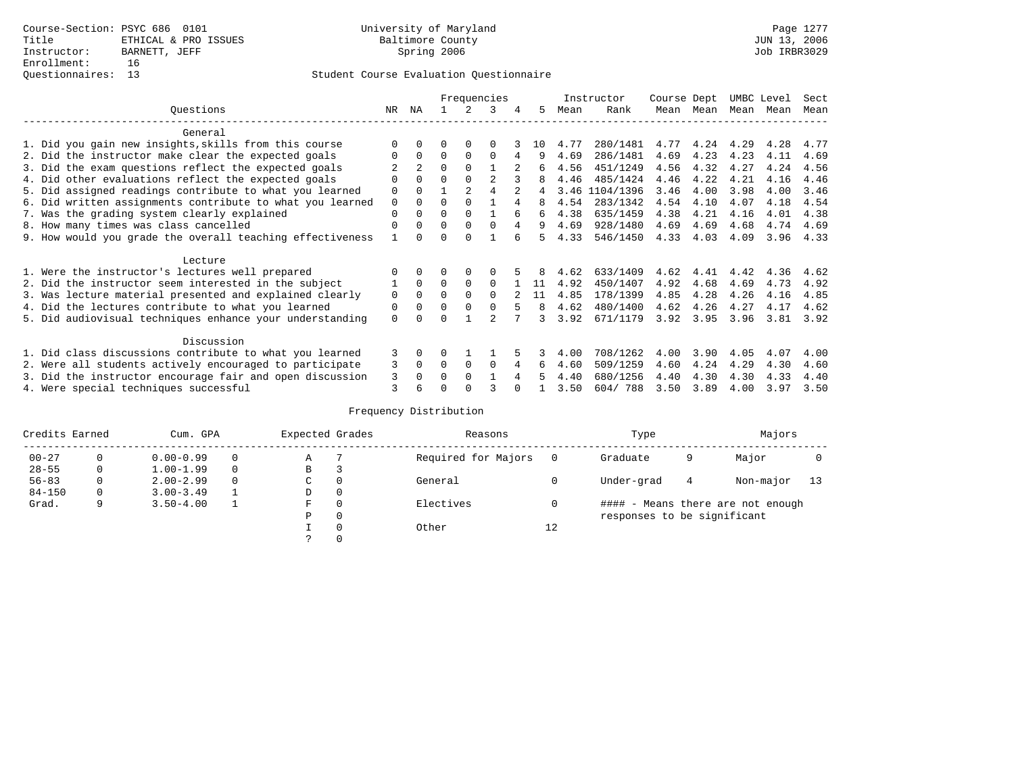|                                                           |             |                |          |                | Frequencies |   |          |      | Instructor     | Course Dept |           | UMBC Level |      | Sect |
|-----------------------------------------------------------|-------------|----------------|----------|----------------|-------------|---|----------|------|----------------|-------------|-----------|------------|------|------|
| Ouestions                                                 | NR          | ΝA             |          | 2              | 3           | 4 | 5        | Mean | Rank           |             | Mean Mean | Mean       | Mean | Mean |
| General                                                   |             |                |          |                |             |   |          |      |                |             |           |            |      |      |
| 1. Did you gain new insights, skills from this course     |             | $\Omega$       | 0        | $\Omega$       | $\Omega$    |   | $10^{-}$ | 4.77 | 280/1481       | 4.77        | 4.24      | 4.29       | 4.28 | 4.77 |
| 2. Did the instructor make clear the expected goals       |             | $\Omega$       | $\Omega$ | $\Omega$       | $\Omega$    | 4 | 9        | 4.69 | 286/1481       | 4.69        | 4.23      | 4.23       | 4.11 | 4.69 |
| 3. Did the exam questions reflect the expected goals      |             | $\overline{2}$ | $\Omega$ | $\Omega$       |             |   | 6        | 4.56 | 451/1249       | 4.56        | 4.32      | 4.27       | 4.24 | 4.56 |
| 4. Did other evaluations reflect the expected goals       |             | $\Omega$       | 0        | $\Omega$       |             |   |          | 4.46 | 485/1424       | 4.46        | 4.22      | 4.21       | 4.16 | 4.46 |
| 5. Did assigned readings contribute to what you learned   | 0           | $\Omega$       |          | $\overline{a}$ |             |   | 4        |      | 3.46 1104/1396 | 3.46        | 4.00      | 3.98       | 4.00 | 3.46 |
| 6. Did written assignments contribute to what you learned | $\mathbf 0$ | $\Omega$       | U        | $\Omega$       |             | 4 | 8        | 4.54 | 283/1342       | 4.54        | 4.10      | 4.07       | 4.18 | 4.54 |
| 7. Was the grading system clearly explained               | 0           | $\Omega$       | 0        | $\Omega$       |             | 6 | 6        | 4.38 | 635/1459       | 4.38        | 4.21      | 4.16       | 4.01 | 4.38 |
| 8. How many times was class cancelled                     | 0           | $\Omega$       | $\Omega$ | $\Omega$       | $\Omega$    | 4 | 9        | 4.69 | 928/1480       | 4.69        | 4.69      | 4.68       | 4.74 | 4.69 |
| 9. How would you grade the overall teaching effectiveness |             | <sup>n</sup>   | U        | $\cap$         |             |   | ц.       | 4.33 | 546/1450       | 4.33        | 4.03      | 4.09       | 3.96 | 4.33 |
| Lecture                                                   |             |                |          |                |             |   |          |      |                |             |           |            |      |      |
| 1. Were the instructor's lectures well prepared           |             | $\Omega$       |          | $\Omega$       |             |   |          | 4.62 | 633/1409       | 4.62        | 4.41      | 4.42       | 4.36 | 4.62 |
| 2. Did the instructor seem interested in the subject      |             | $\Omega$       | $\Omega$ | $\Omega$       | $\Omega$    |   | 11       | 4.92 | 450/1407       | 4.92        | 4.68      | 4.69       | 4.73 | 4.92 |
| 3. Was lecture material presented and explained clearly   | 0           | $\Omega$       | 0        | $\Omega$       | $\Omega$    |   | 11       | 4.85 | 178/1399       | 4.85        | 4.28      | 4.26       | 4.16 | 4.85 |
| 4. Did the lectures contribute to what you learned        | 0           | $\Omega$       | U        | $\Omega$       | 0           |   | 8        | 4.62 | 480/1400       | 4.62        | 4.26      | 4.27       | 4.17 | 4.62 |
| 5. Did audiovisual techniques enhance your understanding  | 0           |                |          |                |             |   | ς        | 3.92 | 671/1179       | 3.92        | 3.95      | 3.96       | 3.81 | 3.92 |
| Discussion                                                |             |                |          |                |             |   |          |      |                |             |           |            |      |      |
| 1. Did class discussions contribute to what you learned   | 3           | $\Omega$       | U        |                |             |   |          | 4.00 | 708/1262       | 4.00        | 3.90      | 4.05       | 4.07 | 4.00 |
| 2. Were all students actively encouraged to participate   | 3           | $\mathbf 0$    | $\Omega$ | 0              | $\Omega$    | 4 | 6        | 4.60 | 509/1259       | 4.60        | 4.24      | 4.29       | 4.30 | 4.60 |
| 3. Did the instructor encourage fair and open discussion  | 3           | 0              |          | $\Omega$       |             |   |          | 4.40 | 680/1256       | 4.40        | 4.30      | 4.30       | 4.33 | 4.40 |
| 4. Were special techniques successful                     | 3           | 6              |          |                |             |   |          | 3.50 | 604/788        | 3.50        | 3.89      | 4.00       | 3.97 | 3.50 |

| Credits Earned |   | Cum. GPA      |   | Expected Grades |          | Reasons             |    | Type                        |   | Majors                            |    |
|----------------|---|---------------|---|-----------------|----------|---------------------|----|-----------------------------|---|-----------------------------------|----|
| $00 - 27$      | 0 | $0.00 - 0.99$ |   | Α               |          | Required for Majors |    | Graduate                    | 9 | Major                             |    |
| $28 - 55$      | 0 | $1.00 - 1.99$ |   | В               |          |                     |    |                             |   |                                   |    |
| $56 - 83$      | 0 | $2.00 - 2.99$ | 0 | $\sim$<br>◡     | $\Omega$ | General             |    | Under-grad                  | 4 | Non-major                         | 13 |
| $84 - 150$     | 0 | $3.00 - 3.49$ |   | D               | 0        |                     |    |                             |   |                                   |    |
| Grad.          | 9 | $3.50 - 4.00$ |   | F               | 0        | Electives           |    |                             |   | #### - Means there are not enough |    |
|                |   |               |   | Ρ               | 0        |                     |    | responses to be significant |   |                                   |    |
|                |   |               |   |                 | 0        | Other               | 12 |                             |   |                                   |    |
|                |   |               |   | $\mathcal{L}$   |          |                     |    |                             |   |                                   |    |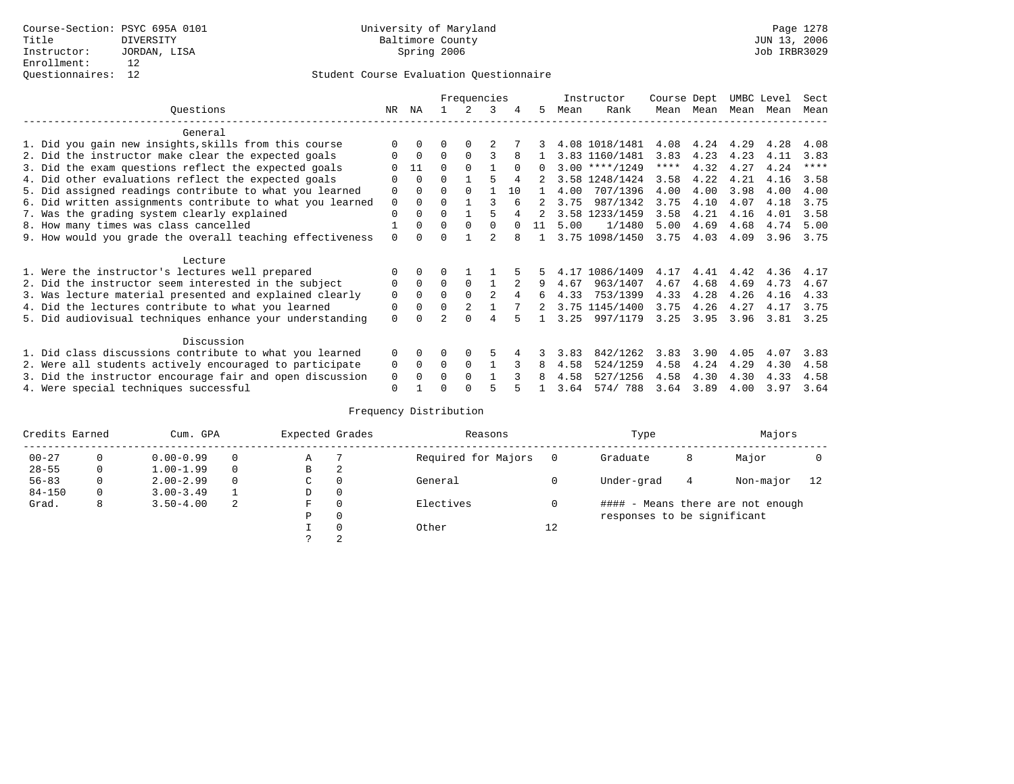|                                                           |             |              |          | Frequencies |                |          |          |      | Instructor       | Course Dept |      | UMBC Level |      | Sect        |
|-----------------------------------------------------------|-------------|--------------|----------|-------------|----------------|----------|----------|------|------------------|-------------|------|------------|------|-------------|
| Ouestions                                                 | NR.         | ΝA           |          |             | 3              |          | 5.       | Mean | Rank             | Mean        | Mean | Mean       | Mean | Mean        |
| General                                                   |             |              |          |             |                |          |          |      |                  |             |      |            |      |             |
| 1. Did you gain new insights, skills from this course     |             | $\Omega$     | O        | $\Omega$    |                |          |          |      | 4.08 1018/1481   | 4.08        | 4.24 | 4.29       | 4.28 | 4.08        |
| 2. Did the instructor make clear the expected goals       | U           | $\Omega$     | $\Omega$ | $\Omega$    |                |          |          |      | 3.83 1160/1481   | 3.83        | 4.23 | 4.23       | 4.11 | 3.83        |
| 3. Did the exam questions reflect the expected goals      |             | 11           | $\Omega$ | $\Omega$    |                | $\Omega$ | $\Omega$ |      | $3.00$ ****/1249 | ****        | 4.32 | 4.27       | 4.24 | $***$ * * * |
| 4. Did other evaluations reflect the expected goals       | O           | $\Omega$     | $\Omega$ |             | 5              | 4        |          |      | 3.58 1248/1424   | 3.58        | 4.22 | 4.21       | 4.16 | 3.58        |
| 5. Did assigned readings contribute to what you learned   | $\mathbf 0$ | $\Omega$     | 0        | $\Omega$    |                | 10       |          | 4.00 | 707/1396         | 4.00        | 4.00 | 3.98       | 4.00 | 4.00        |
| 6. Did written assignments contribute to what you learned | $\mathbf 0$ | $\Omega$     | $\Omega$ |             |                |          |          | 3.75 | 987/1342         | 3.75        | 4.10 | 4.07       | 4.18 | 3.75        |
| 7. Was the grading system clearly explained               | $\Omega$    | $\Omega$     | $\Omega$ |             |                |          |          |      | 3.58 1233/1459   | 3.58        | 4.21 | 4.16       | 4.01 | 3.58        |
| 8. How many times was class cancelled                     |             | $\Omega$     | $\Omega$ | $\Omega$    | $\cap$         | $\cap$   | 11       | 5.00 | 1/1480           | 5.00        | 4.69 | 4.68       | 4.74 | 5.00        |
| 9. How would you grade the overall teaching effectiveness | $\Omega$    | <sup>n</sup> | U        |             |                |          |          |      | 3.75 1098/1450   | 3.75        | 4.03 | 4.09       | 3.96 | 3.75        |
| Lecture                                                   |             |              |          |             |                |          |          |      |                  |             |      |            |      |             |
| 1. Were the instructor's lectures well prepared           |             |              |          |             |                |          |          |      | 4.17 1086/1409   | 4.17        | 4.41 | 4.42       | 4.36 | 4.17        |
| 2. Did the instructor seem interested in the subject      | 0           | $\Omega$     | $\Omega$ | $\Omega$    |                |          |          | 4.67 | 963/1407         | 4.67        | 4.68 | 4.69       | 4.73 | 4.67        |
| 3. Was lecture material presented and explained clearly   | $\mathbf 0$ | $\Omega$     | $\Omega$ |             | $\mathfrak{D}$ |          | б.       | 4.33 | 753/1399         | 4.33        | 4.28 | 4.26       | 4.16 | 4.33        |
| 4. Did the lectures contribute to what you learned        | 0           | $\Omega$     | $\Omega$ |             |                |          |          |      | 3.75 1145/1400   | 3.75        | 4.26 | 4.27       | 4.17 | 3.75        |
| 5. Did audiovisual techniques enhance your understanding  | $\Omega$    |              |          | ∩           | 4              |          |          | 3.25 | 997/1179         | 3.25        | 3.95 | 3.96       | 3.81 | 3.25        |
|                                                           |             |              |          |             |                |          |          |      |                  |             |      |            |      |             |
| Discussion                                                |             |              |          |             |                |          |          |      |                  |             |      |            |      |             |
| 1. Did class discussions contribute to what you learned   | $\Omega$    | $\Omega$     | O        | $\Omega$    |                |          |          | 3.83 | 842/1262         | 3.83        | 3.90 | 4.05       | 4.07 | 3.83        |
| 2. Were all students actively encouraged to participate   | 0           | $\Omega$     | $\Omega$ | $\Omega$    |                |          | 8        | 4.58 | 524/1259         | 4.58        | 4.24 | 4.29       | 4.30 | 4.58        |
| 3. Did the instructor encourage fair and open discussion  | 0           | $\Omega$     | 0        | $\Omega$    |                |          |          | 4.58 | 527/1256         | 4.58        | 4.30 | 4.30       | 4.33 | 4.58        |
| 4. Were special techniques successful                     | $\Omega$    |              |          |             |                |          |          | 3.64 | 574/788          | 3.64        | 3.89 | 4.00       | 3.97 | 3.64        |

| Credits Earned |          | Cum. GPA      |   | Expected Grades |          | Reasons             |          | Type                        |   | Majors                            |    |
|----------------|----------|---------------|---|-----------------|----------|---------------------|----------|-----------------------------|---|-----------------------------------|----|
| $00 - 27$      | $\Omega$ | $0.00 - 0.99$ |   | Α               |          | Required for Majors | $\Omega$ | Graduate                    | 8 | Major                             |    |
| $28 - 55$      | 0        | $1.00 - 1.99$ |   | В               | 2        |                     |          |                             |   |                                   |    |
| $56 - 83$      | 0        | $2.00 - 2.99$ |   | $\sim$<br>◡     | 0        | General             |          | Under-grad                  | 4 | Non-major                         | 12 |
| $84 - 150$     | 0        | $3.00 - 3.49$ |   | D               | 0        |                     |          |                             |   |                                   |    |
| Grad.          | 8        | $3.50 - 4.00$ | 2 | F               | 0        | Electives           | 0        |                             |   | #### - Means there are not enough |    |
|                |          |               |   | Ρ               | 0        |                     |          | responses to be significant |   |                                   |    |
|                |          |               |   |                 | $\Omega$ | Other               | 12       |                             |   |                                   |    |
|                |          |               |   | C               | 2        |                     |          |                             |   |                                   |    |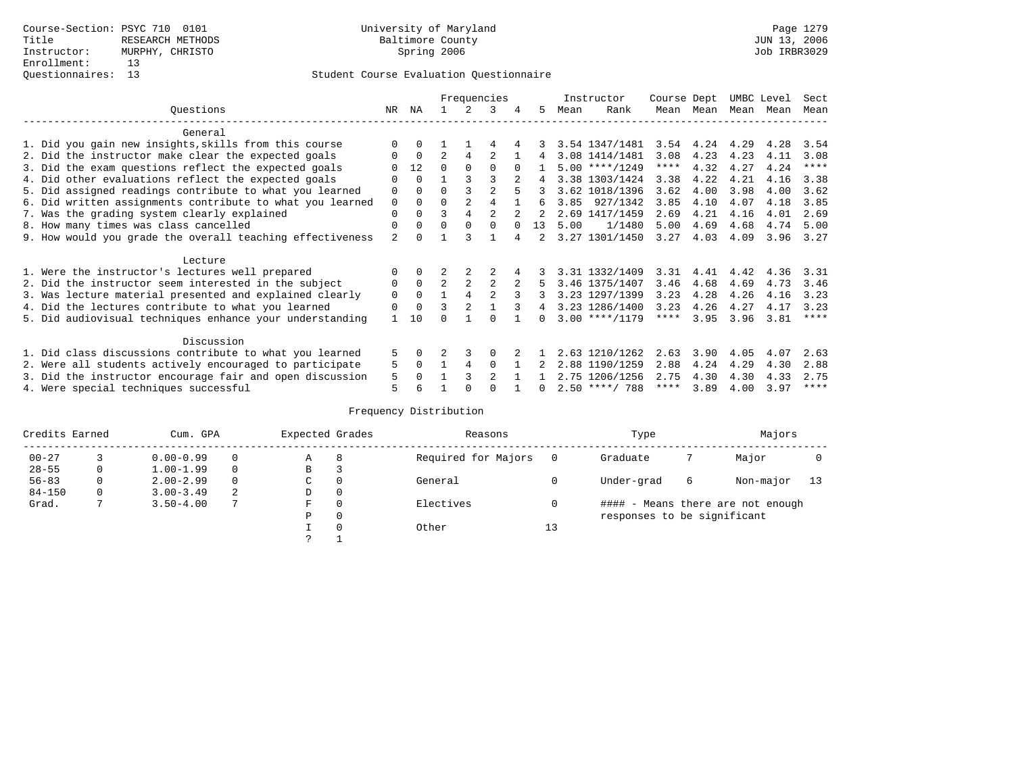|                                                           |                |          |                |                | Frequencies    |          |              |      | Instructor       | Course Dept |           | UMBC Level |      | Sect        |
|-----------------------------------------------------------|----------------|----------|----------------|----------------|----------------|----------|--------------|------|------------------|-------------|-----------|------------|------|-------------|
| Ouestions                                                 | NR.            | ΝA       |                | 2              | 3              | 4        | 5.           | Mean | Rank             |             | Mean Mean | Mean       | Mean | Mean        |
| General                                                   |                |          |                |                |                |          |              |      |                  |             |           |            |      |             |
| 1. Did you gain new insights, skills from this course     | $\Omega$       | $\Omega$ |                |                | 4              |          |              |      | 3.54 1347/1481   |             | 3.54 4.24 | 4.29       | 4.28 | 3.54        |
| 2. Did the instructor make clear the expected goals       | O              | $\Omega$ | $\mathfrak{D}$ | 4              |                |          | 4            |      | 3.08 1414/1481   | 3.08        | 4.23      | 4.23       | 4.11 | 3.08        |
| 3. Did the exam questions reflect the expected goals      |                | 12       | $\Omega$       | $\Omega$       | $\Omega$       | $\Omega$ |              |      | $5.00$ ****/1249 | $***$ * * * | 4.32      | 4.27       | 4.24 | $***$ * * * |
| 4. Did other evaluations reflect the expected goals       | 0              | $\Omega$ |                |                |                |          | 4            |      | 3.38 1303/1424   | 3.38        | 4.22      | 4.21       | 4.16 | 3.38        |
| 5. Did assigned readings contribute to what you learned   | $\mathbf 0$    | $\Omega$ |                |                | $\mathfrak{D}$ | 5        |              |      | 3.62 1018/1396   | 3.62        | 4.00      | 3.98       | 4.00 | 3.62        |
| 6. Did written assignments contribute to what you learned | $\mathbf 0$    | $\Omega$ | $\Omega$       |                | 4              |          | б.           |      | 3.85 927/1342    | 3.85        | 4.10      | 4.07       | 4.18 | 3.85        |
| 7. Was the grading system clearly explained               | $\Omega$       | $\Omega$ | ς              | 4              | $\mathcal{D}$  |          |              |      | 2.69 1417/1459   | 2.69        | 4.21      | 4.16       | 4.01 | 2.69        |
| 8. How many times was class cancelled                     | $\Omega$       | $\Omega$ | $\Omega$       | $\Omega$       | $\Omega$       | $\cap$   | 13           | 5.00 | 1/1480           | 5.00        | 4.69      | 4.68       | 4.74 | 5.00        |
| 9. How would you grade the overall teaching effectiveness | $\overline{a}$ |          |                | ঽ              |                | 4        |              |      | 3.27 1301/1450   | 3.27        | 4.03      | 4.09       | 3.96 | 3.27        |
| Lecture                                                   |                |          |                |                |                |          |              |      |                  |             |           |            |      |             |
| 1. Were the instructor's lectures well prepared           |                | $\Omega$ |                | 2              |                | 4        |              |      | 3.31 1332/1409   | 3.31        | 4.41      | 4.42       | 4.36 | 3.31        |
| 2. Did the instructor seem interested in the subject      | 0              | $\Omega$ | $\overline{2}$ | $\overline{2}$ | 2              |          | 5            |      | 3.46 1375/1407   | 3.46        | 4.68      | 4.69       | 4.73 | 3.46        |
| 3. Was lecture material presented and explained clearly   | $\Omega$       | $\Omega$ |                | $\overline{4}$ | $\mathfrak{D}$ | २        |              |      | 3.23 1297/1399   | 3.23        | 4.28      | 4.26       | 4.16 | 3.23        |
| 4. Did the lectures contribute to what you learned        | $\Omega$       | $\Omega$ | ζ              | 2              |                | 3        | 4            |      | 3.23 1286/1400   | 3.23        | 4.26      | 4.27       | 4.17 | 3.23        |
| 5. Did audiovisual techniques enhance your understanding  |                | 10       | ∩              |                | ∩              |          | <sup>n</sup> |      | $3.00$ ****/1179 | $***$ * * * | 3.95      | 3.96       | 3.81 | ****        |
| Discussion                                                |                |          |                |                |                |          |              |      |                  |             |           |            |      |             |
| 1. Did class discussions contribute to what you learned   | 5              | 0        |                |                | $\Omega$       |          |              |      | 2.63 1210/1262   | 2.63        | 3.90      | 4.05       | 4.07 | 2.63        |
| 2. Were all students actively encouraged to participate   | 5              | $\Omega$ | $\mathbf{1}$   | 4              | $\Omega$       |          |              |      | 2.88 1190/1259   | 2.88        | 4.24      | 4.29       | 4.30 | 2.88        |
| 3. Did the instructor encourage fair and open discussion  | 5              | $\cap$   |                | 3              | $\mathfrak{D}$ |          |              |      | 2.75 1206/1256   | 2.75        | 4.30      | 4.30       | 4.33 | 2.75        |
| 4. Were special techniques successful                     | 5              |          |                | $\cap$         | ∩              |          | <sup>n</sup> |      | $2.50$ ****/ 788 | ****        | 3.89      | 4.00       | 3.97 | ****        |

| Credits Earned |   | Cum. GPA      |   | Expected Grades |          | Reasons             |    | Type                        |   | Majors                            |    |
|----------------|---|---------------|---|-----------------|----------|---------------------|----|-----------------------------|---|-----------------------------------|----|
| $00 - 27$      |   | $0.00 - 0.99$ |   | А               | 8        | Required for Majors | 0  | Graduate                    |   | Major                             |    |
| $28 - 55$      | 0 | $1.00 - 1.99$ |   | В               | 3        |                     |    |                             |   |                                   |    |
| $56 - 83$      | 0 | $2.00 - 2.99$ |   | $\sim$<br>◡     | 0        | General             |    | Under-grad                  | 6 | Non-major                         | 13 |
| $84 - 150$     | 0 | $3.00 - 3.49$ | 2 | D               | 0        |                     |    |                             |   |                                   |    |
| Grad.          |   | $3.50 - 4.00$ | 7 | F               | 0        | Electives           | 0  |                             |   | #### - Means there are not enough |    |
|                |   |               |   | Ρ               | 0        |                     |    | responses to be significant |   |                                   |    |
|                |   |               |   |                 | $\Omega$ | Other               | 13 |                             |   |                                   |    |
|                |   |               |   | C               |          |                     |    |                             |   |                                   |    |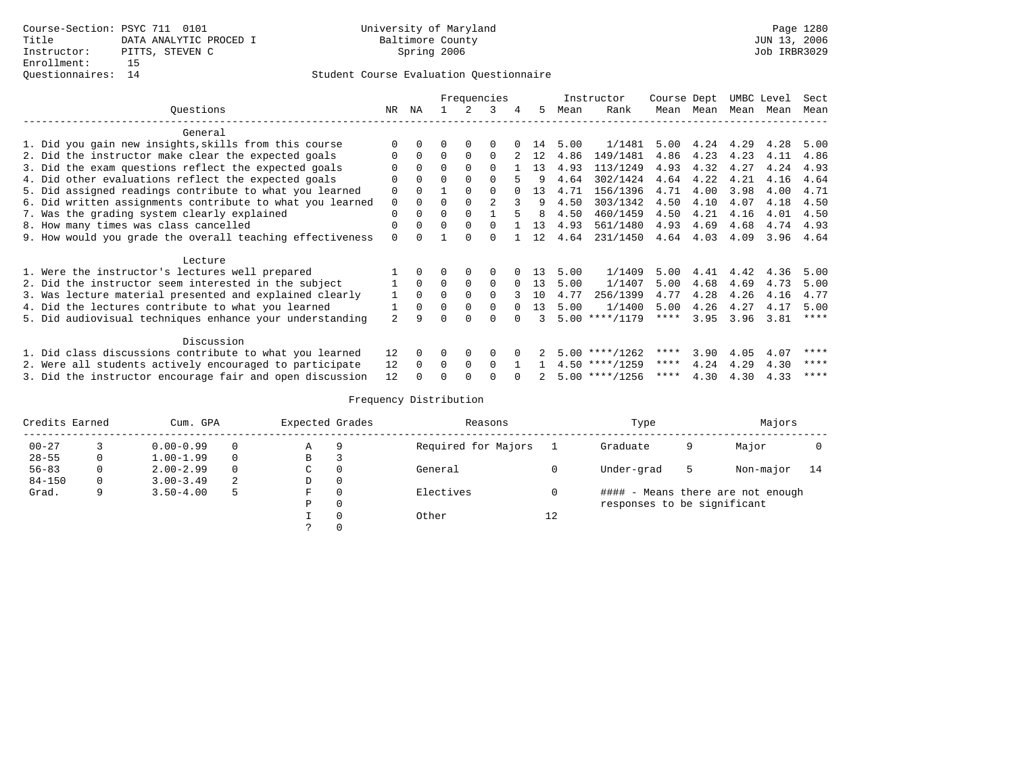|                                                           |                |          | Frequencies |          |          |          |              |      | Instructor       | Course Dept |             | UMBC Level |      | Sect        |
|-----------------------------------------------------------|----------------|----------|-------------|----------|----------|----------|--------------|------|------------------|-------------|-------------|------------|------|-------------|
| Questions                                                 | NR.            | ΝA       |             |          | 3        | 4        | 5.           | Mean | Rank             |             | Mean Mean   | Mean       | Mean | Mean        |
| General                                                   |                |          |             |          |          |          |              |      |                  |             |             |            |      |             |
| 1. Did you gain new insights, skills from this course     | $\Omega$       | 0        |             |          |          |          | 14           | 5.00 | 1/1481           | 5.00        | 4.24 4.29   |            | 4.28 | 5.00        |
| 2. Did the instructor make clear the expected goals       | 0              | $\Omega$ | $\Omega$    | $\Omega$ | $\Omega$ |          | 12           | 4.86 | 149/1481         | 4.86        | 4.23        | 4.23       | 4.11 | 4.86        |
| 3. Did the exam questions reflect the expected goals      |                | $\Omega$ | $\Omega$    |          | $\Omega$ |          | 13           | 4.93 | 113/1249         | 4.93        | 4.32        | 4.27       | 4.24 | 4.93        |
| 4. Did other evaluations reflect the expected goals       | 0              | $\Omega$ | $\Omega$    |          |          |          |              | 4.64 | 302/1424         | 4.64        | 4.22        | 4.21       | 4.16 | 4.64        |
| 5. Did assigned readings contribute to what you learned   | 0              | $\Omega$ |             |          |          |          | 13           | 4.71 | 156/1396         | 4.71        | 4.00        | 3.98       | 4.00 | 4.71        |
| 6. Did written assignments contribute to what you learned | 0              | $\Omega$ |             |          |          |          |              | 4.50 | 303/1342         | 4.50        | 4.10        | 4.07       | 4.18 | 4.50        |
| 7. Was the grading system clearly explained               | 0              | $\Omega$ | 0           |          |          |          | <sup>8</sup> | 4.50 | 460/1459         | 4.50        | 4.21        | 4.16       | 4.01 | 4.50        |
| 8. How many times was class cancelled                     | 0              | $\Omega$ | 0           | $\Omega$ |          |          | 13           | 4.93 | 561/1480         | 4.93        | 4.69        | 4.68       | 4.74 | 4.93        |
| 9. How would you grade the overall teaching effectiveness | $\Omega$       |          |             |          |          |          | 12           | 4.64 | 231/1450         |             | 4.64 4.03   | 4.09       | 3.96 | 4.64        |
| Lecture                                                   |                |          |             |          |          |          |              |      |                  |             |             |            |      |             |
| 1. Were the instructor's lectures well prepared           |                |          |             | 0        | $\Omega$ |          | 13           | 5.00 | 1/1409           | 5.00        | 4.41        | 4.42       | 4.36 | 5.00        |
| 2. Did the instructor seem interested in the subject      |                | $\Omega$ | $\Omega$    | $\Omega$ | $\Omega$ | $\Omega$ | 13           | 5.00 | 1/1407           | 5.00        | 4.68        | 4.69       | 4.73 | 5.00        |
| 3. Was lecture material presented and explained clearly   | $\mathbf{1}$   | $\Omega$ |             |          | $\Omega$ |          | 10           | 4.77 | 256/1399         | 4.77        | 4.28        | 4.26       | 4.16 | 4.77        |
| 4. Did the lectures contribute to what you learned        |                | $\Omega$ | $\Omega$    | $\Omega$ | $\Omega$ | $\Omega$ | 13           | 5.00 | 1/1400           | 5.00        | 4.26        | 4.27       | 4.17 | 5.00        |
| 5. Did audiovisual techniques enhance your understanding  | $\mathfrak{D}$ |          |             |          |          |          |              |      | $5.00$ ****/1179 | $***$ * * * | 3.95        | 3.96       | 3.81 | $***$ * * * |
| Discussion                                                |                |          |             |          |          |          |              |      |                  |             |             |            |      |             |
| 1. Did class discussions contribute to what you learned   | 12             | $\Omega$ | $\Omega$    | 0        | $\Omega$ |          |              |      | $5.00$ ****/1262 | ****        | 3.90        | 4.05       | 4.07 | ****        |
| 2. Were all students actively encouraged to participate   | 12             | $\Omega$ | $\Omega$    | $\Omega$ | $\Omega$ |          |              |      | $4.50$ ****/1259 | ****        | 4.24        | 4.29       | 4.30 | ****        |
| 3. Did the instructor encourage fair and open discussion  | 12             |          |             |          |          |          |              |      | $5.00$ ****/1256 |             | **** $4.30$ | 4.30       | 4.33 | ****        |

| Credits Earned<br>Cum. GPA |   |                    | Expected Grades |   |          | Reasons             |    | Type                        | Majors |                                   |    |
|----------------------------|---|--------------------|-----------------|---|----------|---------------------|----|-----------------------------|--------|-----------------------------------|----|
| $00 - 27$                  |   | $0.00 - 0.99$<br>Α |                 |   | q        | Required for Majors |    | Graduate                    | 9      | Major                             |    |
| $28 - 55$                  | 0 | $1.00 - 1.99$      |                 | B |          |                     |    |                             |        |                                   |    |
| $56 - 83$                  | 0 | $2.00 - 2.99$      |                 | C | 0        | General             |    | Under-grad                  | 5      | Non-major                         | 14 |
| $84 - 150$                 | 0 | $3.00 - 3.49$      | 2               | D | $\Omega$ |                     |    |                             |        |                                   |    |
| Grad.                      |   | $3.50 - 4.00$      | 5               | F | $\Omega$ | Electives           |    |                             |        | #### - Means there are not enough |    |
|                            |   |                    |                 | P | $\Omega$ |                     |    | responses to be significant |        |                                   |    |
|                            |   |                    |                 |   |          | Other               | 12 |                             |        |                                   |    |
|                            |   |                    |                 |   |          |                     |    |                             |        |                                   |    |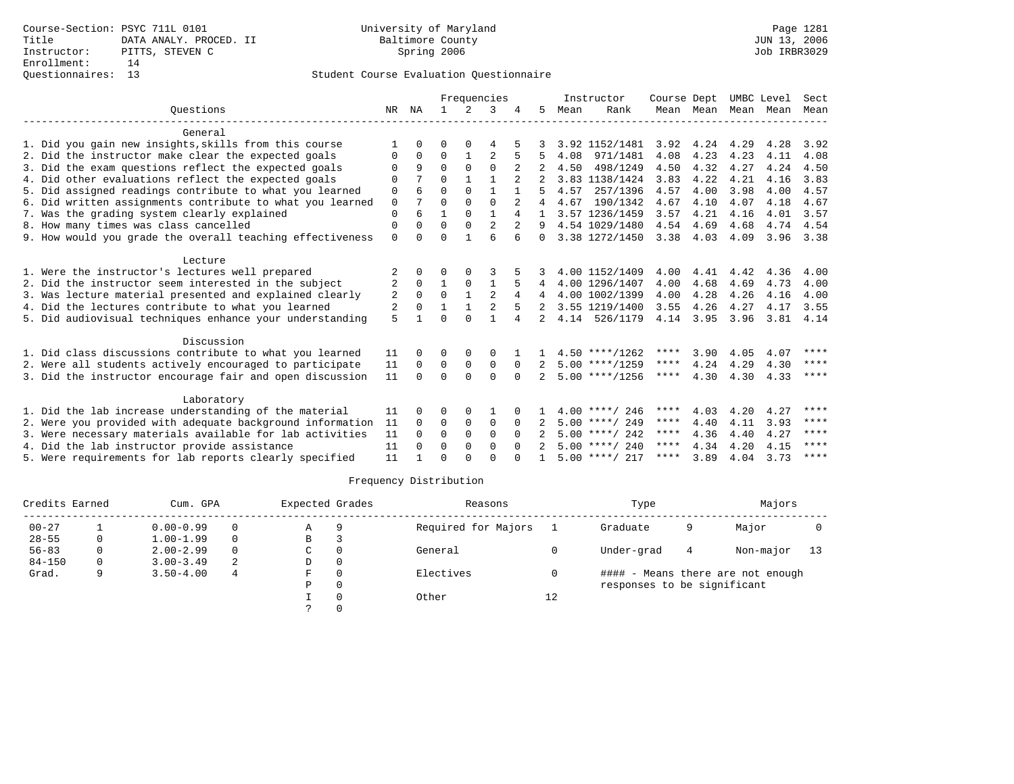|                                                           |             |              | Frequencies  |                |                |          |                |      | Instructor       | Course Dept |           | UMBC Level |      | Sect      |
|-----------------------------------------------------------|-------------|--------------|--------------|----------------|----------------|----------|----------------|------|------------------|-------------|-----------|------------|------|-----------|
| Ouestions                                                 | NR          | ΝA           |              | $\overline{2}$ | 3              |          | 5.             | Mean | Rank             |             | Mean Mean | Mean       | Mean | Mean      |
| General                                                   |             |              |              |                |                |          |                |      |                  |             |           |            |      |           |
| 1. Did you gain new insights, skills from this course     |             | <sup>n</sup> | O            | ∩              | 4              |          |                |      | 3.92 1152/1481   | 3.92        | 4.24      | 4.29       | 4.28 | 3.92      |
| 2. Did the instructor make clear the expected goals       | $\Omega$    | 0            | $\Omega$     | 1              | $\overline{2}$ | 5        | 5              | 4.08 | 971/1481         | 4.08        | 4.23      | 4.23       | 4.11 | 4.08      |
| 3. Did the exam questions reflect the expected goals      | $\Omega$    | 9            | $\Omega$     | 0              | $\Omega$       |          |                | 4.50 | 498/1249         | 4.50        | 4.32      | 4.27       | 4.24 | 4.50      |
| 4. Did other evaluations reflect the expected goals       | $\Omega$    |              | $\Omega$     | 1              | 1              |          |                |      | 3.83 1138/1424   | 3.83        | 4.22      | 4.21       | 4.16 | 3.83      |
| 5. Did assigned readings contribute to what you learned   | $\mathbf 0$ |              | $\Omega$     | $\Omega$       | 1              |          |                | 4.57 | 257/1396         | 4.57        | 4.00      | 3.98       | 4.00 | 4.57      |
| 6. Did written assignments contribute to what you learned | $\mathbf 0$ |              | $\Omega$     | $\Omega$       | $\Omega$       |          | 4              | 4.67 | 190/1342         | 4.67        | 4.10      | 4.07       | 4.18 | 4.67      |
| 7. Was the grading system clearly explained               | $\Omega$    | 6            | 1            | $\Omega$       | $\mathbf{1}$   |          |                |      | 3.57 1236/1459   | 3.57        | 4.21      | 4.16       | 4.01 | 3.57      |
| 8. How many times was class cancelled                     | $\Omega$    |              | $\Omega$     | $\Omega$       | $\overline{2}$ |          | 9              |      | 4.54 1029/1480   | 4.54        | 4.69      | 4.68       | 4.74 | 4.54      |
| 9. How would you grade the overall teaching effectiveness | $\mathbf 0$ | <sup>0</sup> | $\Omega$     |                | 6              | 6        | $\Omega$       |      | 3.38 1272/1450   | 3.38        | 4.03      | 4.09       | 3.96 | 3.38      |
| Lecture                                                   |             |              |              |                |                |          |                |      |                  |             |           |            |      |           |
| 1. Were the instructor's lectures well prepared           |             | 0            | 0            | $\Omega$       |                |          |                |      | 4.00 1152/1409   | 4.00        | 4.41      | 4.42       | 4.36 | 4.00      |
| 2. Did the instructor seem interested in the subject      | 2           | $\Omega$     | $\mathbf{1}$ | $\Omega$       | 1              |          | 4              |      | 4.00 1296/1407   | 4.00        | 4.68      | 4.69       | 4.73 | 4.00      |
| 3. Was lecture material presented and explained clearly   | 2           | $\Omega$     | $\Omega$     | 1              | 2              | 4        |                |      | 4.00 1002/1399   | 4.00        | 4.28      | 4.26       | 4.16 | 4.00      |
| 4. Did the lectures contribute to what you learned        | 2           | 0            | 1            | $\mathbf{1}$   | 2              |          |                |      | 3.55 1219/1400   | 3.55        | 4.26      | 4.27       | 4.17 | 3.55      |
| 5. Did audiovisual techniques enhance your understanding  | 5           | 1            | $\Omega$     | $\Omega$       | 1              | 4        | $\overline{2}$ | 4.14 | 526/1179         | 4.14        | 3.95 3.96 |            |      | 3.81 4.14 |
| Discussion                                                |             |              |              |                |                |          |                |      |                  |             |           |            |      |           |
| 1. Did class discussions contribute to what you learned   | 11          | 0            | 0            | $\Omega$       | $\Omega$       |          |                |      | $4.50$ ****/1262 | ****        | 3.90      | 4.05       | 4.07 | ****      |
| 2. Were all students actively encouraged to participate   | 11          | $\Omega$     | $\Omega$     | $\mathbf 0$    | $\mathbf 0$    | $\Omega$ |                |      | $5.00$ ****/1259 | ****        | 4.24      | 4.29       | 4.30 | ****      |
| 3. Did the instructor encourage fair and open discussion  | 11          | $\Omega$     | $\Omega$     | $\Omega$       | $\Omega$       | $\Omega$ | 2              |      | $5.00$ ****/1256 | ****        | 4.30      | 4.30       | 4.33 | ****      |
| Laboratory                                                |             |              |              |                |                |          |                |      |                  |             |           |            |      |           |
| 1. Did the lab increase understanding of the material     | 11          | <sup>0</sup> | O            | $\Omega$       |                |          |                |      | $4.00$ ****/ 246 | ****        | 4.03      | 4.20       | 4.27 | ****      |
| 2. Were you provided with adequate background information | 11          | $\Omega$     | $\Omega$     | $\mathbf 0$    | $\Omega$       | $\Omega$ |                |      | $5.00$ ****/ 249 | ****        | 4.40      | 4.11       | 3.93 | ****      |
| 3. Were necessary materials available for lab activities  | 11          | $\Omega$     | $\Omega$     | $\Omega$       | $\Omega$       | $\Omega$ |                |      | $5.00$ ****/ 242 | $***$ * * * | 4.36      | 4.40       | 4.27 | ****      |
| 4. Did the lab instructor provide assistance              | 11          | $\Omega$     | $\Omega$     | $\Omega$       | $\Omega$       | $\Omega$ |                |      | $5.00$ ****/ 240 | ****        | 4.34      | 4.20       | 4.15 | ****      |
| 5. Were requirements for lab reports clearly specified    | 11          |              | $\Omega$     | $\cap$         | $\cap$         |          |                |      | $5.00$ ****/ 217 | ****        | 3.89      | 4.04       | 3.73 | ****      |
|                                                           |             |              |              |                |                |          |                |      |                  |             |           |            |      |           |

| Credits Earned |   | Cum. GPA      |          | Expected Grades |          | Reasons             |    | Type                        | Majors |                                   |      |
|----------------|---|---------------|----------|-----------------|----------|---------------------|----|-----------------------------|--------|-----------------------------------|------|
| $00 - 27$      |   | $0.00 - 0.99$ | $\Omega$ | Α               | 9        | Required for Majors |    | Graduate                    | 9      | Major                             |      |
| $28 - 55$      |   | $1.00 - 1.99$ | $\Omega$ | В               |          |                     |    |                             |        |                                   |      |
| $56 - 83$      |   | $2.00 - 2.99$ | $\Omega$ | C               |          | General             |    | Under-grad                  | 4      | Non-major                         | - 13 |
| $84 - 150$     | 0 | $3.00 - 3.49$ | 2        | D               | $\Omega$ |                     |    |                             |        |                                   |      |
| Grad.          |   | $3.50 - 4.00$ | 4        | F.              |          | Electives           |    |                             |        | #### - Means there are not enough |      |
|                |   |               |          | Ρ               |          |                     |    | responses to be significant |        |                                   |      |
|                |   |               |          |                 |          | Other               | 12 |                             |        |                                   |      |
|                |   |               |          |                 |          |                     |    |                             |        |                                   |      |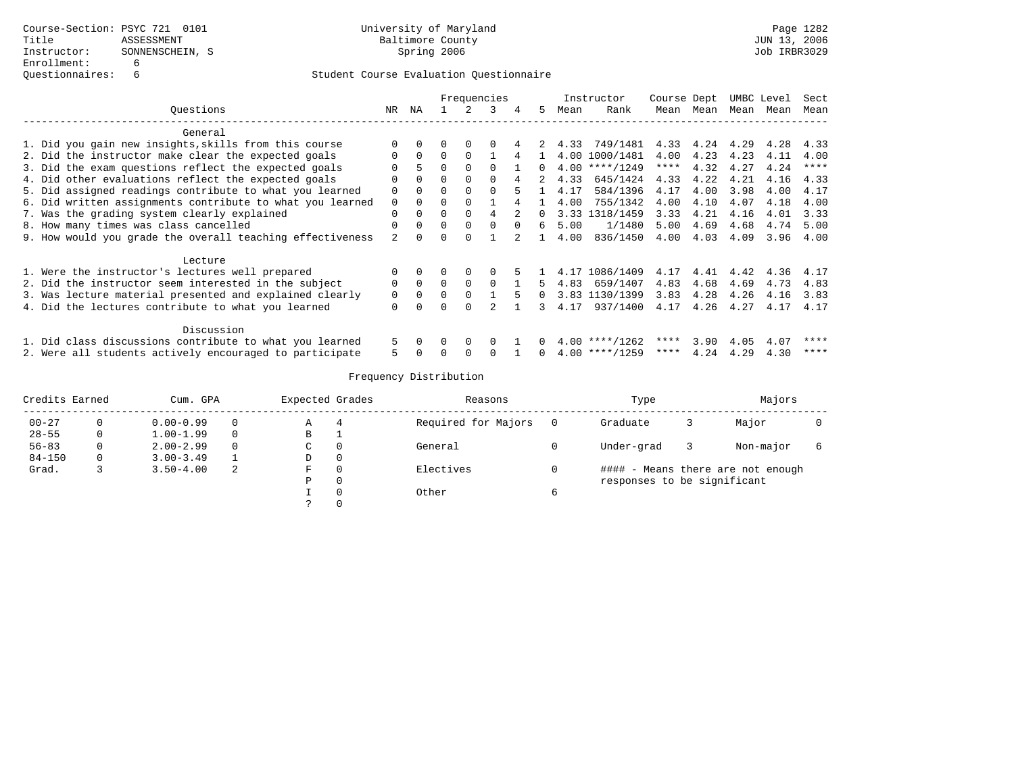|                                                           |          | Frequencies |              |          |          |        |          |      | Instructor       | Course Dept |           | UMBC Level |      | Sect        |
|-----------------------------------------------------------|----------|-------------|--------------|----------|----------|--------|----------|------|------------------|-------------|-----------|------------|------|-------------|
| Questions                                                 | NR       | NA          |              | 2        | 3        | 4      | .5       | Mean | Rank             |             | Mean Mean | Mean       | Mean | Mean        |
| General                                                   |          |             |              |          |          |        |          |      |                  |             |           |            |      |             |
| 1. Did you gain new insights, skills from this course     |          |             |              |          |          |        |          | 4.33 | 749/1481         | 4.33        | 4.24 4.29 |            | 4.28 | 4.33        |
| 2. Did the instructor make clear the expected goals       | $\Omega$ | $\Omega$    |              |          |          | 4      |          |      | 4.00 1000/1481   | 4.00        | 4.23      | 4.23       | 4.11 | 4.00        |
| 3. Did the exam questions reflect the expected goals      |          |             | $\Omega$     |          | $\cap$   |        | $\Omega$ |      | $4.00$ ****/1249 | $***$ * * * | 4.32      | 4.27       | 4.24 | $***$ * * * |
| 4. Did other evaluations reflect the expected goals       |          | $\Omega$    | $\Omega$     | $\Omega$ |          |        |          | 4.33 | 645/1424         | 4.33        | 4.22      | 4.21       | 4.16 | 4.33        |
| 5. Did assigned readings contribute to what you learned   |          |             |              |          |          |        |          | 4.17 | 584/1396         | 4.17        | 4.00      | 3.98       | 4.00 | 4.17        |
| 6. Did written assignments contribute to what you learned | $\Omega$ |             |              |          |          |        |          | 4.00 | 755/1342         | 4.00        | 4.10      | 4.07       | 4.18 | 4.00        |
| 7. Was the grading system clearly explained               | $\Omega$ | $\Omega$    | $\Omega$     | $\Omega$ | 4        | 2      | $\Omega$ |      | 3.33 1318/1459   | 3.33        | 4.21      | 4.16       | 4.01 | 3.33        |
| 8. How many times was class cancelled                     | $\Omega$ | $\cap$      | $\Omega$     | $\Omega$ | $\cap$   | $\cap$ | б.       | 5.00 | 1/1480           | 5.00        | 4.69      | 4.68       | 4.74 | 5.00        |
| 9. How would you grade the overall teaching effectiveness |          |             | ∩            |          |          |        |          | 4.00 | 836/1450         | 4.00        | 4.03      | 4.09       | 3.96 | 4.00        |
| Lecture                                                   |          |             |              |          |          |        |          |      |                  |             |           |            |      |             |
| 1. Were the instructor's lectures well prepared           | $\Omega$ |             | <sup>0</sup> |          |          |        |          |      | 4.17 1086/1409   | 4.17        | 4.41      | 4.42       | 4.36 | 4.17        |
| 2. Did the instructor seem interested in the subject      | $\Omega$ | $\Omega$    | $\Omega$     | $\Omega$ | $\cap$   |        | 5.       | 4.83 | 659/1407         | 4.83        | 4.68      | 4.69       | 4.73 | 4.83        |
| 3. Was lecture material presented and explained clearly   | $\Omega$ | $\Omega$    | $\Omega$     |          |          |        | $\Omega$ |      | 3.83 1130/1399   | 3.83        | 4.28      | 4.26       | 4.16 | 3.83        |
| 4. Did the lectures contribute to what you learned        | $\Omega$ |             |              |          |          |        | 3        | 4.17 | 937/1400         | 4.17        | 4.26      | 4.27       | 4.17 | 4.17        |
| Discussion                                                |          |             |              |          |          |        |          |      |                  |             |           |            |      |             |
| 1. Did class discussions contribute to what you learned   |          | $\Omega$    | $\Omega$     | $\Omega$ | $\Omega$ |        | $\Omega$ |      | $4.00$ ****/1262 | ****        | 3.90      | 4.05       | 4.07 | ****        |
| 2. Were all students actively encouraged to participate   | 5        |             |              |          |          |        |          |      | $4.00$ ****/1259 | ****        | 4.24      | 4.29       | 4.30 | ****        |

| Credits Earned<br>Cum. GPA |          |               | Expected Grades |          | Reasons      |                     | Type | Majors                      |  |                                   |  |
|----------------------------|----------|---------------|-----------------|----------|--------------|---------------------|------|-----------------------------|--|-----------------------------------|--|
| $00 - 27$                  |          | $0.00 - 0.99$ | $\Omega$        | Α        | 4            | Required for Majors |      | Graduate                    |  | Major                             |  |
| $28 - 55$                  |          | $1.00 - 1.99$ | $\Omega$        | в        |              |                     |      |                             |  |                                   |  |
| $56 - 83$                  | 0        | $2.00 - 2.99$ | $\Omega$        | С        | $\mathbf{0}$ | General             |      | Under-grad                  |  | Non-major                         |  |
| $84 - 150$                 | $\Omega$ | $3.00 - 3.49$ |                 | D        | 0            |                     |      |                             |  |                                   |  |
| Grad.                      |          | $3.50 - 4.00$ | 2               | F        | 0            | Electives           |      |                             |  | #### - Means there are not enough |  |
|                            |          |               |                 | Ρ        | $\mathbf{0}$ |                     |      | responses to be significant |  |                                   |  |
|                            |          |               |                 |          | 0            | Other               | ь    |                             |  |                                   |  |
|                            |          |               |                 | $\Omega$ |              |                     |      |                             |  |                                   |  |